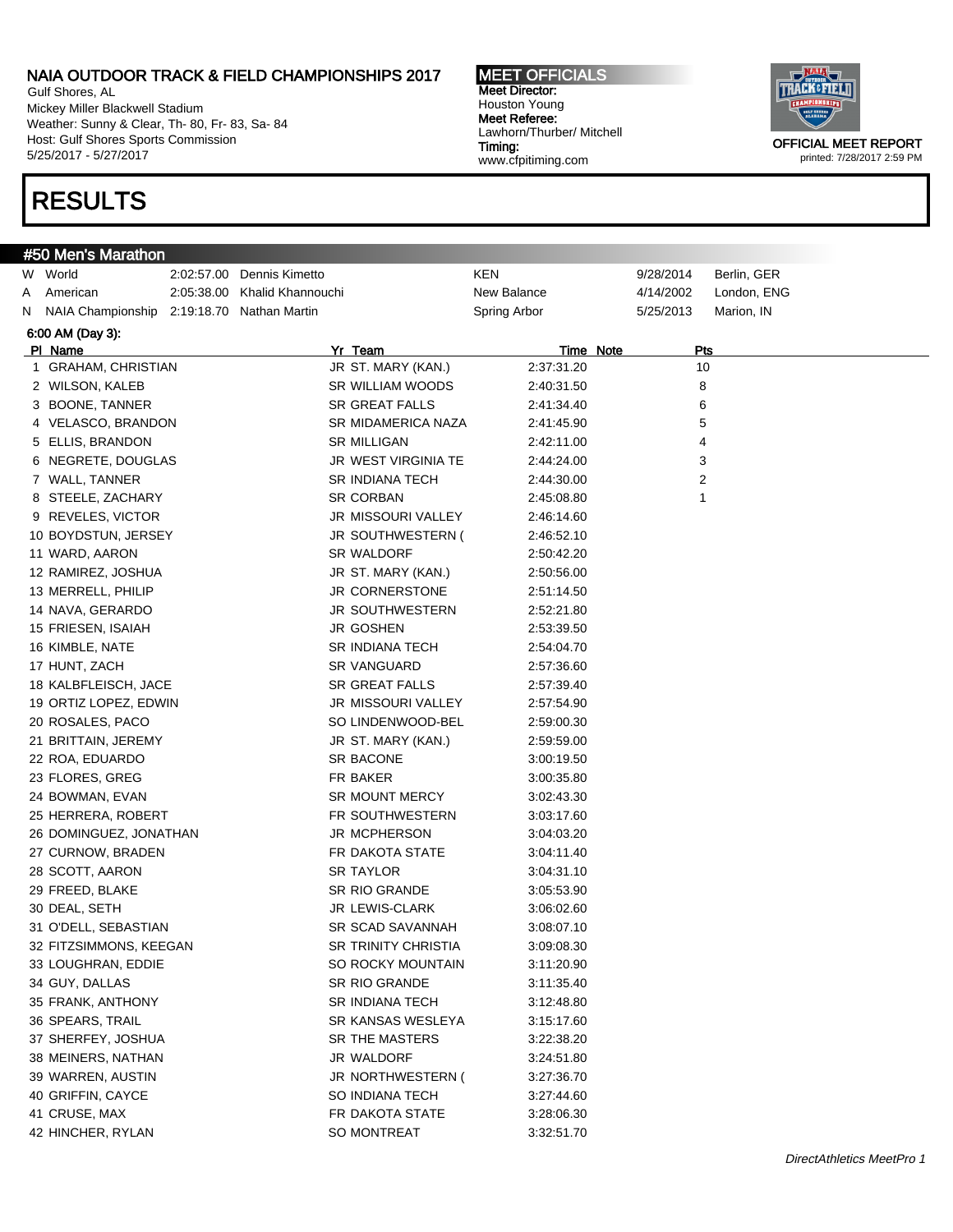Gulf Shores, AL Mickey Miller Blackwell Stadium Weather: Sunny & Clear, Th- 80, Fr- 83, Sa- 84 Host: Gulf Shores Sports Commission 5/25/2017 - 5/27/2017

### RESULTS

#### #50 Men's Marathon

W World **2:02:57.00 Dennis Kimetto** KEN KEN 9/28/2014 Berlin, GER A American 2:05:38.00 Khalid Khannouchi New Balance 4/14/2002 London, ENG N NAIA Championship 2:19:18.70 Nathan Martin Summan Spring Arbor 5/25/2013 Marion, IN 6:00 AM (Day 3): PI Name **Time Note** Pts Present Present Present Present Present Present Present Present Present Present Present 1 GRAHAM, CHRISTIAN JR ST. MARY (KAN.) 2:37:31.20 10 2 WILSON, KALEB SR WILLIAM WOODS 2:40:31.50 8 3 BOONE, TANNER SR GREAT FALLS 2:41:34.40 6 4 VELASCO, BRANDON SR MIDAMERICA NAZA 2:41:45.90 5 5 ELLIS, BRANDON SR MILLIGAN 2:42:11.00 4 6 NEGRETE, DOUGLAS JR WEST VIRGINIA TE 2:44:24.00 3 7 WALL, TANNER SR INDIANA TECH 2:44:30.00 2 8 STEELE, ZACHARY SR CORBAN 2:45:08.80 1 9 REVELES, VICTOR **19 COVER 19 SET ASSOURI VALLEY** 2:46:14.60 10 BOYDSTUN, JERSEY **JR SOUTHWESTERN (** 2:46:52.10 11 WARD, AARON SR WALDORF 2:50:42.20 12 RAMIREZ, JOSHUA JR ST. MARY (KAN.) 2:50:56.00 13 MERRELL, PHILIP JR CORNERSTONE 2:51:14.50 14 NAVA, GERARDO JR SOUTHWESTERN 2:52:21.80 15 FRIESEN, ISAIAH JR GOSHEN 2:53:39.50 16 KIMBLE, NATE SR INDIANA TECH 2:54:04.70 17 HUNT, ZACH SR VANGUARD 2:57:36.60 18 KALBFLEISCH, JACE SR GREAT FALLS 2:57:39.40 19 ORTIZ LOPEZ, EDWIN JR MISSOURI VALLEY 2:57:54.90 20 ROSALES, PACO SO LINDENWOOD-BEL 2:59:00.30 21 BRITTAIN, JEREMY JR ST. MARY (KAN.) 2:59:59.00 22 ROA, EDUARDO SR BACONE 3:00:19.50 23 FLORES, GREG FR BAKER 5:00:35.80 24 BOWMAN, EVAN SR MOUNT MERCY 3:02:43.30 25 HERRERA, ROBERT FR SOUTHWESTERN 3:03:17.60 26 DOMINGUEZ, JONATHAN JR MCPHERSON 3:04:03.20 27 CURNOW, BRADEN FR DAKOTA STATE 3:04:11.40 28 SCOTT, AARON SR TAYLOR 3:04:31.10 29 FREED, BLAKE SR RIO GRANDE 3:05:53.90 30 DEAL, SETH JR LEWIS-CLARK 3:06:02.60 31 O'DELL, SEBASTIAN SR SCAD SAVANNAH 3:08:07.10 32 FITZSIMMONS, KEEGAN SR TRINITY CHRISTIA 3:09:08.30 33 LOUGHRAN, EDDIE SO ROCKY MOUNTAIN 3:11:20.90 34 GUY, DALLAS SR RIO GRANDE 3:11:35.40 35 FRANK, ANTHONY SR INDIANA TECH 3:12:48.80 36 SPEARS, TRAIL SR KANSAS WESLEYA 3:15:17.60 37 SHERFEY, JOSHUA SR THE MASTERS 3:22:38.20 38 MEINERS, NATHAN JR WALDORF 3:24:51.80 39 WARREN, AUSTIN JR NORTHWESTERN ( 3:27:36.70 40 GRIFFIN, CAYCE SO INDIANA TECH 3:27:44.60 41 CRUSE, MAX FR DAKOTA STATE 3:28:06.30 42 HINCHER, RYLAN SO MONTREAT 3:32:51.70

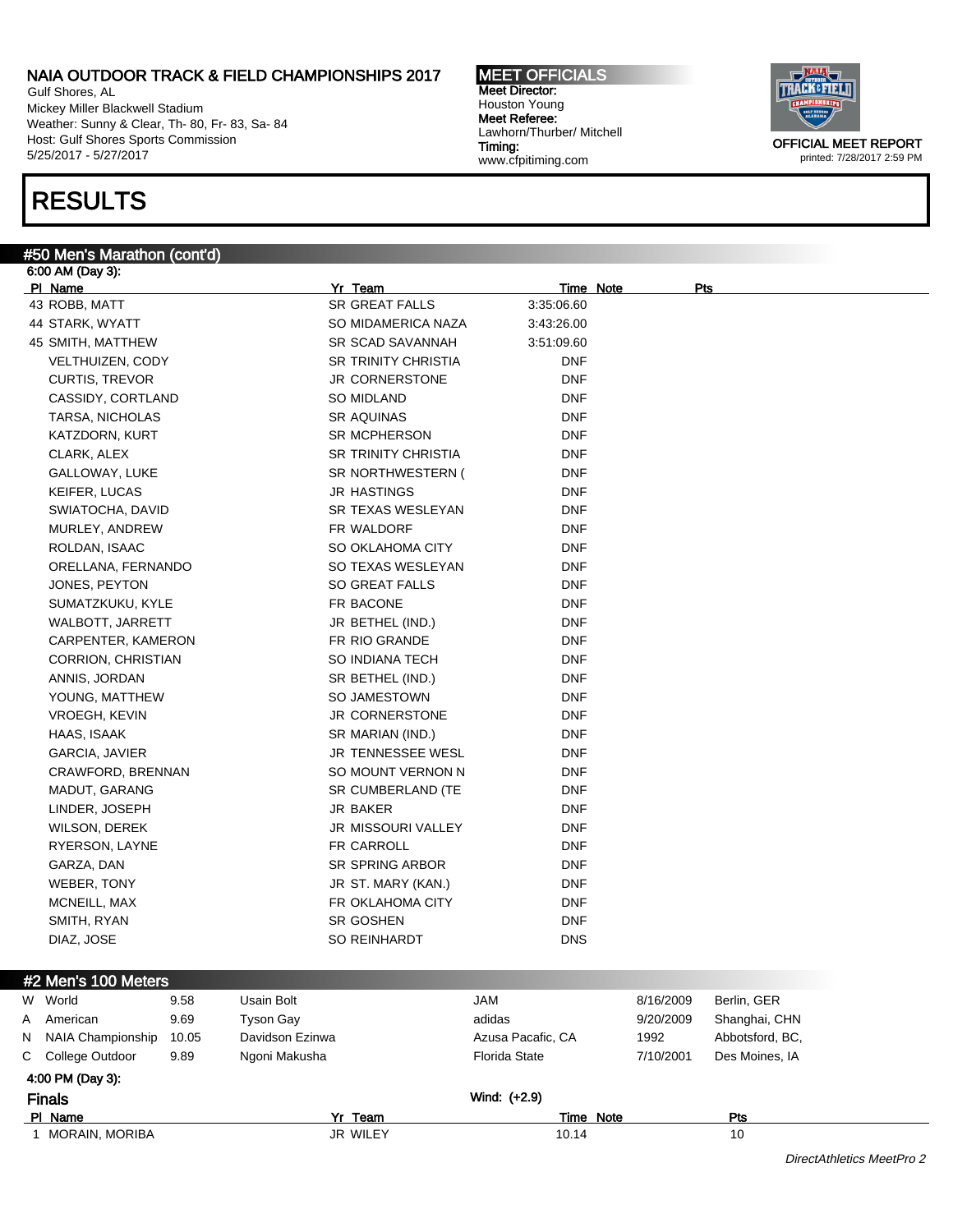Gulf Shores, AL Mickey Miller Blackwell Stadium Weather: Sunny & Clear, Th- 80, Fr- 83, Sa- 84 Host: Gulf Shores Sports Commission 5/25/2017 - 5/27/2017

## RESULTS

#### #50 Men's Marathon (cont'd)

| 6:00 AM (Day 3):          |                          |                            |          |                  |           |                      |
|---------------------------|--------------------------|----------------------------|----------|------------------|-----------|----------------------|
| <b>PI Name</b>            |                          | Yr Team                    |          | <b>Time Note</b> |           | Pts                  |
| 43 ROBB, MATT             |                          | <b>SR GREAT FALLS</b>      |          | 3:35:06.60       |           |                      |
| 44 STARK, WYATT           |                          | SO MIDAMERICA NAZA         |          | 3:43:26.00       |           |                      |
| 45 SMITH, MATTHEW         |                          | SR SCAD SAVANNAH           |          | 3:51:09.60       |           |                      |
| VELTHUIZEN, CODY          |                          | <b>SR TRINITY CHRISTIA</b> |          | <b>DNF</b>       |           |                      |
| <b>CURTIS, TREVOR</b>     |                          | JR CORNERSTONE             |          | <b>DNF</b>       |           |                      |
| CASSIDY, CORTLAND         |                          | SO MIDLAND                 |          | <b>DNF</b>       |           |                      |
| TARSA, NICHOLAS           |                          | <b>SR AQUINAS</b>          |          | <b>DNF</b>       |           |                      |
| KATZDORN, KURT            |                          | <b>SR MCPHERSON</b>        |          | <b>DNF</b>       |           |                      |
| CLARK, ALEX               |                          | <b>SR TRINITY CHRISTIA</b> |          | <b>DNF</b>       |           |                      |
| GALLOWAY, LUKE            |                          | SR NORTHWESTERN (          |          | <b>DNF</b>       |           |                      |
| KEIFER, LUCAS             |                          | <b>JR HASTINGS</b>         |          | <b>DNF</b>       |           |                      |
| SWIATOCHA, DAVID          |                          | <b>SR TEXAS WESLEYAN</b>   |          | <b>DNF</b>       |           |                      |
| MURLEY, ANDREW            |                          | FR WALDORF                 |          | <b>DNF</b>       |           |                      |
| ROLDAN, ISAAC             |                          | SO OKLAHOMA CITY           |          | <b>DNF</b>       |           |                      |
| ORELLANA, FERNANDO        |                          | SO TEXAS WESLEYAN          |          | <b>DNF</b>       |           |                      |
| JONES, PEYTON             |                          | <b>SO GREAT FALLS</b>      |          | <b>DNF</b>       |           |                      |
| SUMATZKUKU, KYLE          |                          | FR BACONE                  |          | <b>DNF</b>       |           |                      |
| WALBOTT, JARRETT          |                          | JR BETHEL (IND.)           |          | <b>DNF</b>       |           |                      |
| CARPENTER, KAMERON        |                          | FR RIO GRANDE              |          | <b>DNF</b>       |           |                      |
| <b>CORRION, CHRISTIAN</b> |                          | SO INDIANA TECH            |          | <b>DNF</b>       |           |                      |
| ANNIS, JORDAN             |                          | SR BETHEL (IND.)           |          | <b>DNF</b>       |           |                      |
| YOUNG, MATTHEW            |                          | SO JAMESTOWN               |          | <b>DNF</b>       |           |                      |
| <b>VROEGH, KEVIN</b>      |                          | JR CORNERSTONE             |          | <b>DNF</b>       |           |                      |
| HAAS, ISAAK               |                          | SR MARIAN (IND.)           |          | <b>DNF</b>       |           |                      |
| GARCIA, JAVIER            |                          | JR TENNESSEE WESL          |          | <b>DNF</b>       |           |                      |
| CRAWFORD, BRENNAN         |                          | SO MOUNT VERNON N          |          | <b>DNF</b>       |           |                      |
| MADUT, GARANG             |                          | SR CUMBERLAND (TE          |          | <b>DNF</b>       |           |                      |
| LINDER, JOSEPH            |                          | <b>JR BAKER</b>            |          | <b>DNF</b>       |           |                      |
| WILSON, DEREK             |                          | JR MISSOURI VALLEY         |          | <b>DNF</b>       |           |                      |
| RYERSON, LAYNE            |                          | FR CARROLL                 |          | <b>DNF</b>       |           |                      |
| GARZA, DAN                |                          | <b>SR SPRING ARBOR</b>     |          | <b>DNF</b>       |           |                      |
| WEBER, TONY               |                          | JR ST. MARY (KAN.)         |          | <b>DNF</b>       |           |                      |
| MCNEILL, MAX              |                          | FR OKLAHOMA CITY           |          | <b>DNF</b>       |           |                      |
| SMITH, RYAN               |                          | SR GOSHEN                  |          | <b>DNF</b>       |           |                      |
| DIAZ, JOSE                |                          | SO REINHARDT               |          | <b>DNS</b>       |           |                      |
| #2 Men's 100 Meters       |                          |                            |          |                  |           |                      |
| W World                   | 9.58<br>Usain Bolt       |                            | JAM      |                  | 8/16/2009 | Berlin, GER          |
| $\sim$                    | $\sim$ $\sim$<br>$ \sim$ |                            | $\cdots$ |                  | 0.0000000 | $\sim$ $\sim$ $\sim$ |

| <b>Finals</b>       |       |                 | Wind: (+2.9)      |                   |                 |
|---------------------|-------|-----------------|-------------------|-------------------|-----------------|
| 4:00 PM (Day 3):    |       |                 |                   |                   |                 |
| C College Outdoor   | 9.89  | Ngoni Makusha   | Florida State     | 7/10/2001         | Des Moines, IA  |
| N NAIA Championship | 10.05 | Davidson Ezinwa | Azusa Pacafic, CA | 1992              | Abbotsford, BC. |
| A American          | 9.69  | Tvson Gav       | adidas            | 9/20/2009         | Shanghai, CHN   |
| vv vvono            | .ສວດ  | USAIN DUIL      | JAIVI             | <b>PU 10/2009</b> | Denni, GER      |

### Pl Name Yr Team Time Note Pts

1 MORAIN, MORIBA 10 10 UR WILEY 10.14 10

MEET OFFICIALS Meet Director: Houston Young Meet Referee: Lawhorn/Thurber/ Mitchell Timing: www.cfpitiming.com



DirectAthletics MeetPro 2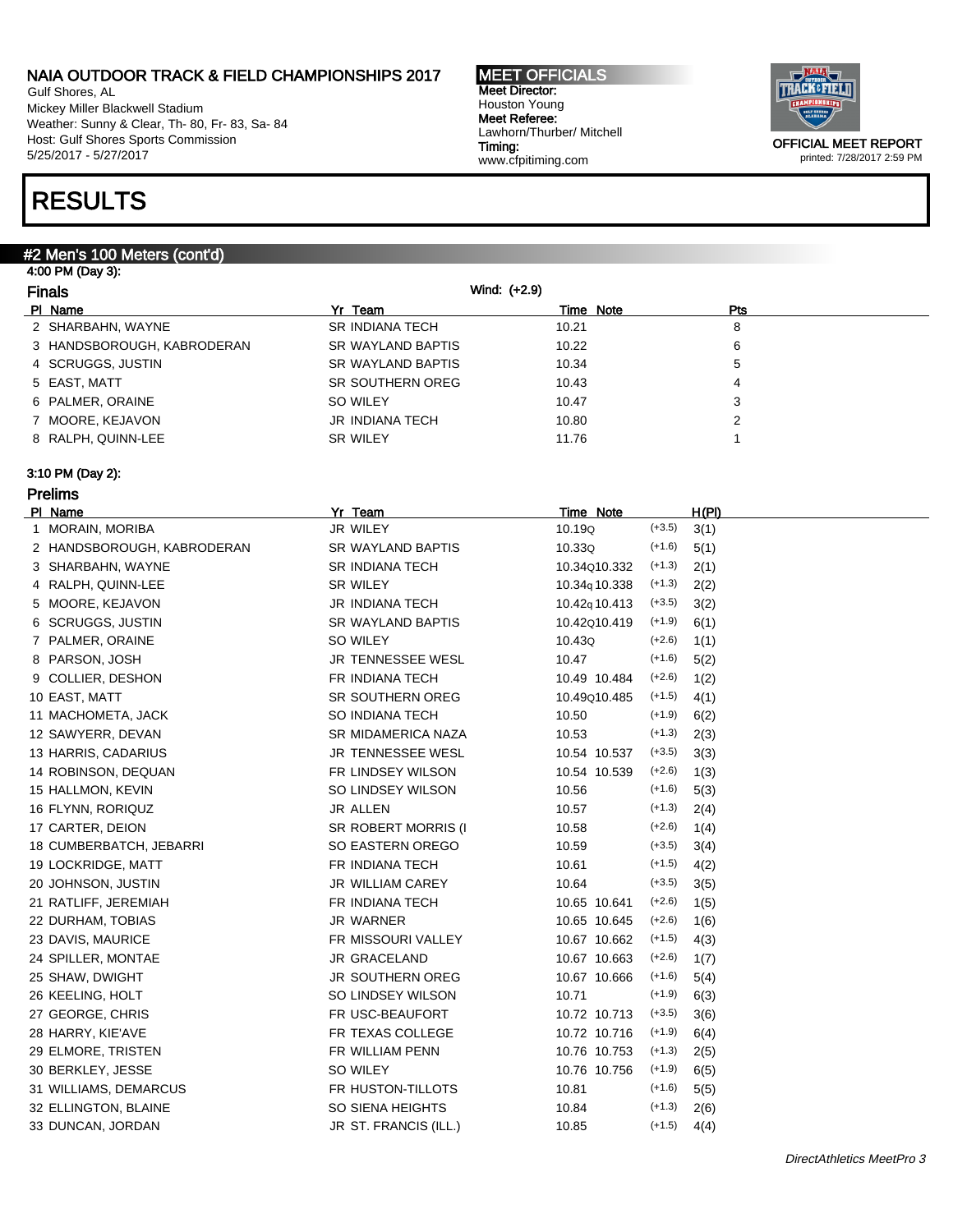Gulf Shores, AL Mickey Miller Blackwell Stadium Weather: Sunny & Clear, Th- 80, Fr- 83, Sa- 84 Host: Gulf Shores Sports Commission 5/25/2017 - 5/27/2017

# RESULTS

### #2 Men's 100 Meters (cont'd)

| 4:00 PM (Day 3):           |                        |              |            |  |
|----------------------------|------------------------|--------------|------------|--|
| <b>Finals</b>              |                        | Wind: (+2.9) |            |  |
| PI Name                    | Yr Team                | Time Note    | <b>Pts</b> |  |
| 2 SHARBAHN, WAYNE          | SR INDIANA TECH        | 10.21        | 8          |  |
| 3 HANDSBOROUGH, KABRODERAN | SR WAYLAND BAPTIS      | 10.22        | 6          |  |
| 4 SCRUGGS, JUSTIN          | SR WAYLAND BAPTIS      | 10.34        | 5          |  |
| 5 EAST, MATT               | SR SOUTHERN OREG       | 10.43        | 4          |  |
| 6 PALMER, ORAINE           | SO WILEY               | 10.47        | 3          |  |
| 7 MOORE, KEJAVON           | <b>JR INDIANA TECH</b> | 10.80        | 2          |  |
| 8 RALPH, QUINN-LEE         | <b>SR WILEY</b>        | 11.76        |            |  |

#### 3:10 PM (Day 2):

| PI Name                     | Yr Team                  | Time Note                 | H(PI) |
|-----------------------------|--------------------------|---------------------------|-------|
| 1 MORAIN, MORIBA            | JR WILEY                 | $(+3.5)$<br>10.19Q        | 3(1)  |
| 2 HANDSBOROUGH, KABRODERAN  | SR WAYLAND BAPTIS        | $(+1.6)$<br>10.33Q        | 5(1)  |
| 3 SHARBAHN, WAYNE           | <b>SR INDIANA TECH</b>   | $(+1.3)$<br>10.34Q10.332  | 2(1)  |
| 4 RALPH, QUINN-LEE          | SR WILEY                 | $(+1.3)$<br>10.34q 10.338 | 2(2)  |
| MOORE, KEJAVON<br>5         | <b>JR INDIANA TECH</b>   | $(+3.5)$<br>10.42q 10.413 | 3(2)  |
| 6 SCRUGGS, JUSTIN           | SR WAYLAND BAPTIS        | $(+1.9)$<br>10.42Q10.419  | 6(1)  |
| 7 PALMER, ORAINE            | SO WILEY                 | $(+2.6)$<br>10.43Q        | 1(1)  |
| 8 PARSON, JOSH              | <b>JR TENNESSEE WESL</b> | $(+1.6)$<br>10.47         | 5(2)  |
| <b>COLLIER, DESHON</b><br>9 | FR INDIANA TECH          | $(+2.6)$<br>10.49 10.484  | 1(2)  |
| 10 EAST, MATT               | SR SOUTHERN OREG         | $(+1.5)$<br>10.49Q10.485  | 4(1)  |
| 11 MACHOMETA, JACK          | SO INDIANA TECH          | $(+1.9)$<br>10.50         | 6(2)  |
| 12 SAWYERR, DEVAN           | SR MIDAMERICA NAZA       | $(+1.3)$<br>10.53         | 2(3)  |
| 13 HARRIS, CADARIUS         | JR TENNESSEE WESL        | $(+3.5)$<br>10.54 10.537  | 3(3)  |
| 14 ROBINSON, DEQUAN         | FR LINDSEY WILSON        | 10.54 10.539<br>$(+2.6)$  | 1(3)  |
| 15 HALLMON, KEVIN           | SO LINDSEY WILSON        | $(+1.6)$<br>10.56         | 5(3)  |
| 16 FLYNN, RORIQUZ           | JR ALLEN                 | $(+1.3)$<br>10.57         | 2(4)  |
| 17 CARTER, DEION            | SR ROBERT MORRIS (I      | $(+2.6)$<br>10.58         | 1(4)  |
| 18 CUMBERBATCH, JEBARRI     | SO EASTERN OREGO         | $(+3.5)$<br>10.59         | 3(4)  |
| 19 LOCKRIDGE, MATT          | FR INDIANA TECH          | $(+1.5)$<br>10.61         | 4(2)  |
| 20 JOHNSON, JUSTIN          | <b>JR WILLIAM CAREY</b>  | $(+3.5)$<br>10.64         | 3(5)  |
| 21 RATLIFF, JEREMIAH        | FR INDIANA TECH          | $(+2.6)$<br>10.65 10.641  | 1(5)  |
| 22 DURHAM, TOBIAS           | <b>JR WARNER</b>         | $(+2.6)$<br>10.65 10.645  | 1(6)  |
| 23 DAVIS, MAURICE           | FR MISSOURI VALLEY       | $(+1.5)$<br>10.67 10.662  | 4(3)  |
| 24 SPILLER, MONTAE          | JR GRACELAND             | $(+2.6)$<br>10.67 10.663  | 1(7)  |
| 25 SHAW, DWIGHT             | <b>JR SOUTHERN OREG</b>  | $(+1.6)$<br>10.67 10.666  | 5(4)  |
| 26 KEELING, HOLT            | SO LINDSEY WILSON        | $(+1.9)$<br>10.71         | 6(3)  |
| 27 GEORGE, CHRIS            | FR USC-BEAUFORT          | $(+3.5)$<br>10.72 10.713  | 3(6)  |
| 28 HARRY, KIE'AVE           | FR TEXAS COLLEGE         | $(+1.9)$<br>10.72 10.716  | 6(4)  |
| 29 ELMORE, TRISTEN          | FR WILLIAM PENN          | $(+1.3)$<br>10.76 10.753  | 2(5)  |
| 30 BERKLEY, JESSE           | SO WILEY                 | 10.76 10.756<br>$(+1.9)$  | 6(5)  |
| 31 WILLIAMS, DEMARCUS       | FR HUSTON-TILLOTS        | $(+1.6)$<br>10.81         | 5(5)  |
| 32 ELLINGTON, BLAINE        | SO SIENA HEIGHTS         | $(+1.3)$<br>10.84         | 2(6)  |
| 33 DUNCAN, JORDAN           | JR ST. FRANCIS (ILL.)    | $(+1.5)$<br>10.85         | 4(4)  |
|                             |                          |                           |       |

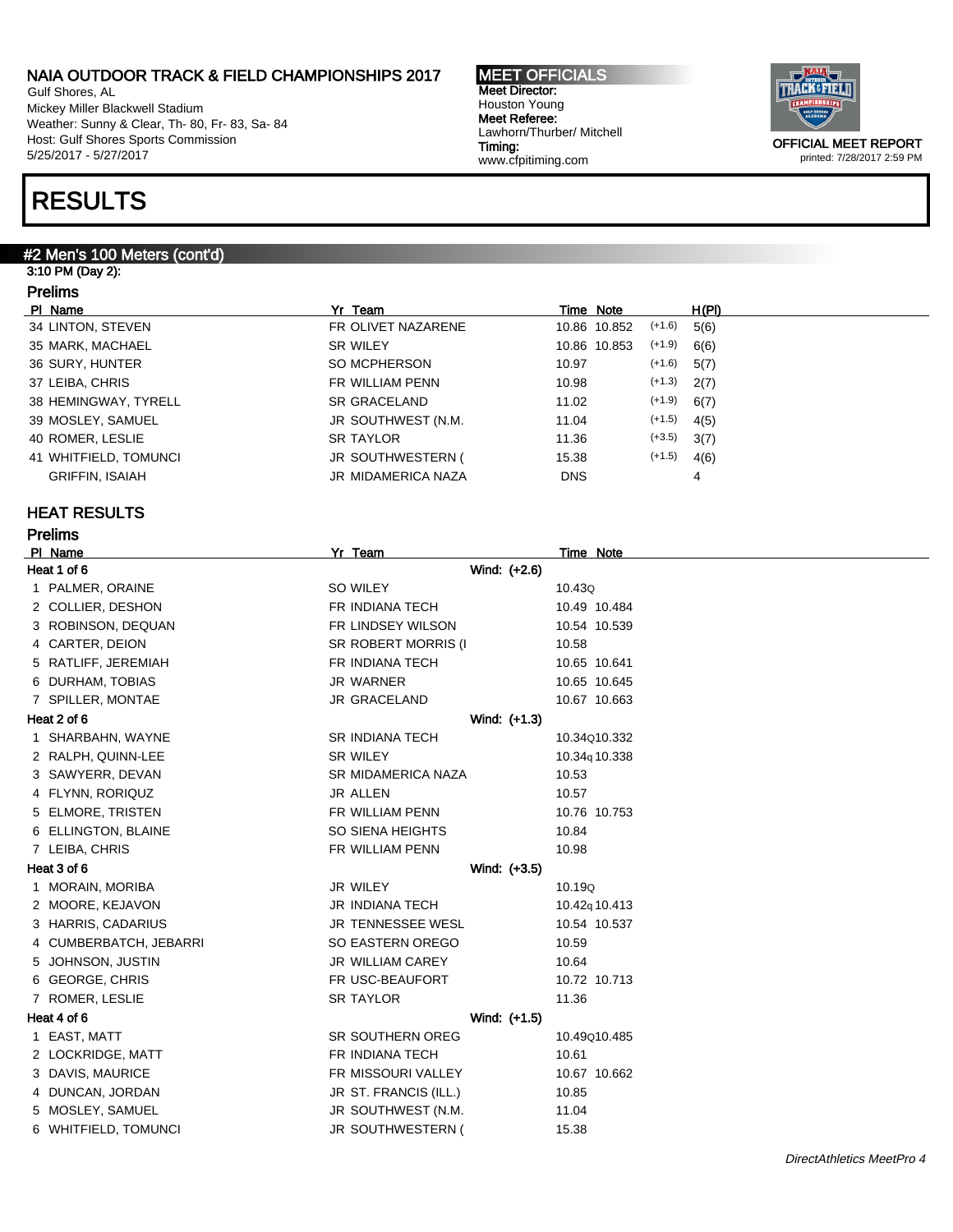Gulf Shores, AL Mickey Miller Blackwell Stadium Weather: Sunny & Clear, Th- 80, Fr- 83, Sa- 84 Host: Gulf Shores Sports Commission 5/25/2017 - 5/27/2017

## RESULTS

### #2 Men's 100 Meters (cont'd)

#### 3:10 PM (Day 2): Prelims

|   | .           |  |  |
|---|-------------|--|--|
| ы | <b>Nomo</b> |  |  |

| PI Name                | Yr Team             | Time Note                | H(PI) |
|------------------------|---------------------|--------------------------|-------|
| 34 LINTON, STEVEN      | FR OLIVET NAZARENE  | $(+1.6)$<br>10.86 10.852 | 5(6)  |
| 35 MARK, MACHAEL       | <b>SR WILEY</b>     | $(+1.9)$<br>10.86 10.853 | 6(6)  |
| 36 SURY, HUNTER        | SO MCPHERSON        | $(+1.6)$<br>10.97        | 5(7)  |
| 37 LEIBA, CHRIS        | FR WILLIAM PENN     | $(+1.3)$<br>10.98        | 2(7)  |
| 38 HEMINGWAY, TYRELL   | <b>SR GRACELAND</b> | $(+1.9)$<br>11.02        | 6(7)  |
| 39 MOSLEY, SAMUEL      | JR SOUTHWEST (N.M.  | $(+1.5)$<br>11.04        | 4(5)  |
| 40 ROMER, LESLIE       | <b>SR TAYLOR</b>    | $(+3.5)$<br>11.36        | 3(7)  |
| 41 WHITFIELD, TOMUNCI  | JR SOUTHWESTERN (   | $(+1.5)$<br>15.38        | 4(6)  |
| <b>GRIFFIN, ISAIAH</b> | JR MIDAMERICA NAZA  | <b>DNS</b>               | 4     |
|                        |                     |                          |       |

#### HEAT RESULTS

|    | <b>Prelims</b>              |                             |                           |
|----|-----------------------------|-----------------------------|---------------------------|
|    | PI Name                     | Yr Team                     | <b>Time Note</b>          |
|    | Heat 1 of 6                 | Wind: (+2.6)                |                           |
|    | 1 PALMER, ORAINE            | SO WILEY                    | 10.43Q                    |
|    | 2 COLLIER, DESHON           | FR INDIANA TECH             | 10.49 10.484              |
|    | 3 ROBINSON, DEQUAN          | FR LINDSEY WILSON           | 10.54 10.539              |
| 4  | CARTER, DEION               | <b>SR ROBERT MORRIS (I)</b> | 10.58                     |
|    | 5 RATLIFF, JEREMIAH         | FR INDIANA TECH             | 10.65 10.641              |
| 6  | DURHAM, TOBIAS              | <b>JR WARNER</b>            | 10.65 10.645              |
|    | 7 SPILLER, MONTAE           | <b>JR GRACELAND</b>         | 10.67 10.663              |
|    | Heat 2 of 6                 | Wind: (+1.3)                |                           |
|    | 1 SHARBAHN, WAYNE           | <b>SR INDIANA TECH</b>      | 10.34Q10.332              |
|    | 2 RALPH, QUINN-LEE          | <b>SR WILEY</b>             | 10.34 <sub>9</sub> 10.338 |
|    | 3 SAWYERR, DEVAN            | SR MIDAMERICA NAZA          | 10.53                     |
|    | 4 FLYNN, RORIQUZ            | <b>JR ALLEN</b>             | 10.57                     |
| 5  | <b>ELMORE, TRISTEN</b>      | FR WILLIAM PENN             | 10.76 10.753              |
|    | 6 ELLINGTON, BLAINE         | SO SIENA HEIGHTS            | 10.84                     |
|    | 7 LEIBA, CHRIS              | FR WILLIAM PENN             | 10.98                     |
|    | Heat 3 of 6                 | Wind: (+3.5)                |                           |
|    | 1 MORAIN, MORIBA            | JR WILEY                    | 10.19 <sub>Q</sub>        |
|    | 2 MOORE, KEJAVON            | JR INDIANA TECH             | 10.42q 10.413             |
|    | 3 HARRIS, CADARIUS          | <b>JR TENNESSEE WESL</b>    | 10.54 10.537              |
| 4  | <b>CUMBERBATCH, JEBARRI</b> | SO EASTERN OREGO            | 10.59                     |
| 5  | JOHNSON, JUSTIN             | <b>JR WILLIAM CAREY</b>     | 10.64                     |
|    | 6 GEORGE, CHRIS             | FR USC-BEAUFORT             | 10.72 10.713              |
| 7  | ROMER, LESLIE               | <b>SR TAYLOR</b>            | 11.36                     |
|    | Heat 4 of 6                 | Wind: (+1.5)                |                           |
| 1. | EAST, MATT                  | <b>SR SOUTHERN OREG</b>     | 10.49 <sub>Q</sub> 10.485 |
|    | 2 LOCKRIDGE, MATT           | FR INDIANA TECH             | 10.61                     |
|    | 3 DAVIS, MAURICE            | FR MISSOURI VALLEY          | 10.67 10.662              |
|    | 4 DUNCAN, JORDAN            | JR ST. FRANCIS (ILL.)       | 10.85                     |
|    | 5 MOSLEY, SAMUEL            | JR SOUTHWEST (N.M.          | 11.04                     |
|    | 6 WHITFIELD, TOMUNCI        | JR SOUTHWESTERN (           | 15.38                     |

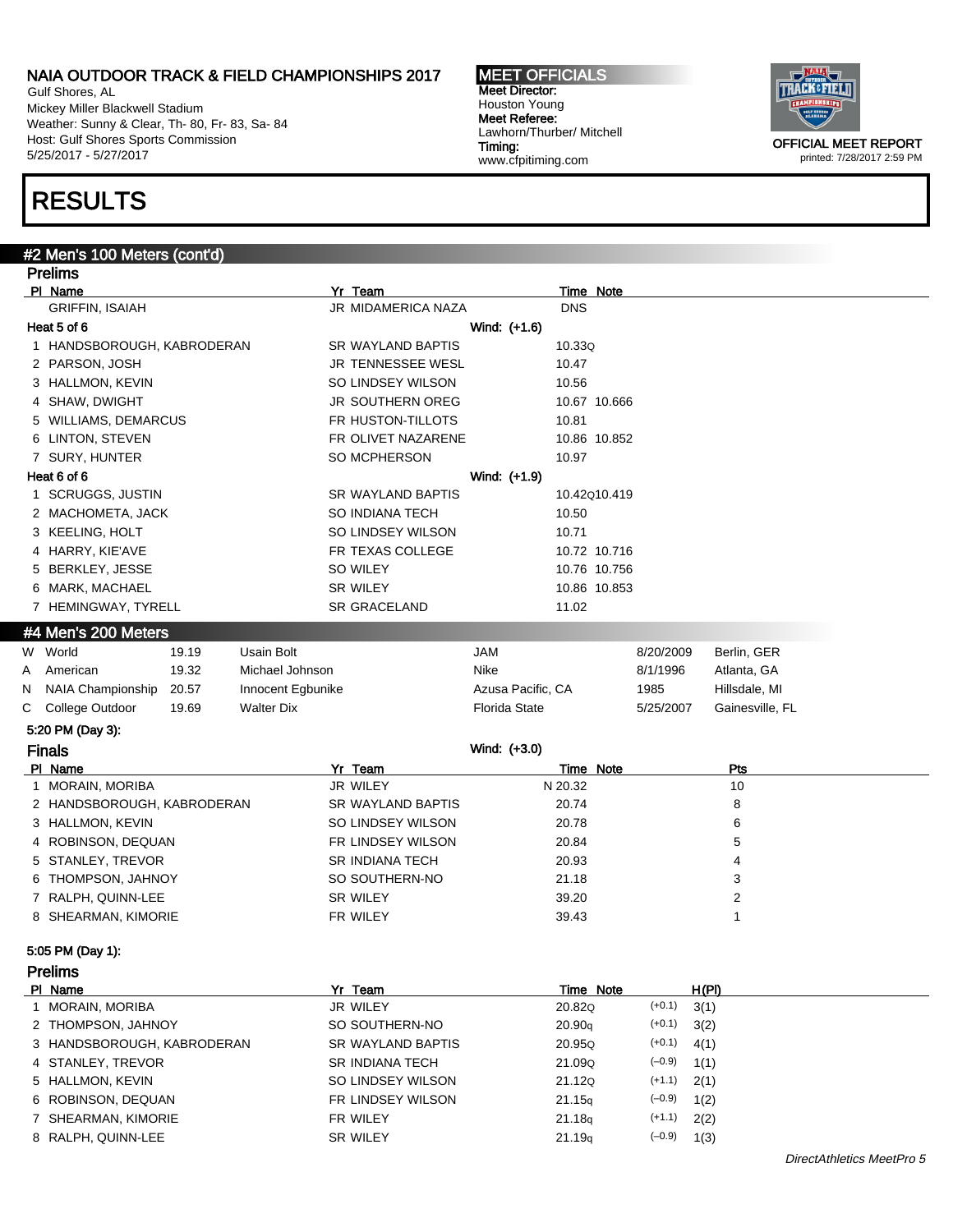Gulf Shores, AL Mickey Miller Blackwell Stadium Weather: Sunny & Clear, Th- 80, Fr- 83, Sa- 84 Host: Gulf Shores Sports Commission 5/25/2017 - 5/27/2017

## RESULTS

#### #2 Men's 100 Meters (cont'd)

|   | <b>Prelims</b>                    |                   |                          |                      |                  |              |           |       |                 |  |
|---|-----------------------------------|-------------------|--------------------------|----------------------|------------------|--------------|-----------|-------|-----------------|--|
|   | PI Name                           |                   | Yr Team                  |                      | <b>Time Note</b> |              |           |       |                 |  |
|   | <b>GRIFFIN, ISAIAH</b>            |                   | JR MIDAMERICA NAZA       |                      | <b>DNS</b>       |              |           |       |                 |  |
|   | Heat 5 of 6                       |                   |                          | Wind: (+1.6)         |                  |              |           |       |                 |  |
|   | 1 HANDSBOROUGH, KABRODERAN        |                   | SR WAYLAND BAPTIS        |                      | 10.33Q           |              |           |       |                 |  |
|   | 2 PARSON, JOSH                    |                   | <b>JR TENNESSEE WESL</b> |                      | 10.47            |              |           |       |                 |  |
|   | 3 HALLMON, KEVIN                  |                   | SO LINDSEY WILSON        |                      | 10.56            |              |           |       |                 |  |
|   | 4 SHAW, DWIGHT                    |                   | JR SOUTHERN OREG         |                      |                  | 10.67 10.666 |           |       |                 |  |
|   | 5 WILLIAMS, DEMARCUS              |                   | FR HUSTON-TILLOTS        |                      | 10.81            |              |           |       |                 |  |
|   | 6 LINTON, STEVEN                  |                   | FR OLIVET NAZARENE       |                      |                  | 10.86 10.852 |           |       |                 |  |
|   | 7 SURY, HUNTER                    |                   | <b>SO MCPHERSON</b>      |                      | 10.97            |              |           |       |                 |  |
|   | Heat 6 of 6                       |                   |                          | Wind: (+1.9)         |                  |              |           |       |                 |  |
|   | 1 SCRUGGS, JUSTIN                 |                   | SR WAYLAND BAPTIS        |                      |                  | 10.42Q10.419 |           |       |                 |  |
|   | 2 MACHOMETA, JACK                 |                   | SO INDIANA TECH          |                      | 10.50            |              |           |       |                 |  |
|   | 3 KEELING, HOLT                   |                   | SO LINDSEY WILSON        |                      | 10.71            |              |           |       |                 |  |
|   | 4 HARRY, KIE'AVE                  |                   | FR TEXAS COLLEGE         |                      |                  | 10.72 10.716 |           |       |                 |  |
|   | 5 BERKLEY, JESSE                  |                   | SO WILEY                 |                      |                  | 10.76 10.756 |           |       |                 |  |
|   | 6 MARK, MACHAEL                   |                   | <b>SR WILEY</b>          |                      |                  | 10.86 10.853 |           |       |                 |  |
|   | 7 HEMINGWAY, TYRELL               |                   | <b>SR GRACELAND</b>      |                      | 11.02            |              |           |       |                 |  |
|   | #4 Men's 200 Meters               |                   |                          |                      |                  |              |           |       |                 |  |
|   | W World<br>19.19                  | Usain Bolt        |                          | JAM                  |                  |              | 8/20/2009 |       | Berlin, GER     |  |
| A | American<br>19.32                 | Michael Johnson   |                          | Nike                 |                  |              | 8/1/1996  |       | Atlanta, GA     |  |
| N | <b>NAIA Championship</b><br>20.57 | Innocent Egbunike |                          | Azusa Pacific, CA    |                  |              | 1985      |       | Hillsdale, MI   |  |
| С | College Outdoor<br>19.69          | <b>Walter Dix</b> |                          | <b>Florida State</b> |                  |              | 5/25/2007 |       | Gainesville, FL |  |
|   | 5:20 PM (Day 3):                  |                   |                          |                      |                  |              |           |       |                 |  |
|   | <b>Finals</b>                     |                   |                          | Wind: (+3.0)         |                  |              |           |       |                 |  |
|   | PI Name                           |                   | Yr Team                  |                      | Time Note        |              |           |       | Pts             |  |
|   | 1 MORAIN, MORIBA                  |                   | JR WILEY                 |                      | N 20.32          |              |           |       | 10              |  |
|   | 2 HANDSBOROUGH, KABRODERAN        |                   | SR WAYLAND BAPTIS        |                      | 20.74            |              |           |       | 8               |  |
|   | 3 HALLMON, KEVIN                  |                   | SO LINDSEY WILSON        |                      | 20.78            |              |           |       | 6               |  |
|   | 4 ROBINSON, DEQUAN                |                   | FR LINDSEY WILSON        |                      | 20.84            |              |           |       | 5               |  |
|   | 5 STANLEY, TREVOR                 |                   | <b>SR INDIANA TECH</b>   |                      | 20.93            |              |           |       | 4               |  |
|   | 6 THOMPSON, JAHNOY                |                   | SO SOUTHERN-NO           |                      | 21.18            |              |           |       | 3               |  |
|   | 7 RALPH, QUINN-LEE                |                   | <b>SR WILEY</b>          |                      | 39.20            |              |           |       | 2               |  |
|   | 8 SHEARMAN, KIMORIE               |                   | FR WILEY                 |                      | 39.43            |              |           |       | 1               |  |
|   | 5:05 PM (Day 1):                  |                   |                          |                      |                  |              |           |       |                 |  |
|   | <b>Prelims</b>                    |                   |                          |                      |                  |              |           |       |                 |  |
|   | PI Name                           |                   | Yr Team                  |                      | Time Note        |              |           | H(PI) |                 |  |
|   | 1 MORAIN, MORIBA                  |                   | JR WILEY                 |                      | 20.82Q           |              | $(+0.1)$  | 3(1)  |                 |  |
|   | 2 THOMPSON, JAHNOY                |                   | SO SOUTHERN-NO           |                      | 20.90q           |              | $(+0.1)$  | 3(2)  |                 |  |
|   | 3 HANDSBOROUGH, KABRODERAN        |                   | SR WAYLAND BAPTIS        |                      | 20.95Q           |              | $(+0.1)$  | 4(1)  |                 |  |
|   | 4 STANLEY, TREVOR                 |                   | SR INDIANA TECH          |                      | 21.09Q           |              | $(-0.9)$  | 1(1)  |                 |  |
|   | 5 HALLMON, KEVIN                  |                   | SO LINDSEY WILSON        |                      | 21.12Q           |              | $(+1.1)$  | 2(1)  |                 |  |
|   | 6 ROBINSON, DEQUAN                |                   | FR LINDSEY WILSON        |                      | 21.15q           |              | $(-0.9)$  | 1(2)  |                 |  |



- 7 SHEARMAN, KIMORIE FR WILEY 21.18q (+1.1) 2(2)
- 8 RALPH, QUINN-LEE SR WILEY 21.19q (–0.9) 1(3)

DirectAthletics MeetPro 5

MEET OFFICIALS Meet Director: Houston Young Meet Referee: Lawhorn/Thurber/ Mitchell Timing: www.cfpitiming.com



printed: 7/28/2017 2:59 PM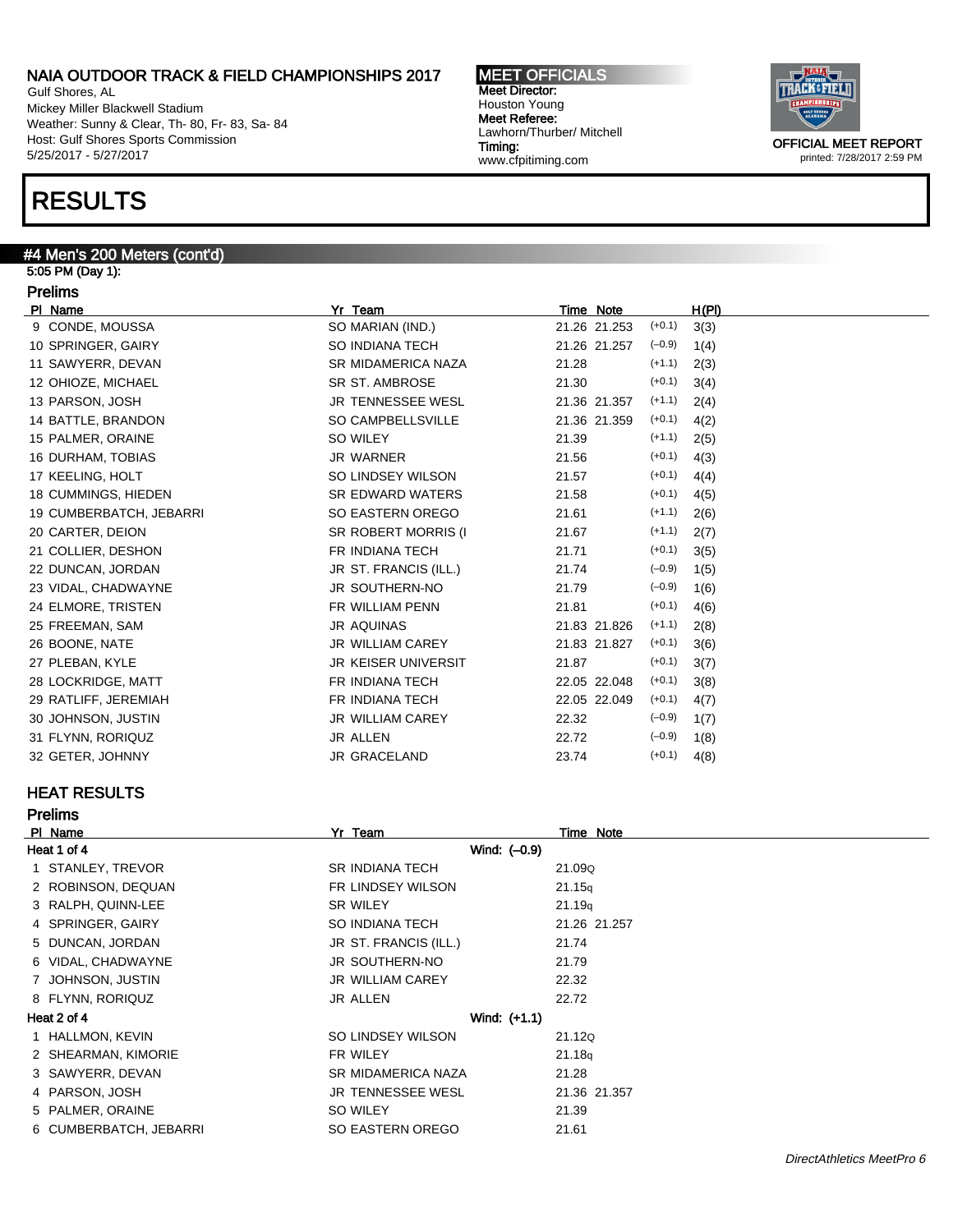Gulf Shores, AL Mickey Miller Blackwell Stadium Weather: Sunny & Clear, Th- 80, Fr- 83, Sa- 84 Host: Gulf Shores Sports Commission 5/25/2017 - 5/27/2017

## RESULTS

### #4 Men's 200 Meters (cont'd)

5:05 PM (Day 1): Prelims

| PI Name                 | Yr Team                    | Time Note                | H(PI) |
|-------------------------|----------------------------|--------------------------|-------|
| 9 CONDE, MOUSSA         | SO MARIAN (IND.)           | 21.26 21.253<br>$(+0.1)$ | 3(3)  |
| 10 SPRINGER, GAIRY      | SO INDIANA TECH            | $(-0.9)$<br>21.26 21.257 | 1(4)  |
| 11 SAWYERR, DEVAN       | SR MIDAMERICA NAZA         | $(+1.1)$<br>21.28        | 2(3)  |
| 12 OHIOZE, MICHAEL      | <b>SR ST. AMBROSE</b>      | $(+0.1)$<br>21.30        | 3(4)  |
| 13 PARSON, JOSH         | JR TENNESSEE WESL          | $(+1.1)$<br>21.36 21.357 | 2(4)  |
| 14 BATTLE, BRANDON      | SO CAMPBELLSVILLE          | $(+0.1)$<br>21.36 21.359 | 4(2)  |
| 15 PALMER, ORAINE       | SO WILEY                   | $(+1.1)$<br>21.39        | 2(5)  |
| 16 DURHAM, TOBIAS       | JR WARNER                  | $(+0.1)$<br>21.56        | 4(3)  |
| 17 KEELING, HOLT        | SO LINDSEY WILSON          | $(+0.1)$<br>21.57        | 4(4)  |
| 18 CUMMINGS, HIEDEN     | <b>SR EDWARD WATERS</b>    | $(+0.1)$<br>21.58        | 4(5)  |
| 19 CUMBERBATCH, JEBARRI | SO EASTERN OREGO           | $(+1.1)$<br>21.61        | 2(6)  |
| 20 CARTER, DEION        | SR ROBERT MORRIS (I        | $(+1.1)$<br>21.67        | 2(7)  |
| 21 COLLIER, DESHON      | FR INDIANA TECH            | $(+0.1)$<br>21.71        | 3(5)  |
| 22 DUNCAN, JORDAN       | JR ST. FRANCIS (ILL.)      | $(-0.9)$<br>21.74        | 1(5)  |
| 23 VIDAL, CHADWAYNE     | JR SOUTHERN-NO             | $(-0.9)$<br>21.79        | 1(6)  |
| 24 ELMORE, TRISTEN      | FR WILLIAM PENN            | $(+0.1)$<br>21.81        | 4(6)  |
| 25 FREEMAN, SAM         | <b>JR AQUINAS</b>          | $(+1.1)$<br>21.83 21.826 | 2(8)  |
| 26 BOONE, NATE          | <b>JR WILLIAM CAREY</b>    | $(+0.1)$<br>21.83 21.827 | 3(6)  |
| 27 PLEBAN, KYLE         | <b>JR KEISER UNIVERSIT</b> | $(+0.1)$<br>21.87        | 3(7)  |
| 28 LOCKRIDGE, MATT      | FR INDIANA TECH            | $(+0.1)$<br>22.05 22.048 | 3(8)  |
| 29 RATLIFF, JEREMIAH    | FR INDIANA TECH            | $(+0.1)$<br>22.05 22.049 | 4(7)  |
| 30 JOHNSON, JUSTIN      | <b>JR WILLIAM CAREY</b>    | $(-0.9)$<br>22.32        | 1(7)  |
| 31 FLYNN, RORIQUZ       | JR ALLEN                   | $(-0.9)$<br>22.72        | 1(8)  |
| 32 GETER, JOHNNY        | <b>JR GRACELAND</b>        | 23.74<br>$(+0.1)$        | 4(8)  |

#### HEAT RESULTS

Prelims

| Name<br><b>PI</b>      | Yr Team                   | Time Note    |  |
|------------------------|---------------------------|--------------|--|
| Heat 1 of 4            | Wind: (-0.9)              |              |  |
| 1 STANLEY, TREVOR      | <b>SR INDIANA TECH</b>    | 21.09Q       |  |
| 2 ROBINSON, DEQUAN     | FR LINDSEY WILSON         | 21.15q       |  |
| 3 RALPH, QUINN-LEE     | <b>SR WILEY</b>           | 21.19q       |  |
| 4 SPRINGER, GAIRY      | SO INDIANA TECH           | 21.26 21.257 |  |
| 5 DUNCAN, JORDAN       | JR ST. FRANCIS (ILL.)     | 21.74        |  |
| 6 VIDAL, CHADWAYNE     | JR SOUTHERN-NO            | 21.79        |  |
| 7 JOHNSON, JUSTIN      | <b>JR WILLIAM CAREY</b>   | 22.32        |  |
| 8 FLYNN, RORIQUZ       | <b>JR ALLEN</b>           | 22.72        |  |
| Heat 2 of 4            | Wind: (+1.1)              |              |  |
| 1 HALLMON, KEVIN       | SO LINDSEY WILSON         | 21.12Q       |  |
| 2 SHEARMAN, KIMORIE    | FR WILEY                  | 21.18q       |  |
| 3 SAWYERR, DEVAN       | <b>SR MIDAMERICA NAZA</b> | 21.28        |  |
| 4 PARSON, JOSH         | <b>JR TENNESSEE WESL</b>  | 21.36 21.357 |  |
| 5 PALMER, ORAINE       | SO WILEY                  | 21.39        |  |
| 6 CUMBERBATCH, JEBARRI | SO EASTERN OREGO          | 21.61        |  |

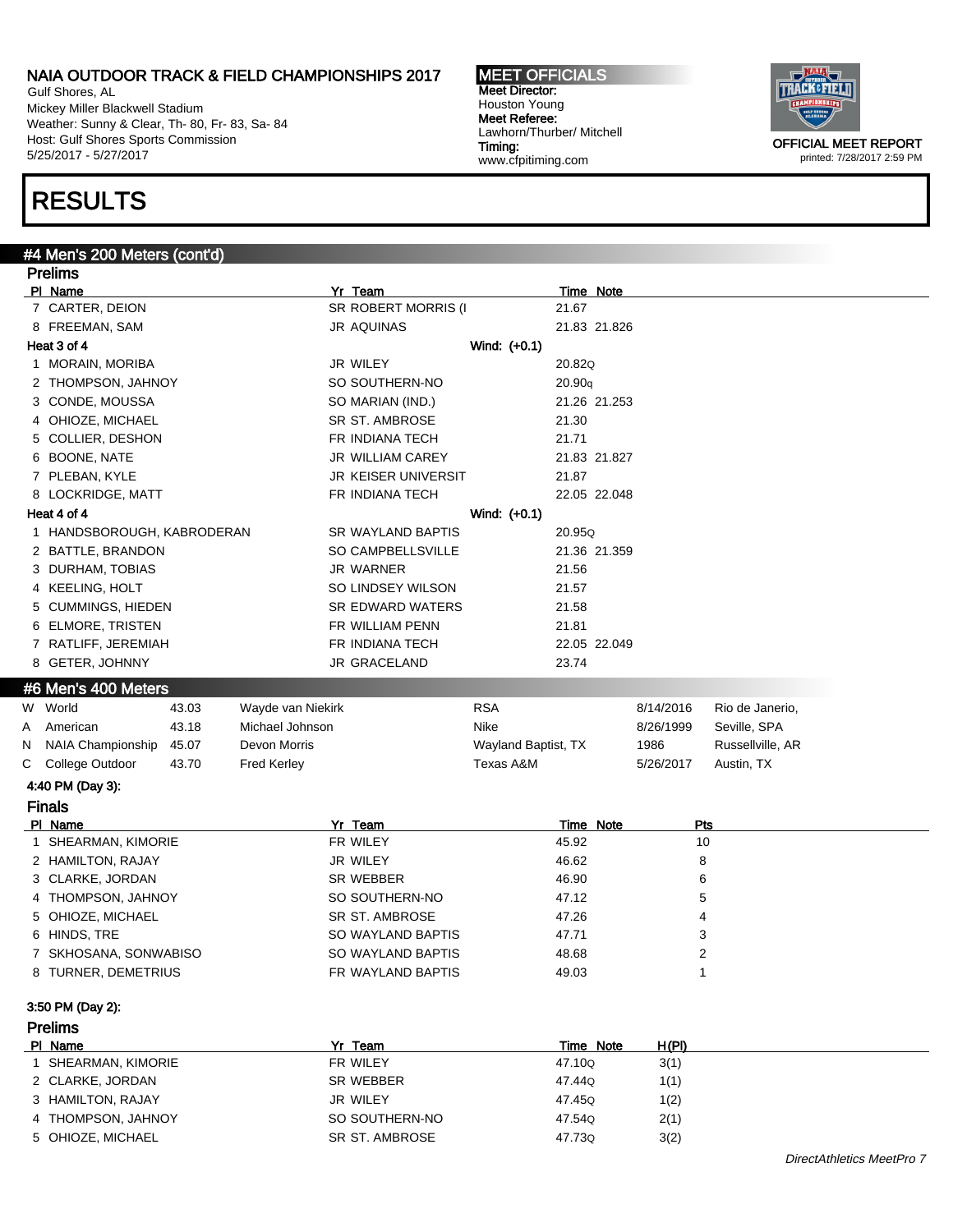Gulf Shores, AL Mickey Miller Blackwell Stadium Weather: Sunny & Clear, Th- 80, Fr- 83, Sa- 84 Host: Gulf Shores Sports Commission 5/25/2017 - 5/27/2017

## RESULTS

#### #4 Men's 200 Meters (cont'd) Prelims

|   | Pielins                           |       |                   |                     |                     |                  |                |                  |
|---|-----------------------------------|-------|-------------------|---------------------|---------------------|------------------|----------------|------------------|
|   | PI Name                           |       |                   | Yr Team             |                     | <b>Time Note</b> |                |                  |
|   | 7 CARTER, DEION                   |       |                   | SR ROBERT MORRIS (I |                     | 21.67            |                |                  |
|   | 8 FREEMAN, SAM                    |       |                   | JR AQUINAS          |                     | 21.83 21.826     |                |                  |
|   | Heat 3 of 4                       |       |                   |                     | Wind: (+0.1)        |                  |                |                  |
|   | 1 MORAIN, MORIBA                  |       |                   | JR WILEY            |                     | 20.82Q           |                |                  |
|   | 2 THOMPSON, JAHNOY                |       |                   | SO SOUTHERN-NO      |                     | 20.90q           |                |                  |
|   | 3 CONDE, MOUSSA                   |       |                   | SO MARIAN (IND.)    |                     | 21.26 21.253     |                |                  |
|   | 4 OHIOZE, MICHAEL                 |       |                   | SR ST. AMBROSE      |                     | 21.30            |                |                  |
|   | 5 COLLIER, DESHON                 |       |                   | FR INDIANA TECH     |                     | 21.71            |                |                  |
|   | 6 BOONE, NATE                     |       |                   | JR WILLIAM CAREY    |                     | 21.83 21.827     |                |                  |
|   | 7 PLEBAN, KYLE                    |       |                   | JR KEISER UNIVERSIT |                     | 21.87            |                |                  |
|   | 8 LOCKRIDGE, MATT                 |       |                   | FR INDIANA TECH     |                     | 22.05 22.048     |                |                  |
|   | Heat 4 of 4                       |       |                   |                     | Wind: (+0.1)        |                  |                |                  |
|   | 1 HANDSBOROUGH, KABRODERAN        |       |                   | SR WAYLAND BAPTIS   |                     | 20.95Q           |                |                  |
|   | 2 BATTLE, BRANDON                 |       |                   | SO CAMPBELLSVILLE   |                     | 21.36 21.359     |                |                  |
|   | 3 DURHAM, TOBIAS                  |       |                   | <b>JR WARNER</b>    |                     | 21.56            |                |                  |
|   | 4 KEELING, HOLT                   |       |                   | SO LINDSEY WILSON   |                     | 21.57            |                |                  |
|   | 5 CUMMINGS, HIEDEN                |       |                   | SR EDWARD WATERS    |                     | 21.58            |                |                  |
|   | 6 ELMORE, TRISTEN                 |       |                   | FR WILLIAM PENN     |                     | 21.81            |                |                  |
|   | 7 RATLIFF, JEREMIAH               |       |                   | FR INDIANA TECH     |                     | 22.05 22.049     |                |                  |
|   | 8 GETER, JOHNNY                   |       |                   | JR GRACELAND        |                     | 23.74            |                |                  |
|   | #6 Men's 400 Meters               |       |                   |                     |                     |                  |                |                  |
|   | W World                           | 43.03 | Wayde van Niekirk |                     | <b>RSA</b>          |                  | 8/14/2016      | Rio de Janerio,  |
| A | American                          | 43.18 | Michael Johnson   |                     | Nike                |                  | 8/26/1999      | Seville, SPA     |
| N | NAIA Championship                 | 45.07 | Devon Morris      |                     | Wayland Baptist, TX |                  | 1986           | Russellville, AR |
| C | College Outdoor                   | 43.70 | Fred Kerley       |                     | Texas A&M           |                  | 5/26/2017      | Austin, TX       |
|   |                                   |       |                   |                     |                     |                  |                |                  |
|   | 4:40 PM (Day 3):<br><b>Finals</b> |       |                   |                     |                     |                  |                |                  |
|   | PI Name                           |       |                   | Yr Team             |                     | Time Note        | <u>Pts</u>     |                  |
|   | 1 SHEARMAN, KIMORIE               |       |                   | FR WILEY            |                     | 45.92            | 10             |                  |
|   | 2 HAMILTON, RAJAY                 |       |                   | JR WILEY            |                     | 46.62            | 8              |                  |
|   | 3 CLARKE, JORDAN                  |       |                   | SR WEBBER           |                     | 46.90            | 6              |                  |
|   | 4 THOMPSON, JAHNOY                |       |                   | SO SOUTHERN-NO      |                     | 47.12            | 5              |                  |
|   | 5 OHIOZE, MICHAEL                 |       |                   | SR ST. AMBROSE      |                     | 47.26            | 4              |                  |
|   | 6 HINDS, TRE                      |       |                   | SO WAYLAND BAPTIS   |                     | 47.71            | 3              |                  |
|   | 7 SKHOSANA, SONWABISO             |       |                   | SO WAYLAND BAPTIS   |                     | 48.68            | $\overline{c}$ |                  |
|   | 8 TURNER, DEMETRIUS               |       |                   | FR WAYLAND BAPTIS   |                     | 49.03            |                |                  |
|   |                                   |       |                   |                     |                     |                  |                |                  |
|   | 3:50 PM (Day 2):                  |       |                   |                     |                     |                  |                |                  |
|   | <b>Prelims</b>                    |       |                   |                     |                     |                  |                |                  |
|   | PI Name                           |       |                   | Yr Team             |                     | Time Note        | H(PI)          |                  |
|   | 1 SHEARMAN, KIMORIE               |       |                   | FR WILEY            |                     | 47.10Q           | 3(1)           |                  |
|   | 2 CLARKE, JORDAN                  |       |                   | <b>SR WEBBER</b>    |                     | 47.44Q           | 1(1)           |                  |
|   |                                   |       |                   |                     |                     | 47.45Q           | 1(2)           |                  |
|   | 3 HAMILTON, RAJAY                 |       |                   | JR WILEY            |                     |                  |                |                  |
|   | 4 THOMPSON, JAHNOY                |       |                   | SO SOUTHERN-NO      |                     | 47.54Q           | 2(1)           |                  |

MEET OFFICIALS Meet Director: Houston Young Meet Referee: Lawhorn/Thurber/ Mitchell www.cfpitiming.com

Timing:

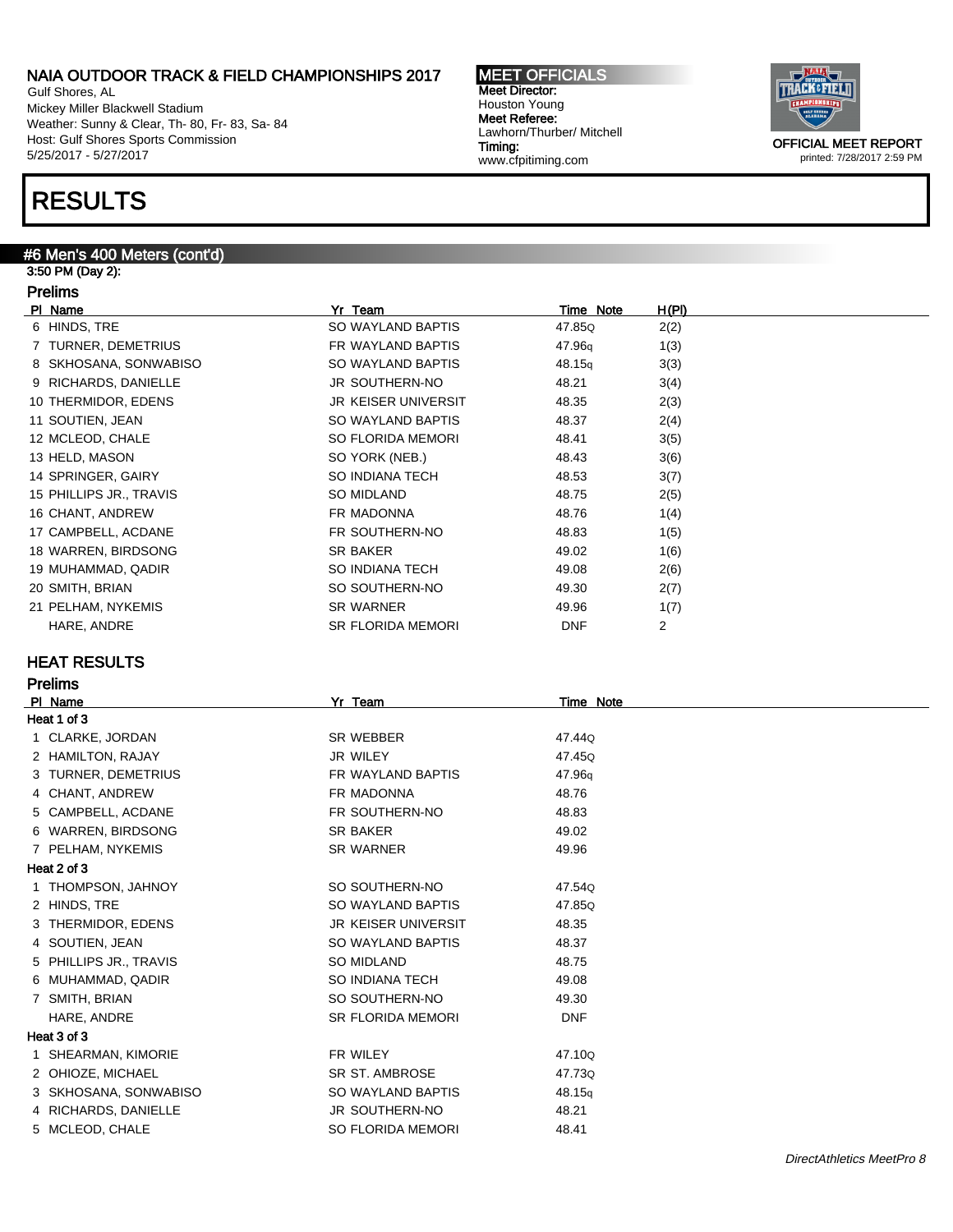Gulf Shores, AL Mickey Miller Blackwell Stadium Weather: Sunny & Clear, Th- 80, Fr- 83, Sa- 84 Host: Gulf Shores Sports Commission 5/25/2017 - 5/27/2017

## RESULTS

### #6 Men's 400 Meters (cont'd)

#### 3:50 PM (Day 2): Prelims

| PI Name                 | Yr Team                    | Time Note          | H(PI)          |
|-------------------------|----------------------------|--------------------|----------------|
| 6 HINDS, TRE            | SO WAYLAND BAPTIS          | 47.85Q             | 2(2)           |
| 7 TURNER, DEMETRIUS     | FR WAYLAND BAPTIS          | 47.96 <sub>g</sub> | 1(3)           |
| 8 SKHOSANA, SONWABISO   | SO WAYLAND BAPTIS          | 48.15g             | 3(3)           |
| 9 RICHARDS, DANIELLE    | JR SOUTHERN-NO             | 48.21              | 3(4)           |
| 10 THERMIDOR, EDENS     | <b>JR KEISER UNIVERSIT</b> | 48.35              | 2(3)           |
| 11 SOUTIEN, JEAN        | SO WAYLAND BAPTIS          | 48.37              | 2(4)           |
| 12 MCLEOD, CHALE        | SO FLORIDA MEMORI          | 48.41              | 3(5)           |
| 13 HELD, MASON          | SO YORK (NEB.)             | 48.43              | 3(6)           |
| 14 SPRINGER, GAIRY      | SO INDIANA TECH            | 48.53              | 3(7)           |
| 15 PHILLIPS JR., TRAVIS | SO MIDLAND                 | 48.75              | 2(5)           |
| 16 CHANT, ANDREW        | FR MADONNA                 | 48.76              | 1(4)           |
| 17 CAMPBELL, ACDANE     | FR SOUTHERN-NO             | 48.83              | 1(5)           |
| 18 WARREN, BIRDSONG     | SR BAKER                   | 49.02              | 1(6)           |
| 19 MUHAMMAD, QADIR      | SO INDIANA TECH            | 49.08              | 2(6)           |
| 20 SMITH, BRIAN         | SO SOUTHERN-NO             | 49.30              | 2(7)           |
| 21 PELHAM, NYKEMIS      | SR WARNER                  | 49.96              | 1(7)           |
| HARE, ANDRE             | <b>SR FLORIDA MEMORI</b>   | <b>DNF</b>         | $\overline{2}$ |

#### HEAT RESULTS

### Prelims

| PI Name                | Yr<br>Team                 | Time Note  |
|------------------------|----------------------------|------------|
| Heat 1 of 3            |                            |            |
| 1 CLARKE, JORDAN       | SR WEBBER                  | 47.44Q     |
| 2 HAMILTON, RAJAY      | JR WILEY                   | 47.45Q     |
| 3 TURNER, DEMETRIUS    | FR WAYLAND BAPTIS          | 47.96g     |
| 4 CHANT, ANDREW        | FR MADONNA                 | 48.76      |
| 5 CAMPBELL, ACDANE     | FR SOUTHERN-NO             | 48.83      |
| 6 WARREN, BIRDSONG     | <b>SR BAKER</b>            | 49.02      |
| 7 PELHAM, NYKEMIS      | <b>SR WARNER</b>           | 49.96      |
| Heat 2 of 3            |                            |            |
| 1 THOMPSON, JAHNOY     | SO SOUTHERN-NO             | 47.54Q     |
| 2 HINDS, TRE           | SO WAYLAND BAPTIS          | 47.85Q     |
| 3 THERMIDOR, EDENS     | <b>JR KEISER UNIVERSIT</b> | 48.35      |
| 4 SOUTIEN, JEAN        | SO WAYLAND BAPTIS          | 48.37      |
| 5 PHILLIPS JR., TRAVIS | SO MIDLAND                 | 48.75      |
| 6 MUHAMMAD, QADIR      | <b>SO INDIANA TECH</b>     | 49.08      |
| 7 SMITH, BRIAN         | SO SOUTHERN-NO             | 49.30      |
| HARE, ANDRE            | <b>SR FLORIDA MEMORI</b>   | <b>DNF</b> |
| Heat 3 of 3            |                            |            |
| 1 SHEARMAN, KIMORIE    | FR WILEY                   | 47.10Q     |
| 2 OHIOZE, MICHAEL      | SR ST. AMBROSE             | 47.73Q     |
| 3 SKHOSANA, SONWABISO  | SO WAYLAND BAPTIS          | 48.15g     |
| 4 RICHARDS, DANIELLE   | <b>JR SOUTHERN-NO</b>      | 48.21      |
| 5 MCLEOD, CHALE        | <b>SO FLORIDA MEMORI</b>   | 48.41      |

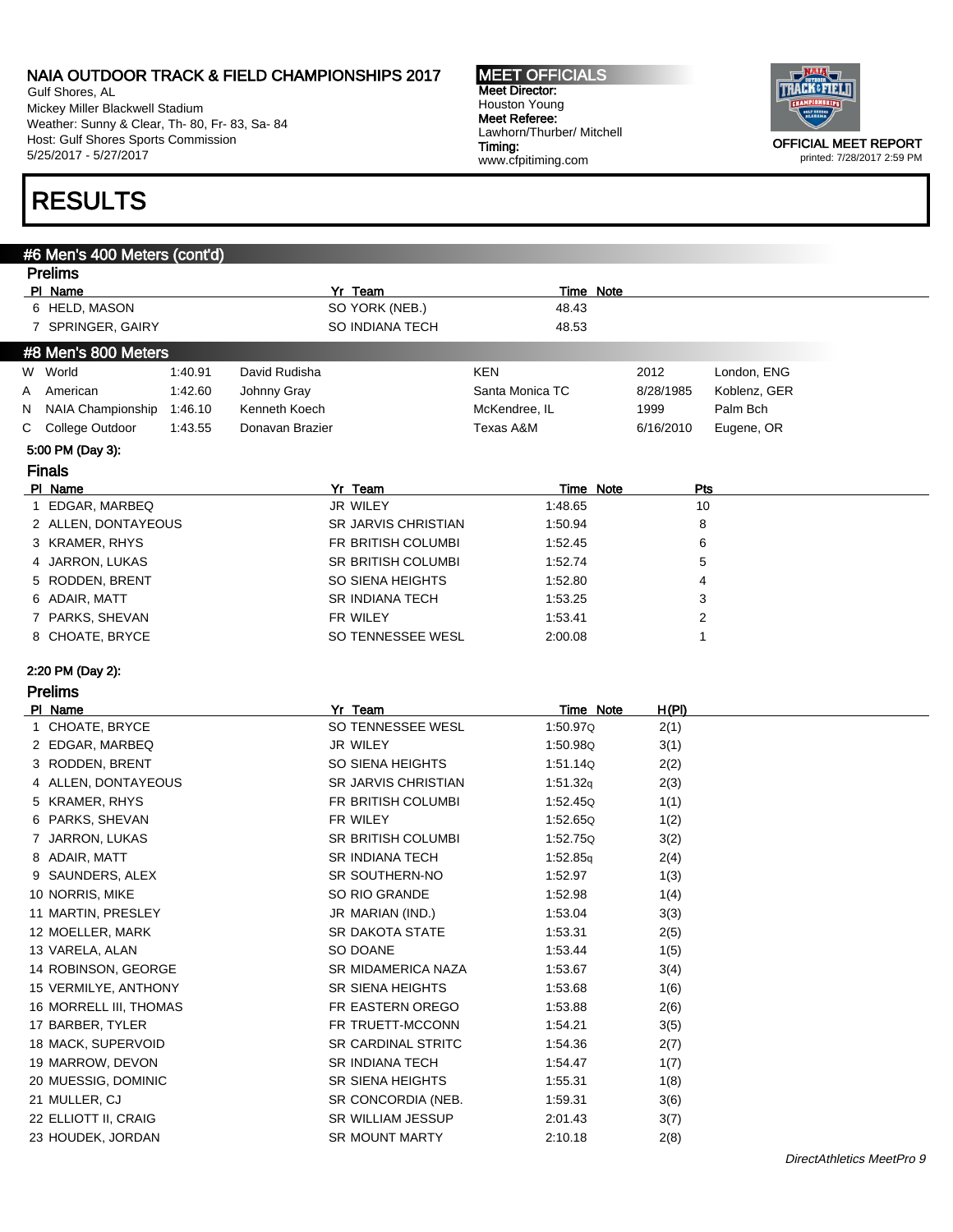Gulf Shores, AL Mickey Miller Blackwell Stadium Weather: Sunny & Clear, Th- 80, Fr- 83, Sa- 84 Host: Gulf Shores Sports Commission 5/25/2017 - 5/27/2017

#### MEET OFFICIALS Meet Director: Houston Young Meet Referee: Lawhorn/Thurber/ Mitchell Timing: www.cfpitiming.com



## RESULTS

#### #6 Men's 400 Meters (cont'd)

|   | <b>Prelims</b>         |         |                 |                            |                  |           |              |
|---|------------------------|---------|-----------------|----------------------------|------------------|-----------|--------------|
|   | PI Name                |         |                 | Yr Team                    | <b>Time Note</b> |           |              |
|   | 6 HELD, MASON          |         |                 | SO YORK (NEB.)             | 48.43            |           |              |
|   | 7 SPRINGER, GAIRY      |         |                 | SO INDIANA TECH            | 48.53            |           |              |
|   | #8 Men's 800 Meters    |         |                 |                            |                  |           |              |
|   | W World                | 1:40.91 | David Rudisha   |                            | <b>KEN</b>       | 2012      | London, ENG  |
| Α | American               | 1:42.60 | Johnny Gray     |                            | Santa Monica TC  | 8/28/1985 | Koblenz, GER |
| N | NAIA Championship      | 1:46.10 | Kenneth Koech   |                            | McKendree, IL    | 1999      | Palm Bch     |
| С | College Outdoor        | 1:43.55 | Donavan Brazier |                            | Texas A&M        | 6/16/2010 | Eugene, OR   |
|   | 5:00 PM (Day 3):       |         |                 |                            |                  |           |              |
|   | <b>Finals</b>          |         |                 |                            |                  |           |              |
|   | PI Name                |         |                 | Yr Team                    | Time Note        |           | Pts          |
|   | 1 EDGAR, MARBEQ        |         |                 | JR WILEY                   | 1:48.65          |           | 10           |
|   | 2 ALLEN, DONTAYEOUS    |         |                 | <b>SR JARVIS CHRISTIAN</b> | 1:50.94          |           | 8            |
|   | 3 KRAMER, RHYS         |         |                 | FR BRITISH COLUMBI         | 1:52.45          |           | 6            |
|   | 4 JARRON, LUKAS        |         |                 | SR BRITISH COLUMBI         | 1:52.74          |           | 5            |
|   | 5 RODDEN, BRENT        |         |                 | SO SIENA HEIGHTS           | 1:52.80          |           | 4            |
|   | 6 ADAIR, MATT          |         |                 | <b>SR INDIANA TECH</b>     | 1:53.25          |           | 3            |
|   | 7 PARKS, SHEVAN        |         |                 | FR WILEY                   | 1:53.41          |           | 2            |
|   | 8 CHOATE, BRYCE        |         |                 | SO TENNESSEE WESL          | 2:00.08          |           | 1            |
|   | 2:20 PM (Day 2):       |         |                 |                            |                  |           |              |
|   | <b>Prelims</b>         |         |                 |                            |                  |           |              |
|   | PI Name                |         |                 | Yr Team                    | Time Note        | H(PI)     |              |
|   | 1 CHOATE, BRYCE        |         |                 | SO TENNESSEE WESL          | 1:50.97Q         | 2(1)      |              |
|   | 2 EDGAR, MARBEQ        |         |                 | JR WILEY                   | 1:50.98Q         | 3(1)      |              |
|   | 3 RODDEN, BRENT        |         |                 | SO SIENA HEIGHTS           | 1.51.14Q         | 2(2)      |              |
|   | 4 ALLEN, DONTAYEOUS    |         |                 | <b>SR JARVIS CHRISTIAN</b> | 1:51.32q         | 2(3)      |              |
|   | 5 KRAMER, RHYS         |         |                 | FR BRITISH COLUMBI         | 1:52.45Q         | 1(1)      |              |
|   | 6 PARKS, SHEVAN        |         |                 | FR WILEY                   | 1:52.65Q         | 1(2)      |              |
|   | 7 JARRON, LUKAS        |         |                 | SR BRITISH COLUMBI         | 1:52.75Q         | 3(2)      |              |
|   | 8 ADAIR, MATT          |         |                 | <b>SR INDIANA TECH</b>     | 1:52.85q         | 2(4)      |              |
|   | 9 SAUNDERS, ALEX       |         |                 | SR SOUTHERN-NO             | 1:52.97          | 1(3)      |              |
|   | 10 NORRIS, MIKE        |         |                 | SO RIO GRANDE              | 1:52.98          | 1(4)      |              |
|   | 11 MARTIN, PRESLEY     |         |                 | JR MARIAN (IND.)           | 1:53.04          | 3(3)      |              |
|   | 12 MOELLER, MARK       |         |                 | <b>SR DAKOTA STATE</b>     | 1:53.31          | 2(5)      |              |
|   | 13 VARELA, ALAN        |         |                 | SO DOANE                   | 1:53.44          | 1(5)      |              |
|   | 14 ROBINSON, GEORGE    |         |                 | SR MIDAMERICA NAZA         | 1:53.67          | 3(4)      |              |
|   | 15 VERMILYE, ANTHONY   |         |                 | <b>SR SIENA HEIGHTS</b>    | 1:53.68          | 1(6)      |              |
|   | 16 MORRELL III, THOMAS |         |                 | FR EASTERN OREGO           | 1:53.88          | 2(6)      |              |
|   | 17 BARBER, TYLER       |         |                 | FR TRUETT-MCCONN           | 1:54.21          | 3(5)      |              |
|   | 18 MACK, SUPERVOID     |         |                 | <b>SR CARDINAL STRITC</b>  | 1:54.36          | 2(7)      |              |
|   | 19 MARROW, DEVON       |         |                 | SR INDIANA TECH            | 1:54.47          | 1(7)      |              |
|   | 20 MUESSIG, DOMINIC    |         |                 | <b>SR SIENA HEIGHTS</b>    | 1:55.31          | 1(8)      |              |
|   | 21 MULLER, CJ          |         |                 | SR CONCORDIA (NEB.         | 1:59.31          | 3(6)      |              |
|   | 22 ELLIOTT II, CRAIG   |         |                 | SR WILLIAM JESSUP          | 2:01.43          | 3(7)      |              |
|   | 23 HOUDEK, JORDAN      |         |                 | <b>SR MOUNT MARTY</b>      | 2:10.18          | 2(8)      |              |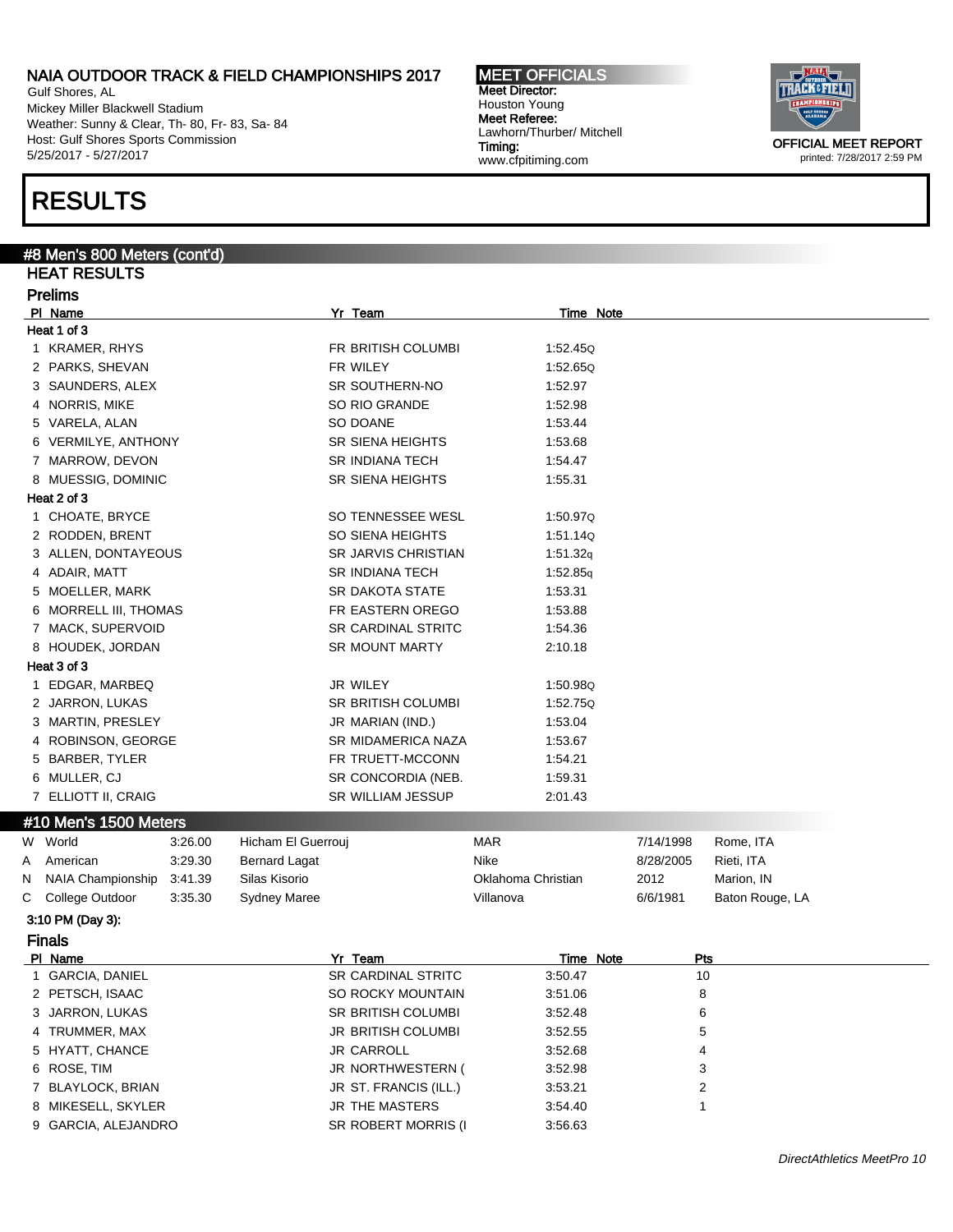Gulf Shores, AL Mickey Miller Blackwell Stadium Weather: Sunny & Clear, Th- 80, Fr- 83, Sa- 84 Host: Gulf Shores Sports Commission 5/25/2017 - 5/27/2017

## RESULTS

#### #8 Men's 800 Meters (cont'd)

HEAT RESULTS Prelims

|   | <b>Prellms</b>        |         |                      |                            |                    |                  |           |                 |
|---|-----------------------|---------|----------------------|----------------------------|--------------------|------------------|-----------|-----------------|
|   | PI Name               |         |                      | Yr Team                    |                    | Time Note        |           |                 |
|   | Heat 1 of 3           |         |                      |                            |                    |                  |           |                 |
|   | 1 KRAMER, RHYS        |         |                      | FR BRITISH COLUMBI         |                    | 1:52.45Q         |           |                 |
|   | 2 PARKS, SHEVAN       |         |                      | FR WILEY                   |                    | 1:52.65Q         |           |                 |
|   | 3 SAUNDERS, ALEX      |         |                      | SR SOUTHERN-NO             |                    | 1:52.97          |           |                 |
|   | 4 NORRIS, MIKE        |         |                      | SO RIO GRANDE              |                    | 1:52.98          |           |                 |
|   | 5 VARELA, ALAN        |         |                      | SO DOANE                   |                    | 1:53.44          |           |                 |
|   | 6 VERMILYE, ANTHONY   |         |                      | <b>SR SIENA HEIGHTS</b>    |                    | 1:53.68          |           |                 |
|   | 7 MARROW, DEVON       |         |                      | <b>SR INDIANA TECH</b>     |                    | 1:54.47          |           |                 |
|   | 8 MUESSIG, DOMINIC    |         |                      | <b>SR SIENA HEIGHTS</b>    |                    | 1:55.31          |           |                 |
|   | Heat 2 of 3           |         |                      |                            |                    |                  |           |                 |
|   | 1 CHOATE, BRYCE       |         |                      | SO TENNESSEE WESL          |                    | 1:50.97Q         |           |                 |
|   | 2 RODDEN, BRENT       |         |                      | SO SIENA HEIGHTS           |                    | 1:51.14Q         |           |                 |
|   | 3 ALLEN, DONTAYEOUS   |         |                      | <b>SR JARVIS CHRISTIAN</b> |                    | 1:51.32q         |           |                 |
|   | 4 ADAIR, MATT         |         |                      | <b>SR INDIANA TECH</b>     |                    | 1:52.85q         |           |                 |
|   | 5 MOELLER, MARK       |         |                      | SR DAKOTA STATE            |                    | 1:53.31          |           |                 |
|   | 6 MORRELL III, THOMAS |         |                      | FR EASTERN OREGO           |                    | 1:53.88          |           |                 |
|   | 7 MACK, SUPERVOID     |         |                      | <b>SR CARDINAL STRITC</b>  |                    | 1:54.36          |           |                 |
|   | 8 HOUDEK, JORDAN      |         |                      | <b>SR MOUNT MARTY</b>      |                    | 2:10.18          |           |                 |
|   | Heat 3 of 3           |         |                      |                            |                    |                  |           |                 |
|   | 1 EDGAR, MARBEQ       |         |                      | JR WILEY                   |                    | 1:50.98Q         |           |                 |
|   | 2 JARRON, LUKAS       |         |                      | <b>SR BRITISH COLUMBI</b>  |                    | 1:52.75Q         |           |                 |
|   | 3 MARTIN, PRESLEY     |         |                      | JR MARIAN (IND.)           |                    | 1:53.04          |           |                 |
|   | 4 ROBINSON, GEORGE    |         |                      | SR MIDAMERICA NAZA         |                    | 1:53.67          |           |                 |
|   | 5 BARBER, TYLER       |         |                      | FR TRUETT-MCCONN           |                    | 1:54.21          |           |                 |
|   | 6 MULLER, CJ          |         |                      | SR CONCORDIA (NEB.         |                    | 1:59.31          |           |                 |
|   | 7 ELLIOTT II, CRAIG   |         |                      | SR WILLIAM JESSUP          |                    | 2:01.43          |           |                 |
|   | #10 Men's 1500 Meters |         |                      |                            |                    |                  |           |                 |
|   | W World               | 3.26.00 | Hicham El Guerrouj   |                            | <b>MAR</b>         |                  | 7/14/1998 | Rome, ITA       |
| Α | American              | 3:29.30 | <b>Bernard Lagat</b> |                            | Nike               |                  | 8/28/2005 | Rieti, ITA      |
| N | NAIA Championship     | 3:41.39 | Silas Kisorio        |                            | Oklahoma Christian |                  | 2012      | Marion, IN      |
| С | College Outdoor       | 3:35.30 | Sydney Maree         |                            | Villanova          |                  | 6/6/1981  | Baton Rouge, LA |
|   | 3:10 PM (Day 3):      |         |                      |                            |                    |                  |           |                 |
|   | <b>Finals</b>         |         |                      |                            |                    |                  |           |                 |
|   | PI Name               |         |                      | Yr Team                    |                    | <b>Time Note</b> |           | Pts             |
|   | 1 GARCIA, DANIEL      |         |                      | <b>SR CARDINAL STRITC</b>  |                    | 3:50.47          | 10        |                 |
|   | 2 PETSCH, ISAAC       |         |                      | <b>SO ROCKY MOUNTAIN</b>   |                    | 3:51.06          | 8         |                 |
|   | 3 JARRON, LUKAS       |         |                      | <b>SR BRITISH COLUMBI</b>  |                    | 3:52.48          | 6         |                 |
|   | 4 TRUMMER, MAX        |         |                      | <b>JR BRITISH COLUMBI</b>  |                    | 3:52.55          | 5         |                 |
|   | 5 HYATT, CHANCE       |         |                      | <b>JR CARROLL</b>          |                    | 3:52.68          |           | 4               |

MEET OFFICIALS Meet Director: Houston Young Meet Referee:

Lawhorn/Thurber/ Mitchell

www.cfpitiming.com

Timing:

6 ROSE, TIM JR NORTHWESTERN ( 3:52.98 3 7 BLAYLOCK, BRIAN 2 3:53.21 2 3:53.21 8 MIKESELL, SKYLER 1 3:54.40 1

9 GARCIA, ALEJANDRO SR ROBERT MORRIS (I 3:56.63

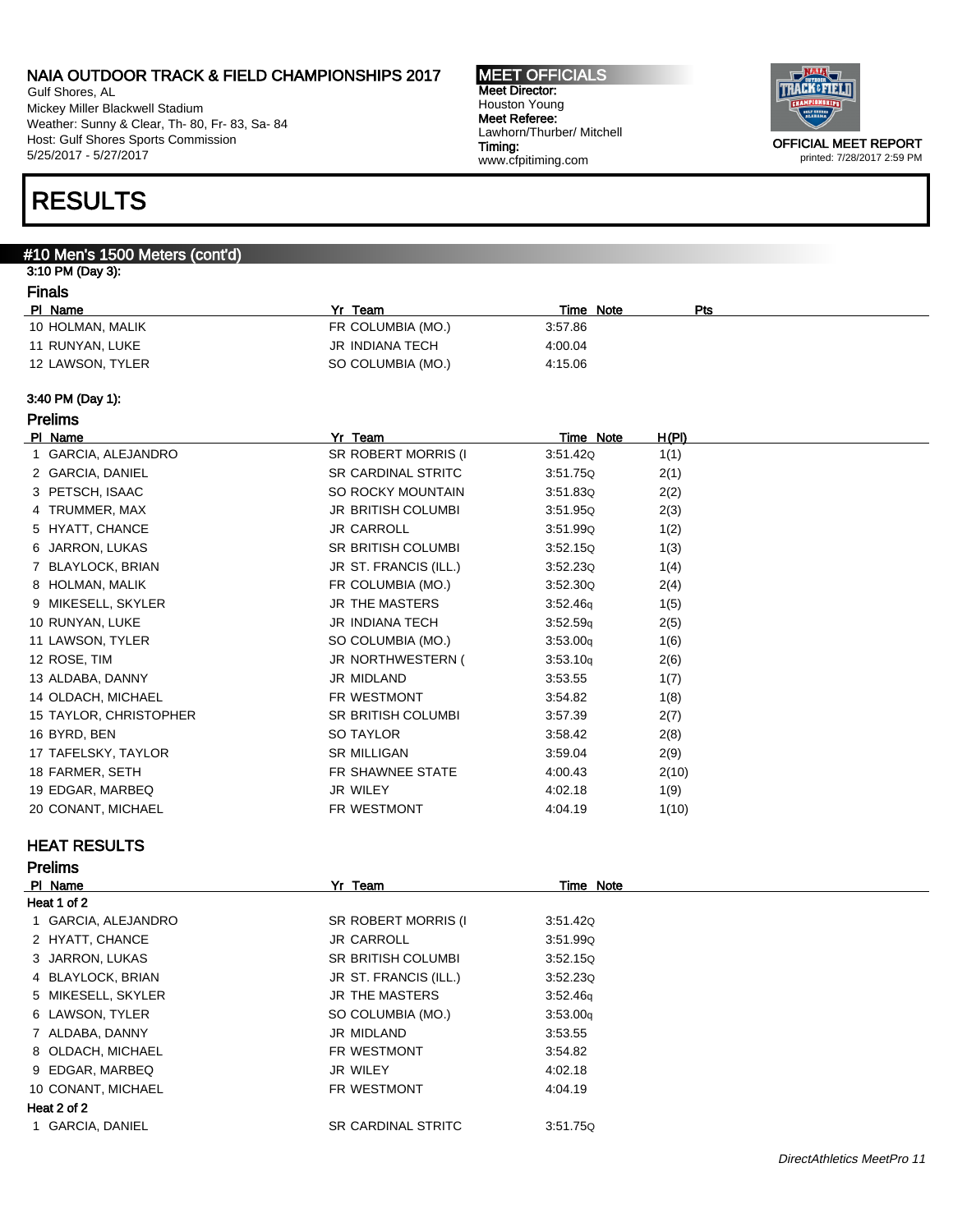Gulf Shores, AL Mickey Miller Blackwell Stadium Weather: Sunny & Clear, Th- 80, Fr- 83, Sa- 84 Host: Gulf Shores Sports Commission 5/25/2017 - 5/27/2017

#### MEET OFFICIALS Meet Director: Houston Young Meet Referee: Lawhorn/Thurber/ Mitchell Timing: www.cfpitiming.com



RESULTS

#### #10 Men's 1500 Meters (cont'd)

#### 3:10 PM (Day 3): Finals

| PI Name          | Yr Team           | Time Note<br>Pts |
|------------------|-------------------|------------------|
| 10 HOLMAN, MALIK | FR COLUMBIA (MO.) | 3:57.86          |
| 11 RUNYAN, LUKE  | JR INDIANA TECH   | 4:00.04          |
| 12 LAWSON, TYLER | SO COLUMBIA (MO.) | 4:15.06          |

#### 3:40 PM (Day 1):

#### Prelims

| PI Name                | Yr Team                   | Time Note | <u>H(PI)</u> |
|------------------------|---------------------------|-----------|--------------|
| 1 GARCIA, ALEJANDRO    | SR ROBERT MORRIS (I       | 3.51.42Q  | 1(1)         |
| 2 GARCIA, DANIEL       | SR CARDINAL STRITC        | 3.51.75Q  | 2(1)         |
| 3 PETSCH, ISAAC        | SO ROCKY MOUNTAIN         | 3:51.83Q  | 2(2)         |
| 4 TRUMMER, MAX         | JR BRITISH COLUMBI        | 3.51.95Q  | 2(3)         |
| 5 HYATT, CHANCE        | <b>JR CARROLL</b>         | 3.51.99Q  | 1(2)         |
| 6 JARRON, LUKAS        | <b>SR BRITISH COLUMBI</b> | 3:52.15Q  | 1(3)         |
| 7 BLAYLOCK, BRIAN      | JR ST. FRANCIS (ILL.)     | 3:52.23Q  | 1(4)         |
| 8 HOLMAN, MALIK        | FR COLUMBIA (MO.)         | 3.52.30Q  | 2(4)         |
| 9 MIKESELL, SKYLER     | <b>JR THE MASTERS</b>     | 3:52.46q  | 1(5)         |
| 10 RUNYAN, LUKE        | JR INDIANA TECH           | 3:52.59q  | 2(5)         |
| 11 LAWSON, TYLER       | SO COLUMBIA (MO.)         | 3:53.00q  | 1(6)         |
| 12 ROSE, TIM           | JR NORTHWESTERN (         | 3:53.10q  | 2(6)         |
| 13 ALDABA, DANNY       | JR MIDLAND                | 3:53.55   | 1(7)         |
| 14 OLDACH, MICHAEL     | FR WESTMONT               | 3:54.82   | 1(8)         |
| 15 TAYLOR, CHRISTOPHER | <b>SR BRITISH COLUMBI</b> | 3:57.39   | 2(7)         |
| 16 BYRD, BEN           | SO TAYLOR                 | 3:58.42   | 2(8)         |
| 17 TAFELSKY, TAYLOR    | <b>SR MILLIGAN</b>        | 3.59.04   | 2(9)         |
| 18 FARMER, SETH        | FR SHAWNEE STATE          | 4:00.43   | 2(10)        |
| 19 EDGAR, MARBEQ       | JR WILEY                  | 4:02.18   | 1(9)         |
| 20 CONANT, MICHAEL     | FR WESTMONT               | 4:04.19   | 1(10)        |
|                        |                           |           |              |

#### HEAT RESULTS

| <b>Prelims</b>        |                           |                      |  |  |  |
|-----------------------|---------------------------|----------------------|--|--|--|
| PI Name               | Yr Team                   | Time Note            |  |  |  |
| Heat 1 of 2           |                           |                      |  |  |  |
| 1 GARCIA, ALEJANDRO   | SR ROBERT MORRIS (I       | 3.51.42Q             |  |  |  |
| 2 HYATT, CHANCE       | <b>JR CARROLL</b>         | 3:51.99Q             |  |  |  |
| 3 JARRON, LUKAS       | <b>SR BRITISH COLUMBI</b> | 3:52.15Q             |  |  |  |
| 4 BLAYLOCK, BRIAN     | JR ST. FRANCIS (ILL.)     | 3:52.230             |  |  |  |
| 5 MIKESELL, SKYLER    | <b>JR THE MASTERS</b>     | 3:52.46q             |  |  |  |
| 6 LAWSON, TYLER       | SO COLUMBIA (MO.)         | 3:53.00 <sub>q</sub> |  |  |  |
| 7 ALDABA, DANNY       | JR MIDLAND                | 3:53.55              |  |  |  |
| 8 OLDACH, MICHAEL     | FR WESTMONT               | 3:54.82              |  |  |  |
| 9 EDGAR, MARBEQ       | JR WILEY                  | 4:02.18              |  |  |  |
| 10 CONANT, MICHAEL    | FR WESTMONT               | 4:04.19              |  |  |  |
| Heat 2 of 2           |                           |                      |  |  |  |
| <b>GARCIA, DANIEL</b> | <b>SR CARDINAL STRITC</b> | 3:51.75Q             |  |  |  |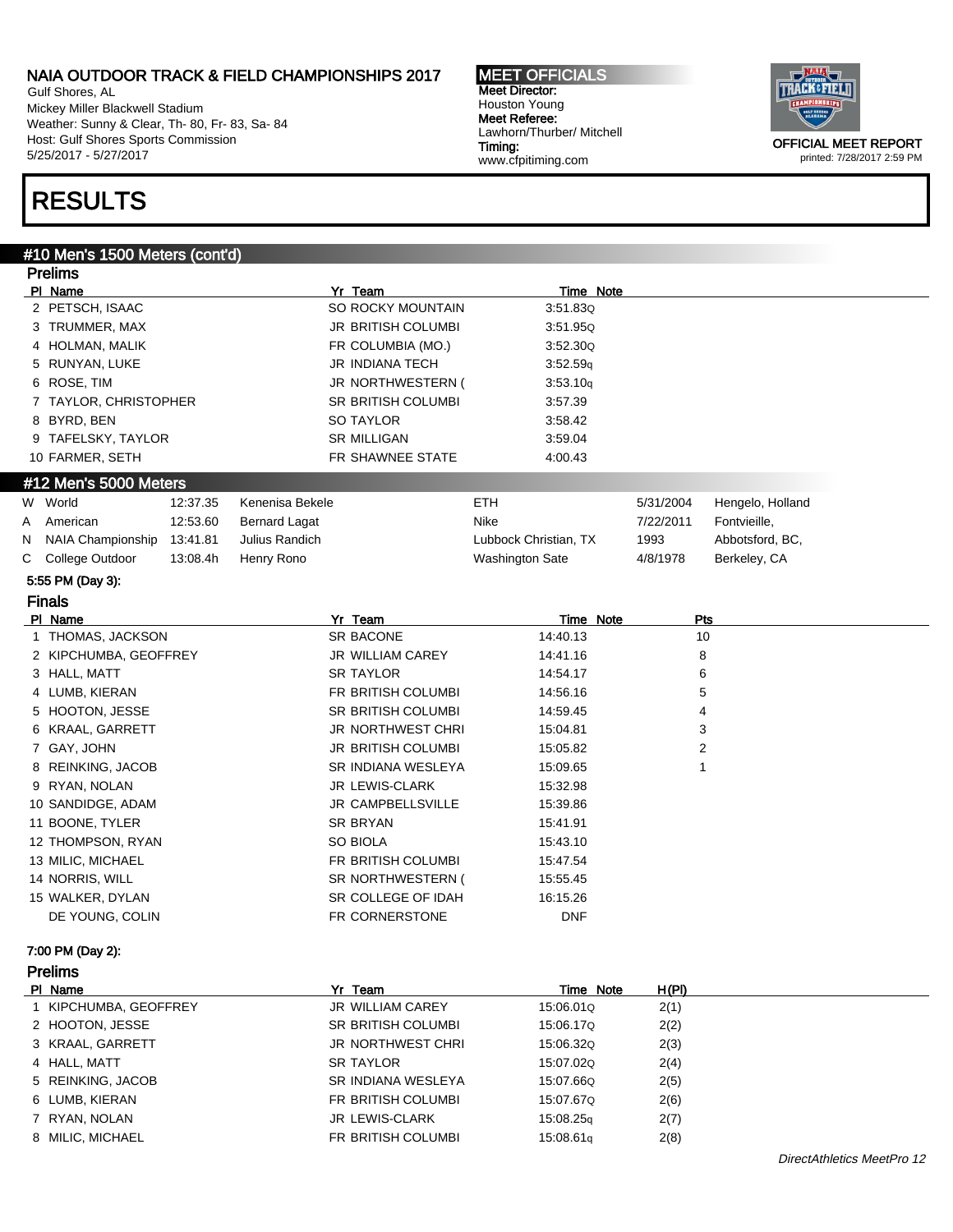Gulf Shores, AL Mickey Miller Blackwell Stadium Weather: Sunny & Clear, Th- 80, Fr- 83, Sa- 84 Host: Gulf Shores Sports Commission 5/25/2017 - 5/27/2017

# RESULTS

#### #10 Men's 1500 Meters (cont'd)

|   | <b>Prelims</b>           |          |                      |                  |                           |                       |           |                  |  |
|---|--------------------------|----------|----------------------|------------------|---------------------------|-----------------------|-----------|------------------|--|
|   | PI Name                  |          |                      | Yr Team          |                           | Time Note             |           |                  |  |
|   | 2 PETSCH, ISAAC          |          |                      |                  | SO ROCKY MOUNTAIN         | 3:51.83Q              |           |                  |  |
|   | 3 TRUMMER, MAX           |          |                      |                  | <b>JR BRITISH COLUMBI</b> | 3.51.95Q              |           |                  |  |
|   | 4 HOLMAN, MALIK          |          |                      |                  | FR COLUMBIA (MO.)         | 3:52.30Q              |           |                  |  |
|   | 5 RUNYAN, LUKE           |          |                      |                  | <b>JR INDIANA TECH</b>    | 3:52.59q              |           |                  |  |
|   | 6 ROSE, TIM              |          |                      |                  | JR NORTHWESTERN (         | 3:53.10q              |           |                  |  |
|   | 7 TAYLOR, CHRISTOPHER    |          |                      |                  | <b>SR BRITISH COLUMBI</b> | 3:57.39               |           |                  |  |
|   | 8 BYRD, BEN              |          |                      |                  | SO TAYLOR                 | 3:58.42               |           |                  |  |
|   | 9 TAFELSKY, TAYLOR       |          |                      |                  | <b>SR MILLIGAN</b>        | 3:59.04               |           |                  |  |
|   | 10 FARMER, SETH          |          |                      |                  | FR SHAWNEE STATE          | 4:00.43               |           |                  |  |
|   | #12 Men's 5000 Meters    |          |                      |                  |                           |                       |           |                  |  |
|   | W World                  | 12:37.35 | Kenenisa Bekele      |                  |                           | <b>ETH</b>            | 5/31/2004 | Hengelo, Holland |  |
| Α | American                 | 12:53.60 | <b>Bernard Lagat</b> |                  |                           | Nike                  | 7/22/2011 | Fontvieille,     |  |
| N | <b>NAIA Championship</b> | 13:41.81 | Julius Randich       |                  |                           | Lubbock Christian, TX | 1993      | Abbotsford, BC,  |  |
|   | C College Outdoor        | 13:08.4h | Henry Rono           |                  |                           | Washington Sate       | 4/8/1978  | Berkeley, CA     |  |
|   | 5:55 PM (Day 3):         |          |                      |                  |                           |                       |           |                  |  |
|   | <b>Finals</b>            |          |                      |                  |                           |                       |           |                  |  |
|   | PI Name                  |          |                      | Yr Team          |                           | Time Note             | Pts       |                  |  |
|   | 1 THOMAS, JACKSON        |          |                      |                  | <b>SR BACONE</b>          | 14:40.13              | 10        |                  |  |
|   | 2 KIPCHUMBA, GEOFFREY    |          |                      |                  | JR WILLIAM CAREY          | 14:41.16              | 8         |                  |  |
|   | 3 HALL, MATT             |          |                      | <b>SR TAYLOR</b> |                           | 14:54.17              | 6         |                  |  |
|   | 4 LUMB, KIERAN           |          |                      |                  | FR BRITISH COLUMBI        | 14:56.16              | 5         |                  |  |
|   | 5 HOOTON, JESSE          |          |                      |                  | <b>SR BRITISH COLUMBI</b> | 14:59.45              | 4         |                  |  |
|   | 6 KRAAL, GARRETT         |          |                      |                  | <b>JR NORTHWEST CHRI</b>  | 15:04.81              | 3         |                  |  |
|   | 7 GAY, JOHN              |          |                      |                  | <b>JR BRITISH COLUMBI</b> | 15:05.82              | 2         |                  |  |
|   | 8 REINKING, JACOB        |          |                      |                  | <b>SR INDIANA WESLEYA</b> | 15:09.65              | 1         |                  |  |
|   | 9 RYAN, NOLAN            |          |                      |                  | <b>JR LEWIS-CLARK</b>     | 15:32.98              |           |                  |  |
|   | 10 SANDIDGE, ADAM        |          |                      |                  | JR CAMPBELLSVILLE         | 15:39.86              |           |                  |  |
|   | 11 BOONE, TYLER          |          |                      | <b>SR BRYAN</b>  |                           | 15:41.91              |           |                  |  |
|   | 12 THOMPSON, RYAN        |          |                      | <b>SO BIOLA</b>  |                           | 15:43.10              |           |                  |  |
|   | 13 MILIC, MICHAEL        |          |                      |                  | FR BRITISH COLUMBI        | 15:47.54              |           |                  |  |
|   | 14 NORRIS, WILL          |          |                      |                  | SR NORTHWESTERN (         | 15:55.45              |           |                  |  |
|   | 15 WALKER, DYLAN         |          |                      |                  | SR COLLEGE OF IDAH        | 16:15.26              |           |                  |  |
|   | DE YOUNG, COLIN          |          |                      |                  | FR CORNERSTONE            | <b>DNF</b>            |           |                  |  |
|   | 7:00 PM (Day 2):         |          |                      |                  |                           |                       |           |                  |  |
|   | <b>Prelims</b>           |          |                      |                  |                           |                       |           |                  |  |
|   | PI Name                  |          |                      | Yr Team          |                           | Time Note             | H(PI)     |                  |  |

| PI Name             | Yr learn                  | <b>Ilme</b> Note | H(PI) |
|---------------------|---------------------------|------------------|-------|
| KIPCHUMBA, GEOFFREY | <b>JR WILLIAM CAREY</b>   | 15:06.01Q        | 2(1)  |
| 2 HOOTON, JESSE     | <b>SR BRITISH COLUMBI</b> | 15:06.17Q        | 2(2)  |
| 3 KRAAL, GARRETT    | JR NORTHWEST CHRI         | 15:06.320        | 2(3)  |
| 4 HALL, MATT        | <b>SR TAYLOR</b>          | 15:07.02Q        | 2(4)  |
| 5 REINKING, JACOB   | SR INDIANA WESLEYA        | 15:07.66Q        | 2(5)  |
| 6 LUMB, KIERAN      | FR BRITISH COLUMBI        | 15:07.67Q        | 2(6)  |
| 7 RYAN, NOLAN       | JR LEWIS-CLARK            | 15:08.25g        | 2(7)  |
| 8 MILIC, MICHAEL    | FR BRITISH COLUMBI        | 15:08.61g        | 2(8)  |
|                     |                           |                  |       |



MEET OFFICIALS Meet Director: Houston Young Meet Referee:

www.cfpitiming.com

Timing:



printed: 7/28/2017 2:59 PM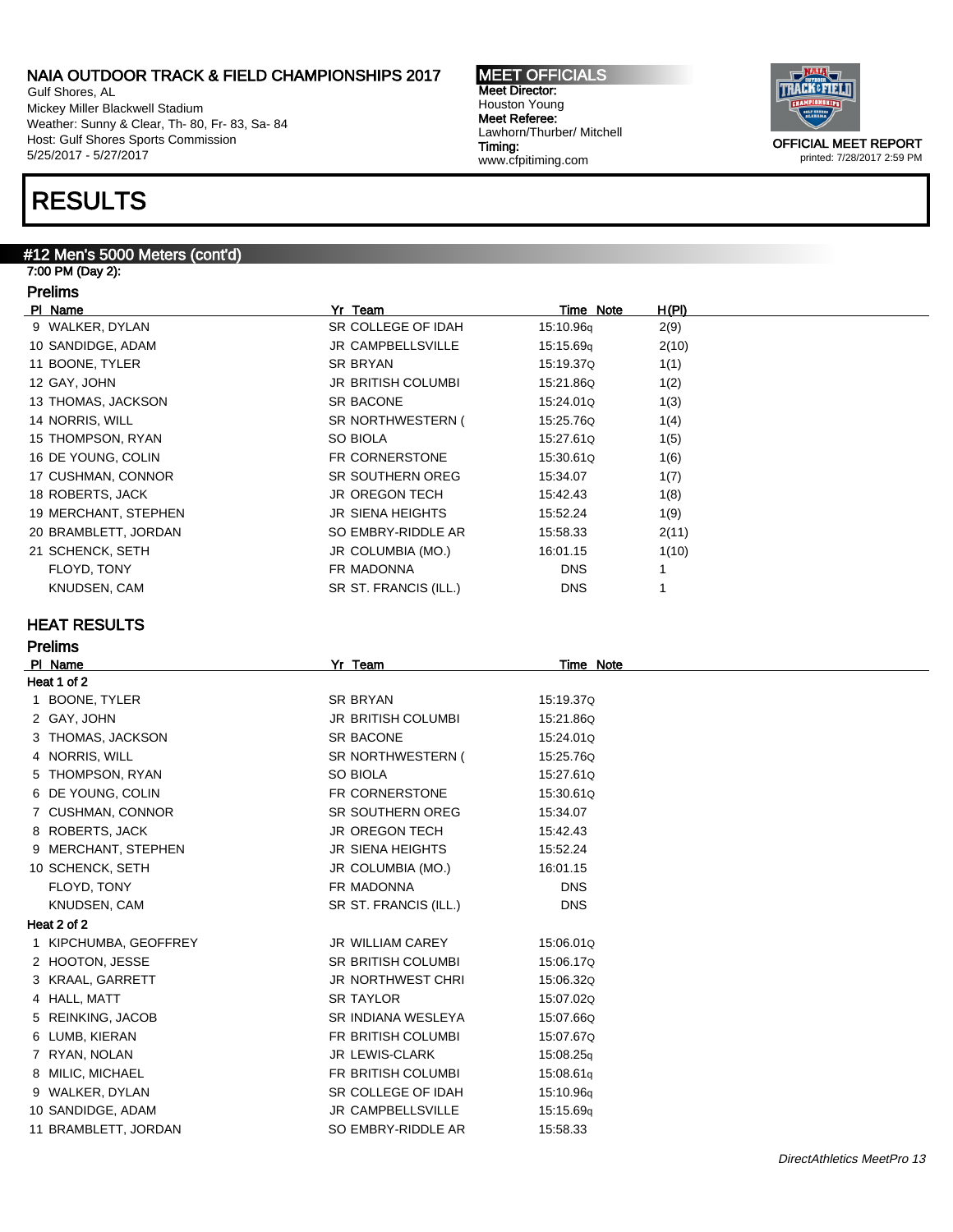Gulf Shores, AL Mickey Miller Blackwell Stadium Weather: Sunny & Clear, Th- 80, Fr- 83, Sa- 84 Host: Gulf Shores Sports Commission 5/25/2017 - 5/27/2017

## RESULTS

#### #12 Men's 5000 Meters (cont'd)

#### 7:00 PM (Day 2): Prelims

| - 1811 113 |  |
|------------|--|
|            |  |

| PI Name              | Yr Team                   | Time Note             | H(PI) |
|----------------------|---------------------------|-----------------------|-------|
| 9 WALKER, DYLAN      | SR COLLEGE OF IDAH        | 15:10.96g             | 2(9)  |
| 10 SANDIDGE, ADAM    | JR CAMPBELLSVILLE         | 15:15.69 <sub>g</sub> | 2(10) |
| 11 BOONE, TYLER      | SR BRYAN                  | 15:19.37Q             | 1(1)  |
| 12 GAY, JOHN         | <b>JR BRITISH COLUMBI</b> | 15:21.86Q             | 1(2)  |
| 13 THOMAS, JACKSON   | SR BACONE                 | 15:24.01Q             | 1(3)  |
| 14 NORRIS, WILL      | SR NORTHWESTERN (         | 15:25.76Q             | 1(4)  |
| 15 THOMPSON, RYAN    | SO BIOLA                  | 15:27.61Q             | 1(5)  |
| 16 DE YOUNG, COLIN   | FR CORNERSTONE            | 15:30.61Q             | 1(6)  |
| 17 CUSHMAN, CONNOR   | SR SOUTHERN OREG          | 15:34.07              | 1(7)  |
| 18 ROBERTS, JACK     | JR OREGON TECH            | 15:42.43              | 1(8)  |
| 19 MERCHANT, STEPHEN | JR SIENA HEIGHTS          | 15:52.24              | 1(9)  |
| 20 BRAMBLETT, JORDAN | SO EMBRY-RIDDLE AR        | 15:58.33              | 2(11) |
| 21 SCHENCK, SETH     | JR COLUMBIA (MO.)         | 16:01.15              | 1(10) |
| FLOYD, TONY          | FR MADONNA                | <b>DNS</b>            |       |
| KNUDSEN, CAM         | SR ST. FRANCIS (ILL.)     | <b>DNS</b>            |       |
|                      |                           |                       |       |

#### HEAT RESULTS

| PI Name     |                       | Yr Team                   | Time Note  |
|-------------|-----------------------|---------------------------|------------|
| Heat 1 of 2 |                       |                           |            |
|             | 1 BOONE, TYLER        | <b>SR BRYAN</b>           | 15:19.37Q  |
|             | 2 GAY, JOHN           | <b>JR BRITISH COLUMBI</b> | 15:21.86Q  |
|             | 3 THOMAS, JACKSON     | <b>SR BACONE</b>          | 15:24.01Q  |
|             | 4 NORRIS, WILL        | SR NORTHWESTERN (         | 15:25.76Q  |
|             | 5 THOMPSON, RYAN      | <b>SO BIOLA</b>           | 15:27.610  |
|             | 6 DE YOUNG, COLIN     | FR CORNERSTONE            | 15:30.61Q  |
|             | 7 CUSHMAN, CONNOR     | <b>SR SOUTHERN OREG</b>   | 15:34.07   |
|             | 8 ROBERTS, JACK       | <b>JR OREGON TECH</b>     | 15:42.43   |
|             | 9 MERCHANT, STEPHEN   | <b>JR SIENA HEIGHTS</b>   | 15:52.24   |
|             | 10 SCHENCK, SETH      | JR COLUMBIA (MO.)         | 16:01.15   |
|             | FLOYD, TONY           | FR MADONNA                | <b>DNS</b> |
|             | KNUDSEN, CAM          | SR ST. FRANCIS (ILL.)     | <b>DNS</b> |
| Heat 2 of 2 |                       |                           |            |
|             | 1 KIPCHUMBA, GEOFFREY | <b>JR WILLIAM CAREY</b>   | 15:06.01Q  |
|             | 2 HOOTON, JESSE       | <b>SR BRITISH COLUMBI</b> | 15:06.17Q  |
|             | 3 KRAAL, GARRETT      | <b>JR NORTHWEST CHRI</b>  | 15:06.32Q  |
|             | 4 HALL, MATT          | <b>SR TAYLOR</b>          | 15:07.02Q  |
|             | 5 REINKING, JACOB     | <b>SR INDIANA WESLEYA</b> | 15:07.66Q  |
|             | 6 LUMB, KIERAN        | FR BRITISH COLUMBI        | 15:07.67Q  |
|             | 7 RYAN, NOLAN         | <b>JR LEWIS-CLARK</b>     | 15:08.25q  |
|             | 8 MILIC, MICHAEL      | FR BRITISH COLUMBI        | 15:08.61g  |
|             | 9 WALKER, DYLAN       | SR COLLEGE OF IDAH        | 15:10.96q  |
|             | 10 SANDIDGE, ADAM     | <b>JR CAMPBELLSVILLE</b>  | 15:15.69g  |
|             | 11 BRAMBLETT, JORDAN  | SO EMBRY-RIDDLE AR        | 15:58.33   |

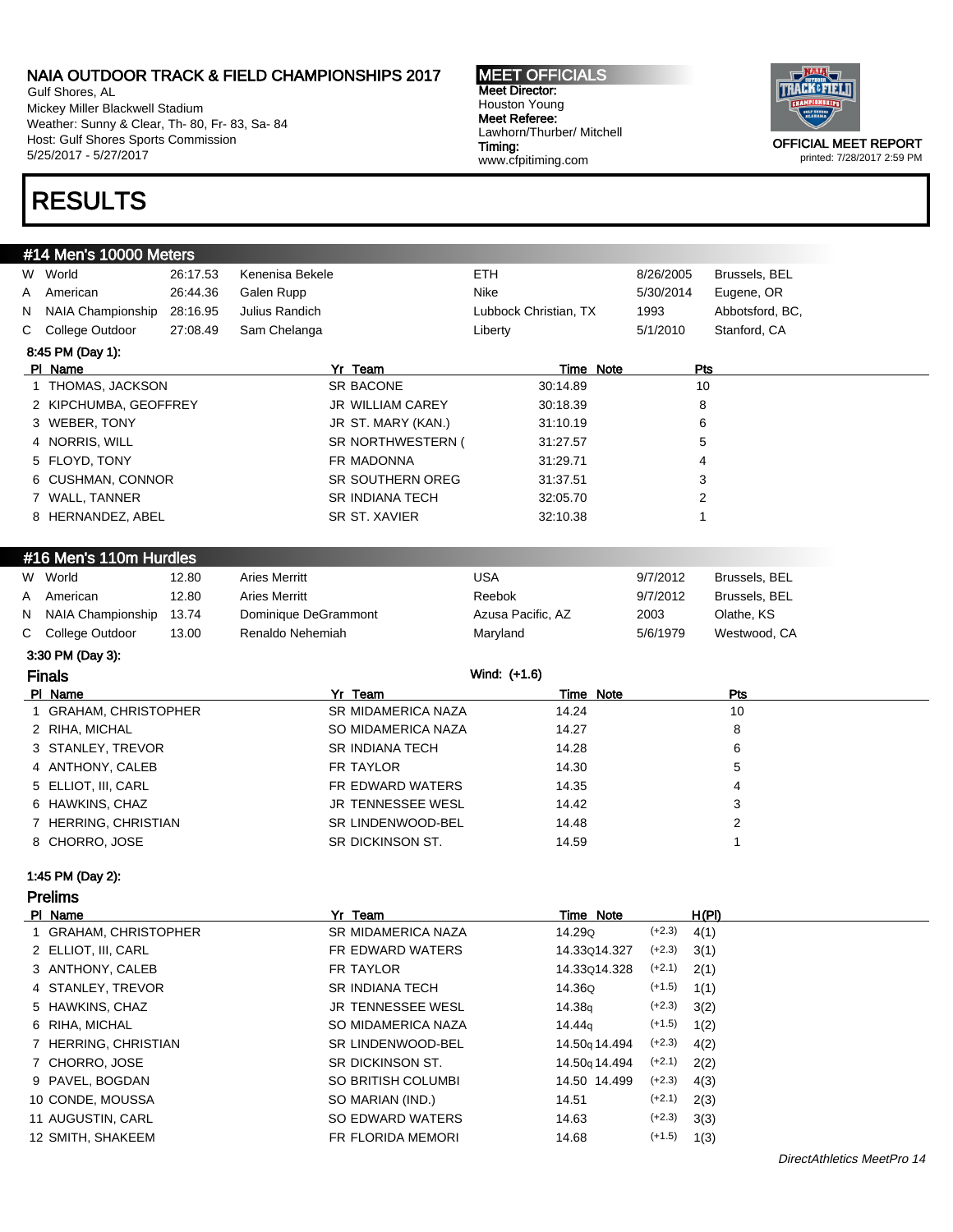Gulf Shores, AL Mickey Miller Blackwell Stadium Weather: Sunny & Clear, Th- 80, Fr- 83, Sa- 84 Host: Gulf Shores Sports Commission 5/25/2017 - 5/27/2017

## RESULTS

#### MEET OFFICIALS Meet Director: Houston Young Meet Referee: Lawhorn/Thurber/ Mitchell Timing: www.cfpitiming.com



|   | #14 Men's 10000 Meters |          |                           |                       |           |                 |
|---|------------------------|----------|---------------------------|-----------------------|-----------|-----------------|
| W | World                  | 26:17.53 | Kenenisa Bekele           | <b>ETH</b>            | 8/26/2005 | Brussels, BEL   |
| Α | American               | 26:44.36 | Galen Rupp                | Nike                  | 5/30/2014 | Eugene, OR      |
| N | NAIA Championship      | 28:16.95 | Julius Randich            | Lubbock Christian, TX | 1993      | Abbotsford, BC, |
| С | College Outdoor        | 27:08.49 | Sam Chelanga              | Liberty               | 5/1/2010  | Stanford, CA    |
|   | 8:45 PM (Day 1):       |          |                           |                       |           |                 |
|   | PI Name                |          | Yr Team                   | Time Note             |           | Pts             |
|   | 1 THOMAS, JACKSON      |          | <b>SR BACONE</b>          | 30:14.89              | 10        |                 |
|   | 2 KIPCHUMBA, GEOFFREY  |          | JR WILLIAM CAREY          | 30:18.39              |           | 8               |
|   | 3 WEBER, TONY          |          | JR ST. MARY (KAN.)        | 31:10.19              |           | 6               |
|   | 4 NORRIS, WILL         |          | SR NORTHWESTERN (         | 31:27.57              |           | 5               |
|   | 5 FLOYD, TONY          |          | FR MADONNA                | 31:29.71              |           | 4               |
|   | 6 CUSHMAN, CONNOR      |          | SR SOUTHERN OREG          | 31:37.51              |           | 3               |
|   | 7 WALL, TANNER         |          | SR INDIANA TECH           | 32:05.70              |           | 2               |
|   | 8 HERNANDEZ, ABEL      |          | <b>SR ST. XAVIER</b>      | 32:10.38              | 1         |                 |
|   |                        |          |                           |                       |           |                 |
|   | #16 Men's 110m Hurdles |          |                           |                       |           |                 |
|   | W World                | 12.80    | <b>Aries Merritt</b>      | <b>USA</b>            | 9/7/2012  | Brussels, BEL   |
| Α | American               | 12.80    | <b>Aries Merritt</b>      | Reebok                | 9/7/2012  | Brussels, BEL   |
| N | NAIA Championship      | 13.74    | Dominique DeGrammont      | Azusa Pacific, AZ     | 2003      | Olathe, KS      |
| С | College Outdoor        | 13.00    | Renaldo Nehemiah          | Maryland              | 5/6/1979  | Westwood, CA    |
|   | 3:30 PM (Day 3):       |          |                           |                       |           |                 |
|   | <b>Finals</b>          |          |                           | Wind: (+1.6)          |           |                 |
|   | PI Name                |          | Yr Team                   | Time Note             |           | Pts             |
|   | 1 GRAHAM, CHRISTOPHER  |          | <b>SR MIDAMERICA NAZA</b> | 14.24                 |           | 10              |
|   | 2 RIHA, MICHAL         |          | SO MIDAMERICA NAZA        | 14.27                 |           | 8               |
|   | 3 STANLEY, TREVOR      |          | <b>SR INDIANA TECH</b>    | 14.28                 |           | 6               |
|   | 4 ANTHONY, CALEB       |          | FR TAYLOR                 | 14.30                 |           | 5               |
|   | 5 ELLIOT, III, CARL    |          | FR EDWARD WATERS          | 14.35                 |           | 4               |
|   | 6 HAWKINS, CHAZ        |          | JR TENNESSEE WESL         | 14.42                 |           | 3               |
|   | 7 HERRING, CHRISTIAN   |          | SR LINDENWOOD-BEL         | 14.48                 |           | 2               |
|   | 8 CHORRO, JOSE         |          | SR DICKINSON ST.          | 14.59                 |           | 1               |
|   |                        |          |                           |                       |           |                 |
|   | 1:45 PM (Day 2):       |          |                           |                       |           |                 |
|   | <b>Prelims</b>         |          |                           |                       |           |                 |
|   | PI Name                |          | Yr Team                   | Time Note             |           | H(PI)           |

#### 1 GRAHAM, CHRISTOPHER SR MIDAMERICA NAZA 14.29Q (+2.3) 4(1) 2 ELLIOT, III, CARL **FR EDWARD WATERS** 14.33q14.327 (+2.3) 3(1) 3 ANTHONY, CALEB FR TAYLOR FR TAYLOR 14.33Q14.328 (+2.1) 2(1) 4 STANLEY, TREVOR SR INDIANA TECH 14.36Q (+1.5) 1(1) 5 HAWKINS, CHAZ **JR TENNESSEE WESL** 14.38q (+2.3) 3(2) 6 RIHA, MICHAL SO MIDAMERICA NAZA 14.44q (+1.5) 1(2) 7 HERRING, CHRISTIAN SR LINDENWOOD-BEL 14.50q 14.494 (+2.3) 4(2) 7 CHORRO, JOSE SR DICKINSON ST. 14.50q 14.494 (+2.1) 2(2) 9 PAVEL, BOGDAN SO BRITISH COLUMBI 14.50 14.499 (+2.3) 4(3) 10 CONDE, MOUSSA SO MARIAN (IND.) 14.51 (+2.1) 2(3) 11 AUGUSTIN, CARL SO EDWARD WATERS 14.63 (+2.3) 3(3) 12 SMITH, SHAKEEM **FR FLORIDA MEMORI** 14.68 (+1.5) 1(3)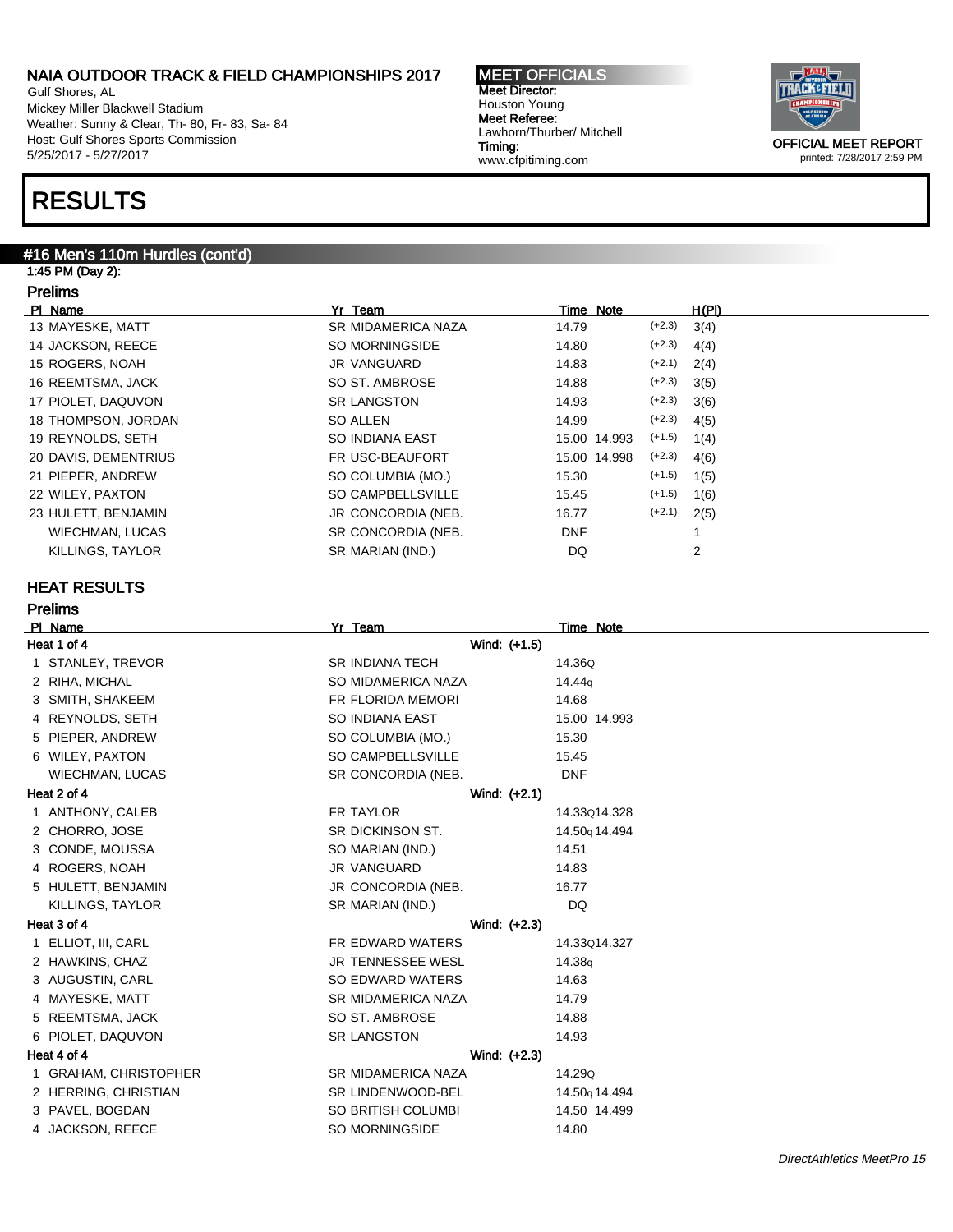Gulf Shores, AL Mickey Miller Blackwell Stadium Weather: Sunny & Clear, Th- 80, Fr- 83, Sa- 84 Host: Gulf Shores Sports Commission 5/25/2017 - 5/27/2017

## RESULTS

#### #16 Men's 110m Hurdles (cont'd)

#### 1:45 PM (Day 2): Prelims

| .                      |                          |              |          |                |
|------------------------|--------------------------|--------------|----------|----------------|
| PI Name                | Yr Team                  | Time Note    |          | H(PI)          |
| 13 MAYESKE, MATT       | SR MIDAMERICA NAZA       | 14.79        | $(+2.3)$ | 3(4)           |
| 14 JACKSON, REECE      | SO MORNINGSIDE           | 14.80        | $(+2.3)$ | 4(4)           |
| 15 ROGERS, NOAH        | JR VANGUARD              | 14.83        | $(+2.1)$ | 2(4)           |
| 16 REEMTSMA, JACK      | SO ST. AMBROSE           | 14.88        | $(+2.3)$ | 3(5)           |
| 17 PIOLET, DAQUVON     | <b>SR LANGSTON</b>       | 14.93        | $(+2.3)$ | 3(6)           |
| 18 THOMPSON, JORDAN    | SO ALLEN                 | 14.99        | $(+2.3)$ | 4(5)           |
| 19 REYNOLDS, SETH      | SO INDIANA EAST          | 15.00 14.993 | $(+1.5)$ | 1(4)           |
| 20 DAVIS, DEMENTRIUS   | FR USC-BEAUFORT          | 15.00 14.998 | $(+2.3)$ | 4(6)           |
| 21 PIEPER, ANDREW      | SO COLUMBIA (MO.)        | 15.30        | $(+1.5)$ | 1(5)           |
| 22 WILEY, PAXTON       | <b>SO CAMPBELLSVILLE</b> | 15.45        | $(+1.5)$ | 1(6)           |
| 23 HULETT, BENJAMIN    | JR CONCORDIA (NEB.       | 16.77        | $(+2.1)$ | 2(5)           |
| <b>WIECHMAN, LUCAS</b> | SR CONCORDIA (NEB.       | <b>DNF</b>   |          |                |
| KILLINGS, TAYLOR       | SR MARIAN (IND.)         | DQ           |          | $\overline{2}$ |
|                        |                          |              |          |                |

#### HEAT RESULTS

| <b>Prelims</b>         |                           |                           |
|------------------------|---------------------------|---------------------------|
| PI Name                | Yr Team                   | Time Note                 |
| Heat 1 of 4            | Wind: (+1.5)              |                           |
| 1 STANLEY, TREVOR      | <b>SR INDIANA TECH</b>    | 14.36Q                    |
| 2 RIHA, MICHAL         | SO MIDAMERICA NAZA        | 14.44g                    |
| 3 SMITH, SHAKEEM       | FR FLORIDA MEMORI         | 14.68                     |
| 4 REYNOLDS, SETH       | <b>SO INDIANA EAST</b>    | 15.00 14.993              |
| 5 PIEPER, ANDREW       | SO COLUMBIA (MO.)         | 15.30                     |
| 6 WILEY, PAXTON        | SO CAMPBELLSVILLE         | 15.45                     |
| <b>WIECHMAN, LUCAS</b> | SR CONCORDIA (NEB.        | <b>DNF</b>                |
| Heat 2 of 4            | Wind: (+2.1)              |                           |
| 1 ANTHONY, CALEB       | <b>FR TAYLOR</b>          | 14.33014.328              |
| 2 CHORRO, JOSE         | SR DICKINSON ST.          | 14.50q 14.494             |
| 3 CONDE, MOUSSA        | SO MARIAN (IND.)          | 14.51                     |
| 4 ROGERS, NOAH         | <b>JR VANGUARD</b>        | 14.83                     |
| 5 HULETT, BENJAMIN     | JR CONCORDIA (NEB.        | 16.77                     |
| KILLINGS, TAYLOR       | SR MARIAN (IND.)          | DQ                        |
| Heat 3 of 4            | Wind: (+2.3)              |                           |
| 1 ELLIOT, III, CARL    | FR EDWARD WATERS          | 14.33Q14.327              |
| 2 HAWKINS, CHAZ        | JR TENNESSEE WESL         | 14.38q                    |
| 3 AUGUSTIN, CARL       | SO EDWARD WATERS          | 14.63                     |
| 4 MAYESKE, MATT        | <b>SR MIDAMERICA NAZA</b> | 14.79                     |
| 5 REEMTSMA, JACK       | SO ST. AMBROSE            | 14.88                     |
| 6 PIOLET, DAQUVON      | <b>SR LANGSTON</b>        | 14.93                     |
| Heat 4 of 4            | Wind: (+2.3)              |                           |
| 1 GRAHAM, CHRISTOPHER  | <b>SR MIDAMERICA NAZA</b> | 14.29Q                    |
| 2 HERRING, CHRISTIAN   | SR LINDENWOOD-BEL         | 14.50 <sub>9</sub> 14.494 |
| 3 PAVEL, BOGDAN        | SO BRITISH COLUMBI        | 14.50 14.499              |
| 4 JACKSON, REECE       | SO MORNINGSIDE            | 14.80                     |
|                        |                           |                           |

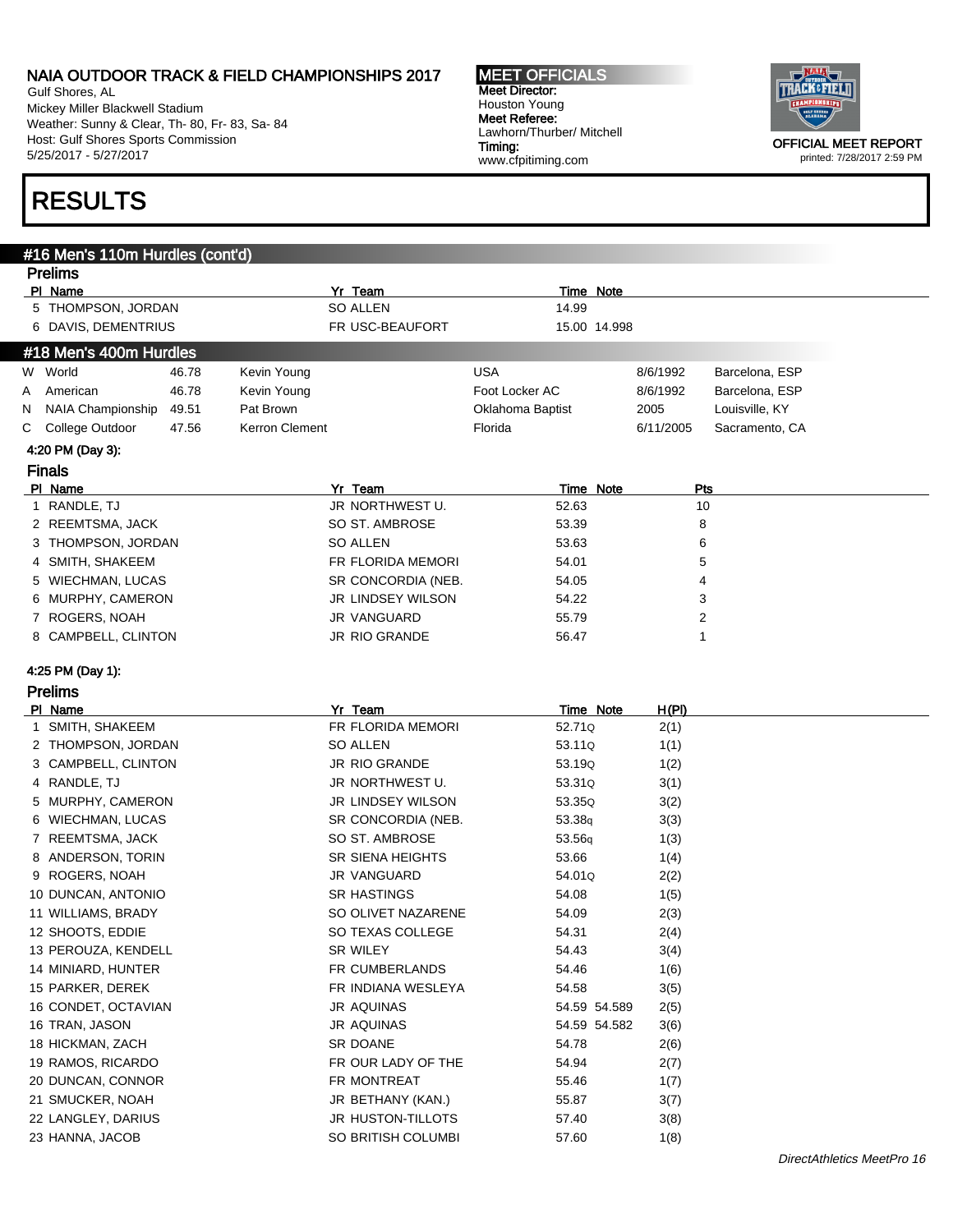Gulf Shores, AL Mickey Miller Blackwell Stadium Weather: Sunny & Clear, Th- 80, Fr- 83, Sa- 84 Host: Gulf Shores Sports Commission 5/25/2017 - 5/27/2017

#### MEET OFFICIALS Meet Director: Houston Young Meet Referee: Lawhorn/Thurber/ Mitchell Timing: www.cfpitiming.com



 $\overline{\phantom{0}}$ 

# RESULTS

#### #16 Men's 110m Hurdles (cont'd)

|   | <b>Prelims</b>              |       |                |                              |                  |                  |               |                |  |
|---|-----------------------------|-------|----------------|------------------------------|------------------|------------------|---------------|----------------|--|
|   | PI Name                     |       |                | Yr Team                      |                  | <b>Time Note</b> |               |                |  |
|   | 5 THOMPSON, JORDAN          |       |                | SO ALLEN                     | 14.99            |                  |               |                |  |
|   | 6 DAVIS, DEMENTRIUS         |       |                | FR USC-BEAUFORT              |                  | 15.00 14.998     |               |                |  |
|   | #18 Men's 400m Hurdles      |       |                |                              |                  |                  |               |                |  |
|   | W World                     | 46.78 | Kevin Young    |                              | <b>USA</b>       |                  | 8/6/1992      | Barcelona, ESP |  |
| A | American                    | 46.78 | Kevin Young    |                              | Foot Locker AC   |                  | 8/6/1992      | Barcelona, ESP |  |
| N | NAIA Championship           | 49.51 | Pat Brown      |                              | Oklahoma Baptist |                  | 2005          | Louisville, KY |  |
| С | College Outdoor             | 47.56 | Kerron Clement |                              | Florida          |                  | 6/11/2005     | Sacramento, CA |  |
|   | 4:20 PM (Day 3):            |       |                |                              |                  |                  |               |                |  |
|   | <b>Finals</b>               |       |                |                              |                  |                  |               |                |  |
|   | PI Name                     |       |                | Yr Team                      |                  | Time Note        | Pts           |                |  |
|   | 1 RANDLE, TJ                |       |                | JR NORTHWEST U.              | 52.63            |                  | 10            |                |  |
|   | 2 REEMTSMA, JACK            |       |                | SO ST. AMBROSE               | 53.39            |                  | 8             |                |  |
|   | 3 THOMPSON, JORDAN          |       |                | <b>SO ALLEN</b>              | 53.63            |                  | 6             |                |  |
|   | 4 SMITH, SHAKEEM            |       |                | FR FLORIDA MEMORI            | 54.01            |                  | 5             |                |  |
|   | 5 WIECHMAN, LUCAS           |       |                | SR CONCORDIA (NEB.           | 54.05            |                  | 4             |                |  |
|   | 6 MURPHY, CAMERON           |       |                | JR LINDSEY WILSON            | 54.22            |                  | 3             |                |  |
|   | 7 ROGERS, NOAH              |       |                | JR VANGUARD                  | 55.79            |                  | 2             |                |  |
|   | 8 CAMPBELL, CLINTON         |       |                | JR RIO GRANDE                | 56.47            |                  | 1             |                |  |
|   |                             |       |                |                              |                  |                  |               |                |  |
|   | 4:25 PM (Day 1):            |       |                |                              |                  |                  |               |                |  |
|   | <b>Prelims</b>              |       |                |                              |                  |                  |               |                |  |
|   | PI Name<br>1 SMITH, SHAKEEM |       |                | Yr Team<br>FR FLORIDA MEMORI | 52.71Q           | <b>Time Note</b> | H(PI)<br>2(1) |                |  |
|   | 2 THOMPSON, JORDAN          |       |                | SO ALLEN                     | 53.11Q           |                  | 1(1)          |                |  |
|   | 3 CAMPBELL, CLINTON         |       |                | <b>JR RIO GRANDE</b>         | 53.19Q           |                  | 1(2)          |                |  |
|   | 4 RANDLE, TJ                |       |                | JR NORTHWEST U.              | 53.31Q           |                  | 3(1)          |                |  |
|   | 5 MURPHY, CAMERON           |       |                | <b>JR LINDSEY WILSON</b>     | 53.35Q           |                  | 3(2)          |                |  |
|   | 6 WIECHMAN, LUCAS           |       |                | SR CONCORDIA (NEB.           | 53.38q           |                  | 3(3)          |                |  |
|   | 7 REEMTSMA, JACK            |       |                | SO ST. AMBROSE               | 53.56q           |                  | 1(3)          |                |  |
|   | 8 ANDERSON, TORIN           |       |                | SR SIENA HEIGHTS             | 53.66            |                  | 1(4)          |                |  |
|   | 9 ROGERS, NOAH              |       |                | JR VANGUARD                  | 54.01Q           |                  | 2(2)          |                |  |
|   | 10 DUNCAN, ANTONIO          |       |                | <b>SR HASTINGS</b>           | 54.08            |                  | 1(5)          |                |  |
|   | 11 WILLIAMS, BRADY          |       |                | SO OLIVET NAZARENE           | 54.09            |                  | 2(3)          |                |  |
|   | 12 SHOOTS, EDDIE            |       |                | SO TEXAS COLLEGE             | 54.31            |                  | 2(4)          |                |  |
|   | 13 PEROUZA, KENDELL         |       |                | SR WILEY                     | 54.43            |                  | 3(4)          |                |  |
|   | 14 MINIARD, HUNTER          |       |                | FR CUMBERLANDS               | 54.46            |                  | 1(6)          |                |  |
|   | 15 PARKER, DEREK            |       |                | FR INDIANA WESLEYA           | 54.58            |                  | 3(5)          |                |  |
|   | 16 CONDET, OCTAVIAN         |       |                | <b>JR AQUINAS</b>            |                  | 54.59 54.589     | 2(5)          |                |  |
|   | 16 TRAN, JASON              |       |                | JR AQUINAS                   |                  | 54.59 54.582     | 3(6)          |                |  |
|   | 18 HICKMAN, ZACH            |       |                | SR DOANE                     | 54.78            |                  | 2(6)          |                |  |
|   | 19 RAMOS, RICARDO           |       |                | FR OUR LADY OF THE           | 54.94            |                  | 2(7)          |                |  |
|   | 20 DUNCAN, CONNOR           |       |                | FR MONTREAT                  | 55.46            |                  | 1(7)          |                |  |
|   | 21 SMUCKER, NOAH            |       |                | JR BETHANY (KAN.)            | 55.87            |                  | 3(7)          |                |  |
|   | 22 LANGLEY, DARIUS          |       |                | JR HUSTON-TILLOTS            | 57.40            |                  | 3(8)          |                |  |
|   | 23 HANNA, JACOB             |       |                | SO BRITISH COLUMBI           | 57.60            |                  | 1(8)          |                |  |
|   |                             |       |                |                              |                  |                  |               |                |  |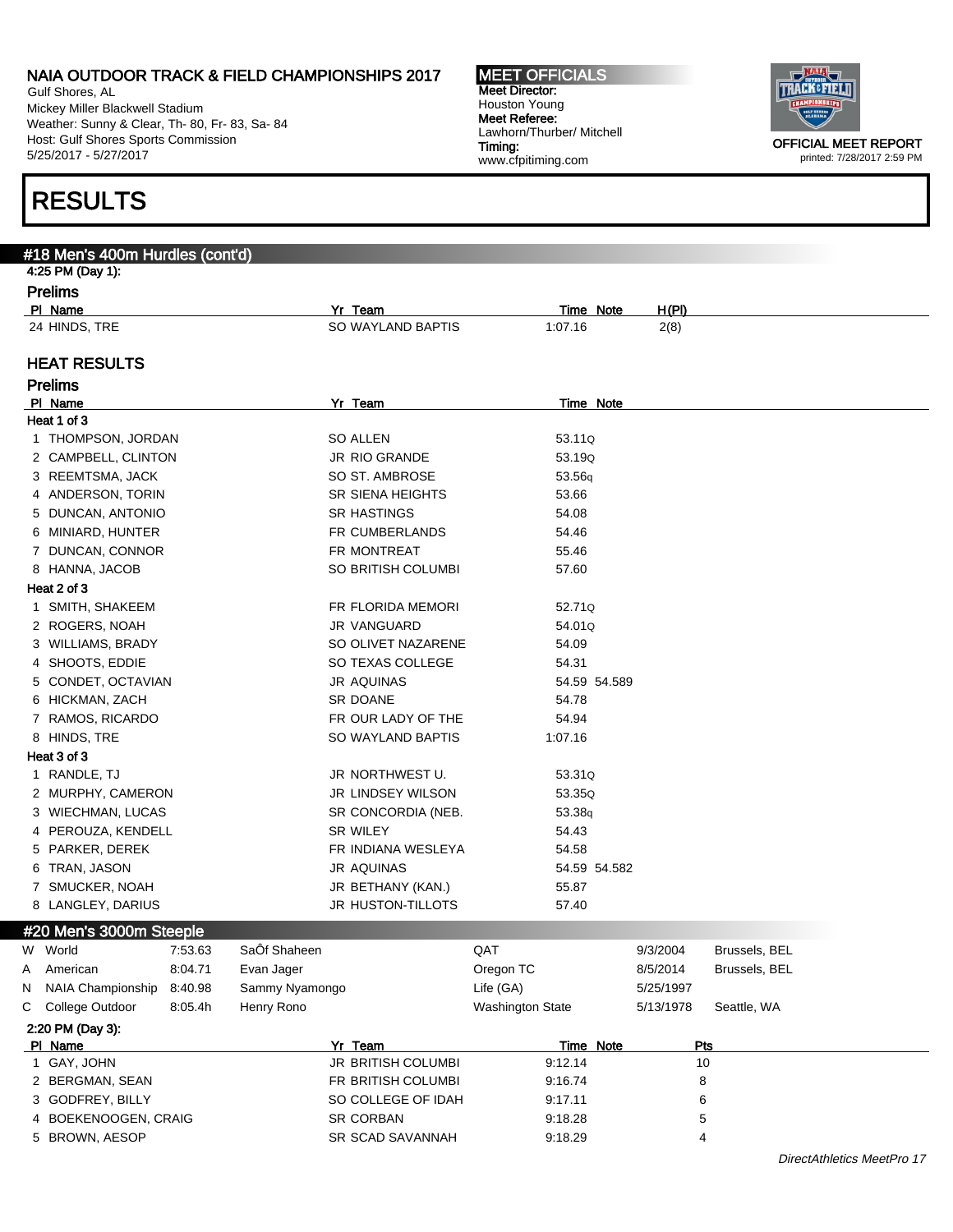Gulf Shores, AL Mickey Miller Blackwell Stadium Weather: Sunny & Clear, Th- 80, Fr- 83, Sa- 84 Host: Gulf Shores Sports Commission 5/25/2017 - 5/27/2017

#18 Men's 400m Hurdles (cont'd)

## RESULTS

4:25 PM (Day 1):

#### MEET OFFICIALS Meet Director: Houston Young Meet Referee: Lawhorn/Thurber/ Mitchell Timing: www.cfpitiming.com



printed: 7/28/2017 2:59 PM

#### Prelims Pl Name Yr Team Time Note H(Pl) 24 HINDS, TRE SO WAYLAND BAPTIS 1:07.16 2(8) HEAT RESULTS Prelims PI Name Time Note That the Second State Time Note Time Note Time Note Time Note Heat 1 of 3 1 THOMPSON, JORDAN SO ALLEN SO ALLEN 53.11Q 2 CAMPBELL, CLINTON JR RIO GRANDE 53.19Q 3 REEMTSMA, JACK SO ST. AMBROSE 53.56q 4 ANDERSON, TORIN SANDERSON, TORIN SANDERSON, TORIN SANDERS SANDERS SANDERS SANDERS SANDERS SANDERS SANDERS SAND 5 DUNCAN, ANTONIO SR HASTINGS 54.08 6 MINIARD, HUNTER FR CUMBERLANDS 54.46 7 DUNCAN, CONNOR **FR MONTREAT** 55.46 8 HANNA, JACOB SO BRITISH COLUMBI 57.60 Heat 2 of 3 1 SMITH, SHAKEEM **FR FLORIDA MEMORI** 52.71Q 2 ROGERS, NOAH JR VANGUARD 54.01Q 3 WILLIAMS, BRADY SO OLIVET NAZARENE 54.09 4 SHOOTS, EDDIE SO TEXAS COLLEGE 54.31 5 CONDET, OCTAVIAN JR AQUINAS 554.59 54.589 6 HICKMAN, ZACH SR DOANE 54.78 7 RAMOS, RICARDO **FR OUR LADY OF THE** 54.94 8 HINDS, TRE 1:07.16 Heat 3 of 3 1 RANDLE, TJ JR NORTHWEST U. 53.31Q 2 MURPHY, CAMERON JR LINDSEY WILSON 53.35Q 3 WIECHMAN, LUCAS SR CONCORDIA (NEB. 53.38q 4 PEROUZA, KENDELL SR WILEY SR WILEY 54.43 5 PARKER, DEREK FR INDIANA WESLEYA 54.58 6 TRAN, JASON JR AQUINAS 54.59 54.582 7 SMUCKER, NOAH **JR BETHANY (KAN.)** 55.87 8 LANGLEY, DARIUS **19 ST.40** JR HUSTON-TILLOTS 57.40 #20 Men's 3000m Steeple W World 7:53.63 SaÔf Shaheen QAT 9/3/2004 Brussels, BEL A American 8:04.71 Evan Jager Oregon TC 8/5/2014 Brussels, BEL N NAIA Championship 8:40.98 Sammy Nyamongo Life (GA) 5/25/1997 C College Outdoor 8:05.4h Henry Rono Washington State 5/13/1978 Seattle, WA 2:20 PM (Day 3): PI Name **Time Note** Pts 1 GAY, JOHN 10 COLUMBIAN COLUMBIAN DESCRIPTION OF THE SAME RESERVED ON A SERIES OF THE SAME RESERVED ON A SERI 2 BERGMAN, SEAN 68 BERGMAN, SEAN FR BRITISH COLUMBI 9:16.74 8 3 GODFREY, BILLY SO COLLEGE OF IDAH 9:17.11 6 4 BOEKENOOGEN, CRAIG SR CORBAN 9:18.28 5 5 BROWN, AESOP SR SCAD SAVANNAH 9:18.29 4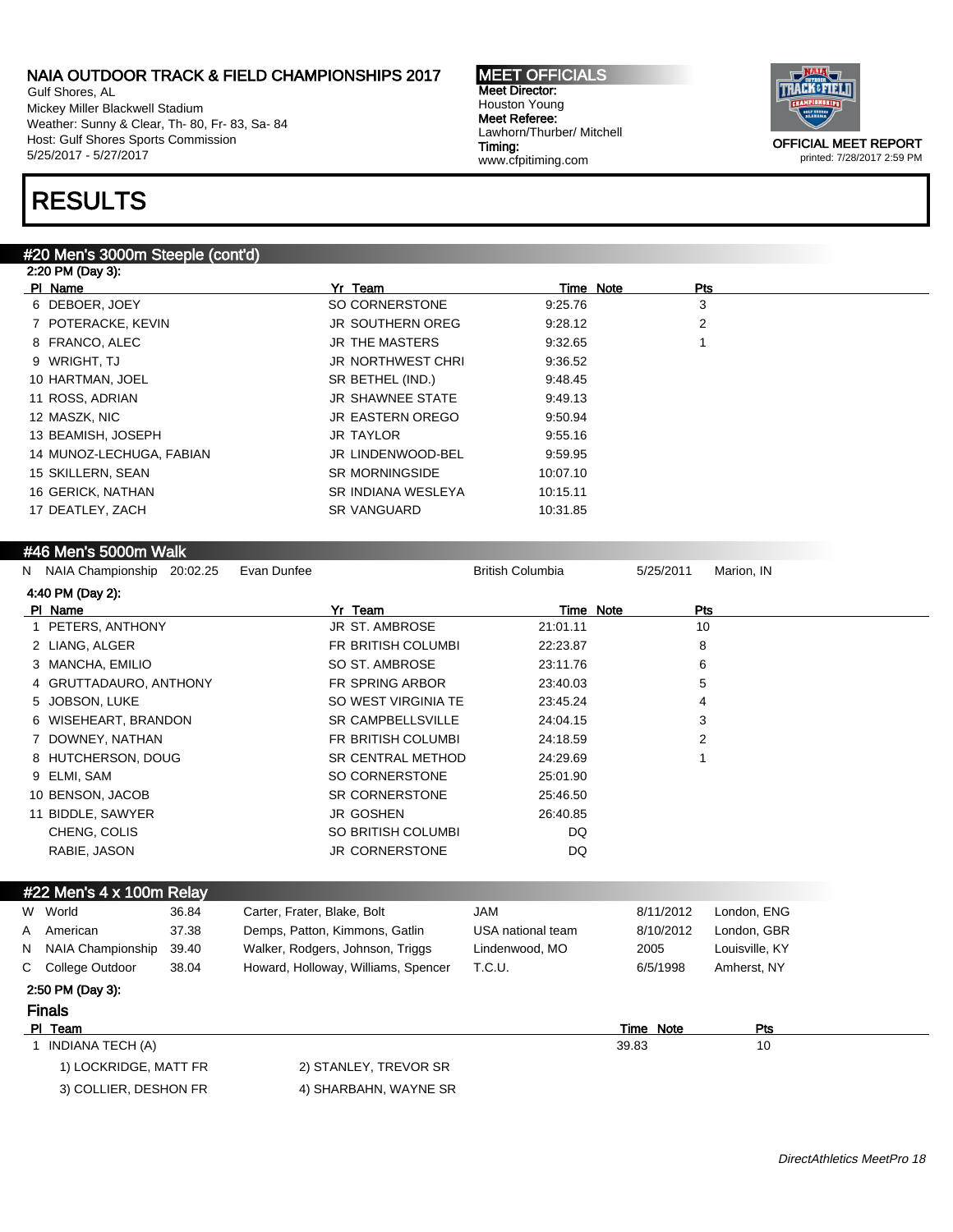Gulf Shores, AL Mickey Miller Blackwell Stadium Weather: Sunny & Clear, Th- 80, Fr- 83, Sa- 84 Host: Gulf Shores Sports Commission 5/25/2017 - 5/27/2017

# RESULTS

#### #20 Men's 3000m Steeple (cont'd)

| 2:20 PM (Day 3):         |                         |           |                |  |
|--------------------------|-------------------------|-----------|----------------|--|
| PI Name                  | Yr Team                 | Time Note | Pts            |  |
| 6 DEBOER, JOEY           | SO CORNERSTONE          | 9:25.76   | 3              |  |
| 7 POTERACKE, KEVIN       | JR SOUTHERN OREG        | 9:28.12   | $\overline{2}$ |  |
| 8 FRANCO, ALEC           | JR THE MASTERS          | 9:32.65   |                |  |
| 9 WRIGHT, TJ             | JR NORTHWEST CHRI       | 9:36.52   |                |  |
| 10 HARTMAN, JOEL         | SR BETHEL (IND.)        | 9:48.45   |                |  |
| 11 ROSS, ADRIAN          | <b>JR SHAWNEE STATE</b> | 9:49.13   |                |  |
| 12 MASZK, NIC            | <b>JR EASTERN OREGO</b> | 9:50.94   |                |  |
| 13 BEAMISH, JOSEPH       | <b>JR TAYLOR</b>        | 9:55.16   |                |  |
| 14 MUNOZ-LECHUGA, FABIAN | JR LINDENWOOD-BEL       | 9:59.95   |                |  |
| 15 SKILLERN, SEAN        | <b>SR MORNINGSIDE</b>   | 10:07.10  |                |  |
| 16 GERICK, NATHAN        | SR INDIANA WESLEYA      | 10:15.11  |                |  |
| 17 DEATLEY, ZACH         | <b>SR VANGUARD</b>      | 10:31.85  |                |  |
|                          |                         |           |                |  |

#### #46 Men's 5000m Walk

|   | N NAIA Championship 20:02.25 |       | Evan Dunfee                 |                                     | <b>British Columbia</b> | 5/25/2011 | Marion, IN     |
|---|------------------------------|-------|-----------------------------|-------------------------------------|-------------------------|-----------|----------------|
|   | 4:40 PM (Day 2):             |       |                             |                                     |                         |           |                |
|   | PI Name                      |       |                             | Yr Team                             | Time Note               |           | Pts            |
|   | PETERS, ANTHONY              |       |                             | <b>JR ST. AMBROSE</b>               | 21:01.11                | 10        |                |
|   | 2 LIANG, ALGER               |       |                             | FR BRITISH COLUMBI                  | 22:23.87                | 8         |                |
|   | 3 MANCHA, EMILIO             |       |                             | SO ST. AMBROSE                      | 23:11.76                | 6         |                |
|   | 4 GRUTTADAURO, ANTHONY       |       |                             | FR SPRING ARBOR                     | 23:40.03                | 5         |                |
|   | 5 JOBSON, LUKE               |       |                             | SO WEST VIRGINIA TE                 | 23:45.24                | 4         |                |
|   | 6 WISEHEART, BRANDON         |       |                             | SR CAMPBELLSVILLE                   | 24:04.15                | 3         |                |
|   | 7 DOWNEY, NATHAN             |       |                             | FR BRITISH COLUMBI                  | 24:18.59                | 2         |                |
|   | 8 HUTCHERSON, DOUG           |       |                             | <b>SR CENTRAL METHOD</b>            | 24:29.69                | 1         |                |
|   | 9 ELMI, SAM                  |       |                             | SO CORNERSTONE                      | 25:01.90                |           |                |
|   | 10 BENSON, JACOB             |       |                             | <b>SR CORNERSTONE</b>               | 25:46.50                |           |                |
|   | 11 BIDDLE, SAWYER            |       |                             | <b>JR GOSHEN</b>                    | 26:40.85                |           |                |
|   | CHENG, COLIS                 |       |                             | SO BRITISH COLUMBI                  | DQ                      |           |                |
|   | RABIE, JASON                 |       |                             | <b>JR CORNERSTONE</b>               | DQ                      |           |                |
|   |                              |       |                             |                                     |                         |           |                |
|   | #22 Men's 4 x 100m Relay     |       |                             |                                     |                         |           |                |
|   | W World                      | 36.84 | Carter, Frater, Blake, Bolt |                                     | <b>JAM</b>              | 8/11/2012 | London, ENG    |
| A | American                     | 37.38 |                             | Demps, Patton, Kimmons, Gatlin      | USA national team       | 8/10/2012 | London, GBR    |
| N | <b>NAIA Championship</b>     | 39.40 |                             | Walker, Rodgers, Johnson, Triggs    | Lindenwood, MO          | 2005      | Louisville, KY |
| C | College Outdoor              | 38.04 |                             | Howard, Holloway, Williams, Spencer | T.C.U.                  | 6/5/1998  | Amherst, NY    |
|   | 2:50 PM (Day 3):             |       |                             |                                     |                         |           |                |
|   | <b>Finals</b>                |       |                             |                                     |                         |           |                |
|   | PI Team                      |       |                             |                                     |                         | Time Note | <b>Pts</b>     |
|   | 1 INDIANA TECH (A)           |       |                             |                                     |                         | 39.83     | 10             |
|   | 1) LOCKRIDGE, MATT FR        |       |                             | 2) STANLEY, TREVOR SR               |                         |           |                |
|   | 3) COLLIER, DESHON FR        |       |                             | 4) SHARBAHN, WAYNE SR               |                         |           |                |
|   |                              |       |                             |                                     |                         |           |                |

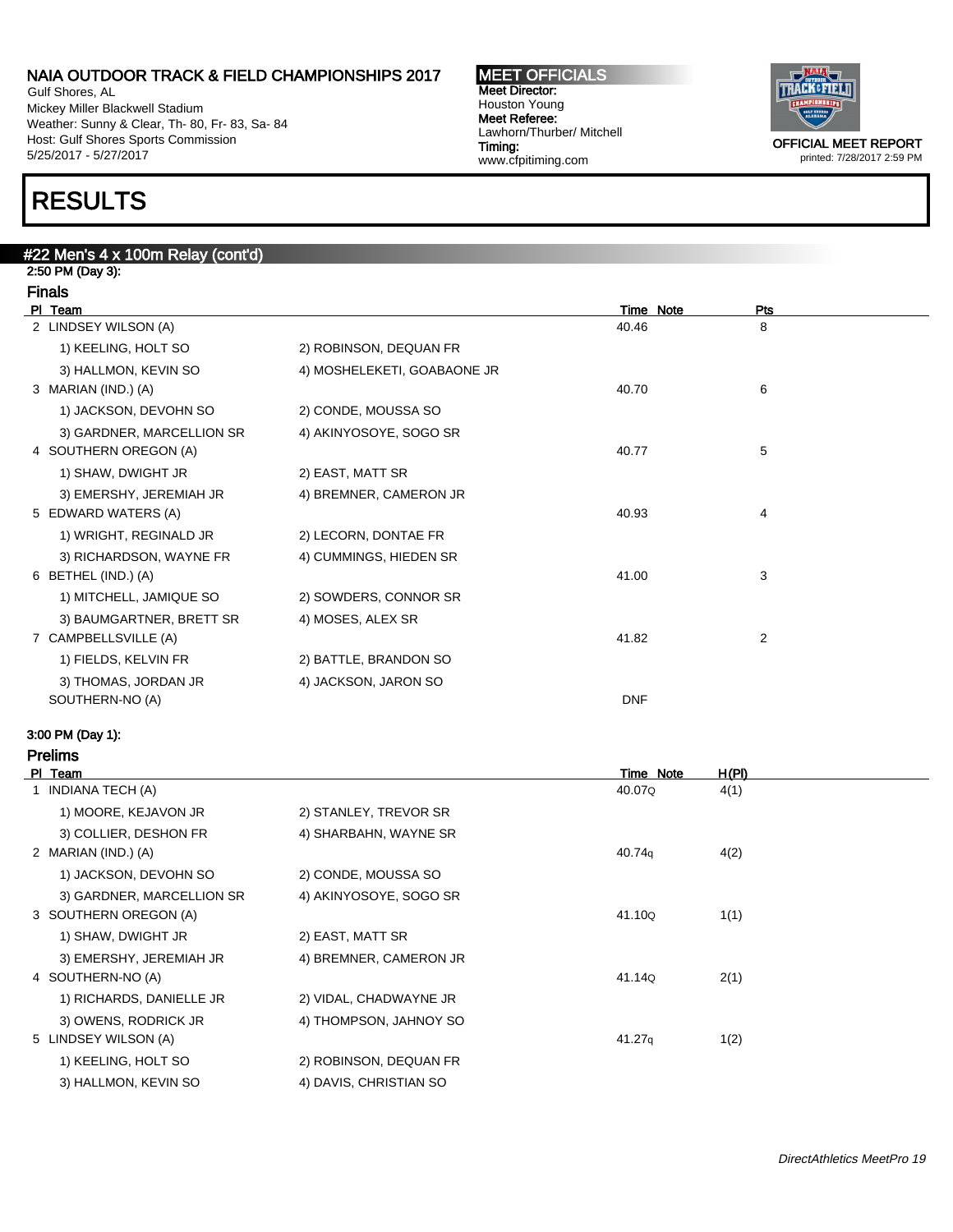Gulf Shores, AL Mickey Miller Blackwell Stadium Weather: Sunny & Clear, Th- 80, Fr- 83, Sa- 84 Host: Gulf Shores Sports Commission 5/25/2017 - 5/27/2017

# RESULTS

#### #22 Men's 4 x 100m Relay (cont'd)

#### 2:50 PM (Day 3): Finals

| PI Team                   |                             | Time Note  | Pts |  |
|---------------------------|-----------------------------|------------|-----|--|
| 2 LINDSEY WILSON (A)      |                             | 40.46      | 8   |  |
| 1) KEELING, HOLT SO       | 2) ROBINSON, DEQUAN FR      |            |     |  |
| 3) HALLMON, KEVIN SO      | 4) MOSHELEKETI, GOABAONE JR |            |     |  |
| 3 MARIAN (IND.) (A)       |                             | 40.70      | 6   |  |
| 1) JACKSON, DEVOHN SO     | 2) CONDE, MOUSSA SO         |            |     |  |
| 3) GARDNER, MARCELLION SR | 4) AKINYOSOYE, SOGO SR      |            |     |  |
| 4 SOUTHERN OREGON (A)     |                             | 40.77      | 5   |  |
| 1) SHAW, DWIGHT JR        | 2) EAST, MATT SR            |            |     |  |
| 3) EMERSHY, JEREMIAH JR   | 4) BREMNER, CAMERON JR      |            |     |  |
| 5 EDWARD WATERS (A)       |                             | 40.93      | 4   |  |
| 1) WRIGHT, REGINALD JR    | 2) LECORN, DONTAE FR        |            |     |  |
| 3) RICHARDSON, WAYNE FR   | 4) CUMMINGS, HIEDEN SR      |            |     |  |
| 6 BETHEL (IND.) (A)       |                             | 41.00      | 3   |  |
| 1) MITCHELL, JAMIQUE SO   | 2) SOWDERS, CONNOR SR       |            |     |  |
| 3) BAUMGARTNER, BRETT SR  | 4) MOSES, ALEX SR           |            |     |  |
| 7 CAMPBELLSVILLE (A)      |                             | 41.82      | 2   |  |
| 1) FIELDS, KELVIN FR      | 2) BATTLE, BRANDON SO       |            |     |  |
| 3) THOMAS, JORDAN JR      | 4) JACKSON, JARON SO        |            |     |  |
| SOUTHERN-NO (A)           |                             | <b>DNF</b> |     |  |

#### 3:00 PM (Day 1):

| PI Team                   |                        | Time Note | H(PI) |
|---------------------------|------------------------|-----------|-------|
| 1 INDIANA TECH (A)        |                        | 40.07Q    | 4(1)  |
| 1) MOORE, KEJAVON JR      | 2) STANLEY, TREVOR SR  |           |       |
| 3) COLLIER, DESHON FR     | 4) SHARBAHN, WAYNE SR  |           |       |
| 2 MARIAN (IND.) (A)       |                        | 40.74g    | 4(2)  |
| 1) JACKSON, DEVOHN SO     | 2) CONDE, MOUSSA SO    |           |       |
| 3) GARDNER, MARCELLION SR | 4) AKINYOSOYE, SOGO SR |           |       |
| 3 SOUTHERN OREGON (A)     |                        | 41.10Q    | 1(1)  |
| 1) SHAW, DWIGHT JR        | 2) EAST, MATT SR       |           |       |
| 3) EMERSHY, JEREMIAH JR   | 4) BREMNER, CAMERON JR |           |       |
| 4 SOUTHERN-NO (A)         |                        | 41.14Q    | 2(1)  |
| 1) RICHARDS, DANIELLE JR  | 2) VIDAL, CHADWAYNE JR |           |       |
| 3) OWENS, RODRICK JR      | 4) THOMPSON, JAHNOY SO |           |       |
| 5 LINDSEY WILSON (A)      |                        | 41.27q    | 1(2)  |
| 1) KEELING, HOLT SO       | 2) ROBINSON, DEQUAN FR |           |       |
| 3) HALLMON, KEVIN SO      | 4) DAVIS, CHRISTIAN SO |           |       |

MEET OFFICIALS Meet Director: Houston Young Meet Referee: Lawhorn/Thurber/ Mitchell Timing: www.cfpitiming.com



printed: 7/28/2017 2:59 PM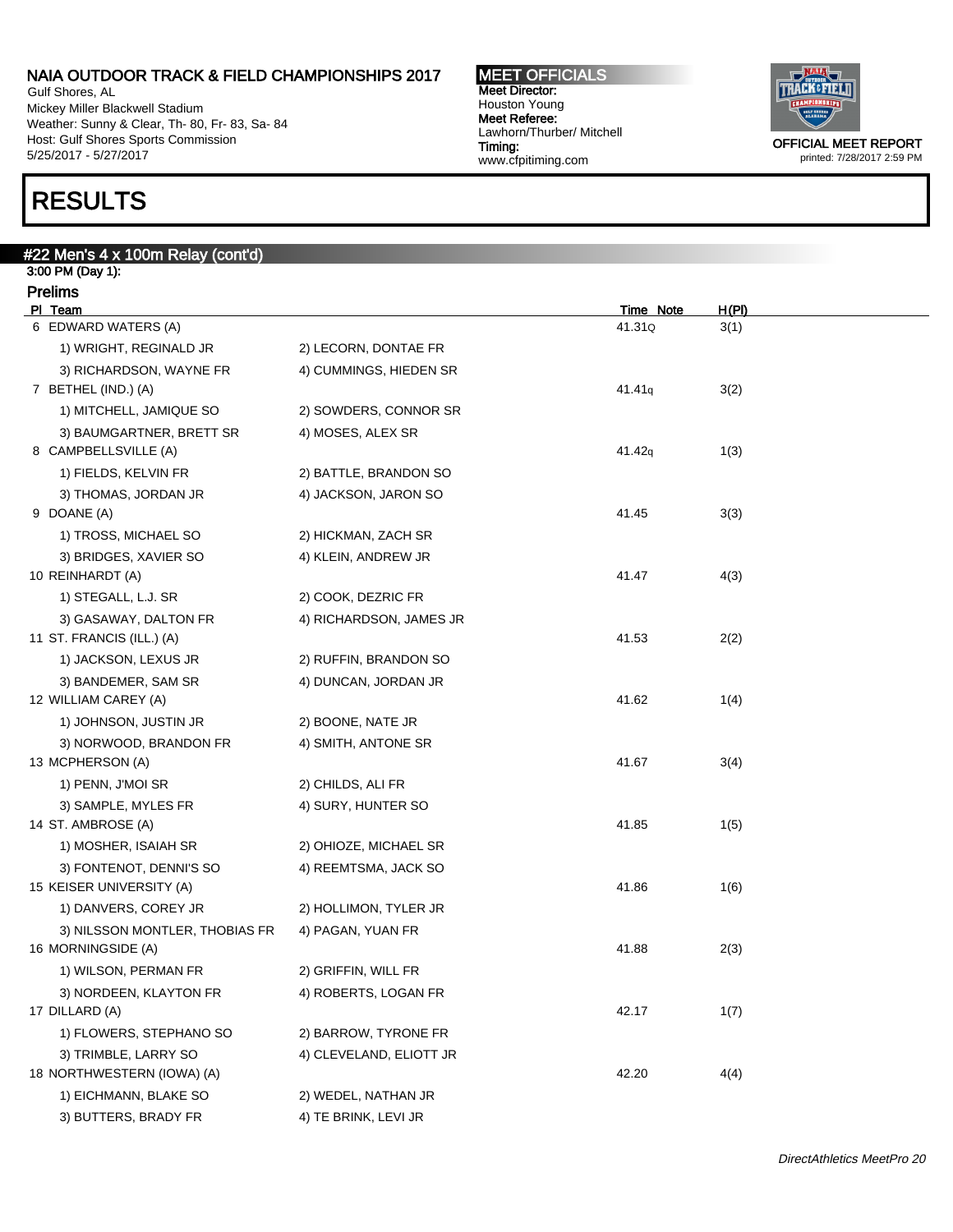Gulf Shores, AL Mickey Miller Blackwell Stadium Weather: Sunny & Clear, Th- 80, Fr- 83, Sa- 84 Host: Gulf Shores Sports Commission 5/25/2017 - 5/27/2017

## RESULTS

#### #22 Men's 4 x 100m Relay (cont'd)

3:00 PM (Day 1): Prelims

| гтыны<br>PI Team               |                         | <b>Time Note</b> | H(PI) |
|--------------------------------|-------------------------|------------------|-------|
| 6 EDWARD WATERS (A)            |                         | 41.31Q           | 3(1)  |
| 1) WRIGHT, REGINALD JR         | 2) LECORN, DONTAE FR    |                  |       |
| 3) RICHARDSON, WAYNE FR        | 4) CUMMINGS, HIEDEN SR  |                  |       |
| 7 BETHEL (IND.) (A)            |                         | 41.41g           | 3(2)  |
| 1) MITCHELL, JAMIQUE SO        | 2) SOWDERS, CONNOR SR   |                  |       |
| 3) BAUMGARTNER, BRETT SR       | 4) MOSES, ALEX SR       |                  |       |
| 8 CAMPBELLSVILLE (A)           |                         | 41.42q           | 1(3)  |
| 1) FIELDS, KELVIN FR           | 2) BATTLE, BRANDON SO   |                  |       |
| 3) THOMAS, JORDAN JR           | 4) JACKSON, JARON SO    |                  |       |
| 9 DOANE (A)                    |                         | 41.45            | 3(3)  |
| 1) TROSS, MICHAEL SO           | 2) HICKMAN, ZACH SR     |                  |       |
| 3) BRIDGES, XAVIER SO          | 4) KLEIN, ANDREW JR     |                  |       |
| 10 REINHARDT (A)               |                         | 41.47            | 4(3)  |
| 1) STEGALL, L.J. SR            | 2) COOK, DEZRIC FR      |                  |       |
| 3) GASAWAY, DALTON FR          | 4) RICHARDSON, JAMES JR |                  |       |
| 11 ST. FRANCIS (ILL.) (A)      |                         | 41.53            | 2(2)  |
| 1) JACKSON, LEXUS JR           | 2) RUFFIN, BRANDON SO   |                  |       |
| 3) BANDEMER, SAM SR            | 4) DUNCAN, JORDAN JR    |                  |       |
| 12 WILLIAM CAREY (A)           |                         | 41.62            | 1(4)  |
| 1) JOHNSON, JUSTIN JR          | 2) BOONE, NATE JR       |                  |       |
| 3) NORWOOD, BRANDON FR         | 4) SMITH, ANTONE SR     |                  |       |
| 13 MCPHERSON (A)               |                         | 41.67            | 3(4)  |
| 1) PENN, J'MOI SR              | 2) CHILDS, ALI FR       |                  |       |
| 3) SAMPLE, MYLES FR            | 4) SURY, HUNTER SO      |                  |       |
| 14 ST. AMBROSE (A)             |                         | 41.85            | 1(5)  |
| 1) MOSHER, ISAIAH SR           | 2) OHIOZE, MICHAEL SR   |                  |       |
| 3) FONTENOT, DENNI'S SO        | 4) REEMTSMA, JACK SO    |                  |       |
| 15 KEISER UNIVERSITY (A)       |                         | 41.86            | 1(6)  |
| 1) DANVERS, COREY JR           | 2) HOLLIMON, TYLER JR   |                  |       |
| 3) NILSSON MONTLER, THOBIAS FR | 4) PAGAN, YUAN FR       |                  |       |
| 16 MORNINGSIDE (A)             |                         | 41.88            | 2(3)  |
| 1) WILSON, PERMAN FR           | 2) GRIFFIN, WILL FR     |                  |       |
| 3) NORDEEN, KLAYTON FR         | 4) ROBERTS, LOGAN FR    |                  |       |
| 17 DILLARD (A)                 |                         | 42.17            | 1(7)  |
| 1) FLOWERS, STEPHANO SO        | 2) BARROW, TYRONE FR    |                  |       |
| 3) TRIMBLE, LARRY SO           | 4) CLEVELAND, ELIOTT JR |                  |       |
| 18 NORTHWESTERN (IOWA) (A)     |                         | 42.20            | 4(4)  |
| 1) EICHMANN, BLAKE SO          | 2) WEDEL, NATHAN JR     |                  |       |
| 3) BUTTERS, BRADY FR           | 4) TE BRINK, LEVI JR    |                  |       |

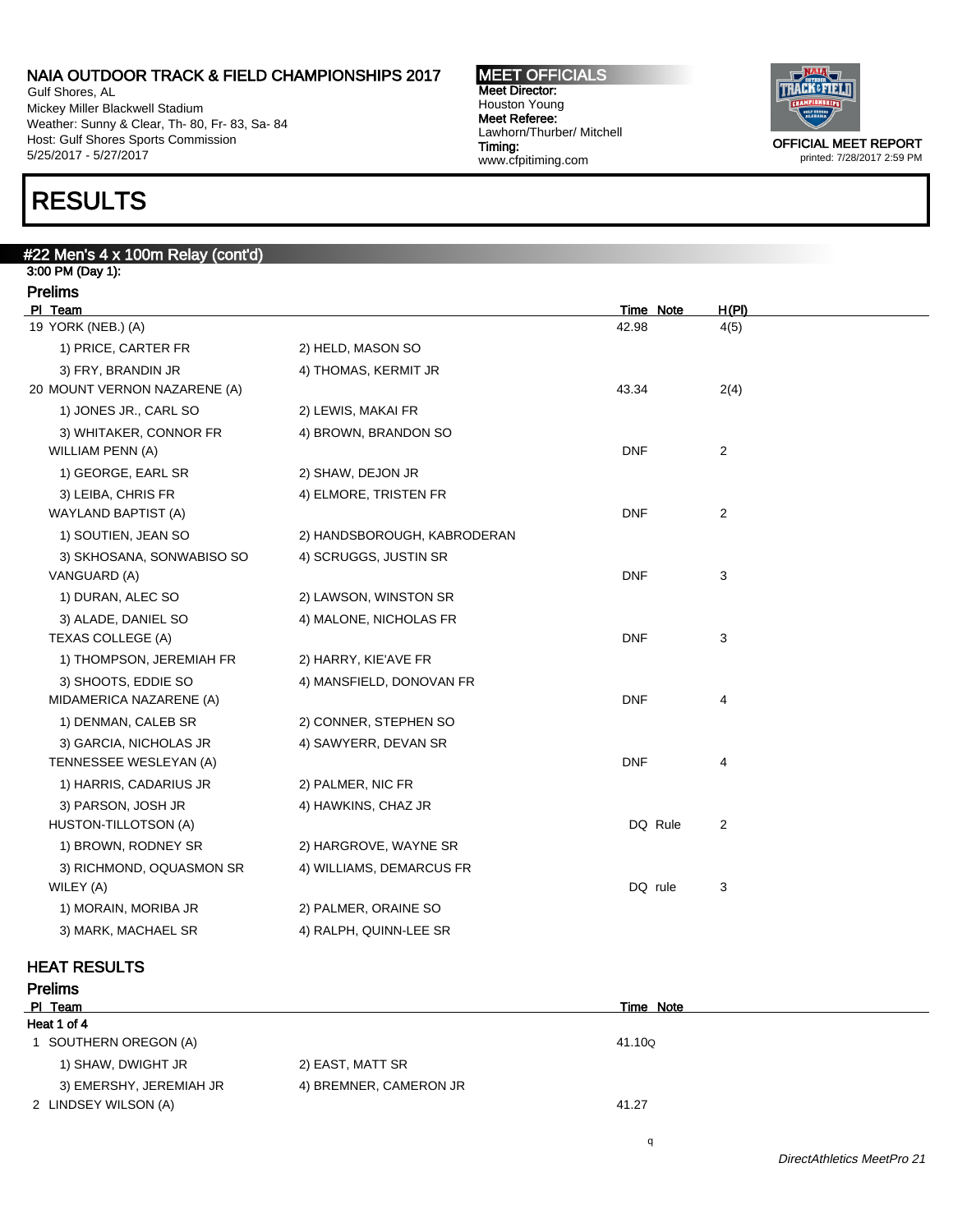Gulf Shores, AL Mickey Miller Blackwell Stadium Weather: Sunny & Clear, Th- 80, Fr- 83, Sa- 84 Host: Gulf Shores Sports Commission 5/25/2017 - 5/27/2017

## RESULTS

#### #22 Men's 4 x 100m Relay (cont'd)

#### 3:00 PM (Day 1): Prelims

| טוווויטו<br>PI Team          |                             | Time Note  | H(PI) |
|------------------------------|-----------------------------|------------|-------|
| 19 YORK (NEB.) (A)           |                             | 42.98      | 4(5)  |
| 1) PRICE, CARTER FR          | 2) HELD, MASON SO           |            |       |
| 3) FRY, BRANDIN JR           | 4) THOMAS, KERMIT JR        |            |       |
| 20 MOUNT VERNON NAZARENE (A) |                             | 43.34      | 2(4)  |
| 1) JONES JR., CARL SO        | 2) LEWIS, MAKAI FR          |            |       |
| 3) WHITAKER, CONNOR FR       | 4) BROWN, BRANDON SO        |            |       |
| WILLIAM PENN (A)             |                             | <b>DNF</b> | 2     |
| 1) GEORGE, EARL SR           | 2) SHAW, DEJON JR           |            |       |
| 3) LEIBA, CHRIS FR           | 4) ELMORE, TRISTEN FR       |            |       |
| WAYLAND BAPTIST (A)          |                             | <b>DNF</b> | 2     |
| 1) SOUTIEN, JEAN SO          | 2) HANDSBOROUGH, KABRODERAN |            |       |
| 3) SKHOSANA, SONWABISO SO    | 4) SCRUGGS, JUSTIN SR       |            |       |
| VANGUARD (A)                 |                             | <b>DNF</b> | 3     |
| 1) DURAN, ALEC SO            | 2) LAWSON, WINSTON SR       |            |       |
| 3) ALADE, DANIEL SO          | 4) MALONE, NICHOLAS FR      |            |       |
| TEXAS COLLEGE (A)            |                             | <b>DNF</b> | 3     |
| 1) THOMPSON, JEREMIAH FR     | 2) HARRY, KIE'AVE FR        |            |       |
| 3) SHOOTS, EDDIE SO          | 4) MANSFIELD, DONOVAN FR    |            |       |
| MIDAMERICA NAZARENE (A)      |                             | <b>DNF</b> | 4     |
| 1) DENMAN, CALEB SR          | 2) CONNER, STEPHEN SO       |            |       |
| 3) GARCIA, NICHOLAS JR       | 4) SAWYERR, DEVAN SR        |            |       |
| TENNESSEE WESLEYAN (A)       |                             | <b>DNF</b> | 4     |
| 1) HARRIS, CADARIUS JR       | 2) PALMER, NIC FR           |            |       |
| 3) PARSON, JOSH JR           | 4) HAWKINS, CHAZ JR         |            |       |
| HUSTON-TILLOTSON (A)         |                             | DQ Rule    | 2     |
| 1) BROWN, RODNEY SR          | 2) HARGROVE, WAYNE SR       |            |       |
| 3) RICHMOND, OQUASMON SR     | 4) WILLIAMS, DEMARCUS FR    |            |       |
| WILEY (A)                    |                             | DQ rule    | 3     |
| 1) MORAIN, MORIBA JR         | 2) PALMER, ORAINE SO        |            |       |
| 3) MARK, MACHAEL SR          | 4) RALPH, QUINN-LEE SR      |            |       |

#### HEAT RESULTS

| <b>Prelims</b>          |                        |           |
|-------------------------|------------------------|-----------|
| PI Team                 |                        | Time Note |
| Heat 1 of 4             |                        |           |
| 1 SOUTHERN OREGON (A)   |                        | 41.10Q    |
| 1) SHAW, DWIGHT JR      | 2) EAST, MATT SR       |           |
| 3) EMERSHY, JEREMIAH JR | 4) BREMNER, CAMERON JR |           |
| 2 LINDSEY WILSON (A)    |                        | 41.27     |

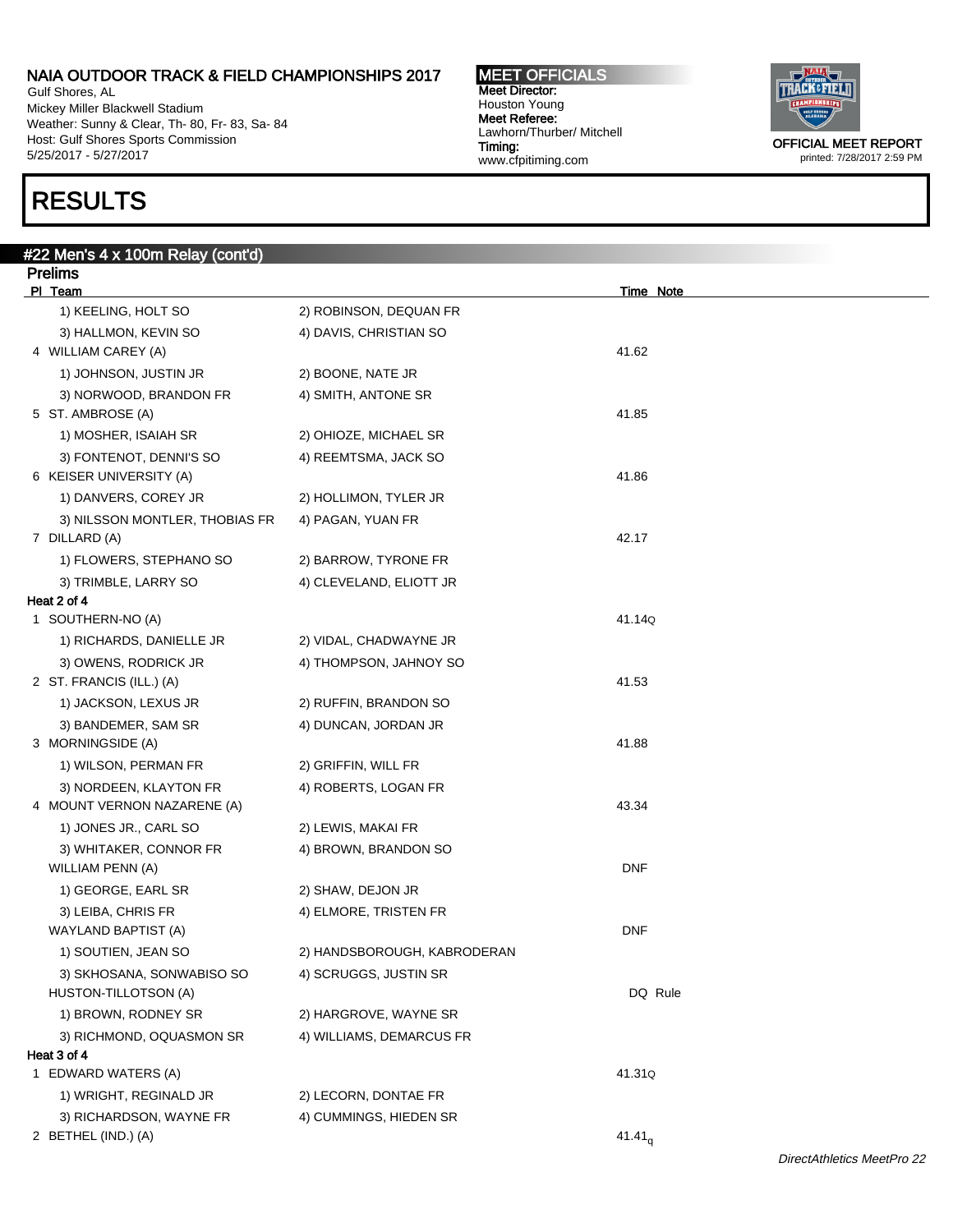Gulf Shores, AL Mickey Miller Blackwell Stadium Weather: Sunny & Clear, Th- 80, Fr- 83, Sa- 84 Host: Gulf Shores Sports Commission 5/25/2017 - 5/27/2017

## RESULTS

#### #22 Men's 4 x 100m Relay (cont'd) Prelims PI Team Time Note 1) KEELING, HOLT SO 2) ROBINSON, DEQUAN FR 3) HALLMON, KEVIN SO 4) DAVIS, CHRISTIAN SO 4 WILLIAM CAREY (A) 41.62 1) JOHNSON, JUSTIN JR 2) BOONE, NATE JR 3) NORWOOD, BRANDON FR 4) SMITH, ANTONE SR 5 ST. AMBROSE (A) 41.85 1) MOSHER, ISAIAH SR 2) OHIOZE, MICHAEL SR 3) FONTENOT, DENNI'S SO 4) REEMTSMA, JACK SO 6 KEISER UNIVERSITY (A) 41.86 1) DANVERS, COREY JR 2) HOLLIMON, TYLER JR 3) NILSSON MONTLER, THOBIAS FR 4) PAGAN, YUAN FR 7 DILLARD (A) 42.17 1) FLOWERS, STEPHANO SO 2) BARROW, TYRONE FR 3) TRIMBLE, LARRY SO 4) CLEVELAND, ELIOTT JR Heat 2 of 4 1 SOUTHERN-NO (A) 41.14Q 1) RICHARDS, DANIELLE JR 2) VIDAL, CHADWAYNE JR 3) OWENS, RODRICK JR 4) THOMPSON, JAHNOY SO 2 ST. FRANCIS (ILL.) (A) 41.53 1) JACKSON, LEXUS JR 2) RUFFIN, BRANDON SO 3) BANDEMER, SAM SR 4) DUNCAN, JORDAN JR 3 MORNINGSIDE (A) 41.88 1) WILSON, PERMAN FR 2) GRIFFIN, WILL FR 3) NORDEEN, KLAYTON FR 4) ROBERTS, LOGAN FR 4 MOUNT VERNON NAZARENE (A) 43.34 1) JONES JR., CARL SO 2) LEWIS, MAKAI FR 3) WHITAKER, CONNOR FR 4) BROWN, BRANDON SO WILLIAM PENN (A) DNF 1) GEORGE, EARL SR 2) SHAW, DEJON JR 3) LEIBA, CHRIS FR 4) ELMORE, TRISTEN FR WAYLAND BAPTIST (A) DNF 1) SOUTIEN, JEAN SO 2) HANDSBOROUGH, KABRODERAN 3) SKHOSANA, SONWABISO SO 4) SCRUGGS, JUSTIN SR HUSTON-TILLOTSON (A) DQ Rule 1) BROWN, RODNEY SR 2) HARGROVE, WAYNE SR 3) RICHMOND, OQUASMON SR 4) WILLIAMS, DEMARCUS FR Heat 3 of 4 1 EDWARD WATERS (A) 41.31Q 1) WRIGHT, REGINALD JR 2) LECORN, DONTAE FR 3) RICHARDSON, WAYNE FR 4) CUMMINGS, HIEDEN SR 2 BETHEL (IND.) (A) 41.41<sub>q</sub>

MEET OFFICIALS Meet Director: Houston Young Meet Referee:

Lawhorn/Thurber/ Mitchell

www.cfpitiming.com

Timing:

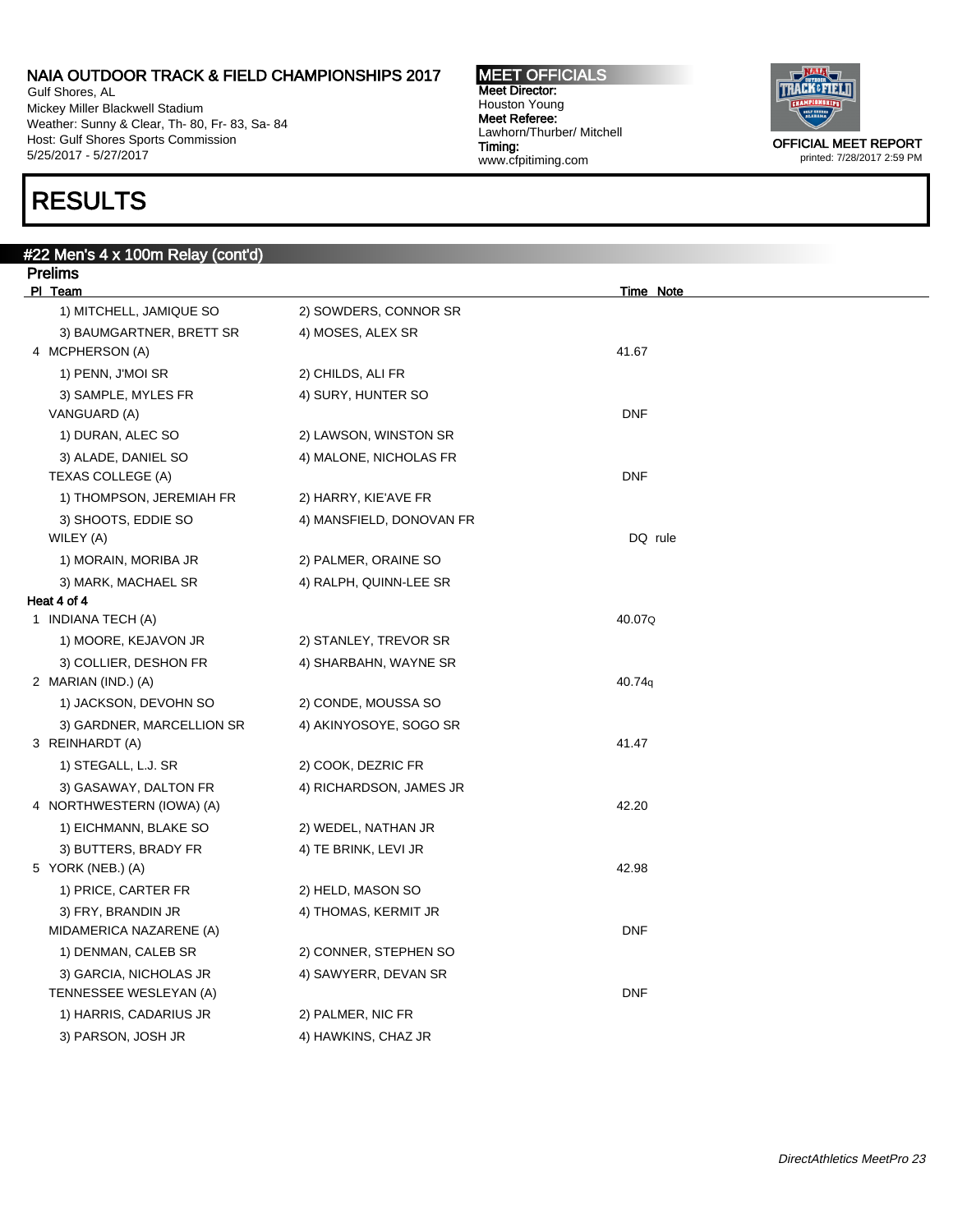Gulf Shores, AL Mickey Miller Blackwell Stadium Weather: Sunny & Clear, Th- 80, Fr- 83, Sa- 84 Host: Gulf Shores Sports Commission 5/25/2017 - 5/27/2017

## RESULTS

#### #22 Men's 4 x 100m Relay (cont'd) Prelims PI Team Time Note 1) MITCHELL, JAMIQUE SO 2) SOWDERS, CONNOR SR 3) BAUMGARTNER, BRETT SR 4) MOSES, ALEX SR 4 MCPHERSON (A) 41.67 1) PENN, J'MOI SR 2) CHILDS, ALI FR 3) SAMPLE, MYLES FR 4) SURY, HUNTER SO VANGUARD (A) DNF 1) DURAN, ALEC SO 2) LAWSON, WINSTON SR 3) ALADE, DANIEL SO 4) MALONE, NICHOLAS FR TEXAS COLLEGE (A) DNF 1) THOMPSON, JEREMIAH FR 2) HARRY, KIE'AVE FR 3) SHOOTS, EDDIE SO 4) MANSFIELD, DONOVAN FR WILEY (A) DQ rule 1) MORAIN, MORIBA JR 2) PALMER, ORAINE SO 3) MARK, MACHAEL SR 4) RALPH, QUINN-LEE SR Heat 4 of 4 1 INDIANA TECH (A) 40.07Q 1) MOORE, KEJAVON JR 2) STANLEY, TREVOR SR 3) COLLIER, DESHON FR 4) SHARBAHN, WAYNE SR 2 MARIAN (IND.) (A) 40.74q 1) JACKSON, DEVOHN SO 2) CONDE, MOUSSA SO 3) GARDNER, MARCELLION SR 4) AKINYOSOYE, SOGO SR 3 REINHARDT (A) 41.47 1) STEGALL, L.J. SR 2) COOK, DEZRIC FR 3) GASAWAY, DALTON FR 4) RICHARDSON, JAMES JR 4 NORTHWESTERN (IOWA) (A) 42.20 1) EICHMANN, BLAKE SO 2) WEDEL, NATHAN JR 3) BUTTERS, BRADY FR 4) TE BRINK, LEVI JR 5 YORK (NEB.) (A) 42.98 1) PRICE, CARTER FR 2) HELD, MASON SO 3) FRY, BRANDIN JR 4) THOMAS, KERMIT JR MIDAMERICA NAZARENE (A) DIFERENTIAL DISTRIBUTION ON THE SERVICE OF STATISTICS. IN THE SERVICE OF STATISTICS OF DISTRIBUTION ON THE SERVICE OF STATISTICS OF DISTRIBUTION ON THE SERVICE OF STATISTICS OF DISTRIBUTION OF STATI 1) DENMAN, CALEB SR 2) CONNER, STEPHEN SO 3) GARCIA, NICHOLAS JR 4) SAWYERR, DEVAN SR TENNESSEE WESLEYAN (A) DNF 1) HARRIS, CADARIUS JR 2) PALMER, NIC FR 3) PARSON, JOSH JR 4) HAWKINS, CHAZ JR

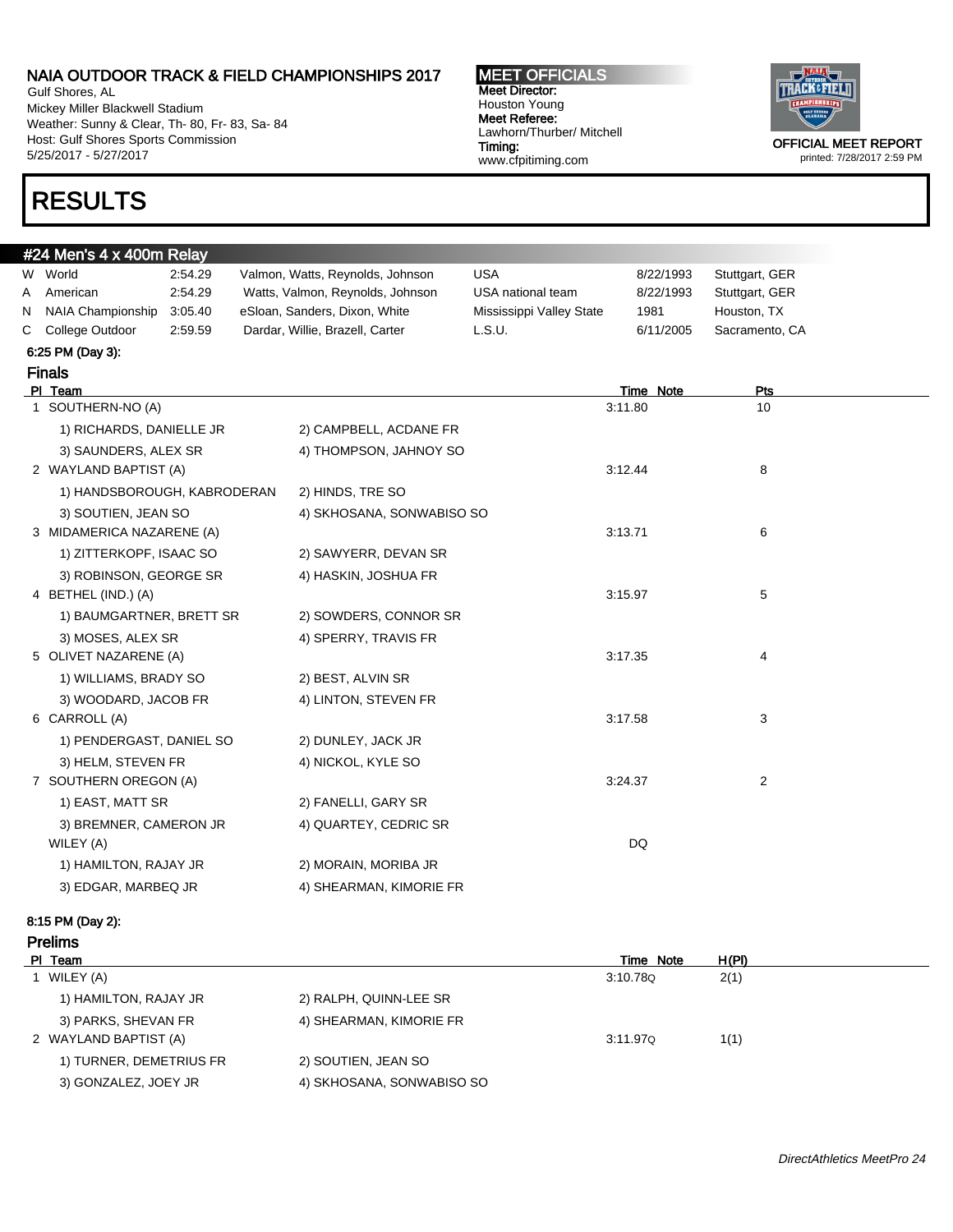Gulf Shores, AL Mickey Miller Blackwell Stadium Weather: Sunny & Clear, Th- 80, Fr- 83, Sa- 84 Host: Gulf Shores Sports Commission 5/25/2017 - 5/27/2017

## RESULTS

MEET OFFICIALS Meet Director: Houston Young Meet Referee: Lawhorn/Thurber/ Mitchell Timing: www.cfpitiming.com



|    | #24 Men's 4 x 400m Relay    |         |                                  |                          |           |                |
|----|-----------------------------|---------|----------------------------------|--------------------------|-----------|----------------|
|    | W World                     | 2:54.29 | Valmon, Watts, Reynolds, Johnson | <b>USA</b>               | 8/22/1993 | Stuttgart, GER |
| A  | American                    | 2:54.29 | Watts, Valmon, Reynolds, Johnson | USA national team        | 8/22/1993 | Stuttgart, GER |
| N. | NAIA Championship           | 3:05.40 | eSloan, Sanders, Dixon, White    | Mississippi Valley State | 1981      | Houston, TX    |
| C. | College Outdoor             | 2:59.59 | Dardar, Willie, Brazell, Carter  | L.S.U.                   | 6/11/2005 | Sacramento, CA |
|    | 6:25 PM (Day 3):            |         |                                  |                          |           |                |
|    | <b>Finals</b>               |         |                                  |                          |           |                |
|    | PI Team                     |         |                                  |                          | Time Note | Pts            |
|    | 1 SOUTHERN-NO (A)           |         |                                  |                          | 3:11.80   | 10             |
|    | 1) RICHARDS, DANIELLE JR    |         | 2) CAMPBELL, ACDANE FR           |                          |           |                |
|    | 3) SAUNDERS, ALEX SR        |         | 4) THOMPSON, JAHNOY SO           |                          |           |                |
|    | 2 WAYLAND BAPTIST (A)       |         |                                  |                          | 3:12.44   | 8              |
|    | 1) HANDSBOROUGH, KABRODERAN |         | 2) HINDS, TRE SO                 |                          |           |                |
|    | 3) SOUTIEN, JEAN SO         |         | 4) SKHOSANA, SONWABISO SO        |                          |           |                |
|    | 3 MIDAMERICA NAZARENE (A)   |         |                                  |                          | 3:13.71   | 6              |
|    | 1) ZITTERKOPF, ISAAC SO     |         | 2) SAWYERR, DEVAN SR             |                          |           |                |
|    | 3) ROBINSON, GEORGE SR      |         | 4) HASKIN, JOSHUA FR             |                          |           |                |
|    | 4 BETHEL (IND.) (A)         |         |                                  |                          | 3:15.97   | 5              |
|    | 1) BAUMGARTNER, BRETT SR    |         | 2) SOWDERS, CONNOR SR            |                          |           |                |
|    | 3) MOSES, ALEX SR           |         | 4) SPERRY, TRAVIS FR             |                          |           |                |
|    | 5 OLIVET NAZARENE (A)       |         |                                  |                          | 3:17.35   | 4              |
|    | 1) WILLIAMS, BRADY SO       |         | 2) BEST, ALVIN SR                |                          |           |                |
|    | 3) WOODARD, JACOB FR        |         | 4) LINTON, STEVEN FR             |                          |           |                |
|    | 6 CARROLL (A)               |         |                                  |                          | 3:17.58   | 3              |
|    | 1) PENDERGAST, DANIEL SO    |         | 2) DUNLEY, JACK JR               |                          |           |                |
|    | 3) HELM, STEVEN FR          |         | 4) NICKOL, KYLE SO               |                          |           |                |
|    | 7 SOUTHERN OREGON (A)       |         |                                  |                          | 3:24.37   | 2              |
|    | 1) EAST, MATT SR            |         | 2) FANELLI, GARY SR              |                          |           |                |
|    | 3) BREMNER, CAMERON JR      |         | 4) QUARTEY, CEDRIC SR            |                          |           |                |
|    | WILEY (A)                   |         |                                  |                          | DQ        |                |
|    | 1) HAMILTON, RAJAY JR       |         | 2) MORAIN, MORIBA JR             |                          |           |                |
|    | 3) EDGAR, MARBEQ JR         |         | 4) SHEARMAN, KIMORIE FR          |                          |           |                |
|    |                             |         |                                  |                          |           |                |

#### 8:15 PM (Day 2):

Prelims Pl Team Time Note H(Pl) 1 WILEY (A) 3:10.78Q 2(1) 1) HAMILTON, RAJAY JR 2) RALPH, QUINN-LEE SR 3) PARKS, SHEVAN FR 4) SHEARMAN, KIMORIE FR 2 WAYLAND BAPTIST (A) 3:11.97Q 1(1) 1) TURNER, DEMETRIUS FR 2) SOUTIEN, JEAN SO 3) GONZALEZ, JOEY JR 4) SKHOSANA, SONWABISO SO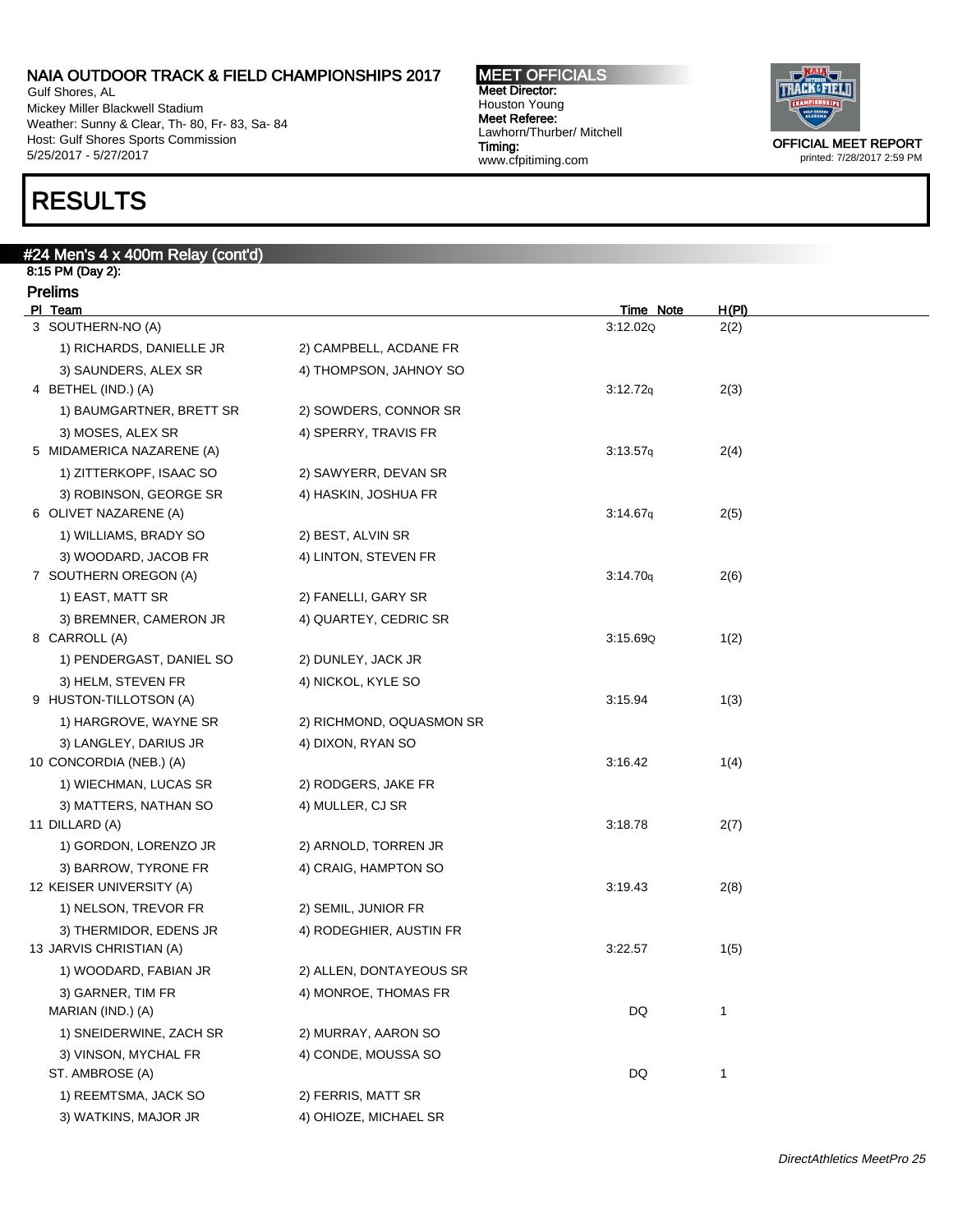Gulf Shores, AL Mickey Miller Blackwell Stadium Weather: Sunny & Clear, Th- 80, Fr- 83, Sa- 84 Host: Gulf Shores Sports Commission 5/25/2017 - 5/27/2017

# RESULTS

### #24 Men's 4 x 400m Relay (cont'd)

8:15 PM (Day 2): Prelims

| PI Team                                 |                          | Time Note | H(PI) |
|-----------------------------------------|--------------------------|-----------|-------|
| 3 SOUTHERN-NO (A)                       |                          | 3:12.02Q  | 2(2)  |
| 1) RICHARDS, DANIELLE JR                | 2) CAMPBELL, ACDANE FR   |           |       |
| 3) SAUNDERS, ALEX SR                    | 4) THOMPSON, JAHNOY SO   |           |       |
| 4 BETHEL (IND.) (A)                     |                          | 3:12.72q  | 2(3)  |
| 1) BAUMGARTNER, BRETT SR                | 2) SOWDERS, CONNOR SR    |           |       |
| 3) MOSES, ALEX SR                       | 4) SPERRY, TRAVIS FR     |           |       |
| 5 MIDAMERICA NAZARENE (A)               |                          | 3:13.57q  | 2(4)  |
| 1) ZITTERKOPF, ISAAC SO                 | 2) SAWYERR, DEVAN SR     |           |       |
| 3) ROBINSON, GEORGE SR                  | 4) HASKIN, JOSHUA FR     |           |       |
| 6 OLIVET NAZARENE (A)                   |                          | 3:14.67q  | 2(5)  |
| 1) WILLIAMS, BRADY SO                   | 2) BEST, ALVIN SR        |           |       |
| 3) WOODARD, JACOB FR                    | 4) LINTON, STEVEN FR     |           |       |
| 7 SOUTHERN OREGON (A)                   |                          | 3:14.70q  | 2(6)  |
| 1) EAST, MATT SR                        | 2) FANELLI, GARY SR      |           |       |
| 3) BREMNER, CAMERON JR                  | 4) QUARTEY, CEDRIC SR    |           |       |
| 8 CARROLL (A)                           |                          | 3:15.69Q  | 1(2)  |
| 1) PENDERGAST, DANIEL SO                | 2) DUNLEY, JACK JR       |           |       |
| 3) HELM, STEVEN FR                      | 4) NICKOL, KYLE SO       |           |       |
| 9 HUSTON-TILLOTSON (A)                  |                          | 3:15.94   | 1(3)  |
| 1) HARGROVE, WAYNE SR                   | 2) RICHMOND, OQUASMON SR |           |       |
| 3) LANGLEY, DARIUS JR                   | 4) DIXON, RYAN SO        | 3:16.42   |       |
| 10 CONCORDIA (NEB.) (A)                 |                          |           | 1(4)  |
| 1) WIECHMAN, LUCAS SR                   | 2) RODGERS, JAKE FR      |           |       |
| 3) MATTERS, NATHAN SO<br>11 DILLARD (A) | 4) MULLER, CJ SR         | 3:18.78   | 2(7)  |
| 1) GORDON, LORENZO JR                   | 2) ARNOLD, TORREN JR     |           |       |
| 3) BARROW, TYRONE FR                    | 4) CRAIG, HAMPTON SO     |           |       |
| 12 KEISER UNIVERSITY (A)                |                          | 3:19.43   | 2(8)  |
| 1) NELSON, TREVOR FR                    | 2) SEMIL, JUNIOR FR      |           |       |
| 3) THERMIDOR, EDENS JR                  | 4) RODEGHIER, AUSTIN FR  |           |       |
| 13 JARVIS CHRISTIAN (A)                 |                          | 3:22.57   | 1(5)  |
| 1) WOODARD, FABIAN JR                   | 2) ALLEN, DONTAYEOUS SR  |           |       |
| 3) GARNER, TIM FR                       | 4) MONROE, THOMAS FR     |           |       |
| MARIAN (IND.) (A)                       |                          | DQ        | 1     |
| 1) SNEIDERWINE, ZACH SR                 | 2) MURRAY, AARON SO      |           |       |
| 3) VINSON, MYCHAL FR                    | 4) CONDE, MOUSSA SO      |           |       |
| ST. AMBROSE (A)                         |                          | DQ        | 1     |
| 1) REEMTSMA, JACK SO                    | 2) FERRIS, MATT SR       |           |       |
| 3) WATKINS, MAJOR JR                    | 4) OHIOZE, MICHAEL SR    |           |       |

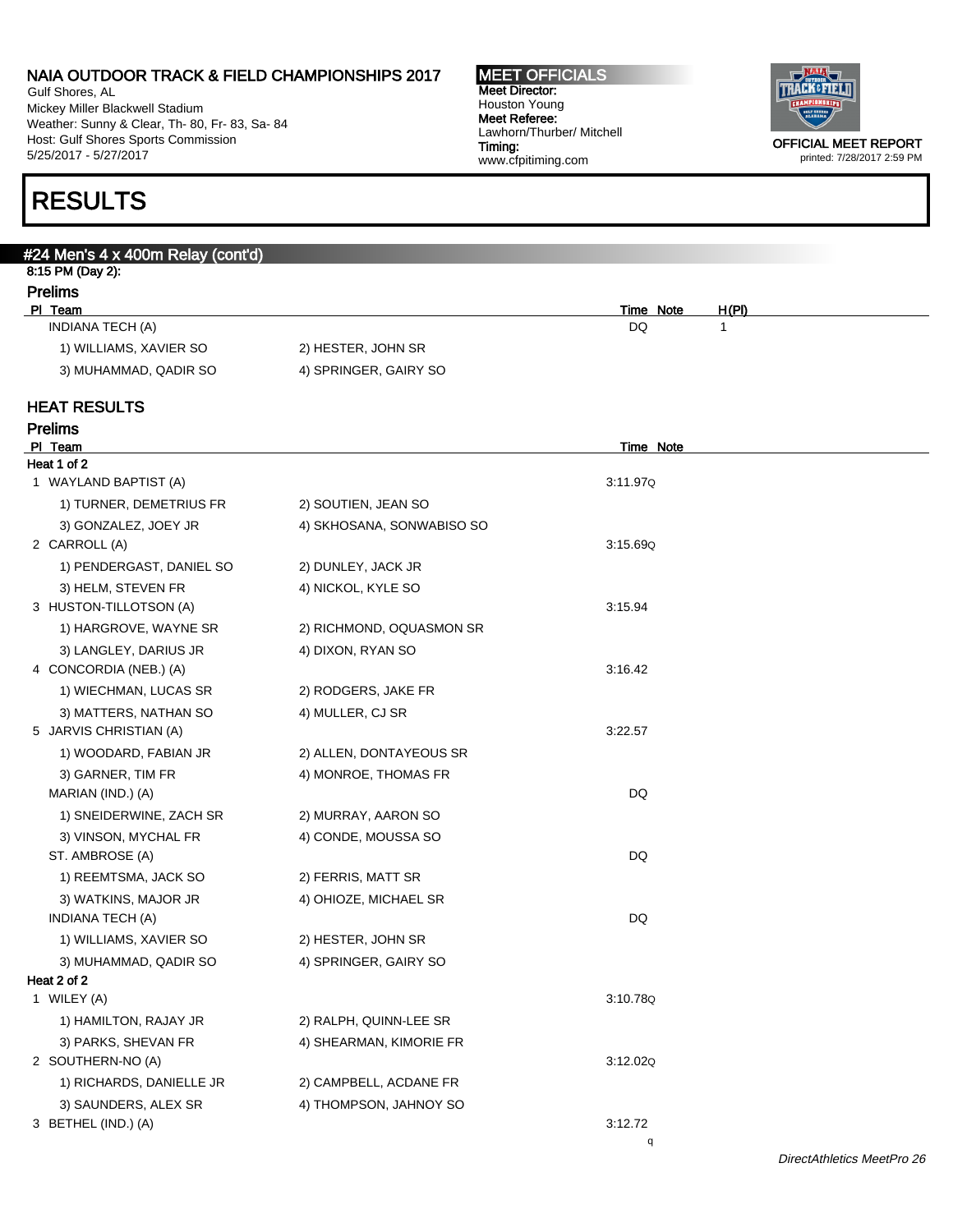Gulf Shores, AL Mickey Miller Blackwell Stadium Weather: Sunny & Clear, Th- 80, Fr- 83, Sa- 84 Host: Gulf Shores Sports Commission 5/25/2017 - 5/27/2017

#### MEET OFFICIALS Meet Director: Houston Young Meet Referee: Lawhorn/Thurber/ Mitchell Timing: www.cfpitiming.com



RESULTS

| #24 Men's 4 x 400m Relay (cont'd)<br>8:15 PM (Day 2): |                           |                    |
|-------------------------------------------------------|---------------------------|--------------------|
| <b>Prelims</b>                                        |                           |                    |
| PI Team                                               |                           | Time Note<br>H(PI) |
| INDIANA TECH (A)                                      |                           | DQ<br>1            |
| 1) WILLIAMS, XAVIER SO                                | 2) HESTER, JOHN SR        |                    |
| 3) MUHAMMAD, QADIR SO                                 | 4) SPRINGER, GAIRY SO     |                    |
| <b>HEAT RESULTS</b>                                   |                           |                    |
| <b>Prelims</b>                                        |                           |                    |
| PI Team                                               |                           | Time Note          |
| Heat 1 of 2                                           |                           |                    |
| 1 WAYLAND BAPTIST (A)                                 |                           | 3:11.97Q           |
| 1) TURNER, DEMETRIUS FR                               | 2) SOUTIEN, JEAN SO       |                    |
| 3) GONZALEZ, JOEY JR                                  | 4) SKHOSANA, SONWABISO SO |                    |
| 2 CARROLL (A)                                         |                           | 3:15.69Q           |
| 1) PENDERGAST, DANIEL SO                              | 2) DUNLEY, JACK JR        |                    |
| 3) HELM, STEVEN FR                                    | 4) NICKOL, KYLE SO        |                    |
| 3 HUSTON-TILLOTSON (A)                                |                           | 3:15.94            |
| 1) HARGROVE, WAYNE SR                                 | 2) RICHMOND, OQUASMON SR  |                    |
| 3) LANGLEY, DARIUS JR                                 | 4) DIXON, RYAN SO         |                    |
| 4 CONCORDIA (NEB.) (A)                                |                           | 3:16.42            |
| 1) WIECHMAN, LUCAS SR                                 | 2) RODGERS, JAKE FR       |                    |
| 3) MATTERS, NATHAN SO                                 | 4) MULLER, CJ SR          |                    |
| 5 JARVIS CHRISTIAN (A)                                |                           | 3:22.57            |
| 1) WOODARD, FABIAN JR                                 | 2) ALLEN, DONTAYEOUS SR   |                    |
| 3) GARNER, TIM FR                                     | 4) MONROE, THOMAS FR      |                    |
| MARIAN (IND.) (A)                                     |                           | DQ                 |
| 1) SNEIDERWINE, ZACH SR                               | 2) MURRAY, AARON SO       |                    |
| 3) VINSON, MYCHAL FR                                  | 4) CONDE, MOUSSA SO       |                    |
| ST. AMBROSE (A)                                       |                           | DQ                 |
| 1) REEMTSMA, JACK SO                                  | 2) FERRIS, MATT SR        |                    |
| 3) WATKINS, MAJOR JR                                  | 4) OHIOZE, MICHAEL SR     |                    |
| <b>INDIANA TECH (A)</b>                               |                           | DQ                 |
| 1) WILLIAMS, XAVIER SO                                | 2) HESTER, JOHN SR        |                    |
| 3) MUHAMMAD, QADIR SO                                 | 4) SPRINGER, GAIRY SO     |                    |
| Heat 2 of 2                                           |                           |                    |
| 1 WILEY (A)                                           |                           | 3:10.78Q           |
| 1) HAMILTON, RAJAY JR                                 | 2) RALPH, QUINN-LEE SR    |                    |
| 3) PARKS, SHEVAN FR                                   | 4) SHEARMAN, KIMORIE FR   |                    |
| 2 SOUTHERN-NO (A)                                     |                           | 3:12.02Q           |
| 1) RICHARDS, DANIELLE JR                              | 2) CAMPBELL, ACDANE FR    |                    |
| 3) SAUNDERS, ALEX SR                                  | 4) THOMPSON, JAHNOY SO    |                    |
| 3 BETHEL (IND.) (A)                                   |                           | 3:12.72            |
|                                                       |                           | q                  |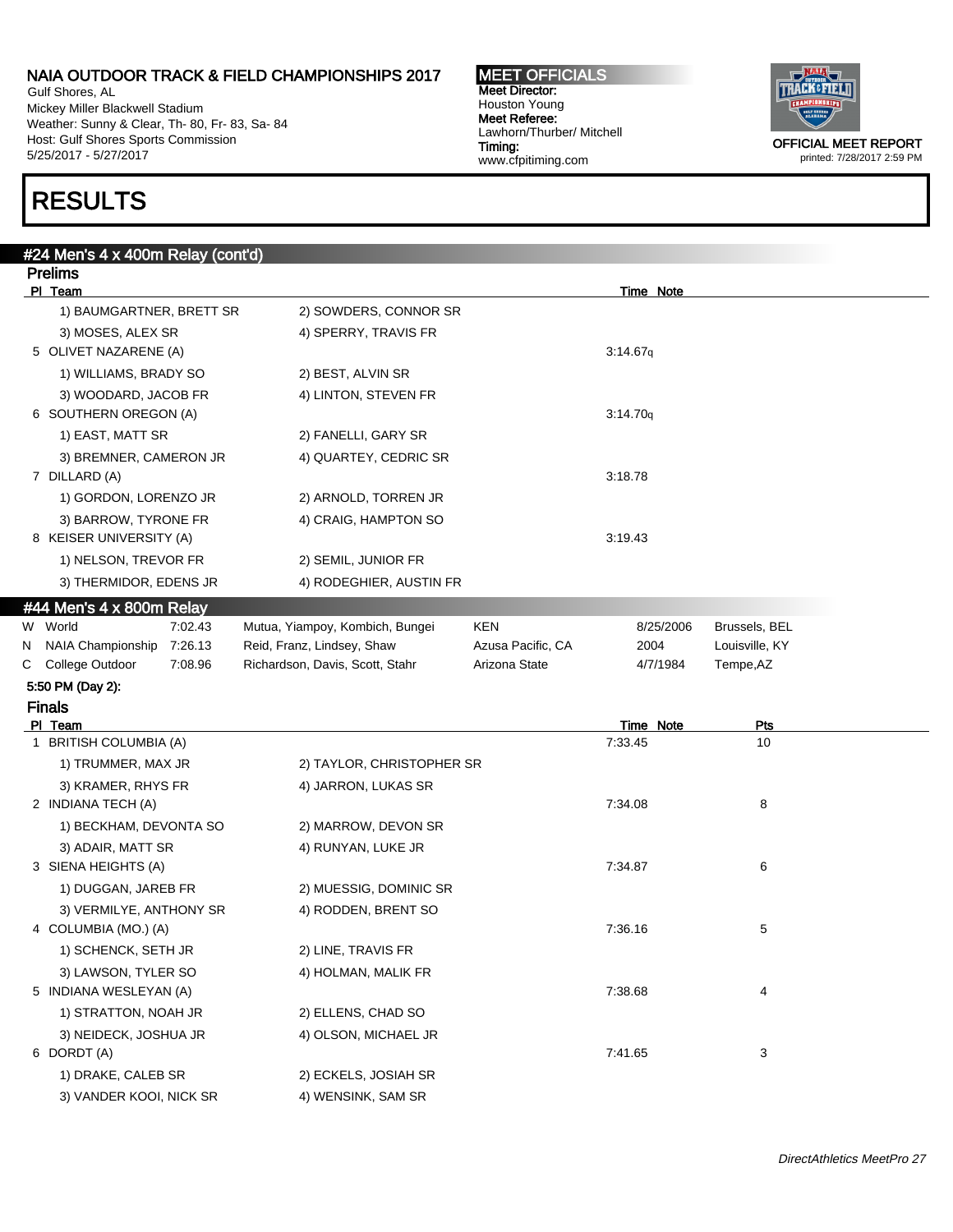Gulf Shores, AL Mickey Miller Blackwell Stadium Weather: Sunny & Clear, Th- 80, Fr- 83, Sa- 84 Host: Gulf Shores Sports Commission 5/25/2017 - 5/27/2017

## RESULTS

| #24 Men's 4 x 400m Relay (cont'd)             |                                 |                   |                             |                  |
|-----------------------------------------------|---------------------------------|-------------------|-----------------------------|------------------|
| <b>Prelims</b>                                |                                 |                   |                             |                  |
| PI Team                                       |                                 |                   | Time Note                   |                  |
| 1) BAUMGARTNER, BRETT SR                      | 2) SOWDERS, CONNOR SR           |                   |                             |                  |
| 3) MOSES, ALEX SR                             | 4) SPERRY, TRAVIS FR            |                   |                             |                  |
| 5 OLIVET NAZARENE (A)                         |                                 |                   | 3:14.67q                    |                  |
| 1) WILLIAMS, BRADY SO                         | 2) BEST, ALVIN SR               |                   |                             |                  |
| 3) WOODARD, JACOB FR<br>6 SOUTHERN OREGON (A) | 4) LINTON, STEVEN FR            |                   | 3:14.70q                    |                  |
| 1) EAST, MATT SR                              | 2) FANELLI, GARY SR             |                   |                             |                  |
| 3) BREMNER, CAMERON JR                        | 4) QUARTEY, CEDRIC SR           |                   |                             |                  |
| 7 DILLARD (A)                                 |                                 |                   | 3:18.78                     |                  |
| 1) GORDON, LORENZO JR                         | 2) ARNOLD, TORREN JR            |                   |                             |                  |
| 3) BARROW, TYRONE FR                          | 4) CRAIG, HAMPTON SO            |                   |                             |                  |
| 8 KEISER UNIVERSITY (A)                       |                                 |                   | 3:19.43                     |                  |
| 1) NELSON, TREVOR FR                          | 2) SEMIL, JUNIOR FR             |                   |                             |                  |
| 3) THERMIDOR, EDENS JR                        | 4) RODEGHIER, AUSTIN FR         |                   |                             |                  |
| #44 Men's 4 x 800m Relay                      |                                 |                   |                             |                  |
| 7:02.43<br>W World                            | Mutua, Yiampoy, Kombich, Bungei | KEN               | 8/25/2006                   | Brussels, BEL    |
| N NAIA Championship<br>7:26.13                | Reid, Franz, Lindsey, Shaw      | Azusa Pacific, CA | 2004                        | Louisville, KY   |
| C College Outdoor<br>7:08.96                  | Richardson, Davis, Scott, Stahr | Arizona State     | 4/7/1984                    | Tempe, AZ        |
| 5:50 PM (Day 2):                              |                                 |                   |                             |                  |
| <b>Finals</b>                                 |                                 |                   |                             |                  |
| PI Team<br>1 BRITISH COLUMBIA (A)             |                                 |                   | <b>Time Note</b><br>7:33.45 | <b>Pts</b><br>10 |
| 1) TRUMMER, MAX JR                            | 2) TAYLOR, CHRISTOPHER SR       |                   |                             |                  |
| 3) KRAMER, RHYS FR                            | 4) JARRON, LUKAS SR             |                   |                             |                  |
| 2 INDIANA TECH (A)                            |                                 |                   | 7:34.08                     | 8                |
| 1) BECKHAM, DEVONTA SO                        | 2) MARROW, DEVON SR             |                   |                             |                  |
| 3) ADAIR, MATT SR                             | 4) RUNYAN, LUKE JR              |                   |                             |                  |
| 3 SIENA HEIGHTS (A)                           |                                 |                   | 7:34.87                     | 6                |
| 1) DUGGAN, JAREB FR                           | 2) MUESSIG, DOMINIC SR          |                   |                             |                  |
| 3) VERMILYE, ANTHONY SR                       | 4) RODDEN, BRENT SO             |                   |                             |                  |
| 4 COLUMBIA (MO.) (A)                          |                                 |                   | 7:36.16                     | 5                |
| 1) SCHENCK, SETH JR                           | 2) LINE, TRAVIS FR              |                   |                             |                  |
| 3) LAWSON, TYLER SO                           | 4) HOLMAN, MALIK FR             |                   |                             |                  |
| 5 INDIANA WESLEYAN (A)                        |                                 |                   | 7:38.68                     | 4                |
| 1) STRATTON, NOAH JR                          | 2) ELLENS, CHAD SO              |                   |                             |                  |
| 3) NEIDECK, JOSHUA JR                         |                                 |                   |                             |                  |
|                                               | 4) OLSON, MICHAEL JR            |                   |                             |                  |
| 6 DORDT (A)                                   |                                 |                   | 7:41.65                     | 3                |
| 1) DRAKE, CALEB SR                            | 2) ECKELS, JOSIAH SR            |                   |                             |                  |



MEET OFFICIALS Meet Director: Houston Young Meet Referee:

Lawhorn/Thurber/ Mitchell

www.cfpitiming.com

Timing:

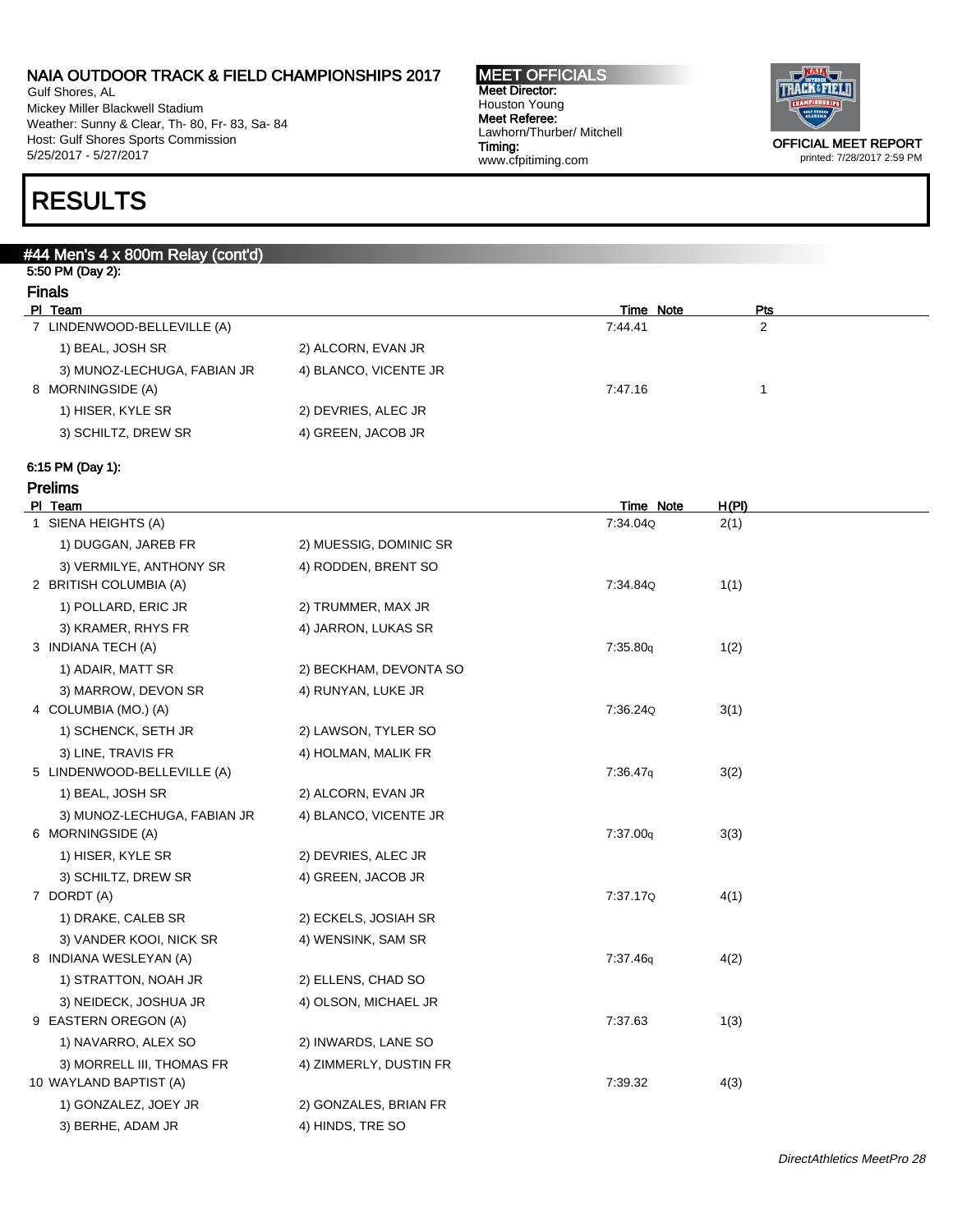Gulf Shores, AL Mickey Miller Blackwell Stadium Weather: Sunny & Clear, Th- 80, Fr- 83, Sa- 84 Host: Gulf Shores Sports Commission 5/25/2017 - 5/27/2017

#### MEET OFFICIALS Meet Director: Houston Young Meet Referee: Lawhorn/Thurber/ Mitchell Timing: www.cfpitiming.com



#### printed: 7/28/2017 2:59 PM

### RESULTS

### #44 Men's 4 x 800m Relay (cont'd) 5:50 PM (Day 2): Finals<br><u>PI Team</u> Pl Team Time Note Pts 7 LINDENWOOD-BELLEVILLE (A) 7:44.41 2 1) BEAL, JOSH SR 2) ALCORN, EVAN JR 3) MUNOZ-LECHUGA, FABIAN JR 4) BLANCO, VICENTE JR 8 MORNINGSIDE (A) 27:47.16 1 1) HISER, KYLE SR 2) DEVRIES, ALEC JR 3) SCHILTZ, DREW SR 4) GREEN, JACOB JR 6:15 PM (Day 1):

### Prelims

| PI Team                     |                        | Time Note | H(PI) |
|-----------------------------|------------------------|-----------|-------|
| 1 SIENA HEIGHTS (A)         |                        | 7:34.04Q  | 2(1)  |
| 1) DUGGAN, JAREB FR         | 2) MUESSIG, DOMINIC SR |           |       |
| 3) VERMILYE, ANTHONY SR     | 4) RODDEN, BRENT SO    |           |       |
| 2 BRITISH COLUMBIA (A)      |                        | 7:34.84Q  | 1(1)  |
| 1) POLLARD, ERIC JR         | 2) TRUMMER, MAX JR     |           |       |
| 3) KRAMER, RHYS FR          | 4) JARRON, LUKAS SR    |           |       |
| 3 INDIANA TECH (A)          |                        | 7:35.80q  | 1(2)  |
| 1) ADAIR, MATT SR           | 2) BECKHAM, DEVONTA SO |           |       |
| 3) MARROW, DEVON SR         | 4) RUNYAN, LUKE JR     |           |       |
| 4 COLUMBIA (MO.) (A)        |                        | 7:36.24Q  | 3(1)  |
| 1) SCHENCK, SETH JR         | 2) LAWSON, TYLER SO    |           |       |
| 3) LINE, TRAVIS FR          | 4) HOLMAN, MALIK FR    |           |       |
| 5 LINDENWOOD-BELLEVILLE (A) |                        | 7:36.47q  | 3(2)  |
| 1) BEAL, JOSH SR            | 2) ALCORN, EVAN JR     |           |       |
| 3) MUNOZ-LECHUGA, FABIAN JR | 4) BLANCO, VICENTE JR  |           |       |
| 6 MORNINGSIDE (A)           |                        | 7:37.00q  | 3(3)  |
| 1) HISER, KYLE SR           | 2) DEVRIES, ALEC JR    |           |       |
| 3) SCHILTZ, DREW SR         | 4) GREEN, JACOB JR     |           |       |
| 7 DORDT (A)                 |                        | 7:37.17Q  | 4(1)  |
| 1) DRAKE, CALEB SR          | 2) ECKELS, JOSIAH SR   |           |       |
| 3) VANDER KOOI, NICK SR     | 4) WENSINK, SAM SR     |           |       |
| 8 INDIANA WESLEYAN (A)      |                        | 7:37.46q  | 4(2)  |
| 1) STRATTON, NOAH JR        | 2) ELLENS, CHAD SO     |           |       |
| 3) NEIDECK, JOSHUA JR       | 4) OLSON, MICHAEL JR   |           |       |
| 9 EASTERN OREGON (A)        |                        | 7:37.63   | 1(3)  |
| 1) NAVARRO, ALEX SO         | 2) INWARDS, LANE SO    |           |       |
| 3) MORRELL III, THOMAS FR   | 4) ZIMMERLY, DUSTIN FR |           |       |
| 10 WAYLAND BAPTIST (A)      |                        | 7:39.32   | 4(3)  |
| 1) GONZALEZ, JOEY JR        | 2) GONZALES, BRIAN FR  |           |       |
| 3) BERHE, ADAM JR           | 4) HINDS, TRE SO       |           |       |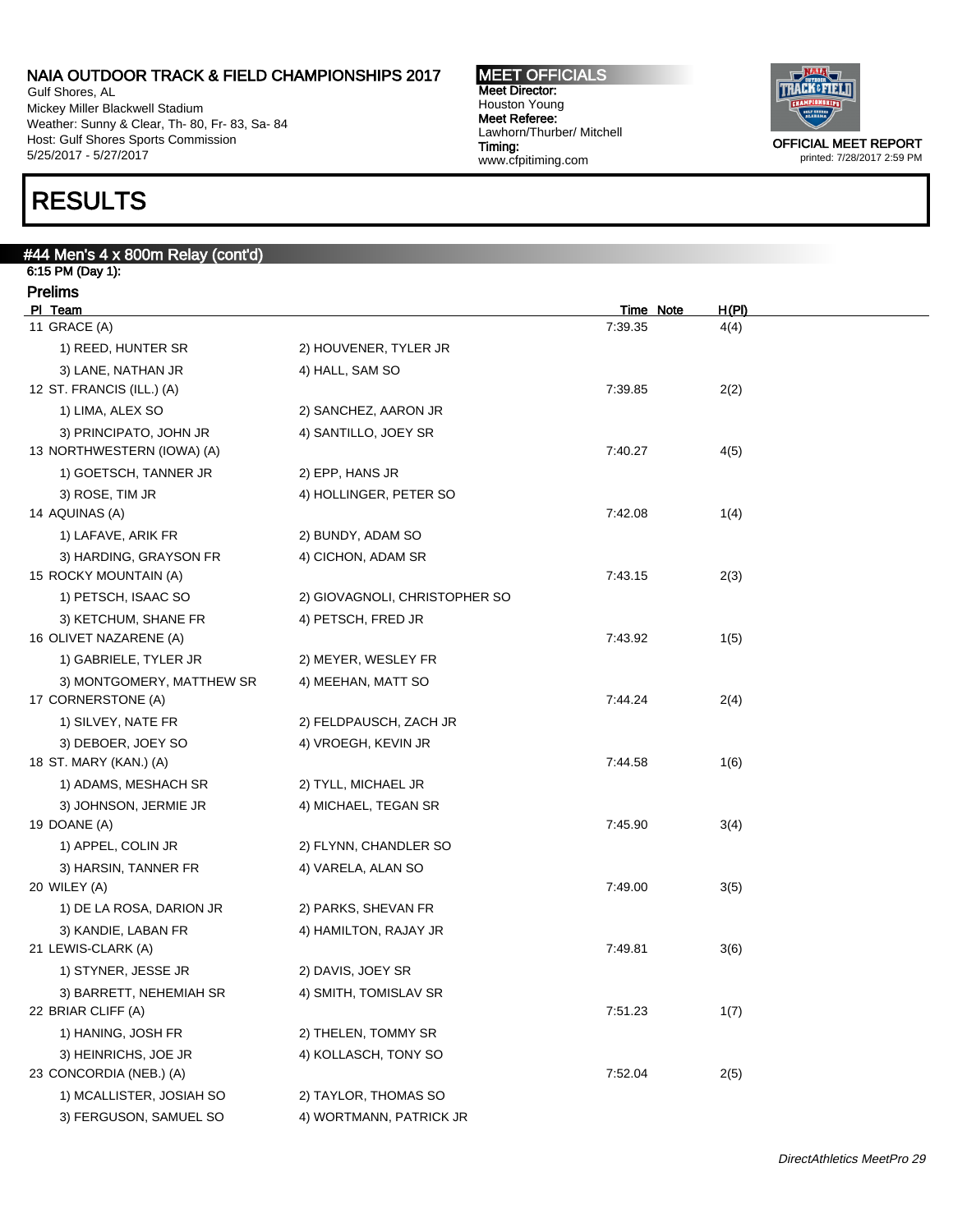Gulf Shores, AL Mickey Miller Blackwell Stadium Weather: Sunny & Clear, Th- 80, Fr- 83, Sa- 84 Host: Gulf Shores Sports Commission 5/25/2017 - 5/27/2017

## RESULTS

#### #44 Men's 4 x 800m Relay (cont'd)

6:15 PM (Day 1): Prelims

| <u>Fiellins</u><br>PI Team           |                               | Time Note | H(PI) |
|--------------------------------------|-------------------------------|-----------|-------|
| 11 GRACE (A)                         |                               | 7:39.35   | 4(4)  |
| 1) REED, HUNTER SR                   | 2) HOUVENER, TYLER JR         |           |       |
| 3) LANE, NATHAN JR                   | 4) HALL, SAM SO               |           |       |
| 12 ST. FRANCIS (ILL.) (A)            |                               | 7:39.85   | 2(2)  |
| 1) LIMA, ALEX SO                     | 2) SANCHEZ, AARON JR          |           |       |
| 3) PRINCIPATO, JOHN JR               | 4) SANTILLO, JOEY SR          |           |       |
| 13 NORTHWESTERN (IOWA) (A)           |                               | 7:40.27   | 4(5)  |
| 1) GOETSCH, TANNER JR                | 2) EPP, HANS JR               |           |       |
| 3) ROSE, TIM JR                      | 4) HOLLINGER, PETER SO        |           |       |
| 14 AQUINAS (A)                       |                               | 7:42.08   | 1(4)  |
| 1) LAFAVE, ARIK FR                   | 2) BUNDY, ADAM SO             |           |       |
| 3) HARDING, GRAYSON FR               | 4) CICHON, ADAM SR            |           |       |
| 15 ROCKY MOUNTAIN (A)                |                               | 7:43.15   | 2(3)  |
| 1) PETSCH, ISAAC SO                  | 2) GIOVAGNOLI, CHRISTOPHER SO |           |       |
| 3) KETCHUM, SHANE FR                 | 4) PETSCH, FRED JR            |           |       |
| 16 OLIVET NAZARENE (A)               |                               | 7:43.92   | 1(5)  |
| 1) GABRIELE, TYLER JR                | 2) MEYER, WESLEY FR           |           |       |
| 3) MONTGOMERY, MATTHEW SR            | 4) MEEHAN, MATT SO            |           |       |
| 17 CORNERSTONE (A)                   |                               | 7:44.24   | 2(4)  |
| 1) SILVEY, NATE FR                   | 2) FELDPAUSCH, ZACH JR        |           |       |
| 3) DEBOER, JOEY SO                   | 4) VROEGH, KEVIN JR           |           |       |
| 18 ST. MARY (KAN.) (A)               |                               | 7:44.58   | 1(6)  |
| 1) ADAMS, MESHACH SR                 | 2) TYLL, MICHAEL JR           |           |       |
| 3) JOHNSON, JERMIE JR                | 4) MICHAEL, TEGAN SR          | 7:45.90   |       |
| 19 DOANE (A)                         |                               |           | 3(4)  |
| 1) APPEL, COLIN JR                   | 2) FLYNN, CHANDLER SO         |           |       |
| 3) HARSIN, TANNER FR<br>20 WILEY (A) | 4) VARELA, ALAN SO            | 7:49.00   | 3(5)  |
| 1) DE LA ROSA, DARION JR             | 2) PARKS, SHEVAN FR           |           |       |
| 3) KANDIE, LABAN FR                  | 4) HAMILTON, RAJAY JR         |           |       |
| 21 LEWIS-CLARK (A)                   |                               | 7:49.81   | 3(6)  |
| 1) STYNER, JESSE JR                  | 2) DAVIS, JOEY SR             |           |       |
| 3) BARRETT, NEHEMIAH SR              | 4) SMITH, TOMISLAV SR         |           |       |
| 22 BRIAR CLIFF (A)                   |                               | 7:51.23   | 1(7)  |
| 1) HANING, JOSH FR                   | 2) THELEN, TOMMY SR           |           |       |
| 3) HEINRICHS, JOE JR                 | 4) KOLLASCH, TONY SO          |           |       |
| 23 CONCORDIA (NEB.) (A)              |                               | 7:52.04   | 2(5)  |
| 1) MCALLISTER, JOSIAH SO             | 2) TAYLOR, THOMAS SO          |           |       |
| 3) FERGUSON, SAMUEL SO               | 4) WORTMANN, PATRICK JR       |           |       |

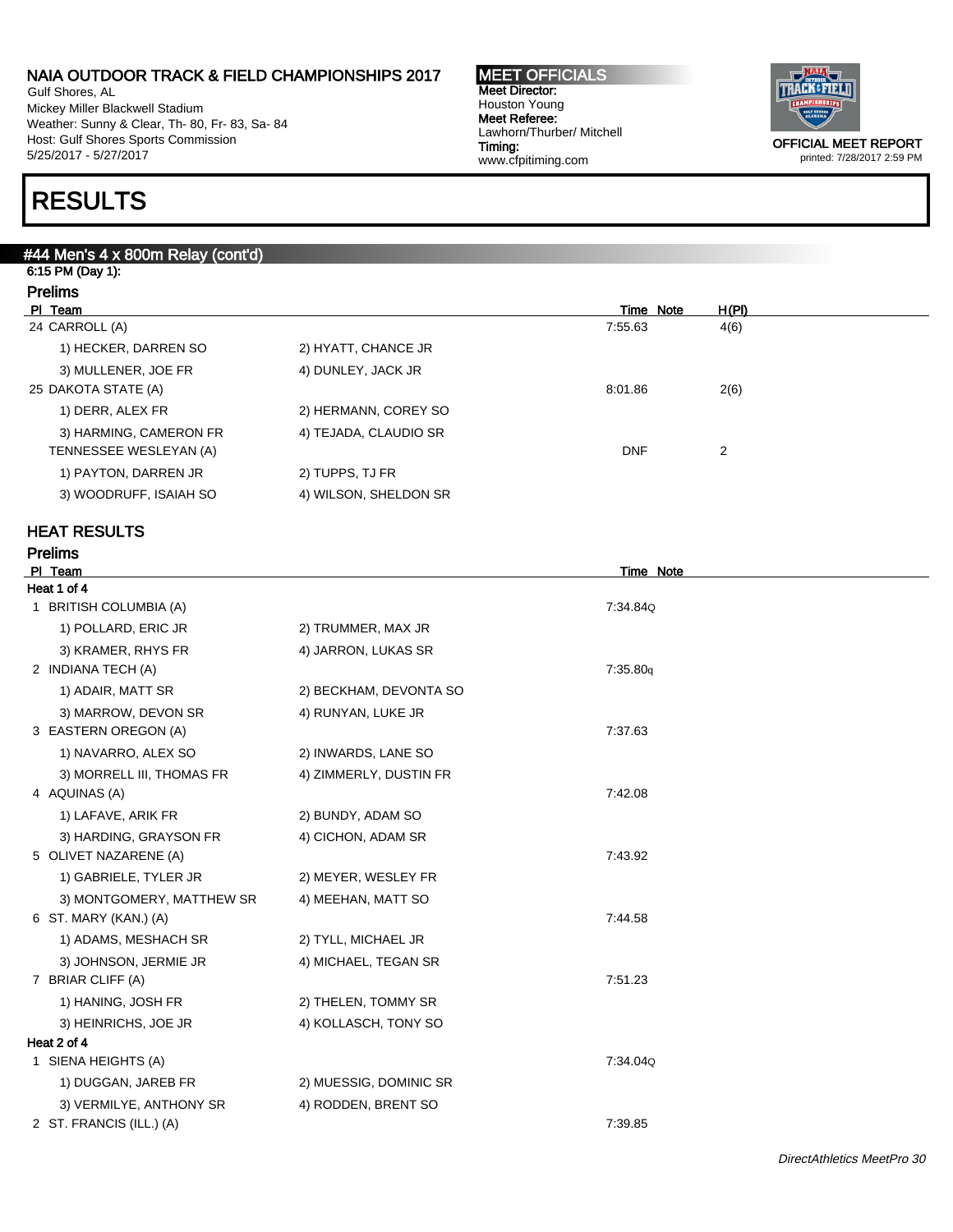Gulf Shores, AL Mickey Miller Blackwell Stadium Weather: Sunny & Clear, Th- 80, Fr- 83, Sa- 84 Host: Gulf Shores Sports Commission 5/25/2017 - 5/27/2017

# RESULTS

#### #44 Men's 4 x 800m Relay (cont'd)

6:15 PM (Day 1): Prelims

| гісшір                 |                       |            |       |
|------------------------|-----------------------|------------|-------|
| PI Team                |                       | Time Note  | H(PI) |
| 24 CARROLL (A)         |                       | 7:55.63    | 4(6)  |
| 1) HECKER, DARREN SO   | 2) HYATT, CHANCE JR   |            |       |
| 3) MULLENER, JOE FR    | 4) DUNLEY, JACK JR    |            |       |
| 25 DAKOTA STATE (A)    |                       | 8:01.86    | 2(6)  |
| 1) DERR, ALEX FR       | 2) HERMANN, COREY SO  |            |       |
| 3) HARMING, CAMERON FR | 4) TEJADA, CLAUDIO SR |            |       |
| TENNESSEE WESLEYAN (A) |                       | <b>DNF</b> | 2     |
| 1) PAYTON, DARREN JR   | 2) TUPPS, TJ FR       |            |       |
| 3) WOODRUFF, ISAIAH SO | 4) WILSON, SHELDON SR |            |       |
|                        |                       |            |       |

#### HEAT RESULTS

| <b>Prelims</b>            |                        |           |  |
|---------------------------|------------------------|-----------|--|
| PI Team                   |                        | Time Note |  |
| Heat 1 of 4               |                        |           |  |
| 1 BRITISH COLUMBIA (A)    |                        | 7:34.84Q  |  |
| 1) POLLARD, ERIC JR       | 2) TRUMMER, MAX JR     |           |  |
| 3) KRAMER, RHYS FR        | 4) JARRON, LUKAS SR    |           |  |
| 2 INDIANA TECH (A)        |                        | 7:35.80q  |  |
| 1) ADAIR, MATT SR         | 2) BECKHAM, DEVONTA SO |           |  |
| 3) MARROW, DEVON SR       | 4) RUNYAN, LUKE JR     |           |  |
| 3 EASTERN OREGON (A)      |                        | 7:37.63   |  |
| 1) NAVARRO, ALEX SO       | 2) INWARDS, LANE SO    |           |  |
| 3) MORRELL III, THOMAS FR | 4) ZIMMERLY, DUSTIN FR |           |  |
| 4 AQUINAS (A)             |                        | 7:42.08   |  |
| 1) LAFAVE, ARIK FR        | 2) BUNDY, ADAM SO      |           |  |
| 3) HARDING, GRAYSON FR    | 4) CICHON, ADAM SR     |           |  |
| 5 OLIVET NAZARENE (A)     |                        | 7:43.92   |  |
| 1) GABRIELE, TYLER JR     | 2) MEYER, WESLEY FR    |           |  |
| 3) MONTGOMERY, MATTHEW SR | 4) MEEHAN, MATT SO     |           |  |
| 6 ST. MARY (KAN.) (A)     |                        | 7:44.58   |  |
| 1) ADAMS, MESHACH SR      | 2) TYLL, MICHAEL JR    |           |  |
| 3) JOHNSON, JERMIE JR     | 4) MICHAEL, TEGAN SR   |           |  |
| 7 BRIAR CLIFF (A)         |                        | 7:51.23   |  |
| 1) HANING, JOSH FR        | 2) THELEN, TOMMY SR    |           |  |
| 3) HEINRICHS, JOE JR      | 4) KOLLASCH, TONY SO   |           |  |
| Heat 2 of 4               |                        |           |  |
| 1 SIENA HEIGHTS (A)       |                        | 7:34.04Q  |  |
| 1) DUGGAN, JAREB FR       | 2) MUESSIG, DOMINIC SR |           |  |
| 3) VERMILYE, ANTHONY SR   | 4) RODDEN, BRENT SO    |           |  |
| 2 ST. FRANCIS (ILL.) (A)  |                        | 7:39.85   |  |



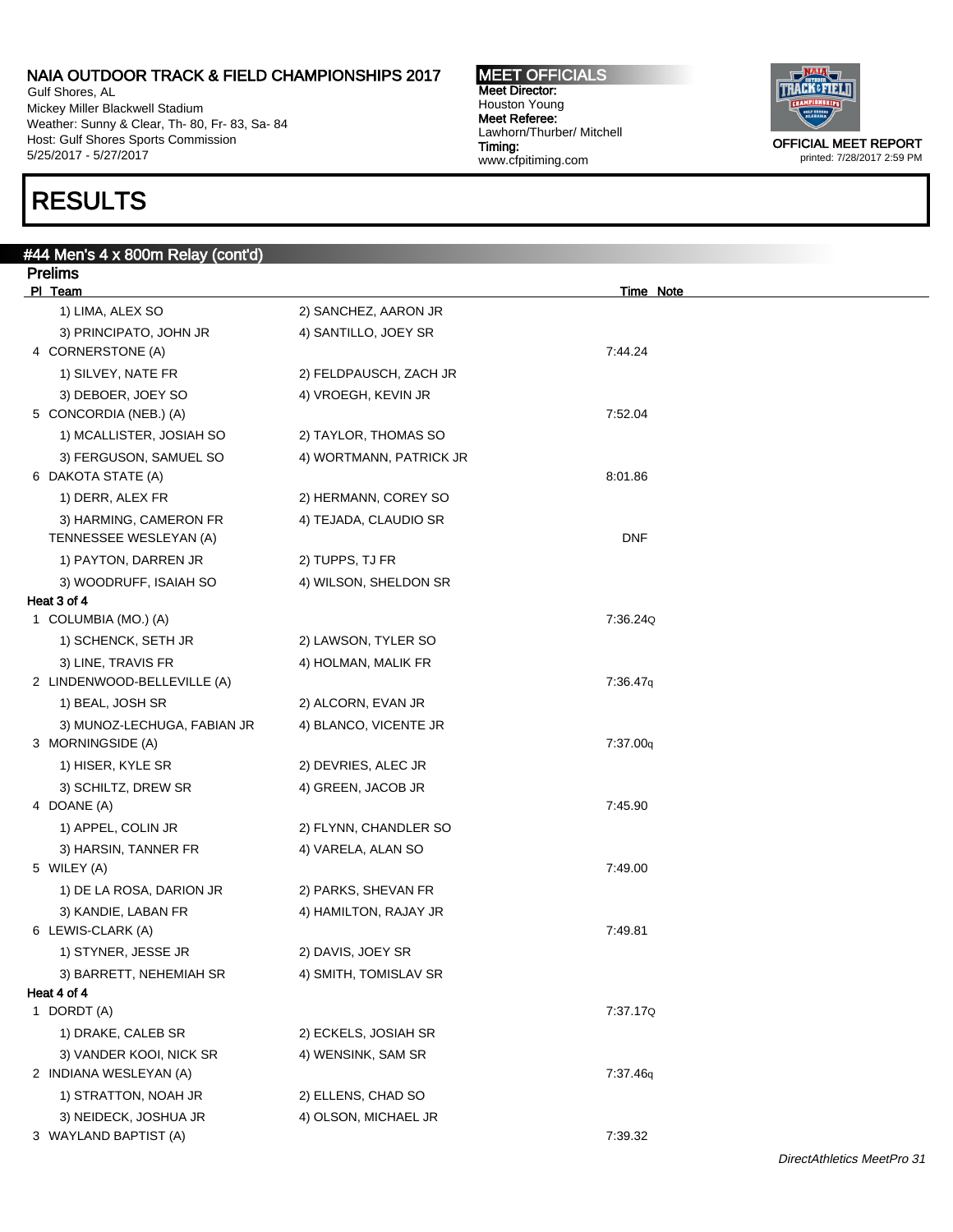Gulf Shores, AL Mickey Miller Blackwell Stadium Weather: Sunny & Clear, Th- 80, Fr- 83, Sa- 84 Host: Gulf Shores Sports Commission 5/25/2017 - 5/27/2017

#44 Men's 4 x 800m Relay (cont'd)

## RESULTS

MEET OFFICIALS Meet Director: Houston Young Meet Referee: Lawhorn/Thurber/ Mitchell Timing: www.cfpitiming.com



printed: 7/28/2017 2:59 PM

| <b>Prelims</b><br>PI Team                   |                         | Time Note  |  |
|---------------------------------------------|-------------------------|------------|--|
| 1) LIMA, ALEX SO                            | 2) SANCHEZ, AARON JR    |            |  |
|                                             |                         |            |  |
| 3) PRINCIPATO, JOHN JR<br>4 CORNERSTONE (A) | 4) SANTILLO, JOEY SR    | 7:44.24    |  |
| 1) SILVEY, NATE FR                          | 2) FELDPAUSCH, ZACH JR  |            |  |
| 3) DEBOER, JOEY SO                          | 4) VROEGH, KEVIN JR     |            |  |
| 5 CONCORDIA (NEB.) (A)                      |                         | 7:52.04    |  |
| 1) MCALLISTER, JOSIAH SO                    | 2) TAYLOR, THOMAS SO    |            |  |
| 3) FERGUSON, SAMUEL SO                      | 4) WORTMANN, PATRICK JR |            |  |
| 6 DAKOTA STATE (A)                          |                         | 8:01.86    |  |
| 1) DERR, ALEX FR                            | 2) HERMANN, COREY SO    |            |  |
| 3) HARMING, CAMERON FR                      | 4) TEJADA, CLAUDIO SR   |            |  |
| TENNESSEE WESLEYAN (A)                      |                         | <b>DNF</b> |  |
| 1) PAYTON, DARREN JR                        | 2) TUPPS, TJ FR         |            |  |
| 3) WOODRUFF, ISAIAH SO                      | 4) WILSON, SHELDON SR   |            |  |
| Heat 3 of 4                                 |                         |            |  |
| 1 COLUMBIA (MO.) (A)                        |                         | 7:36.24Q   |  |
| 1) SCHENCK, SETH JR                         | 2) LAWSON, TYLER SO     |            |  |
| 3) LINE, TRAVIS FR                          | 4) HOLMAN, MALIK FR     |            |  |
| 2 LINDENWOOD-BELLEVILLE (A)                 |                         | 7:36.47q   |  |
| 1) BEAL, JOSH SR                            | 2) ALCORN, EVAN JR      |            |  |
| 3) MUNOZ-LECHUGA, FABIAN JR                 | 4) BLANCO, VICENTE JR   |            |  |
| 3 MORNINGSIDE (A)                           |                         | 7:37.00q   |  |
| 1) HISER, KYLE SR                           | 2) DEVRIES, ALEC JR     |            |  |
| 3) SCHILTZ, DREW SR                         | 4) GREEN, JACOB JR      |            |  |
| 4 DOANE (A)                                 |                         | 7:45.90    |  |
| 1) APPEL, COLIN JR                          | 2) FLYNN, CHANDLER SO   |            |  |
| 3) HARSIN, TANNER FR                        | 4) VARELA, ALAN SO      |            |  |
| 5 WILEY (A)                                 |                         | 7:49.00    |  |
| 1) DE LA ROSA, DARION JR                    | 2) PARKS, SHEVAN FR     |            |  |
| 3) KANDIE, LABAN FR                         | 4) HAMILTON, RAJAY JR   |            |  |
| 6 LEWIS-CLARK (A)                           |                         | 7:49.81    |  |
| 1) STYNER, JESSE JR                         | 2) DAVIS, JOEY SR       |            |  |
| 3) BARRETT, NEHEMIAH SR<br>Heat 4 of 4      | 4) SMITH, TOMISLAV SR   |            |  |
| 1 DORDT (A)                                 |                         | 7:37.17Q   |  |
| 1) DRAKE, CALEB SR                          | 2) ECKELS, JOSIAH SR    |            |  |
| 3) VANDER KOOI, NICK SR                     | 4) WENSINK, SAM SR      |            |  |
| 2 INDIANA WESLEYAN (A)                      |                         | 7:37.46q   |  |
| 1) STRATTON, NOAH JR                        | 2) ELLENS, CHAD SO      |            |  |
| 3) NEIDECK, JOSHUA JR                       | 4) OLSON, MICHAEL JR    |            |  |
| 3 WAYLAND BAPTIST (A)                       |                         | 7:39.32    |  |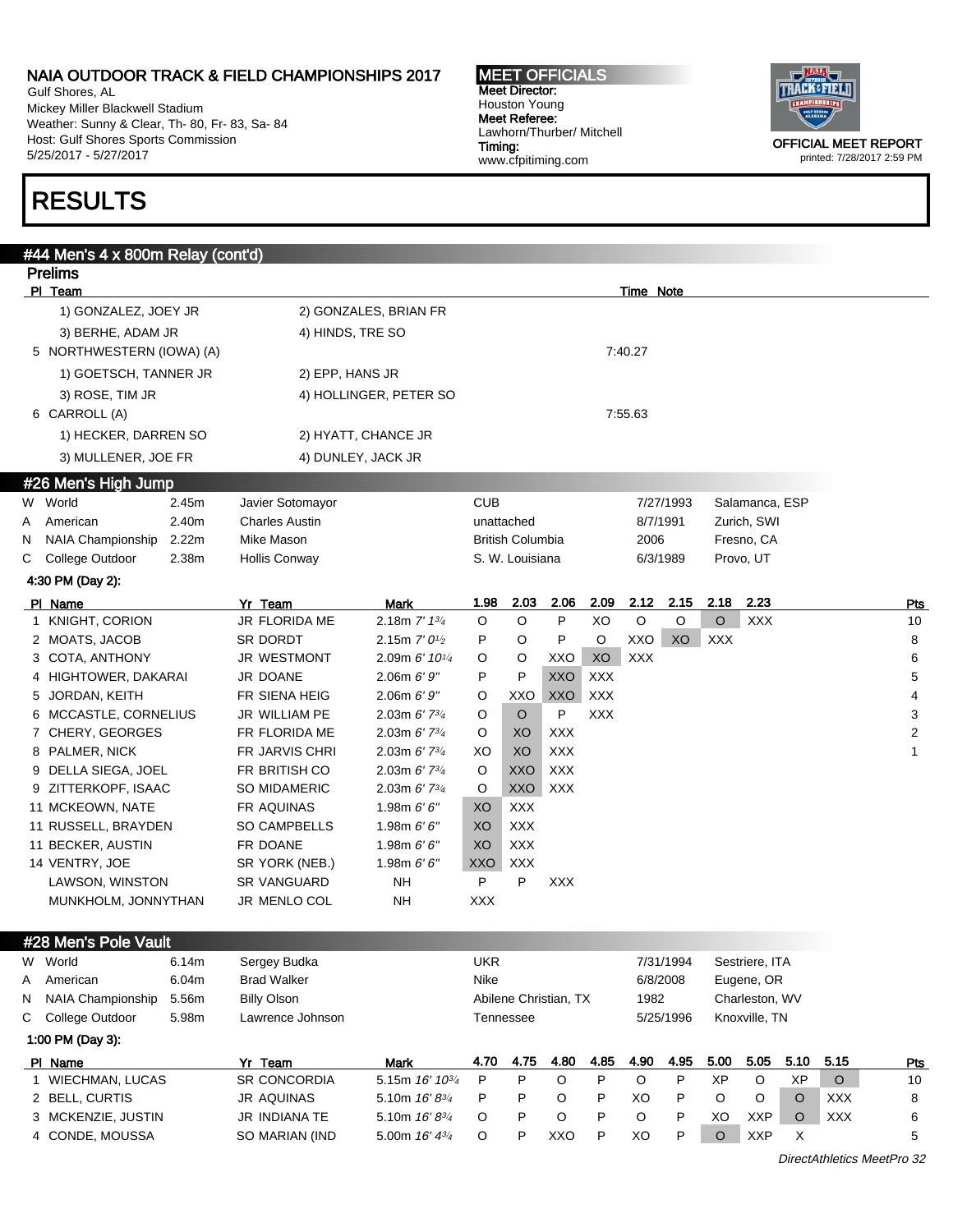Gulf Shores, AL Mickey Miller Blackwell Stadium Weather: Sunny & Clear, Th- 80, Fr- 83, Sa- 84 Host: Gulf Shores Sports Commission 5/25/2017 - 5/27/2017

## RESULTS

#### #44 Men's 4 x 800m Relay (cont'd) Prelims PI Team Time Note 1) GONZALEZ, JOEY JR 2) GONZALES, BRIAN FR 3) BERHE, ADAM JR 4) HINDS, TRE SO 5 NORTHWESTERN (IOWA) (A) 7:40.27 1) GOETSCH, TANNER JR 2) EPP, HANS JR 3) ROSE, TIM JR 4) HOLLINGER, PETER SO 6 CARROLL (A) 7:55.63 1) HECKER, DARREN SO 2) HYATT, CHANCE JR 3) MULLENER, JOE FR 4) DUNLEY, JACK JR #26 Men's High Jump W World **2.45m** Javier Sotomayor CUB CUB 7/27/1993 Salamanca, ESP A American 2.40m Charles Austin **1988** and the unattached 8/7/1991 Zurich, SWI N NAIA Championship 2.22m Mike Mason British Columbia 2006 Fresno, CA C College Outdoor 2.38m Hollis Conway S.W. Louisiana 6/3/1989 Provo, UT 4:30 PM (Day 2): Pl Name Yr Team Mark 1.98 2.03 2.06 2.09 2.12 2.15 2.18 2.23 Pts 1 KNIGHT, CORION JR FLORIDA ME 2.18m 7' 13/<sup>4</sup> O O P XO O O O XXX 10 2 MOATS, JACOB SR DORDT 2.15m 7' 01/2 P O P O XXO XO XXX 8 8 3 COTA, ANTHONY JR WESTMONT 2.09m 6' 101/<sup>4</sup> O O XXO XO XXX 6 4 HIGHTOWER, DAKARAI JR DOANE 2.06m 6' 9" P P XXO XXX 5 5 JORDAN, KEITH FR SIENA HEIG 2.06m 6' 9" O XXO XXO XXX 4 6 MCCASTLE, CORNELIUS JR WILLIAM PE 2.03m 6' 7<sup>3/</sup>4 O O P XXX 3 3 3 7 CHERY, GEORGES FR FLORIDA ME 2.03m 6' 734 O XO XXX 2 8 PALMER, NICK FR JARVIS CHRI 2.03m 6' 734 XO XO XXX 1 9 DELLA SIEGA, JOEL FR BRITISH CO 2.03m 6' 73/4 O XXO XXX 9 ZITTERKOPF, ISAAC SO MIDAMERIC 2.03m 6' 73/4 O XXO XXX 11 MCKEOWN, NATE FR AQUINAS 1.98m 6' 6" XO XXX 11 RUSSELL, BRAYDEN SO CAMPBELLS 1.98m 6' 6" XO XXX 11 BECKER, AUSTIN FR DOANE 1.98m 6' 6" XO XXX 14 VENTRY, JOE SR YORK (NEB.) 1.98m 6' 6" XXO XXX LAWSON, WINSTON SR VANGUARD NH PP XXX MUNKHOLM, JONNYTHAN JR MENLO COL NH XXX #28 Men's Pole Vault W World 6.14m Sergey Budka UKR 7/31/1994 Sestriere, ITA A American 6.04m Brad Walker Nike 6/8/2008 Eugene, OR N NAIA Championship 5.56m Billy Olson Accord Abilene Christian, TX 1982 Charleston, WV C College Outdoor 5.98m Lawrence Johnson Tennessee 5/25/1996 Knoxville, TN 1:00 PM (Day 3): Pl Name Yr Team Mark 4.70 4.75 4.80 4.85 4.90 4.95 5.00 5.05 5.10 5.15 Pts 1 WIECHMAN, LUCAS SR CONCORDIA 5.15m 16' 10<sup>3</sup>4 P P O P O P XP O XP O 10 2 BELL, CURTIS JR AQUINAS 5.10m 16' 83/<sup>4</sup> P P O P XO P O O O XXX 8 3 MCKENZIE, JUSTIN JR INDIANA TE 5.10m 16' 834 O P O P O P XO XXP O XXX 6

4 CONDE, MOUSSA SO MARIAN (IND 5.00m 16' 434 O P XXO P XO P O XXP X 5

MEET OFFICIALS Meet Director: Houston Young Meet Referee: Lawhorn/Thurber/ Mitchell Timing: www.cfpitiming.com



DirectAthletics MeetPro 32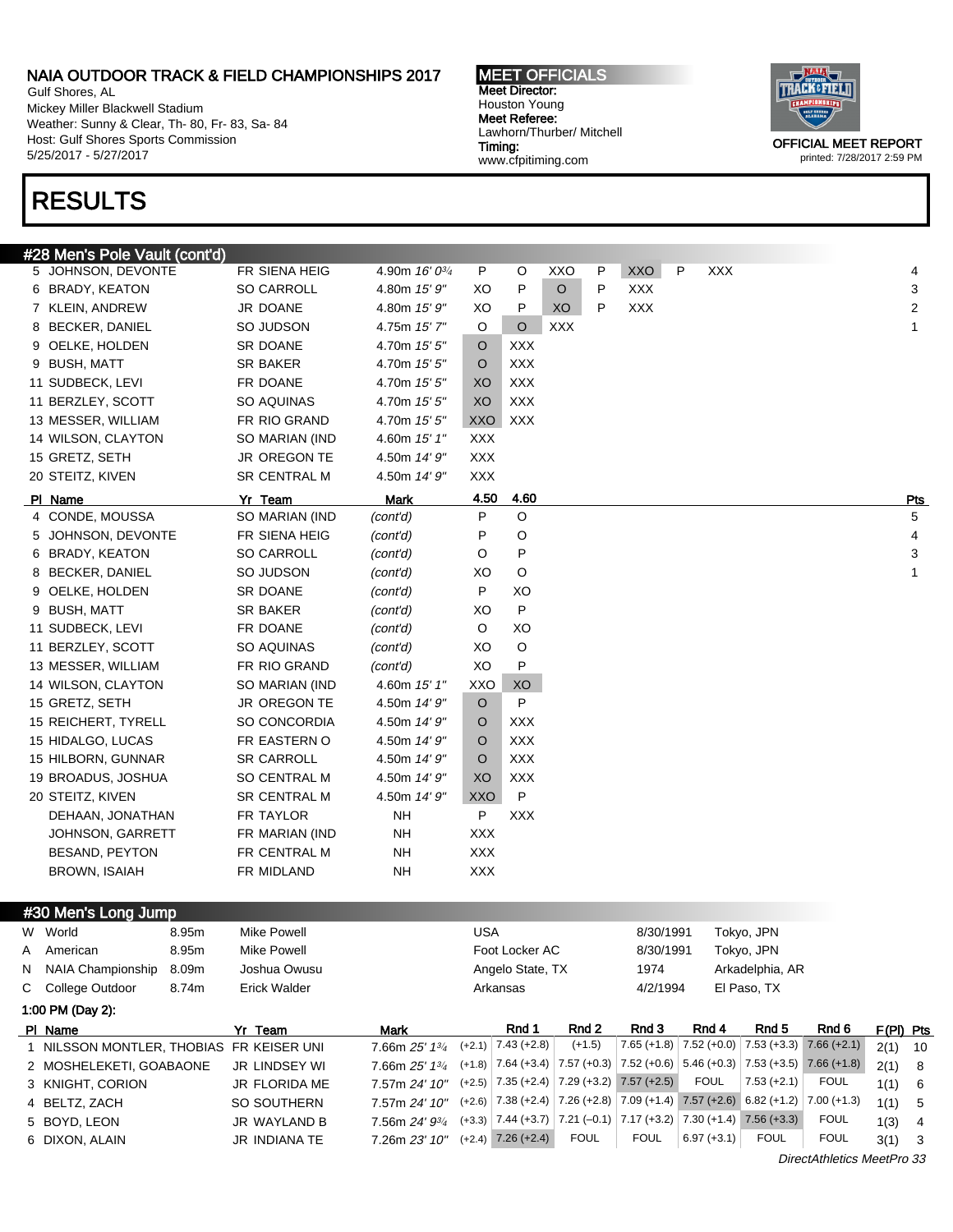Gulf Shores, AL Mickey Miller Blackwell Stadium Weather: Sunny & Clear, Th- 80, Fr- 83, Sa- 84 Host: Gulf Shores Sports Commission 5/25/2017 - 5/27/2017

## RESULTS

#### #28 Men's Pole Vault (cont'd)

| O<br><b>SO CARROLL</b><br>P<br>6 BRADY, KEATON<br>4.80m 15' 9"<br>XO<br>P<br><b>XXX</b><br>JR DOANE<br>P<br><b>XXX</b><br>XO<br>P<br>XO<br>7 KLEIN, ANDREW<br>4.80m 15' 9"<br>SO JUDSON<br>O<br><b>XXX</b><br>8 BECKER, DANIEL<br>4.75m 15'7"<br>O<br><b>XXX</b><br>9 OELKE, HOLDEN<br>SR DOANE<br>4.70m 15' 5"<br>O<br><b>XXX</b><br>9 BUSH, MATT<br><b>SR BAKER</b><br>4.70m 15' 5"<br>$\circ$<br><b>XXX</b><br>11 SUDBECK, LEVI<br>FR DOANE<br>4.70m 15' 5"<br>XO<br><b>XXX</b><br>11 BERZLEY, SCOTT<br>SO AQUINAS<br>4.70m 15' 5"<br>XO<br><b>XXX</b><br>13 MESSER, WILLIAM<br>FR RIO GRAND<br><b>XXO</b><br>4.70m 15' 5"<br>14 WILSON, CLAYTON<br>SO MARIAN (IND<br><b>XXX</b><br>4.60m 15' 1"<br>JR OREGON TE<br><b>XXX</b><br>15 GRETZ, SETH<br>4.50m 14' 9"<br><b>SR CENTRAL M</b><br><b>XXX</b><br>20 STEITZ, KIVEN<br>4.50m 14' 9"<br>4.50<br>4.60<br>Yr Team<br>PI Name<br><b>Mark</b><br>P<br>$\circ$<br>4 CONDE, MOUSSA<br>SO MARIAN (IND<br>(cont'd)<br>P<br>O<br>5 JOHNSON, DEVONTE<br>FR SIENA HEIG<br>(cont'd)<br><b>SO CARROLL</b><br>P<br>6 BRADY, KEATON<br>O<br>(cont'd)<br>8 BECKER, DANIEL<br>SO JUDSON<br>XO<br>O<br>(cont'd)<br>P<br>XO<br>9 OELKE, HOLDEN<br>SR DOANE<br>(cont'd)<br>P<br>9 BUSH, MATT<br>XO<br>SR BAKER<br>(cont'd)<br>O<br>XO<br>11 SUDBECK, LEVI<br>FR DOANE<br>(cont'd)<br>XO<br>O<br>11 BERZLEY, SCOTT<br>SO AQUINAS<br>(cont'd)<br>P<br>XO<br>13 MESSER, WILLIAM<br>FR RIO GRAND<br>(cont'd)<br>XO<br>14 WILSON, CLAYTON<br>SO MARIAN (IND<br>XXO<br>4.60m 15' 1"<br>P<br>$\circ$<br>15 GRETZ, SETH<br>JR OREGON TE<br>4.50m 14' 9"<br><b>XXX</b><br>15 REICHERT, TYRELL<br>SO CONCORDIA<br>4.50m 14' 9"<br>$\circ$<br><b>XXX</b><br>15 HIDALGO, LUCAS<br>FR EASTERN O<br>4.50m 14' 9"<br>$\circ$<br><b>XXX</b><br><b>SR CARROLL</b><br>15 HILBORN, GUNNAR<br>4.50m 14' 9"<br>$\circ$<br><b>XXX</b><br>19 BROADUS, JOSHUA<br><b>SO CENTRAL M</b><br>4.50m 14' 9"<br>XO<br>P<br>20 STEITZ, KIVEN<br><b>SR CENTRAL M</b><br>4.50m 14' 9"<br>XXO<br>P<br>FR TAYLOR<br><b>NH</b><br><b>XXX</b><br>DEHAAN, JONATHAN<br><b>XXX</b><br>FR MARIAN (IND<br><b>NH</b><br>JOHNSON, GARRETT<br>FR CENTRAL M<br><b>XXX</b><br>BESAND, PEYTON<br>NH<br><b>BROWN, ISAIAH</b><br>FR MIDLAND<br><b>NH</b><br><b>XXX</b> | 5 JOHNSON, DEVONTE | FR SIENA HEIG | 4.90m 16' 03/4 | P | O | XXO | P | XXO | P | <b>XXX</b> | 4          |
|--------------------------------------------------------------------------------------------------------------------------------------------------------------------------------------------------------------------------------------------------------------------------------------------------------------------------------------------------------------------------------------------------------------------------------------------------------------------------------------------------------------------------------------------------------------------------------------------------------------------------------------------------------------------------------------------------------------------------------------------------------------------------------------------------------------------------------------------------------------------------------------------------------------------------------------------------------------------------------------------------------------------------------------------------------------------------------------------------------------------------------------------------------------------------------------------------------------------------------------------------------------------------------------------------------------------------------------------------------------------------------------------------------------------------------------------------------------------------------------------------------------------------------------------------------------------------------------------------------------------------------------------------------------------------------------------------------------------------------------------------------------------------------------------------------------------------------------------------------------------------------------------------------------------------------------------------------------------------------------------------------------------------------------------------------------------------------------------------------------------------------------------------------------------------------------------------------------------------------------------------------|--------------------|---------------|----------------|---|---|-----|---|-----|---|------------|------------|
|                                                                                                                                                                                                                                                                                                                                                                                                                                                                                                                                                                                                                                                                                                                                                                                                                                                                                                                                                                                                                                                                                                                                                                                                                                                                                                                                                                                                                                                                                                                                                                                                                                                                                                                                                                                                                                                                                                                                                                                                                                                                                                                                                                                                                                                        |                    |               |                |   |   |     |   |     |   |            | 3          |
|                                                                                                                                                                                                                                                                                                                                                                                                                                                                                                                                                                                                                                                                                                                                                                                                                                                                                                                                                                                                                                                                                                                                                                                                                                                                                                                                                                                                                                                                                                                                                                                                                                                                                                                                                                                                                                                                                                                                                                                                                                                                                                                                                                                                                                                        |                    |               |                |   |   |     |   |     |   |            | 2          |
|                                                                                                                                                                                                                                                                                                                                                                                                                                                                                                                                                                                                                                                                                                                                                                                                                                                                                                                                                                                                                                                                                                                                                                                                                                                                                                                                                                                                                                                                                                                                                                                                                                                                                                                                                                                                                                                                                                                                                                                                                                                                                                                                                                                                                                                        |                    |               |                |   |   |     |   |     |   |            | 1          |
|                                                                                                                                                                                                                                                                                                                                                                                                                                                                                                                                                                                                                                                                                                                                                                                                                                                                                                                                                                                                                                                                                                                                                                                                                                                                                                                                                                                                                                                                                                                                                                                                                                                                                                                                                                                                                                                                                                                                                                                                                                                                                                                                                                                                                                                        |                    |               |                |   |   |     |   |     |   |            |            |
|                                                                                                                                                                                                                                                                                                                                                                                                                                                                                                                                                                                                                                                                                                                                                                                                                                                                                                                                                                                                                                                                                                                                                                                                                                                                                                                                                                                                                                                                                                                                                                                                                                                                                                                                                                                                                                                                                                                                                                                                                                                                                                                                                                                                                                                        |                    |               |                |   |   |     |   |     |   |            |            |
|                                                                                                                                                                                                                                                                                                                                                                                                                                                                                                                                                                                                                                                                                                                                                                                                                                                                                                                                                                                                                                                                                                                                                                                                                                                                                                                                                                                                                                                                                                                                                                                                                                                                                                                                                                                                                                                                                                                                                                                                                                                                                                                                                                                                                                                        |                    |               |                |   |   |     |   |     |   |            |            |
|                                                                                                                                                                                                                                                                                                                                                                                                                                                                                                                                                                                                                                                                                                                                                                                                                                                                                                                                                                                                                                                                                                                                                                                                                                                                                                                                                                                                                                                                                                                                                                                                                                                                                                                                                                                                                                                                                                                                                                                                                                                                                                                                                                                                                                                        |                    |               |                |   |   |     |   |     |   |            |            |
|                                                                                                                                                                                                                                                                                                                                                                                                                                                                                                                                                                                                                                                                                                                                                                                                                                                                                                                                                                                                                                                                                                                                                                                                                                                                                                                                                                                                                                                                                                                                                                                                                                                                                                                                                                                                                                                                                                                                                                                                                                                                                                                                                                                                                                                        |                    |               |                |   |   |     |   |     |   |            |            |
|                                                                                                                                                                                                                                                                                                                                                                                                                                                                                                                                                                                                                                                                                                                                                                                                                                                                                                                                                                                                                                                                                                                                                                                                                                                                                                                                                                                                                                                                                                                                                                                                                                                                                                                                                                                                                                                                                                                                                                                                                                                                                                                                                                                                                                                        |                    |               |                |   |   |     |   |     |   |            |            |
|                                                                                                                                                                                                                                                                                                                                                                                                                                                                                                                                                                                                                                                                                                                                                                                                                                                                                                                                                                                                                                                                                                                                                                                                                                                                                                                                                                                                                                                                                                                                                                                                                                                                                                                                                                                                                                                                                                                                                                                                                                                                                                                                                                                                                                                        |                    |               |                |   |   |     |   |     |   |            |            |
|                                                                                                                                                                                                                                                                                                                                                                                                                                                                                                                                                                                                                                                                                                                                                                                                                                                                                                                                                                                                                                                                                                                                                                                                                                                                                                                                                                                                                                                                                                                                                                                                                                                                                                                                                                                                                                                                                                                                                                                                                                                                                                                                                                                                                                                        |                    |               |                |   |   |     |   |     |   |            |            |
|                                                                                                                                                                                                                                                                                                                                                                                                                                                                                                                                                                                                                                                                                                                                                                                                                                                                                                                                                                                                                                                                                                                                                                                                                                                                                                                                                                                                                                                                                                                                                                                                                                                                                                                                                                                                                                                                                                                                                                                                                                                                                                                                                                                                                                                        |                    |               |                |   |   |     |   |     |   |            | <u>Pts</u> |
|                                                                                                                                                                                                                                                                                                                                                                                                                                                                                                                                                                                                                                                                                                                                                                                                                                                                                                                                                                                                                                                                                                                                                                                                                                                                                                                                                                                                                                                                                                                                                                                                                                                                                                                                                                                                                                                                                                                                                                                                                                                                                                                                                                                                                                                        |                    |               |                |   |   |     |   |     |   |            | 5          |
|                                                                                                                                                                                                                                                                                                                                                                                                                                                                                                                                                                                                                                                                                                                                                                                                                                                                                                                                                                                                                                                                                                                                                                                                                                                                                                                                                                                                                                                                                                                                                                                                                                                                                                                                                                                                                                                                                                                                                                                                                                                                                                                                                                                                                                                        |                    |               |                |   |   |     |   |     |   |            | 4          |
|                                                                                                                                                                                                                                                                                                                                                                                                                                                                                                                                                                                                                                                                                                                                                                                                                                                                                                                                                                                                                                                                                                                                                                                                                                                                                                                                                                                                                                                                                                                                                                                                                                                                                                                                                                                                                                                                                                                                                                                                                                                                                                                                                                                                                                                        |                    |               |                |   |   |     |   |     |   |            | 3          |
|                                                                                                                                                                                                                                                                                                                                                                                                                                                                                                                                                                                                                                                                                                                                                                                                                                                                                                                                                                                                                                                                                                                                                                                                                                                                                                                                                                                                                                                                                                                                                                                                                                                                                                                                                                                                                                                                                                                                                                                                                                                                                                                                                                                                                                                        |                    |               |                |   |   |     |   |     |   |            | 1          |
|                                                                                                                                                                                                                                                                                                                                                                                                                                                                                                                                                                                                                                                                                                                                                                                                                                                                                                                                                                                                                                                                                                                                                                                                                                                                                                                                                                                                                                                                                                                                                                                                                                                                                                                                                                                                                                                                                                                                                                                                                                                                                                                                                                                                                                                        |                    |               |                |   |   |     |   |     |   |            |            |
|                                                                                                                                                                                                                                                                                                                                                                                                                                                                                                                                                                                                                                                                                                                                                                                                                                                                                                                                                                                                                                                                                                                                                                                                                                                                                                                                                                                                                                                                                                                                                                                                                                                                                                                                                                                                                                                                                                                                                                                                                                                                                                                                                                                                                                                        |                    |               |                |   |   |     |   |     |   |            |            |
|                                                                                                                                                                                                                                                                                                                                                                                                                                                                                                                                                                                                                                                                                                                                                                                                                                                                                                                                                                                                                                                                                                                                                                                                                                                                                                                                                                                                                                                                                                                                                                                                                                                                                                                                                                                                                                                                                                                                                                                                                                                                                                                                                                                                                                                        |                    |               |                |   |   |     |   |     |   |            |            |
|                                                                                                                                                                                                                                                                                                                                                                                                                                                                                                                                                                                                                                                                                                                                                                                                                                                                                                                                                                                                                                                                                                                                                                                                                                                                                                                                                                                                                                                                                                                                                                                                                                                                                                                                                                                                                                                                                                                                                                                                                                                                                                                                                                                                                                                        |                    |               |                |   |   |     |   |     |   |            |            |
|                                                                                                                                                                                                                                                                                                                                                                                                                                                                                                                                                                                                                                                                                                                                                                                                                                                                                                                                                                                                                                                                                                                                                                                                                                                                                                                                                                                                                                                                                                                                                                                                                                                                                                                                                                                                                                                                                                                                                                                                                                                                                                                                                                                                                                                        |                    |               |                |   |   |     |   |     |   |            |            |
|                                                                                                                                                                                                                                                                                                                                                                                                                                                                                                                                                                                                                                                                                                                                                                                                                                                                                                                                                                                                                                                                                                                                                                                                                                                                                                                                                                                                                                                                                                                                                                                                                                                                                                                                                                                                                                                                                                                                                                                                                                                                                                                                                                                                                                                        |                    |               |                |   |   |     |   |     |   |            |            |
|                                                                                                                                                                                                                                                                                                                                                                                                                                                                                                                                                                                                                                                                                                                                                                                                                                                                                                                                                                                                                                                                                                                                                                                                                                                                                                                                                                                                                                                                                                                                                                                                                                                                                                                                                                                                                                                                                                                                                                                                                                                                                                                                                                                                                                                        |                    |               |                |   |   |     |   |     |   |            |            |
|                                                                                                                                                                                                                                                                                                                                                                                                                                                                                                                                                                                                                                                                                                                                                                                                                                                                                                                                                                                                                                                                                                                                                                                                                                                                                                                                                                                                                                                                                                                                                                                                                                                                                                                                                                                                                                                                                                                                                                                                                                                                                                                                                                                                                                                        |                    |               |                |   |   |     |   |     |   |            |            |
|                                                                                                                                                                                                                                                                                                                                                                                                                                                                                                                                                                                                                                                                                                                                                                                                                                                                                                                                                                                                                                                                                                                                                                                                                                                                                                                                                                                                                                                                                                                                                                                                                                                                                                                                                                                                                                                                                                                                                                                                                                                                                                                                                                                                                                                        |                    |               |                |   |   |     |   |     |   |            |            |
|                                                                                                                                                                                                                                                                                                                                                                                                                                                                                                                                                                                                                                                                                                                                                                                                                                                                                                                                                                                                                                                                                                                                                                                                                                                                                                                                                                                                                                                                                                                                                                                                                                                                                                                                                                                                                                                                                                                                                                                                                                                                                                                                                                                                                                                        |                    |               |                |   |   |     |   |     |   |            |            |
|                                                                                                                                                                                                                                                                                                                                                                                                                                                                                                                                                                                                                                                                                                                                                                                                                                                                                                                                                                                                                                                                                                                                                                                                                                                                                                                                                                                                                                                                                                                                                                                                                                                                                                                                                                                                                                                                                                                                                                                                                                                                                                                                                                                                                                                        |                    |               |                |   |   |     |   |     |   |            |            |
|                                                                                                                                                                                                                                                                                                                                                                                                                                                                                                                                                                                                                                                                                                                                                                                                                                                                                                                                                                                                                                                                                                                                                                                                                                                                                                                                                                                                                                                                                                                                                                                                                                                                                                                                                                                                                                                                                                                                                                                                                                                                                                                                                                                                                                                        |                    |               |                |   |   |     |   |     |   |            |            |
|                                                                                                                                                                                                                                                                                                                                                                                                                                                                                                                                                                                                                                                                                                                                                                                                                                                                                                                                                                                                                                                                                                                                                                                                                                                                                                                                                                                                                                                                                                                                                                                                                                                                                                                                                                                                                                                                                                                                                                                                                                                                                                                                                                                                                                                        |                    |               |                |   |   |     |   |     |   |            |            |
|                                                                                                                                                                                                                                                                                                                                                                                                                                                                                                                                                                                                                                                                                                                                                                                                                                                                                                                                                                                                                                                                                                                                                                                                                                                                                                                                                                                                                                                                                                                                                                                                                                                                                                                                                                                                                                                                                                                                                                                                                                                                                                                                                                                                                                                        |                    |               |                |   |   |     |   |     |   |            |            |
|                                                                                                                                                                                                                                                                                                                                                                                                                                                                                                                                                                                                                                                                                                                                                                                                                                                                                                                                                                                                                                                                                                                                                                                                                                                                                                                                                                                                                                                                                                                                                                                                                                                                                                                                                                                                                                                                                                                                                                                                                                                                                                                                                                                                                                                        |                    |               |                |   |   |     |   |     |   |            |            |
|                                                                                                                                                                                                                                                                                                                                                                                                                                                                                                                                                                                                                                                                                                                                                                                                                                                                                                                                                                                                                                                                                                                                                                                                                                                                                                                                                                                                                                                                                                                                                                                                                                                                                                                                                                                                                                                                                                                                                                                                                                                                                                                                                                                                                                                        |                    |               |                |   |   |     |   |     |   |            |            |

#### #30 Men's Long Jump

W World 8.95m Mike Powell USA 8/30/1991 Tokyo, JPN A American and 8.95m Mike Powell and Foot Locker AC 8/30/1991 Tokyo, JPN N NAIA Championship 8.09m Joshua Owusu Angelo State, TX 1974 Arkadelphia, AR C College Outdoor 8.74m Erick Walder Arkansas Arkansas 4/2/1994 El Paso, TX 1:00 PM (Day 2): PIName Yr Team Mark Rnd 1 Rnd 2 Rnd 3 Rnd 4 Rnd 5 Rnd 6 F(PI) Pts 1 NILSSON MONTLER, THOBIAS FR KEISER UNI 7.66m 25' 13/<sup>4</sup>  $(+2.1)$  7.43 ( $+2.8$ ) (+1.5) 7.65 (+1.8) 7.52 (+0.0) 7.53 (+3.3) 7.66 (+2.1) 2(1) 10 2 MOSHELEKETI, GOABAONE JR LINDSEY WI 7.66m 25' 134  $(+1.8)$  7.64 (+3.4) 7.57 (+0.3) 7.52 (+0.6) 5.46 (+0.3) 7.53 (+3.5) 7.66 (+1.8) 2(1) 8 3 KNIGHT, CORION JR FLORIDA ME 7.57m 24' 10"  $(+2.5)$  7.35 (+2.4) 7.29 (+3.2) 7.57 (+2.5) FOUL 7.53 (+2.1) FOUL 1(1) 6 4 BELTZ, ZACH SO SOUTHERN 7.57m 24' 10"  $(+2.6)$  7.38 (+2.4) 7.26 (+2.8) 7.09 (+1.4) 7.57 (+2.6) 6.82 (+1.2) 7.00 (+1.3) 1(1) 5 5 BOYD, LEON JR WAYLAND B (+3.3) 7.44 (+3.7) 7.21 (–0.1) 7.17 (+3.2) 7.30 (+1.4) 7.56 (+3.3) FOUL 1(3) 4 6 DIXON, ALAIN JR INDIANA TE 7.26m  $23'10''$  (+2.4) 7.26 (+2.4) FOUL FOUL 6.97 (+3.1) FOUL FOUL 3(1) 3 DirectAthletics MeetPro 33





OFFICIAL MEET REPORT printed: 7/28/2017 2:59 PM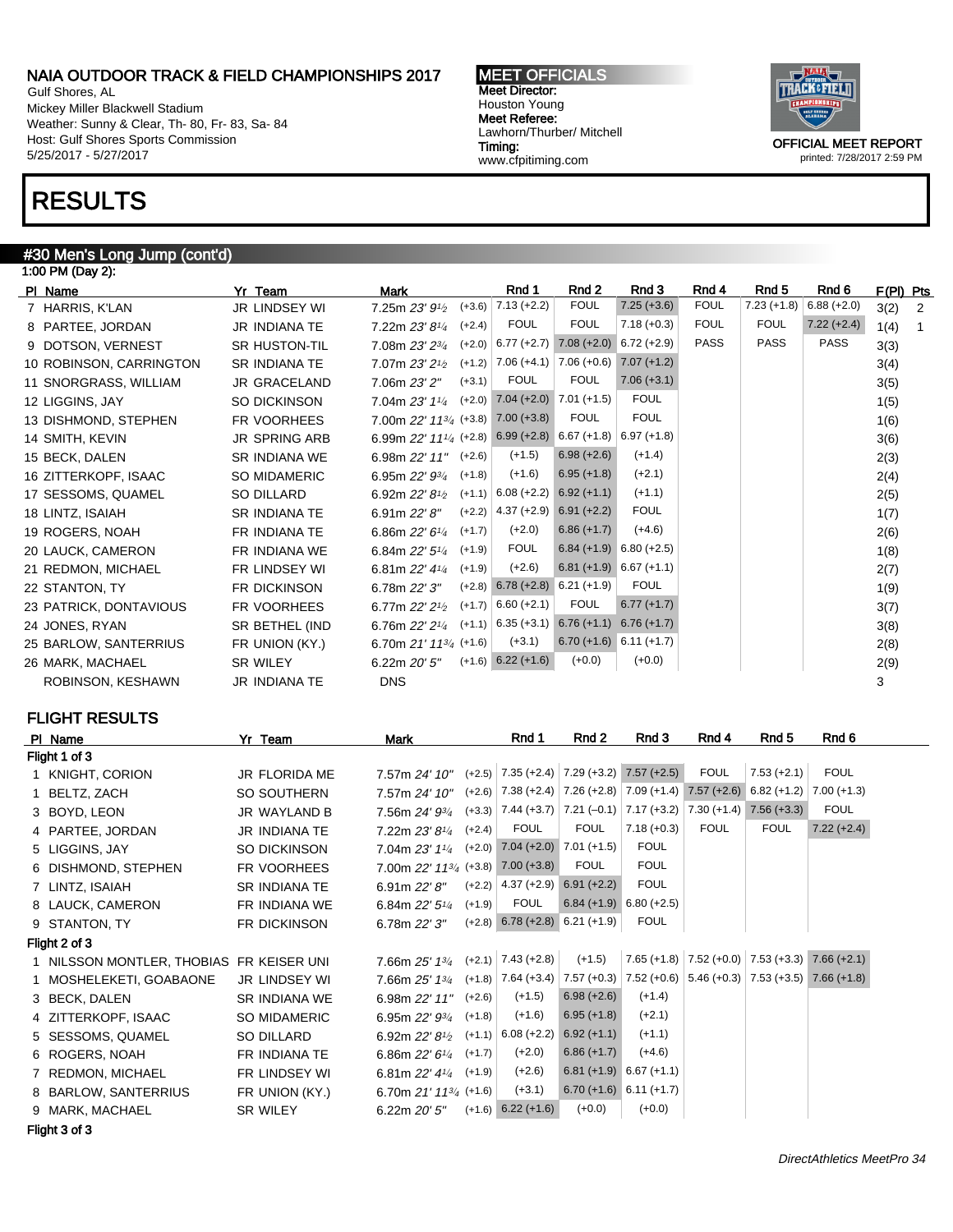Gulf Shores, AL Mickey Miller Blackwell Stadium Weather: Sunny & Clear, Th- 80, Fr- 83, Sa- 84 Host: Gulf Shores Sports Commission 5/25/2017 - 5/27/2017

## RESULTS

#### #30 Men's Long Jump (cont'd)

| 1:00 PM (Day 2):        |                      |                                                                           |          |                                                    |                                           |                           |             |               |               |             |                |
|-------------------------|----------------------|---------------------------------------------------------------------------|----------|----------------------------------------------------|-------------------------------------------|---------------------------|-------------|---------------|---------------|-------------|----------------|
| PI Name                 | Yr Team              | Mark                                                                      |          | Rnd 1                                              | Rnd 2                                     | Rnd 3                     | Rnd 4       | Rnd 5         | Rnd 6         | $F(PI)$ Pts |                |
| 7 HARRIS, K'LAN         | <b>JR LINDSEY WI</b> | 7.25m $23'9'$                                                             | $(+3.6)$ | $7.13 (+2.2)$                                      | <b>FOUL</b>                               | $7.25 (+3.6)$             | <b>FOUL</b> | $7.23 (+1.8)$ | $6.88 (+2.0)$ | 3(2)        | $\overline{2}$ |
| 8 PARTEE, JORDAN        | <b>JR INDIANA TE</b> | 7.22m 23' 81/4                                                            | $(+2.4)$ | <b>FOUL</b>                                        | <b>FOUL</b>                               | $7.18 (+0.3)$             | <b>FOUL</b> | <b>FOUL</b>   | $7.22 (+2.4)$ | 1(4)        |                |
| 9 DOTSON, VERNEST       | <b>SR HUSTON-TIL</b> | 7.08m 23' 23/4                                                            |          | $(+2.0)$ 6.77 $(+2.7)$ 7.08 $(+2.0)$ 6.72 $(+2.9)$ |                                           |                           | <b>PASS</b> | <b>PASS</b>   | <b>PASS</b>   | 3(3)        |                |
| 10 ROBINSON, CARRINGTON | <b>SR INDIANA TE</b> | 7.07m 23' 21/2                                                            | $(+1.2)$ |                                                    | $7.06 (+4.1)$ $7.06 (+0.6)$ $7.07 (+1.2)$ |                           |             |               |               | 3(4)        |                |
| 11 SNORGRASS, WILLIAM   | <b>JR GRACELAND</b>  | 7.06m 23' 2"                                                              | $(+3.1)$ | <b>FOUL</b>                                        | <b>FOUL</b>                               | $7.06 (+3.1)$             |             |               |               | 3(5)        |                |
| 12 LIGGINS, JAY         | SO DICKINSON         | 7.04m 23' 11/4                                                            |          | $(+2.0)$ 7.04 $(+2.0)$ 7.01 $(+1.5)$               |                                           | <b>FOUL</b>               |             |               |               | 1(5)        |                |
| 13 DISHMOND, STEPHEN    | <b>FR VOORHEES</b>   | 7.00m $22'$ 11 <sup>3/</sup> 4 (+3.8) 7.00 (+3.8)                         |          |                                                    | <b>FOUL</b>                               | <b>FOUL</b>               |             |               |               | 1(6)        |                |
| 14 SMITH, KEVIN         | <b>JR SPRING ARB</b> | 6.99m $22'$ 11 <sup>1</sup> / <sub>4</sub> (+2.8) 6.99 (+2.8) 6.67 (+1.8) |          |                                                    |                                           | $6.97 (+1.8)$             |             |               |               | 3(6)        |                |
| 15 BECK, DALEN          | <b>SR INDIANA WE</b> | 6.98m $22'$ 11" $(+2.6)$                                                  |          | $(+1.5)$                                           | $6.98 (+2.6)$                             | $(+1.4)$                  |             |               |               | 2(3)        |                |
| 16 ZITTERKOPF, ISAAC    | <b>SO MIDAMERIC</b>  | 6.95m 22' 93/4                                                            | $(+1.8)$ | $(+1.6)$                                           | $6.95 (+1.8)$                             | $(+2.1)$                  |             |               |               | 2(4)        |                |
| 17 SESSOMS, QUAMEL      | <b>SO DILLARD</b>    | 6.92m $22'8'$                                                             |          | $(+1.1)$ 6.08 (+2.2) 6.92 (+1.1)                   |                                           | $(+1.1)$                  |             |               |               | 2(5)        |                |
| 18 LINTZ, ISAIAH        | <b>SR INDIANA TE</b> | 6.91m $22'8''$                                                            | $(+2.2)$ |                                                    | $4.37 (+2.9) 6.91 (+2.2)$                 | <b>FOUL</b>               |             |               |               | 1(7)        |                |
| 19 ROGERS, NOAH         | FR INDIANA TE        | 6.86m 22' 61/4                                                            | $(+1.7)$ | $(+2.0)$                                           | $6.86 (+1.7)$                             | $(+4.6)$                  |             |               |               | 2(6)        |                |
| 20 LAUCK, CAMERON       | FR INDIANA WE        | 6.84m 22' 51/4                                                            | $(+1.9)$ | <b>FOUL</b>                                        | $6.84 (+1.9) 6.80 (+2.5)$                 |                           |             |               |               | 1(8)        |                |
| 21 REDMON, MICHAEL      | FR LINDSEY WI        | 6.81m 22' 41/4                                                            | $(+1.9)$ | $(+2.6)$                                           | $6.81 (+1.9) 6.67 (+1.1)$                 |                           |             |               |               | 2(7)        |                |
| 22 STANTON, TY          | <b>FR DICKINSON</b>  | 6.78m 22' 3"                                                              |          | $(+2.8)$ 6.78 $(+2.8)$                             | $6.21 (+1.9)$                             | <b>FOUL</b>               |             |               |               | 1(9)        |                |
| 23 PATRICK, DONTAVIOUS  | <b>FR VOORHEES</b>   | 6.77m $22'2'2$                                                            |          | $(+1.7)$ 6.60 $(+2.1)$                             | <b>FOUL</b>                               | $6.77(+1.7)$              |             |               |               | 3(7)        |                |
| 24 JONES, RYAN          | SR BETHEL (IND       | 6.76m 22' 21/4                                                            |          | $(+1.1)$ 6.35 (+3.1) 6.76 (+1.1) 6.76 (+1.7)       |                                           |                           |             |               |               | 3(8)        |                |
| 25 BARLOW, SANTERRIUS   | FR UNION (KY.)       | 6.70m $21'$ 11 $\frac{3}{4}$ (+1.6)                                       |          | $(+3.1)$                                           |                                           | $6.70 (+1.6) 6.11 (+1.7)$ |             |               |               | 2(8)        |                |
| 26 MARK, MACHAEL        | <b>SR WILEY</b>      | 6.22m 20' 5"                                                              |          | $(+1.6)$ 6.22 $(+1.6)$                             | $(+0.0)$                                  | $(+0.0)$                  |             |               |               | 2(9)        |                |
| ROBINSON, KESHAWN       | <b>JR INDIANA TE</b> | <b>DNS</b>                                                                |          |                                                    |                                           |                           |             |               |               | 3           |                |

#### FLIGHT RESULTS

|               | PI Name                                  | Yr Team              | Mark                                              | Rnd 1                                                    | Rnd 2                     | Rnd 3                     | Rnd 4       | Rnd 5         | Rnd 6                                             |
|---------------|------------------------------------------|----------------------|---------------------------------------------------|----------------------------------------------------------|---------------------------|---------------------------|-------------|---------------|---------------------------------------------------|
|               | Flight 1 of 3                            |                      |                                                   |                                                          |                           |                           |             |               |                                                   |
|               | 1 KNIGHT, CORION                         | <b>JR FLORIDA ME</b> | 7.57m 24' 10"                                     | $(+2.5)$ 7.35 (+2.4) 7.29 (+3.2) 7.57 (+2.5)             |                           |                           | <b>FOUL</b> | $7.53 (+2.1)$ | <b>FOUL</b>                                       |
|               | 1 BELTZ, ZACH                            | SO SOUTHERN          | 7.57m 24' 10"                                     | $(+2.6)$ 7.38 (+2.4) 7.26 (+2.8) 7.09 (+1.4) 7.57 (+2.6) |                           |                           |             | $6.82 (+1.2)$ | $7.00 (+1.3)$                                     |
|               | 3 BOYD, LEON                             | JR WAYLAND B         | 7.56m 24' 93/4                                    | $(+3.3)$ 7.44 $(+3.7)$                                   | $7.21(-0.1)$              | $7.17 (+3.2)$ 7.30 (+1.4) |             | $7.56 (+3.3)$ | <b>FOUL</b>                                       |
|               | 4 PARTEE, JORDAN                         | JR INDIANA TE        | $(+2.4)$<br>7.22m 23' 81/4                        | <b>FOUL</b>                                              | <b>FOUL</b>               | $7.18 (+0.3)$             | <b>FOUL</b> | <b>FOUL</b>   | $7.22 (+2.4)$                                     |
|               | 5 LIGGINS, JAY                           | SO DICKINSON         | 7.04m 23' 11/4                                    | $(+2.0)$ 7.04 $(+2.0)$ 7.01 $(+1.5)$                     |                           | <b>FOUL</b>               |             |               |                                                   |
|               | 6 DISHMOND, STEPHEN                      | FR VOORHEES          | 7.00 m $22'$ 11 <sup>3/4</sup> (+3.8) 7.00 (+3.8) |                                                          | <b>FOUL</b>               | <b>FOUL</b>               |             |               |                                                   |
|               | 7 LINTZ, ISAIAH                          | SR INDIANA TE        | $(+2.2)$<br>6.91m 22'8''                          |                                                          | $4.37 (+2.9) 6.91 (+2.2)$ | <b>FOUL</b>               |             |               |                                                   |
|               | 8 LAUCK, CAMERON                         | FR INDIANA WE        | $(+1.9)$<br>6.84m 22' 51/4                        | <b>FOUL</b>                                              |                           | $6.84 (+1.9) 6.80 (+2.5)$ |             |               |                                                   |
|               | 9 STANTON, TY                            | FR DICKINSON         | 6.78m 22' 3"                                      | $(+2.8)$ 6.78 $(+2.8)$ 6.21 $(+1.9)$                     |                           | <b>FOUL</b>               |             |               |                                                   |
| Flight 2 of 3 |                                          |                      |                                                   |                                                          |                           |                           |             |               |                                                   |
|               | 1 NILSSON MONTLER, THOBIAS FR KEISER UNI |                      | 7.66m 25' 13/4                                    | $(+2.1)$ 7.43 $(+2.8)$                                   | $(+1.5)$                  |                           |             |               | 7.65 (+1.8) 7.52 (+0.0) 7.53 (+3.3) 7.66 (+2.1)   |
|               | 1 MOSHELEKETI, GOABAONE                  | <b>JR LINDSEY WI</b> | 7.66m 25' 1 <sup>3/4</sup>                        | $(+1.8)$ 7.64 $(+3.4)$                                   | $7.57 (+0.3)$             |                           |             |               | $7.52 (+0.6)$ 5.46 (+0.3) 7.53 (+3.5) 7.66 (+1.8) |
|               | 3 BECK, DALEN                            | SR INDIANA WE        | $(+2.6)$<br>6.98m 22' 11"                         | $(+1.5)$                                                 | $6.98 (+2.6)$             | $(+1.4)$                  |             |               |                                                   |
|               | 4 ZITTERKOPF, ISAAC                      | SO MIDAMERIC         | $(+1.8)$<br>6.95m 22' 93/4                        | $(+1.6)$                                                 | $6.95 (+1.8)$             | $(+2.1)$                  |             |               |                                                   |
|               | 5 SESSOMS, QUAMEL                        | SO DILLARD           | $(+1.1)$<br>6.92m $22'8'$                         | $6.08 (+2.2)$                                            | $6.92 (+1.1)$             | $(+1.1)$                  |             |               |                                                   |
|               | 6 ROGERS, NOAH                           | FR INDIANA TE        | $(+1.7)$<br>6.86m $22'6''$                        | $(+2.0)$                                                 | $6.86 (+1.7)$             | $(+4.6)$                  |             |               |                                                   |
|               | 7 REDMON, MICHAEL                        | FR LINDSEY WI        | $(+1.9)$<br>6.81m 22' 41/4                        | $(+2.6)$                                                 |                           | $6.81 (+1.9) 6.67 (+1.1)$ |             |               |                                                   |
|               | 8 BARLOW, SANTERRIUS                     | FR UNION (KY.)       | 6.70m $21'$ 11 $\frac{3}{4}$ (+1.6)               | $(+3.1)$                                                 |                           | $6.70 (+1.6) 6.11 (+1.7)$ |             |               |                                                   |
|               | 9 MARK, MACHAEL                          | <b>SR WILEY</b>      | 6.22m 20' 5"                                      | $(+1.6)$ 6.22 $(+1.6)$                                   | $(+0.0)$                  | $(+0.0)$                  |             |               |                                                   |
| Flight 3 of 3 |                                          |                      |                                                   |                                                          |                           |                           |             |               |                                                   |

MEET OFFICIALS Meet Director: Houston Young Meet Referee: Lawhorn/Thurber/ Mitchell Timing: www.cfpitiming.com



printed: 7/28/2017 2:59 PM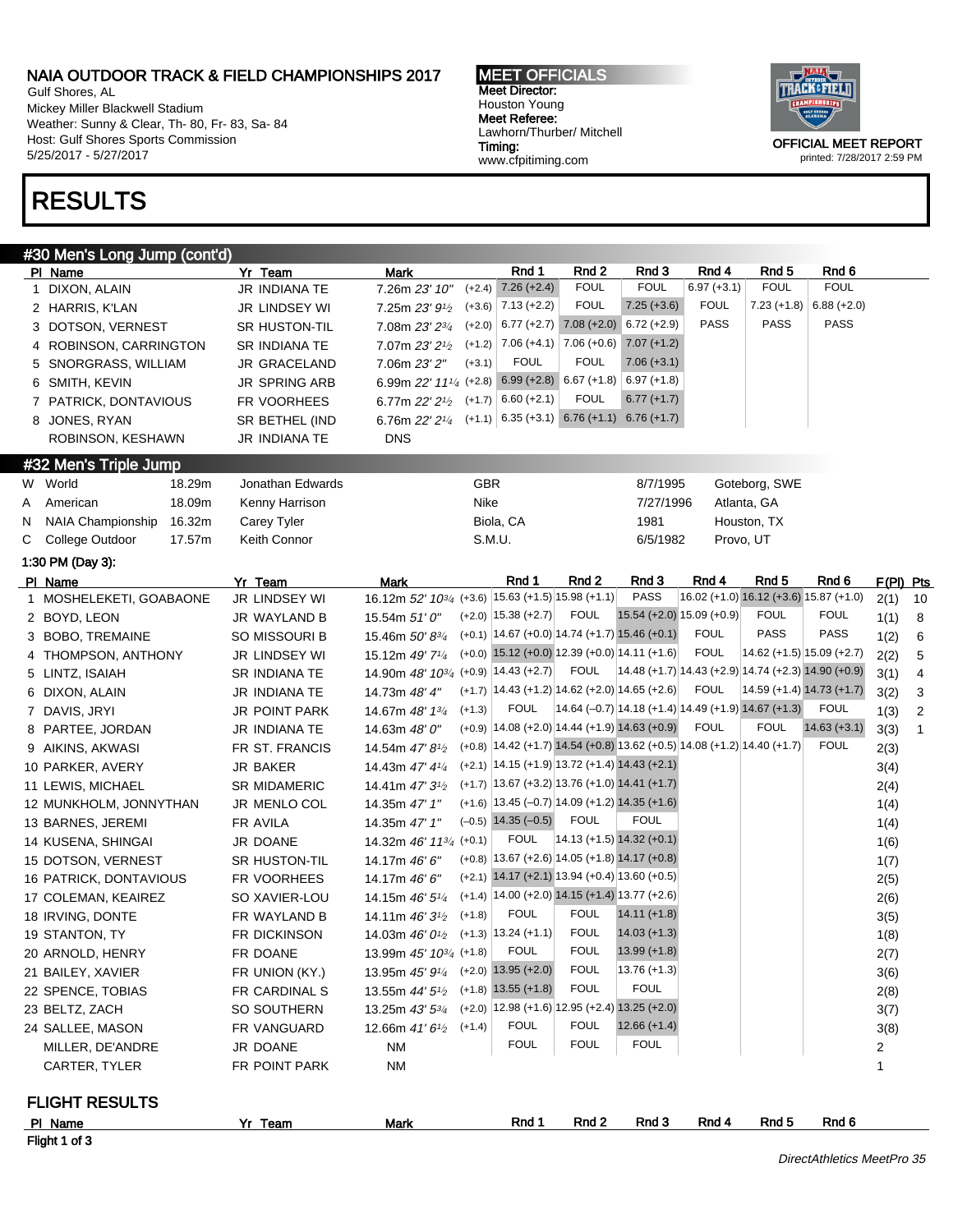Gulf Shores, AL Mickey Miller Blackwell Stadium Weather: Sunny & Clear, Th- 80, Fr- 83, Sa- 84 Host: Gulf Shores Sports Commission 5/25/2017 - 5/27/2017

#### MEET OFFICIALS Meet Director: Houston Young Meet Referee: Lawhorn/Thurber/ Mitchell Timing: www.cfpitiming.com



printed: 7/28/2017 2:59 PM

## RESULTS

#### #30 Men's Long Jump (cont'd)

|   | PI Name                            | Yr Team                  | Mark                                                                                                      |                           | Rnd 1         | Rnd <sub>2</sub>                                      | Rnd 3                                                 | Rnd 4                                                                     | Rnd <sub>5</sub>                                        | Rnd <sub>6</sub> |                   |                |
|---|------------------------------------|--------------------------|-----------------------------------------------------------------------------------------------------------|---------------------------|---------------|-------------------------------------------------------|-------------------------------------------------------|---------------------------------------------------------------------------|---------------------------------------------------------|------------------|-------------------|----------------|
|   | 1 DIXON, ALAIN                     | JR INDIANA TE            | 7.26m 23' 10"                                                                                             | $(+2.4)$                  | $7.26 (+2.4)$ | <b>FOUL</b>                                           | <b>FOUL</b>                                           | $6.97 (+3.1)$                                                             | <b>FOUL</b>                                             | <b>FOUL</b>      |                   |                |
|   | 2 HARRIS, K'LAN                    | JR LINDSEY WI            | 7.25m $23'9'$                                                                                             | $(+3.6)$ 7.13 $(+2.2)$    |               | <b>FOUL</b>                                           | $7.25 (+3.6)$                                         | <b>FOUL</b>                                                               | $7.23 (+1.8)$                                           | $6.88 (+2.0)$    |                   |                |
|   | 3 DOTSON, VERNEST                  | SR HUSTON-TIL            | 7.08m 23' 23/4                                                                                            | $(+2.0)$                  |               |                                                       | $6.77 (+2.7)$ 7.08 (+2.0) 6.72 (+2.9)                 | <b>PASS</b>                                                               | <b>PASS</b>                                             | <b>PASS</b>      |                   |                |
|   | 4 ROBINSON, CARRINGTON             | SR INDIANA TE            | 7.07m 23' 21/2                                                                                            | $(+1.2)$                  | $7.06 (+4.1)$ | $7.06 (+0.6)$                                         | $7.07 (+1.2)$                                         |                                                                           |                                                         |                  |                   |                |
|   | 5 SNORGRASS, WILLIAM               | JR GRACELAND             | 7.06m 23' 2"                                                                                              | $(+3.1)$                  | <b>FOUL</b>   | <b>FOUL</b>                                           | $7.06 (+3.1)$                                         |                                                                           |                                                         |                  |                   |                |
|   | 6 SMITH, KEVIN                     | <b>JR SPRING ARB</b>     | 6.99m 22' 11 <sup>1</sup> / <sub>4</sub> (+2.8) 6.99 (+2.8) 6.67 (+1.8)                                   |                           |               |                                                       | $6.97 (+1.8)$                                         |                                                                           |                                                         |                  |                   |                |
|   | 7 PATRICK, DONTAVIOUS              | FR VOORHEES              | 6.77m 22' 21/2                                                                                            | $(+1.7)$ 6.60 (+2.1)      |               | <b>FOUL</b>                                           | $6.77(+1.7)$                                          |                                                                           |                                                         |                  |                   |                |
|   | 8 JONES, RYAN                      | SR BETHEL (IND           | 6.76m 22' 21/4                                                                                            |                           |               |                                                       | $(+1.1)$ 6.35 (+3.1) 6.76 (+1.1) 6.76 (+1.7)          |                                                                           |                                                         |                  |                   |                |
|   | ROBINSON, KESHAWN                  | JR INDIANA TE            | <b>DNS</b>                                                                                                |                           |               |                                                       |                                                       |                                                                           |                                                         |                  |                   |                |
|   | #32 Men's Triple Jump              |                          |                                                                                                           |                           |               |                                                       |                                                       |                                                                           |                                                         |                  |                   |                |
|   | W World<br>18.29m                  | Jonathan Edwards         |                                                                                                           | <b>GBR</b>                |               |                                                       | 8/7/1995                                              |                                                                           | Goteborg, SWE                                           |                  |                   |                |
| A | 18.09m<br>American                 | Kenny Harrison           |                                                                                                           | Nike                      |               |                                                       | 7/27/1996                                             |                                                                           | Atlanta, GA                                             |                  |                   |                |
| N | <b>NAIA Championship</b><br>16.32m | Carey Tyler              |                                                                                                           | Biola, CA                 |               |                                                       | 1981                                                  |                                                                           | Houston, TX                                             |                  |                   |                |
| C | College Outdoor<br>17.57m          | Keith Connor             |                                                                                                           | S.M.U.                    |               |                                                       | 6/5/1982                                              |                                                                           | Provo, UT                                               |                  |                   |                |
|   |                                    |                          |                                                                                                           |                           |               |                                                       |                                                       |                                                                           |                                                         |                  |                   |                |
|   | 1:30 PM (Day 3):                   |                          |                                                                                                           |                           | Rnd 1         | Rnd 2                                                 | Rnd 3                                                 | Rnd 4                                                                     | Rnd 5                                                   | Rnd 6            |                   |                |
|   | PI Name<br>1 MOSHELEKETI, GOABAONE | Yr Team<br>JR LINDSEY WI | Mark<br>16.12m 52' 10 <sup>3</sup> / <sub>4</sub> (+3.6) 15.63 (+1.5) 15.98 (+1.1)                        |                           |               |                                                       | <b>PASS</b>                                           |                                                                           | 16.02 (+1.0) 16.12 (+3.6) 15.87 (+1.0)                  |                  | F(PI) Pts<br>2(1) | 10             |
|   |                                    |                          |                                                                                                           | $(+2.0)$   15.38 $(+2.7)$ |               | <b>FOUL</b>                                           | $15.54 (+2.0) 15.09 (+0.9)$                           |                                                                           | <b>FOUL</b>                                             | <b>FOUL</b>      |                   |                |
|   | 2 BOYD, LEON                       | JR WAYLAND B             | 15.54m 51'0''                                                                                             |                           |               |                                                       | $(+0.1)$ 14.67 $(+0.0)$ 14.74 $(+1.7)$ 15.46 $(+0.1)$ | <b>FOUL</b>                                                               | <b>PASS</b>                                             | <b>PASS</b>      | 1(1)              | 8              |
|   | 3 BOBO, TREMAINE                   | SO MISSOURI B            | 15.46m $50' 8\frac{3}{4}$                                                                                 |                           |               | $(+0.0)$ 15.12 $(+0.0)$ 12.39 $(+0.0)$ 14.11 $(+1.6)$ |                                                       | <b>FOUL</b>                                                               | 14.62 (+1.5) 15.09 (+2.7)                               |                  | 1(2)              | 6              |
|   | 4 THOMPSON, ANTHONY                | JR LINDSEY WI            | 15.12m 49' 7 <sup>1</sup> / <sub>4</sub><br>14.90m 48' 10 <sup>3</sup> / <sub>4</sub> (+0.9) 14.43 (+2.7) |                           |               | <b>FOUL</b>                                           |                                                       |                                                                           | $ 14.48 (+1.7) 14.43 (+2.9) 14.74 (+2.3) 14.90 (+0.9) $ |                  | 2(2)              | 5              |
|   | 5 LINTZ, ISAIAH                    | SR INDIANA TE            |                                                                                                           |                           |               | $(+1.7)$ 14.43 $(+1.2)$ 14.62 $(+2.0)$ 14.65 $(+2.6)$ |                                                       | <b>FOUL</b>                                                               | $14.59 (+1.4) 14.73 (+1.7)$                             |                  | 3(1)              | 4              |
|   | 6 DIXON, ALAIN                     | JR INDIANA TE            | 14.73m 48' 4"                                                                                             | $(+1.3)$                  | <b>FOUL</b>   |                                                       |                                                       |                                                                           | $14.64$ (-0.7) 14.18 (+1.4) 14.49 (+1.9) 14.67 (+1.3)   | <b>FOUL</b>      | 3(2)              | 3              |
|   | 7 DAVIS, JRYI                      | JR POINT PARK            | 14.67m 48' 1 <sup>3/4</sup>                                                                               |                           |               | $(+0.9)$ 14.08 $(+2.0)$ 14.44 $(+1.9)$ 14.63 $(+0.9)$ |                                                       | <b>FOUL</b>                                                               | <b>FOUL</b>                                             | $14.63 (+3.1)$   | 1(3)              | $\overline{2}$ |
|   | 8 PARTEE, JORDAN                   | JR INDIANA TE            | 14.63m 48' 0"                                                                                             |                           |               |                                                       |                                                       | $(+0.8)$ 14.42 (+1.7) 14.54 (+0.8) 13.62 (+0.5) 14.08 (+1.2) 14.40 (+1.7) |                                                         | <b>FOUL</b>      | 3(3)              | $\mathbf{1}$   |
|   | 9 AIKINS, AKWASI                   | FR ST. FRANCIS           | 14.54m $47'8\frac{1}{2}$                                                                                  |                           |               |                                                       | $(+2.1)$ 14.15 $(+1.9)$ 13.72 $(+1.4)$ 14.43 $(+2.1)$ |                                                                           |                                                         |                  | 2(3)              |                |
|   | 10 PARKER, AVERY                   | JR BAKER                 | 14.43m $47'$ $4\frac{1}{4}$                                                                               |                           |               |                                                       |                                                       |                                                                           |                                                         |                  | 3(4)              |                |
|   | 11 LEWIS, MICHAEL                  | <b>SR MIDAMERIC</b>      | 14.41m $47'3\frac{1}{2}$                                                                                  |                           |               | $(+1.7)$ 13.67 $(+3.2)$ 13.76 $(+1.0)$ 14.41 $(+1.7)$ |                                                       |                                                                           |                                                         |                  | 2(4)              |                |
|   | 12 MUNKHOLM, JONNYTHAN             | JR MENLO COL             | 14.35m 47' 1"                                                                                             |                           |               | $(+1.6)$ 13.45 (-0.7) 14.09 (+1.2) 14.35 (+1.6)       |                                                       |                                                                           |                                                         |                  | 1(4)              |                |
|   | 13 BARNES, JEREMI                  | FR AVILA                 | 14.35m 47' 1"                                                                                             | $(-0.5)$ 14.35 $(-0.5)$   |               | <b>FOUL</b>                                           | <b>FOUL</b>                                           |                                                                           |                                                         |                  | 1(4)              |                |
|   | 14 KUSENA, SHINGAI                 | JR DOANE                 | 14.32m 46' 1134 (+0.1)                                                                                    |                           | <b>FOUL</b>   | $14.13 (+1.5) 14.32 (+0.1)$                           |                                                       |                                                                           |                                                         |                  | 1(6)              |                |
|   | 15 DOTSON, VERNEST                 | SR HUSTON-TIL            | 14.17m 46' 6"                                                                                             |                           |               | $(+0.8)$ 13.67 $(+2.6)$ 14.05 $(+1.8)$ 14.17 $(+0.8)$ |                                                       |                                                                           |                                                         |                  | 1(7)              |                |
|   | 16 PATRICK, DONTAVIOUS             | FR VOORHEES              | 14.17m 46' 6"                                                                                             |                           |               | $(+2.1)$ 14.17 (+2.1) 13.94 (+0.4) 13.60 (+0.5)       |                                                       |                                                                           |                                                         |                  | 2(5)              |                |
|   | 17 COLEMAN, KEAIREZ                | SO XAVIER-LOU            | 14.15m $46'5''/4$                                                                                         |                           |               | $(+1.4)$ 14.00 (+2.0) 14.15 (+1.4) 13.77 (+2.6)       |                                                       |                                                                           |                                                         |                  | 2(6)              |                |
|   | 18 IRVING, DONTE                   | FR WAYLAND B             | 14.11m $46'3\frac{1}{2}$                                                                                  | $(+1.8)$                  | <b>FOUL</b>   | <b>FOUL</b>                                           | $14.11 (+1.8)$                                        |                                                                           |                                                         |                  | 3(5)              |                |
|   | 19 STANTON, TY                     | FR DICKINSON             | 14.03m <i>46' 01</i> ⁄2                                                                                   | $(+1.3)$ 13.24 $(+1.1)$   |               | <b>FOUL</b>                                           | $14.03 (+1.3)$                                        |                                                                           |                                                         |                  | 1(8)              |                |
|   | 20 ARNOLD, HENRY                   | FR DOANE                 | 13.99m 45' 1034 (+1.8)                                                                                    |                           | <b>FOUL</b>   | <b>FOUL</b>                                           | $13.99 (+1.8)$                                        |                                                                           |                                                         |                  | 2(7)              |                |
|   | 21 BAILEY, XAVIER                  | FR UNION (KY.)           | 13.95m $45'$ $9\%$                                                                                        | $(+2.0)$ 13.95 $(+2.0)$   |               | <b>FOUL</b>                                           | $13.76 (+1.3)$                                        |                                                                           |                                                         |                  | 3(6)              |                |
|   | 22 SPENCE, TOBIAS                  | FR CARDINAL S            | 13.55m $44'5\%$                                                                                           | $(+1.8)$ 13.55 $(+1.8)$   |               | <b>FOUL</b>                                           | <b>FOUL</b>                                           |                                                                           |                                                         |                  | 2(8)              |                |
|   | 23 BELTZ, ZACH                     | SO SOUTHERN              | 13.25m $43'5\%$                                                                                           |                           |               | $(+2.0)$ 12.98 $(+1.6)$ 12.95 $(+2.4)$ 13.25 $(+2.0)$ |                                                       |                                                                           |                                                         |                  | 3(7)              |                |
|   | 24 SALLEE, MASON                   | FR VANGUARD              | 12.66m $41'6'$ $(+1.4)$                                                                                   |                           | <b>FOUL</b>   | <b>FOUL</b>                                           | $12.66 (+1.4)$                                        |                                                                           |                                                         |                  | 3(8)              |                |
|   | MILLER, DE'ANDRE                   | JR DOANE                 | <b>NM</b>                                                                                                 |                           | <b>FOUL</b>   | <b>FOUL</b>                                           | <b>FOUL</b>                                           |                                                                           |                                                         |                  | 2                 |                |
|   | CARTER, TYLER                      | FR POINT PARK            | <b>NM</b>                                                                                                 |                           |               |                                                       |                                                       |                                                                           |                                                         |                  | 1                 |                |
|   | <b>FLIGHT RESULTS</b>              |                          |                                                                                                           |                           |               |                                                       |                                                       |                                                                           |                                                         |                  |                   |                |
|   | PI Name                            | Yr Team                  | <u>Mark</u>                                                                                               |                           | Rnd 1         | Rnd 2                                                 | Rnd 3                                                 | Rnd 4                                                                     | Rnd 5                                                   | Rnd 6            |                   |                |
|   | Flight 1 of 3                      |                          |                                                                                                           |                           |               |                                                       |                                                       |                                                                           |                                                         |                  |                   |                |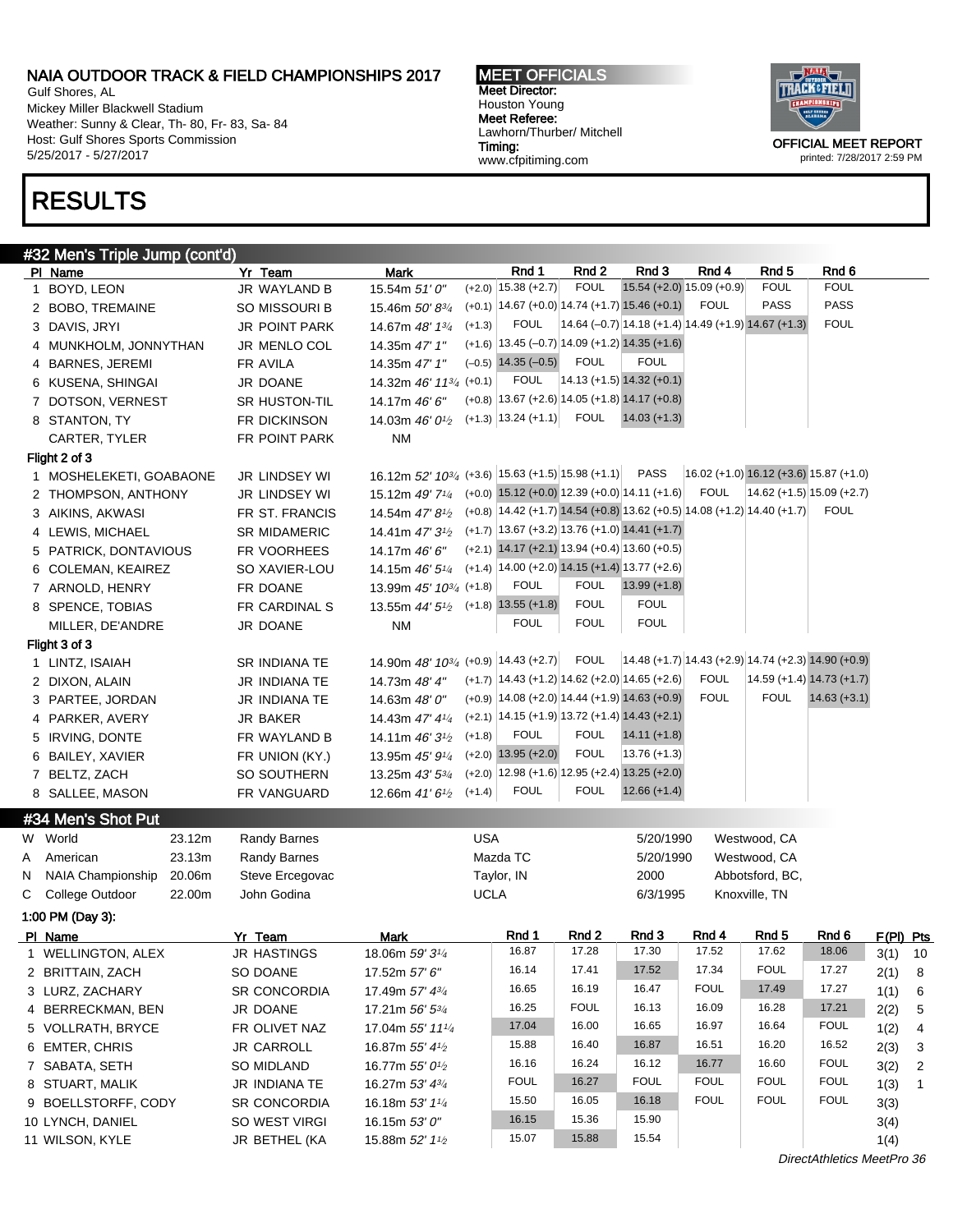Gulf Shores, AL Mickey Miller Blackwell Stadium Weather: Sunny & Clear, Th- 80, Fr- 83, Sa- 84 Host: Gulf Shores Sports Commission 5/25/2017 - 5/27/2017

MEET OFFICIALS Meet Director: Houston Young Meet Referee: Lawhorn/Thurber/ Mitchell Timing: www.cfpitiming.com



## RESULTS

### #32 Men's Triple Jump (cont'd)

|    | PI Name                            | Yr Team              | <b>Mark</b>                                                      |             | Rnd 1                   | Rnd <sub>2</sub> | Rnd 3                                                                     | Rnd 4                       | Rnd 5            | Rnd 6                                                 |           |                |
|----|------------------------------------|----------------------|------------------------------------------------------------------|-------------|-------------------------|------------------|---------------------------------------------------------------------------|-----------------------------|------------------|-------------------------------------------------------|-----------|----------------|
|    | 1 BOYD, LEON                       | JR WAYLAND B         | 15.54m 51' 0"                                                    |             | $(+2.0)$ 15.38 $(+2.7)$ | <b>FOUL</b>      |                                                                           | $15.54 (+2.0) 15.09 (+0.9)$ | <b>FOUL</b>      | <b>FOUL</b>                                           |           |                |
|    | 2 BOBO, TREMAINE                   | SO MISSOURI B        | 15.46m 50' 83/4                                                  |             |                         |                  | $(+0.1)$   14.67 $(+0.0)$   14.74 $(+1.7)$ 15.46 $(+0.1)$                 | <b>FOUL</b>                 | <b>PASS</b>      | PASS                                                  |           |                |
|    | 3 DAVIS, JRYI                      | <b>JR POINT PARK</b> | 14.67m 48' 13/4                                                  | $(+1.3)$    | <b>FOUL</b>             |                  | $14.64$ (-0.7) $14.18$ (+1.4) $14.49$ (+1.9) 14.67 (+1.3)                 |                             |                  | <b>FOUL</b>                                           |           |                |
|    | 4 MUNKHOLM, JONNYTHAN              | JR MENLO COL         | 14.35m 47' 1"                                                    |             |                         |                  | $(+1.6)$   13.45 (-0.7)   14.09 (+1.2) 14.35 (+1.6)                       |                             |                  |                                                       |           |                |
|    | 4 BARNES, JEREMI                   | FR AVILA             | 14.35m 47' 1"                                                    |             | $(-0.5)$ 14.35 $(-0.5)$ | <b>FOUL</b>      | <b>FOUL</b>                                                               |                             |                  |                                                       |           |                |
|    | 6 KUSENA, SHINGAI                  | JR DOANE             | 14.32m 46' 113/4 (+0.1)                                          |             | <b>FOUL</b>             |                  | $14.13 (+1.5) 14.32 (+0.1)$                                               |                             |                  |                                                       |           |                |
|    | 7 DOTSON, VERNEST                  | SR HUSTON-TIL        | 14.17m 46' 6"                                                    |             |                         |                  | $(+0.8)$ 13.67 $(+2.6)$ 14.05 $(+1.8)$ 14.17 $(+0.8)$                     |                             |                  |                                                       |           |                |
|    | 8 STANTON, TY                      | FR DICKINSON         | 14.03m 46' 0 <sup>1/2</sup>                                      |             | $(+1.3)$ 13.24 $(+1.1)$ | <b>FOUL</b>      | $14.03 (+1.3)$                                                            |                             |                  |                                                       |           |                |
|    | CARTER, TYLER                      | FR POINT PARK        | <b>NM</b>                                                        |             |                         |                  |                                                                           |                             |                  |                                                       |           |                |
|    | Flight 2 of 3                      |                      |                                                                  |             |                         |                  |                                                                           |                             |                  |                                                       |           |                |
|    | 1 MOSHELEKETI, GOABAONE            | JR LINDSEY WI        | 16.12m 52' 10 <sup>3/4</sup> (+3.6) $ 15.63$ (+1.5) 15.98 (+1.1) |             |                         |                  | PASS                                                                      |                             |                  | $16.02 (+1.0) 16.12 (+3.6) 15.87 (+1.0)$              |           |                |
|    | 2 THOMPSON, ANTHONY                | JR LINDSEY WI        | 15.12m 49' 71/4                                                  |             |                         |                  | $(+0.0)$ 15.12 $(+0.0)$ 12.39 $(+0.0)$ 14.11 $(+1.6)$                     | <b>FOUL</b>                 |                  | $14.62 (+1.5) 15.09 (+2.7)$                           |           |                |
|    | 3 AIKINS, AKWASI                   | FR ST. FRANCIS       | 14.54m 47' 8 <sup>1</sup> /2                                     |             |                         |                  | $(+0.8)$ 14.42 (+1.7) 14.54 (+0.8) 13.62 (+0.5) 14.08 (+1.2) 14.40 (+1.7) |                             |                  | <b>FOUL</b>                                           |           |                |
|    | 4 LEWIS, MICHAEL                   | <b>SR MIDAMERIC</b>  | 14.41m 47' 3 <sup>1</sup> / <sub>2</sub>                         |             |                         |                  | $(+1.7)$ 13.67 $(+3.2)$ 13.76 $(+1.0)$ 14.41 $(+1.7)$                     |                             |                  |                                                       |           |                |
|    |                                    | FR VOORHEES          | 14.17m 46' 6"                                                    |             |                         |                  | $(+2.1)$ 14.17 $(+2.1)$ 13.94 $(+0.4)$ 13.60 $(+0.5)$                     |                             |                  |                                                       |           |                |
|    | 5 PATRICK, DONTAVIOUS              | SO XAVIER-LOU        |                                                                  |             |                         |                  | $(+1.4)$ 14.00 (+2.0) 14.15 (+1.4) 13.77 (+2.6)                           |                             |                  |                                                       |           |                |
|    | 6 COLEMAN, KEAIREZ                 |                      | 14.15m 46' 51/4                                                  |             | <b>FOUL</b>             | <b>FOUL</b>      | $13.99 (+1.8)$                                                            |                             |                  |                                                       |           |                |
|    | 7 ARNOLD, HENRY                    | FR DOANE             | 13.99m 45' 10 <sup>3/4</sup> (+1.8)                              |             | $(+1.8)$ 13.55 $(+1.8)$ | <b>FOUL</b>      | FOUL                                                                      |                             |                  |                                                       |           |                |
|    | 8 SPENCE, TOBIAS                   | FR CARDINAL S        | 13.55m 44' 5 <sup>1</sup> /2                                     |             | <b>FOUL</b>             | <b>FOUL</b>      | FOUL                                                                      |                             |                  |                                                       |           |                |
|    | MILLER, DE'ANDRE                   | JR DOANE             | <b>NM</b>                                                        |             |                         |                  |                                                                           |                             |                  |                                                       |           |                |
|    | Flight 3 of 3                      |                      |                                                                  |             |                         |                  |                                                                           |                             |                  |                                                       |           |                |
|    | 1 LINTZ, ISAIAH                    | SR INDIANA TE        | 14.90m 48' $10^{3/4}$ (+0.9) 14.43 (+2.7)                        |             |                         | <b>FOUL</b>      |                                                                           |                             |                  | $14.48 (+1.7) 14.43 (+2.9) 14.74 (+2.3) 14.90 (+0.9)$ |           |                |
|    | 2 DIXON, ALAIN                     | <b>JR INDIANA TE</b> | 14.73m 48' 4"                                                    |             |                         |                  | $(+1.7)$   14.43 (+1.2)   14.62 (+2.0)   14.65 (+2.6)                     | <b>FOUL</b>                 |                  | $14.59 (+1.4) 14.73 (+1.7)$                           |           |                |
|    | 3 PARTEE, JORDAN                   | <b>JR INDIANA TE</b> | 14.63m 48' 0"                                                    |             |                         |                  | $(+0.9)$   14.08 $(+2.0)$   14.44 $(+1.9)$ 14.63 $(+0.9)$                 | <b>FOUL</b>                 | <b>FOUL</b>      | $14.63 (+3.1)$                                        |           |                |
|    | 4 PARKER, AVERY                    | <b>JR BAKER</b>      | 14.43m 47' 41/4                                                  |             |                         |                  | $(+2.1)$ 14.15 $(+1.9)$ 13.72 $(+1.4)$ 14.43 $(+2.1)$                     |                             |                  |                                                       |           |                |
|    | 5 IRVING, DONTE                    | FR WAYLAND B         | 14.11m 46' 3 <sup>1</sup> / <sub>2</sub>                         | $(+1.8)$    | <b>FOUL</b>             | <b>FOUL</b>      | $14.11 (+1.8)$                                                            |                             |                  |                                                       |           |                |
|    | 6 BAILEY, XAVIER                   | FR UNION (KY.)       | 13.95m 45' 91/4                                                  |             | $(+2.0)$ 13.95 $(+2.0)$ | <b>FOUL</b>      | $13.76 (+1.3)$                                                            |                             |                  |                                                       |           |                |
|    | 7 BELTZ, ZACH                      | SO SOUTHERN          | 13.25m $43'5^{3/4}$                                              |             |                         |                  | $(+2.0)$ 12.98 $(+1.6)$ 12.95 $(+2.4)$ 13.25 $(+2.0)$                     |                             |                  |                                                       |           |                |
|    | 8 SALLEE, MASON                    | FR VANGUARD          | 12.66m $41'6\frac{1}{2}$                                         | $(+1.4)$    | <b>FOUL</b>             | <b>FOUL</b>      | $12.66 (+1.4)$                                                            |                             |                  |                                                       |           |                |
|    | #34 Men's Shot Put                 |                      |                                                                  |             |                         |                  |                                                                           |                             |                  |                                                       |           |                |
|    | W World<br>23.12m                  | <b>Randy Barnes</b>  |                                                                  | <b>USA</b>  |                         |                  | 5/20/1990                                                                 |                             | Westwood, CA     |                                                       |           |                |
| A  | 23.13m<br>American                 | <b>Randy Barnes</b>  |                                                                  | Mazda TC    |                         |                  | 5/20/1990                                                                 |                             | Westwood, CA     |                                                       |           |                |
| N. | 20.06m<br><b>NAIA Championship</b> | Steve Ercegovac      |                                                                  | Taylor, IN  |                         |                  | 2000                                                                      |                             | Abbotsford, BC,  |                                                       |           |                |
| C  | 22.00m<br>College Outdoor          | John Godina          |                                                                  | <b>UCLA</b> |                         |                  | 6/3/1995                                                                  |                             | Knoxville, TN    |                                                       |           |                |
|    | 1:00 PM (Day 3):                   |                      |                                                                  |             |                         |                  |                                                                           |                             |                  |                                                       |           |                |
|    | PI Name                            | Yr Team              | Mark                                                             |             | Rnd 1                   | Rnd <sub>2</sub> | Rnd 3                                                                     | Rnd 4                       | Rnd <sub>5</sub> | Rnd 6                                                 | F(PI) Pts |                |
|    | 1 WELLINGTON, ALEX                 | JR HASTINGS          | 18.06m $59'3\frac{1}{4}$                                         |             | 16.87                   | 17.28            | 17.30                                                                     | 17.52                       | 17.62            | 18.06                                                 | $3(1)$ 10 |                |
|    | 2 BRITTAIN, ZACH                   | SO DOANE             | 17.52m 57' 6"                                                    |             | 16.14                   | 17.41            | 17.52                                                                     | 17.34                       | <b>FOUL</b>      | 17.27                                                 | 2(1)      | 8              |
|    | 3 LURZ, ZACHARY                    | SR CONCORDIA         | 17.49m 57' 43/4                                                  |             | 16.65                   | 16.19            | 16.47                                                                     | <b>FOUL</b>                 | 17.49            | 17.27                                                 | 1(1)      | - 6            |
|    | 4 BERRECKMAN, BEN                  | JR DOANE             | 17.21m 56' 53/4                                                  |             | 16.25                   | <b>FOUL</b>      | 16.13                                                                     | 16.09                       | 16.28            | 17.21                                                 |           |                |
|    | 5 VOLLRATH, BRYCE                  |                      | 17.04m 55' 111/4                                                 |             | 17.04                   | 16.00            | 16.65                                                                     | 16.97                       | 16.64            | <b>FOUL</b>                                           | 2(2)      | 5              |
|    |                                    | FR OLIVET NAZ        |                                                                  |             | 15.88                   | 16.40            | 16.87                                                                     | 16.51                       | 16.20            | 16.52                                                 | 1(2)      | 4              |
|    | 6 EMTER, CHRIS                     | <b>JR CARROLL</b>    | 16.87m 55' 4 <sup>1</sup> / <sub>2</sub>                         |             | 16.16                   | 16.24            | 16.12                                                                     | 16.77                       | 16.60            | <b>FOUL</b>                                           | 2(3)      | 3              |
|    | 7 SABATA, SETH                     | <b>SO MIDLAND</b>    | 16.77m 55' 0 <sup>1</sup> / <sub>2</sub>                         |             | <b>FOUL</b>             |                  | <b>FOUL</b>                                                               | <b>FOUL</b>                 | <b>FOUL</b>      | <b>FOUL</b>                                           | 3(2)      | 2              |
|    | 8 STUART, MALIK                    | JR INDIANA TE        | 16.27m 53' 43/4                                                  |             |                         | 16.27            |                                                                           |                             |                  |                                                       | 1(3)      | $\overline{1}$ |
|    | 9 BOELLSTORFF, CODY                | SR CONCORDIA         | 16.18m 53' 11/4                                                  |             | 15.50                   | 16.05            | 16.18                                                                     | <b>FOUL</b>                 | <b>FOUL</b>      | <b>FOUL</b>                                           | 3(3)      |                |
|    | 10 LYNCH, DANIEL                   | SO WEST VIRGI        | 16.15m 53' 0"                                                    |             | 16.15                   | 15.36            | 15.90                                                                     |                             |                  |                                                       | 3(4)      |                |
|    | 11 WILSON, KYLE                    | JR BETHEL (KA        | 15.88m 52' 1 <sup>1</sup> / <sub>2</sub>                         |             | 15.07                   | 15.88            | 15.54                                                                     |                             |                  |                                                       | 1(4)      |                |

DirectAthletics MeetPro 36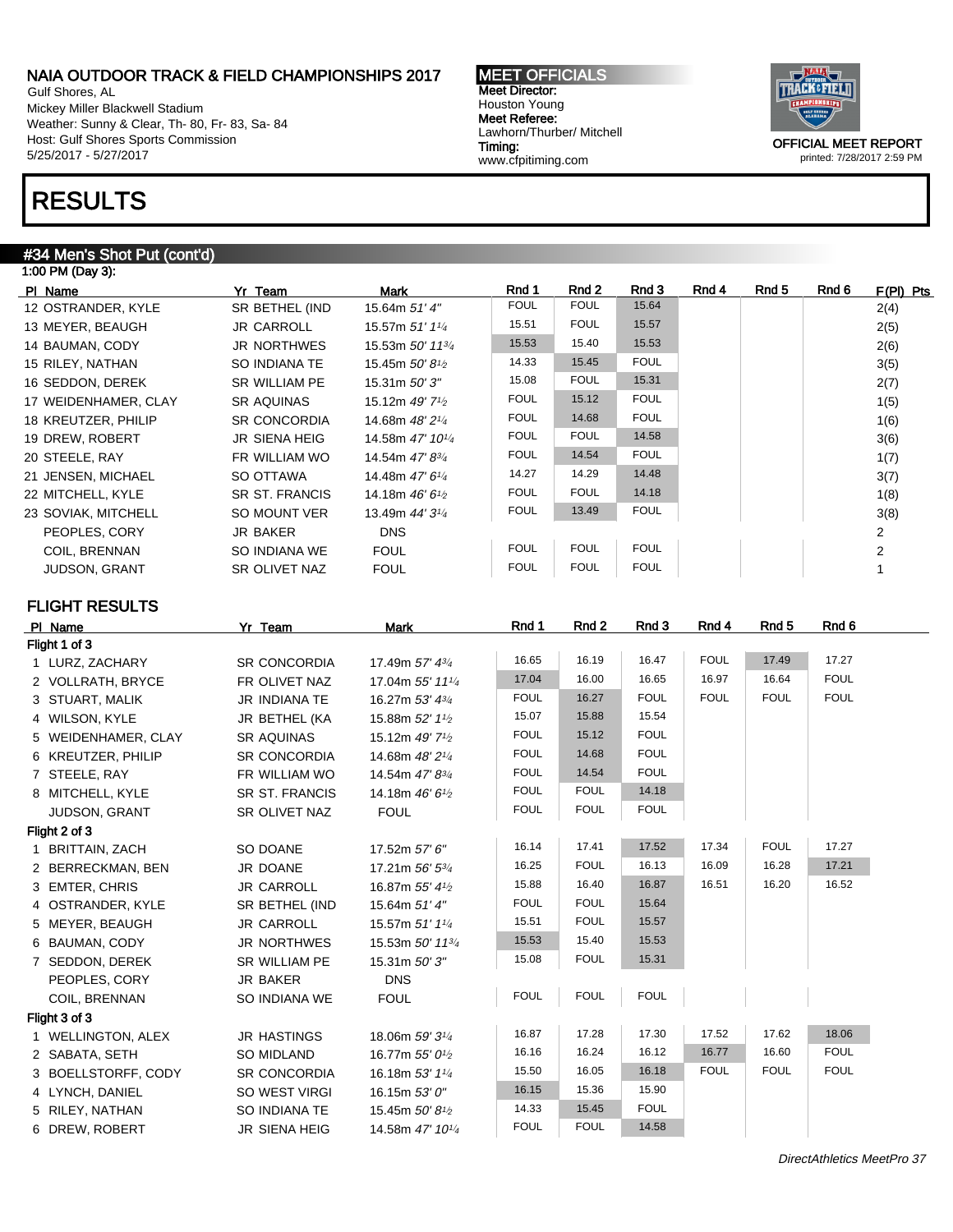Gulf Shores, AL Mickey Miller Blackwell Stadium Weather: Sunny & Clear, Th- 80, Fr- 83, Sa- 84 Host: Gulf Shores Sports Commission 5/25/2017 - 5/27/2017

### RESULTS

#### #34 Men's Shot Put (cont'd) 1:00 PM (Day 3):

MEET OFFICIALS Meet Director: Houston Young Meet Referee: Lawhorn/Thurber/ Mitchell Timing: www.cfpitiming.com



printed: 7/28/2017 2:59 PM

| PI Name              | Yr Team              | Mark                                     | Rnd 1       | Rnd 2       | Rnd 3       | Rnd 4 | Rnd 5 | Rnd 6 | $F(PI)$ Pts    |
|----------------------|----------------------|------------------------------------------|-------------|-------------|-------------|-------|-------|-------|----------------|
| 12 OSTRANDER, KYLE   | SR BETHEL (IND       | 15.64m 51'4"                             | <b>FOUL</b> | <b>FOUL</b> | 15.64       |       |       |       | 2(4)           |
| 13 MEYER, BEAUGH     | <b>JR CARROLL</b>    | 15.57m 51' 11/4                          | 15.51       | <b>FOUL</b> | 15.57       |       |       |       | 2(5)           |
| 14 BAUMAN, CODY      | <b>JR NORTHWES</b>   | 15.53m 50' 11 <sup>3/4</sup>             | 15.53       | 15.40       | 15.53       |       |       |       | 2(6)           |
| 15 RILEY, NATHAN     | SO INDIANA TE        | 15.45m $50'8\frac{1}{2}$                 | 14.33       | 15.45       | <b>FOUL</b> |       |       |       | 3(5)           |
| 16 SEDDON, DEREK     | <b>SR WILLIAM PE</b> | 15.31m 50'3"                             | 15.08       | <b>FOUL</b> | 15.31       |       |       |       | 2(7)           |
| 17 WEIDENHAMER, CLAY | SR AQUINAS           | 15.12m 49' 7 <sup>1</sup> / <sub>2</sub> | <b>FOUL</b> | 15.12       | <b>FOUL</b> |       |       |       | 1(5)           |
| 18 KREUTZER, PHILIP  | <b>SR CONCORDIA</b>  | 14.68m 48' 2 <sup>1/4</sup>              | <b>FOUL</b> | 14.68       | <b>FOUL</b> |       |       |       | 1(6)           |
| 19 DREW, ROBERT      | JR SIENA HEIG        | 14.58m 47' 101/4                         | <b>FOUL</b> | <b>FOUL</b> | 14.58       |       |       |       | 3(6)           |
| 20 STEELE, RAY       | FR WILLIAM WO        | 14.54m 47' 83/4                          | <b>FOUL</b> | 14.54       | <b>FOUL</b> |       |       |       | 1(7)           |
| 21 JENSEN, MICHAEL   | SO OTTAWA            | 14.48m 47' 61/4                          | 14.27       | 14.29       | 14.48       |       |       |       | 3(7)           |
| 22 MITCHELL, KYLE    | SR ST. FRANCIS       | 14.18m $46'6'$                           | <b>FOUL</b> | <b>FOUL</b> | 14.18       |       |       |       | 1(8)           |
| 23 SOVIAK, MITCHELL  | SO MOUNT VER         | 13.49m 44' 3 <sup>1/4</sup>              | <b>FOUL</b> | 13.49       | <b>FOUL</b> |       |       |       | 3(8)           |
| PEOPLES, CORY        | <b>JR BAKER</b>      | <b>DNS</b>                               |             |             |             |       |       |       | $\overline{2}$ |
| COIL, BRENNAN        | SO INDIANA WE        | <b>FOUL</b>                              | <b>FOUL</b> | <b>FOUL</b> | <b>FOUL</b> |       |       |       | $\overline{2}$ |
| <b>JUDSON, GRANT</b> | SR OLIVET NAZ        | <b>FOUL</b>                              | <b>FOUL</b> | <b>FOUL</b> | <b>FOUL</b> |       |       |       |                |

### FLIGHT RESULTS

| PI Name              | Yr Team               | <b>Mark</b>                              | Rnd 1       | Rnd 2       | Rnd 3       | Rnd 4       | Rnd <sub>5</sub> | Rnd 6       |
|----------------------|-----------------------|------------------------------------------|-------------|-------------|-------------|-------------|------------------|-------------|
| Flight 1 of 3        |                       |                                          |             |             |             |             |                  |             |
| 1 LURZ, ZACHARY      | <b>SR CONCORDIA</b>   | 17.49m 57' 43/4                          | 16.65       | 16.19       | 16.47       | <b>FOUL</b> | 17.49            | 17.27       |
| 2 VOLLRATH, BRYCE    | FR OLIVET NAZ         | 17.04m 55' 1114                          | 17.04       | 16.00       | 16.65       | 16.97       | 16.64            | <b>FOUL</b> |
| 3 STUART, MALIK      | <b>JR INDIANA TE</b>  | 16.27m 53' 43/4                          | <b>FOUL</b> | 16.27       | <b>FOUL</b> | <b>FOUL</b> | <b>FOUL</b>      | <b>FOUL</b> |
| 4 WILSON, KYLE       | JR BETHEL (KA         | 15.88m 52' 11/2                          | 15.07       | 15.88       | 15.54       |             |                  |             |
| 5 WEIDENHAMER, CLAY  | <b>SR AQUINAS</b>     | 15.12m 49' 7 <sup>1</sup> / <sub>2</sub> | <b>FOUL</b> | 15.12       | <b>FOUL</b> |             |                  |             |
| 6 KREUTZER, PHILIP   | <b>SR CONCORDIA</b>   | 14.68m 48' 21/4                          | <b>FOUL</b> | 14.68       | <b>FOUL</b> |             |                  |             |
| 7 STEELE, RAY        | FR WILLIAM WO         | 14.54m 47' 83/4                          | <b>FOUL</b> | 14.54       | <b>FOUL</b> |             |                  |             |
| 8 MITCHELL, KYLE     | <b>SR ST. FRANCIS</b> | 14.18m $46'6'$                           | <b>FOUL</b> | <b>FOUL</b> | 14.18       |             |                  |             |
| <b>JUDSON, GRANT</b> | SR OLIVET NAZ         | <b>FOUL</b>                              | <b>FOUL</b> | <b>FOUL</b> | <b>FOUL</b> |             |                  |             |
| Flight 2 of 3        |                       |                                          |             |             |             |             |                  |             |
| 1 BRITTAIN, ZACH     | SO DOANE              | 17.52m 57' 6"                            | 16.14       | 17.41       | 17.52       | 17.34       | <b>FOUL</b>      | 17.27       |
| 2 BERRECKMAN, BEN    | JR DOANE              | 17.21m 56' 53/4                          | 16.25       | <b>FOUL</b> | 16.13       | 16.09       | 16.28            | 17.21       |
| 3 EMTER, CHRIS       | <b>JR CARROLL</b>     | 16.87m 55' 41/2                          | 15.88       | 16.40       | 16.87       | 16.51       | 16.20            | 16.52       |
| 4 OSTRANDER, KYLE    | SR BETHEL (IND        | 15.64m 51'4"                             | <b>FOUL</b> | <b>FOUL</b> | 15.64       |             |                  |             |
| 5 MEYER, BEAUGH      | <b>JR CARROLL</b>     | 15.57m 51' 11/4                          | 15.51       | <b>FOUL</b> | 15.57       |             |                  |             |
| 6 BAUMAN, CODY       | <b>JR NORTHWES</b>    | 15.53m 50' 113/4                         | 15.53       | 15.40       | 15.53       |             |                  |             |
| 7 SEDDON, DEREK      | <b>SR WILLIAM PE</b>  | 15.31m 50'3"                             | 15.08       | <b>FOUL</b> | 15.31       |             |                  |             |
| PEOPLES, CORY        | <b>JR BAKER</b>       | <b>DNS</b>                               |             |             |             |             |                  |             |
| COIL, BRENNAN        | SO INDIANA WE         | <b>FOUL</b>                              | <b>FOUL</b> | <b>FOUL</b> | <b>FOUL</b> |             |                  |             |
| Flight 3 of 3        |                       |                                          |             |             |             |             |                  |             |
| 1 WELLINGTON, ALEX   | <b>JR HASTINGS</b>    | 18.06m 59' 31/4                          | 16.87       | 17.28       | 17.30       | 17.52       | 17.62            | 18.06       |
| 2 SABATA, SETH       | SO MIDLAND            | 16.77m 55' 0 <sup>1</sup> / <sub>2</sub> | 16.16       | 16.24       | 16.12       | 16.77       | 16.60            | <b>FOUL</b> |
| 3 BOELLSTORFF, CODY  | <b>SR CONCORDIA</b>   | 16.18m 53' 11/4                          | 15.50       | 16.05       | 16.18       | <b>FOUL</b> | <b>FOUL</b>      | <b>FOUL</b> |
| 4 LYNCH, DANIEL      | SO WEST VIRGI         | 16.15m 53' 0"                            | 16.15       | 15.36       | 15.90       |             |                  |             |
| 5 RILEY, NATHAN      | SO INDIANA TE         | 15.45m 50' 8 <sup>1/2</sup>              | 14.33       | 15.45       | <b>FOUL</b> |             |                  |             |
| 6 DREW, ROBERT       | <b>JR SIENA HEIG</b>  | 14.58m 47' 101/4                         | <b>FOUL</b> | <b>FOUL</b> | 14.58       |             |                  |             |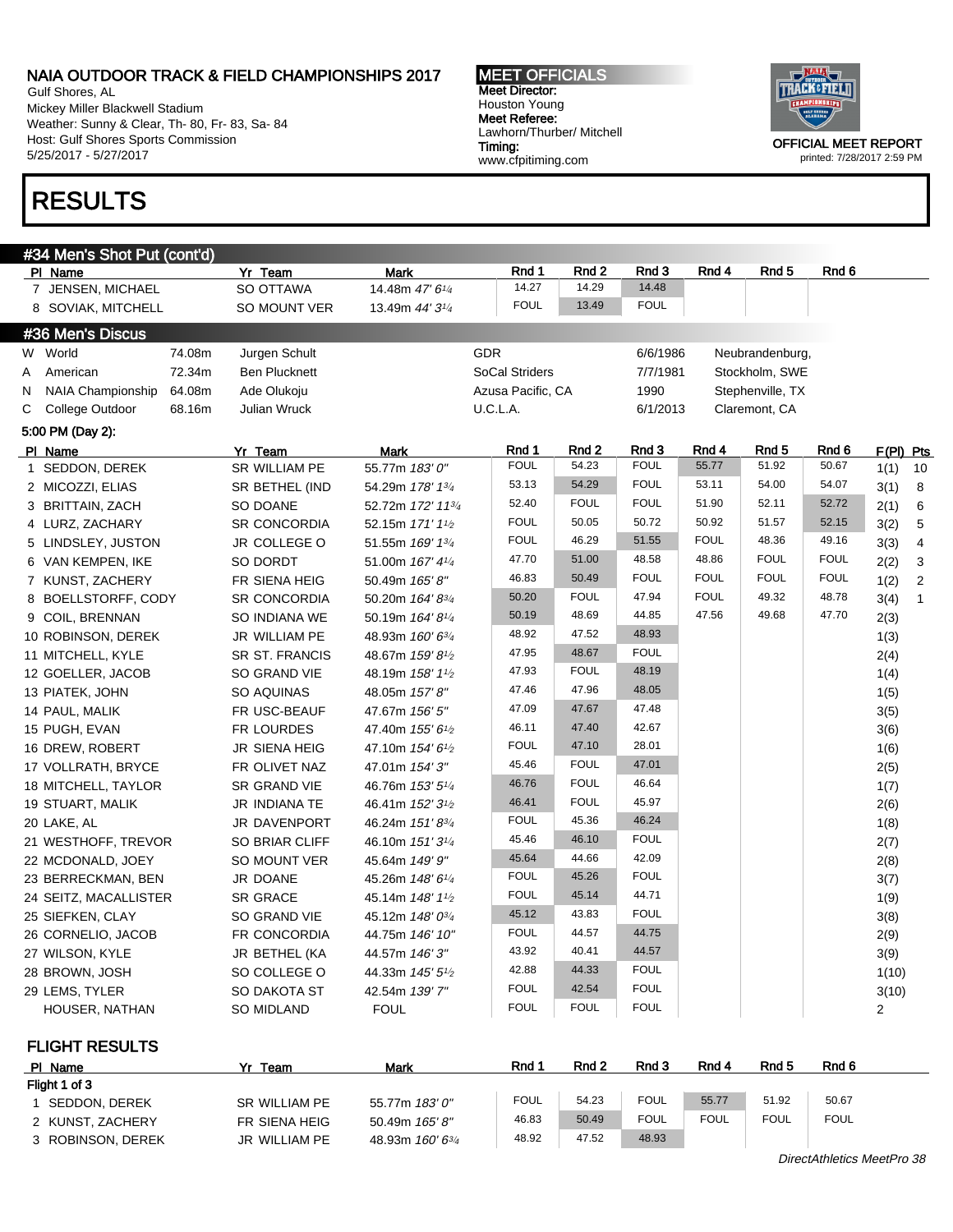Gulf Shores, AL Mickey Miller Blackwell Stadium Weather: Sunny & Clear, Th- 80, Fr- 83, Sa- 84 Host: Gulf Shores Sports Commission 5/25/2017 - 5/27/2017

# RESULTS

MEET OFFICIALS Meet Director: Houston Young Meet Referee: Lawhorn/Thurber/ Mitchell Timing: www.cfpitiming.com



printed: 7/28/2017 2:59 PM

|   | #34 Men's Shot Put (cont'd) |        |                       |                                           |                       |             |             |             |                  |                  |                |                         |
|---|-----------------------------|--------|-----------------------|-------------------------------------------|-----------------------|-------------|-------------|-------------|------------------|------------------|----------------|-------------------------|
|   | PI Name                     |        | Yr Team               | <b>Mark</b>                               | Rnd 1                 | Rnd 2       | Rnd 3       | Rnd 4       | Rnd 5            | Rnd 6            |                |                         |
|   | 7 JENSEN, MICHAEL           |        | SO OTTAWA             | 14.48m 47' 61/4                           | 14.27                 | 14.29       | 14.48       |             |                  |                  |                |                         |
|   | 8 SOVIAK, MITCHELL          |        | SO MOUNT VER          | 13.49m 44' 31/4                           | <b>FOUL</b>           | 13.49       | <b>FOUL</b> |             |                  |                  |                |                         |
|   | #36 Men's Discus            |        |                       |                                           |                       |             |             |             |                  |                  |                |                         |
|   | W World                     | 74.08m | Jurgen Schult         |                                           | <b>GDR</b>            |             | 6/6/1986    |             | Neubrandenburg,  |                  |                |                         |
| Α | American                    | 72.34m | <b>Ben Plucknett</b>  |                                           | <b>SoCal Striders</b> |             | 7/7/1981    |             | Stockholm, SWE   |                  |                |                         |
| N | NAIA Championship           | 64.08m | Ade Olukoju           |                                           | Azusa Pacific, CA     |             | 1990        |             | Stephenville, TX |                  |                |                         |
| C | College Outdoor             | 68.16m | <b>Julian Wruck</b>   |                                           | U.C.L.A.              |             | 6/1/2013    |             | Claremont, CA    |                  |                |                         |
|   | 5:00 PM (Day 2):            |        |                       |                                           |                       |             |             |             |                  |                  |                |                         |
|   | PI Name                     |        | Yr Team               | <b>Mark</b>                               | Rnd 1                 | Rnd 2       | Rnd 3       | Rnd 4       | Rnd <sub>5</sub> | Rnd <sub>6</sub> | F(PI) Pts      |                         |
|   | 1 SEDDON, DEREK             |        | <b>SR WILLIAM PE</b>  | 55.77m 183' 0"                            | <b>FOUL</b>           | 54.23       | <b>FOUL</b> | 55.77       | 51.92            | 50.67            | 1(1)           | 10                      |
|   | 2 MICOZZI, ELIAS            |        | SR BETHEL (IND        | 54.29m 178' 13/4                          | 53.13                 | 54.29       | <b>FOUL</b> | 53.11       | 54.00            | 54.07            | 3(1)           | 8                       |
|   | 3 BRITTAIN, ZACH            |        | SO DOANE              | 52.72m 172' 113/4                         | 52.40                 | <b>FOUL</b> | <b>FOUL</b> | 51.90       | 52.11            | 52.72            | 2(1)           | 6                       |
|   | 4 LURZ, ZACHARY             |        | SR CONCORDIA          | 52.15m 171' 1 <sup>1</sup> / <sub>2</sub> | <b>FOUL</b>           | 50.05       | 50.72       | 50.92       | 51.57            | 52.15            | 3(2)           | $\sqrt{5}$              |
|   | 5 LINDSLEY, JUSTON          |        | JR COLLEGE O          | 51.55m 169' 13/4                          | <b>FOUL</b>           | 46.29       | 51.55       | <b>FOUL</b> | 48.36            | 49.16            | 3(3)           | $\overline{\mathbf{4}}$ |
|   | 6 VAN KEMPEN, IKE           |        | SO DORDT              | 51.00m 167' 41/4                          | 47.70                 | 51.00       | 48.58       | 48.86       | <b>FOUL</b>      | <b>FOUL</b>      | 2(2)           | 3                       |
|   | 7 KUNST, ZACHERY            |        | FR SIENA HEIG         | 50.49m 165'8"                             | 46.83                 | 50.49       | <b>FOUL</b> | <b>FOUL</b> | <b>FOUL</b>      | <b>FOUL</b>      | 1(2)           | $\overline{2}$          |
|   | 8 BOELLSTORFF, CODY         |        | <b>SR CONCORDIA</b>   | 50.20m 164' 83/4                          | 50.20                 | <b>FOUL</b> | 47.94       | <b>FOUL</b> | 49.32            | 48.78            | 3(4)           | $\mathbf{1}$            |
|   | 9 COIL, BRENNAN             |        | SO INDIANA WE         | 50.19m 164' 81/4                          | 50.19                 | 48.69       | 44.85       | 47.56       | 49.68            | 47.70            | 2(3)           |                         |
|   | 10 ROBINSON, DEREK          |        | JR WILLIAM PE         | 48.93m 160' 63/4                          | 48.92                 | 47.52       | 48.93       |             |                  |                  | 1(3)           |                         |
|   | 11 MITCHELL, KYLE           |        | <b>SR ST. FRANCIS</b> | 48.67m 159' 81/2                          | 47.95                 | 48.67       | <b>FOUL</b> |             |                  |                  | 2(4)           |                         |
|   | 12 GOELLER, JACOB           |        | SO GRAND VIE          | 48.19m 158' 11/2                          | 47.93                 | <b>FOUL</b> | 48.19       |             |                  |                  | 1(4)           |                         |
|   | 13 PIATEK, JOHN             |        | SO AQUINAS            | 48.05m 157' 8"                            | 47.46                 | 47.96       | 48.05       |             |                  |                  | 1(5)           |                         |
|   | 14 PAUL, MALIK              |        | FR USC-BEAUF          | 47.67m 156' 5"                            | 47.09                 | 47.67       | 47.48       |             |                  |                  | 3(5)           |                         |
|   | 15 PUGH, EVAN               |        | FR LOURDES            | 47.40m 155' 61/2                          | 46.11                 | 47.40       | 42.67       |             |                  |                  | 3(6)           |                         |
|   | 16 DREW, ROBERT             |        | JR SIENA HEIG         | 47.10m 154' 6 <sup>1</sup> /2             | <b>FOUL</b>           | 47.10       | 28.01       |             |                  |                  | 1(6)           |                         |
|   | 17 VOLLRATH, BRYCE          |        | FR OLIVET NAZ         | 47.01m 154' 3"                            | 45.46                 | <b>FOUL</b> | 47.01       |             |                  |                  | 2(5)           |                         |
|   | 18 MITCHELL, TAYLOR         |        | SR GRAND VIE          | 46.76m 153' 5 <sup>1/4</sup>              | 46.76                 | <b>FOUL</b> | 46.64       |             |                  |                  | 1(7)           |                         |
|   | 19 STUART, MALIK            |        | JR INDIANA TE         | 46.41m 152' 3 <sup>1</sup> / <sub>2</sub> | 46.41                 | <b>FOUL</b> | 45.97       |             |                  |                  | 2(6)           |                         |
|   | 20 LAKE, AL                 |        | JR DAVENPORT          | 46.24m 151'83/4                           | <b>FOUL</b>           | 45.36       | 46.24       |             |                  |                  | 1(8)           |                         |
|   | 21 WESTHOFF, TREVOR         |        | <b>SO BRIAR CLIFF</b> | 46.10m 151'31/4                           | 45.46                 | 46.10       | <b>FOUL</b> |             |                  |                  | 2(7)           |                         |
|   | 22 MCDONALD, JOEY           |        | SO MOUNT VER          | 45.64m 149' 9"                            | 45.64                 | 44.66       | 42.09       |             |                  |                  | 2(8)           |                         |
|   | 23 BERRECKMAN, BEN          |        | <b>JR DOANE</b>       | 45.26m 148' 61/4                          | <b>FOUL</b>           | 45.26       | <b>FOUL</b> |             |                  |                  | 3(7)           |                         |
|   | 24 SEITZ, MACALLISTER       |        | <b>SR GRACE</b>       | 45.14m 148' 1 <sup>1</sup> / <sub>2</sub> | <b>FOUL</b>           | 45.14       | 44.71       |             |                  |                  | 1(9)           |                         |
|   | 25 SIEFKEN, CLAY            |        | SO GRAND VIE          | 45.12m 148' 03/4                          | 45.12                 | 43.83       | <b>FOUL</b> |             |                  |                  | 3(8)           |                         |
|   | 26 CORNELIO, JACOB          |        | FR CONCORDIA          | 44.75m 146' 10"                           | <b>FOUL</b>           | 44.57       | 44.75       |             |                  |                  | 2(9)           |                         |
|   | 27 WILSON, KYLE             |        | JR BETHEL (KA         | 44.57m 146'3"                             | 43.92                 | 40.41       | 44.57       |             |                  |                  | 3(9)           |                         |
|   | 28 BROWN, JOSH              |        | SO COLLEGE O          | 44.33m 145' 5 <sup>1</sup> /2             | 42.88                 | 44.33       | <b>FOUL</b> |             |                  |                  | 1(10)          |                         |
|   | 29 LEMS, TYLER              |        | <b>SO DAKOTA ST</b>   | 42.54m 139' 7"                            | <b>FOUL</b>           | 42.54       | <b>FOUL</b> |             |                  |                  | 3(10)          |                         |
|   | HOUSER, NATHAN              |        | SO MIDLAND            | <b>FOUL</b>                               | <b>FOUL</b>           | <b>FOUL</b> | <b>FOUL</b> |             |                  |                  | $\overline{2}$ |                         |

FLIGHT RESULTS

| PI Name           | Team          | Mark                        | Rnd 1       | Rnd 2 | Rnd 3       | Rnd 4       | Rnd 5       | Rnd 6       |
|-------------------|---------------|-----------------------------|-------------|-------|-------------|-------------|-------------|-------------|
| Flight 1 of 3     |               |                             |             |       |             |             |             |             |
| SEDDON, DEREK     | SR WILLIAM PE | 55.77m 183' 0"              | <b>FOUL</b> | 54.23 | <b>FOUL</b> | 55.77       | 51.92       | 50.67       |
| 2 KUNST, ZACHERY  | FR SIENA HEIG | 50.49m 165'8"               | 46.83       | 50.49 | <b>FOUL</b> | <b>FOUL</b> | <b>FOUL</b> | <b>FOUL</b> |
| 3 ROBINSON, DEREK | JR WILLIAM PE | 48.93m 160'6 <sup>3/4</sup> | 48.92       | 47.52 | 48.93       |             |             |             |

DirectAthletics MeetPro 38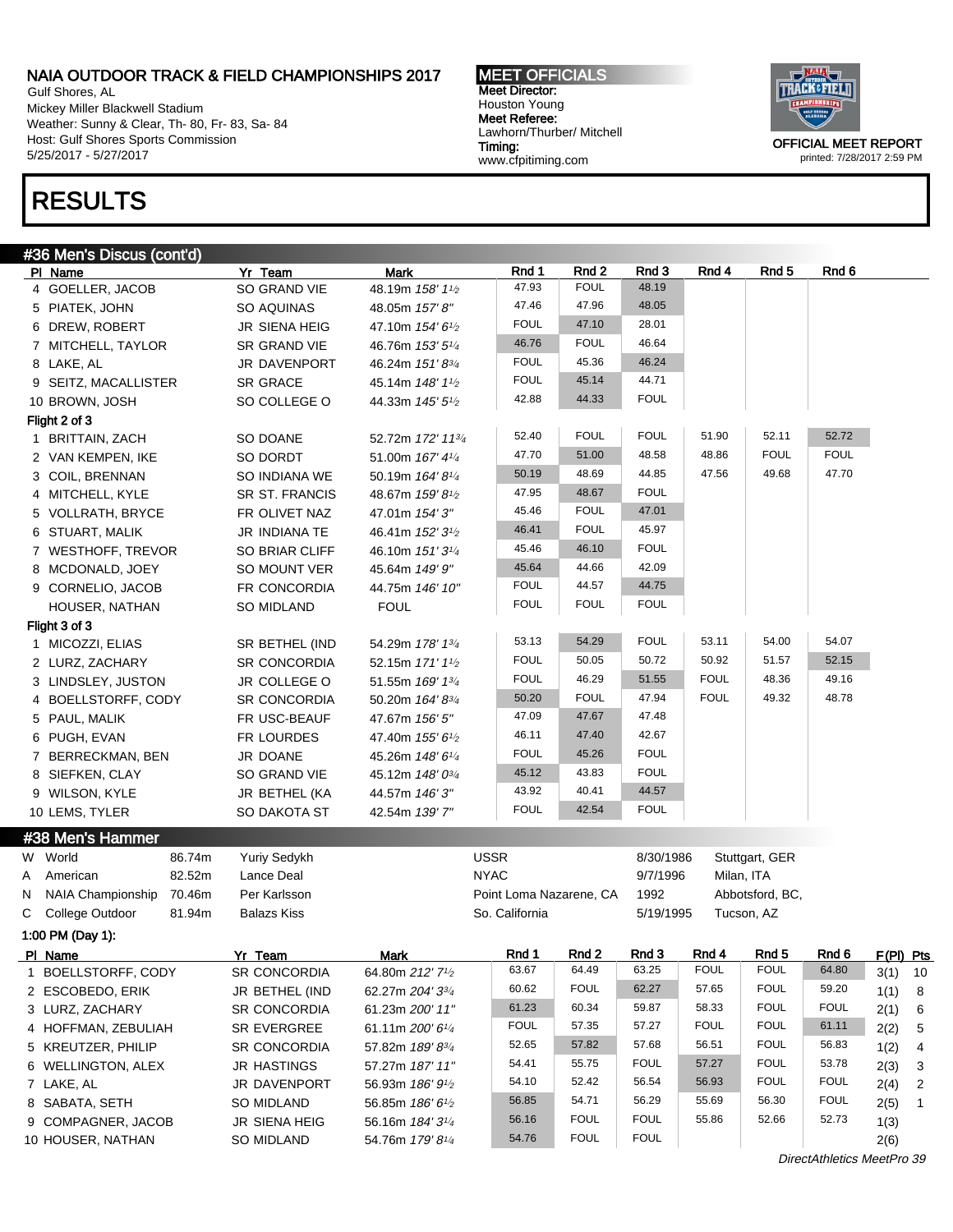Gulf Shores, AL Mickey Miller Blackwell Stadium Weather: Sunny & Clear, Th- 80, Fr- 83, Sa- 84 Host: Gulf Shores Sports Commission 5/25/2017 - 5/27/2017

# RESULTS

#### MEET OFFICIALS Meet Director: Houston Young Meet Referee: Lawhorn/Thurber/ Mitchell Timing: www.cfpitiming.com



printed: 7/28/2017 2:59 PM

|    | <u>#36 M</u> en's Discus (cont'd)  |                         |                                              |                         |             |             |             |                  |             |           |              |
|----|------------------------------------|-------------------------|----------------------------------------------|-------------------------|-------------|-------------|-------------|------------------|-------------|-----------|--------------|
|    | PI Name                            | Yr Team                 | <b>Mark</b>                                  | Rnd 1                   | Rnd 2       | Rnd 3       | Rnd 4       | Rnd 5            | Rnd 6       |           |              |
|    | 4 GOELLER, JACOB                   | SO GRAND VIE            | 48.19m 158' 11/2                             | 47.93                   | <b>FOUL</b> | 48.19       |             |                  |             |           |              |
|    | 5 PIATEK, JOHN                     | SO AQUINAS              | 48.05m 157' 8"                               | 47.46                   | 47.96       | 48.05       |             |                  |             |           |              |
|    | 6 DREW, ROBERT                     | <b>JR SIENA HEIG</b>    | 47.10m 154' 61/2                             | <b>FOUL</b>             | 47.10       | 28.01       |             |                  |             |           |              |
|    | 7 MITCHELL, TAYLOR                 | SR GRAND VIE            | 46.76m 153' 51/4                             | 46.76                   | <b>FOUL</b> | 46.64       |             |                  |             |           |              |
|    | 8 LAKE, AL                         | JR DAVENPORT            | 46.24m 151'83/4                              | <b>FOUL</b>             | 45.36       | 46.24       |             |                  |             |           |              |
|    | 9 SEITZ, MACALLISTER               | <b>SR GRACE</b>         | 45.14m 148' 11/2                             | <b>FOUL</b>             | 45.14       | 44.71       |             |                  |             |           |              |
|    | 10 BROWN, JOSH                     | SO COLLEGE O            | 44.33m 145' 51/2                             | 42.88                   | 44.33       | <b>FOUL</b> |             |                  |             |           |              |
|    | Flight 2 of 3                      |                         |                                              |                         |             |             |             |                  |             |           |              |
|    | 1 BRITTAIN, ZACH                   | SO DOANE                | 52.72m 172' 1134                             | 52.40                   | <b>FOUL</b> | <b>FOUL</b> | 51.90       | 52.11            | 52.72       |           |              |
|    | 2 VAN KEMPEN, IKE                  | SO DORDT                | 51.00m 167' 41/4                             | 47.70                   | 51.00       | 48.58       | 48.86       | <b>FOUL</b>      | <b>FOUL</b> |           |              |
|    | 3 COIL, BRENNAN                    | SO INDIANA WE           | 50.19m 164' 81/4                             | 50.19                   | 48.69       | 44.85       | 47.56       | 49.68            | 47.70       |           |              |
|    | 4 MITCHELL, KYLE                   | SR ST. FRANCIS          | 48.67m 159'81/2                              | 47.95                   | 48.67       | <b>FOUL</b> |             |                  |             |           |              |
|    | 5 VOLLRATH, BRYCE                  | FR OLIVET NAZ           | 47.01m 154' 3"                               | 45.46                   | <b>FOUL</b> | 47.01       |             |                  |             |           |              |
|    | 6 STUART, MALIK                    | JR INDIANA TE           | 46.41m 152' 31/2                             | 46.41                   | <b>FOUL</b> | 45.97       |             |                  |             |           |              |
|    | 7 WESTHOFF, TREVOR                 | SO BRIAR CLIFF          | 46.10m 151'31/4                              | 45.46                   | 46.10       | <b>FOUL</b> |             |                  |             |           |              |
|    | 8 MCDONALD, JOEY                   | SO MOUNT VER            | 45.64m 149' 9"                               | 45.64                   | 44.66       | 42.09       |             |                  |             |           |              |
|    | 9 CORNELIO, JACOB                  | FR CONCORDIA            | 44.75m 146' 10"                              | <b>FOUL</b>             | 44.57       | 44.75       |             |                  |             |           |              |
|    | HOUSER, NATHAN                     | SO MIDLAND              | <b>FOUL</b>                                  | <b>FOUL</b>             | <b>FOUL</b> | <b>FOUL</b> |             |                  |             |           |              |
|    | Flight 3 of 3                      |                         |                                              |                         |             |             |             |                  |             |           |              |
|    | 1 MICOZZI, ELIAS                   | SR BETHEL (IND          | 54.29m 178' 13/4                             | 53.13                   | 54.29       | <b>FOUL</b> | 53.11       | 54.00            | 54.07       |           |              |
|    | 2 LURZ, ZACHARY                    | SR CONCORDIA            | 52.15m 171' 11/2                             | <b>FOUL</b>             | 50.05       | 50.72       | 50.92       | 51.57            | 52.15       |           |              |
|    | 3 LINDSLEY, JUSTON                 | JR COLLEGE O            | 51.55m 169' 13/4                             | <b>FOUL</b>             | 46.29       | 51.55       | <b>FOUL</b> | 48.36            | 49.16       |           |              |
|    | 4 BOELLSTORFF, CODY                | <b>SR CONCORDIA</b>     | 50.20m 164' 83/4                             | 50.20                   | <b>FOUL</b> | 47.94       | <b>FOUL</b> | 49.32            | 48.78       |           |              |
|    | 5 PAUL, MALIK                      | FR USC-BEAUF            | 47.67m 156' 5"                               | 47.09                   | 47.67       | 47.48       |             |                  |             |           |              |
|    | 6 PUGH, EVAN                       | FR LOURDES              | 47.40m 155' 61/2                             | 46.11                   | 47.40       | 42.67       |             |                  |             |           |              |
|    | 7 BERRECKMAN, BEN                  | JR DOANE                | 45.26m 148' 61/4                             | <b>FOUL</b>             | 45.26       | <b>FOUL</b> |             |                  |             |           |              |
|    | 8 SIEFKEN, CLAY                    | SO GRAND VIE            | 45.12m 148' 03/4                             | 45.12                   | 43.83       | <b>FOUL</b> |             |                  |             |           |              |
|    | 9 WILSON, KYLE                     | JR BETHEL (KA           | 44.57m 146' 3"                               | 43.92                   | 40.41       | 44.57       |             |                  |             |           |              |
|    | 10 LEMS, TYLER                     | SO DAKOTA ST            | 42.54m 139' 7"                               | <b>FOUL</b>             | 42.54       | <b>FOUL</b> |             |                  |             |           |              |
|    | #38 Men's Hammer                   |                         |                                              |                         |             |             |             |                  |             |           |              |
|    | W World<br>86.74m                  | Yuriy Sedykh            |                                              | <b>USSR</b>             |             | 8/30/1986   |             | Stuttgart, GER   |             |           |              |
| A  | 82.52m<br>American                 | Lance Deal              |                                              | <b>NYAC</b>             |             | 9/7/1996    |             | Milan, ITA       |             |           |              |
| N  | 70.46m<br><b>NAIA Championship</b> | Per Karlsson            |                                              | Point Loma Nazarene, CA |             | 1992        |             | Abbotsford, BC,  |             |           |              |
| C. | College Outdoor<br>81.94m          | <b>Balazs Kiss</b>      |                                              | So. California          |             | 5/19/1995   |             | Tucson, AZ       |             |           |              |
|    | 1:00 PM (Day 1):                   |                         |                                              |                         |             |             |             |                  |             |           |              |
|    |                                    |                         |                                              | Rnd 1                   | Rnd 2       | Rnd 3       | Rnd 4       | Rnd <sub>5</sub> | Rnd 6       |           |              |
|    | PI Name<br>1 BOELLSTORFF, CODY     | Yr Team<br>SR CONCORDIA | <b>Mark</b><br>64.80m 212' 7 <sup>1</sup> /2 | 63.67                   | 64.49       | 63.25       | <b>FOUL</b> | <b>FOUL</b>      | 64.80       | F(PI) Pts |              |
|    |                                    |                         |                                              | 60.62                   | <b>FOUL</b> | 62.27       | 57.65       | <b>FOUL</b>      | 59.20       | 3(1)      | 10           |
|    | 2 ESCOBEDO, ERIK                   | JR BETHEL (IND          | 62.27m 204' 33/4                             | 61.23                   | 60.34       | 59.87       | 58.33       | <b>FOUL</b>      | <b>FOUL</b> | 1(1)      | - 8          |
|    | 3 LURZ, ZACHARY                    | SR CONCORDIA            | 61.23m 200' 11"                              | <b>FOUL</b>             | 57.35       | 57.27       | <b>FOUL</b> | <b>FOUL</b>      | 61.11       | 2(1)      | 6            |
|    | 4 HOFFMAN, ZEBULIAH                | SR EVERGREE             | 61.11m 200' 61/4                             | 52.65                   | 57.82       | 57.68       | 56.51       | <b>FOUL</b>      | 56.83       | 2(2)      | 5            |
|    | 5 KREUTZER, PHILIP                 | SR CONCORDIA            | 57.82m 189' 83/4                             | 54.41                   | 55.75       | <b>FOUL</b> | 57.27       | <b>FOUL</b>      | 53.78       | 1(2)      | 4            |
|    | 6 WELLINGTON, ALEX                 | <b>JR HASTINGS</b>      | 57.27m 187' 11"                              | 54.10                   | 52.42       | 56.54       | 56.93       | <b>FOUL</b>      | <b>FOUL</b> | 2(3)      | 3            |
|    | 7 LAKE, AL                         | JR DAVENPORT            | 56.93m 186' 9 <sup>1</sup> /2                |                         | 54.71       |             |             | 56.30            |             | 2(4)      | 2            |
|    | 8 SABATA, SETH                     | <b>SO MIDLAND</b>       | 56.85m 186' 61/2                             | 56.85                   |             | 56.29       | 55.69       |                  | <b>FOUL</b> | 2(5)      | $\mathbf{1}$ |
|    | 9 COMPAGNER, JACOB                 | JR SIENA HEIG           | 56.16m 184' 3 <sup>1/4</sup>                 | 56.16                   | <b>FOUL</b> | <b>FOUL</b> | 55.86       | 52.66            | 52.73       | 1(3)      |              |
|    | 10 HOUSER, NATHAN                  | <b>SO MIDLAND</b>       | 54.76m 179' 81/4                             | 54.76                   | <b>FOUL</b> | <b>FOUL</b> |             |                  |             | 2(6)      |              |

DirectAthletics MeetPro 39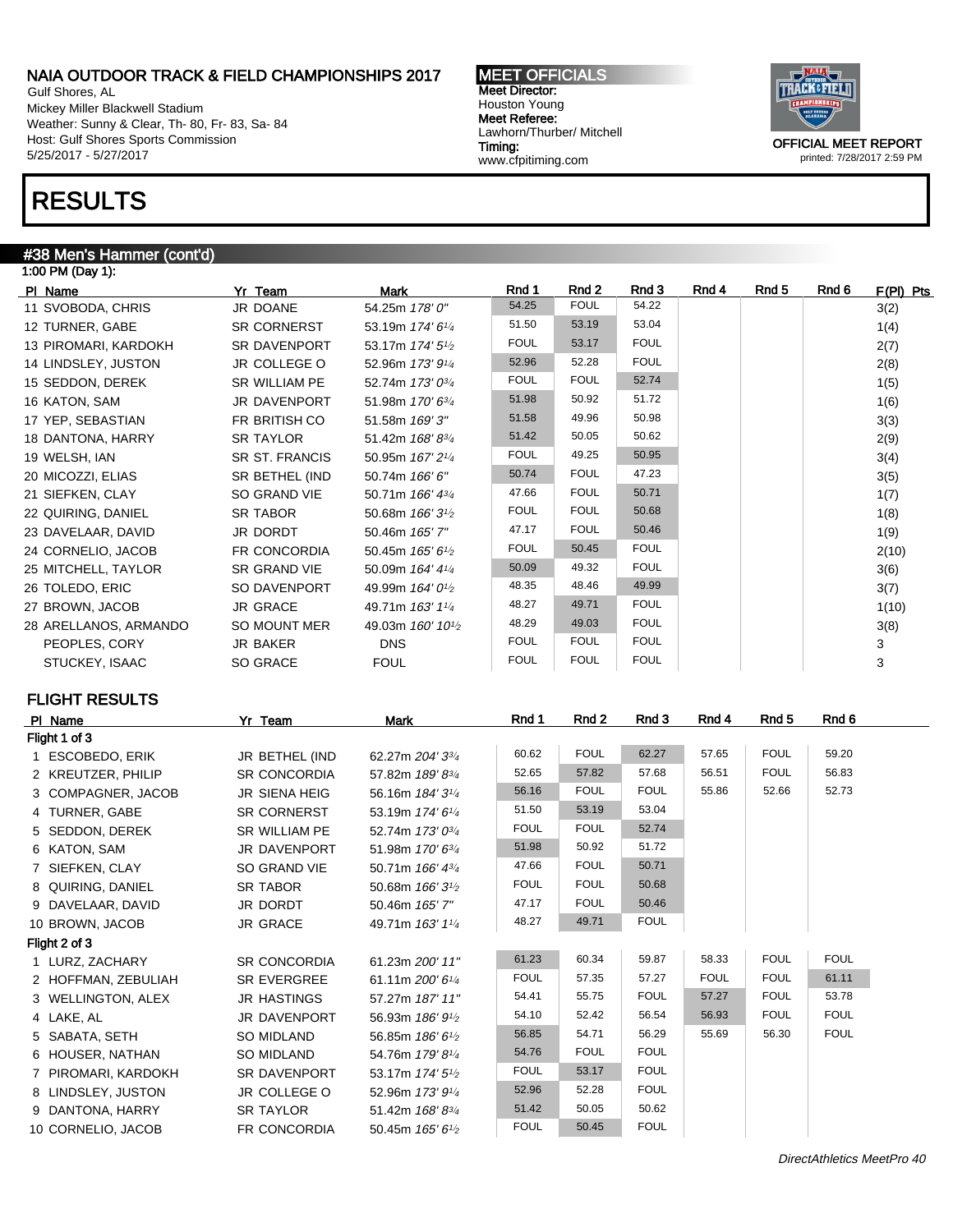Gulf Shores, AL Mickey Miller Blackwell Stadium Weather: Sunny & Clear, Th- 80, Fr- 83, Sa- 84 Host: Gulf Shores Sports Commission 5/25/2017 - 5/27/2017

### RES

#### #38 Mer 1:00 PM (I

| <b>RESULTS</b>                                |                      |                                           |             |             |             |       |       |       |             |  |  |
|-----------------------------------------------|----------------------|-------------------------------------------|-------------|-------------|-------------|-------|-------|-------|-------------|--|--|
| #38 Men's Hammer (cont'd)<br>1:00 PM (Day 1): |                      |                                           |             |             |             |       |       |       |             |  |  |
| PI Name                                       | Yr Team              | Mark                                      | Rnd 1       | Rnd 2       | Rnd 3       | Rnd 4 | Rnd 5 | Rnd 6 | $F(PI)$ Pts |  |  |
| 11 SVOBODA, CHRIS                             | JR DOANE             | 54.25m 178' 0"                            | 54.25       | <b>FOUL</b> | 54.22       |       |       |       | 3(2)        |  |  |
| 12 TURNER, GABE                               | <b>SR CORNERST</b>   | 53.19m 174' 61/4                          | 51.50       | 53.19       | 53.04       |       |       |       | 1(4)        |  |  |
| 13 PIROMARI, KARDOKH                          | <b>SR DAVENPORT</b>  | 53.17m 174' 5 <sup>1</sup> / <sub>2</sub> | <b>FOUL</b> | 53.17       | <b>FOUL</b> |       |       |       | 2(7)        |  |  |
| 14 LINDSLEY, JUSTON                           | JR COLLEGE O         | 52.96m 173' 91/4                          | 52.96       | 52.28       | <b>FOUL</b> |       |       |       | 2(8)        |  |  |
| 15 SEDDON, DEREK                              | <b>SR WILLIAM PE</b> | 52.74m 173' 03/4                          | <b>FOUL</b> | <b>FOUL</b> | 52.74       |       |       |       | 1(5)        |  |  |
| 16 KATON, SAM                                 | <b>JR DAVENPORT</b>  | 51.98m 170' 63/4                          | 51.98       | 50.92       | 51.72       |       |       |       | 1(6)        |  |  |
| 17 YEP, SEBASTIAN                             | FR BRITISH CO        | 51.58m 169'3"                             | 51.58       | 49.96       | 50.98       |       |       |       | 3(3)        |  |  |
| 18 DANTONA, HARRY                             | <b>SR TAYLOR</b>     | 51.42m 168'834                            | 51.42       | 50.05       | 50.62       |       |       |       | 2(9)        |  |  |
| 19 WELSH, IAN                                 | SR ST. FRANCIS       | 50.95m 167' 21/4                          | <b>FOUL</b> | 49.25       | 50.95       |       |       |       | 3(4)        |  |  |
| 20 MICOZZI, ELIAS                             | SR BETHEL (IND       | 50.74m 166' 6"                            | 50.74       | <b>FOUL</b> | 47.23       |       |       |       | 3(5)        |  |  |
| 21 SIEFKEN, CLAY                              | SO GRAND VIE         | 50.71m 166' 43/4                          | 47.66       | <b>FOUL</b> | 50.71       |       |       |       | 1(7)        |  |  |
| 22 OLIIRING DANIFI                            | SR TAROR             | $50$ 68m $166'$ 31/2                      | <b>FOUL</b> | <b>FOUL</b> | 50.68       |       |       |       | 1(R)        |  |  |

| 22 QUIRING, DANIEL    | <b>SR TABOR</b> | 50.68m 166' 3 <sup>1</sup> / <sub>2</sub>  | <b>FOUL</b> | <b>FOUL</b> | 50.68       | 1(8)  |
|-----------------------|-----------------|--------------------------------------------|-------------|-------------|-------------|-------|
| 23 DAVELAAR, DAVID    | <b>JR DORDT</b> | 50.46m 165' 7"                             | 47.17       | <b>FOUL</b> | 50.46       | 1(9)  |
| 24 CORNELIO, JACOB    | FR CONCORDIA    | 50.45m $165'6'2$                           | <b>FOUL</b> | 50.45       | <b>FOUL</b> | 2(10) |
| 25 MITCHELL, TAYLOR   | SR GRAND VIE    | 50.09m 164' 41/4                           | 50.09       | 49.32       | <b>FOUL</b> | 3(6)  |
| 26 TOLEDO, ERIC       | SO DAVENPORT    | 49.99m 164' 0 <sup>1</sup> / <sub>2</sub>  | 48.35       | 48.46       | 49.99       | 3(7)  |
| 27 BROWN, JACOB       | JR GRACE        | 49.71m 163' 11/4                           | 48.27       | 49.71       | <b>FOUL</b> | 1(10) |
| 28 ARELLANOS, ARMANDO | SO MOUNT MER    | 49.03m 160' 10 <sup>1</sup> / <sub>2</sub> | 48.29       | 49.03       | <b>FOUL</b> | 3(8)  |
| PEOPLES, CORY         | <b>JR BAKER</b> | <b>DNS</b>                                 | <b>FOUL</b> | <b>FOUL</b> | <b>FOUL</b> | 3     |
| STUCKEY, ISAAC        | SO GRACE        | <b>FOUL</b>                                | <b>FOUL</b> | <b>FOUL</b> | <b>FOUL</b> |       |

### FLIGHT RESULTS

| Flight 1 of 3<br><b>FOUL</b><br>62.27<br>57.65<br><b>FOUL</b><br>59.20<br>60.62<br>1 ESCOBEDO, ERIK<br>JR BETHEL (IND<br>62.27m 204' 33/4<br>57.82<br><b>FOUL</b><br>56.83<br>52.65<br>57.68<br>56.51<br>2 KREUTZER, PHILIP<br><b>SR CONCORDIA</b><br>57.82m 189' 83/4<br>52.73<br><b>FOUL</b><br><b>FOUL</b><br>52.66<br>56.16<br>55.86<br>3 COMPAGNER, JACOB<br><b>JR SIENA HEIG</b><br>56.16m 184' 31/4<br>53.19<br>53.04<br>51.50<br>4 TURNER, GABE<br><b>SR CORNERST</b><br>53.19m 174' 61/4<br><b>FOUL</b><br>52.74<br><b>FOUL</b><br>5 SEDDON, DEREK<br>SR WILLIAM PE<br>52.74m 173' 03/4 | Rnd 6 | Rnd 5 | Rnd 4 | Rnd 3 | Rnd 2 | Rnd 1 | Mark             | Yr Team             | PI Name      |  |
|--------------------------------------------------------------------------------------------------------------------------------------------------------------------------------------------------------------------------------------------------------------------------------------------------------------------------------------------------------------------------------------------------------------------------------------------------------------------------------------------------------------------------------------------------------------------------------------------------|-------|-------|-------|-------|-------|-------|------------------|---------------------|--------------|--|
|                                                                                                                                                                                                                                                                                                                                                                                                                                                                                                                                                                                                  |       |       |       |       |       |       |                  |                     |              |  |
|                                                                                                                                                                                                                                                                                                                                                                                                                                                                                                                                                                                                  |       |       |       |       |       |       |                  |                     |              |  |
|                                                                                                                                                                                                                                                                                                                                                                                                                                                                                                                                                                                                  |       |       |       |       |       |       |                  |                     |              |  |
|                                                                                                                                                                                                                                                                                                                                                                                                                                                                                                                                                                                                  |       |       |       |       |       |       |                  |                     |              |  |
|                                                                                                                                                                                                                                                                                                                                                                                                                                                                                                                                                                                                  |       |       |       |       |       |       |                  |                     |              |  |
|                                                                                                                                                                                                                                                                                                                                                                                                                                                                                                                                                                                                  |       |       |       |       |       |       |                  |                     |              |  |
|                                                                                                                                                                                                                                                                                                                                                                                                                                                                                                                                                                                                  |       |       |       | 51.72 | 50.92 | 51.98 | 51.98m 170' 63/4 | <b>JR DAVENPORT</b> | 6 KATON, SAM |  |
| <b>FOUL</b><br>50.71<br>47.66<br>7 SIEFKEN, CLAY<br>SO GRAND VIE<br>50.71m 166' 43/4                                                                                                                                                                                                                                                                                                                                                                                                                                                                                                             |       |       |       |       |       |       |                  |                     |              |  |
| <b>FOUL</b><br>50.68<br><b>FOUL</b><br>8 QUIRING, DANIEL<br><b>SR TABOR</b><br>50.68m 166' 3 <sup>1</sup> / <sub>2</sub>                                                                                                                                                                                                                                                                                                                                                                                                                                                                         |       |       |       |       |       |       |                  |                     |              |  |
| <b>FOUL</b><br>50.46<br>47.17<br>9 DAVELAAR, DAVID<br>JR DORDT<br>50.46m 165' 7"                                                                                                                                                                                                                                                                                                                                                                                                                                                                                                                 |       |       |       |       |       |       |                  |                     |              |  |
| <b>FOUL</b><br>48.27<br>49.71<br>10 BROWN, JACOB<br>JR GRACE<br>49.71m 163' 11/4                                                                                                                                                                                                                                                                                                                                                                                                                                                                                                                 |       |       |       |       |       |       |                  |                     |              |  |
| Flight 2 of 3                                                                                                                                                                                                                                                                                                                                                                                                                                                                                                                                                                                    |       |       |       |       |       |       |                  |                     |              |  |
| <b>FOUL</b><br>60.34<br>58.33<br><b>FOUL</b><br>61.23<br>59.87<br>1 LURZ, ZACHARY<br><b>SR CONCORDIA</b><br>61.23m 200' 11"                                                                                                                                                                                                                                                                                                                                                                                                                                                                      |       |       |       |       |       |       |                  |                     |              |  |
| 61.11<br><b>FOUL</b><br><b>FOUL</b><br>57.35<br>57.27<br><b>FOUL</b><br>SR EVERGREE<br>61.11m 200' 61/4<br>2 HOFFMAN, ZEBULIAH                                                                                                                                                                                                                                                                                                                                                                                                                                                                   |       |       |       |       |       |       |                  |                     |              |  |
| <b>FOUL</b><br><b>FOUL</b><br>57.27<br>53.78<br>54.41<br>55.75<br>3 WELLINGTON, ALEX<br><b>JR HASTINGS</b><br>57.27m 187' 11"                                                                                                                                                                                                                                                                                                                                                                                                                                                                    |       |       |       |       |       |       |                  |                     |              |  |
| <b>FOUL</b><br>52.42<br>56.93<br><b>FOUL</b><br>54.10<br>56.54<br>4 LAKE, AL<br><b>JR DAVENPORT</b><br>56.93m 186' 91/2                                                                                                                                                                                                                                                                                                                                                                                                                                                                          |       |       |       |       |       |       |                  |                     |              |  |
| <b>FOUL</b><br>56.85<br>54.71<br>56.29<br>55.69<br>56.30<br>SO MIDLAND<br>5 SABATA, SETH<br>56.85m 186' 61/2                                                                                                                                                                                                                                                                                                                                                                                                                                                                                     |       |       |       |       |       |       |                  |                     |              |  |
| <b>FOUL</b><br><b>FOUL</b><br>54.76<br>6 HOUSER, NATHAN<br>SO MIDLAND<br>54.76m 179' 8 <sup>1/4</sup>                                                                                                                                                                                                                                                                                                                                                                                                                                                                                            |       |       |       |       |       |       |                  |                     |              |  |
| <b>FOUL</b><br><b>FOUL</b><br>53.17<br>7 PIROMARI, KARDOKH<br>SR DAVENPORT<br>53.17m 174' 5 <sup>1</sup> / <sub>2</sub>                                                                                                                                                                                                                                                                                                                                                                                                                                                                          |       |       |       |       |       |       |                  |                     |              |  |
| <b>FOUL</b><br>52.96<br>52.28<br>8 LINDSLEY, JUSTON<br>JR COLLEGE O<br>52.96m 173' 91/4                                                                                                                                                                                                                                                                                                                                                                                                                                                                                                          |       |       |       |       |       |       |                  |                     |              |  |
| 50.62<br>51.42<br>50.05<br>SR TAYLOR<br>9 DANTONA, HARRY<br>51.42m 168' 83/4                                                                                                                                                                                                                                                                                                                                                                                                                                                                                                                     |       |       |       |       |       |       |                  |                     |              |  |
| <b>FOUL</b><br><b>FOUL</b><br>50.45<br>10 CORNELIO, JACOB<br>FR CONCORDIA<br>50.45m 165' 6 <sup>1</sup> / <sub>2</sub>                                                                                                                                                                                                                                                                                                                                                                                                                                                                           |       |       |       |       |       |       |                  |                     |              |  |

MEET OFFICIALS Meet Director: Houston Young Meet Referee: Lawhorn/Thurber/ Mitchell Timing: www.cfpitiming.com

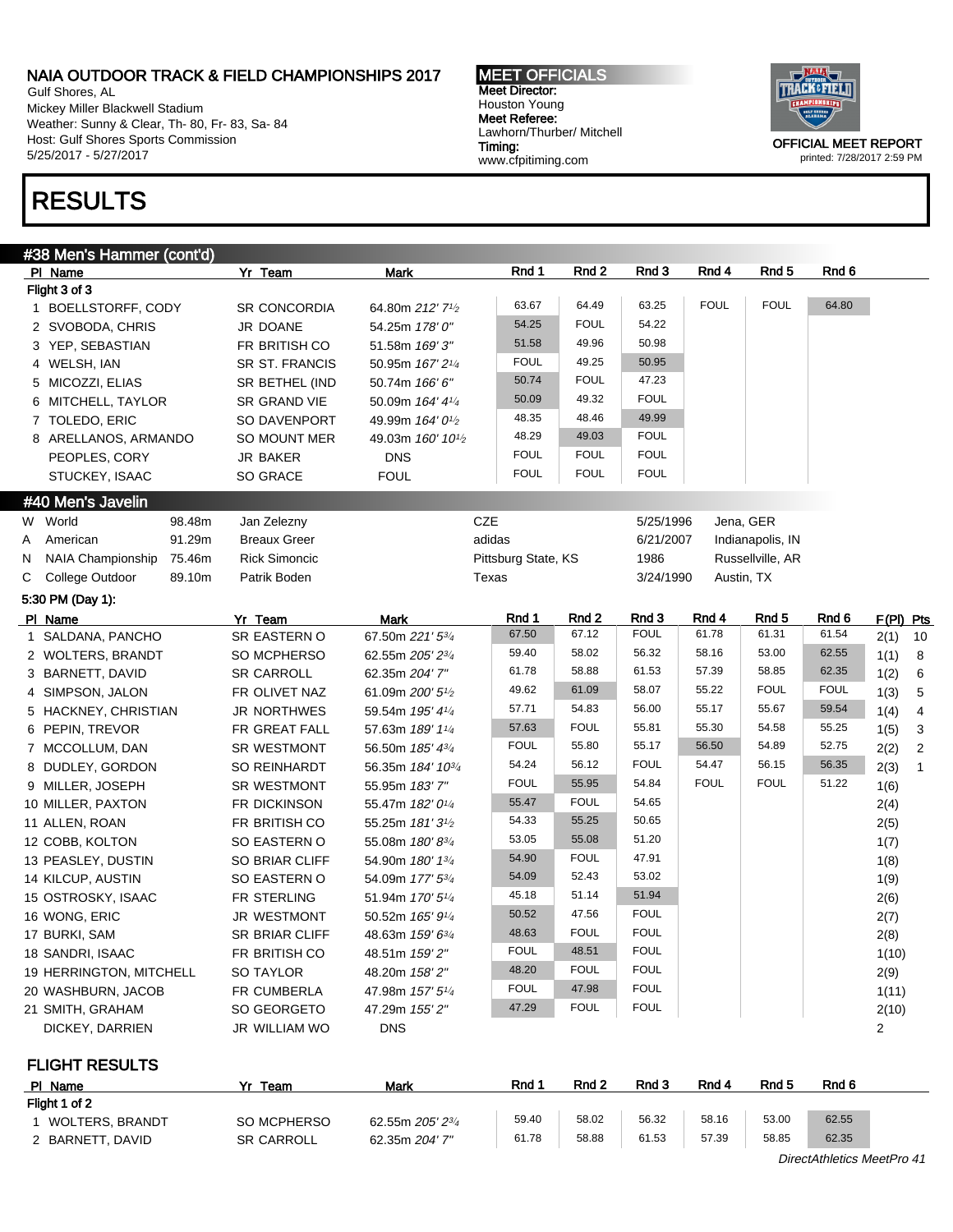Gulf Shores, AL Mickey Miller Blackwell Stadium Weather: Sunny & Clear, Th- 80, Fr- 83, Sa- 84 Host: Gulf Shores Sports Commission 5/25/2017 - 5/27/2017

# RESULTS

MEET OFFICIALS Meet Director: Houston Young Meet Referee: Lawhorn/Thurber/ Mitchell Timing: www.cfpitiming.com



printed: 7/28/2017 2:59 PM

|   | #38 Men's Hammer (cont'd) |        |                       |                               |                     |             |             |             |                  |                  |                |              |
|---|---------------------------|--------|-----------------------|-------------------------------|---------------------|-------------|-------------|-------------|------------------|------------------|----------------|--------------|
|   | PI Name                   |        | Yr Team               | <b>Mark</b>                   | Rnd 1               | Rnd 2       | Rnd 3       | Rnd 4       | Rnd <sub>5</sub> | Rnd 6            |                |              |
|   | Flight 3 of 3             |        |                       |                               |                     |             |             |             |                  |                  |                |              |
|   | 1 BOELLSTORFF, CODY       |        | SR CONCORDIA          | 64.80m 212' 71/2              | 63.67               | 64.49       | 63.25       | <b>FOUL</b> | <b>FOUL</b>      | 64.80            |                |              |
|   | 2 SVOBODA, CHRIS          |        | <b>JR DOANE</b>       | 54.25m 178' 0"                | 54.25               | <b>FOUL</b> | 54.22       |             |                  |                  |                |              |
|   | 3 YEP, SEBASTIAN          |        | FR BRITISH CO         | 51.58m 169' 3"                | 51.58               | 49.96       | 50.98       |             |                  |                  |                |              |
|   | 4 WELSH, IAN              |        | <b>SR ST. FRANCIS</b> | 50.95m 167' 21/4              | <b>FOUL</b>         | 49.25       | 50.95       |             |                  |                  |                |              |
|   | 5 MICOZZI, ELIAS          |        | SR BETHEL (IND        | 50.74m 166' 6"                | 50.74               | <b>FOUL</b> | 47.23       |             |                  |                  |                |              |
|   | 6 MITCHELL, TAYLOR        |        | SR GRAND VIE          | 50.09m 164' 41/4              | 50.09               | 49.32       | <b>FOUL</b> |             |                  |                  |                |              |
|   | 7 TOLEDO, ERIC            |        | SO DAVENPORT          | 49.99m 164' 01/2              | 48.35               | 48.46       | 49.99       |             |                  |                  |                |              |
|   | 8 ARELLANOS, ARMANDO      |        | SO MOUNT MER          | 49.03m 160' 101/2             | 48.29               | 49.03       | <b>FOUL</b> |             |                  |                  |                |              |
|   | PEOPLES, CORY             |        | <b>JR BAKER</b>       | <b>DNS</b>                    | <b>FOUL</b>         | <b>FOUL</b> | <b>FOUL</b> |             |                  |                  |                |              |
|   | STUCKEY, ISAAC            |        | SO GRACE              | <b>FOUL</b>                   | <b>FOUL</b>         | <b>FOUL</b> | <b>FOUL</b> |             |                  |                  |                |              |
|   | #40 Men's Javelin         |        |                       |                               |                     |             |             |             |                  |                  |                |              |
|   | W World                   | 98.48m | Jan Zelezny           |                               | <b>CZE</b>          |             | 5/25/1996   |             | Jena, GER        |                  |                |              |
| A | American                  | 91.29m | <b>Breaux Greer</b>   |                               | adidas              |             | 6/21/2007   |             | Indianapolis, IN |                  |                |              |
| N | NAIA Championship         | 75.46m | <b>Rick Simoncic</b>  |                               | Pittsburg State, KS |             | 1986        |             | Russellville, AR |                  |                |              |
| C | College Outdoor           | 89.10m | Patrik Boden          |                               | Texas               |             | 3/24/1990   |             | Austin, TX       |                  |                |              |
|   | 5:30 PM (Day 1):          |        |                       |                               |                     |             |             |             |                  |                  |                |              |
|   | PI Name                   |        | Yr Team               | <b>Mark</b>                   | Rnd 1               | Rnd 2       | Rnd 3       | Rnd 4       | Rnd <sub>5</sub> | Rnd <sub>6</sub> | F(PI) Pts      |              |
|   | 1 SALDANA, PANCHO         |        | SR EASTERN O          | 67.50m 221' 53/4              | 67.50               | 67.12       | <b>FOUL</b> | 61.78       | 61.31            | 61.54            | 2(1)           | 10           |
|   | 2 WOLTERS, BRANDT         |        | SO MCPHERSO           | 62.55m 205' 23/4              | 59.40               | 58.02       | 56.32       | 58.16       | 53.00            | 62.55            | 1(1)           | 8            |
|   | 3 BARNETT, DAVID          |        | <b>SR CARROLL</b>     | 62.35m 204' 7"                | 61.78               | 58.88       | 61.53       | 57.39       | 58.85            | 62.35            | 1(2)           | 6            |
|   | 4 SIMPSON, JALON          |        | FR OLIVET NAZ         | 61.09m 200' 5 <sup>1</sup> /2 | 49.62               | 61.09       | 58.07       | 55.22       | <b>FOUL</b>      | <b>FOUL</b>      | 1(3)           | 5            |
|   | 5 HACKNEY, CHRISTIAN      |        | <b>JR NORTHWES</b>    | 59.54m 195' 41/4              | 57.71               | 54.83       | 56.00       | 55.17       | 55.67            | 59.54            | 1(4)           | 4            |
|   | 6 PEPIN, TREVOR           |        | FR GREAT FALL         | 57.63m 189' 11/4              | 57.63               | <b>FOUL</b> | 55.81       | 55.30       | 54.58            | 55.25            | 1(5)           | 3            |
|   | 7 MCCOLLUM, DAN           |        | SR WESTMONT           | 56.50m 185' 43/4              | <b>FOUL</b>         | 55.80       | 55.17       | 56.50       | 54.89            | 52.75            | 2(2)           | $\sqrt{2}$   |
|   | 8 DUDLEY, GORDON          |        | SO REINHARDT          | 56.35m 184' 10 <sup>3/4</sup> | 54.24               | 56.12       | <b>FOUL</b> | 54.47       | 56.15            | 56.35            | 2(3)           | $\mathbf{1}$ |
|   | 9 MILLER, JOSEPH          |        | SR WESTMONT           | 55.95m 183' 7"                | <b>FOUL</b>         | 55.95       | 54.84       | <b>FOUL</b> | <b>FOUL</b>      | 51.22            | 1(6)           |              |
|   | 10 MILLER, PAXTON         |        | FR DICKINSON          | 55.47m 182' 01/4              | 55.47               | <b>FOUL</b> | 54.65       |             |                  |                  | 2(4)           |              |
|   | 11 ALLEN, ROAN            |        | FR BRITISH CO         | 55.25m 181' 3 <sup>1</sup> /2 | 54.33               | 55.25       | 50.65       |             |                  |                  | 2(5)           |              |
|   | 12 COBB, KOLTON           |        | SO EASTERN O          | 55.08m 180' 83/4              | 53.05               | 55.08       | 51.20       |             |                  |                  | 1(7)           |              |
|   | 13 PEASLEY, DUSTIN        |        | <b>SO BRIAR CLIFF</b> | 54.90m 180' 13/4              | 54.90               | <b>FOUL</b> | 47.91       |             |                  |                  | 1(8)           |              |
|   | 14 KILCUP, AUSTIN         |        | SO EASTERN O          | 54.09m 177' 53/4              | 54.09               | 52.43       | 53.02       |             |                  |                  | 1(9)           |              |
|   | 15 OSTROSKY, ISAAC        |        | FR STERLING           | 51.94m 170' 51/4              | 45.18               | 51.14       | 51.94       |             |                  |                  | 2(6)           |              |
|   | 16 WONG, ERIC             |        | <b>JR WESTMONT</b>    | 50.52m 165' 91/4              | 50.52               | 47.56       | <b>FOUL</b> |             |                  |                  | 2(7)           |              |
|   | 17 BURKI, SAM             |        | <b>SR BRIAR CLIFF</b> | 48.63m 159' 63/4              | 48.63               | <b>FOUL</b> | <b>FOUL</b> |             |                  |                  | 2(8)           |              |
|   | 18 SANDRI, ISAAC          |        | FR BRITISH CO         | 48.51m 159' 2"                | <b>FOUL</b>         | 48.51       | <b>FOUL</b> |             |                  |                  | 1(10)          |              |
|   | 19 HERRINGTON, MITCHELL   |        | <b>SO TAYLOR</b>      | 48.20m 158' 2"                | 48.20               | <b>FOUL</b> | <b>FOUL</b> |             |                  |                  | 2(9)           |              |
|   | 20 WASHBURN, JACOB        |        | FR CUMBERLA           | 47.98m 157' 51/4              | <b>FOUL</b>         | 47.98       | <b>FOUL</b> |             |                  |                  | 1(11)          |              |
|   | 21 SMITH, GRAHAM          |        | SO GEORGETO           | 47.29m 155' 2"                | 47.29               | <b>FOUL</b> | <b>FOUL</b> |             |                  |                  | 2(10)          |              |
|   | DICKEY, DARRIEN           |        | <b>JR WILLIAM WO</b>  | <b>DNS</b>                    |                     |             |             |             |                  |                  | $\overline{2}$ |              |
|   |                           |        |                       |                               |                     |             |             |             |                  |                  |                |              |

FLIGHT RESULTS

| PI Name                | Team              | Mark             | Rnd   | Rnd <sub>2</sub> | Rnd 3 | Rnd 4 | Rnd 5 | Rnd 6 |
|------------------------|-------------------|------------------|-------|------------------|-------|-------|-------|-------|
| Flight 1 of 2          |                   |                  |       |                  |       |       |       |       |
| <b>WOLTERS, BRANDT</b> | SO MCPHERSO       | 62.55m 205' 23/4 | 59.40 | 58.02            | 56.32 | 58.16 | 53.00 | 62.55 |
| 2 BARNETT, DAVID       | <b>SR CARROLL</b> | 62.35m 204' 7"   | 61.78 | 58.88            | 61.53 | 57.39 | 58.85 | 62.35 |

DirectAthletics MeetPro 41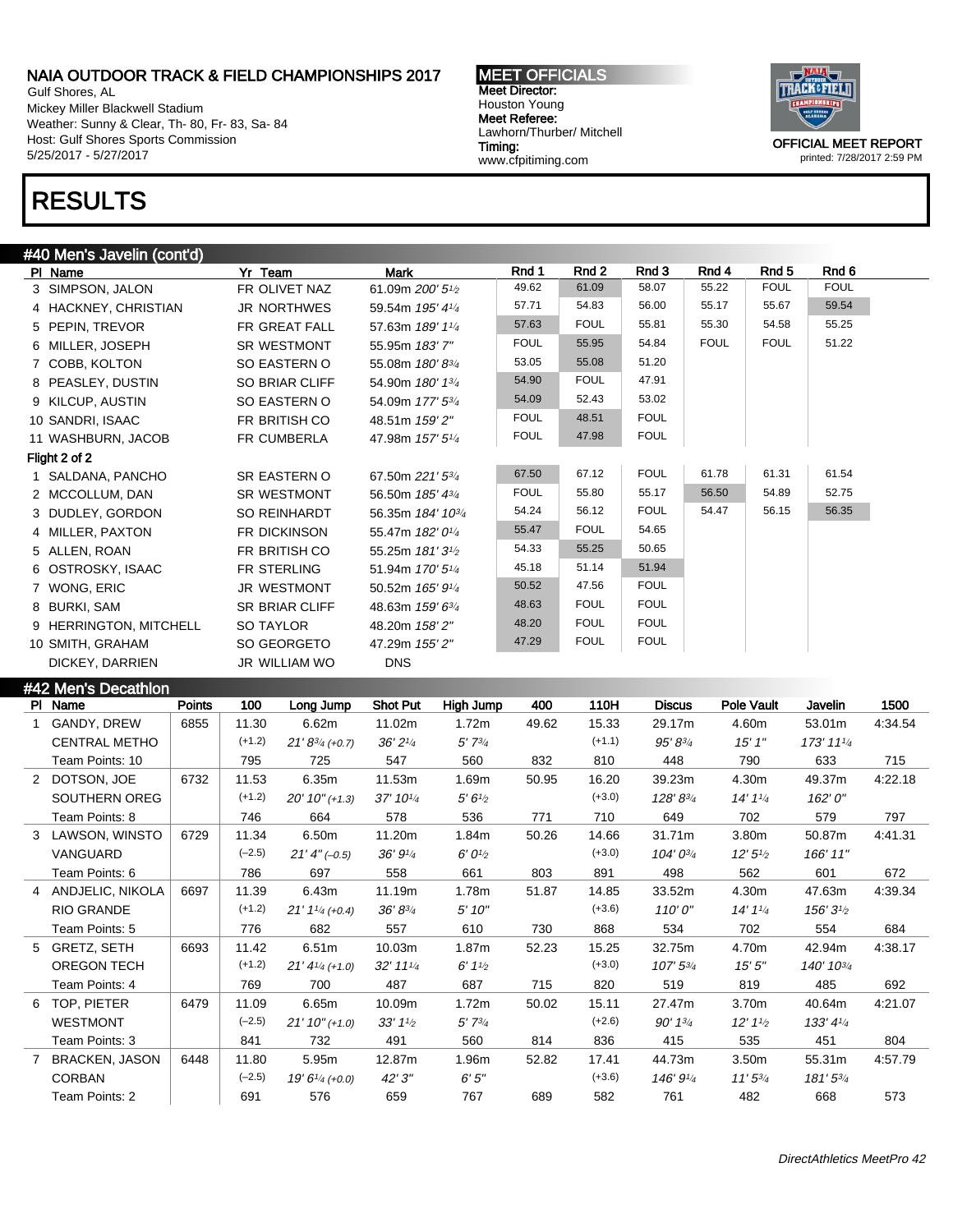Gulf Shores, AL Mickey Miller Blackwell Stadium Weather: Sunny & Clear, Th- 80, Fr- 83, Sa- 84 Host: Gulf Shores Sports Commission 5/25/2017 - 5/27/2017

MEET OFFICIALS Meet Director: Houston Young Meet Referee: Lawhorn/Thurber/ Mitchell Timing: www.cfpitiming.com



RESULTS

#### #40 Men's Javelin (cont'd)

| PI Name                | Yr Team               | Mark                                      | Rnd 1       | Rnd 2       | Rnd 3       | Rnd 4       | Rnd 5       | Rnd 6       |
|------------------------|-----------------------|-------------------------------------------|-------------|-------------|-------------|-------------|-------------|-------------|
| 3 SIMPSON, JALON       | FR OLIVET NAZ         | 61.09m 200' 5 <sup>1</sup> / <sub>2</sub> | 49.62       | 61.09       | 58.07       | 55.22       | <b>FOUL</b> | <b>FOUL</b> |
| 4 HACKNEY, CHRISTIAN   | <b>JR NORTHWES</b>    | 59.54m 195' 41/4                          | 57.71       | 54.83       | 56.00       | 55.17       | 55.67       | 59.54       |
| 5 PEPIN, TREVOR        | FR GREAT FALL         | 57.63m 189' 11/4                          | 57.63       | <b>FOUL</b> | 55.81       | 55.30       | 54.58       | 55.25       |
| 6 MILLER, JOSEPH       | SR WESTMONT           | 55.95m 183'7"                             | <b>FOUL</b> | 55.95       | 54.84       | <b>FOUL</b> | <b>FOUL</b> | 51.22       |
| 7 COBB, KOLTON         | SO EASTERN O          | 55.08m 180'83/4                           | 53.05       | 55.08       | 51.20       |             |             |             |
| 8 PEASLEY, DUSTIN      | <b>SO BRIAR CLIFF</b> | 54.90m 180' 134                           | 54.90       | <b>FOUL</b> | 47.91       |             |             |             |
| 9 KILCUP, AUSTIN       | SO EASTERN O          | 54.09m 177' 53/4                          | 54.09       | 52.43       | 53.02       |             |             |             |
| 10 SANDRI, ISAAC       | FR BRITISH CO         | 48.51m 159' 2"                            | <b>FOUL</b> | 48.51       | <b>FOUL</b> |             |             |             |
| 11 WASHBURN, JACOB     | FR CUMBERLA           | 47.98m 157' 51/4                          | <b>FOUL</b> | 47.98       | <b>FOUL</b> |             |             |             |
| Flight 2 of 2          |                       |                                           |             |             |             |             |             |             |
| 1 SALDANA, PANCHO      | SR EASTERN O          | 67.50m 221' 53/4                          | 67.50       | 67.12       | <b>FOUL</b> | 61.78       | 61.31       | 61.54       |
| 2 MCCOLLUM, DAN        | SR WESTMONT           | 56.50m 185' 434                           | <b>FOUL</b> | 55.80       | 55.17       | 56.50       | 54.89       | 52.75       |
| 3 DUDLEY, GORDON       | SO REINHARDT          | 56.35m 184' 10 <sup>3/4</sup>             | 54.24       | 56.12       | <b>FOUL</b> | 54.47       | 56.15       | 56.35       |
| 4 MILLER, PAXTON       | FR DICKINSON          | 55.47m 182' 01/4                          | 55.47       | <b>FOUL</b> | 54.65       |             |             |             |
| 5 ALLEN, ROAN          | FR BRITISH CO         | 55.25m 181'3 <sup>1</sup> / <sub>2</sub>  | 54.33       | 55.25       | 50.65       |             |             |             |
| 6 OSTROSKY, ISAAC      | FR STERLING           | 51.94m 170' 51/4                          | 45.18       | 51.14       | 51.94       |             |             |             |
| 7 WONG, ERIC           | JR WESTMONT           | 50.52m 165' 91/4                          | 50.52       | 47.56       | <b>FOUL</b> |             |             |             |
| 8 BURKI, SAM           | <b>SR BRIAR CLIFF</b> | 48.63m 159' 63/4                          | 48.63       | <b>FOUL</b> | <b>FOUL</b> |             |             |             |
| 9 HERRINGTON, MITCHELL | SO TAYLOR             | 48.20m 158' 2"                            | 48.20       | <b>FOUL</b> | <b>FOUL</b> |             |             |             |
| 10 SMITH, GRAHAM       | SO GEORGETO           | 47.29m 155' 2"                            | 47.29       | <b>FOUL</b> | <b>FOUL</b> |             |             |             |
| DICKEY, DARRIEN        | JR WILLIAM WO         | <b>DNS</b>                                |             |             |             |             |             |             |

#### #42 Men's Decathlon Pl Name Points 100 Long Jump Shot Put High Jump 400 110H Discus Pole Vault Javelin 1500 1 GANDY, DREW CENTRAL METHO Team Points: 10 6855 11.30  $(+1.2)$ 795 6.62m 21' 8<sup>3</sup>/4 (+0.7) 725 11.02m 36' 2<sup>1</sup>/<sup>4</sup> 547 1.72m 5' 7<sup>3</sup>/<sup>4</sup> 560 49.62 832 15.33 (+1.1) 810 29.17m 95' 8<sup>3</sup>/<sup>4</sup> 448 4.60m 15' 1" 790 53.01m 173' 11<sup>1</sup>/<sup>4</sup> 633 4:34.54 715 2 DOTSON, JOE SOUTHERN OREG Team Points: 8 6732 11.53  $(+1.2)$ 746 6.35m 20' 10" (+1.3) 664 11.53m 37' 10<sup>1</sup>/<sup>4</sup> 578 1.69m  $5' 6'$ 536 50.95 771 16.20 (+3.0) 710 39.23m 128' 8<sup>3</sup>/<sup>4</sup> 649 4.30m 14' 1<sup>1</sup>/<sup>4</sup> 702 49.37m 162' 0" 579 4:22.18 797 3 LAWSON, WINSTO VANGUARD Team Points: 6 6729 11.34  $(-2.5)$ 786 6.50m  $21'$  4" (-0.5) 697 11.20m 36' 9<sup>1</sup>/<sup>4</sup> 558 1.84m 6' 0<sup>1</sup>/<sup>2</sup> 661 50.26 803 14.66 (+3.0) 891 31.71m 104' 0<sup>3</sup>/<sup>4</sup> 498 3.80m 12' 5<sup>1</sup>/<sup>2</sup> 562 50.87m 166' 11" 601 4:41.31 672 4 ANDJELIC, NIKOLA RIO GRANDE Team Points: 5 6697 11.39  $(+1.2)$ 776 6.43m 21' 1<sup>1</sup>/4 (+0.4) 682 11.19m 36' 8<sup>3</sup>/<sup>4</sup> 557 1.78m 5' 10" 610 51.87 730 14.85 (+3.6) 868 33.52m 110' 0" 534 4.30m 14' 1<sup>1</sup>/<sup>4</sup> 702 47.63m 156' 3<sup>1</sup>/<sup>2</sup> 554 4:39.34 684 5 GRETZ, SETH OREGON TECH Team Points: 4 6693 11.42  $(+1.2)$ 769 6.51m 21' 4<sup>1</sup>/4 (+1.0) 700 10.03m 32' 11<sup>1</sup>/<sup>4</sup> 487 1.87m  $6' 1<sup>1</sup>/<sub>2</sub>$ 687 52.23 715 15.25 (+3.0) 820 32.75m 107' 5<sup>3</sup>/<sup>4</sup> 519 4.70m 15' 5" 819 42.94m 140' 10<sup>3</sup>/<sup>4</sup> 485 4:38.17 692 6 TOP, PIETER WESTMONT Team Points: 3 6479 11.09  $(-2.5)$ 841 6.65m 21' 10" (+1.0) 732 10.09m 33' 1<sup>1</sup>/<sup>2</sup> 491 1.72m 5' 7<sup>3</sup>/<sup>4</sup> 560 50.02 814 15.11  $(+2.6)$ 836 27.47m 90' 1<sup>3</sup>/<sup>4</sup> 415 3.70m 12' 1<sup>1</sup>/<sup>2</sup> 535 40.64m 133' 4<sup>1</sup>/<sup>4</sup> 451 4:21.07 804 7 BRACKEN, JASON CORBAN Team Points: 2 6448 11.80  $(-2.5)$ 691 5.95m 19' 6<sup>1</sup>/4 (+0.0) 576 12.87m 42' 3" 659 1.96m 6' 5" 767 52.82 689 17.41 (+3.6) 582 44.73m 146' 9<sup>1</sup>/<sup>4</sup> 761 3.50m 11' 5<sup>3</sup>/<sup>4</sup> 482 55.31m 181' 5<sup>3</sup>/<sup>4</sup> 668 4:57.79 573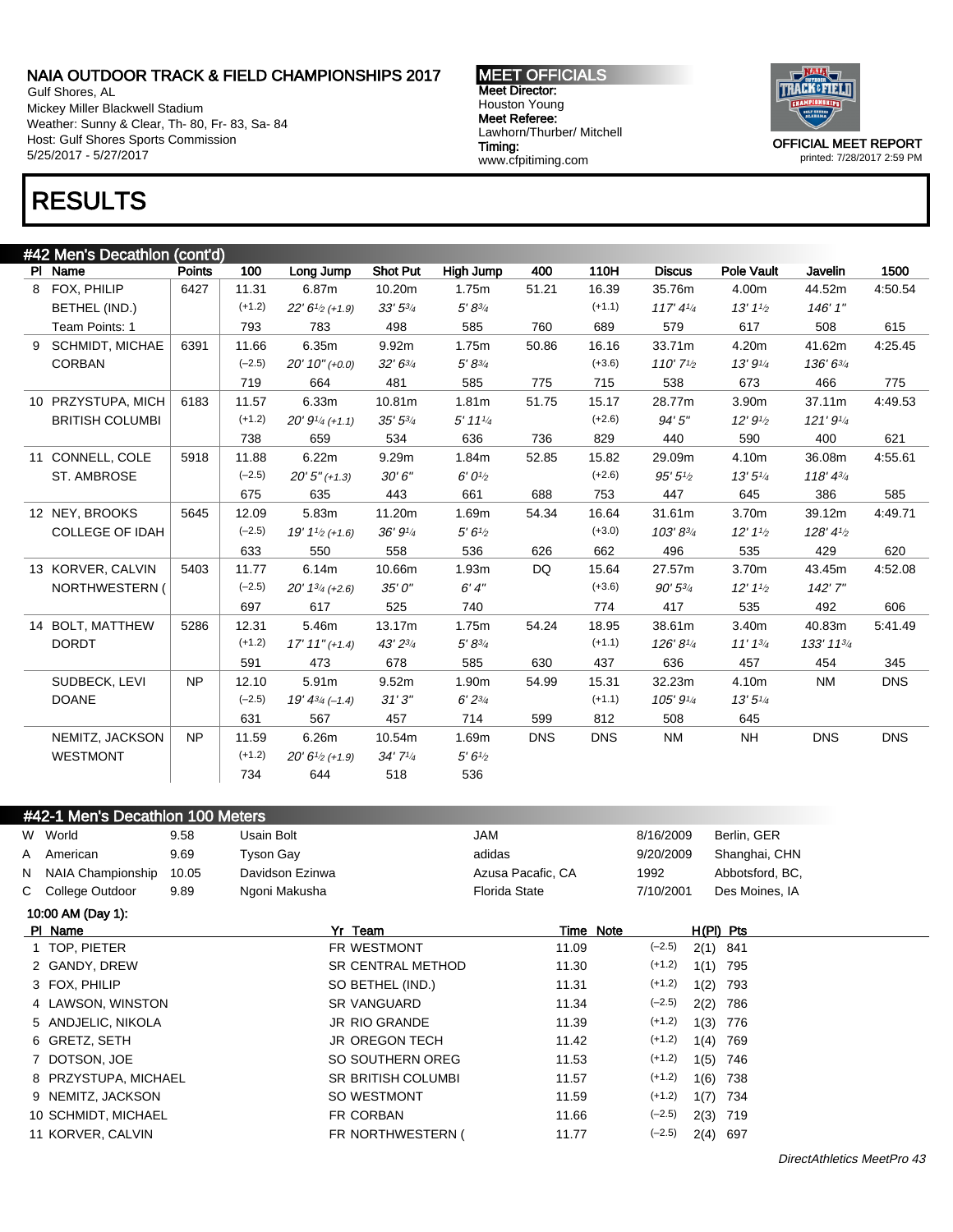Gulf Shores, AL Mickey Miller Blackwell Stadium Weather: Sunny & Clear, Th- 80, Fr- 83, Sa- 84 Host: Gulf Shores Sports Commission 5/25/2017 - 5/27/2017

#### MEET OFFICIALS Meet Director: Houston Young Meet Referee: Lawhorn/Thurber/ Mitchell Timing: www.cfpitiming.com



printed: 7/28/2017 2:59 PM

# RESULTS

|   | #42 Men's Decathlon (cont'd) |               |          |                               |                 |                       |            |            |                                    |                     |                     |            |  |
|---|------------------------------|---------------|----------|-------------------------------|-----------------|-----------------------|------------|------------|------------------------------------|---------------------|---------------------|------------|--|
|   | PI Name                      | <b>Points</b> | 100      | Long Jump                     | <b>Shot Put</b> | High Jump             | 400        | 110H       | <b>Discus</b>                      | Pole Vault          | Javelin             | 1500       |  |
| 8 | FOX, PHILIP                  | 6427          | 11.31    | 6.87m                         | 10.20m          | 1.75m                 | 51.21      | 16.39      | 35.76m                             | 4.00m               | 44.52m              | 4:50.54    |  |
|   | BETHEL (IND.)                |               | $(+1.2)$ | $22' 61/2$ (+1.9)             | $33'5^{3/4}$    | $5' 8^{3/4}$          |            | $(+1.1)$   | 117' 4 <sup>1</sup> / <sub>4</sub> | $13'11_2$           | 146' 1"             |            |  |
|   | Team Points: 1               |               | 793      | 783                           | 498             | 585                   | 760        | 689        | 579                                | 617                 | 508                 | 615        |  |
|   | 9 SCHMIDT, MICHAE            | 6391          | 11.66    | 6.35m                         | 9.92m           | 1.75m                 | 50.86      | 16.16      | 33.71m                             | 4.20m               | 41.62m              | 4:25.45    |  |
|   | <b>CORBAN</b>                |               | $(-2.5)$ | $20' 10'' (+0.0)$             | $32' 6^{3/4}$   | $5' 8^{3/4}$          |            | $(+3.6)$   | $110'7\frac{1}{2}$                 | 13'9''/4            | 136'63/4            |            |  |
|   |                              |               | 719      | 664                           | 481             | 585                   | 775        | 715        | 538                                | 673                 | 466                 | 775        |  |
|   | 10 PRZYSTUPA, MICH           | 6183          | 11.57    | 6.33m                         | 10.81m          | 1.81m                 | 51.75      | 15.17      | 28.77m                             | 3.90m               | 37.11m              | 4:49.53    |  |
|   | <b>BRITISH COLUMBI</b>       |               | $(+1.2)$ | $20' 91/4 (+1.1)$             | $35' 5^{3/4}$   | $5'$ 11 $\frac{1}{4}$ |            | $(+2.6)$   | 94'5''                             | 12'9'' <sub>2</sub> | 121'9''             |            |  |
|   |                              |               | 738      | 659                           | 534             | 636                   | 736        | 829        | 440                                | 590                 | 400                 | 621        |  |
|   | 11 CONNELL, COLE             | 5918          | 11.88    | 6.22m                         | 9.29m           | 1.84m                 | 52.85      | 15.82      | 29.09m                             | 4.10m               | 36.08m              | 4:55.61    |  |
|   | ST. AMBROSE                  |               | $(-2.5)$ | $20'5''$ (+1.3)               | 30'6''          | 6'0'                  |            | $(+2.6)$   | 95'5''2                            | 13'5''/4            | 118' 43'            |            |  |
|   |                              |               | 675      | 635                           | 443             | 661                   | 688        | 753        | 447                                | 645                 | 386                 | 585        |  |
|   | 12 NEY, BROOKS               | 5645          | 12.09    | 5.83m                         | 11.20m          | 1.69m                 | 54.34      | 16.64      | 31.61m                             | 3.70m               | 39.12m              | 4:49.71    |  |
|   | <b>COLLEGE OF IDAH</b>       |               | $(-2.5)$ | $19' 11/2$ (+1.6)             | 36' 91/4        | 5'6''                 |            | $(+3.0)$   | 103'83/4                           | 12'11 <sub>2</sub>  | $128' 4\frac{1}{2}$ |            |  |
|   |                              |               | 633      | 550                           | 558             | 536                   | 626        | 662        | 496                                | 535                 | 429                 | 620        |  |
|   | 13 KORVER, CALVIN            | 5403          | 11.77    | 6.14m                         | 10.66m          | 1.93m                 | DQ         | 15.64      | 27.57m                             | 3.70m               | 43.45m              | 4:52.08    |  |
|   | NORTHWESTERN (               |               | $(-2.5)$ | $20'$ 1 <sup>3/4</sup> (+2.6) | 35'0''          | 6'4''                 |            | $(+3.6)$   | $90' 5^{3/4}$                      | $12' 11_2$          | 142'7"              |            |  |
|   |                              |               | 697      | 617                           | 525             | 740                   |            | 774        | 417                                | 535                 | 492                 | 606        |  |
|   | 14 BOLT, MATTHEW             | 5286          | 12.31    | 5.46m                         | 13.17m          | 1.75m                 | 54.24      | 18.95      | 38.61m                             | 3.40m               | 40.83m              | 5:41.49    |  |
|   | <b>DORDT</b>                 |               | $(+1.2)$ | $17' 11'' (+1.4)$             | 43' 23/4        | $5' 8^{3/4}$          |            | $(+1.1)$   | 126'81/4                           | 11' 13/4            | 133' 1134           |            |  |
|   |                              |               | 591      | 473                           | 678             | 585                   | 630        | 437        | 636                                | 457                 | 454                 | 345        |  |
|   | SUDBECK, LEVI                | <b>NP</b>     | 12.10    | 5.91m                         | 9.52m           | 1.90m                 | 54.99      | 15.31      | 32.23m                             | 4.10m               | <b>NM</b>           | <b>DNS</b> |  |
|   | <b>DOANE</b>                 |               | $(-2.5)$ | $19' 4^{3/4} (-1.4)$          | 31'3''          | $6' 2^{3/4}$          |            | $(+1.1)$   | 105' 91/4                          | 13'5''/4            |                     |            |  |
|   |                              |               | 631      | 567                           | 457             | 714                   | 599        | 812        | 508                                | 645                 |                     |            |  |
|   | NEMITZ, JACKSON              | <b>NP</b>     | 11.59    | 6.26m                         | 10.54m          | 1.69m                 | <b>DNS</b> | <b>DNS</b> | <b>NM</b>                          | <b>NH</b>           | <b>DNS</b>          | <b>DNS</b> |  |
|   | <b>WESTMONT</b>              |               | $(+1.2)$ | $20' 61/2 (+1.9)$             | 34'7''/4        | 5'6''                 |            |            |                                    |                     |                     |            |  |
|   |                              |               | 734      | 644                           | 518             | 536                   |            |            |                                    |                     |                     |            |  |
|   |                              |               |          |                               |                 |                       |            |            |                                    |                     |                     |            |  |

|   | #42-1 Men's Decathlon 100 Meters |       |                  |                           |                      |           |             |                 |
|---|----------------------------------|-------|------------------|---------------------------|----------------------|-----------|-------------|-----------------|
|   | W World                          | 9.58  | Usain Bolt       |                           | <b>JAM</b>           | 8/16/2009 |             | Berlin, GER     |
|   | A American                       | 9.69  | <b>Tyson Gay</b> |                           | adidas               | 9/20/2009 |             | Shanghai, CHN   |
| N | NAIA Championship                | 10.05 | Davidson Ezinwa  |                           | Azusa Pacafic, CA    | 1992      |             | Abbotsford, BC, |
|   | C College Outdoor                | 9.89  | Ngoni Makusha    |                           | <b>Florida State</b> | 7/10/2001 |             | Des Moines, IA  |
|   | 10:00 AM (Day 1):                |       |                  |                           |                      |           |             |                 |
|   | PI Name                          |       |                  | Yr Team                   | Time Note            |           | $H(PI)$ Pts |                 |
|   | 1 TOP, PIETER                    |       |                  | FR WESTMONT               | 11.09                | $(-2.5)$  | $2(1)$ 841  |                 |
|   | 2 GANDY, DREW                    |       |                  | <b>SR CENTRAL METHOD</b>  | 11.30                | $(+1.2)$  | 1(1)        | 795             |
|   | 3 FOX, PHILIP                    |       |                  | SO BETHEL (IND.)          | 11.31                | $(+1.2)$  | 1(2)        | 793             |
|   | 4 LAWSON, WINSTON                |       |                  | <b>SR VANGUARD</b>        | 11.34                | $(-2.5)$  | 2(2)        | 786             |
|   | 5 ANDJELIC, NIKOLA               |       |                  | <b>JR RIO GRANDE</b>      | 11.39                | $(+1.2)$  | 1(3)        | 776             |
|   | 6 GRETZ, SETH                    |       |                  | <b>JR OREGON TECH</b>     | 11.42                | $(+1.2)$  | 1(4)        | 769             |
|   | 7 DOTSON, JOE                    |       |                  | SO SOUTHERN OREG          | 11.53                | $(+1.2)$  | 1(5)        | 746             |
|   | 8 PRZYSTUPA, MICHAEL             |       |                  | <b>SR BRITISH COLUMBI</b> | 11.57                | $(+1.2)$  | 1(6)        | 738             |
|   | 9 NEMITZ, JACKSON                |       |                  | SO WESTMONT               | 11.59                | $(+1.2)$  | 1(7)        | 734             |
|   | 10 SCHMIDT, MICHAEL              |       |                  | FR CORBAN                 | 11.66                | $(-2.5)$  | 2(3)        | 719             |
|   | 11 KORVER, CALVIN                |       |                  | FR NORTHWESTERN (         | 11.77                | $(-2.5)$  | 2(4)        | 697             |
|   |                                  |       |                  |                           |                      |           |             |                 |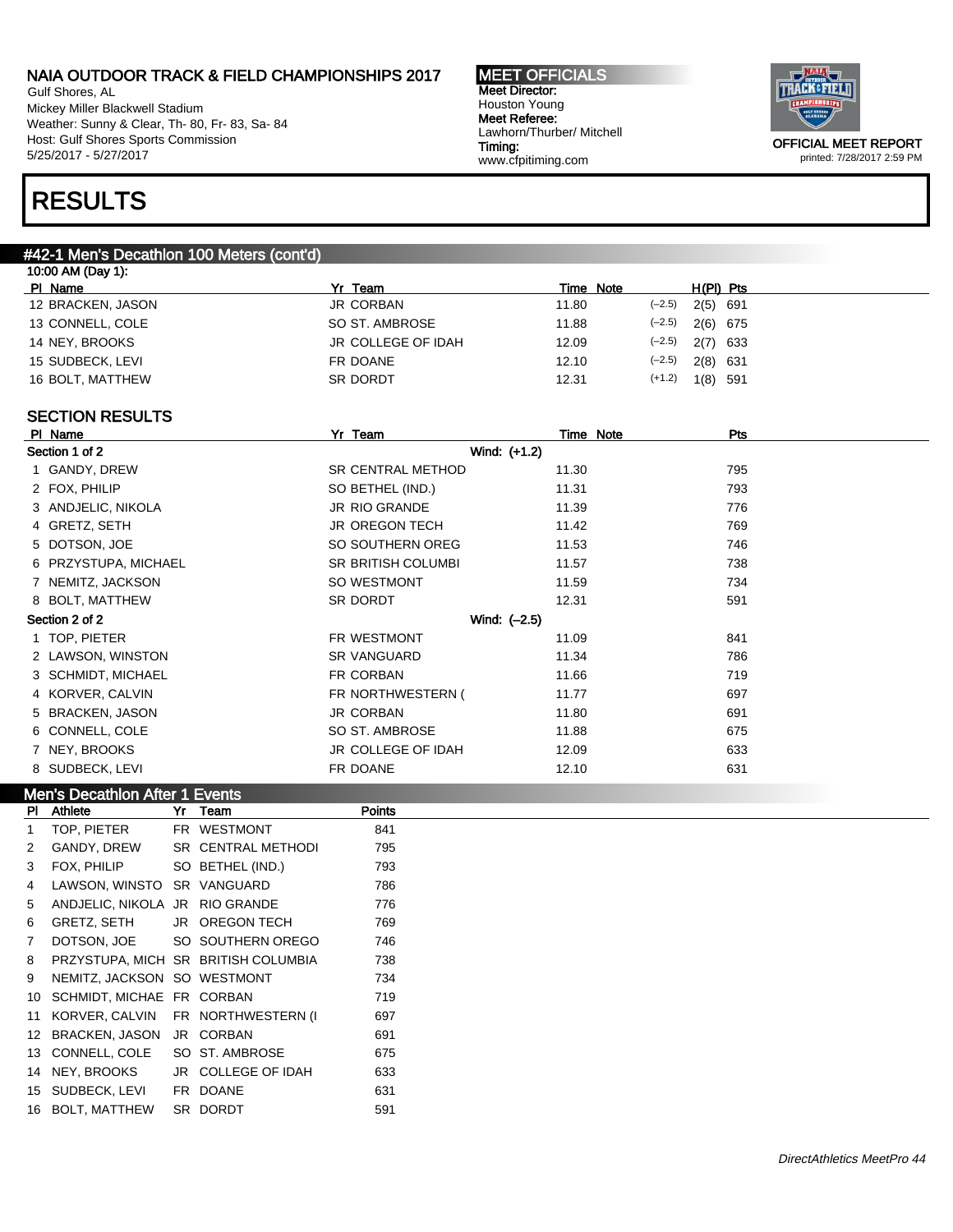Gulf Shores, AL Mickey Miller Blackwell Stadium Weather: Sunny & Clear, Th- 80, Fr- 83, Sa- 84 Host: Gulf Shores Sports Commission 5/25/2017 - 5/27/2017

MEET OFFICIALS Meet Director: Houston Young Meet Referee: Lawhorn/Thurber/ Mitchell Timing: www.cfpitiming.com



# RESULTS

#### #42-1 Men's Decathlon 100 Meters (cont'd)

| 10:00 AM (Day 1): |                    |           |                        |
|-------------------|--------------------|-----------|------------------------|
| PI Name           | Yr Team            | Time Note | $H(PI)$ Pts            |
| 12 BRACKEN, JASON | <b>JR CORBAN</b>   | 11.80     | $(-2.5)$<br>$2(5)$ 691 |
| 13 CONNELL, COLE  | SO ST. AMBROSE     | 11.88     | $(-2.5)$<br>2(6) 675   |
| 14 NEY, BROOKS    | JR COLLEGE OF IDAH | 12.09     | $(-2.5)$<br>2(7) 633   |
| 15 SUDBECK, LEVI  | FR DOANE           | 12.10     | $(-2.5)$<br>$2(8)$ 631 |
| 16 BOLT, MATTHEW  | SR DORDT           | 12.31     | $(+1.2)$<br>$1(8)$ 591 |
|                   |                    |           |                        |

#### SECTION RESULTS

| PI Name                               | <u>Yr Team</u>            | Time Note | Pts |  |
|---------------------------------------|---------------------------|-----------|-----|--|
| Section 1 of 2                        | Wind: (+1.2)              |           |     |  |
| 1 GANDY, DREW                         | <b>SR CENTRAL METHOD</b>  | 11.30     | 795 |  |
| 2 FOX, PHILIP                         | SO BETHEL (IND.)          | 11.31     | 793 |  |
| 3 ANDJELIC, NIKOLA                    | <b>JR RIO GRANDE</b>      | 11.39     | 776 |  |
| 4 GRETZ, SETH                         | <b>JR OREGON TECH</b>     | 11.42     | 769 |  |
| 5 DOTSON, JOE                         | SO SOUTHERN OREG          | 11.53     | 746 |  |
| 6 PRZYSTUPA, MICHAEL                  | <b>SR BRITISH COLUMBI</b> | 11.57     | 738 |  |
| 7 NEMITZ, JACKSON                     | SO WESTMONT               | 11.59     | 734 |  |
| 8 BOLT, MATTHEW                       | SR DORDT                  | 12.31     | 591 |  |
| Section 2 of 2                        | Wind: (-2.5)              |           |     |  |
| 1 TOP, PIETER                         | FR WESTMONT               | 11.09     | 841 |  |
| 2 LAWSON, WINSTON                     | <b>SR VANGUARD</b>        | 11.34     | 786 |  |
| 3 SCHMIDT, MICHAEL                    | FR CORBAN                 | 11.66     | 719 |  |
| 4 KORVER, CALVIN                      | FR NORTHWESTERN (         | 11.77     | 697 |  |
| 5 BRACKEN, JASON                      | <b>JR CORBAN</b>          | 11.80     | 691 |  |
| 6 CONNELL, COLE                       | SO ST. AMBROSE            | 11.88     | 675 |  |
| 7 NEY, BROOKS                         | JR COLLEGE OF IDAH        | 12.09     | 633 |  |
| 8 SUDBECK, LEVI                       | FR DOANE                  | 12.10     | 631 |  |
| <b>Men's Decathlon After 1 Events</b> |                           |           |     |  |

| PI             | Athlete                        | Yr | Team                                | Points |  |
|----------------|--------------------------------|----|-------------------------------------|--------|--|
| 1              | TOP, PIETER                    |    | FR WESTMONT                         | 841    |  |
| $\overline{2}$ | GANDY, DREW                    |    | SR CENTRAL METHODI                  | 795    |  |
| 3              | FOX, PHILIP                    |    | SO BETHEL (IND.)                    | 793    |  |
| 4              | LAWSON, WINSTO                 |    | SR VANGUARD                         | 786    |  |
| 5              | ANDJELIC, NIKOLA JR RIO GRANDE |    |                                     | 776    |  |
| 6              | GRETZ, SETH                    |    | JR OREGON TECH                      | 769    |  |
| $\overline{7}$ | DOTSON, JOE                    |    | SO SOUTHERN OREGO                   | 746    |  |
| 8              |                                |    | PRZYSTUPA, MICH SR BRITISH COLUMBIA | 738    |  |
| 9              | NEMITZ. JACKSON                |    | SO WESTMONT                         | 734    |  |
| 10             | <b>SCHMIDT, MICHAE</b>         |    | FR CORBAN                           | 719    |  |
| 11             | KORVER, CALVIN                 |    | FR NORTHWESTERN (I                  | 697    |  |
| 12             | BRACKEN, JASON                 |    | JR CORBAN                           | 691    |  |
| 13             | CONNELL, COLE                  |    | SO ST. AMBROSE                      | 675    |  |
| 14             | NEY, BROOKS                    |    | JR COLLEGE OF IDAH                  | 633    |  |
| 15             | SUDBECK, LEVI                  |    | FR DOANE                            | 631    |  |
| 16             | BOLT, MATTHEW                  |    | SR DORDT                            | 591    |  |
|                |                                |    |                                     |        |  |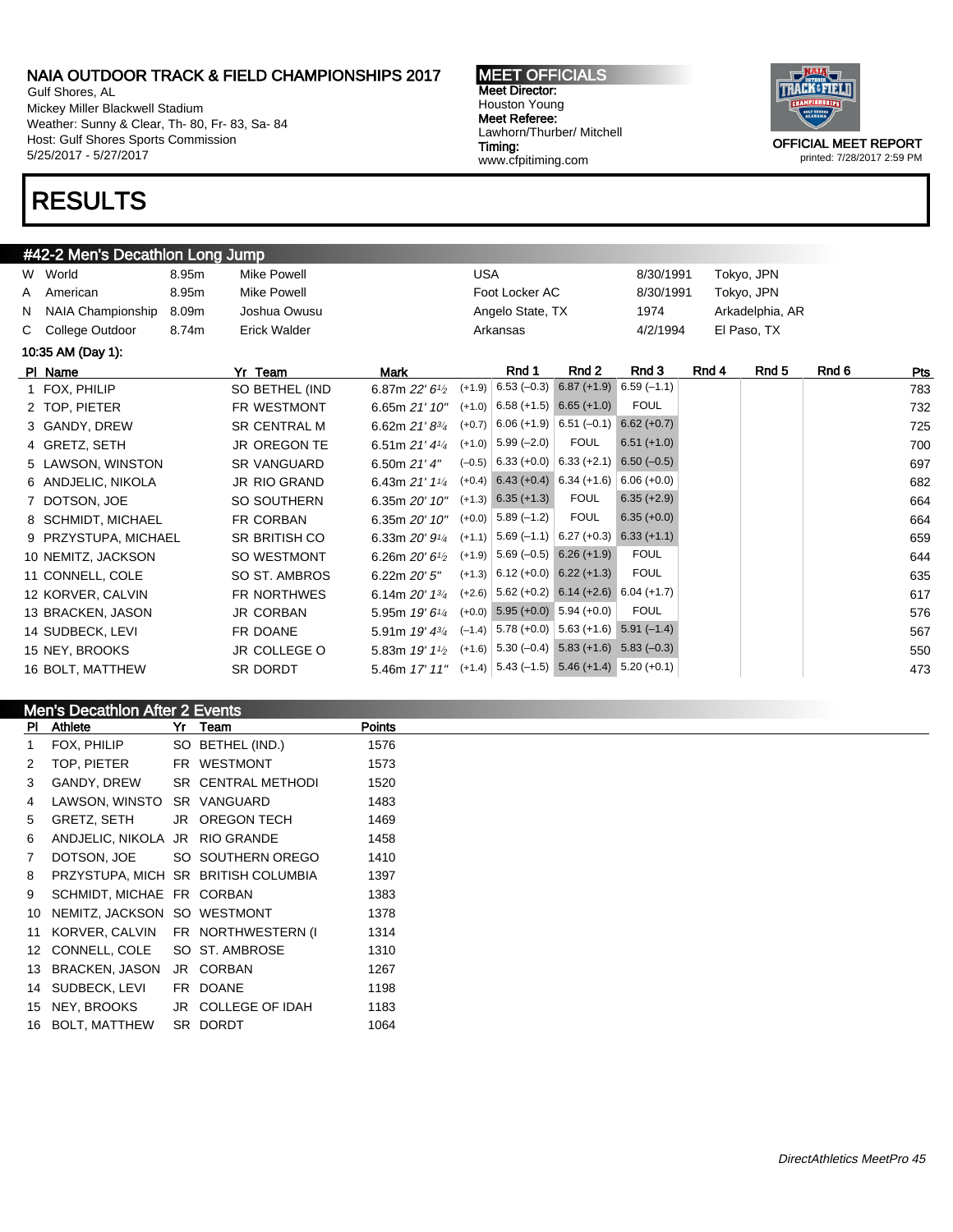Gulf Shores, AL Mickey Miller Blackwell Stadium Weather: Sunny & Clear, Th- 80, Fr- 83, Sa- 84 Host: Gulf Shores Sports Commission 5/25/2017 - 5/27/2017

# RESULTS

#### #42-2 Men's Decathlon Long Jump

MEET OFFICIALS Meet Director: Houston Young Meet Referee: Lawhorn/Thurber/ Mitchell Timing: www.cfpitiming.com



|   | <b>#42-2 Men's Decathion Long Jump</b> |       |                      |                             |            |                             |                                                                     |               |       |                  |       |     |
|---|----------------------------------------|-------|----------------------|-----------------------------|------------|-----------------------------|---------------------------------------------------------------------|---------------|-------|------------------|-------|-----|
|   | W World                                | 8.95m | <b>Mike Powell</b>   |                             | <b>USA</b> |                             |                                                                     | 8/30/1991     |       | Tokyo, JPN       |       |     |
| A | American                               | 8.95m | <b>Mike Powell</b>   |                             |            | Foot Locker AC              |                                                                     | 8/30/1991     |       | Tokyo, JPN       |       |     |
| N | NAIA Championship                      | 8.09m | Joshua Owusu         |                             |            | Angelo State, TX            |                                                                     | 1974          |       | Arkadelphia, AR  |       |     |
|   | C College Outdoor                      | 8.74m | <b>Erick Walder</b>  |                             |            | Arkansas                    |                                                                     | 4/2/1994      |       | El Paso, TX      |       |     |
|   | 10:35 AM (Day 1):                      |       |                      |                             |            |                             |                                                                     |               |       |                  |       |     |
|   | PI Name                                |       | Yr Team              | <b>Mark</b>                 |            | Rnd 1                       | Rnd 2                                                               | Rnd 3         | Rnd 4 | Rnd <sub>5</sub> | Rnd 6 | Pts |
|   | 1 FOX, PHILIP                          |       | SO BETHEL (IND       | 6.87m $22'6'$               | $(+1.9)$   |                             | $6.53(-0.3)$ 6.87 (+1.9)                                            | $6.59(-1.1)$  |       |                  |       | 783 |
|   | 2 TOP, PIETER                          |       | FR WESTMONT          | 6.65m 21' 10"               |            |                             | $(+1.0)$ 6.58 (+1.5) 6.65 (+1.0)                                    | <b>FOUL</b>   |       |                  |       | 732 |
|   | 3 GANDY, DREW                          |       | <b>SR CENTRAL M</b>  | 6.62m $21'8^{3/4}$          | $(+0.7)$   |                             | $6.06 (+1.9)$ 6.51 (-0.1) 6.62 (+0.7)                               |               |       |                  |       | 725 |
|   | 4 GRETZ, SETH                          |       | <b>JR OREGON TE</b>  | 6.51m $21'4'4$              | $(+1.0)$   | $5.99(-2.0)$                | <b>FOUL</b>                                                         | $6.51 (+1.0)$ |       |                  |       | 700 |
|   | 5 LAWSON, WINSTON                      |       | <b>SR VANGUARD</b>   | 6.50m $21'$ 4"              |            |                             | $(-0.5)$ 6.33 (+0.0) 6.33 (+2.1) 6.50 (-0.5)                        |               |       |                  |       | 697 |
|   | 6 ANDJELIC, NIKOLA                     |       | <b>JR RIO GRAND</b>  | 6.43m 21' 11/4              |            |                             | $(+0.4)$ 6.43 $(+0.4)$ 6.34 $(+1.6)$                                | $6.06 (+0.0)$ |       |                  |       | 682 |
|   | 7 DOTSON, JOE                          |       | SO SOUTHERN          | 6.35m 20' 10"               |            | $(+1.3)$ 6.35 $(+1.3)$      | <b>FOUL</b>                                                         | $6.35 (+2.9)$ |       |                  |       | 664 |
|   | 8 SCHMIDT, MICHAEL                     |       | FR CORBAN            | 6.35m 20' 10"               | $(+0.0)$   | $5.89(-1.2)$                | <b>FOUL</b>                                                         | $6.35 (+0.0)$ |       |                  |       | 664 |
|   | 9 PRZYSTUPA, MICHAEL                   |       | <b>SR BRITISH CO</b> | 6.33m $20'9'4$              | $(+1.1)$   |                             | $\vert 5.69 \, (-1.1) \vert 6.27 \, (+0.3) \, 6.33 \, (+1.1) \,$    |               |       |                  |       | 659 |
|   | 10 NEMITZ, JACKSON                     |       | SO WESTMONT          | 6.26m $20'6'$               | $(+1.9)$   |                             | $5.69(-0.5)$ 6.26 (+1.9)                                            | <b>FOUL</b>   |       |                  |       | 644 |
|   | 11 CONNELL, COLE                       |       | SO ST. AMBROS        | 6.22m 20' 5"                |            |                             | $(+1.3)$ 6.12 (+0.0) 6.22 (+1.3)                                    | <b>FOUL</b>   |       |                  |       | 635 |
|   | 12 KORVER, CALVIN                      |       | FR NORTHWES          | 6.14m $20'$ 1 $\frac{3}{4}$ | $(+2.6)$   |                             | $5.62 (+0.2)$ 6.14 (+2.6) 6.04 (+1.7)                               |               |       |                  |       | 617 |
|   | 13 BRACKEN, JASON                      |       | <b>JR CORBAN</b>     | 5.95m 19' 6 <sup>1/4</sup>  | $(+0.0)$   | $5.95 (+0.0)$ $5.94 (+0.0)$ |                                                                     | <b>FOUL</b>   |       |                  |       | 576 |
|   | 14 SUDBECK, LEVI                       |       | FR DOANE             | 5.91m 19' 43/4              | $(-1.4)$   |                             | $ 5.78(+0.0) $ 5.63 (+1.6) 5.91 (-1.4)                              |               |       |                  |       | 567 |
|   | 15 NEY, BROOKS                         |       | JR COLLEGE O         | 5.83m $19'11_2$             | $(+1.6)$   |                             | $\vert 5.30 \, (-0.4) \vert 5.83 \, (+1.6) \, 5.83 \, (-0.3) \vert$ |               |       |                  |       | 550 |
|   | 16 BOLT, MATTHEW                       |       | SR DORDT             | 5.46m 17' 11"               |            |                             | $(+1.4)$ 5.43 (-1.5) 5.46 (+1.4) 5.20 (+0.1)                        |               |       |                  |       | 473 |
|   |                                        |       |                      |                             |            |                             |                                                                     |               |       |                  |       |     |

|             | Men's Decathlon After 2 Events |  |                                      |               |  |  |  |  |  |
|-------------|--------------------------------|--|--------------------------------------|---------------|--|--|--|--|--|
|             | PI Athlete                     |  | Yr Team                              | <b>Points</b> |  |  |  |  |  |
| $1 \quad$   | FOX, PHILIP                    |  | SO BETHEL (IND.)                     | 1576          |  |  |  |  |  |
| 2           | TOP, PIETER                    |  | FR WESTMONT                          | 1573          |  |  |  |  |  |
| 3           | GANDY, DREW                    |  | SR CENTRAL METHODI                   | 1520          |  |  |  |  |  |
| 4           | LAWSON, WINSTO                 |  | SR VANGUARD                          | 1483          |  |  |  |  |  |
| 5           | GRETZ, SETH                    |  | JR OREGON TECH                       | 1469          |  |  |  |  |  |
| 6           | ANDJELIC, NIKOLA JR RIO GRANDE |  |                                      | 1458          |  |  |  |  |  |
| $7^{\circ}$ | DOTSON, JOE                    |  | SO SOUTHERN OREGO                    | 1410          |  |  |  |  |  |
| 8           |                                |  | PRZYSTUPA, MICH SR BRITISH COLUMBIA  | 1397          |  |  |  |  |  |
| 9           | SCHMIDT, MICHAE FR CORBAN      |  |                                      | 1383          |  |  |  |  |  |
|             | 10 NEMITZ, JACKSON SO WESTMONT |  |                                      | 1378          |  |  |  |  |  |
|             |                                |  | 11 KORVER, CALVIN FR NORTHWESTERN (I | 1314          |  |  |  |  |  |
|             | 12 CONNELL, COLE               |  | SO ST. AMBROSE                       | 1310          |  |  |  |  |  |
|             | 13 BRACKEN, JASON              |  | JR CORBAN                            | 1267          |  |  |  |  |  |
|             | 14 SUDBECK, LEVI               |  | FR DOANE                             | 1198          |  |  |  |  |  |
|             | 15 NEY, BROOKS                 |  | JR COLLEGE OF IDAH                   | 1183          |  |  |  |  |  |
|             | 16 BOLT, MATTHEW               |  | SR DORDT                             | 1064          |  |  |  |  |  |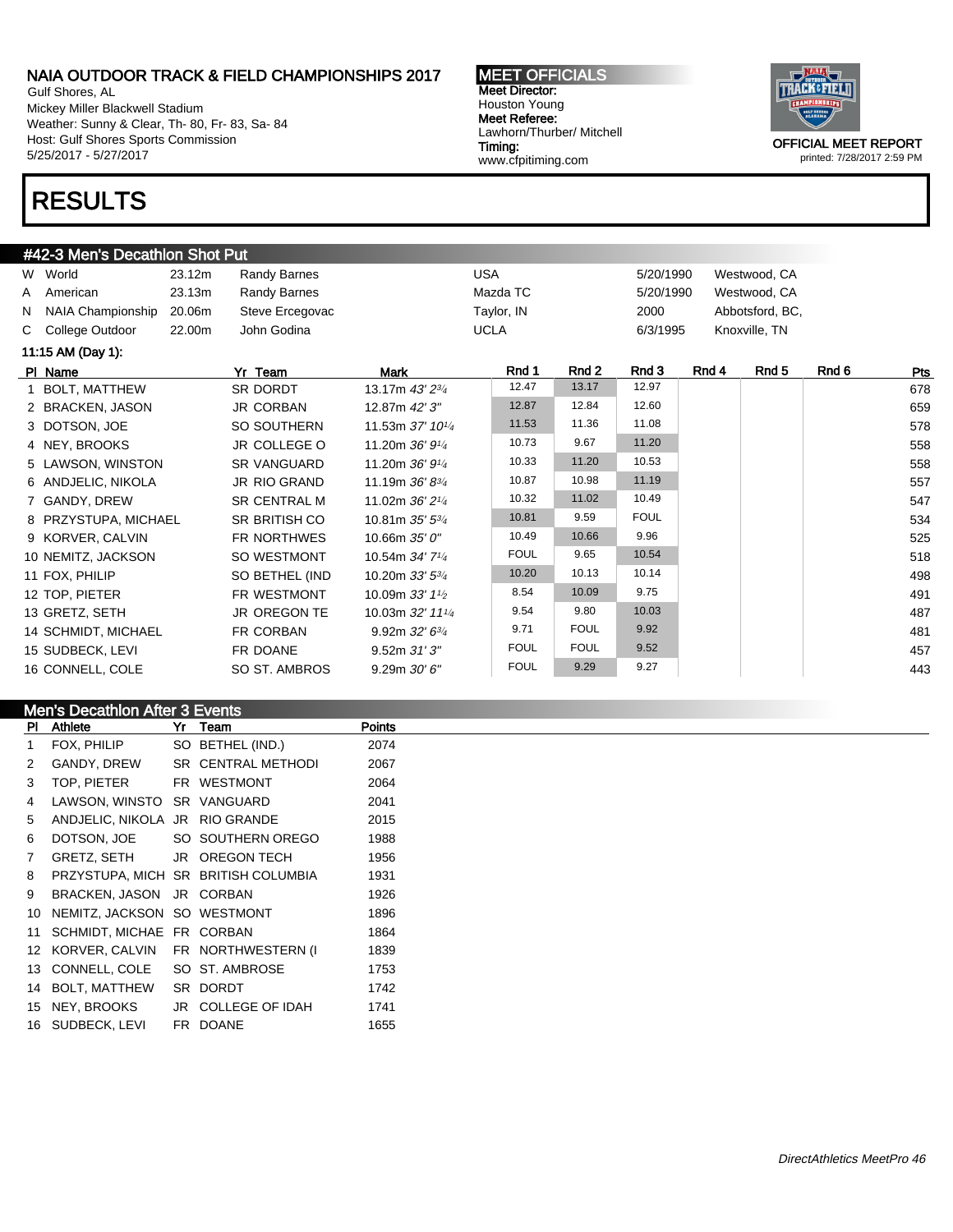Gulf Shores, AL Mickey Miller Blackwell Stadium Weather: Sunny & Clear, Th- 80, Fr- 83, Sa- 84 Host: Gulf Shores Sports Commission 5/25/2017 - 5/27/2017

### RESULTS

#### #42-3 Men's Decathlon Shot Put

| W World              | 23.12m | Randy Barnes        |                              | <b>USA</b>  |             | 5/20/1990   |       | Westwood, CA    |       |            |
|----------------------|--------|---------------------|------------------------------|-------------|-------------|-------------|-------|-----------------|-------|------------|
| A American           | 23.13m | Randy Barnes        |                              | Mazda TC    |             | 5/20/1990   |       | Westwood, CA    |       |            |
| N NAIA Championship  | 20.06m | Steve Ercegovac     |                              | Taylor, IN  |             | 2000        |       | Abbotsford, BC, |       |            |
| C College Outdoor    | 22.00m | John Godina         |                              | <b>UCLA</b> |             | 6/3/1995    |       | Knoxville, TN   |       |            |
| 11:15 AM (Day 1):    |        |                     |                              |             |             |             |       |                 |       |            |
| PI Name              |        | Yr Team             | <b>Mark</b>                  | Rnd 1       | Rnd 2       | Rnd 3       | Rnd 4 | Rnd 5           | Rnd 6 | <u>Pts</u> |
| 1 BOLT, MATTHEW      |        | SR DORDT            | 13.17m 43' 2 <sup>3/4</sup>  | 12.47       | 13.17       | 12.97       |       |                 |       | 678        |
| 2 BRACKEN, JASON     |        | <b>JR CORBAN</b>    | 12.87m 42' 3"                | 12.87       | 12.84       | 12.60       |       |                 |       | 659        |
| 3 DOTSON, JOE        |        | SO SOUTHERN         | 11.53m 37' 10 <sup>1/4</sup> | 11.53       | 11.36       | 11.08       |       |                 |       | 578        |
| 4 NEY, BROOKS        |        | JR COLLEGE O        | 11.20m 36' 9 <sup>1/4</sup>  | 10.73       | 9.67        | 11.20       |       |                 |       | 558        |
| 5 LAWSON, WINSTON    |        | <b>SR VANGUARD</b>  | 11.20m 36' 9 <sup>1/4</sup>  | 10.33       | 11.20       | 10.53       |       |                 |       | 558        |
| 6 ANDJELIC, NIKOLA   |        | <b>JR RIO GRAND</b> | 11.19m $36' 8^{3}/4$         | 10.87       | 10.98       | 11.19       |       |                 |       | 557        |
| 7 GANDY, DREW        |        | <b>SR CENTRAL M</b> | 11.02m 36' 2 <sup>1/4</sup>  | 10.32       | 11.02       | 10.49       |       |                 |       | 547        |
| 8 PRZYSTUPA, MICHAEL |        | SR BRITISH CO       | 10.81m 35' 53/4              | 10.81       | 9.59        | <b>FOUL</b> |       |                 |       | 534        |
| 9 KORVER, CALVIN     |        | <b>FR NORTHWES</b>  | 10.66m 35' 0"                | 10.49       | 10.66       | 9.96        |       |                 |       | 525        |
| 10 NEMITZ, JACKSON   |        | SO WESTMONT         | 10.54m 34' 7 <sup>1/4</sup>  | <b>FOUL</b> | 9.65        | 10.54       |       |                 |       | 518        |
| 11 FOX, PHILIP       |        | SO BETHEL (IND      | 10.20m 33' 53/4              | 10.20       | 10.13       | 10.14       |       |                 |       | 498        |
| 12 TOP, PIETER       |        | FR WESTMONT         | 10.09m 33' 11/2              | 8.54        | 10.09       | 9.75        |       |                 |       | 491        |
| 13 GRETZ, SETH       |        | JR OREGON TE        | 10.03m 32' 111/4             | 9.54        | 9.80        | 10.03       |       |                 |       | 487        |
| 14 SCHMIDT, MICHAEL  |        | FR CORBAN           | 9.92m 32' 63/4               | 9.71        | <b>FOUL</b> | 9.92        |       |                 |       | 481        |
| 15 SUDBECK, LEVI     |        | FR DOANE            | 9.52m 31'3"                  | <b>FOUL</b> | <b>FOUL</b> | 9.52        |       |                 |       | 457        |
| 16 CONNELL, COLE     |        | SO ST. AMBROS       | $9.29m$ $30'6''$             | <b>FOUL</b> | 9.29        | 9.27        |       |                 |       | 443        |

|              | Men's Decathlon After 3 Events |                                      |               |
|--------------|--------------------------------|--------------------------------------|---------------|
|              | PI Athlete                     | Yr Team                              | <b>Points</b> |
| $\mathbf{1}$ | FOX, PHILIP                    | SO BETHEL (IND.)                     | 2074          |
| 2            | GANDY, DREW                    | SR CENTRAL METHODI                   | 2067          |
| 3            | TOP, PIETER                    | FR WESTMONT                          | 2064          |
| 4            | LAWSON, WINSTO SR VANGUARD     |                                      | 2041          |
| 5            | ANDJELIC, NIKOLA JR RIO GRANDE |                                      | 2015          |
| 6            | DOTSON, JOE                    | SO SOUTHERN OREGO                    | 1988          |
| $7^{\circ}$  | GRETZ, SETH                    | JR OREGON TECH                       | 1956          |
| 8            |                                | PRZYSTUPA, MICH SR BRITISH COLUMBIA  | 1931          |
| 9            | BRACKEN, JASON JR CORBAN       |                                      | 1926          |
|              | 10 NEMITZ, JACKSON SO WESTMONT |                                      | 1896          |
| 11           | SCHMIDT, MICHAE FR CORBAN      |                                      | 1864          |
|              |                                | 12 KORVER, CALVIN FR NORTHWESTERN (I | 1839          |
|              | 13 CONNELL, COLE               | SO ST. AMBROSE                       | 1753          |
|              | 14 BOLT, MATTHEW               | SR DORDT                             | 1742          |
|              | 15 NEY, BROOKS                 | JR COLLEGE OF IDAH                   | 1741          |
|              | 16 SUDBECK, LEVI               | FR DOANE                             | 1655          |

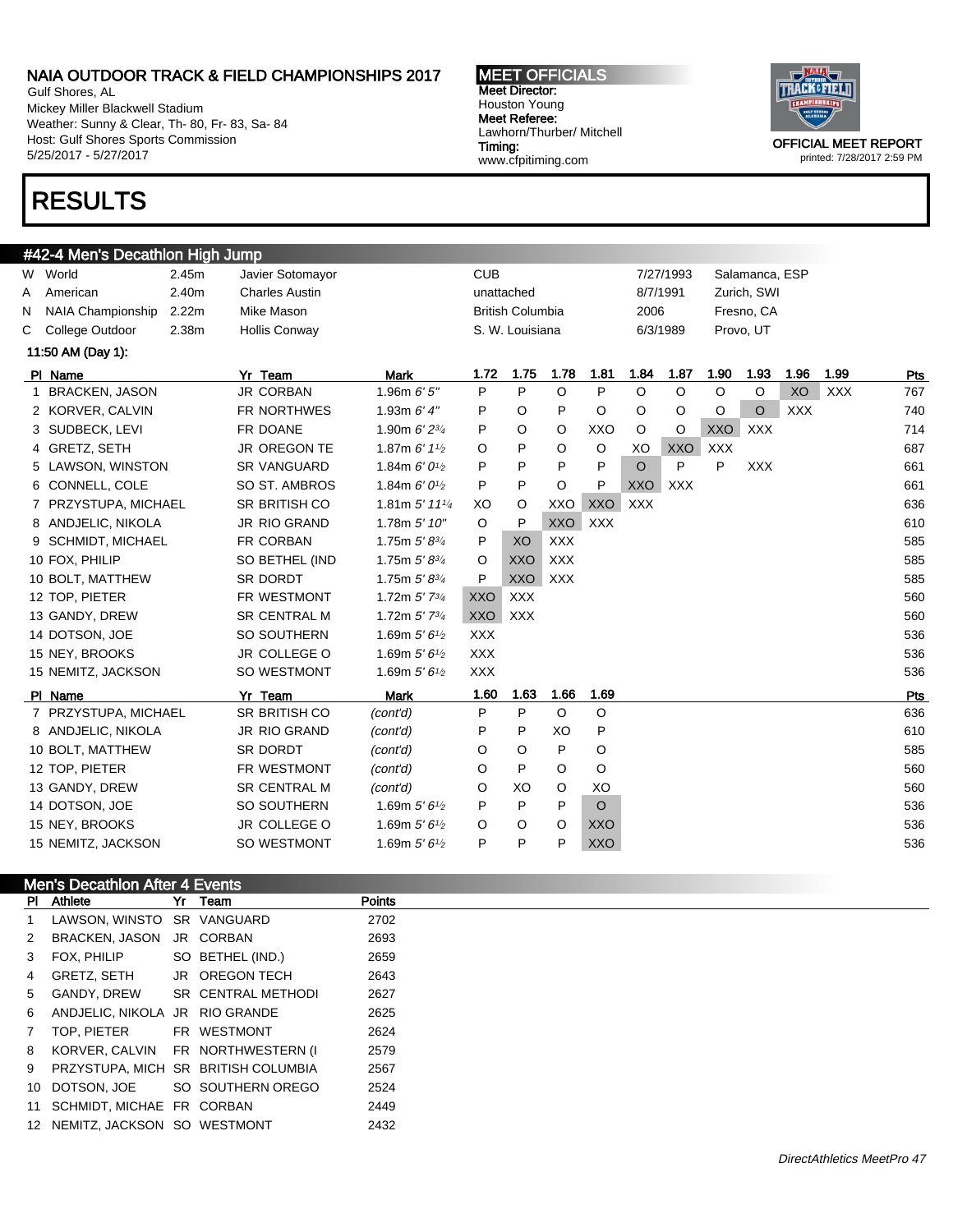Gulf Shores, AL Mickey Miller Blackwell Stadium Weather: Sunny & Clear, Th- 80, Fr- 83, Sa- 84 Host: Gulf Shores Sports Commission 5/25/2017 - 5/27/2017

### RESULTS

#### #42-4 Men's Decathlon High Jump

| W  | World                    | 2.45m | Javier Sotomayor      |                                          | <b>CUB</b> |                         |            |            |            | 7/27/1993  |            | Salamanca, ESP |            |            |            |
|----|--------------------------|-------|-----------------------|------------------------------------------|------------|-------------------------|------------|------------|------------|------------|------------|----------------|------------|------------|------------|
| Α  | American                 | 2.40m | <b>Charles Austin</b> |                                          |            | unattached              |            |            |            | 8/7/1991   |            | Zurich, SWI    |            |            |            |
| N  | <b>NAIA Championship</b> | 2.22m | Mike Mason            |                                          |            | <b>British Columbia</b> |            |            | 2006       |            |            | Fresno, CA     |            |            |            |
| C. | College Outdoor          | 2.38m | Hollis Conway         |                                          |            | S. W. Louisiana         |            |            |            | 6/3/1989   |            | Provo, UT      |            |            |            |
|    | 11:50 AM (Day 1):        |       |                       |                                          |            |                         |            |            |            |            |            |                |            |            |            |
|    | PI Name                  |       | Yr Team               | <b>Mark</b>                              | 1.72       | 1.75                    | 1.78       | 1.81       | 1.84       | 1.87       | 1.90       | 1.93           | 1.96       | 1.99       | <b>Pts</b> |
|    | <b>BRACKEN, JASON</b>    |       | <b>JR CORBAN</b>      | 1.96m $6'5''$                            | P          | P                       | $\circ$    | P          | $\circ$    | $\circ$    | $\circ$    | $\circ$        | XO         | <b>XXX</b> | 767        |
|    | 2 KORVER, CALVIN         |       | FR NORTHWES           | 1.93m $6'4''$                            | Ρ          | O                       | P          | O          | O          | O          | O          | $\circ$        | <b>XXX</b> |            | 740        |
|    | 3 SUDBECK, LEVI          |       | FR DOANE              | 1.90m $6'2^{3/4}$                        | P          | O                       | O          | XXO        | $\circ$    | O          | XXO        | <b>XXX</b>     |            |            | 714        |
|    | 4 GRETZ, SETH            |       | JR OREGON TE          | 1.87m $6'$ 1 <sup>1</sup> / <sub>2</sub> | O          | P                       | O          | $\circ$    | XO         | <b>XXO</b> | <b>XXX</b> |                |            |            | 687        |
|    | 5 LAWSON, WINSTON        |       | <b>SR VANGUARD</b>    | 1.84m $6'0^{1/2}$                        | P          | P                       | P          | P          | $\circ$    | P          | P          | <b>XXX</b>     |            |            | 661        |
|    | 6 CONNELL, COLE          |       | SO ST. AMBROS         | 1.84m $6'0^{1/2}$                        | P          | P                       | $\circ$    | P          | <b>XXO</b> | <b>XXX</b> |            |                |            |            | 661        |
|    | 7 PRZYSTUPA, MICHAEL     |       | SR BRITISH CO         | 1.81m 5' 111/4                           | XO         | O                       | XXO        | <b>XXO</b> | <b>XXX</b> |            |            |                |            |            | 636        |
|    | 8 ANDJELIC, NIKOLA       |       | JR RIO GRAND          | 1.78m 5' 10"                             | $\circ$    | P                       | XXO        | <b>XXX</b> |            |            |            |                |            |            | 610        |
|    | 9 SCHMIDT, MICHAEL       |       | FR CORBAN             | 1.75m $5'8^{3/4}$                        | Ρ          | XO                      | <b>XXX</b> |            |            |            |            |                |            |            | 585        |
|    | 10 FOX, PHILIP           |       | SO BETHEL (IND        | 1.75m $5'8^{3/4}$                        | O          | <b>XXO</b>              | <b>XXX</b> |            |            |            |            |                |            |            | 585        |
|    | 10 BOLT, MATTHEW         |       | SR DORDT              | 1.75m $5'8^{3/4}$                        | P          | <b>XXO</b>              | <b>XXX</b> |            |            |            |            |                |            |            | 585        |
|    | 12 TOP, PIETER           |       | FR WESTMONT           | 1.72m 5' 73/4                            | <b>XXO</b> | <b>XXX</b>              |            |            |            |            |            |                |            |            | 560        |
|    | 13 GANDY, DREW           |       | <b>SR CENTRAL M</b>   | 1.72m 5' 73/4                            | <b>XXO</b> | <b>XXX</b>              |            |            |            |            |            |                |            |            | 560        |
|    | 14 DOTSON, JOE           |       | SO SOUTHERN           | 1.69m $5'6\frac{1}{2}$                   | <b>XXX</b> |                         |            |            |            |            |            |                |            |            | 536        |
|    | 15 NEY, BROOKS           |       | JR COLLEGE O          | 1.69m $5'6'$                             | <b>XXX</b> |                         |            |            |            |            |            |                |            |            | 536        |
|    | 15 NEMITZ, JACKSON       |       | SO WESTMONT           | 1.69m $5'6\frac{1}{2}$                   | <b>XXX</b> |                         |            |            |            |            |            |                |            |            | 536        |
|    | PI Name                  |       | Yr Team               | <b>Mark</b>                              | 1.60       | 1.63                    | 1.66       | 1.69       |            |            |            |                |            |            | Pts        |
|    | 7 PRZYSTUPA, MICHAEL     |       | SR BRITISH CO         | (cont'd)                                 | P          | P                       | $\circ$    | O          |            |            |            |                |            |            | 636        |
|    | 8 ANDJELIC, NIKOLA       |       | JR RIO GRAND          | (cont'd)                                 | P          | P                       | XO         | P          |            |            |            |                |            |            | 610        |
|    | 10 BOLT, MATTHEW         |       | <b>SR DORDT</b>       | (cont'd)                                 | O          | O                       | P          | O          |            |            |            |                |            |            | 585        |
|    | 12 TOP, PIETER           |       | FR WESTMONT           | (cont'd)                                 | O          | P                       | O          | O          |            |            |            |                |            |            | 560        |
|    | 13 GANDY, DREW           |       | <b>SR CENTRAL M</b>   | (cont'd)                                 | O          | XO                      | O          | XO         |            |            |            |                |            |            | 560        |
|    | 14 DOTSON, JOE           |       | SO SOUTHERN           | 1.69m $5'6\frac{1}{2}$                   | P          | P                       | P          | $\circ$    |            |            |            |                |            |            | 536        |
|    | 15 NEY, BROOKS           |       | JR COLLEGE O          | 1.69m $5'6'$                             | O          | O                       | O          | <b>XXO</b> |            |            |            |                |            |            | 536        |
|    | 15 NEMITZ, JACKSON       |       | SO WESTMONT           | 1.69m $5'6'$                             | P          | P                       | P          | <b>XXO</b> |            |            |            |                |            |            | 536        |

#### Men's Decathlon After 4 Events

| PI | Athlete                        | Yr | Team                                | <b>Points</b> |  |
|----|--------------------------------|----|-------------------------------------|---------------|--|
| 1  | LAWSON, WINSTO SR VANGUARD     |    |                                     | 2702          |  |
| 2  | BRACKEN, JASON JR CORBAN       |    |                                     | 2693          |  |
| 3  | FOX, PHILIP                    |    | SO BETHEL (IND.)                    | 2659          |  |
| 4  | GRETZ. SETH                    |    | JR OREGON TECH                      | 2643          |  |
| 5  |                                |    | GANDY, DREW SR CENTRAL METHODI      | 2627          |  |
| 6  | ANDJELIC, NIKOLA JR RIO GRANDE |    |                                     | 2625          |  |
| 7  | TOP, PIETER FR WESTMONT        |    |                                     | 2624          |  |
| 8  |                                |    | KORVER, CALVIN FR NORTHWESTERN (I   | 2579          |  |
| 9  |                                |    | PRZYSTUPA, MICH SR BRITISH COLUMBIA | 2567          |  |
| 10 |                                |    | DOTSON, JOE SO SOUTHERN OREGO       | 2524          |  |
| 11 | SCHMIDT, MICHAE FR CORBAN      |    |                                     | 2449          |  |
|    | 12 NEMITZ, JACKSON SO WESTMONT |    |                                     | 2432          |  |

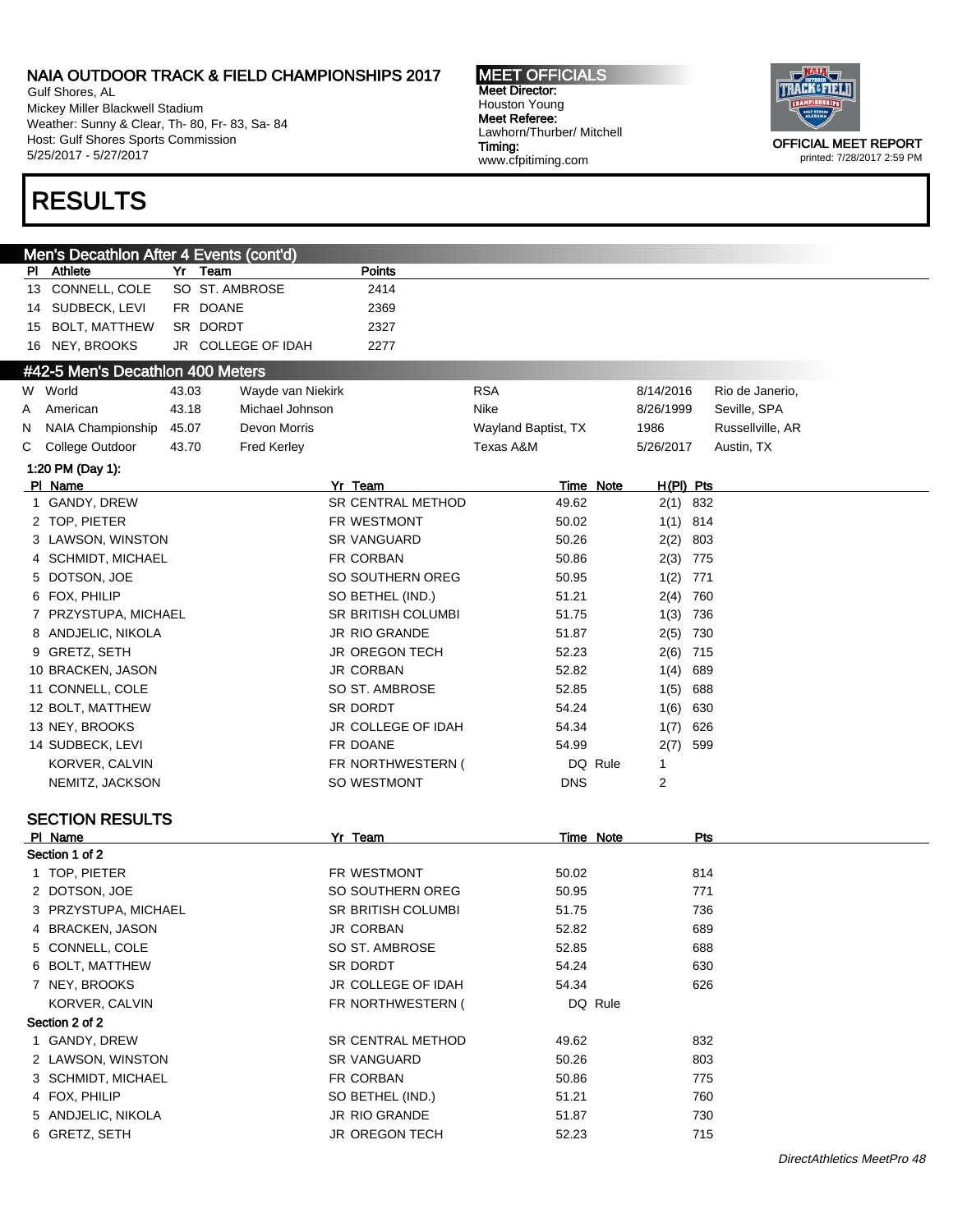Gulf Shores, AL Mickey Miller Blackwell Stadium Weather: Sunny & Clear, Th- 80, Fr- 83, Sa- 84 Host: Gulf Shores Sports Commission 5/25/2017 - 5/27/2017

# RESULTS

#### MEET OFFICIALS Meet Director: Houston Young Meet Referee: Lawhorn/Thurber/ Mitchell Timing: www.cfpitiming.com



|              | Men's Decathlon After 4 Events (cont'd) |       |                    |                           |                     |                  |             |                  |  |
|--------------|-----------------------------------------|-------|--------------------|---------------------------|---------------------|------------------|-------------|------------------|--|
| PI.          | Athlete                                 |       | Yr Team            | <b>Points</b>             |                     |                  |             |                  |  |
|              | 13 CONNELL, COLE                        |       | SO ST. AMBROSE     | 2414                      |                     |                  |             |                  |  |
|              | 14 SUDBECK, LEVI                        |       | FR DOANE           | 2369                      |                     |                  |             |                  |  |
|              | 15 BOLT, MATTHEW                        |       | SR DORDT           | 2327                      |                     |                  |             |                  |  |
|              | 16 NEY, BROOKS                          |       | JR COLLEGE OF IDAH | 2277                      |                     |                  |             |                  |  |
|              | #42-5 Men's Decathlon 400 Meters        |       |                    |                           |                     |                  |             |                  |  |
|              | W World                                 | 43.03 | Wayde van Niekirk  |                           | <b>RSA</b>          |                  | 8/14/2016   | Rio de Janerio,  |  |
| A            | American                                | 43.18 | Michael Johnson    |                           | Nike                |                  | 8/26/1999   | Seville, SPA     |  |
| N            | NAIA Championship                       | 45.07 | Devon Morris       |                           | Wayland Baptist, TX | 1986             |             | Russellville, AR |  |
| С            | College Outdoor                         | 43.70 | <b>Fred Kerley</b> |                           | Texas A&M           |                  | 5/26/2017   | Austin, TX       |  |
|              | 1:20 PM (Day 1):                        |       |                    |                           |                     |                  |             |                  |  |
|              | PI Name                                 |       |                    | Yr Team                   |                     | Time Note        | $H(PI)$ Pts |                  |  |
| $\mathbf{1}$ | GANDY, DREW                             |       |                    | <b>SR CENTRAL METHOD</b>  | 49.62               |                  | $2(1)$ 832  |                  |  |
|              | 2 TOP, PIETER                           |       |                    | FR WESTMONT               | 50.02               |                  | $1(1)$ 814  |                  |  |
|              | 3 LAWSON, WINSTON                       |       |                    | SR VANGUARD               | 50.26               |                  | $2(2)$ 803  |                  |  |
|              | 4 SCHMIDT, MICHAEL                      |       |                    | FR CORBAN                 | 50.86               |                  | 2(3) 775    |                  |  |
|              | 5 DOTSON, JOE                           |       |                    | SO SOUTHERN OREG          | 50.95               |                  | $1(2)$ 771  |                  |  |
|              | 6 FOX, PHILIP                           |       |                    | SO BETHEL (IND.)          | 51.21               |                  | $2(4)$ 760  |                  |  |
|              | 7 PRZYSTUPA, MICHAEL                    |       |                    | <b>SR BRITISH COLUMBI</b> | 51.75               |                  | $1(3)$ 736  |                  |  |
|              | 8 ANDJELIC, NIKOLA                      |       |                    | <b>JR RIO GRANDE</b>      | 51.87               |                  | $2(5)$ 730  |                  |  |
|              | 9 GRETZ, SETH                           |       |                    | <b>JR OREGON TECH</b>     | 52.23               |                  | 2(6) 715    |                  |  |
|              | 10 BRACKEN, JASON                       |       |                    | <b>JR CORBAN</b>          | 52.82               |                  | 1(4)        | 689              |  |
|              | 11 CONNELL, COLE                        |       |                    | SO ST. AMBROSE            | 52.85               |                  | 1(5)        | 688              |  |
|              | 12 BOLT, MATTHEW                        |       |                    | SR DORDT                  | 54.24               |                  | 1(6)        | 630              |  |
|              | 13 NEY, BROOKS                          |       |                    | JR COLLEGE OF IDAH        | 54.34               |                  | 1(7)        | 626              |  |
|              | 14 SUDBECK, LEVI                        |       |                    | FR DOANE                  | 54.99               |                  | 2(7)        | 599              |  |
|              | KORVER, CALVIN                          |       |                    | FR NORTHWESTERN (         |                     | DQ Rule          | 1           |                  |  |
|              | NEMITZ, JACKSON                         |       |                    | SO WESTMONT               | <b>DNS</b>          |                  | 2           |                  |  |
|              |                                         |       |                    |                           |                     |                  |             |                  |  |
|              | <b>SECTION RESULTS</b>                  |       |                    |                           |                     |                  |             |                  |  |
|              | PI Name<br>Section 1 of 2               |       |                    | Yr Team                   |                     | <b>Time Note</b> |             | Pts              |  |
|              | 1 TOP, PIETER                           |       |                    | FR WESTMONT               | 50.02               |                  |             | 814              |  |
|              | 2 DOTSON, JOE                           |       |                    | SO SOUTHERN OREG          | 50.95               |                  |             | 771              |  |
|              | 3 PRZYSTUPA, MICHAEL                    |       |                    | SR BRITISH COLUMBI        | 51.75               |                  |             | 736              |  |
|              | 4 BRACKEN, JASON                        |       |                    | <b>JR CORBAN</b>          | 52.82               |                  |             | 689              |  |
|              | 5 CONNELL, COLE                         |       |                    | SO ST. AMBROSE            | 52.85               |                  |             | 688              |  |
|              | 6 BOLT, MATTHEW                         |       |                    | SR DORDT                  | 54.24               |                  |             | 630              |  |
|              | 7 NEY, BROOKS                           |       |                    | JR COLLEGE OF IDAH        | 54.34               |                  |             | 626              |  |
|              | KORVER, CALVIN                          |       |                    | FR NORTHWESTERN (         |                     | DQ Rule          |             |                  |  |
|              | Section 2 of 2                          |       |                    |                           |                     |                  |             |                  |  |
|              | 1 GANDY, DREW                           |       |                    | SR CENTRAL METHOD         | 49.62               |                  |             | 832              |  |
|              | 2 LAWSON, WINSTON                       |       |                    | <b>SR VANGUARD</b>        | 50.26               |                  |             | 803              |  |
|              | 3 SCHMIDT, MICHAEL                      |       |                    | FR CORBAN                 | 50.86               |                  |             | 775              |  |
|              | 4 FOX, PHILIP                           |       |                    | SO BETHEL (IND.)          | 51.21               |                  |             | 760              |  |
|              | 5 ANDJELIC, NIKOLA                      |       |                    | JR RIO GRANDE             | 51.87               |                  |             | 730              |  |
|              | 6 GRETZ, SETH                           |       |                    | <b>JR OREGON TECH</b>     | 52.23               |                  |             | 715              |  |
|              |                                         |       |                    |                           |                     |                  |             |                  |  |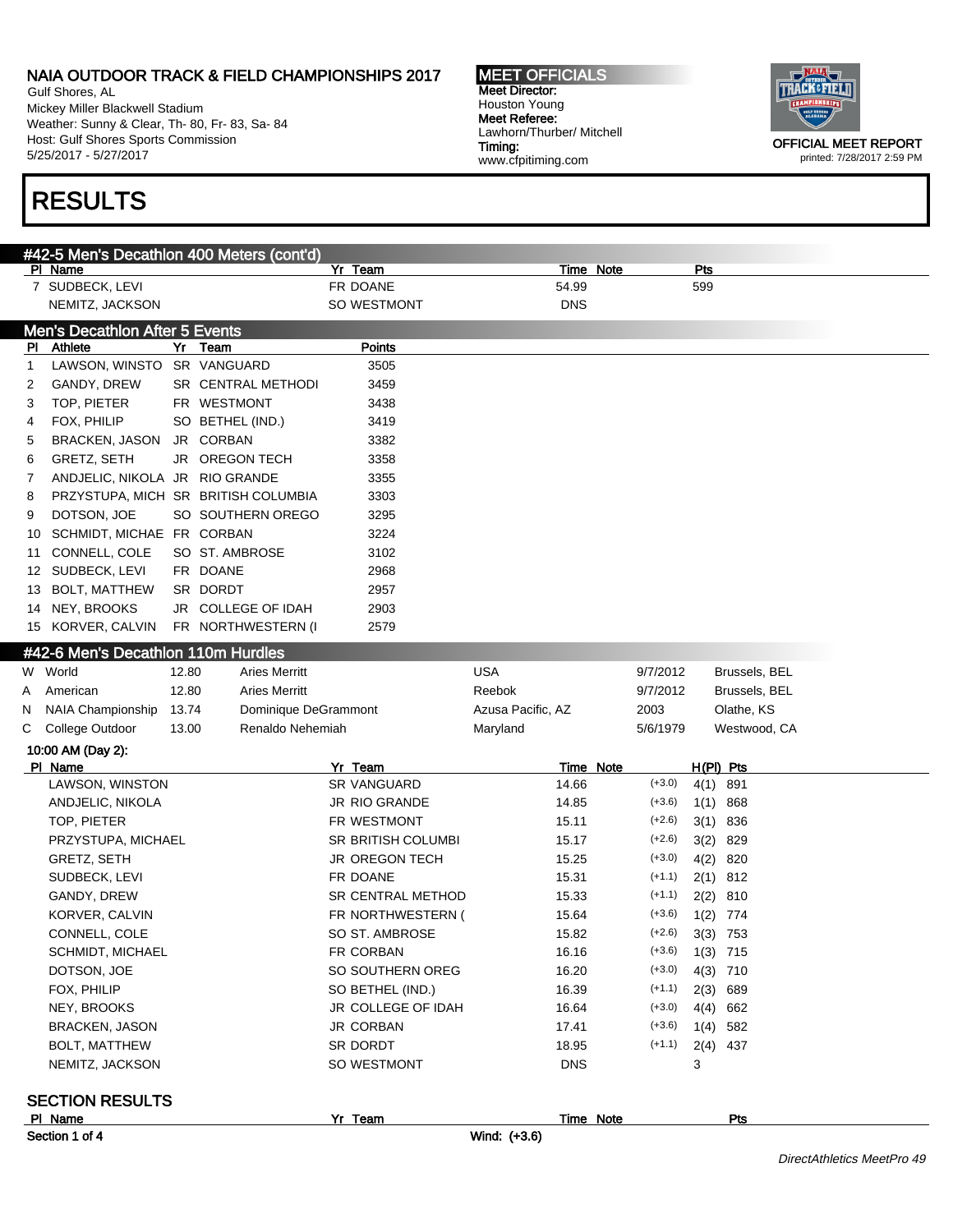Gulf Shores, AL Mickey Miller Blackwell Stadium Weather: Sunny & Clear, Th- 80, Fr- 83, Sa- 84 Host: Gulf Shores Sports Commission 5/25/2017 - 5/27/2017

# RESULTS



|     |                                    |       | #42-5 Men's Decathlon 400 Meters (cont'd) |                           |                   |            |                      |     |               |  |
|-----|------------------------------------|-------|-------------------------------------------|---------------------------|-------------------|------------|----------------------|-----|---------------|--|
|     | PI Name                            |       |                                           | <b>Yr Team</b>            |                   | Time Note  |                      | Pts |               |  |
|     | 7 SUDBECK, LEVI                    |       |                                           | FR DOANE                  |                   | 54.99      |                      | 599 |               |  |
|     | NEMITZ, JACKSON                    |       |                                           | SO WESTMONT               |                   | <b>DNS</b> |                      |     |               |  |
|     | Men's Decathlon After 5 Events     |       |                                           |                           |                   |            |                      |     |               |  |
| PI. | Athlete                            |       | Yr Team                                   | <b>Points</b>             |                   |            |                      |     |               |  |
| 1   | LAWSON, WINSTO                     |       | SR VANGUARD                               | 3505                      |                   |            |                      |     |               |  |
| 2   | GANDY, DREW                        |       | SR CENTRAL METHODI                        | 3459                      |                   |            |                      |     |               |  |
| 3   | TOP, PIETER                        |       | FR WESTMONT                               | 3438                      |                   |            |                      |     |               |  |
| 4   | FOX, PHILIP                        |       | SO BETHEL (IND.)                          | 3419                      |                   |            |                      |     |               |  |
| 5   | <b>BRACKEN, JASON</b>              |       | JR CORBAN                                 | 3382                      |                   |            |                      |     |               |  |
| 6   | <b>GRETZ, SETH</b>                 |       | JR OREGON TECH                            | 3358                      |                   |            |                      |     |               |  |
| 7   | ANDJELIC, NIKOLA JR RIO GRANDE     |       |                                           | 3355                      |                   |            |                      |     |               |  |
| 8   |                                    |       | PRZYSTUPA, MICH SR BRITISH COLUMBIA       | 3303                      |                   |            |                      |     |               |  |
| 9   | DOTSON, JOE                        |       | SO SOUTHERN OREGO                         | 3295                      |                   |            |                      |     |               |  |
| 10  | SCHMIDT, MICHAE FR CORBAN          |       |                                           | 3224                      |                   |            |                      |     |               |  |
| 11  | CONNELL, COLE                      |       | SO ST. AMBROSE                            | 3102                      |                   |            |                      |     |               |  |
| 12  | SUDBECK, LEVI                      |       | FR DOANE                                  | 2968                      |                   |            |                      |     |               |  |
| 13  | <b>BOLT, MATTHEW</b>               |       | SR DORDT                                  | 2957                      |                   |            |                      |     |               |  |
| 14  | NEY, BROOKS                        |       | JR COLLEGE OF IDAH                        | 2903                      |                   |            |                      |     |               |  |
|     | 15 KORVER, CALVIN                  |       | FR NORTHWESTERN (I                        | 2579                      |                   |            |                      |     |               |  |
|     | #42-6 Men's Decathlon 110m Hurdles |       |                                           |                           |                   |            |                      |     |               |  |
|     | W World                            | 12.80 | <b>Aries Merritt</b>                      |                           | <b>USA</b>        |            | 9/7/2012             |     | Brussels, BEL |  |
| A   | American                           | 12.80 | <b>Aries Merritt</b>                      |                           | Reebok            |            | 9/7/2012             |     | Brussels, BEL |  |
| N   | NAIA Championship                  | 13.74 | Dominique DeGrammont                      |                           | Azusa Pacific, AZ |            | 2003                 |     | Olathe, KS    |  |
| C   | College Outdoor                    | 13.00 | Renaldo Nehemiah                          |                           | Maryland          |            | 5/6/1979             |     | Westwood, CA  |  |
|     | 10:00 AM (Day 2):                  |       |                                           |                           |                   |            |                      |     |               |  |
|     | PI Name                            |       |                                           | Yr Team                   |                   | Time Note  |                      |     | $H(PI)$ Pts   |  |
|     | LAWSON, WINSTON                    |       |                                           | <b>SR VANGUARD</b>        |                   | 14.66      | $(+3.0)$             |     | 4(1) 891      |  |
|     | ANDJELIC, NIKOLA                   |       |                                           | <b>JR RIO GRANDE</b>      |                   | 14.85      | $(+3.6)$             |     | $1(1)$ 868    |  |
|     | TOP, PIETER                        |       |                                           | FR WESTMONT               |                   | 15.11      | $(+2.6)$             |     | $3(1)$ 836    |  |
|     | PRZYSTUPA, MICHAEL                 |       |                                           | <b>SR BRITISH COLUMBI</b> |                   | 15.17      | $(+2.6)$             |     | 3(2) 829      |  |
|     | GRETZ, SETH                        |       |                                           | <b>JR OREGON TECH</b>     |                   | 15.25      | $(+3.0)$             |     | 4(2) 820      |  |
|     | SUDBECK, LEVI                      |       |                                           | FR DOANE                  |                   | 15.31      | $(+1.1)$             |     | $2(1)$ 812    |  |
|     | GANDY, DREW                        |       |                                           | <b>SR CENTRAL METHOD</b>  |                   | 15.33      | $(+1.1)$             |     | 2(2) 810      |  |
|     | KORVER, CALVIN                     |       |                                           | FR NORTHWESTERN (         |                   | 15.64      | $(+3.6)$             |     | $1(2)$ 774    |  |
|     | CONNELL, COLE                      |       |                                           | SO ST. AMBROSE            |                   | 15.82      | $(+2.6)$             |     | $3(3)$ 753    |  |
|     | SCHMIDT, MICHAEL                   |       |                                           | FR CORBAN                 |                   | 16.16      | $(+3.6)$             |     | $1(3)$ 715    |  |
|     | DOTSON, JOE                        |       |                                           | SO SOUTHERN OREG          |                   | 16.20      | $(+3.0)$             |     | 4(3) 710      |  |
|     | FOX, PHILIP                        |       |                                           | SO BETHEL (IND.)          |                   | 16.39      | $(+1.1)$             |     | $2(3)$ 689    |  |
|     | NEY, BROOKS                        |       |                                           | JR COLLEGE OF IDAH        |                   | 16.64      | $(+3.0)$<br>$(+3.6)$ |     | 4(4) 662      |  |
|     | <b>BRACKEN, JASON</b>              |       |                                           | JR CORBAN                 |                   | 17.41      | $(+1.1)$             |     | $1(4)$ 582    |  |
|     | <b>BOLT, MATTHEW</b>               |       |                                           | SR DORDT                  |                   | 18.95      |                      |     | $2(4)$ 437    |  |
|     | NEMITZ, JACKSON                    |       |                                           | SO WESTMONT               |                   | <b>DNS</b> |                      | 3   |               |  |
|     | <b>SECTION RESULTS</b>             |       |                                           |                           |                   |            |                      |     |               |  |
|     | PI Name                            |       |                                           | Yr Team                   |                   | Time Note  |                      |     | Pts           |  |
|     | Section 1 of 4                     |       |                                           |                           | Wind: (+3.6)      |            |                      |     |               |  |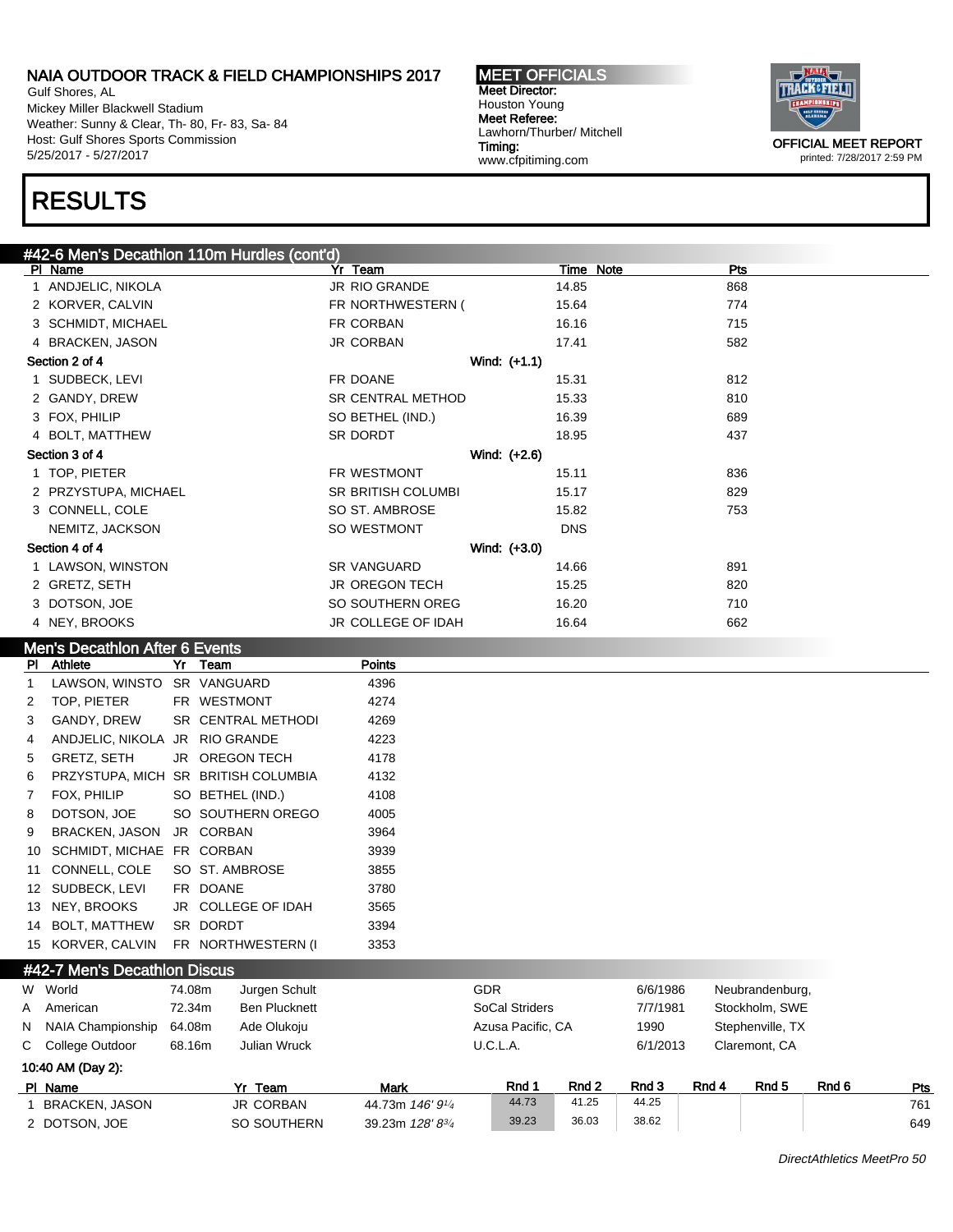Gulf Shores, AL Mickey Miller Blackwell Stadium Weather: Sunny & Clear, Th- 80, Fr- 83, Sa- 84 Host: Gulf Shores Sports Commission 5/25/2017 - 5/27/2017

# RESULTS

MEET OFFICIALS Meet Director: Houston Young Meet Referee: Lawhorn/Thurber/ Mitchell Timing: www.cfpitiming.com



#### #42-6 Men's Decathlon 110m Hurdles (cont'd) Pl Name Yr Team Time Note Pts 1 ANDJELIC, NIKOLA 868 (14.85 868) 3 AMB JR RIO GRANDE 14.85 (14.85 868 2 KORVER, CALVIN **1988** FR NORTHWESTERN (15.64 15.64 774 3 SCHMIDT, MICHAEL **FR CORBAN 16.16** 16.16 715 4 BRACKEN, JASON JR CORBAN 17.41 582 Section 2 of 4 Wind: (+1.1) 1 SUDBECK, LEVI FR DOANE 15.31 812 2 GANDY, DREW SR CENTRAL METHOD 15.33 810 3 FOX, PHILIP 689 689 689 699 SO BETHEL (IND.) 16.39 689 4 BOLT, MATTHEW SR DORDT 18.95 18.95 437 Section 3 of 4 Wind: (+2.6) 1 TOP, PIETER 636 CHE STATE REST REST MONT THE REST MONTHLY ASSET AND REST AND REST AND REST AND REST AND REST AND REST AND REST AND REST AND REST AND REST AND REST AND REST AND REST AND REST AND REST AND REST AND REST AND 2 PRZYSTUPA, MICHAEL **SR BRITISH COLUMBI** 15.17 15.17 829 3 CONNELL, COLE 6 253 SO ST. AMBROSE 25.82 753 NEMITZ, JACKSON DNS Section 4 of 4 Wind: (+3.0) 1 LAWSON, WINSTON **14.66** 891 2 GRETZ, SETH 320 3 DOTSON, JOE SO SOUTHERN OREG 16.20 710 4 NEY, BROOKS 662 COLLEGE OF IDAH 16.64 16.64 662

#### Men's Decathlon After 6 Events

| ΡI<br>Athlete  |                                | Yr | Team                                | Points |  |
|----------------|--------------------------------|----|-------------------------------------|--------|--|
| 1              | LAWSON, WINSTO SR VANGUARD     |    |                                     | 4396   |  |
| $\overline{2}$ | TOP, PIETER                    |    | FR WESTMONT                         | 4274   |  |
| 3              | GANDY, DREW                    |    | SR CENTRAL METHODI                  | 4269   |  |
| 4              | ANDJELIC, NIKOLA JR RIO GRANDE |    |                                     | 4223   |  |
| 5              | GRETZ, SETH                    |    | JR OREGON TECH                      | 4178   |  |
| 6              |                                |    | PRZYSTUPA, MICH SR BRITISH COLUMBIA | 4132   |  |
| 7              | FOX, PHILIP                    |    | SO BETHEL (IND.)                    | 4108   |  |
| 8              | DOTSON, JOE                    |    | SO SOUTHERN OREGO                   | 4005   |  |
| 9              | BRACKEN, JASON                 |    | JR CORBAN                           | 3964   |  |
| 10             | SCHMIDT, MICHAE FR CORBAN      |    |                                     | 3939   |  |
| 11             | CONNELL, COLE                  |    | SO ST. AMBROSE                      | 3855   |  |
|                | 12 SUDBECK, LEVI               |    | FR DOANE                            | 3780   |  |
| 13             | NEY, BROOKS                    |    | JR COLLEGE OF IDAH                  | 3565   |  |
| 14             | BOLT, MATTHEW                  |    | SR DORDT                            | 3394   |  |
| 15             | KORVER, CALVIN                 |    | FR NORTHWESTERN (I                  | 3353   |  |

#### #42-7 Men's Decathlon Discus

| W World             | 74.08m | Jurgen Schult        |                  | GDR               |       |       | 6/6/1986 |       | Neubrandenburg,  |       |     |
|---------------------|--------|----------------------|------------------|-------------------|-------|-------|----------|-------|------------------|-------|-----|
|                     |        |                      |                  |                   |       |       |          |       |                  |       |     |
| A American          | 72.34m | <b>Ben Plucknett</b> |                  | SoCal Striders    |       |       | 7/7/1981 |       | Stockholm, SWE   |       |     |
| N NAIA Championship | 64.08m | Ade Olukoju          |                  | Azusa Pacific, CA |       |       | 1990     |       | Stephenville, TX |       |     |
| C College Outdoor   | 68.16m | Julian Wruck         |                  | U.C.L.A.          |       |       | 6/1/2013 |       | Claremont, CA    |       |     |
| 10:40 AM (Day 2):   |        |                      |                  |                   |       |       |          |       |                  |       |     |
| PI Name             |        | Yr Team              | <b>Mark</b>      |                   | Rnd 1 | Rnd 2 | Rnd 3    | Rnd 4 | Rnd 5            | Rnd 6 | Pts |
| BRACKEN, JASON      |        | <b>JR CORBAN</b>     | 44.73m 146' 91/4 |                   | 44.73 | 41.25 | 44.25    |       |                  |       | 761 |
| 2 DOTSON, JOE       |        | SO SOUTHERN          | 39.23m 128'834   |                   | 39.23 | 36.03 | 38.62    |       |                  |       | 649 |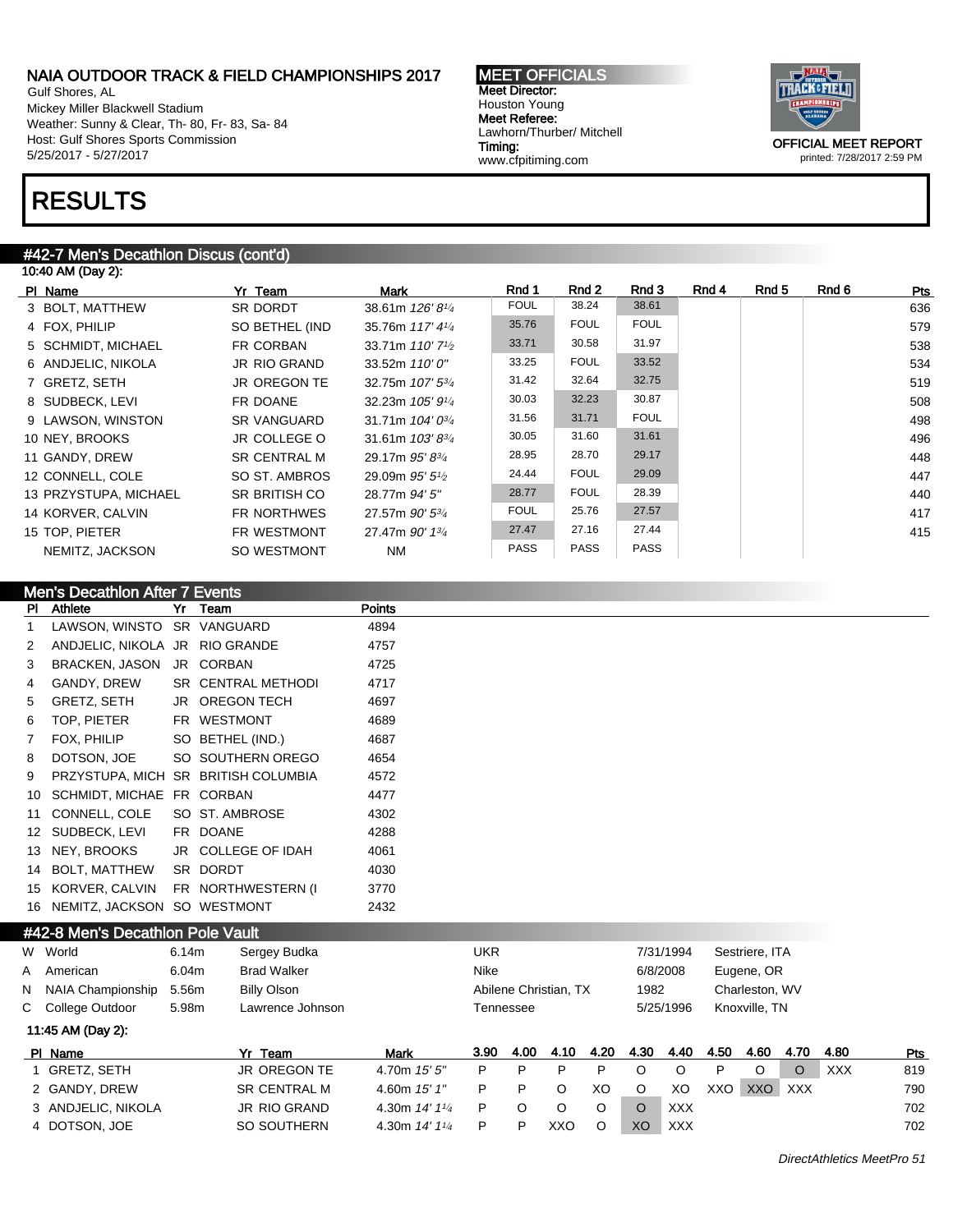Gulf Shores, AL Mickey Miller Blackwell Stadium Weather: Sunny & Clear, Th- 80, Fr- 83, Sa- 84 Host: Gulf Shores Sports Commission 5/25/2017 - 5/27/2017

# RESULTS

#### #42-7 Men's Decathlon Discus (cont'd)

| 10:40 AM (Day 2):     |                     |                              |             |             |             |       |       |       |     |
|-----------------------|---------------------|------------------------------|-------------|-------------|-------------|-------|-------|-------|-----|
| PI Name               | Yr Team             | Mark                         | Rnd 1       | Rnd 2       | Rnd 3       | Rnd 4 | Rnd 5 | Rnd 6 | Pts |
| 3 BOLT, MATTHEW       | <b>SR DORDT</b>     | 38.61m 126'81/4              | <b>FOUL</b> | 38.24       | 38.61       |       |       |       | 636 |
| 4 FOX, PHILIP         | SO BETHEL (IND      | 35.76m 117' 41/4             | 35.76       | <b>FOUL</b> | <b>FOUL</b> |       |       |       | 579 |
| 5 SCHMIDT, MICHAEL    | FR CORBAN           | 33.71m $110'$ $7\frac{1}{2}$ | 33.71       | 30.58       | 31.97       |       |       |       | 538 |
| 6 ANDJELIC, NIKOLA    | JR RIO GRAND        | 33.52m 110' 0"               | 33.25       | <b>FOUL</b> | 33.52       |       |       |       | 534 |
| 7 GRETZ, SETH         | <b>JR OREGON TE</b> | 32.75m 107' 53/4             | 31.42       | 32.64       | 32.75       |       |       |       | 519 |
| 8 SUDBECK, LEVI       | FR DOANE            | 32.23m 105' 91/4             | 30.03       | 32.23       | 30.87       |       |       |       | 508 |
| 9 LAWSON, WINSTON     | SR VANGUARD         | 31.71m $104'0^{3/4}$         | 31.56       | 31.71       | <b>FOUL</b> |       |       |       | 498 |
| 10 NEY, BROOKS        | JR COLLEGE O        | 31.61m $103' 8^{3/4}$        | 30.05       | 31.60       | 31.61       |       |       |       | 496 |
| 11 GANDY, DREW        | <b>SR CENTRAL M</b> | 29.17m 95' 83/4              | 28.95       | 28.70       | 29.17       |       |       |       | 448 |
| 12 CONNELL, COLE      | SO ST. AMBROS       | 29.09m 95' 51/2              | 24.44       | <b>FOUL</b> | 29.09       |       |       |       | 447 |
| 13 PRZYSTUPA, MICHAEL | SR BRITISH CO       | 28.77m 94' 5"                | 28.77       | <b>FOUL</b> | 28.39       |       |       |       | 440 |
| 14 KORVER, CALVIN     | <b>FR NORTHWES</b>  | 27.57m 90' 53/4              | <b>FOUL</b> | 25.76       | 27.57       |       |       |       | 417 |
| 15 TOP. PIETER        | FR WESTMONT         | 27.47m 90' 13/4              | 27.47       | 27.16       | 27.44       |       |       |       | 415 |
| NEMITZ, JACKSON       | SO WESTMONT         | <b>NM</b>                    | <b>PASS</b> | <b>PASS</b> | <b>PASS</b> |       |       |       |     |

|           | Men's Decathlon After 7 Events   |       |                                     |                |            |           |                       |      |          |            |      |                |          |            |     |
|-----------|----------------------------------|-------|-------------------------------------|----------------|------------|-----------|-----------------------|------|----------|------------|------|----------------|----------|------------|-----|
| <b>PI</b> | Athlete                          | Yr    | Team                                | <b>Points</b>  |            |           |                       |      |          |            |      |                |          |            |     |
| 1         | LAWSON, WINSTO SR VANGUARD       |       |                                     | 4894           |            |           |                       |      |          |            |      |                |          |            |     |
| 2         | ANDJELIC, NIKOLA JR RIO GRANDE   |       |                                     | 4757           |            |           |                       |      |          |            |      |                |          |            |     |
| 3         | <b>BRACKEN, JASON</b>            |       | JR CORBAN                           | 4725           |            |           |                       |      |          |            |      |                |          |            |     |
| 4         | GANDY, DREW                      |       | SR CENTRAL METHODI                  | 4717           |            |           |                       |      |          |            |      |                |          |            |     |
| 5         | <b>GRETZ, SETH</b>               |       | JR OREGON TECH                      | 4697           |            |           |                       |      |          |            |      |                |          |            |     |
| 6         | TOP, PIETER                      | FR.   | <b>WESTMONT</b>                     | 4689           |            |           |                       |      |          |            |      |                |          |            |     |
| 7         | FOX, PHILIP                      |       | SO BETHEL (IND.)                    | 4687           |            |           |                       |      |          |            |      |                |          |            |     |
| 8         | DOTSON, JOE                      |       | SO SOUTHERN OREGO                   | 4654           |            |           |                       |      |          |            |      |                |          |            |     |
| 9         |                                  |       | PRZYSTUPA, MICH SR BRITISH COLUMBIA | 4572           |            |           |                       |      |          |            |      |                |          |            |     |
| 10        | SCHMIDT, MICHAE FR CORBAN        |       |                                     | 4477           |            |           |                       |      |          |            |      |                |          |            |     |
| 11        | CONNELL, COLE                    |       | SO ST. AMBROSE                      | 4302           |            |           |                       |      |          |            |      |                |          |            |     |
|           | 12 SUDBECK, LEVI                 |       | FR DOANE                            | 4288           |            |           |                       |      |          |            |      |                |          |            |     |
|           | 13 NEY, BROOKS                   |       | JR COLLEGE OF IDAH                  | 4061           |            |           |                       |      |          |            |      |                |          |            |     |
|           | 14 BOLT, MATTHEW                 |       | SR DORDT                            | 4030           |            |           |                       |      |          |            |      |                |          |            |     |
|           | 15 KORVER, CALVIN                |       | FR NORTHWESTERN (I                  | 3770           |            |           |                       |      |          |            |      |                |          |            |     |
|           | 16 NEMITZ, JACKSON SO WESTMONT   |       |                                     | 2432           |            |           |                       |      |          |            |      |                |          |            |     |
|           | #42-8 Men's Decathlon Pole Vault |       |                                     |                |            |           |                       |      |          |            |      |                |          |            |     |
|           | W World                          | 6.14m | Sergey Budka                        |                | <b>UKR</b> |           |                       |      |          | 7/31/1994  |      | Sestriere, ITA |          |            |     |
| A         | American                         | 6.04m | <b>Brad Walker</b>                  |                | Nike       |           |                       |      |          | 6/8/2008   |      | Eugene, OR     |          |            |     |
| N         | <b>NAIA Championship</b>         | 5.56m | <b>Billy Olson</b>                  |                |            |           | Abilene Christian, TX |      | 1982     |            |      | Charleston, WV |          |            |     |
| C         | College Outdoor                  | 5.98m | Lawrence Johnson                    |                |            | Tennessee |                       |      |          | 5/25/1996  |      | Knoxville, TN  |          |            |     |
|           | 11:45 AM (Day 2):                |       |                                     |                |            |           |                       |      |          |            |      |                |          |            |     |
|           | PI Name                          |       | Yr Team                             | Mark           | 3.90       | 4.00      | 4.10                  | 4.20 | 4.30     | 4.40       | 4.50 | 4.60           | 4.70     | 4.80       | Pts |
|           | 1 GRETZ, SETH                    |       | <b>JR OREGON TE</b>                 | 4.70m 15' 5"   | P          | P         | P                     | P    | O        | O          | P    | $\circ$        | $\Omega$ | <b>XXX</b> | 819 |
|           | 2 GANDY, DREW                    |       | <b>SR CENTRAL M</b>                 | 4.60m 15' 1"   | P          | P         | O                     | XO   | O        | XO         | XXO  | XXO            | XXX      |            | 790 |
|           | 3 ANDJELIC, NIKOLA               |       | <b>JR RIO GRAND</b>                 | 4.30m 14' 11/4 | P          | O         | O                     | O    | $\Omega$ | <b>XXX</b> |      |                |          |            | 702 |
|           | 4 DOTSON, JOE                    |       | SO SOUTHERN                         | 4.30m 14' 11/4 | P          | P         | <b>XXO</b>            | O    | XO       | <b>XXX</b> |      |                |          |            | 702 |

MEET OFFICIALS Meet Director: Houston Young Meet Referee: Lawhorn/Thurber/ Mitchell Timing: www.cfpitiming.com

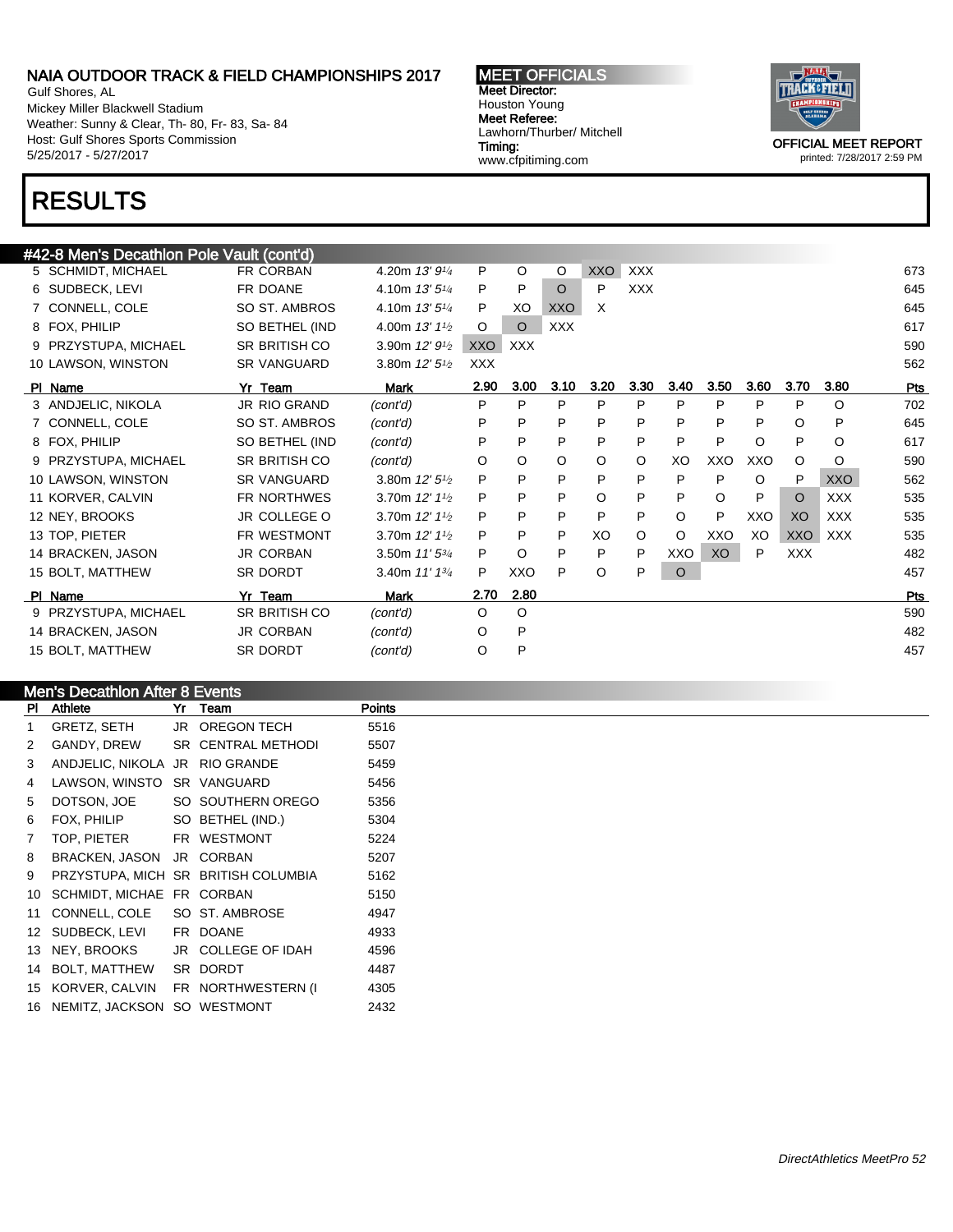Gulf Shores, AL Mickey Miller Blackwell Stadium Weather: Sunny & Clear, Th- 80, Fr- 83, Sa- 84 Host: Gulf Shores Sports Commission 5/25/2017 - 5/27/2017

# RESULTS

#### #42-8 Men's Decathlon Pole Vault (cont'd)

| $\tau$ - $\tau$ $\sim$ $\tau$ $\sim$ $\tau$ $\sim$ $\tau$ $\sim$ $\tau$ $\sim$ $\tau$ $\sim$ $\tau$ $\sim$ $\tau$ $\sim$ $\tau$ $\sim$ $\tau$ |                      |                                         |            |            |            |      |            |         |      |         |            |            |     |
|-----------------------------------------------------------------------------------------------------------------------------------------------|----------------------|-----------------------------------------|------------|------------|------------|------|------------|---------|------|---------|------------|------------|-----|
| 5 SCHMIDT, MICHAEL                                                                                                                            | FR CORBAN            | 4.20m 13' 9 <sup>1/4</sup>              | P          | $\circ$    | $\circ$    | XXO  | <b>XXX</b> |         |      |         |            |            | 673 |
| 6 SUDBECK, LEVI                                                                                                                               | FR DOANE             | 4.10m $13'5''_4$                        | P          | P          | $\circ$    | P    | <b>XXX</b> |         |      |         |            |            | 645 |
| 7 CONNELL, COLE                                                                                                                               | SO ST. AMBROS        | 4.10m $13'5''$                          | P          | XO         | XXO        | X    |            |         |      |         |            |            | 645 |
| 8 FOX, PHILIP                                                                                                                                 | SO BETHEL (IND       | 4.00m $13'1\frac{1}{2}$                 | $\circ$    | $\circ$    | <b>XXX</b> |      |            |         |      |         |            |            | 617 |
| 9 PRZYSTUPA, MICHAEL                                                                                                                          | SR BRITISH CO        | 3.90m 12' 9 <sup>1</sup> / <sub>2</sub> | <b>XXO</b> | <b>XXX</b> |            |      |            |         |      |         |            |            | 590 |
| 10 LAWSON, WINSTON                                                                                                                            | <b>SR VANGUARD</b>   | 3.80m $12'5\frac{1}{2}$                 | <b>XXX</b> |            |            |      |            |         |      |         |            |            | 562 |
| PI Name                                                                                                                                       | Yr Team              | Mark                                    | 2.90       | 3.00       | 3.10       | 3.20 | 3.30       | 3.40    | 3.50 | 3.60    | 3.70       | 3.80       | Pts |
| 3 ANDJELIC, NIKOLA                                                                                                                            | JR RIO GRAND         | (cont'd)                                | P          | P          | P          | P    | P          | P       | P    | P       | P          | $\circ$    | 702 |
| 7 CONNELL, COLE                                                                                                                               | SO ST. AMBROS        | (cont'd)                                | P          | P          | P          | P    | P          | P       | P    | P       | $\circ$    | P          | 645 |
| 8 FOX, PHILIP                                                                                                                                 | SO BETHEL (IND       | (cont'd)                                | P          | P          | P          | P    | P          | P       | P    | $\circ$ | P          | $\circ$    | 617 |
| 9 PRZYSTUPA, MICHAEL                                                                                                                          | <b>SR BRITISH CO</b> | (cont'd)                                | O          | O          | O          | O    | $\circ$    | XO      | XXO  | XXO     | O          | O          | 590 |
| 10 LAWSON, WINSTON                                                                                                                            | <b>SR VANGUARD</b>   | 3.80m $12'5\frac{1}{2}$                 | P          | P          | P          | P    | P          | P       | P    | $\circ$ | P          | XXO        | 562 |
| 11 KORVER, CALVIN                                                                                                                             | FR NORTHWES          | 3.70m 12' 11/2                          | P          | P          | P          | O    | P          | P       | O    | P       | $\circ$    | <b>XXX</b> | 535 |
| 12 NEY, BROOKS                                                                                                                                | JR COLLEGE O         | 3.70m $12'11/2$                         | P          | P          | P          | P    | P          | $\circ$ | P    | XXO     | XO         | <b>XXX</b> | 535 |
| 13 TOP, PIETER                                                                                                                                | <b>FR WESTMONT</b>   | 3.70m $12'$ $1\frac{1}{2}$              | P          | P          | P          | XO   | $\circ$    | O       | XXO  | XO      | XXO        | XXX        | 535 |
| 14 BRACKEN, JASON                                                                                                                             | <b>JR CORBAN</b>     | 3.50m $11'5^{3/4}$                      | P          | O          | P          | P    | P          | XXO     | XO   | P       | <b>XXX</b> |            | 482 |
| 15 BOLT, MATTHEW                                                                                                                              | SR DORDT             | 3.40m $11'$ $13'$                       | P          | XXO        | P          | O    | P          | $\circ$ |      |         |            |            | 457 |
| PI Name                                                                                                                                       | Yr Team              | <b>Mark</b>                             | 2.70       | 2.80       |            |      |            |         |      |         |            |            | Pts |
| 9 PRZYSTUPA, MICHAEL                                                                                                                          | <b>SR BRITISH CO</b> | (cont'd)                                | $\circ$    | O          |            |      |            |         |      |         |            |            | 590 |
| 14 BRACKEN, JASON                                                                                                                             | <b>JR CORBAN</b>     | (cont'd)                                | O          | P          |            |      |            |         |      |         |            |            | 482 |
| 15 BOLT, MATTHEW                                                                                                                              | SR DORDT             | (cont'd)                                | $\circ$    | P          |            |      |            |         |      |         |            |            | 457 |
|                                                                                                                                               |                      |                                         |            |            |            |      |            |         |      |         |            |            |     |

|     | <b>Men's Decathlon After 8 Events</b> |  |                                     |        |  |  |  |  |  |  |
|-----|---------------------------------------|--|-------------------------------------|--------|--|--|--|--|--|--|
| PL. | Athlete                               |  | Yr Team                             | Points |  |  |  |  |  |  |
|     | GRETZ, SETH                           |  | JR OREGON TECH                      | 5516   |  |  |  |  |  |  |
| 2   | GANDY, DREW                           |  | SR CENTRAL METHODI                  | 5507   |  |  |  |  |  |  |
| 3   | ANDJELIC, NIKOLA JR RIO GRANDE        |  |                                     | 5459   |  |  |  |  |  |  |
| 4   | LAWSON, WINSTO SR VANGUARD            |  |                                     | 5456   |  |  |  |  |  |  |
| 5   | DOTSON, JOE                           |  | SO SOUTHERN OREGO                   | 5356   |  |  |  |  |  |  |
| 6   | FOX, PHILIP                           |  | SO BETHEL (IND.)                    | 5304   |  |  |  |  |  |  |
|     | TOP, PIETER                           |  | FR WESTMONT                         | 5224   |  |  |  |  |  |  |
| 8   | <b>BRACKEN, JASON</b>                 |  | JR CORBAN                           | 5207   |  |  |  |  |  |  |
| 9   |                                       |  | PRZYSTUPA, MICH SR BRITISH COLUMBIA | 5162   |  |  |  |  |  |  |
| 10  | SCHMIDT, MICHAE FR CORBAN             |  |                                     | 5150   |  |  |  |  |  |  |
| 11  | CONNELL, COLE                         |  | SO ST. AMBROSE                      | 4947   |  |  |  |  |  |  |
| 12  | SUDBECK, LEVI                         |  | FR DOANE                            | 4933   |  |  |  |  |  |  |
| 13  | NEY, BROOKS                           |  | JR COLLEGE OF IDAH                  | 4596   |  |  |  |  |  |  |
| 14  | BOLT, MATTHEW                         |  | SR DORDT                            | 4487   |  |  |  |  |  |  |
| 15  | KORVER, CALVIN                        |  | FR NORTHWESTERN (I                  | 4305   |  |  |  |  |  |  |
|     | 16 NEMITZ, JACKSON SO WESTMONT        |  |                                     | 2432   |  |  |  |  |  |  |

MEET OFFICIALS Meet Director: Houston Young Meet Referee: Lawhorn/Thurber/ Mitchell Timing: www.cfpitiming.com



OFFICIAL MEET REPORT printed: 7/28/2017 2:59 PM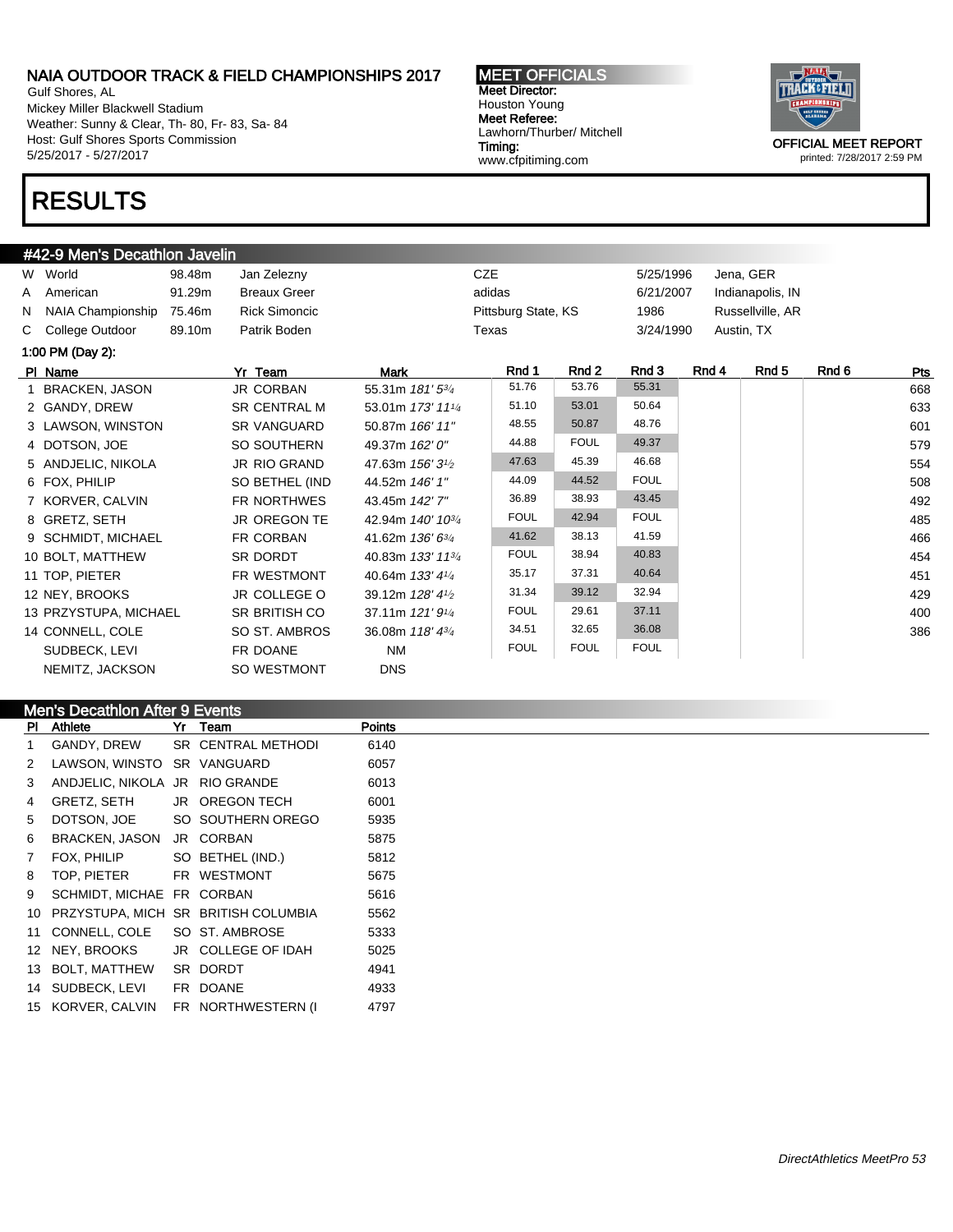Gulf Shores, AL Mickey Miller Blackwell Stadium Weather: Sunny & Clear, Th- 80, Fr- 83, Sa- 84 Host: Gulf Shores Sports Commission 5/25/2017 - 5/27/2017

### RESULTS

### #42-9 Men's Decathlon Javelin

| W World               | 98.48m | Jan Zelezny          |                               | <b>CZE</b>  |             | 5/25/1996   |                  | Jena, GER        |       |            |
|-----------------------|--------|----------------------|-------------------------------|-------------|-------------|-------------|------------------|------------------|-------|------------|
| A American            | 91.29m | <b>Breaux Greer</b>  |                               | adidas      |             | 6/21/2007   |                  | Indianapolis, IN |       |            |
| N NAIA Championship   | 75.46m | <b>Rick Simoncic</b> | Pittsburg State, KS           |             |             | 1986        | Russellville, AR |                  |       |            |
| C College Outdoor     | 89.10m | Patrik Boden         |                               | Texas       |             | 3/24/1990   |                  | Austin, TX       |       |            |
| 1:00 PM (Day 2):      |        |                      |                               |             |             |             |                  |                  |       |            |
| PI Name               |        | Yr Team              | <b>Mark</b>                   | Rnd 1       | Rnd 2       | Rnd 3       | Rnd 4            | Rnd 5            | Rnd 6 | <u>Pts</u> |
| 1 BRACKEN, JASON      |        | <b>JR CORBAN</b>     | 55.31m 181' 53/4              | 51.76       | 53.76       | 55.31       |                  |                  |       | 668        |
| 2 GANDY, DREW         |        | <b>SR CENTRAL M</b>  | 53.01m 173' 111/4             | 51.10       | 53.01       | 50.64       |                  |                  |       | 633        |
| 3 LAWSON, WINSTON     |        | SR VANGUARD          | 50.87m 166' 11"               | 48.55       | 50.87       | 48.76       |                  |                  |       | 601        |
| 4 DOTSON, JOE         |        | SO SOUTHERN          | 49.37m 162' 0"                | 44.88       | <b>FOUL</b> | 49.37       |                  |                  |       | 579        |
| 5 ANDJELIC, NIKOLA    |        | JR RIO GRAND         | 47.63m 156' 3 <sup>1</sup> /2 | 47.63       | 45.39       | 46.68       |                  |                  |       | 554        |
| 6 FOX, PHILIP         |        | SO BETHEL (IND       | 44.52m 146' 1"                | 44.09       | 44.52       | <b>FOUL</b> |                  |                  |       | 508        |
| 7 KORVER, CALVIN      |        | <b>FR NORTHWES</b>   | 43.45m 142' 7"                | 36.89       | 38.93       | 43.45       |                  |                  |       | 492        |
| 8 GRETZ, SETH         |        | <b>JR OREGON TE</b>  | 42.94m 140' 10 <sup>3/4</sup> | <b>FOUL</b> | 42.94       | <b>FOUL</b> |                  |                  |       | 485        |
| 9 SCHMIDT, MICHAEL    |        | FR CORBAN            | 41.62m 136' 63/4              | 41.62       | 38.13       | 41.59       |                  |                  |       | 466        |
| 10 BOLT, MATTHEW      |        | SR DORDT             | 40.83m 133' 11 <sup>3/4</sup> | <b>FOUL</b> | 38.94       | 40.83       |                  |                  |       | 454        |
| 11 TOP, PIETER        |        | FR WESTMONT          | 40.64m 133' 41/4              | 35.17       | 37.31       | 40.64       |                  |                  |       | 451        |
| 12 NEY, BROOKS        |        | JR COLLEGE O         | 39.12m 128' 41/2              | 31.34       | 39.12       | 32.94       |                  |                  |       | 429        |
| 13 PRZYSTUPA, MICHAEL |        | SR BRITISH CO        | 37.11m $121'9'4$              | <b>FOUL</b> | 29.61       | 37.11       |                  |                  |       | 400        |
| 14 CONNELL, COLE      |        | SO ST. AMBROS        | 36.08m 118' 43/4              | 34.51       | 32.65       | 36.08       |                  |                  |       | 386        |
| SUDBECK, LEVI         |        | FR DOANE             | NM                            | <b>FOUL</b> | <b>FOUL</b> | <b>FOUL</b> |                  |                  |       |            |
| NEMITZ, JACKSON       |        | SO WESTMONT          | <b>DNS</b>                    |             |             |             |                  |                  |       |            |

| <b>Men's Decathlon After 9 Events</b> |                                |  |                                      |               |  |  |  |  |  |
|---------------------------------------|--------------------------------|--|--------------------------------------|---------------|--|--|--|--|--|
|                                       | PI Athlete                     |  | Yr Team                              | <b>Points</b> |  |  |  |  |  |
| $\mathbf{1}$                          | GANDY, DREW                    |  | SR CENTRAL METHODI                   | 6140          |  |  |  |  |  |
| $\mathbf{2}$                          | LAWSON, WINSTO SR VANGUARD     |  |                                      | 6057          |  |  |  |  |  |
| 3                                     | ANDJELIC, NIKOLA JR RIO GRANDE |  |                                      | 6013          |  |  |  |  |  |
| 4                                     | GRETZ, SETH                    |  | JR OREGON TECH                       | 6001          |  |  |  |  |  |
| 5                                     | DOTSON, JOE                    |  | SO SOUTHERN OREGO                    | 5935          |  |  |  |  |  |
| 6                                     | BRACKEN, JASON                 |  | JR CORBAN                            | 5875          |  |  |  |  |  |
| $7^{\circ}$                           | FOX, PHILIP                    |  | SO BETHEL (IND.)                     | 5812          |  |  |  |  |  |
| 8                                     | TOP. PIETER                    |  | FR WESTMONT                          | 5675          |  |  |  |  |  |
| 9                                     | SCHMIDT, MICHAE FR CORBAN      |  |                                      | 5616          |  |  |  |  |  |
| 10                                    |                                |  | PRZYSTUPA, MICH SR BRITISH COLUMBIA  | 5562          |  |  |  |  |  |
|                                       | 11 CONNELL, COLE               |  | SO ST. AMBROSE                       | 5333          |  |  |  |  |  |
|                                       | 12 NEY, BROOKS                 |  | JR COLLEGE OF IDAH                   | 5025          |  |  |  |  |  |
|                                       | 13 BOLT, MATTHEW               |  | SR DORDT                             | 4941          |  |  |  |  |  |
|                                       | 14 SUDBECK, LEVI               |  | FR DOANE                             | 4933          |  |  |  |  |  |
|                                       |                                |  | 15 KORVER, CALVIN FR NORTHWESTERN (I | 4797          |  |  |  |  |  |

MEET OFFICIALS Meet Director: Houston Young Meet Referee: Lawhorn/Thurber/ Mitchell Timing: www.cfpitiming.com

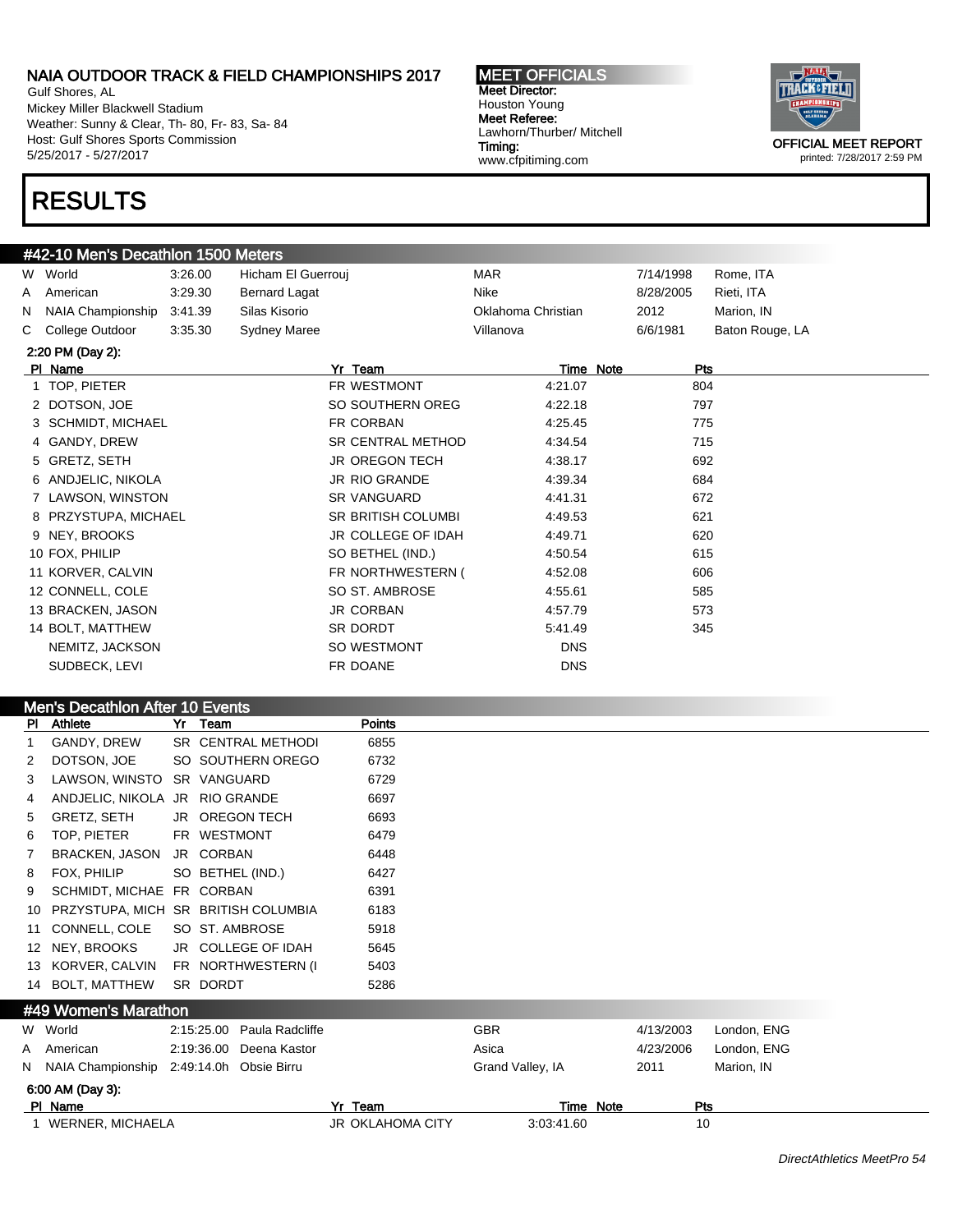Gulf Shores, AL Mickey Miller Blackwell Stadium Weather: Sunny & Clear, Th- 80, Fr- 83, Sa- 84 Host: Gulf Shores Sports Commission 5/25/2017 - 5/27/2017

#### MEET OFFICIALS Meet Director: Houston Young Meet Referee: Lawhorn/Thurber/ Mitchell Timing: www.cfpitiming.com



### RESULTS

#### #42-10 Men's Decathlon 1500 Meters

|   | W World              | 3:26.00 | Hicham El Guerrouj   |                           | <b>MAR</b>         |            | 7/14/1998 | Rome, ITA       |
|---|----------------------|---------|----------------------|---------------------------|--------------------|------------|-----------|-----------------|
| A | American             | 3:29.30 | <b>Bernard Lagat</b> |                           | Nike               |            | 8/28/2005 | Rieti, ITA      |
| N | NAIA Championship    | 3:41.39 | Silas Kisorio        |                           | Oklahoma Christian |            | 2012      | Marion, IN      |
|   | C College Outdoor    | 3:35.30 | <b>Sydney Maree</b>  |                           | Villanova          |            | 6/6/1981  | Baton Rouge, LA |
|   | 2:20 PM (Day 2):     |         |                      |                           |                    |            |           |                 |
|   | PI Name              |         |                      | Yr Team                   |                    | Time Note  |           | Pts             |
|   | 1 TOP, PIETER        |         |                      | FR WESTMONT               | 4:21.07            |            |           | 804             |
|   | 2 DOTSON, JOE        |         |                      | SO SOUTHERN OREG          | 4:22.18            |            |           | 797             |
|   | 3 SCHMIDT, MICHAEL   |         |                      | FR CORBAN                 | 4:25.45            |            |           | 775             |
|   | 4 GANDY, DREW        |         |                      | <b>SR CENTRAL METHOD</b>  | 4:34.54            |            |           | 715             |
|   | 5 GRETZ, SETH        |         |                      | <b>JR OREGON TECH</b>     | 4:38.17            |            |           | 692             |
|   | 6 ANDJELIC, NIKOLA   |         |                      | <b>JR RIO GRANDE</b>      | 4:39.34            |            |           | 684             |
|   | 7 LAWSON, WINSTON    |         |                      | <b>SR VANGUARD</b>        | 4:41.31            |            |           | 672             |
|   | 8 PRZYSTUPA, MICHAEL |         |                      | <b>SR BRITISH COLUMBI</b> | 4:49.53            |            |           | 621             |
|   | 9 NEY, BROOKS        |         |                      | JR COLLEGE OF IDAH        | 4:49.71            |            |           | 620             |
|   | 10 FOX, PHILIP       |         |                      | SO BETHEL (IND.)          | 4:50.54            |            |           | 615             |
|   | 11 KORVER, CALVIN    |         |                      | FR NORTHWESTERN (         | 4:52.08            |            |           | 606             |
|   | 12 CONNELL, COLE     |         |                      | SO ST. AMBROSE            | 4:55.61            |            |           | 585             |
|   | 13 BRACKEN, JASON    |         |                      | <b>JR CORBAN</b>          | 4:57.79            |            |           | 573             |
|   | 14 BOLT, MATTHEW     |         |                      | SR DORDT                  | 5:41.49            |            |           | 345             |
|   | NEMITZ, JACKSON      |         |                      | SO WESTMONT               |                    | <b>DNS</b> |           |                 |
|   | SUDBECK, LEVI        |         |                      | FR DOANE                  |                    | <b>DNS</b> |           |                 |

#### Men's Decathlon After 10 Events

| <b>PI</b>            | Athlete                        | Yr | Team                                | <b>Points</b> |                          |             |
|----------------------|--------------------------------|----|-------------------------------------|---------------|--------------------------|-------------|
|                      | GANDY, DREW                    |    | SR CENTRAL METHODI                  | 6855          |                          |             |
| $\mathbf{2}^{\circ}$ | DOTSON, JOE                    |    | SO SOUTHERN OREGO                   | 6732          |                          |             |
| 3                    | LAWSON, WINSTO                 |    | SR VANGUARD                         | 6729          |                          |             |
| 4                    | ANDJELIC, NIKOLA JR RIO GRANDE |    |                                     | 6697          |                          |             |
| 5                    | GRETZ, SETH                    |    | JR OREGON TECH                      | 6693          |                          |             |
| 6                    | TOP, PIETER                    |    | FR WESTMONT                         | 6479          |                          |             |
| 7                    | <b>BRACKEN, JASON</b>          |    | JR CORBAN                           | 6448          |                          |             |
| 8                    | FOX, PHILIP                    |    | SO BETHEL (IND.)                    | 6427          |                          |             |
| 9                    | <b>SCHMIDT, MICHAE</b>         |    | FR CORBAN                           | 6391          |                          |             |
| 10                   |                                |    | PRZYSTUPA, MICH SR BRITISH COLUMBIA | 6183          |                          |             |
| 11                   | CONNELL, COLE                  |    | SO ST. AMBROSE                      | 5918          |                          |             |
| 12                   | NEY, BROOKS                    |    | JR COLLEGE OF IDAH                  | 5645          |                          |             |
| 13                   | KORVER, CALVIN                 |    | FR NORTHWESTERN (I                  | 5403          |                          |             |
| 14                   | <b>BOLT, MATTHEW</b>           |    | SR DORDT                            | 5286          |                          |             |
|                      | #49 Women's Marathon           |    |                                     |               |                          |             |
|                      | W World                        |    | 2:15:25.00 Paula Radcliffe          |               | <b>GBR</b><br>4/13/2003  | London, ENG |
|                      | A American                     |    | 2:19:36.00 Deena Kastor             |               | Asica<br>4/23/2006       | London, ENG |
|                      | N NAIA Championship            |    | 2:49:14.0h Obsie Birru              |               | Grand Valley, IA<br>2011 | Marion, IN  |
|                      | 6:00 AM (Day 3):               |    |                                     |               |                          |             |
|                      | PI Name                        |    |                                     | Yr Team       | <b>Time Note</b>         | Pts         |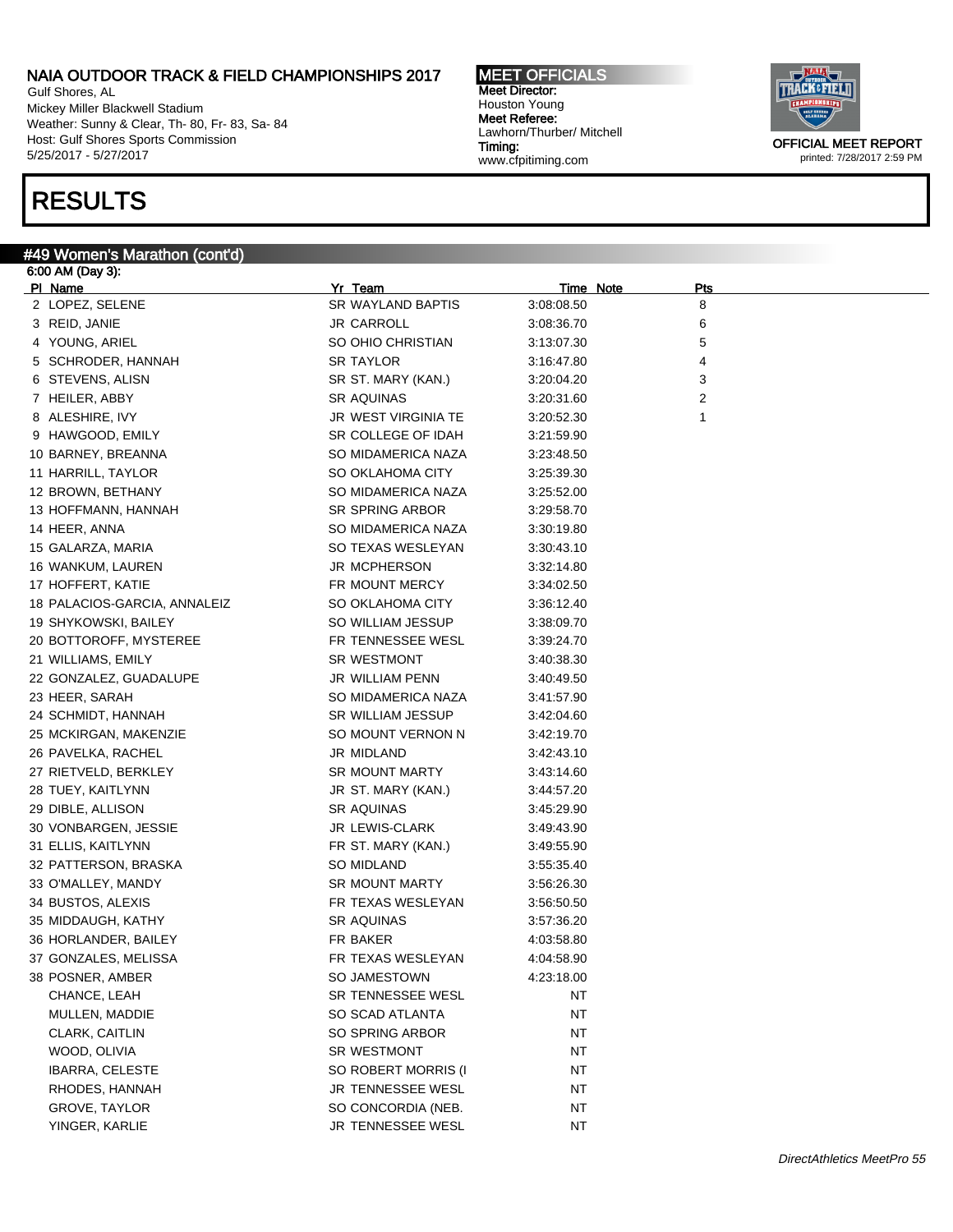Gulf Shores, AL Mickey Miller Blackwell Stadium Weather: Sunny & Clear, Th- 80, Fr- 83, Sa- 84 Host: Gulf Shores Sports Commission 5/25/2017 - 5/27/2017

### RESULTS

#### #49 Women's Marathon (cont'd)

6:00 AM (Day 3): PI Name **Product Product Product Product Product Product Product Product Product Product Product Product Product** 2 LOPEZ, SELENE SR WAYLAND BAPTIS 3:08:08.50 8 3 REID, JANIE JR CARROLL 3:08:36.70 6 4 YOUNG, ARIEL SO OHIO CHRISTIAN 3:13:07.30 5 5 SCHRODER, HANNAH SR TAYLOR 3:16:47.80 4 6 STEVENS, ALISN SAND SR ST. MARY (KAN.) 3:20:04.20 3:20:04.20 7 HEILER, ABBY SR AQUINAS 3:20:31.60 2 8 ALESHIRE, IVY 12 CHARGINIA TE 3:20:52.30 1 9 HAWGOOD, EMILY SR COLLEGE OF IDAH 3:21:59.90 10 BARNEY, BREANNA SO MIDAMERICA NAZA 3:23:48.50 11 HARRILL, TAYLOR SO OKLAHOMA CITY 3:25:39.30 12 BROWN, BETHANY **SO MIDAMERICA NAZA** 3:25:52.00 13 HOFFMANN, HANNAH SR SPRING ARBOR 3:29:58.70 14 HEER, ANNA SO MIDAMERICA NAZA 3:30:19.80 15 GALARZA, MARIA SO TEXAS WESLEYAN 3:30:43.10 16 WANKUM, LAUREN JR MCPHERSON 3:32:14.80 17 HOFFERT, KATIE **FR MOUNT MERCY** 3:34:02.50 18 PALACIOS-GARCIA, ANNALEIZ SO OKLAHOMA CITY 3:36:12.40 19 SHYKOWSKI, BAILEY SO WILLIAM JESSUP 3:38:09.70 20 BOTTOROFF, MYSTEREE FR TENNESSEE WESL 3:39:24.70 21 WILLIAMS, EMILY SR WESTMONT 3:40:38.30 22 GONZALEZ, GUADALUPE JR WILLIAM PENN 3:40:49.50 23 HEER, SARAH SO MIDAMERICA NAZA 3:41:57.90 24 SCHMIDT, HANNAH SR WILLIAM JESSUP 3:42:04.60 25 MCKIRGAN, MAKENZIE SO MOUNT VERNON N 3:42:19.70 26 PAVELKA, RACHEL JR MIDLAND 3:42:43.10 27 RIETVELD, BERKLEY SAN SR MOUNT MARTY 3:43:14.60 28 TUEY, KAITLYNN JR ST. MARY (KAN.) 3:44:57.20 29 DIBLE, ALLISON SR AQUINAS 3:45:29.90 30 VONBARGEN, JESSIE JR LEWIS-CLARK 3:49:43.90 31 ELLIS, KAITLYNN FR ST. MARY (KAN.) 3:49:55.90 32 PATTERSON, BRASKA SO MIDLAND 3:55:35.40 33 O'MALLEY, MANDY **SR MOUNT MARTY** 3:56:26.30 34 BUSTOS, ALEXIS FR TEXAS WESLEYAN 3:56:50.50 35 MIDDAUGH, KATHY SR AQUINAS 3:57:36.20 36 HORLANDER, BAILEY FR BAKER 4:03:58.80 37 GONZALES, MELISSA FR TEXAS WESLEYAN 4:04:58.90 38 POSNER, AMBER SO JAMESTOWN 4:23:18.00 CHANCE, LEAH SR TENNESSEE WESL NT MULLEN, MADDIE SO SCAD ATLANTA NT CLARK, CAITLIN GO SPRING ARBOR NT WOOD, OLIVIA NEED SR WESTMONT NT NT IBARRA, CELESTE SO ROBERT MORRIS (I NT RHODES, HANNAH GEREE OF SUITE SEE AND THE UR TENNESSEE WESL AND THE NT GROVE, TAYLOR GROVE, TAYLOR SO CONCORDIA (NEB. YINGER, KARLIE JR TENNESSEE WESL NT

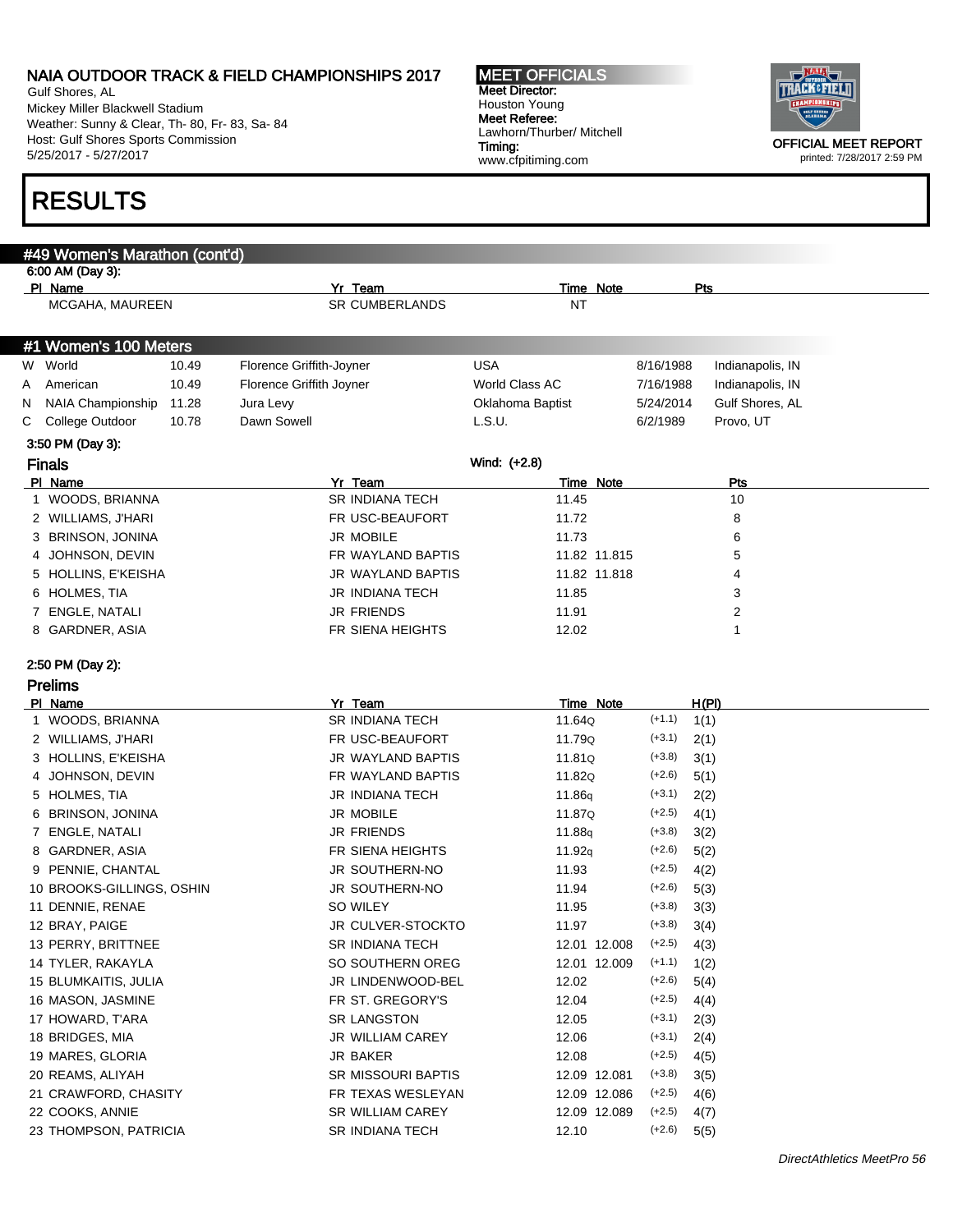Gulf Shores, AL Mickey Miller Blackwell Stadium Weather: Sunny & Clear, Th- 80, Fr- 83, Sa- 84 Host: Gulf Shores Sports Commission 5/25/2017 - 5/27/2017

# RESULTS

#### MEET OFFICIALS Meet Director: Houston Young Meet Referee: Lawhorn/Thurber/ Mitchell Timing: www.cfpitiming.com



| #49 Women's Marathon (cont'd) |                           |       |                          |                           |                  |                  |  |           |                  |  |
|-------------------------------|---------------------------|-------|--------------------------|---------------------------|------------------|------------------|--|-----------|------------------|--|
| 6:00 AM (Day 3):              |                           |       |                          |                           |                  |                  |  |           |                  |  |
| PI Name                       |                           |       |                          | Yr Team                   |                  | Time Note        |  |           | Pts              |  |
|                               | MCGAHA, MAUREEN           |       |                          | <b>SR CUMBERLANDS</b>     |                  | NT               |  |           |                  |  |
|                               | #1 Women's 100 Meters     |       |                          |                           |                  |                  |  |           |                  |  |
| W World                       |                           | 10.49 | Florence Griffith-Joyner |                           | <b>USA</b>       |                  |  | 8/16/1988 | Indianapolis, IN |  |
| American<br>Α                 |                           | 10.49 | Florence Griffith Joyner |                           | World Class AC   |                  |  | 7/16/1988 | Indianapolis, IN |  |
| N                             | NAIA Championship         | 11.28 | Jura Levy                |                           | Oklahoma Baptist |                  |  | 5/24/2014 | Gulf Shores, AL  |  |
| С                             | College Outdoor           | 10.78 | Dawn Sowell              |                           | L.S.U.           |                  |  | 6/2/1989  | Provo, UT        |  |
| 3:50 PM (Day 3):              |                           |       |                          |                           |                  |                  |  |           |                  |  |
| <b>Finals</b>                 |                           |       |                          |                           | Wind: (+2.8)     |                  |  |           |                  |  |
| PI Name                       |                           |       |                          | Yr Team                   |                  | <b>Time Note</b> |  |           | Pts              |  |
|                               | 1 WOODS, BRIANNA          |       |                          | <b>SR INDIANA TECH</b>    |                  | 11.45            |  |           | 10               |  |
|                               | 2 WILLIAMS, J'HARI        |       |                          | FR USC-BEAUFORT           |                  | 11.72            |  |           | 8                |  |
|                               | 3 BRINSON, JONINA         |       |                          | <b>JR MOBILE</b>          |                  | 11.73            |  |           | 6                |  |
|                               | 4 JOHNSON, DEVIN          |       |                          | FR WAYLAND BAPTIS         |                  | 11.82 11.815     |  |           | 5                |  |
|                               | 5 HOLLINS, E'KEISHA       |       |                          | JR WAYLAND BAPTIS         |                  | 11.82 11.818     |  |           | 4                |  |
| 6 HOLMES, TIA                 |                           |       |                          | JR INDIANA TECH           |                  | 11.85            |  |           | 3                |  |
|                               | 7 ENGLE, NATALI           |       |                          | <b>JR FRIENDS</b>         |                  | 11.91            |  |           | 2                |  |
|                               | 8 GARDNER, ASIA           |       |                          | FR SIENA HEIGHTS          |                  | 12.02            |  |           |                  |  |
| 2:50 PM (Day 2):              |                           |       |                          |                           |                  |                  |  |           |                  |  |
| <b>Prelims</b>                |                           |       |                          |                           |                  |                  |  |           |                  |  |
| PI Name                       |                           |       |                          | Yr Team                   |                  | <b>Time Note</b> |  |           | H(PI)            |  |
|                               | 1 WOODS, BRIANNA          |       |                          | <b>SR INDIANA TECH</b>    |                  | 11.64Q           |  | $(+1.1)$  | 1(1)             |  |
|                               | 2 WILLIAMS, J'HARI        |       |                          | FR USC-BEAUFORT           |                  | 11.79Q           |  | $(+3.1)$  | 2(1)             |  |
|                               | 3 HOLLINS, E'KEISHA       |       |                          | <b>JR WAYLAND BAPTIS</b>  |                  | 11.81Q           |  | $(+3.8)$  | 3(1)             |  |
|                               | 4 JOHNSON, DEVIN          |       |                          | FR WAYLAND BAPTIS         |                  | 11.82Q           |  | $(+2.6)$  | 5(1)             |  |
| 5 HOLMES, TIA                 |                           |       |                          | <b>JR INDIANA TECH</b>    |                  | 11.86g           |  | $(+3.1)$  | 2(2)             |  |
|                               | 6 BRINSON, JONINA         |       |                          | JR MOBILE                 |                  | 11.87Q           |  | $(+2.5)$  | 4(1)             |  |
|                               | 7 ENGLE, NATALI           |       |                          | <b>JR FRIENDS</b>         |                  | 11.88q           |  | $(+3.8)$  | 3(2)             |  |
|                               | 8 GARDNER, ASIA           |       |                          | FR SIENA HEIGHTS          |                  | 11.92q           |  | $(+2.6)$  | 5(2)             |  |
|                               | 9 PENNIE, CHANTAL         |       |                          | JR SOUTHERN-NO            |                  | 11.93            |  | $(+2.5)$  | 4(2)             |  |
|                               | 10 BROOKS-GILLINGS, OSHIN |       |                          | JR SOUTHERN-NO            |                  | 11.94            |  | $(+2.6)$  | 5(3)             |  |
|                               | 11 DENNIE, RENAE          |       |                          | SO WILEY                  |                  | 11.95            |  | $(+3.8)$  | 3(3)             |  |
| 12 BRAY, PAIGE                |                           |       |                          | JR CULVER-STOCKTO         |                  | 11.97            |  | $(+3.8)$  | 3(4)             |  |
|                               | 13 PERRY, BRITTNEE        |       |                          | SR INDIANA TECH           |                  | 12.01 12.008     |  | $(+2.5)$  | 4(3)             |  |
|                               | 14 TYLER, RAKAYLA         |       |                          | SO SOUTHERN OREG          |                  | 12.01 12.009     |  | $(+1.1)$  | 1(2)             |  |
|                               | 15 BLUMKAITIS, JULIA      |       |                          | JR LINDENWOOD-BEL         |                  | 12.02            |  | $(+2.6)$  | 5(4)             |  |
|                               | 16 MASON, JASMINE         |       |                          | FR ST. GREGORY'S          |                  | 12.04            |  | $(+2.5)$  | 4(4)             |  |
|                               | 17 HOWARD, T'ARA          |       |                          | SR LANGSTON               |                  | 12.05            |  | $(+3.1)$  | 2(3)             |  |
| 18 BRIDGES, MIA               |                           |       |                          | JR WILLIAM CAREY          |                  | 12.06            |  | $(+3.1)$  | 2(4)             |  |
|                               | 19 MARES, GLORIA          |       |                          | JR BAKER                  |                  | 12.08            |  | $(+2.5)$  | 4(5)             |  |
|                               | 20 REAMS, ALIYAH          |       |                          | <b>SR MISSOURI BAPTIS</b> |                  | 12.09 12.081     |  | $(+3.8)$  | 3(5)             |  |
|                               | 21 CRAWFORD, CHASITY      |       |                          | FR TEXAS WESLEYAN         |                  | 12.09 12.086     |  | $(+2.5)$  | 4(6)             |  |
|                               | 22 COOKS, ANNIE           |       |                          | SR WILLIAM CAREY          |                  | 12.09 12.089     |  | $(+2.5)$  | 4(7)             |  |
|                               | 23 THOMPSON, PATRICIA     |       |                          |                           |                  |                  |  | $(+2.6)$  |                  |  |
|                               |                           |       |                          | SR INDIANA TECH           |                  | 12.10            |  |           | 5(5)             |  |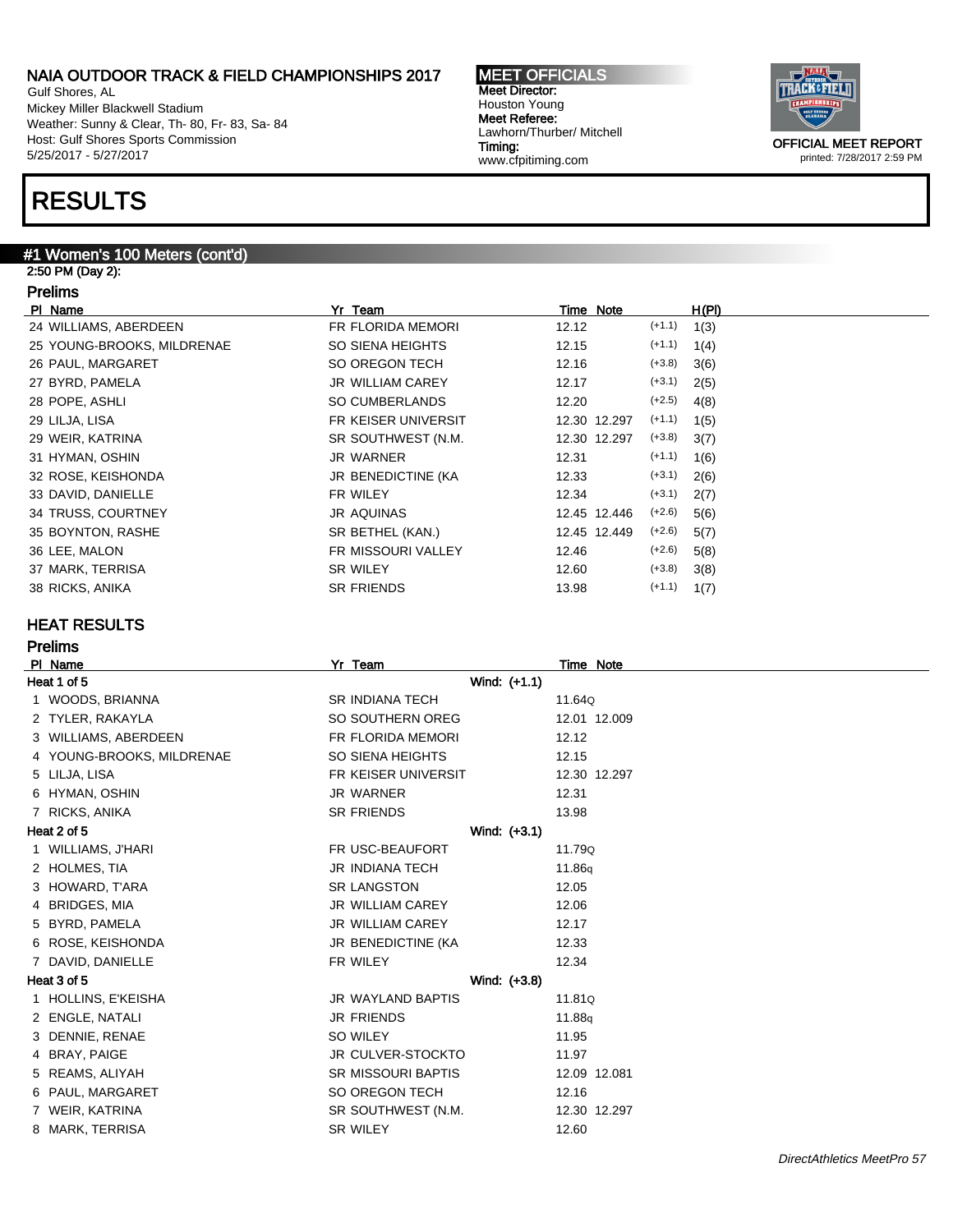Gulf Shores, AL Mickey Miller Blackwell Stadium Weather: Sunny & Clear, Th- 80, Fr- 83, Sa- 84 Host: Gulf Shores Sports Commission 5/25/2017 - 5/27/2017

# RESULTS

### #1 Women's 100 Meters (cont'd)

2:50 PM (Day 2): Prelims

| PI Name                    | Yr Team                 | Time Note                | H(PI) |
|----------------------------|-------------------------|--------------------------|-------|
| 24 WILLIAMS, ABERDEEN      | FR FLORIDA MEMORI       | $(+1.1)$<br>12.12        | 1(3)  |
| 25 YOUNG-BROOKS, MILDRENAE | SO SIENA HEIGHTS        | $(+1.1)$<br>12.15        | 1(4)  |
| 26 PAUL, MARGARET          | SO OREGON TECH          | $(+3.8)$<br>12.16        | 3(6)  |
| 27 BYRD, PAMELA            | <b>JR WILLIAM CAREY</b> | $(+3.1)$<br>12.17        | 2(5)  |
| 28 POPE, ASHLI             | SO CUMBERLANDS          | $(+2.5)$<br>12.20        | 4(8)  |
| 29 LILJA, LISA             | FR KEISER UNIVERSIT     | $(+1.1)$<br>12.30 12.297 | 1(5)  |
| 29 WEIR, KATRINA           | SR SOUTHWEST (N.M.      | $(+3.8)$<br>12.30 12.297 | 3(7)  |
| 31 HYMAN, OSHIN            | JR WARNER               | $(+1.1)$<br>12.31        | 1(6)  |
| 32 ROSE, KEISHONDA         | JR BENEDICTINE (KA      | $(+3.1)$<br>12.33        | 2(6)  |
| 33 DAVID, DANIELLE         | FR WILEY                | $(+3.1)$<br>12.34        | 2(7)  |
| 34 TRUSS, COURTNEY         | JR AQUINAS              | $(+2.6)$<br>12.45 12.446 | 5(6)  |
| 35 BOYNTON, RASHE          | SR BETHEL (KAN.)        | $(+2.6)$<br>12.45 12.449 | 5(7)  |
| 36 LEE, MALON              | FR MISSOURI VALLEY      | $(+2.6)$<br>12.46        | 5(8)  |
| 37 MARK, TERRISA           | SR WILEY                | $(+3.8)$<br>12.60        | 3(8)  |
| 38 RICKS, ANIKA            | <b>SR FRIENDS</b>       | $(+1.1)$<br>13.98        | 1(7)  |

#### HEAT RESULTS

| Prelims |
|---------|
|---------|

|    | PI Name                   | Yr Team                   | Time Note    |
|----|---------------------------|---------------------------|--------------|
|    | Heat 1 of 5               | Wind: (+1.1)              |              |
| 1. | WOODS, BRIANNA            | <b>SR INDIANA TECH</b>    | 11.64Q       |
|    | 2 TYLER, RAKAYLA          | SO SOUTHERN OREG          | 12.01 12.009 |
|    | 3 WILLIAMS, ABERDEEN      | FR FLORIDA MEMORI         | 12.12        |
|    | 4 YOUNG-BROOKS, MILDRENAE | SO SIENA HEIGHTS          | 12.15        |
|    | 5 LILJA, LISA             | FR KEISER UNIVERSIT       | 12.30 12.297 |
|    | 6 HYMAN, OSHIN            | <b>JR WARNER</b>          | 12.31        |
|    | 7 RICKS, ANIKA            | <b>SR FRIENDS</b>         | 13.98        |
|    | Heat 2 of 5               | Wind: (+3.1)              |              |
|    | 1 WILLIAMS, J'HARI        | FR USC-BEAUFORT           | 11.79Q       |
|    | 2 HOLMES, TIA             | <b>JR INDIANA TECH</b>    | 11.86g       |
|    | 3 HOWARD, T'ARA           | <b>SR LANGSTON</b>        | 12.05        |
|    | 4 BRIDGES, MIA            | <b>JR WILLIAM CAREY</b>   | 12.06        |
|    | 5 BYRD, PAMELA            | JR WILLIAM CAREY          | 12.17        |
|    | 6 ROSE, KEISHONDA         | <b>JR BENEDICTINE (KA</b> | 12.33        |
|    | 7 DAVID, DANIELLE         | FR WILEY                  | 12.34        |
|    | Heat 3 of 5               | Wind: (+3.8)              |              |
|    | 1 HOLLINS, E'KEISHA       | JR WAYLAND BAPTIS         | 11.81Q       |
|    | 2 ENGLE, NATALI           | <b>JR FRIENDS</b>         | 11.88g       |
|    | 3 DENNIE, RENAE           | SO WILEY                  | 11.95        |
|    | 4 BRAY, PAIGE             | <b>JR CULVER-STOCKTO</b>  | 11.97        |
|    | 5 REAMS, ALIYAH           | <b>SR MISSOURI BAPTIS</b> | 12.09 12.081 |
|    | 6 PAUL, MARGARET          | SO OREGON TECH            | 12.16        |
|    | 7 WEIR, KATRINA           | SR SOUTHWEST (N.M.        | 12.30 12.297 |
|    | 8 MARK, TERRISA           | <b>SR WILEY</b>           | 12.60        |
|    |                           |                           |              |

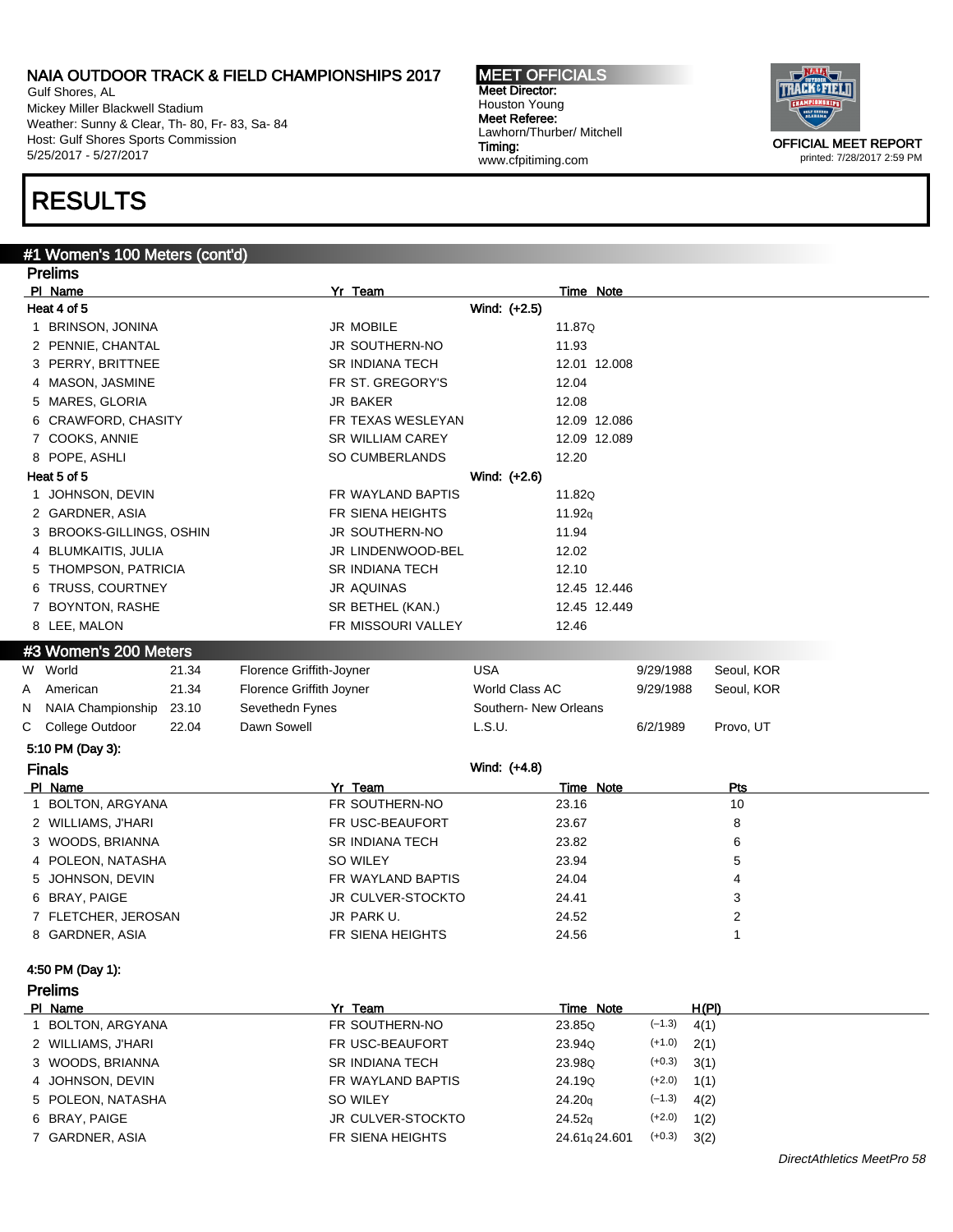Gulf Shores, AL Mickey Miller Blackwell Stadium Weather: Sunny & Clear, Th- 80, Fr- 83, Sa- 84 Host: Gulf Shores Sports Commission 5/25/2017 - 5/27/2017

### RESULTS

#### #1 Women's 100 Meters (cont'd)

|    | <b>Prelims</b>           |       |                          |                         |                       |              |           |       |                |  |
|----|--------------------------|-------|--------------------------|-------------------------|-----------------------|--------------|-----------|-------|----------------|--|
|    | PI Name                  |       |                          | Yr Team                 |                       | Time Note    |           |       |                |  |
|    | Heat 4 of 5              |       |                          |                         | Wind: (+2.5)          |              |           |       |                |  |
|    | 1 BRINSON, JONINA        |       |                          | JR MOBILE               |                       | 11.87Q       |           |       |                |  |
|    | 2 PENNIE, CHANTAL        |       |                          | JR SOUTHERN-NO          |                       | 11.93        |           |       |                |  |
|    | 3 PERRY, BRITTNEE        |       |                          | SR INDIANA TECH         |                       | 12.01 12.008 |           |       |                |  |
|    | 4 MASON, JASMINE         |       |                          | FR ST. GREGORY'S        |                       | 12.04        |           |       |                |  |
|    | 5 MARES, GLORIA          |       |                          | <b>JR BAKER</b>         |                       | 12.08        |           |       |                |  |
|    | 6 CRAWFORD, CHASITY      |       |                          | FR TEXAS WESLEYAN       |                       | 12.09 12.086 |           |       |                |  |
|    | 7 COOKS, ANNIE           |       |                          | <b>SR WILLIAM CAREY</b> |                       | 12.09 12.089 |           |       |                |  |
|    | 8 POPE, ASHLI            |       |                          | SO CUMBERLANDS          |                       | 12.20        |           |       |                |  |
|    | Heat 5 of 5              |       |                          |                         | Wind: (+2.6)          |              |           |       |                |  |
|    | 1 JOHNSON, DEVIN         |       |                          | FR WAYLAND BAPTIS       |                       | 11.82Q       |           |       |                |  |
|    | 2 GARDNER, ASIA          |       |                          | FR SIENA HEIGHTS        |                       | 11.92q       |           |       |                |  |
|    | 3 BROOKS-GILLINGS, OSHIN |       |                          | JR SOUTHERN-NO          |                       | 11.94        |           |       |                |  |
|    | 4 BLUMKAITIS, JULIA      |       |                          | JR LINDENWOOD-BEL       |                       | 12.02        |           |       |                |  |
|    | 5 THOMPSON, PATRICIA     |       |                          | <b>SR INDIANA TECH</b>  |                       | 12.10        |           |       |                |  |
|    | 6 TRUSS, COURTNEY        |       |                          | <b>JR AQUINAS</b>       |                       | 12.45 12.446 |           |       |                |  |
|    | 7 BOYNTON, RASHE         |       |                          | SR BETHEL (KAN.)        |                       | 12.45 12.449 |           |       |                |  |
|    | 8 LEE, MALON             |       |                          | FR MISSOURI VALLEY      |                       | 12.46        |           |       |                |  |
|    | #3 Women's 200 Meters    |       |                          |                         |                       |              |           |       |                |  |
|    | W World                  | 21.34 | Florence Griffith-Joyner |                         | <b>USA</b>            |              | 9/29/1988 |       | Seoul, KOR     |  |
| A  | American                 | 21.34 | Florence Griffith Joyner |                         | World Class AC        |              | 9/29/1988 |       | Seoul, KOR     |  |
| N. | <b>NAIA Championship</b> | 23.10 | Sevethedn Fynes          |                         | Southern- New Orleans |              |           |       |                |  |
| С  | College Outdoor          | 22.04 | Dawn Sowell              |                         | L.S.U.                |              | 6/2/1989  |       | Provo, UT      |  |
|    | 5:10 PM (Day 3):         |       |                          |                         |                       |              |           |       |                |  |
|    | <b>Finals</b>            |       |                          |                         | Wind: (+4.8)          |              |           |       |                |  |
|    | PI Name                  |       |                          | Yr Team                 |                       | Time Note    |           |       | Pts            |  |
|    | 1 BOLTON, ARGYANA        |       |                          | FR SOUTHERN-NO          |                       | 23.16        |           |       | 10             |  |
|    | 2 WILLIAMS, J'HARI       |       |                          | FR USC-BEAUFORT         |                       | 23.67        |           |       | 8              |  |
|    | 3 WOODS, BRIANNA         |       |                          | <b>SR INDIANA TECH</b>  |                       | 23.82        |           |       | 6              |  |
|    | 4 POLEON, NATASHA        |       |                          | SO WILEY                |                       | 23.94        |           |       | 5              |  |
|    | 5 JOHNSON, DEVIN         |       |                          | FR WAYLAND BAPTIS       |                       | 24.04        |           |       | 4              |  |
|    | 6 BRAY, PAIGE            |       |                          | JR CULVER-STOCKTO       |                       | 24.41        |           |       | 3              |  |
|    | 7 FLETCHER, JEROSAN      |       |                          | JR PARK U.              |                       | 24.52        |           |       | $\overline{c}$ |  |
|    | 8 GARDNER, ASIA          |       |                          | FR SIENA HEIGHTS        |                       | 24.56        |           |       | 1              |  |
|    |                          |       |                          |                         |                       |              |           |       |                |  |
|    | 4:50 PM (Day 1):         |       |                          |                         |                       |              |           |       |                |  |
|    | <b>Prelims</b>           |       |                          |                         |                       |              |           |       |                |  |
|    | PI Name                  |       |                          | Yr_Team                 |                       | Time Note    |           | H(PI) |                |  |
| 1  | BOLTON, ARGYANA          |       |                          | FR SOUTHERN-NO          |                       | 23.85Q       | $(-1.3)$  | 4(1)  |                |  |
|    | 2 WILLIAMS, J'HARI       |       |                          | FR USC-BEAUFORT         |                       | 23.94Q       | $(+1.0)$  | 2(1)  |                |  |
|    | 3 WOODS, BRIANNA         |       |                          | <b>SR INDIANA TECH</b>  |                       | 23.98Q       | $(+0.3)$  | 3(1)  |                |  |
|    | 4 JOHNSON, DEVIN         |       |                          | FR WAYLAND BAPTIS       |                       | 24.19Q       | $(+2.0)$  | 1(1)  |                |  |
|    | 5 POLEON, NATASHA        |       |                          | SO WILEY                |                       | 24.20q       | $(-1.3)$  | 4(2)  |                |  |



MEET OFFICIALS Meet Director: Houston Young Meet Referee: Lawhorn/Thurber/ Mitchell Timing: www.cfpitiming.com

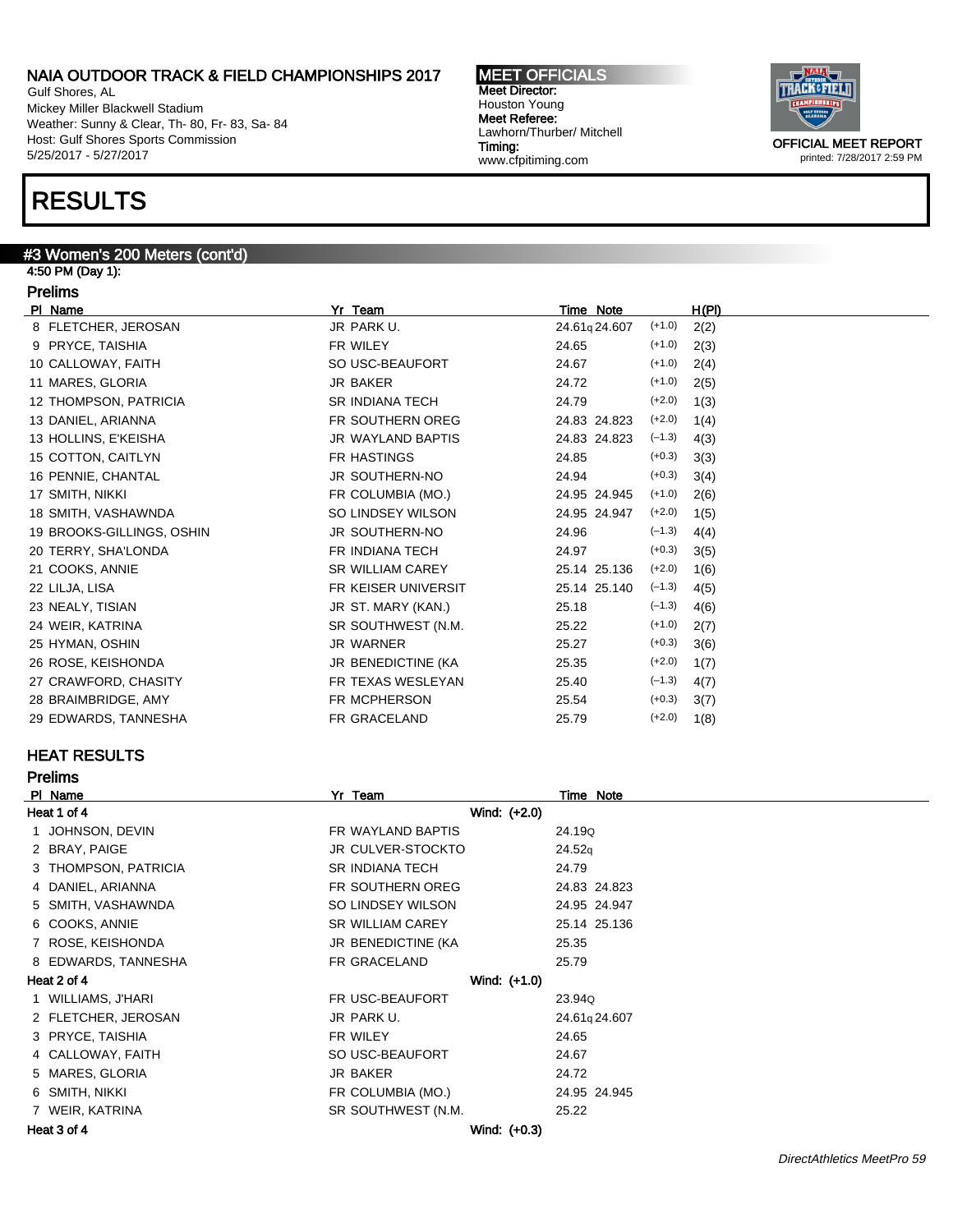Gulf Shores, AL Mickey Miller Blackwell Stadium Weather: Sunny & Clear, Th- 80, Fr- 83, Sa- 84 Host: Gulf Shores Sports Commission 5/25/2017 - 5/27/2017

### RESULTS

#### #3 Women's 200 Meters (cont'd)

4:50 PM (Day 1): Prelims

| PI Name                   | Yr Team                 | Time Note                 | H(PI) |
|---------------------------|-------------------------|---------------------------|-------|
| 8 FLETCHER, JEROSAN       | JR PARK U.              | 24.61g 24.607<br>$(+1.0)$ | 2(2)  |
| 9 PRYCE, TAISHIA          | FR WILEY                | $(+1.0)$<br>24.65         | 2(3)  |
| 10 CALLOWAY, FAITH        | SO USC-BEAUFORT         | $(+1.0)$<br>24.67         | 2(4)  |
| 11 MARES, GLORIA          | JR BAKER                | $(+1.0)$<br>24.72         | 2(5)  |
| 12 THOMPSON, PATRICIA     | <b>SR INDIANA TECH</b>  | 24.79<br>$(+2.0)$         | 1(3)  |
| 13 DANIEL, ARIANNA        | FR SOUTHERN OREG        | $(+2.0)$<br>24.83 24.823  | 1(4)  |
| 13 HOLLINS, E'KEISHA      | JR WAYLAND BAPTIS       | $(-1.3)$<br>24.83 24.823  | 4(3)  |
| 15 COTTON, CAITLYN        | FR HASTINGS             | $(+0.3)$<br>24.85         | 3(3)  |
| 16 PENNIE, CHANTAL        | JR SOUTHERN-NO          | $(+0.3)$<br>24.94         | 3(4)  |
| 17 SMITH, NIKKI           | FR COLUMBIA (MO.)       | $(+1.0)$<br>24.95 24.945  | 2(6)  |
| 18 SMITH, VASHAWNDA       | SO LINDSEY WILSON       | $(+2.0)$<br>24.95 24.947  | 1(5)  |
| 19 BROOKS-GILLINGS, OSHIN | JR SOUTHERN-NO          | $(-1.3)$<br>24.96         | 4(4)  |
| 20 TERRY, SHA'LONDA       | FR INDIANA TECH         | $(+0.3)$<br>24.97         | 3(5)  |
| 21 COOKS, ANNIE           | <b>SR WILLIAM CAREY</b> | $(+2.0)$<br>25.14 25.136  | 1(6)  |
| 22 LILJA, LISA            | FR KEISER UNIVERSIT     | $(-1.3)$<br>25.14 25.140  | 4(5)  |
| 23 NEALY, TISIAN          | JR ST. MARY (KAN.)      | $(-1.3)$<br>25.18         | 4(6)  |
| 24 WEIR, KATRINA          | SR SOUTHWEST (N.M.      | $(+1.0)$<br>25.22         | 2(7)  |
| 25 HYMAN, OSHIN           | JR WARNER               | $(+0.3)$<br>25.27         | 3(6)  |
| 26 ROSE, KEISHONDA        | JR BENEDICTINE (KA      | 25.35<br>$(+2.0)$         | 1(7)  |
| 27 CRAWFORD, CHASITY      | FR TEXAS WESLEYAN       | $(-1.3)$<br>25.40         | 4(7)  |
| 28 BRAIMBRIDGE, AMY       | FR MCPHERSON            | $(+0.3)$<br>25.54         | 3(7)  |
| 29 EDWARDS, TANNESHA      | FR GRACELAND            | $(+2.0)$<br>25.79         | 1(8)  |

#### HEAT RESULTS

Prelims PI Name Time Note Heat 1 of 4 Wind: (+2.0) 1 JOHNSON, DEVIN FR WAYLAND BAPTIS 24.19Q 2 BRAY, PAIGE 24.52q 3 THOMPSON, PATRICIA SR INDIANA TECH 24.79 4 DANIEL, ARIANNA FR SOUTHERN OREG 24.83 24.823 5 SMITH, VASHAWNDA SO LINDSEY WILSON 24.95 24.947 6 COOKS, ANNIE SR WILLIAM CAREY 25.14 25.136 7 ROSE, KEISHONDA JR BENEDICTINE (KA 25.35 8 EDWARDS, TANNESHA FR GRACELAND 25.79 Heat 2 of 4 Wind: (+1.0) 1 WILLIAMS, J'HARI **EXAMPLE EN LA CONFER USC-BEAUFORT** 23.94Q 2 FLETCHER, JEROSAN JR PARK U. 24.61q 24.607 3 PRYCE, TAISHIA FR WILEY 24.65 4 CALLOWAY, FAITH SO USC-BEAUFORT 24.67 5 MARES, GLORIA JR BAKER 24.72 6 SMITH, NIKKI FR COLUMBIA (MO.) 24.95 24.945 7 WEIR, KATRINA **SR SOUTHWEST (N.M.** 25.22 Heat 3 of 4 Wind: (+0.3)

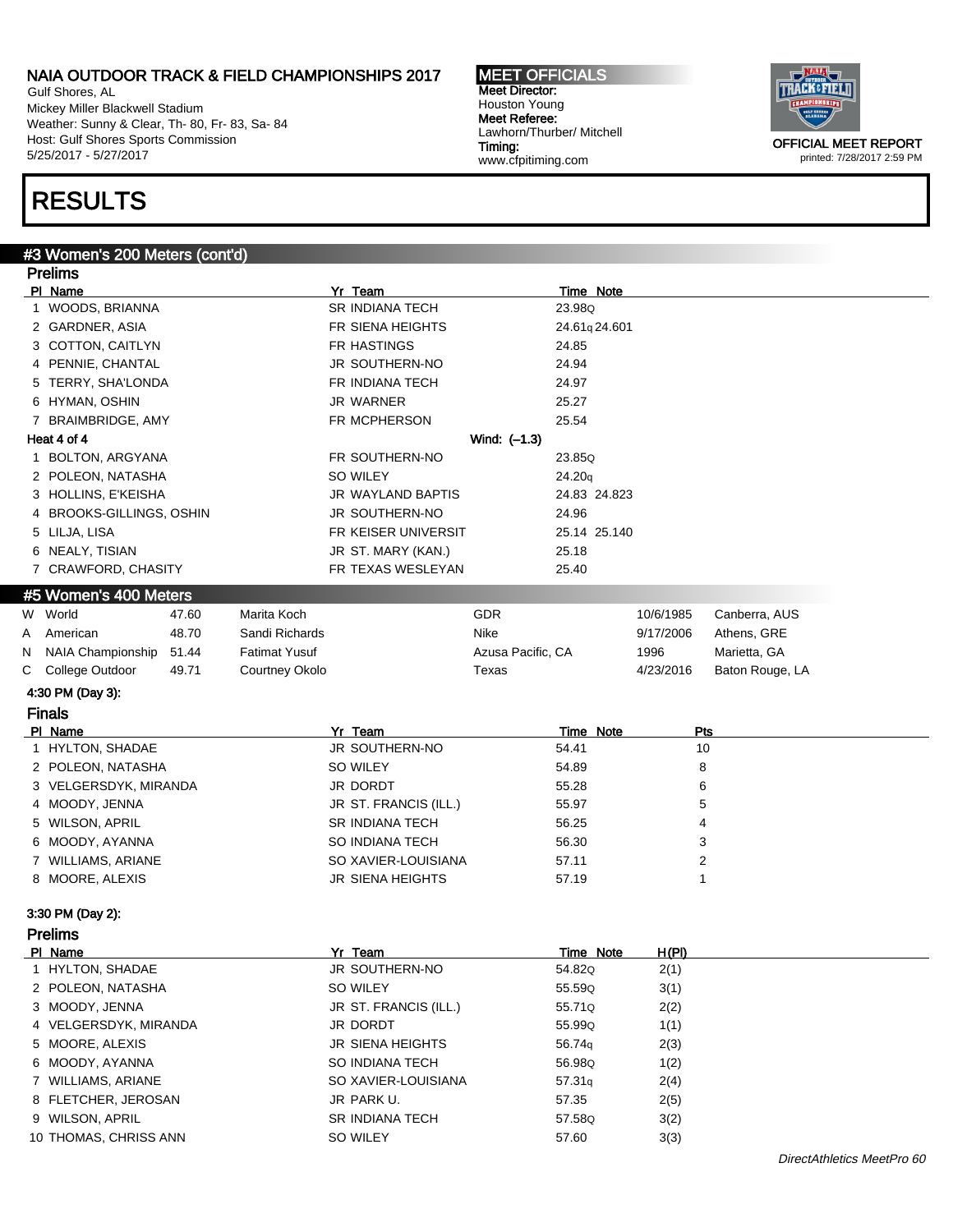Gulf Shores, AL Mickey Miller Blackwell Stadium Weather: Sunny & Clear, Th- 80, Fr- 83, Sa- 84 Host: Gulf Shores Sports Commission 5/25/2017 - 5/27/2017

### RESULTS

#### #3 Women's 200 Meters (cont'd)

|   | <b>Prelims</b>              |       |                      |                        |                   |              |           |                 |  |
|---|-----------------------------|-------|----------------------|------------------------|-------------------|--------------|-----------|-----------------|--|
|   | PI Name                     |       |                      | Yr Team                |                   | Time Note    |           |                 |  |
|   | 1 WOODS, BRIANNA            |       |                      | <b>SR INDIANA TECH</b> |                   | 23.98Q       |           |                 |  |
|   | 2 GARDNER, ASIA             |       |                      | FR SIENA HEIGHTS       |                   | 24.61q24.601 |           |                 |  |
|   | 3 COTTON, CAITLYN           |       |                      | FR HASTINGS            |                   | 24.85        |           |                 |  |
|   | 4 PENNIE, CHANTAL           |       |                      | <b>JR SOUTHERN-NO</b>  |                   | 24.94        |           |                 |  |
|   | 5 TERRY, SHA'LONDA          |       |                      | FR INDIANA TECH        |                   | 24.97        |           |                 |  |
|   | 6 HYMAN, OSHIN              |       |                      | <b>JR WARNER</b>       |                   | 25.27        |           |                 |  |
|   | 7 BRAIMBRIDGE, AMY          |       |                      | FR MCPHERSON           |                   | 25.54        |           |                 |  |
|   | Heat 4 of 4<br>Wind: (-1.3) |       |                      |                        |                   |              |           |                 |  |
|   | 1 BOLTON, ARGYANA           |       |                      | FR SOUTHERN-NO         |                   | 23.85Q       |           |                 |  |
|   | 2 POLEON, NATASHA           |       |                      | SO WILEY               |                   | 24.20q       |           |                 |  |
|   | 3 HOLLINS, E'KEISHA         |       |                      | JR WAYLAND BAPTIS      |                   | 24.83 24.823 |           |                 |  |
|   | 4 BROOKS-GILLINGS, OSHIN    |       |                      | JR SOUTHERN-NO         |                   | 24.96        |           |                 |  |
|   | 5 LILJA, LISA               |       |                      | FR KEISER UNIVERSIT    |                   | 25.14 25.140 |           |                 |  |
|   | 6 NEALY, TISIAN             |       |                      | JR ST. MARY (KAN.)     |                   | 25.18        |           |                 |  |
|   | 7 CRAWFORD, CHASITY         |       |                      | FR TEXAS WESLEYAN      |                   | 25.40        |           |                 |  |
|   | #5 Women's 400 Meters       |       |                      |                        |                   |              |           |                 |  |
|   | W World                     | 47.60 | Marita Koch          |                        | GDR               |              | 10/6/1985 | Canberra, AUS   |  |
| A | American                    | 48.70 | Sandi Richards       |                        | Nike              |              | 9/17/2006 | Athens, GRE     |  |
| N | <b>NAIA Championship</b>    | 51.44 | <b>Fatimat Yusuf</b> |                        | Azusa Pacific, CA |              | 1996      | Marietta, GA    |  |
|   | C College Outdoor           | 49.71 | Courtney Okolo       |                        | Texas             |              | 4/23/2016 | Baton Rouge, LA |  |
|   | 4:30 PM (Day 3):            |       |                      |                        |                   |              |           |                 |  |
|   | <b>Finals</b>               |       |                      |                        |                   |              |           |                 |  |
|   | PI Name                     |       |                      | Yr Team                |                   | Time Note    | Pts       |                 |  |
|   | 1 HYLTON, SHADAE            |       |                      | JR SOUTHERN-NO         |                   | 54.41        | 10        |                 |  |
|   | 2 POLEON, NATASHA           |       |                      | SO WILEY               |                   | 54.89        | 8         |                 |  |
|   | 3 VELGERSDYK, MIRANDA       |       |                      | JR DORDT               |                   | 55.28        | 6         |                 |  |
|   | 4 MOODY, JENNA              |       |                      | JR ST. FRANCIS (ILL.)  |                   | 55.97        | 5         |                 |  |
|   | 5 WILSON, APRIL             |       |                      | <b>SR INDIANA TECH</b> |                   | 56.25        | 4         |                 |  |
|   | 6 MOODY, AYANNA             |       |                      | SO INDIANA TECH        |                   | 56.30        | 3         |                 |  |
|   | 7 WILLIAMS, ARIANE          |       |                      | SO XAVIER-LOUISIANA    |                   | 57.11        | 2         |                 |  |
|   | 8 MOORE, ALEXIS             |       |                      | JR SIENA HEIGHTS       |                   | 57.19        | 1         |                 |  |
|   | 3:30 PM (Day 2):            |       |                      |                        |                   |              |           |                 |  |
|   | <b>Prelims</b>              |       |                      |                        |                   |              |           |                 |  |
|   |                             |       |                      |                        |                   |              |           |                 |  |

| PI Name               | Yr Team                | Time Note | H(PI) |
|-----------------------|------------------------|-----------|-------|
| 1 HYLTON, SHADAE      | JR SOUTHERN-NO         | 54.82Q    | 2(1)  |
| 2 POLEON, NATASHA     | SO WILEY               | 55.59Q    | 3(1)  |
| 3 MOODY, JENNA        | JR ST. FRANCIS (ILL.)  | 55.71Q    | 2(2)  |
| 4 VELGERSDYK, MIRANDA | JR DORDT               | 55.99Q    | 1(1)  |
| 5 MOORE, ALEXIS       | JR SIENA HEIGHTS       | 56.74g    | 2(3)  |
| 6 MOODY, AYANNA       | SO INDIANA TECH        | 56.98Q    | 1(2)  |
| 7 WILLIAMS, ARIANE    | SO XAVIER-LOUISIANA    | 57.31q    | 2(4)  |
| 8 FLETCHER, JEROSAN   | JR PARK U.             | 57.35     | 2(5)  |
| 9 WILSON, APRIL       | <b>SR INDIANA TECH</b> | 57.58Q    | 3(2)  |
| 10 THOMAS, CHRISS ANN | SO WILEY               | 57.60     | 3(3)  |

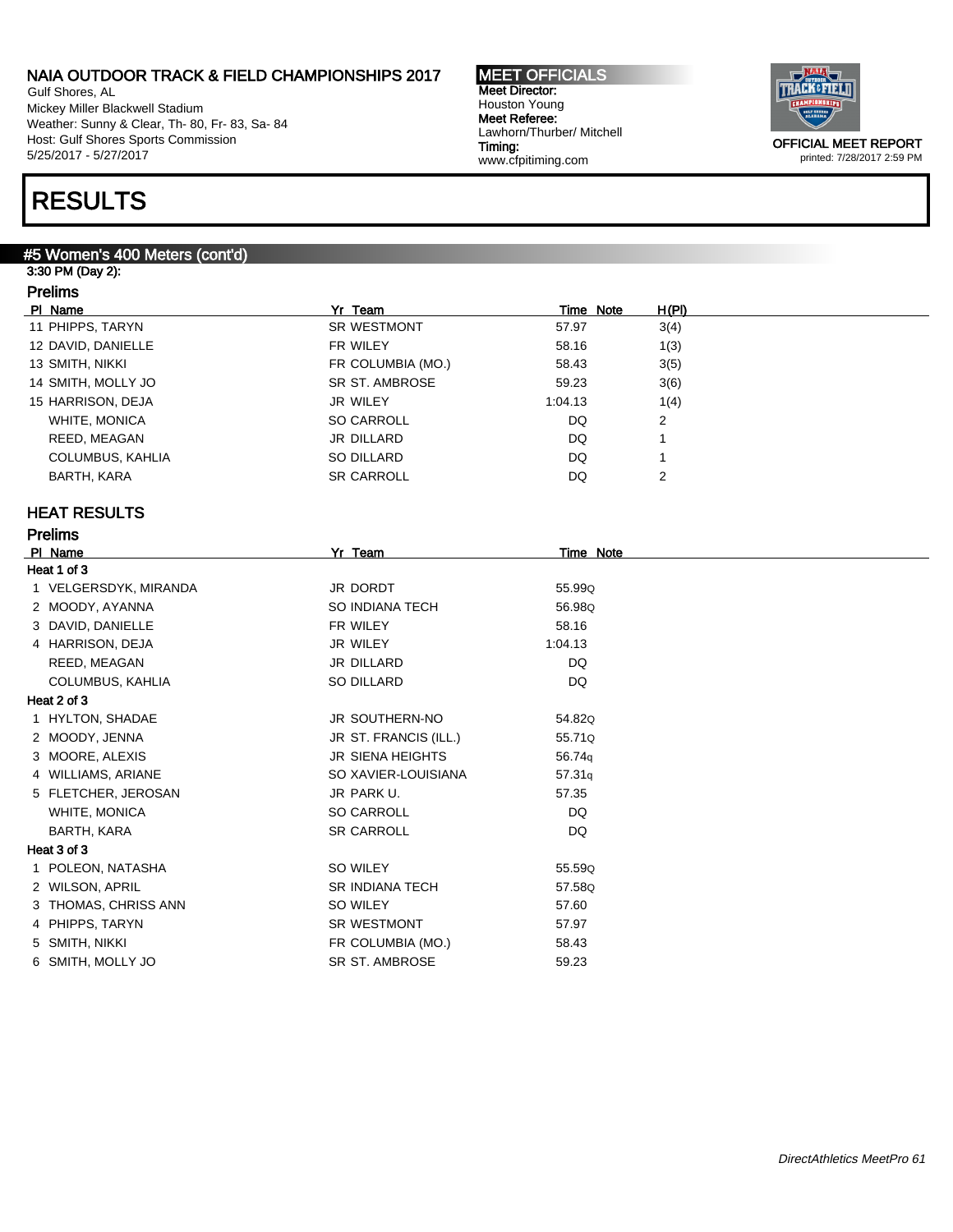Gulf Shores, AL Mickey Miller Blackwell Stadium Weather: Sunny & Clear, Th- 80, Fr- 83, Sa- 84 Host: Gulf Shores Sports Commission 5/25/2017 - 5/27/2017

### RESULTS

#### #5 Women's 400 Meters (cont'd)

#### 3:30 PM (Day 2): Prelims

|    | тешвэ |  |
|----|-------|--|
| -. | . .   |  |

| PI Name            | Yr Team            | Time Note | H(PI)          |
|--------------------|--------------------|-----------|----------------|
| 11 PHIPPS, TARYN   | <b>SR WESTMONT</b> | 57.97     | 3(4)           |
| 12 DAVID, DANIELLE | FR WILEY           | 58.16     | 1(3)           |
| 13 SMITH, NIKKI    | FR COLUMBIA (MO.)  | 58.43     | 3(5)           |
| 14 SMITH, MOLLY JO | SR ST. AMBROSE     | 59.23     | 3(6)           |
| 15 HARRISON, DEJA  | JR WILEY           | 1:04.13   | 1(4)           |
| WHITE, MONICA      | <b>SO CARROLL</b>  | DQ        | 2              |
| REED, MEAGAN       | JR DILLARD         | DQ        |                |
| COLUMBUS, KAHLIA   | SO DILLARD         | DQ        |                |
| BARTH, KARA        | <b>SR CARROLL</b>  | DQ.       | $\overline{2}$ |
|                    |                    |           |                |

Timing:

#### HEAT RESULTS

| <b>Prelims</b>        |                         |           |  |
|-----------------------|-------------------------|-----------|--|
| PI Name               | Yr Team                 | Time Note |  |
| Heat 1 of 3           |                         |           |  |
| 1 VELGERSDYK, MIRANDA | <b>JR DORDT</b>         | 55.99Q    |  |
| 2 MOODY, AYANNA       | <b>SO INDIANA TECH</b>  | 56.98Q    |  |
| 3 DAVID, DANIELLE     | FR WILEY                | 58.16     |  |
| 4 HARRISON, DEJA      | JR WILEY                | 1:04.13   |  |
| REED, MEAGAN          | JR DILLARD              | DQ        |  |
| COLUMBUS, KAHLIA      | SO DILLARD              | DQ        |  |
| Heat 2 of 3           |                         |           |  |
| 1 HYLTON, SHADAE      | JR SOUTHERN-NO          | 54.82Q    |  |
| 2 MOODY, JENNA        | JR ST. FRANCIS (ILL.)   | 55.71Q    |  |
| 3 MOORE, ALEXIS       | <b>JR SIENA HEIGHTS</b> | 56.74g    |  |
| 4 WILLIAMS, ARIANE    | SO XAVIER-LOUISIANA     | 57.31q    |  |
| 5 FLETCHER, JEROSAN   | JR PARK U.              | 57.35     |  |
| WHITE, MONICA         | <b>SO CARROLL</b>       | DQ        |  |
| BARTH, KARA           | <b>SR CARROLL</b>       | DQ        |  |
| Heat 3 of 3           |                         |           |  |
| 1 POLEON, NATASHA     | SO WILEY                | 55.59Q    |  |
| 2 WILSON, APRIL       | <b>SR INDIANA TECH</b>  | 57.58Q    |  |
| 3 THOMAS, CHRISS ANN  | SO WILEY                | 57.60     |  |
| 4 PHIPPS, TARYN       | SR WESTMONT             | 57.97     |  |
| 5 SMITH, NIKKI        | FR COLUMBIA (MO.)       | 58.43     |  |
| 6 SMITH, MOLLY JO     | SR ST. AMBROSE          | 59.23     |  |

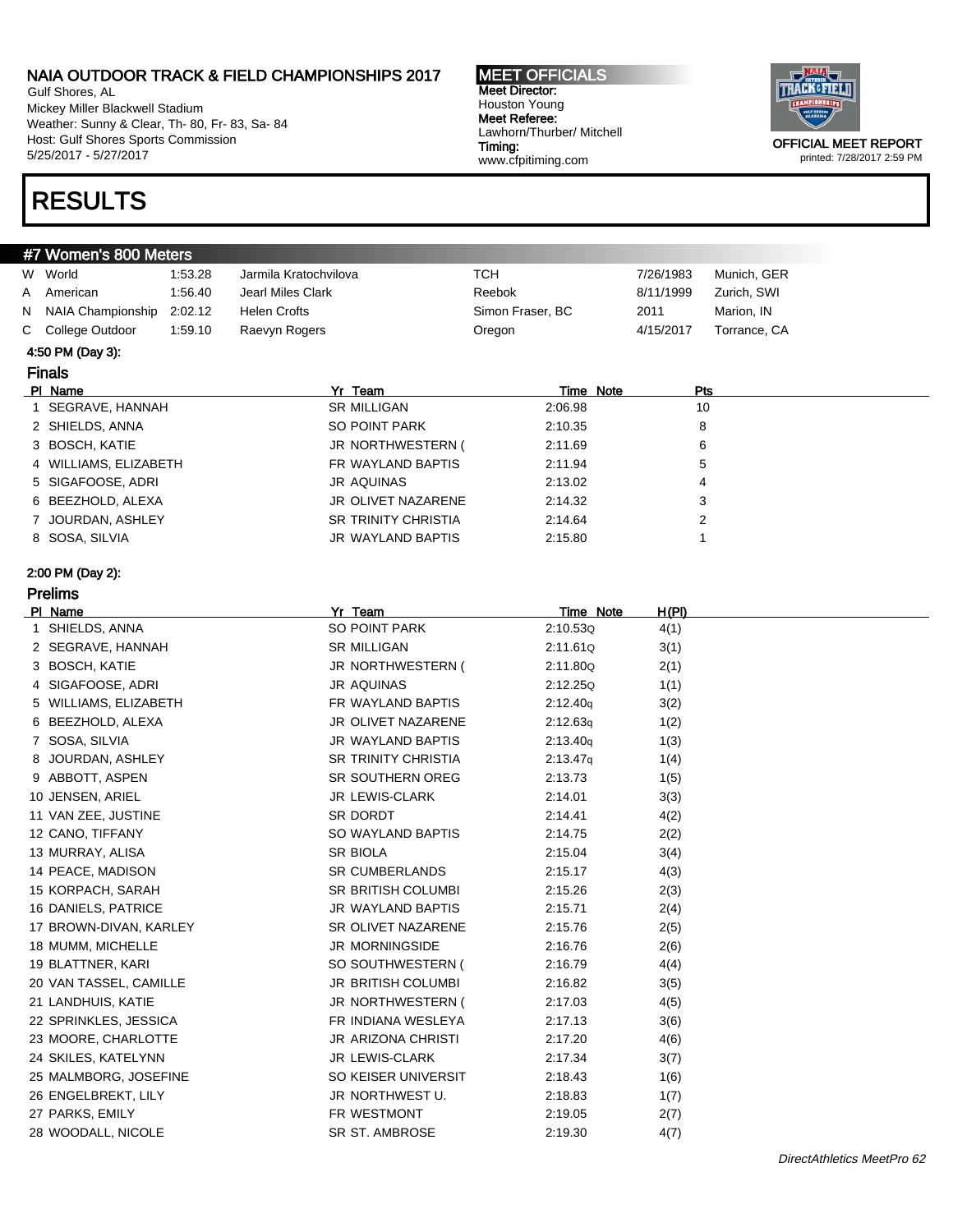Gulf Shores, AL Mickey Miller Blackwell Stadium Weather: Sunny & Clear, Th- 80, Fr- 83, Sa- 84 Host: Gulf Shores Sports Commission 5/25/2017 - 5/27/2017

### RESULTS

#7 Women's 800 Meters

#### MEET OFFICIALS Meet Director: Houston Young Meet Referee: Lawhorn/Thurber/ Mitchell Timing: www.cfpitiming.com



| W World               | 1:53.28 | Jarmila Kratochvilova      | тсн              | 7/26/1983  | Munich, GER  |  |
|-----------------------|---------|----------------------------|------------------|------------|--------------|--|
| A American            | 1:56.40 | Jearl Miles Clark          | Reebok           | 8/11/1999  | Zurich, SWI  |  |
| N NAIA Championship   | 2:02.12 | Helen Crofts               | Simon Fraser, BC | 2011       | Marion, IN   |  |
| C College Outdoor     | 1:59.10 | Raevyn Rogers              | Oregon           | 4/15/2017  | Torrance, CA |  |
| 4:50 PM (Day 3):      |         |                            |                  |            |              |  |
| <b>Finals</b>         |         |                            |                  |            |              |  |
| PI Name               |         | Yr Team                    | Time Note        | <b>Pts</b> |              |  |
| 1 SEGRAVE, HANNAH     |         | <b>SR MILLIGAN</b>         | 2:06.98          | 10         |              |  |
| 2 SHIELDS, ANNA       |         | SO POINT PARK              | 2:10.35          | 8          |              |  |
| 3 BOSCH, KATIE        |         | JR NORTHWESTERN (          | 2:11.69          | 6          |              |  |
| 4 WILLIAMS, ELIZABETH |         | FR WAYLAND BAPTIS          | 2:11.94          | 5          |              |  |
| 5 SIGAFOOSE, ADRI     |         | JR AQUINAS                 | 2:13.02          | 4          |              |  |
| 6 BEEZHOLD, ALEXA     |         | <b>JR OLIVET NAZARENE</b>  | 2:14.32          | 3          |              |  |
| 7 JOURDAN, ASHLEY     |         | <b>SR TRINITY CHRISTIA</b> | 2:14.64          | 2          |              |  |
| 8 SOSA, SILVIA        |         | JR WAYLAND BAPTIS          | 2:15.80          |            |              |  |

#### 2:00 PM (Day 2):

| <b>Prelims</b>         |                            |                      |       |
|------------------------|----------------------------|----------------------|-------|
| PI Name                | Yr Team                    | Time Note            | H(PI) |
| 1 SHIELDS, ANNA        | SO POINT PARK              | 2:10.53Q             | 4(1)  |
| 2 SEGRAVE, HANNAH      | <b>SR MILLIGAN</b>         | 2:11.61Q             | 3(1)  |
| 3 BOSCH, KATIE         | JR NORTHWESTERN (          | 2:11.80Q             | 2(1)  |
| 4 SIGAFOOSE, ADRI      | <b>JR AQUINAS</b>          | 2:12.25Q             | 1(1)  |
| 5 WILLIAMS, ELIZABETH  | FR WAYLAND BAPTIS          | 2:12.40q             | 3(2)  |
| 6 BEEZHOLD, ALEXA      | JR OLIVET NAZARENE         | 2:12.63q             | 1(2)  |
| 7 SOSA, SILVIA         | JR WAYLAND BAPTIS          | 2:13.40q             | 1(3)  |
| JOURDAN, ASHLEY        | <b>SR TRINITY CHRISTIA</b> | 2:13.47 <sub>q</sub> | 1(4)  |
| 9 ABBOTT, ASPEN        | SR SOUTHERN OREG           | 2:13.73              | 1(5)  |
| 10 JENSEN, ARIEL       | JR LEWIS-CLARK             | 2:14.01              | 3(3)  |
| 11 VAN ZEE, JUSTINE    | SR DORDT                   | 2:14.41              | 4(2)  |
| 12 CANO, TIFFANY       | SO WAYLAND BAPTIS          | 2:14.75              | 2(2)  |
| 13 MURRAY, ALISA       | <b>SR BIOLA</b>            | 2:15.04              | 3(4)  |
| 14 PEACE, MADISON      | <b>SR CUMBERLANDS</b>      | 2:15.17              | 4(3)  |
| 15 KORPACH, SARAH      | <b>SR BRITISH COLUMBI</b>  | 2:15.26              | 2(3)  |
| 16 DANIELS, PATRICE    | JR WAYLAND BAPTIS          | 2:15.71              | 2(4)  |
| 17 BROWN-DIVAN, KARLEY | SR OLIVET NAZARENE         | 2:15.76              | 2(5)  |
| 18 MUMM, MICHELLE      | <b>JR MORNINGSIDE</b>      | 2:16.76              | 2(6)  |
| 19 BLATTNER, KARI      | SO SOUTHWESTERN (          | 2:16.79              | 4(4)  |
| 20 VAN TASSEL, CAMILLE | JR BRITISH COLUMBI         | 2:16.82              | 3(5)  |
| 21 LANDHUIS, KATIE     | JR NORTHWESTERN (          | 2:17.03              | 4(5)  |
| 22 SPRINKLES, JESSICA  | FR INDIANA WESLEYA         | 2:17.13              | 3(6)  |
| 23 MOORE, CHARLOTTE    | <b>JR ARIZONA CHRISTI</b>  | 2:17.20              | 4(6)  |
| 24 SKILES, KATELYNN    | JR LEWIS-CLARK             | 2:17.34              | 3(7)  |
| 25 MALMBORG, JOSEFINE  | SO KEISER UNIVERSIT        | 2:18.43              | 1(6)  |
| 26 ENGELBREKT, LILY    | JR NORTHWEST U.            | 2:18.83              | 1(7)  |
| 27 PARKS, EMILY        | FR WESTMONT                | 2:19.05              | 2(7)  |
| 28 WOODALL, NICOLE     | SR ST. AMBROSE             | 2:19.30              | 4(7)  |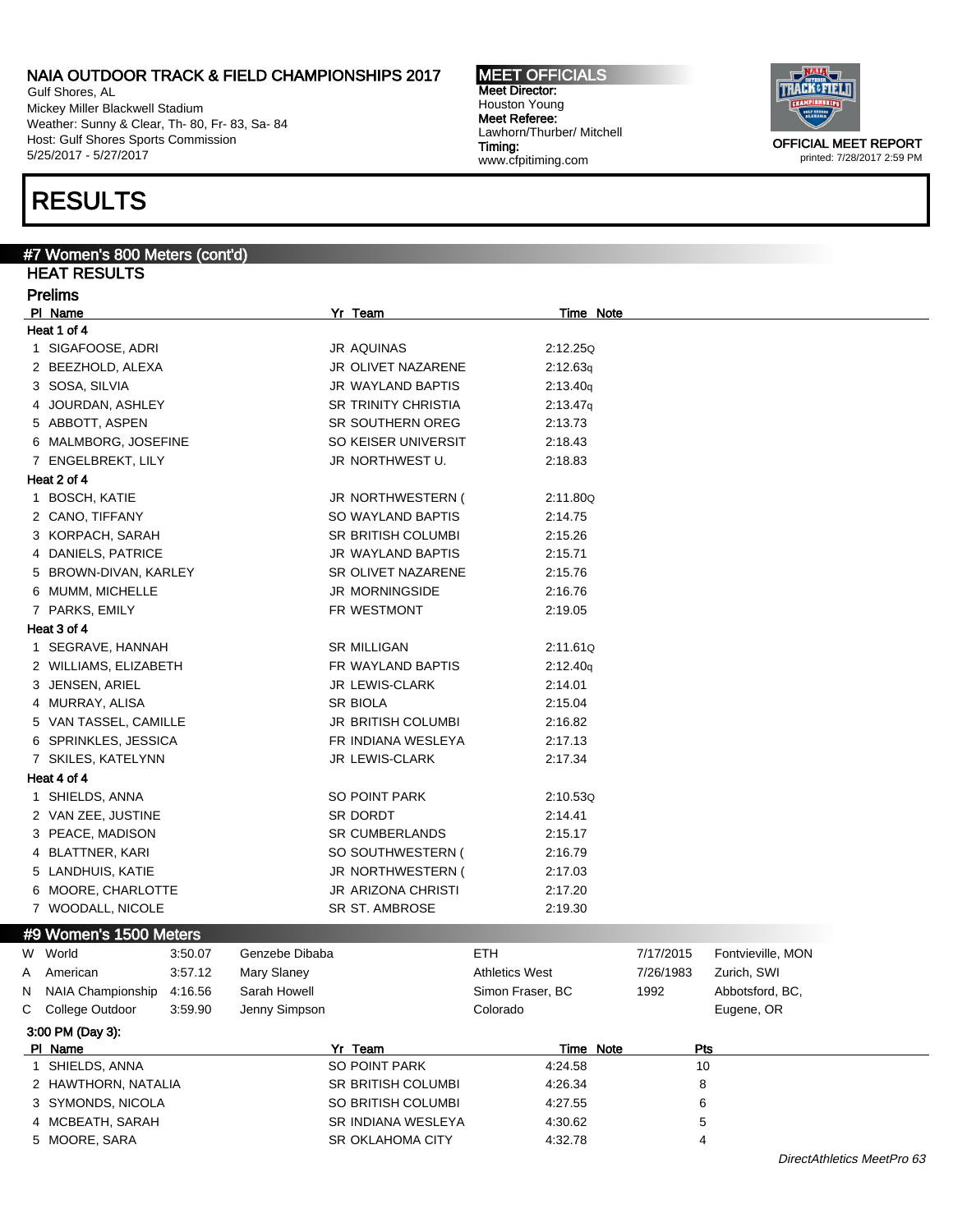Gulf Shores, AL Mickey Miller Blackwell Stadium Weather: Sunny & Clear, Th- 80, Fr- 83, Sa- 84 Host: Gulf Shores Sports Commission 5/25/2017 - 5/27/2017

### RESULTS

#### #7 Women's 800 Meters (cont'd)

HEAT RESULTS Prelims

|   | <b>Prellms</b>              |         |                |                            |                       |                  |           |                   |  |
|---|-----------------------------|---------|----------------|----------------------------|-----------------------|------------------|-----------|-------------------|--|
|   | PI Name                     |         |                | Yr Team                    |                       | <b>Time Note</b> |           |                   |  |
|   | Heat 1 of 4                 |         |                |                            |                       |                  |           |                   |  |
|   | 1 SIGAFOOSE, ADRI           |         |                | JR AQUINAS                 | 2:12.25Q              |                  |           |                   |  |
|   | 2 BEEZHOLD, ALEXA           |         |                | JR OLIVET NAZARENE         | 2:12.63q              |                  |           |                   |  |
|   | 3 SOSA, SILVIA              |         |                | JR WAYLAND BAPTIS          | 2:13.40q              |                  |           |                   |  |
|   | 4 JOURDAN, ASHLEY           |         |                | <b>SR TRINITY CHRISTIA</b> | 2:13.47q              |                  |           |                   |  |
|   | 5 ABBOTT, ASPEN             |         |                | SR SOUTHERN OREG           | 2:13.73               |                  |           |                   |  |
|   | 6 MALMBORG, JOSEFINE        |         |                | SO KEISER UNIVERSIT        | 2:18.43               |                  |           |                   |  |
|   | 7 ENGELBREKT, LILY          |         |                | JR NORTHWEST U.            | 2:18.83               |                  |           |                   |  |
|   | Heat 2 of 4                 |         |                |                            |                       |                  |           |                   |  |
|   | 1 BOSCH, KATIE              |         |                | JR NORTHWESTERN (          | 2:11.80Q              |                  |           |                   |  |
|   | 2 CANO, TIFFANY             |         |                | SO WAYLAND BAPTIS          | 2:14.75               |                  |           |                   |  |
|   | 3 KORPACH, SARAH            |         |                | SR BRITISH COLUMBI         | 2:15.26               |                  |           |                   |  |
|   | 4 DANIELS, PATRICE          |         |                | JR WAYLAND BAPTIS          | 2:15.71               |                  |           |                   |  |
|   | 5 BROWN-DIVAN, KARLEY       |         |                | SR OLIVET NAZARENE         | 2:15.76               |                  |           |                   |  |
|   | 6 MUMM, MICHELLE            |         |                | JR MORNINGSIDE             | 2:16.76               |                  |           |                   |  |
|   | 7 PARKS, EMILY              |         |                | FR WESTMONT                | 2:19.05               |                  |           |                   |  |
|   | Heat 3 of 4                 |         |                |                            |                       |                  |           |                   |  |
|   | 1 SEGRAVE, HANNAH           |         |                | SR MILLIGAN                | 2:11.61Q              |                  |           |                   |  |
|   | 2 WILLIAMS, ELIZABETH       |         |                | FR WAYLAND BAPTIS          | 2:12.40q              |                  |           |                   |  |
|   | 3 JENSEN, ARIEL             |         |                | JR LEWIS-CLARK             | 2:14.01               |                  |           |                   |  |
|   | 4 MURRAY, ALISA             |         |                | SR BIOLA                   | 2:15.04               |                  |           |                   |  |
|   | 5 VAN TASSEL, CAMILLE       |         |                | <b>JR BRITISH COLUMBI</b>  | 2:16.82               |                  |           |                   |  |
|   | 6 SPRINKLES, JESSICA        |         |                | FR INDIANA WESLEYA         | 2:17.13               |                  |           |                   |  |
|   | 7 SKILES, KATELYNN          |         |                | JR LEWIS-CLARK             | 2:17.34               |                  |           |                   |  |
|   | Heat 4 of 4                 |         |                |                            |                       |                  |           |                   |  |
|   | 1 SHIELDS, ANNA             |         |                | SO POINT PARK              | 2:10.53Q              |                  |           |                   |  |
|   | 2 VAN ZEE, JUSTINE          |         |                | SR DORDT                   | 2:14.41               |                  |           |                   |  |
|   | 3 PEACE, MADISON            |         |                | <b>SR CUMBERLANDS</b>      | 2:15.17               |                  |           |                   |  |
|   | 4 BLATTNER, KARI            |         |                | SO SOUTHWESTERN (          | 2:16.79               |                  |           |                   |  |
|   | 5 LANDHUIS, KATIE           |         |                | JR NORTHWESTERN (          | 2:17.03               |                  |           |                   |  |
|   | 6 MOORE, CHARLOTTE          |         |                | JR ARIZONA CHRISTI         | 2:17.20               |                  |           |                   |  |
|   | 7 WOODALL, NICOLE           |         |                | <b>SR ST. AMBROSE</b>      | 2:19.30               |                  |           |                   |  |
|   | #9 Women's 1500 Meters      |         |                |                            |                       |                  |           |                   |  |
|   | W World                     | 3:50.07 | Genzebe Dibaba |                            | <b>ETH</b>            |                  | 7/17/2015 | Fontvieville, MON |  |
| A | American                    | 3:57.12 | Mary Slaney    |                            | <b>Athletics West</b> |                  | 7/26/1983 | Zurich, SWI       |  |
|   | N NAIA Championship 4:16.56 |         | Sarah Howell   |                            | Simon Fraser, BC      |                  | 1992      | Abbotsford, BC,   |  |
| С | College Outdoor             | 3:59.90 | Jenny Simpson  |                            | Colorado              |                  |           | Eugene, OR        |  |
|   |                             |         |                |                            |                       |                  |           |                   |  |
|   | 3:00 PM (Day 3):<br>PI Name |         |                | Yr Team                    |                       | Time Note        | Pts       |                   |  |
|   | 1 SHIELDS, ANNA             |         |                | SO POINT PARK              | 4:24.58               |                  | 10        |                   |  |
|   | 2 HAWTHORN, NATALIA         |         |                | SR BRITISH COLUMBI         | 4:26.34               |                  | 8         |                   |  |
|   | 3 SYMONDS, NICOLA           |         |                | SO BRITISH COLUMBI         | 4:27.55               |                  | 6         |                   |  |
|   | 4 MCBEATH, SARAH            |         |                | SR INDIANA WESLEYA         | 4:30.62               |                  | 5         |                   |  |
|   | 5 MOORE, SARA               |         |                | SR OKLAHOMA CITY           | 4:32.78               |                  | 4         |                   |  |

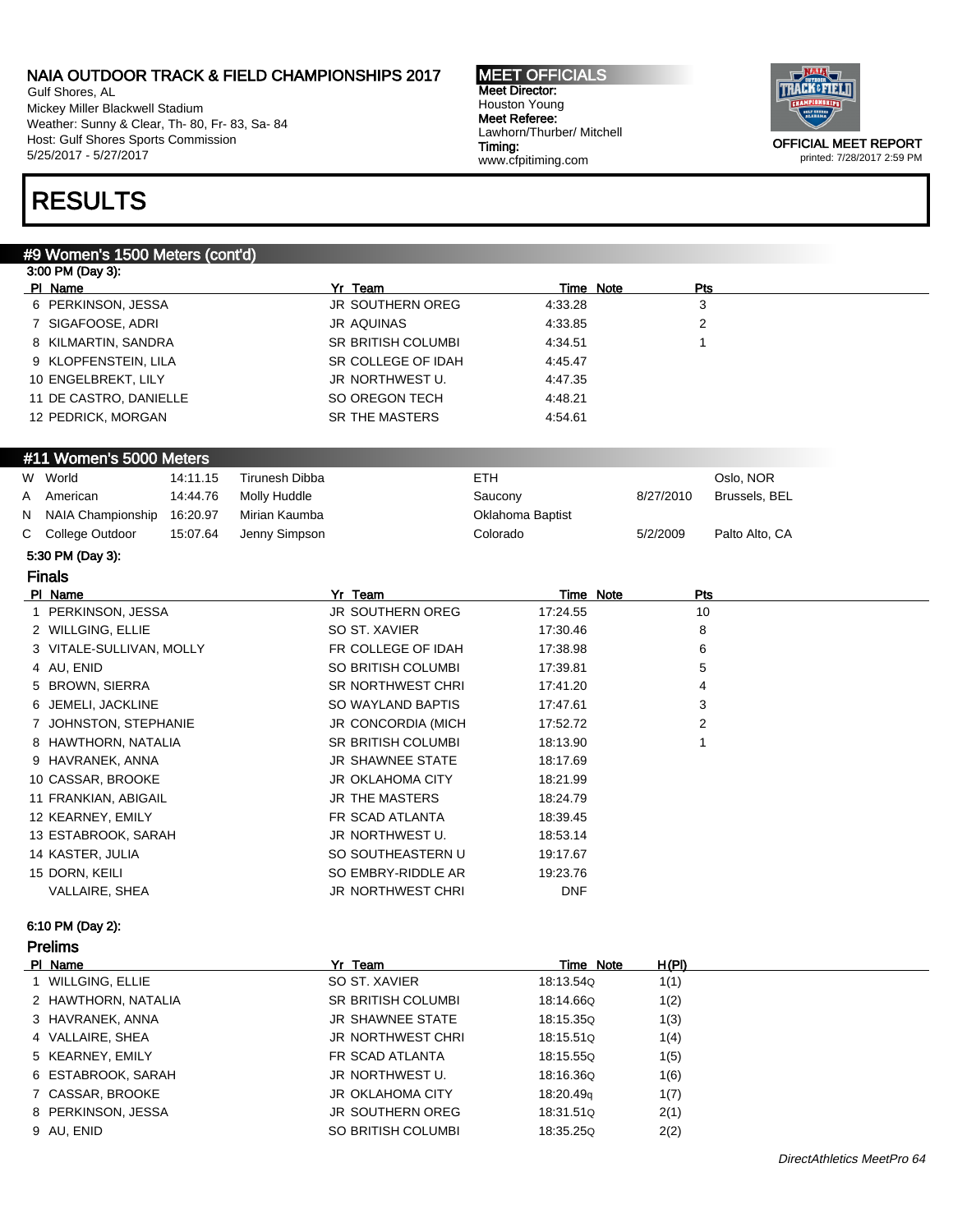Gulf Shores, AL Mickey Miller Blackwell Stadium Weather: Sunny & Clear, Th- 80, Fr- 83, Sa- 84 Host: Gulf Shores Sports Commission 5/25/2017 - 5/27/2017

#### MEET OFFICIALS Meet Director: Houston Young Meet Referee: Lawhorn/Thurber/ Mitchell Timing: www.cfpitiming.com



# RESULTS

#### #9 Women's 1500 Meters (cont'd)

|   | 3:00 PM (Day 3):         |          |                       |                           |                  |                  |           |                |
|---|--------------------------|----------|-----------------------|---------------------------|------------------|------------------|-----------|----------------|
|   | PI Name                  |          |                       | Yr Team                   |                  | <b>Time Note</b> |           | <u>Pts</u>     |
|   | 6 PERKINSON, JESSA       |          |                       | <b>JR SOUTHERN OREG</b>   | 4:33.28          |                  |           | 3              |
|   | 7 SIGAFOOSE, ADRI        |          |                       | <b>JR AQUINAS</b>         | 4:33.85          |                  |           | 2              |
|   | 8 KILMARTIN, SANDRA      |          |                       | <b>SR BRITISH COLUMBI</b> | 4:34.51          |                  |           | $\mathbf{1}$   |
|   | 9 KLOPFENSTEIN, LILA     |          |                       | SR COLLEGE OF IDAH        | 4:45.47          |                  |           |                |
|   | 10 ENGELBREKT, LILY      |          |                       | JR NORTHWEST U.           | 4:47.35          |                  |           |                |
|   | 11 DE CASTRO, DANIELLE   |          |                       | SO OREGON TECH            | 4:48.21          |                  |           |                |
|   | 12 PEDRICK, MORGAN       |          |                       | <b>SR THE MASTERS</b>     | 4:54.61          |                  |           |                |
|   |                          |          |                       |                           |                  |                  |           |                |
|   | #11 Women's 5000 Meters  |          |                       |                           |                  |                  |           |                |
|   | W World                  | 14:11.15 | <b>Tirunesh Dibba</b> |                           | <b>ETH</b>       |                  |           | Oslo, NOR      |
| A | American                 | 14:44.76 | Molly Huddle          |                           | Saucony          |                  | 8/27/2010 | Brussels, BEL  |
| N | NAIA Championship        | 16:20.97 | Mirian Kaumba         |                           | Oklahoma Baptist |                  |           |                |
| C | College Outdoor          | 15:07.64 | Jenny Simpson         |                           | Colorado         |                  | 5/2/2009  | Palto Alto, CA |
|   | 5:30 PM (Day 3):         |          |                       |                           |                  |                  |           |                |
|   | <b>Finals</b>            |          |                       |                           |                  |                  |           |                |
|   | PI Name                  |          |                       | Yr Team                   |                  | Time Note        |           | Pts            |
|   | 1 PERKINSON, JESSA       |          |                       | <b>JR SOUTHERN OREG</b>   | 17:24.55         |                  |           | 10             |
|   | 2 WILLGING, ELLIE        |          |                       | SO ST. XAVIER             | 17:30.46         |                  |           | 8              |
|   | 3 VITALE-SULLIVAN, MOLLY |          |                       | FR COLLEGE OF IDAH        | 17:38.98         |                  |           | 6              |
|   | 4 AU, ENID               |          |                       | SO BRITISH COLUMBI        | 17:39.81         |                  |           | 5              |
|   | 5 BROWN, SIERRA          |          |                       | <b>SR NORTHWEST CHRI</b>  | 17:41.20         |                  |           | 4              |
|   | 6 JEMELI, JACKLINE       |          |                       | SO WAYLAND BAPTIS         | 17:47.61         |                  |           | 3              |
|   | 7 JOHNSTON, STEPHANIE    |          |                       | JR CONCORDIA (MICH        | 17:52.72         |                  |           | 2              |
|   | 8 HAWTHORN, NATALIA      |          |                       | <b>SR BRITISH COLUMBI</b> | 18:13.90         |                  |           | 1              |
|   | 9 HAVRANEK, ANNA         |          |                       | <b>JR SHAWNEE STATE</b>   | 18:17.69         |                  |           |                |
|   | 10 CASSAR, BROOKE        |          |                       | <b>JR OKLAHOMA CITY</b>   | 18:21.99         |                  |           |                |
|   | 11 FRANKIAN, ABIGAIL     |          |                       | <b>JR THE MASTERS</b>     | 18:24.79         |                  |           |                |
|   | 12 KEARNEY, EMILY        |          |                       | FR SCAD ATLANTA           | 18:39.45         |                  |           |                |
|   | 13 ESTABROOK, SARAH      |          |                       | JR NORTHWEST U.           | 18:53.14         |                  |           |                |
|   | 14 KASTER, JULIA         |          |                       | SO SOUTHEASTERN U         | 19:17.67         |                  |           |                |
|   | 15 DORN, KEILI           |          |                       | SO EMBRY-RIDDLE AR        | 19:23.76         |                  |           |                |
|   | VALLAIRE, SHEA           |          |                       | JR NORTHWEST CHRI         | <b>DNF</b>       |                  |           |                |
|   | 6:10 PM (Day 2):         |          |                       |                           |                  |                  |           |                |
|   |                          |          |                       |                           |                  |                  |           |                |
|   | <b>Prelims</b>           |          |                       |                           |                  |                  |           |                |

| PI Name             | Yr Team                   | Time Note | H(PI) |
|---------------------|---------------------------|-----------|-------|
| 1 WILLGING, ELLIE   | SO ST. XAVIER             | 18:13.54Q | 1(1)  |
| 2 HAWTHORN, NATALIA | <b>SR BRITISH COLUMBI</b> | 18:14.66Q | 1(2)  |
| 3 HAVRANEK, ANNA    | <b>JR SHAWNEE STATE</b>   | 18:15.35Q | 1(3)  |
| 4 VALLAIRE, SHEA    | <b>JR NORTHWEST CHRI</b>  | 18:15.51Q | 1(4)  |
| 5 KEARNEY, EMILY    | FR SCAD ATLANTA           | 18:15.55Q | 1(5)  |
| 6 ESTABROOK, SARAH  | JR NORTHWEST U.           | 18:16.360 | 1(6)  |
| 7 CASSAR, BROOKE    | <b>JR OKLAHOMA CITY</b>   | 18:20.49q | 1(7)  |
| 8 PERKINSON, JESSA  | <b>JR SOUTHERN OREG</b>   | 18:31.51Q | 2(1)  |
| 9 AU, ENID          | SO BRITISH COLUMBI        | 18:35.25Q | 2(2)  |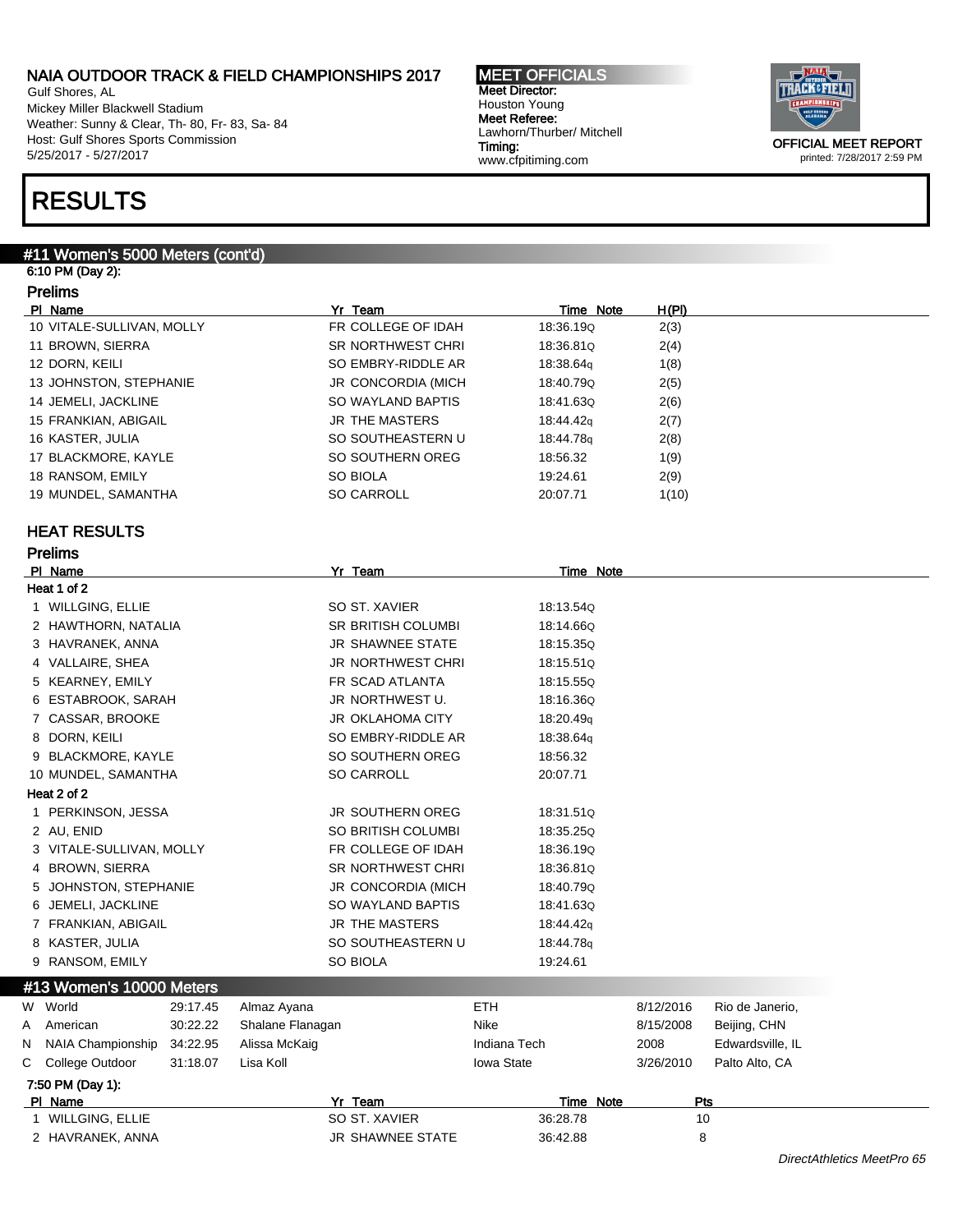Gulf Shores, AL Mickey Miller Blackwell Stadium Weather: Sunny & Clear, Th- 80, Fr- 83, Sa- 84 Host: Gulf Shores Sports Commission 5/25/2017 - 5/27/2017

# RESULTS

#### #11 Women's 5000 Meters (cont'd)

6:10 PM (Day 2): Prelims

| טוווועו                   |                          |           |       |
|---------------------------|--------------------------|-----------|-------|
| PI Name                   | Yr Team                  | Time Note | H(PI) |
| 10 VITALE-SULLIVAN, MOLLY | FR COLLEGE OF IDAH       | 18:36.190 | 2(3)  |
| 11 BROWN, SIERRA          | <b>SR NORTHWEST CHRI</b> | 18:36.81Q | 2(4)  |
| 12 DORN, KEILI            | SO EMBRY-RIDDLE AR       | 18:38.64g | 1(8)  |
| 13 JOHNSTON, STEPHANIE    | JR CONCORDIA (MICH       | 18:40.790 | 2(5)  |
| 14 JEMELI, JACKLINE       | SO WAYLAND BAPTIS        | 18:41.63Q | 2(6)  |
| 15 FRANKIAN, ABIGAIL      | JR THE MASTERS           | 18:44.42g | 2(7)  |
| 16 KASTER, JULIA          | SO SOUTHEASTERN U        | 18:44.78g | 2(8)  |
| 17 BLACKMORE, KAYLE       | SO SOUTHERN OREG         | 18:56.32  | 1(9)  |
| 18 RANSOM, EMILY          | SO BIOLA                 | 19:24.61  | 2(9)  |
| 19 MUNDEL, SAMANTHA       | SO CARROLL               | 20:07.71  | 1(10) |
|                           |                          |           |       |

#### HEAT RESULTS

|   | <b>Prelims</b>           |          |                  |                           |                   |                  |           |                  |
|---|--------------------------|----------|------------------|---------------------------|-------------------|------------------|-----------|------------------|
|   | PI Name                  |          |                  | Yr Team                   |                   | <b>Time Note</b> |           |                  |
|   | Heat 1 of 2              |          |                  |                           |                   |                  |           |                  |
|   | 1 WILLGING, ELLIE        |          |                  | SO ST. XAVIER             |                   | 18:13.54Q        |           |                  |
|   | 2 HAWTHORN, NATALIA      |          |                  | <b>SR BRITISH COLUMBI</b> |                   | 18:14.66Q        |           |                  |
|   | 3 HAVRANEK, ANNA         |          |                  | <b>JR SHAWNEE STATE</b>   |                   | 18:15.35Q        |           |                  |
|   | 4 VALLAIRE, SHEA         |          |                  | <b>JR NORTHWEST CHRI</b>  |                   | 18:15.51Q        |           |                  |
|   | 5 KEARNEY, EMILY         |          |                  | FR SCAD ATLANTA           |                   | 18:15.55Q        |           |                  |
|   | 6 ESTABROOK, SARAH       |          |                  | JR NORTHWEST U.           |                   | 18:16.36Q        |           |                  |
|   | 7 CASSAR, BROOKE         |          |                  | <b>JR OKLAHOMA CITY</b>   |                   | 18:20.49q        |           |                  |
|   | 8 DORN, KEILI            |          |                  | SO EMBRY-RIDDLE AR        |                   | 18:38.64g        |           |                  |
|   | 9 BLACKMORE, KAYLE       |          |                  | SO SOUTHERN OREG          |                   | 18:56.32         |           |                  |
|   | 10 MUNDEL, SAMANTHA      |          |                  | <b>SO CARROLL</b>         |                   | 20:07.71         |           |                  |
|   | Heat 2 of 2              |          |                  |                           |                   |                  |           |                  |
|   | 1 PERKINSON, JESSA       |          |                  | <b>JR SOUTHERN OREG</b>   |                   | 18:31.51Q        |           |                  |
|   | 2 AU, ENID               |          |                  | SO BRITISH COLUMBI        |                   | 18:35.25Q        |           |                  |
|   | 3 VITALE-SULLIVAN, MOLLY |          |                  | FR COLLEGE OF IDAH        |                   | 18:36.19Q        |           |                  |
|   | 4 BROWN, SIERRA          |          |                  | SR NORTHWEST CHRI         |                   | 18:36.81Q        |           |                  |
|   | 5 JOHNSTON, STEPHANIE    |          |                  | <b>JR CONCORDIA (MICH</b> |                   | 18:40.79Q        |           |                  |
|   | 6 JEMELI, JACKLINE       |          |                  | SO WAYLAND BAPTIS         |                   | 18:41.63Q        |           |                  |
|   | 7 FRANKIAN, ABIGAIL      |          |                  | <b>JR THE MASTERS</b>     |                   | 18:44.42g        |           |                  |
|   | 8 KASTER, JULIA          |          |                  | SO SOUTHEASTERN U         |                   | 18:44.78g        |           |                  |
|   | 9 RANSOM, EMILY          |          |                  | <b>SO BIOLA</b>           |                   | 19:24.61         |           |                  |
|   | #13 Women's 10000 Meters |          |                  |                           |                   |                  |           |                  |
|   | W World                  | 29:17.45 | Almaz Ayana      |                           | <b>ETH</b>        |                  | 8/12/2016 | Rio de Janerio,  |
| Α | American                 | 30:22.22 | Shalane Flanagan |                           | <b>Nike</b>       |                  | 8/15/2008 | Beijing, CHN     |
| N | NAIA Championship        | 34:22.95 | Alissa McKaig    |                           | Indiana Tech      |                  | 2008      | Edwardsville, IL |
| С | College Outdoor          | 31:18.07 | Lisa Koll        |                           | <b>Iowa State</b> |                  | 3/26/2010 | Palto Alto, CA   |
|   | 7:50 PM (Day 1):         |          |                  |                           |                   |                  |           |                  |
|   | PI Name                  |          |                  | Yr_Team                   |                   | Time Note        | Pts       |                  |
|   | 1 WILLGING, ELLIE        |          |                  | SO ST. XAVIER             |                   | 36:28.78         | 10        |                  |
|   | 2 HAVRANEK, ANNA         |          |                  | JR SHAWNEE STATE          |                   | 36:42.88         | 8         |                  |

MEET OFFICIALS Meet Director: Houston Young Meet Referee: Lawhorn/Thurber/ Mitchell Timing: www.cfpitiming.com



DirectAthletics MeetPro 65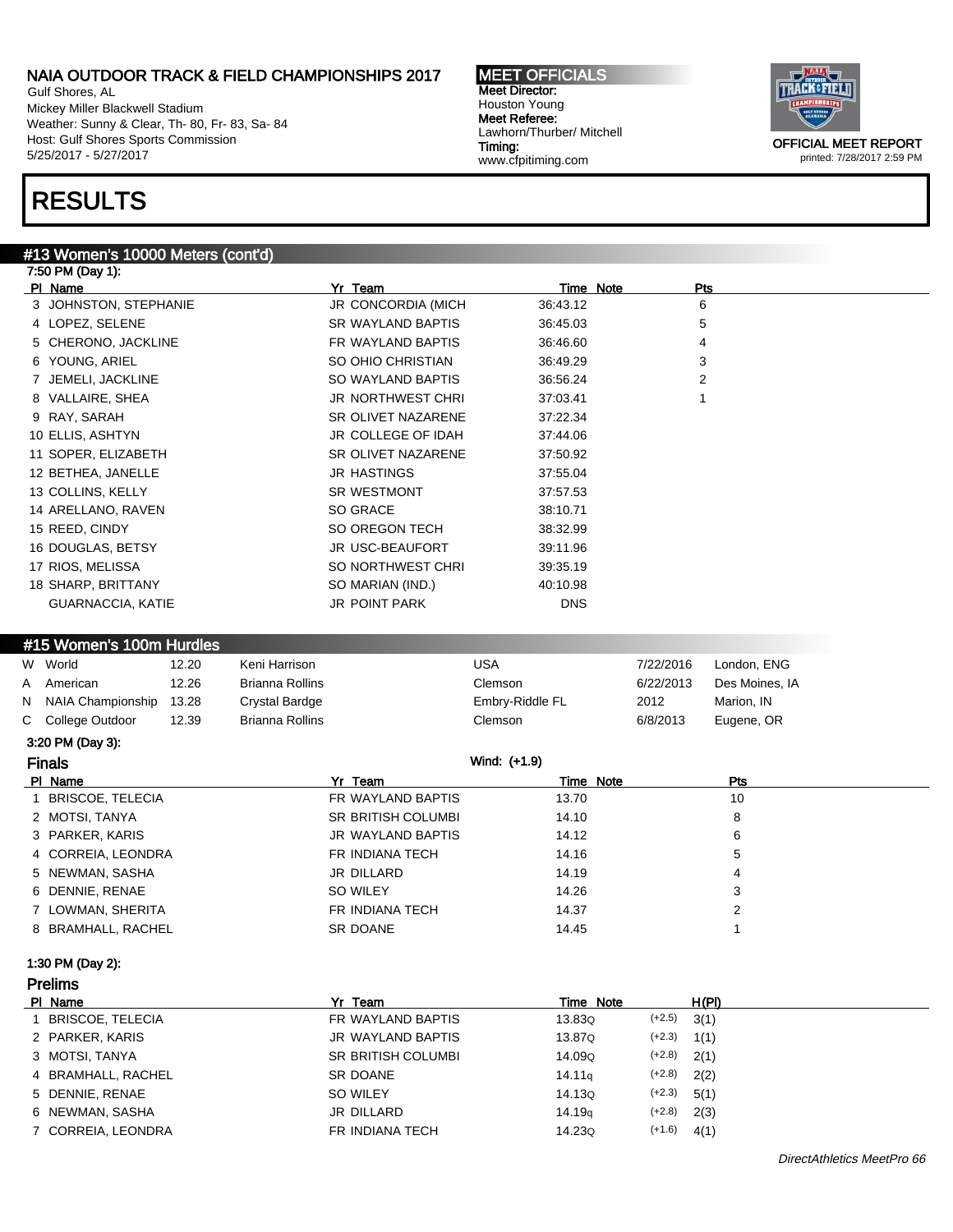Gulf Shores, AL Mickey Miller Blackwell Stadium Weather: Sunny & Clear, Th- 80, Fr- 83, Sa- 84 Host: Gulf Shores Sports Commission 5/25/2017 - 5/27/2017

# RESULTS

#### #13 Women's 10000 Meters (cont'd)

| 7:50 PM (Day 1):      |                           |            |                |
|-----------------------|---------------------------|------------|----------------|
| PI Name               | Yr Team                   | Time Note  | Pts            |
| 3 JOHNSTON, STEPHANIE | <b>JR CONCORDIA (MICH</b> | 36:43.12   | 6              |
| 4 LOPEZ, SELENE       | SR WAYLAND BAPTIS         | 36:45.03   | 5              |
| 5 CHERONO, JACKLINE   | FR WAYLAND BAPTIS         | 36:46.60   | 4              |
| 6 YOUNG, ARIEL        | SO OHIO CHRISTIAN         | 36:49.29   | 3              |
| 7 JEMELI, JACKLINE    | SO WAYLAND BAPTIS         | 36:56.24   | $\overline{2}$ |
| 8 VALLAIRE, SHEA      | JR NORTHWEST CHRI         | 37:03.41   |                |
| 9 RAY, SARAH          | SR OLIVET NAZARENE        | 37:22.34   |                |
| 10 ELLIS, ASHTYN      | JR COLLEGE OF IDAH        | 37:44.06   |                |
| 11 SOPER, ELIZABETH   | SR OLIVET NAZARENE        | 37:50.92   |                |
| 12 BETHEA, JANELLE    | <b>JR HASTINGS</b>        | 37:55.04   |                |
| 13 COLLINS, KELLY     | <b>SR WESTMONT</b>        | 37:57.53   |                |
| 14 ARELLANO, RAVEN    | SO GRACE                  | 38:10.71   |                |
| 15 REED, CINDY        | SO OREGON TECH            | 38.32.99   |                |
| 16 DOUGLAS, BETSY     | JR USC-BEAUFORT           | 39:11.96   |                |
| 17 RIOS, MELISSA      | SO NORTHWEST CHRI         | 39:35.19   |                |
| 18 SHARP, BRITTANY    | SO MARIAN (IND.)          | 40:10.98   |                |
| GUARNACCIA, KATIE     | JR POINT PARK             | <b>DNS</b> |                |
|                       |                           |            |                |

#### #15 Women's 100m Hurdles

|   | W World             | 12.20 | Keni Harrison   | USA             | 7/22/2016 | London, ENG    |
|---|---------------------|-------|-----------------|-----------------|-----------|----------------|
| A | American            | 12.26 | Brianna Rollins | Clemson         | 6/22/2013 | Des Moines, IA |
|   | N NAIA Championship | 13.28 | Crystal Bardge  | Embry-Riddle FL | 2012      | Marion, IN     |
|   | C College Outdoor   | 12.39 | Brianna Rollins | Clemson         | 6/8/2013  | Eugene, OR     |

### 3:20 PM (Day 3):

| <b>Finals</b>      | Wind: (+1.9)              |           |     |  |
|--------------------|---------------------------|-----------|-----|--|
| PI Name            | Yr Team                   | Time Note | Pts |  |
| BRISCOE, TELECIA   | FR WAYLAND BAPTIS         | 13.70     | 10  |  |
| 2 MOTSI, TANYA     | <b>SR BRITISH COLUMBI</b> | 14.10     |     |  |
| 3 PARKER, KARIS    | JR WAYLAND BAPTIS         | 14.12     | 6   |  |
| 4 CORREIA, LEONDRA | FR INDIANA TECH           | 14.16     | 5   |  |
| 5 NEWMAN, SASHA    | <b>JR DILLARD</b>         | 14.19     | 4   |  |
| 6 DENNIE, RENAE    | SO WILEY                  | 14.26     |     |  |
| 7 LOWMAN, SHERITA  | FR INDIANA TECH           | 14.37     |     |  |
| 8 BRAMHALL, RACHEL | SR DOANE                  | 14.45     |     |  |

#### 1:30 PM (Day 2):

#### Prelims

| PI Name            | Yr Team                   | Time Note          | H(PI) |
|--------------------|---------------------------|--------------------|-------|
| BRISCOE, TELECIA   | FR WAYLAND BAPTIS         | $(+2.5)$<br>13.83Q | 3(1)  |
| 2 PARKER, KARIS    | JR WAYLAND BAPTIS         | $(+2.3)$<br>13.87Q | 1(1)  |
| 3 MOTSI, TANYA     | <b>SR BRITISH COLUMBI</b> | $(+2.8)$<br>14.09Q | 2(1)  |
| 4 BRAMHALL, RACHEL | SR DOANE                  | $(+2.8)$<br>14.11a | 2(2)  |
| 5 DENNIE, RENAE    | SO WILEY                  | $(+2.3)$<br>14.13Q | 5(1)  |
| 6 NEWMAN, SASHA    | JR DILLARD                | $(+2.8)$<br>14.19a | 2(3)  |
| 7 CORREIA, LEONDRA | FR INDIANA TECH           | $(+1.6)$<br>14.23Q | 4(1)  |

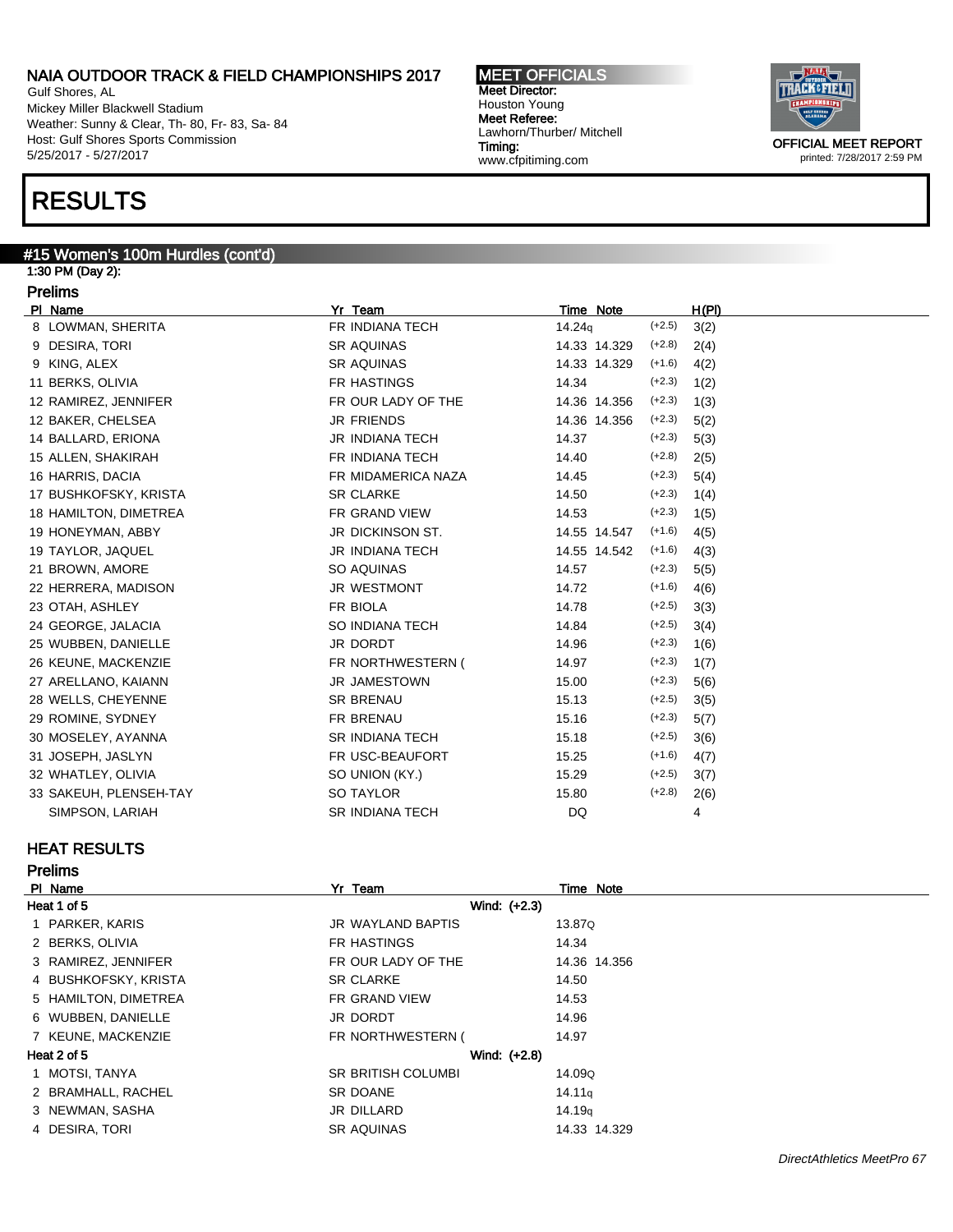Gulf Shores, AL Mickey Miller Blackwell Stadium Weather: Sunny & Clear, Th- 80, Fr- 83, Sa- 84 Host: Gulf Shores Sports Commission 5/25/2017 - 5/27/2017

# RESULTS

#### #15 Women's 100m Hurdles (cont'd)

1:30 PM (Day 2): Prelims

| PI Name                | Yr Team                | Time Note                | H(PI) |
|------------------------|------------------------|--------------------------|-------|
| 8 LOWMAN, SHERITA      | FR INDIANA TECH        | $(+2.5)$<br>14.24q       | 3(2)  |
| 9 DESIRA, TORI         | SR AQUINAS             | $(+2.8)$<br>14.33 14.329 | 2(4)  |
| KING, ALEX             | SR AQUINAS             | $(+1.6)$<br>14.33 14.329 | 4(2)  |
| 11 BERKS, OLIVIA       | FR HASTINGS            | $(+2.3)$<br>14.34        | 1(2)  |
| 12 RAMIREZ, JENNIFER   | FR OUR LADY OF THE     | $(+2.3)$<br>14.36 14.356 | 1(3)  |
| 12 BAKER, CHELSEA      | <b>JR FRIENDS</b>      | $(+2.3)$<br>14.36 14.356 | 5(2)  |
| 14 BALLARD, ERIONA     | <b>JR INDIANA TECH</b> | 14.37<br>$(+2.3)$        | 5(3)  |
| 15 ALLEN, SHAKIRAH     | FR INDIANA TECH        | $(+2.8)$<br>14.40        | 2(5)  |
| 16 HARRIS, DACIA       | FR MIDAMERICA NAZA     | $(+2.3)$<br>14.45        | 5(4)  |
| 17 BUSHKOFSKY, KRISTA  | <b>SR CLARKE</b>       | $(+2.3)$<br>14.50        | 1(4)  |
| 18 HAMILTON, DIMETREA  | FR GRAND VIEW          | $(+2.3)$<br>14.53        | 1(5)  |
| 19 HONEYMAN, ABBY      | JR DICKINSON ST.       | $(+1.6)$<br>14.55 14.547 | 4(5)  |
| 19 TAYLOR, JAQUEL      | <b>JR INDIANA TECH</b> | $(+1.6)$<br>14.55 14.542 | 4(3)  |
| 21 BROWN, AMORE        | SO AQUINAS             | $(+2.3)$<br>14.57        | 5(5)  |
| 22 HERRERA, MADISON    | JR WESTMONT            | $(+1.6)$<br>14.72        | 4(6)  |
| 23 OTAH, ASHLEY        | FR BIOLA               | $(+2.5)$<br>14.78        | 3(3)  |
| 24 GEORGE, JALACIA     | SO INDIANA TECH        | $(+2.5)$<br>14.84        | 3(4)  |
| 25 WUBBEN, DANIELLE    | JR DORDT               | $(+2.3)$<br>14.96        | 1(6)  |
| 26 KEUNE, MACKENZIE    | FR NORTHWESTERN (      | $(+2.3)$<br>14.97        | 1(7)  |
| 27 ARELLANO, KAIANN    | <b>JR JAMESTOWN</b>    | $(+2.3)$<br>15.00        | 5(6)  |
| 28 WELLS, CHEYENNE     | <b>SR BRENAU</b>       | $(+2.5)$<br>15.13        | 3(5)  |
| 29 ROMINE, SYDNEY      | FR BRENAU              | $(+2.3)$<br>15.16        | 5(7)  |
| 30 MOSELEY, AYANNA     | <b>SR INDIANA TECH</b> | $(+2.5)$<br>15.18        | 3(6)  |
| 31 JOSEPH, JASLYN      | FR USC-BEAUFORT        | $(+1.6)$<br>15.25        | 4(7)  |
| 32 WHATLEY, OLIVIA     | SO UNION (KY.)         | $(+2.5)$<br>15.29        | 3(7)  |
| 33 SAKEUH, PLENSEH-TAY | <b>SO TAYLOR</b>       | $(+2.8)$<br>15.80        | 2(6)  |
| SIMPSON, LARIAH        | <b>SR INDIANA TECH</b> | DQ                       | 4     |

#### HEAT RESULTS

| <b>Prelims</b>       |                           |                    |
|----------------------|---------------------------|--------------------|
| PI Name              | Yr Team                   | Time Note          |
| Heat 1 of 5          | Wind: (+2.3)              |                    |
| 1 PARKER, KARIS      | JR WAYLAND BAPTIS         | 13.87Q             |
| 2 BERKS, OLIVIA      | <b>FR HASTINGS</b>        | 14.34              |
| 3 RAMIREZ, JENNIFER  | FR OUR LADY OF THE        | 14.36 14.356       |
| 4 BUSHKOFSKY, KRISTA | <b>SR CLARKE</b>          | 14.50              |
| 5 HAMILTON, DIMETREA | FR GRAND VIEW             | 14.53              |
| 6 WUBBEN, DANIELLE   | JR DORDT                  | 14.96              |
| 7 KEUNE, MACKENZIE   | FR NORTHWESTERN (         | 14.97              |
| Heat 2 of 5          | Wind: (+2.8)              |                    |
| 1 MOTSI, TANYA       | <b>SR BRITISH COLUMBI</b> | 14.09Q             |
| 2 BRAMHALL, RACHEL   | <b>SR DOANE</b>           | 14.11q             |
| 3 NEWMAN, SASHA      | <b>JR DILLARD</b>         | 14.19 <sub>q</sub> |
| 4 DESIRA, TORI       | <b>SR AQUINAS</b>         | 14.33 14.329       |

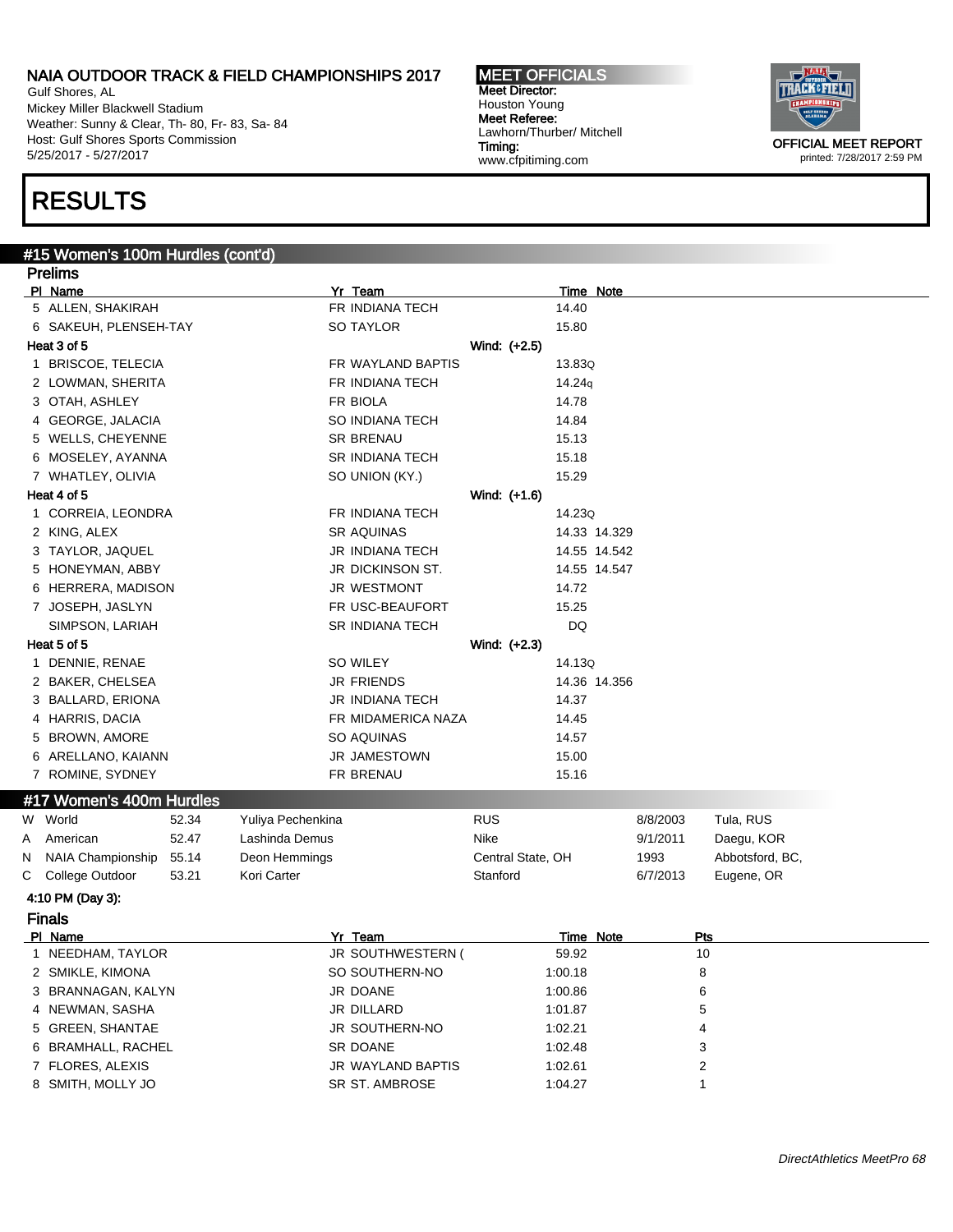Gulf Shores, AL Mickey Miller Blackwell Stadium Weather: Sunny & Clear, Th- 80, Fr- 83, Sa- 84 Host: Gulf Shores Sports Commission 5/25/2017 - 5/27/2017

# RESULTS

#### #15 Women's 100m Hurdles (cont'd)

|   | Prelims                  |       |                   |                        |                   |                  |              |          |                |                 |  |
|---|--------------------------|-------|-------------------|------------------------|-------------------|------------------|--------------|----------|----------------|-----------------|--|
|   | PI Name                  |       |                   | Yr Team                |                   | <b>Time Note</b> |              |          |                |                 |  |
|   | 5 ALLEN, SHAKIRAH        |       |                   | FR INDIANA TECH        |                   | 14.40            |              |          |                |                 |  |
|   | 6 SAKEUH, PLENSEH-TAY    |       |                   | <b>SO TAYLOR</b>       |                   | 15.80            |              |          |                |                 |  |
|   | Heat 3 of 5              |       |                   |                        | Wind: (+2.5)      |                  |              |          |                |                 |  |
|   | 1 BRISCOE, TELECIA       |       |                   | FR WAYLAND BAPTIS      |                   | 13.83Q           |              |          |                |                 |  |
|   | 2 LOWMAN, SHERITA        |       |                   | FR INDIANA TECH        |                   | 14.24q           |              |          |                |                 |  |
|   | 3 OTAH, ASHLEY           |       |                   | FR BIOLA               |                   | 14.78            |              |          |                |                 |  |
|   | 4 GEORGE, JALACIA        |       |                   | SO INDIANA TECH        |                   | 14.84            |              |          |                |                 |  |
|   | 5 WELLS, CHEYENNE        |       |                   | <b>SR BRENAU</b>       |                   | 15.13            |              |          |                |                 |  |
|   | 6 MOSELEY, AYANNA        |       |                   | SR INDIANA TECH        |                   | 15.18            |              |          |                |                 |  |
|   | 7 WHATLEY, OLIVIA        |       |                   | SO UNION (KY.)         |                   | 15.29            |              |          |                |                 |  |
|   | Heat 4 of 5              |       |                   |                        | Wind: (+1.6)      |                  |              |          |                |                 |  |
|   | 1 CORREIA, LEONDRA       |       |                   | FR INDIANA TECH        |                   | 14.23Q           |              |          |                |                 |  |
|   | 2 KING, ALEX             |       |                   | <b>SR AQUINAS</b>      |                   |                  | 14.33 14.329 |          |                |                 |  |
|   | 3 TAYLOR, JAQUEL         |       |                   | JR INDIANA TECH        |                   |                  | 14.55 14.542 |          |                |                 |  |
|   | 5 HONEYMAN, ABBY         |       |                   | JR DICKINSON ST.       |                   |                  | 14.55 14.547 |          |                |                 |  |
|   | 6 HERRERA, MADISON       |       |                   | JR WESTMONT            |                   | 14.72            |              |          |                |                 |  |
|   | 7 JOSEPH, JASLYN         |       |                   | FR USC-BEAUFORT        |                   | 15.25            |              |          |                |                 |  |
|   | SIMPSON, LARIAH          |       |                   | SR INDIANA TECH        |                   | DQ               |              |          |                |                 |  |
|   | Heat 5 of 5              |       |                   |                        | Wind: (+2.3)      |                  |              |          |                |                 |  |
|   | 1 DENNIE, RENAE          |       |                   | SO WILEY               |                   | 14.13Q           |              |          |                |                 |  |
|   | 2 BAKER, CHELSEA         |       |                   | <b>JR FRIENDS</b>      |                   |                  | 14.36 14.356 |          |                |                 |  |
|   | 3 BALLARD, ERIONA        |       |                   | <b>JR INDIANA TECH</b> |                   | 14.37            |              |          |                |                 |  |
|   | 4 HARRIS, DACIA          |       |                   | FR MIDAMERICA NAZA     |                   | 14.45            |              |          |                |                 |  |
|   | 5 BROWN, AMORE           |       |                   | SO AQUINAS             |                   | 14.57            |              |          |                |                 |  |
|   | 6 ARELLANO, KAIANN       |       |                   | <b>JR JAMESTOWN</b>    |                   | 15.00            |              |          |                |                 |  |
|   | 7 ROMINE, SYDNEY         |       |                   | FR BRENAU              |                   | 15.16            |              |          |                |                 |  |
|   | #17 Women's 400m Hurdles |       |                   |                        |                   |                  |              |          |                |                 |  |
|   | W World                  | 52.34 | Yuliya Pechenkina |                        | <b>RUS</b>        |                  |              | 8/8/2003 |                | Tula, RUS       |  |
| A | American                 | 52.47 | Lashinda Demus    |                        | Nike              |                  |              | 9/1/2011 |                | Daegu, KOR      |  |
| N | NAIA Championship        | 55.14 | Deon Hemmings     |                        | Central State, OH |                  |              | 1993     |                | Abbotsford, BC, |  |
| С | College Outdoor          | 53.21 | Kori Carter       |                        | Stanford          |                  |              | 6/7/2013 |                | Eugene, OR      |  |
|   | 4:10 PM (Day 3):         |       |                   |                        |                   |                  |              |          |                |                 |  |
|   | <b>Finals</b>            |       |                   |                        |                   |                  |              |          |                |                 |  |
|   | PI Name                  |       |                   | Yr Team                |                   | <b>Time Note</b> |              |          | <u>Pts</u>     |                 |  |
|   | 1 NEEDHAM, TAYLOR        |       |                   | JR SOUTHWESTERN (      |                   | 59.92            |              |          | 10             |                 |  |
|   | 2 SMIKLE, KIMONA         |       |                   | SO SOUTHERN-NO         |                   | 1:00.18          |              |          | 8              |                 |  |
|   | 3 BRANNAGAN, KALYN       |       |                   | JR DOANE               |                   | 1:00.86          |              |          | 6              |                 |  |
|   | 4 NEWMAN, SASHA          |       |                   | JR DILLARD             |                   | 1:01.87          |              |          | 5              |                 |  |
|   | 5 GREEN, SHANTAE         |       |                   | JR SOUTHERN-NO         |                   | 1:02.21          |              |          | 4              |                 |  |
|   | 6 BRAMHALL, RACHEL       |       |                   | SR DOANE               |                   | 1:02.48          |              |          | 3              |                 |  |
|   | 7 FLORES, ALEXIS         |       |                   | JR WAYLAND BAPTIS      |                   | 1:02.61          |              |          | $\overline{2}$ |                 |  |

8 SMITH, MOLLY JO SR ST. AMBROSE 1:04.27 1:04.27 1:04.27 1:04.27 1:04.27 1:04.27 1:04.27 1:05

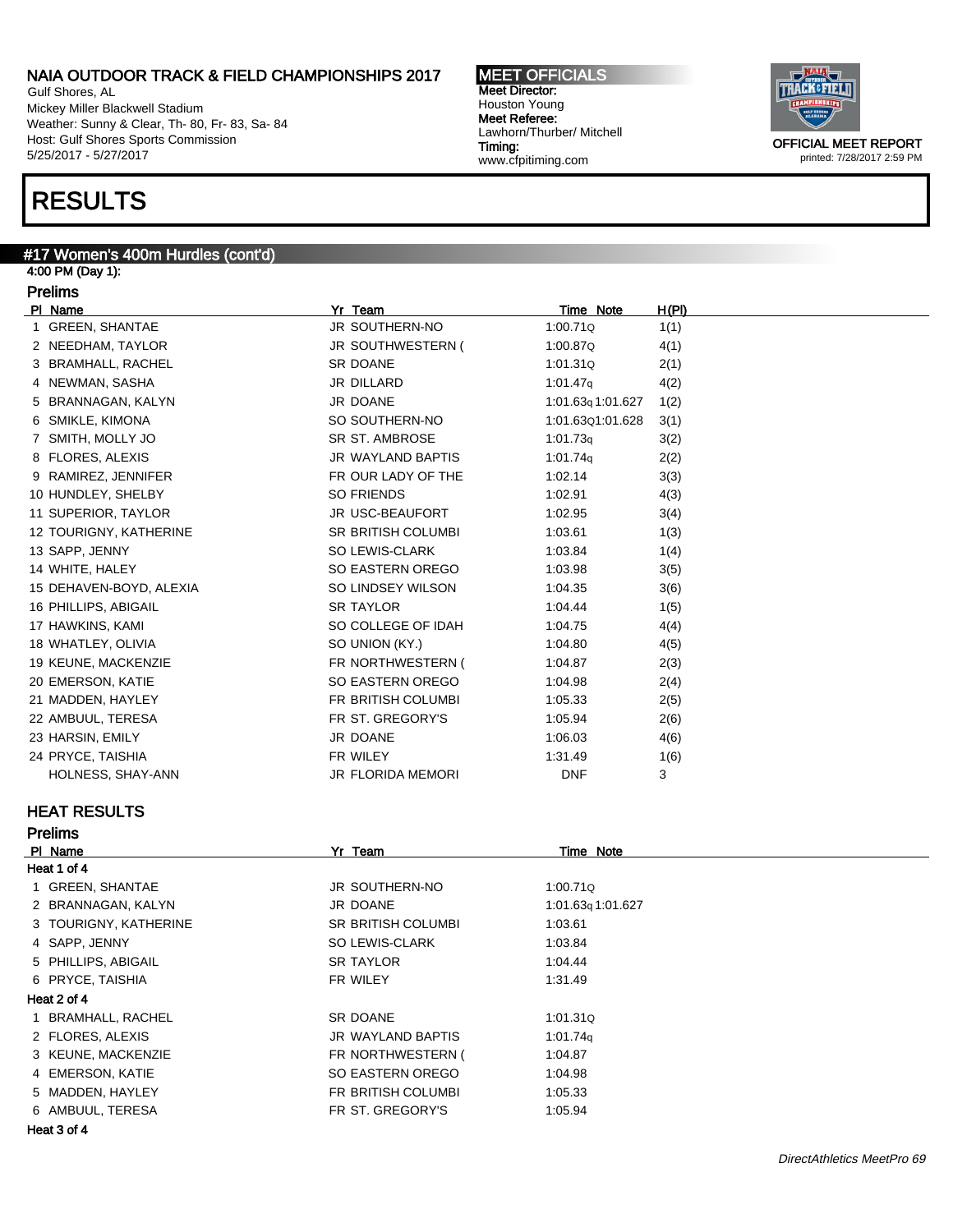Gulf Shores, AL Mickey Miller Blackwell Stadium Weather: Sunny & Clear, Th- 80, Fr- 83, Sa- 84 Host: Gulf Shores Sports Commission 5/25/2017 - 5/27/2017

### RESULTS

#### #17 Women's 400m Hurdles (cont'd)

4:00 PM (Day 1): Prelims

| PI Name                 | Yr Team                   | Time Note            | H(PI) |  |
|-------------------------|---------------------------|----------------------|-------|--|
| 1 GREEN, SHANTAE        | JR SOUTHERN-NO            | 1:00.71Q             | 1(1)  |  |
| 2 NEEDHAM, TAYLOR       | JR SOUTHWESTERN (         | 1:00.87Q             | 4(1)  |  |
| 3 BRAMHALL, RACHEL      | SR DOANE                  | 1:01.31Q             | 2(1)  |  |
| 4 NEWMAN, SASHA         | JR DILLARD                | 1:01.47 <sub>q</sub> | 4(2)  |  |
| 5 BRANNAGAN, KALYN      | JR DOANE                  | 1:01.63q 1:01.627    | 1(2)  |  |
| 6 SMIKLE, KIMONA        | SO SOUTHERN-NO            | 1:01.63Q1:01.628     | 3(1)  |  |
| 7 SMITH, MOLLY JO       | SR ST. AMBROSE            | 1:01.73q             | 3(2)  |  |
| 8 FLORES, ALEXIS        | JR WAYLAND BAPTIS         | 1.01.74q             | 2(2)  |  |
| 9 RAMIREZ, JENNIFER     | FR OUR LADY OF THE        | 1:02.14              | 3(3)  |  |
| 10 HUNDLEY, SHELBY      | SO FRIENDS                | 1:02.91              | 4(3)  |  |
| 11 SUPERIOR, TAYLOR     | JR USC-BEAUFORT           | 1:02.95              | 3(4)  |  |
| 12 TOURIGNY, KATHERINE  | <b>SR BRITISH COLUMBI</b> | 1:03.61              | 1(3)  |  |
| 13 SAPP, JENNY          | SO LEWIS-CLARK            | 1:03.84              | 1(4)  |  |
| 14 WHITE, HALEY         | SO EASTERN OREGO          | 1:03.98              | 3(5)  |  |
| 15 DEHAVEN-BOYD, ALEXIA | SO LINDSEY WILSON         | 1:04.35              | 3(6)  |  |
| 16 PHILLIPS, ABIGAIL    | SR TAYLOR                 | 1:04.44              | 1(5)  |  |
| 17 HAWKINS, KAMI        | SO COLLEGE OF IDAH        | 1:04.75              | 4(4)  |  |
| 18 WHATLEY, OLIVIA      | SO UNION (KY.)            | 1:04.80              | 4(5)  |  |
| 19 KEUNE, MACKENZIE     | FR NORTHWESTERN (         | 1:04.87              | 2(3)  |  |
| 20 EMERSON, KATIE       | SO EASTERN OREGO          | 1:04.98              | 2(4)  |  |
| 21 MADDEN, HAYLEY       | FR BRITISH COLUMBI        | 1:05.33              | 2(5)  |  |
| 22 AMBUUL, TERESA       | FR ST. GREGORY'S          | 1:05.94              | 2(6)  |  |
| 23 HARSIN, EMILY        | JR DOANE                  | 1:06.03              | 4(6)  |  |
| 24 PRYCE, TAISHIA       | FR WILEY                  | 1:31.49              | 1(6)  |  |
| HOLNESS, SHAY-ANN       | <b>JR FLORIDA MEMORI</b>  | <b>DNF</b>           | 3     |  |

MEET OFFICIALS Meet Director: Houston Young Meet Referee:

Lawhorn/Thurber/ Mitchell

www.cfpitiming.com

Timing:

#### HEAT RESULTS

#### Prelims Pl Name Yr Team Time Note Heat 1 of 4 1 GREEN, SHANTAE 1:00.710 2 BRANNAGAN, KALYN JR DOANE 1:01.63q 1:01.627 3 TOURIGNY, KATHERINE SR BRITISH COLUMBI 1:03.61 4 SAPP, JENNY SO LEWIS-CLARK 1:03.84 5 PHILLIPS, ABIGAIL SR TAYLOR 1:04.44 6 PRYCE, TAISHIA FR WILEY 1:31.49 Heat 2 of 4 1 BRAMHALL, RACHEL SR DOANE SR DOANE 1:01.31Q 2 FLORES, ALEXIS JR WAYLAND BAPTIS 1:01.74q 3 KEUNE, MACKENZIE FR NORTHWESTERN ( 1:04.87 4 EMERSON, KATIE SO EASTERN OREGO 1:04.98 5 MADDEN, HAYLEY **FR BRITISH COLUMBI** 1:05.33 6 AMBUUL, TERESA FR ST. GREGORY'S 1:05.94

Heat 3 of 4

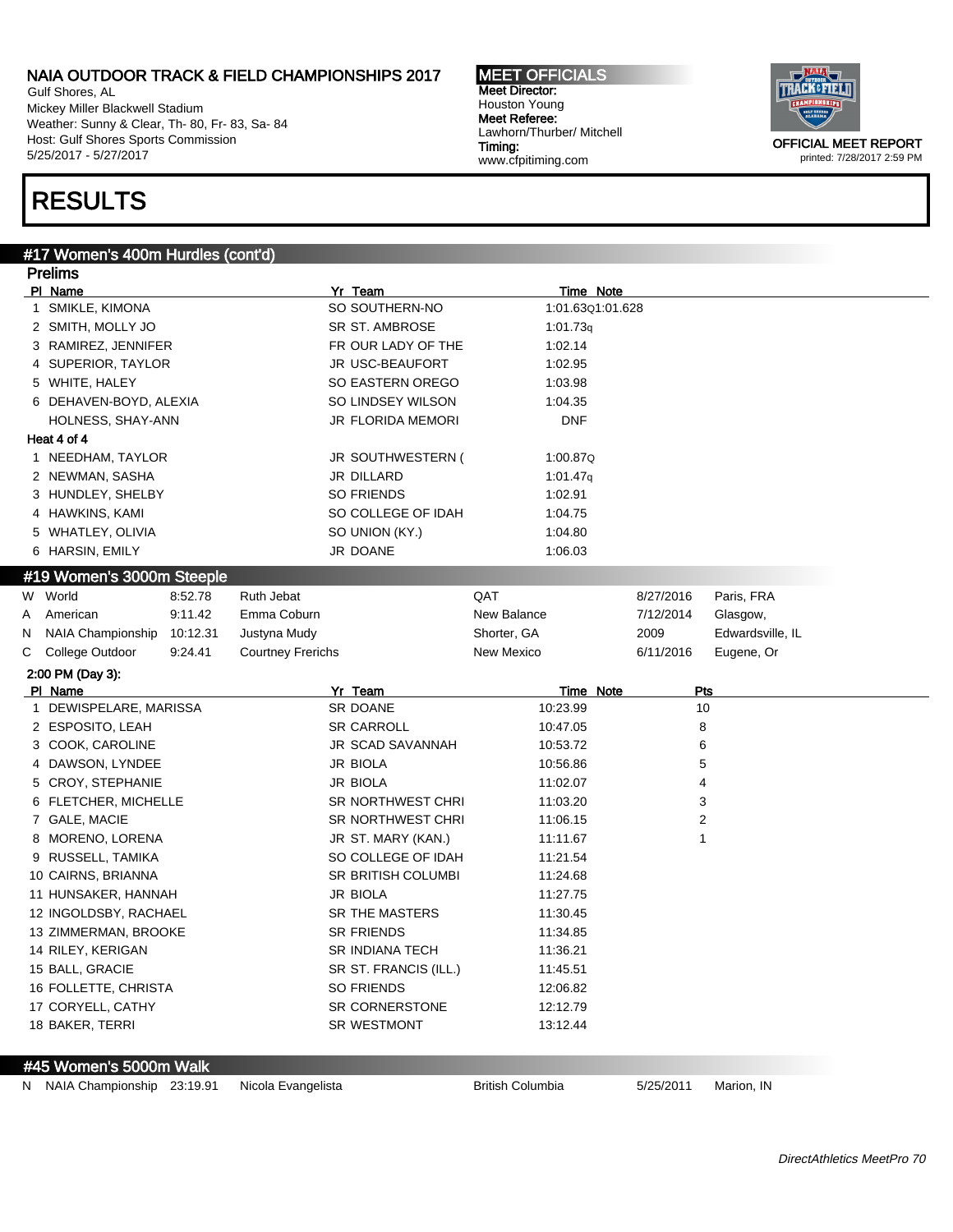Gulf Shores, AL Mickey Miller Blackwell Stadium Weather: Sunny & Clear, Th- 80, Fr- 83, Sa- 84 Host: Gulf Shores Sports Commission 5/25/2017 - 5/27/2017

# RESULTS

#### #17 Women's 400m Hurdles (cont'd)

Prelims Pl Name Note Time Note 2014 and 2015 Note 2016 and 2017 Note 2016 2017 12:00:00 Pl Name Note 1 SMIKLE, KIMONA SO SOUTHERN-NO 1:01.63Q1:01.628 2 SMITH, MOLLY JO SR ST. AMBROSE 1:01.73q 3 RAMIREZ, JENNIFER FR OUR LADY OF THE 1:02.14 4 SUPERIOR, TAYLOR JR USC-BEAUFORT 1:02.95 5 WHITE, HALEY **1:03.98** SO EASTERN OREGO 1:03.98 6 DEHAVEN-BOYD, ALEXIA SO LINDSEY WILSON 1:04.35 HOLNESS, SHAY-ANN JR FLORIDA MEMORI DNF Heat 4 of 4 1 NEEDHAM, TAYLOR 1:00.87Q 2 NEWMAN, SASHA JR DILLARD 1:01.47q 3 HUNDLEY, SHELBY SO FRIENDS 1:02.91 4 HAWKINS, KAMI SO COLLEGE OF IDAH 1:04.75 5 WHATLEY, OLIVIA **SO UNION (KY.)** 1:04.80 6 HARSIN, EMILY JR DOANE 1:06.03 #19 Women's 3000m Steeple W World 8:52.78 Ruth Jebat QAT 8/27/2016 Paris, FRA A American 9:11.42 Emma Coburn **New Balance** 7/12/2014 Glasgow, N NAIA Championship 10:12.31 Justyna Mudy Shorter, GA 2009 Edwardsville, IL C College Outdoor 9:24.41 Courtney Frerichs New Mexico 6/11/2016 Eugene, Or 2:00 PM (Day 3): PI Name **Time Note** Pts 1 DEWISPELARE, MARISSA SR DOANE 10:23.99 10:23.99 10 2 ESPOSITO, LEAH SR CARROLL 10:47.05 8 3 COOK, CAROLINE JR SCAD SAVANNAH 10:53.72 6 4 DAWSON, LYNDEE 5 JR BIOLA 10:56.86 5 5 5 CROY, STEPHANIE JR BIOLA 11:02.07 4 6 FLETCHER, MICHELLE SR NORTHWEST CHRI 11:03.20 3 7 GALE, MACIE SR NORTHWEST CHRI 11:06.15 2 8 MORENO, LORENA 1 JR ST. MARY (KAN.) 11:11.67 1 9 RUSSELL, TAMIKA SO COLLEGE OF IDAH 11:21.54 10 CAIRNS, BRIANNA SR BRITISH COLUMBI 11:24.68 11 HUNSAKER, HANNAH JR BIOLA JR BIOLA 11:27.75 12 INGOLDSBY, RACHAEL SR THE MASTERS 11:30.45 13 ZIMMERMAN, BROOKE SR FRIENDS 58 SR FRIENDS 11:34.85 14 RILEY, KERIGAN SR INDIANA TECH 11:36.21 15 BALL, GRACIE SR ST. FRANCIS (ILL.) 11:45.51 16 FOLLETTE, CHRISTA SO FRIENDS 12:06.82 17 CORYELL, CATHY SR CORNERSTONE 12:12.79 18 BAKER, TERRI SR WESTMONT 13:12.44 #45 Women's 5000m Walk N NAIA Championship 23:19.91 Nicola Evangelista British Columbia 5/25/2011 Marion, IN

MEET OFFICIALS Meet Director: Houston Young Meet Referee:

Lawhorn/Thurber/ Mitchell

www.cfpitiming.com

Timing: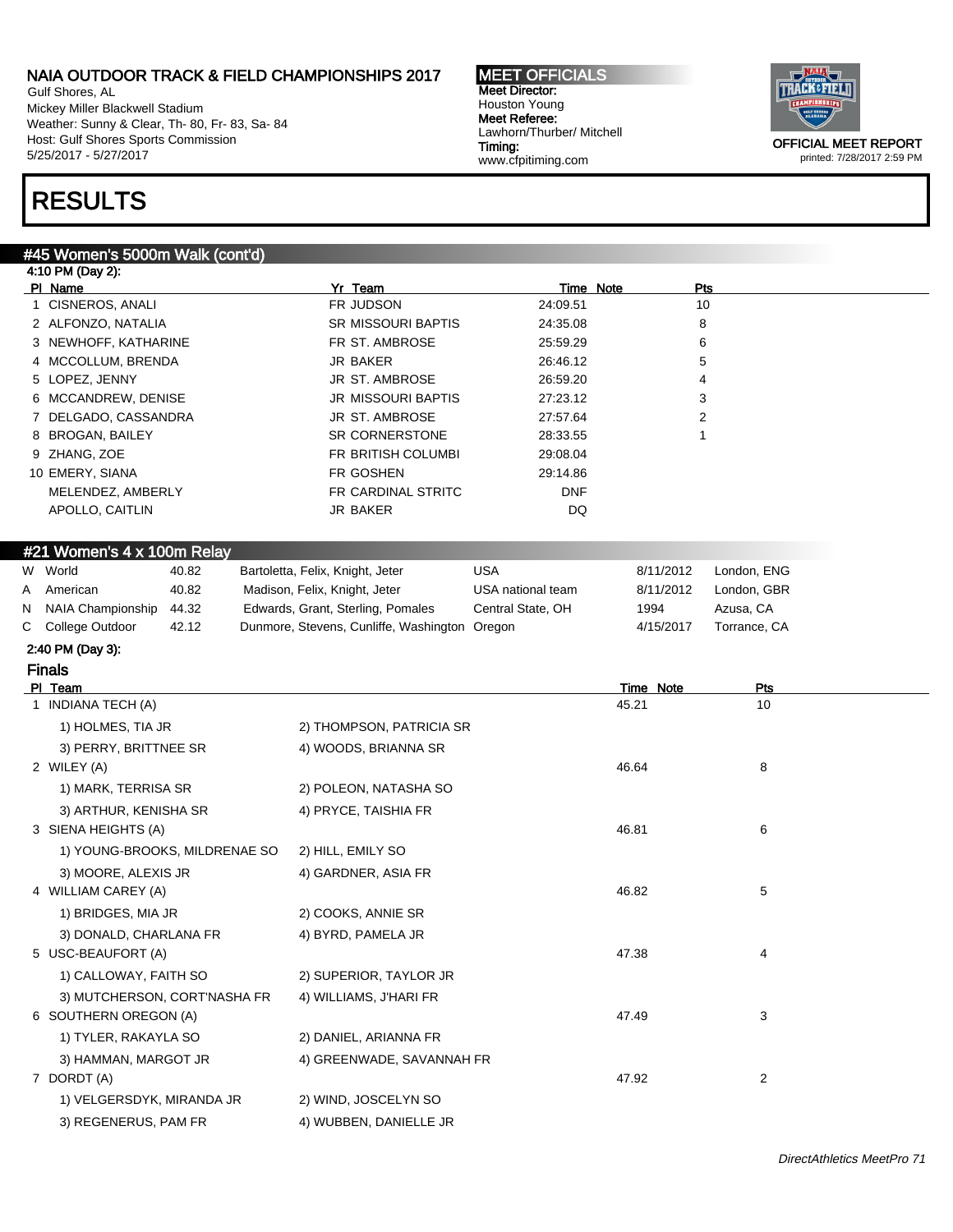Gulf Shores, AL Mickey Miller Blackwell Stadium Weather: Sunny & Clear, Th- 80, Fr- 83, Sa- 84 Host: Gulf Shores Sports Commission 5/25/2017 - 5/27/2017

# RESULTS

#### #45 Women's 5000m Walk (cont'd)

|   | 4:10 PM (Day 2):              |       |                                               |                   |           |                  |                  |
|---|-------------------------------|-------|-----------------------------------------------|-------------------|-----------|------------------|------------------|
|   | PI Name                       |       | Yr Team                                       |                   | Time Note | <u>Pts</u>       |                  |
|   | 1 CISNEROS, ANALI             |       | FR JUDSON                                     | 24:09.51          |           | 10               |                  |
|   | 2 ALFONZO, NATALIA            |       | <b>SR MISSOURI BAPTIS</b>                     | 24:35.08          |           | 8                |                  |
|   | 3 NEWHOFF, KATHARINE          |       | FR ST. AMBROSE                                | 25:59.29          |           | 6                |                  |
|   | 4 MCCOLLUM, BRENDA            |       | JR BAKER                                      | 26:46.12          |           | 5                |                  |
|   | 5 LOPEZ, JENNY                |       | JR ST. AMBROSE                                | 26:59.20          |           | 4                |                  |
|   | 6 MCCANDREW, DENISE           |       | <b>JR MISSOURI BAPTIS</b>                     | 27:23.12          |           | 3                |                  |
|   | 7 DELGADO, CASSANDRA          |       | JR ST. AMBROSE                                | 27:57.64          |           | 2                |                  |
|   | 8 BROGAN, BAILEY              |       | SR CORNERSTONE                                | 28:33.55          |           | 1                |                  |
|   | 9 ZHANG, ZOE                  |       | FR BRITISH COLUMBI                            | 29:08.04          |           |                  |                  |
|   | 10 EMERY, SIANA               |       | FR GOSHEN                                     | 29:14.86          |           |                  |                  |
|   | MELENDEZ, AMBERLY             |       | FR CARDINAL STRITC                            | <b>DNF</b>        |           |                  |                  |
|   | APOLLO, CAITLIN               |       | <b>JR BAKER</b>                               | DQ                |           |                  |                  |
|   |                               |       |                                               |                   |           |                  |                  |
|   | #21 Women's 4 x 100m Relay    |       |                                               |                   |           |                  |                  |
|   | W World                       | 40.82 | Bartoletta, Felix, Knight, Jeter              | <b>USA</b>        |           | 8/11/2012        | London, ENG      |
| A | American                      | 40.82 | Madison, Felix, Knight, Jeter                 | USA national team |           | 8/11/2012        | London, GBR      |
| N | NAIA Championship             | 44.32 | Edwards, Grant, Sterling, Pomales             | Central State, OH |           | 1994             | Azusa, CA        |
|   | C College Outdoor             | 42.12 | Dunmore, Stevens, Cunliffe, Washington Oregon |                   |           | 4/15/2017        | Torrance, CA     |
|   |                               |       |                                               |                   |           |                  |                  |
|   | 2:40 PM (Day 3):              |       |                                               |                   |           |                  |                  |
|   | <b>Finals</b>                 |       |                                               |                   |           |                  |                  |
|   | PI Team<br>1 INDIANA TECH (A) |       |                                               |                   | 45.21     | <b>Time Note</b> | <b>Pts</b><br>10 |
|   |                               |       |                                               |                   |           |                  |                  |
|   | 1) HOLMES, TIA JR             |       | 2) THOMPSON, PATRICIA SR                      |                   |           |                  |                  |
|   | 3) PERRY, BRITTNEE SR         |       | 4) WOODS, BRIANNA SR                          |                   |           |                  |                  |
|   | 2 WILEY (A)                   |       |                                               |                   | 46.64     |                  | 8                |
|   | 1) MARK, TERRISA SR           |       | 2) POLEON, NATASHA SO                         |                   |           |                  |                  |
|   | 3) ARTHUR, KENISHA SR         |       | 4) PRYCE, TAISHIA FR                          |                   |           |                  |                  |
|   | 3 SIENA HEIGHTS (A)           |       |                                               |                   | 46.81     |                  | 6                |
|   | 1) YOUNG-BROOKS, MILDRENAE SO |       | 2) HILL, EMILY SO                             |                   |           |                  |                  |
|   |                               |       |                                               |                   |           |                  |                  |
|   | 3) MOORE, ALEXIS JR           |       | 4) GARDNER, ASIA FR                           |                   |           |                  |                  |
|   | 4 WILLIAM CAREY (A)           |       |                                               |                   | 46.82     |                  | 5                |
|   | 1) BRIDGES, MIA JR            |       | 2) COOKS, ANNIE SR                            |                   |           |                  |                  |
|   | 3) DONALD, CHARLANA FR        |       | 4) BYRD, PAMELA JR                            |                   |           |                  |                  |
|   | 5 USC-BEAUFORT (A)            |       |                                               |                   | 47.38     |                  | 4                |
|   | 1) CALLOWAY, FAITH SO         |       | 2) SUPERIOR, TAYLOR JR                        |                   |           |                  |                  |
|   | 3) MUTCHERSON, CORT'NASHA FR  |       | 4) WILLIAMS, J'HARI FR                        |                   |           |                  |                  |
|   | 6 SOUTHERN OREGON (A)         |       |                                               |                   | 47.49     |                  | 3                |
|   | 1) TYLER, RAKAYLA SO          |       | 2) DANIEL, ARIANNA FR                         |                   |           |                  |                  |
|   |                               |       |                                               |                   |           |                  |                  |
|   | 3) HAMMAN, MARGOT JR          |       | 4) GREENWADE, SAVANNAH FR                     |                   |           |                  |                  |
|   | 7 DORDT (A)                   |       |                                               |                   | 47.92     |                  | $\overline{2}$   |
|   | 1) VELGERSDYK, MIRANDA JR     |       | 2) WIND, JOSCELYN SO                          |                   |           |                  |                  |
|   | 3) REGENERUS, PAM FR          |       | 4) WUBBEN, DANIELLE JR                        |                   |           |                  |                  |

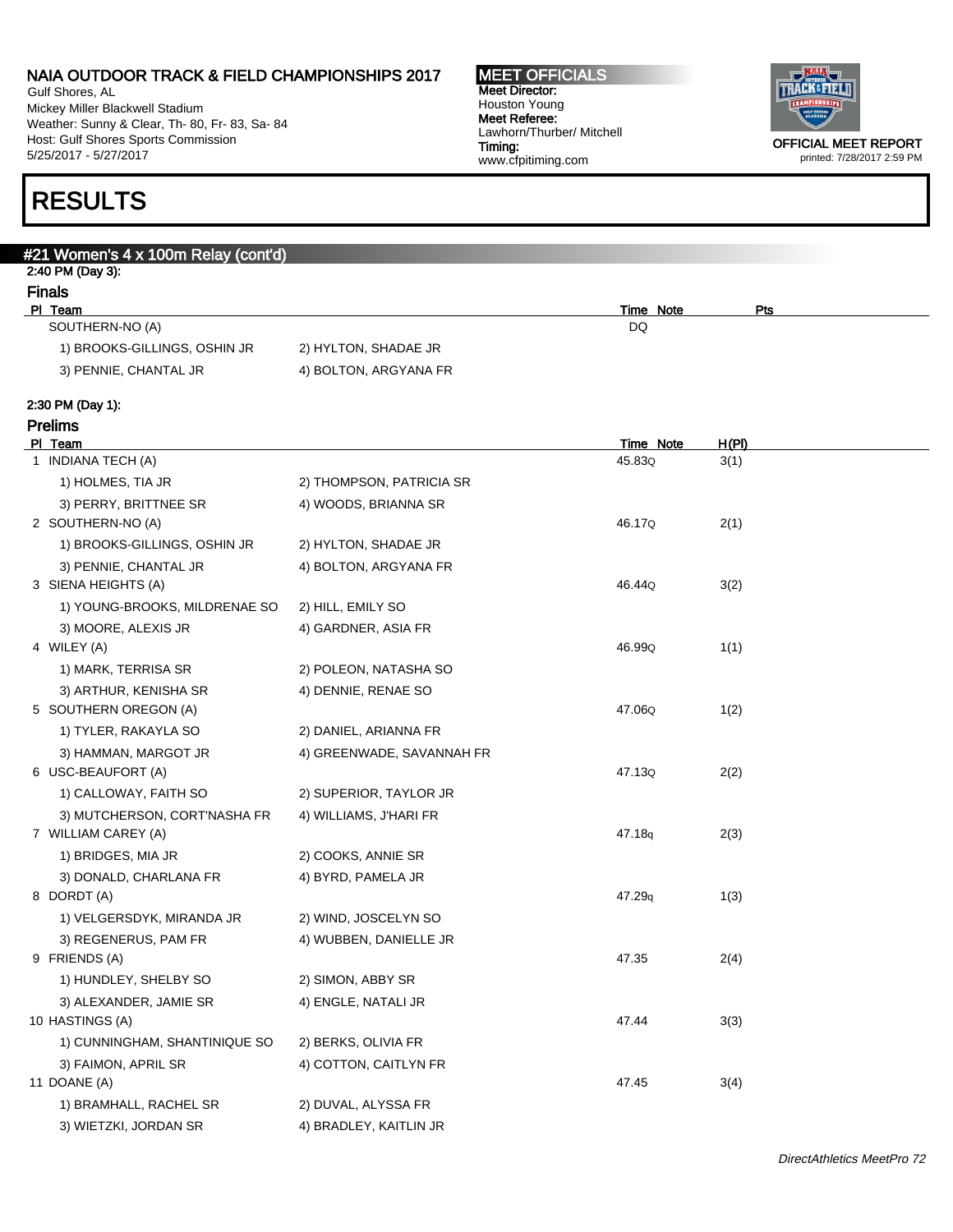Gulf Shores, AL Mickey Miller Blackwell Stadium Weather: Sunny & Clear, Th- 80, Fr- 83, Sa- 84 Host: Gulf Shores Sports Commission 5/25/2017 - 5/27/2017

#### MEET OFFICIALS Meet Director: Houston Young Meet Referee: Lawhorn/Thurber/ Mitchell Timing: www.cfpitiming.com



printed: 7/28/2017 2:59 PM

### RESULTS

### #21 Women's 4 x 100m Relay (cont'd) 2:40 PM (Day 3): Finals Pl Team Time Note Pts SOUTHERN-NO (A) DQ 1) BROOKS-GILLINGS, OSHIN JR 2) HYLTON, SHADAE JR 3) PENNIE, CHANTAL JR 4) BOLTON, ARGYANA FR 2:30 PM (Day 1): Prelims Pl Team Time Note H(Pl) 1 INDIANA TECH (A) 2(1) 2(1) 2(1) 3(1) 3(1) 3(1) 3(1) 45.830 3(1) 1) HOLMES, TIA JR 2) THOMPSON, PATRICIA SR 3) PERRY, BRITTNEE SR 4) WOODS, BRIANNA SR 2 SOUTHERN-NO (A) 46.17Q 2(1) 1) BROOKS-GILLINGS, OSHIN JR 2) HYLTON, SHADAE JR 3) PENNIE, CHANTAL JR 4) BOLTON, ARGYANA FR 3 SIENA HEIGHTS (A) 46.44Q 3(2) 1) YOUNG-BROOKS, MILDRENAE SO 2) HILL, EMILY SO 3) MOORE, ALEXIS JR 4) GARDNER, ASIA FR 4 WILEY (A) 46.99Q 1(1) 1) MARK, TERRISA SR 2) POLEON, NATASHA SO 3) ARTHUR, KENISHA SR 4) DENNIE, RENAE SO 5 SOUTHERN OREGON (A) 47.06Q 1(2) 1) TYLER, RAKAYLA SO 2) DANIEL, ARIANNA FR 3) HAMMAN, MARGOT JR 4) GREENWADE, SAVANNAH FR 6 USC-BEAUFORT (A) 47.13Q 2(2) 1) CALLOWAY, FAITH SO 2) SUPERIOR, TAYLOR JR 3) MUTCHERSON, CORT'NASHA FR 4) WILLIAMS, J'HARI FR 7 WILLIAM CAREY (A) 47.18q 2(3) 1) BRIDGES, MIA JR 2) COOKS, ANNIE SR 3) DONALD, CHARLANA FR 4) BYRD, PAMELA JR 8 DORDT (A)  $47.29q$   $1(3)$ 1) VELGERSDYK, MIRANDA JR 2) WIND, JOSCELYN SO 3) REGENERUS, PAM FR 4) WUBBEN, DANIELLE JR 9 FRIENDS (A) 47.35 2(4) 1) HUNDLEY, SHELBY SO 2) SIMON, ABBY SR 3) ALEXANDER, JAMIE SR 4) ENGLE, NATALI JR 10 HASTINGS (A) 3(3) 1) CUNNINGHAM, SHANTINIQUE SO 2) BERKS, OLIVIA FR 3) FAIMON, APRIL SR 4) COTTON, CAITLYN FR

1) BRAMHALL, RACHEL SR 2) DUVAL, ALYSSA FR 3) WIETZKI, JORDAN SR 4) BRADLEY, KAITLIN JR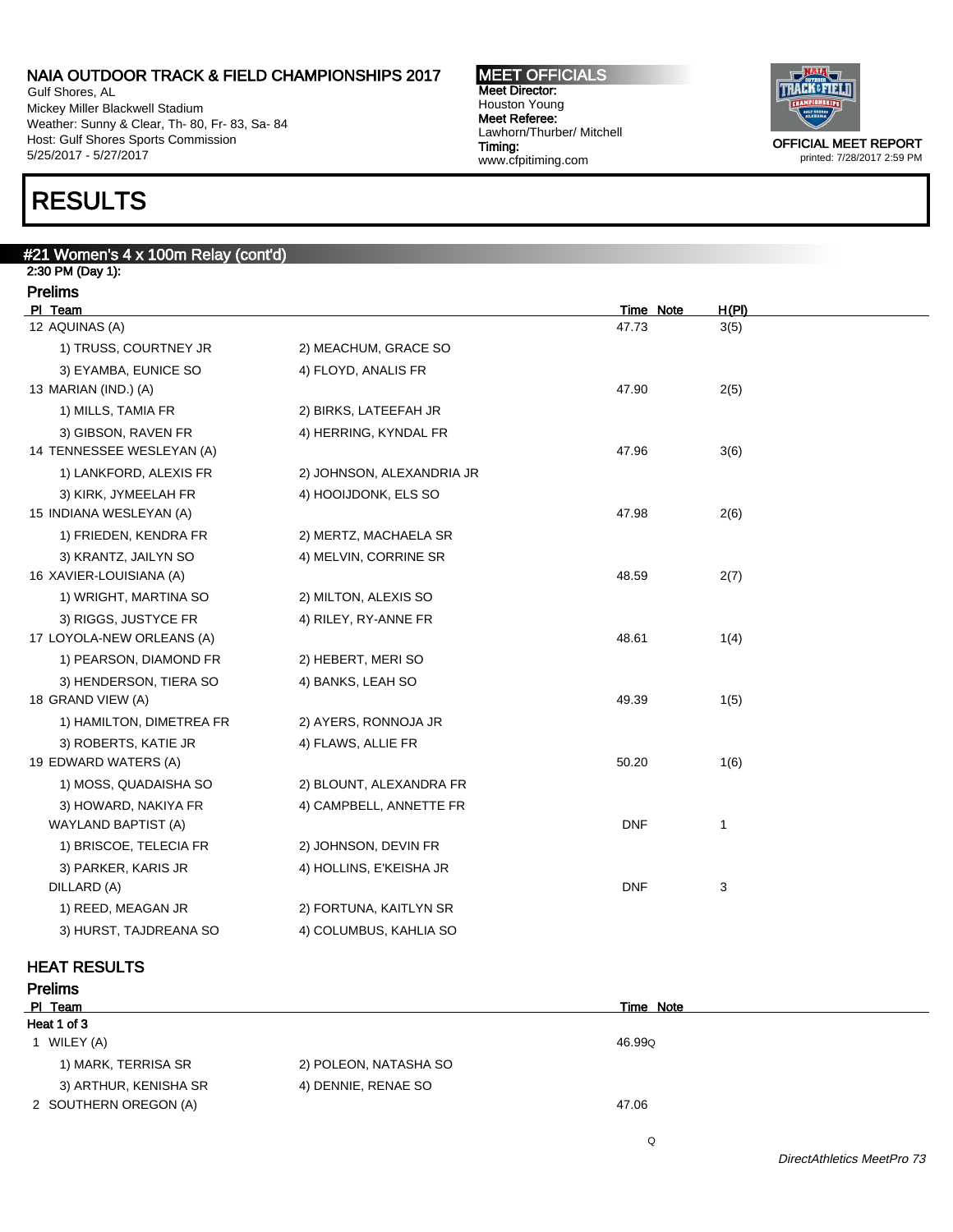Gulf Shores, AL Mickey Miller Blackwell Stadium Weather: Sunny & Clear, Th- 80, Fr- 83, Sa- 84 Host: Gulf Shores Sports Commission 5/25/2017 - 5/27/2017

# RESULTS

### #21 Women's 4 x 100m Relay (cont'd)

2:30 PM (Day 1):

| <b>Prelims</b><br>PI Team |                           | Time Note  | H(PI)        |
|---------------------------|---------------------------|------------|--------------|
| 12 AQUINAS (A)            |                           | 47.73      | 3(5)         |
| 1) TRUSS, COURTNEY JR     | 2) MEACHUM, GRACE SO      |            |              |
| 3) EYAMBA, EUNICE SO      | 4) FLOYD, ANALIS FR       |            |              |
| 13 MARIAN (IND.) (A)      |                           | 47.90      | 2(5)         |
| 1) MILLS, TAMIA FR        | 2) BIRKS, LATEEFAH JR     |            |              |
| 3) GIBSON, RAVEN FR       | 4) HERRING, KYNDAL FR     |            |              |
| 14 TENNESSEE WESLEYAN (A) |                           | 47.96      | 3(6)         |
| 1) LANKFORD, ALEXIS FR    | 2) JOHNSON, ALEXANDRIA JR |            |              |
| 3) KIRK, JYMEELAH FR      | 4) HOOIJDONK, ELS SO      |            |              |
| 15 INDIANA WESLEYAN (A)   |                           | 47.98      | 2(6)         |
| 1) FRIEDEN, KENDRA FR     | 2) MERTZ, MACHAELA SR     |            |              |
| 3) KRANTZ, JAILYN SO      | 4) MELVIN, CORRINE SR     |            |              |
| 16 XAVIER-LOUISIANA (A)   |                           | 48.59      | 2(7)         |
| 1) WRIGHT, MARTINA SO     | 2) MILTON, ALEXIS SO      |            |              |
| 3) RIGGS, JUSTYCE FR      | 4) RILEY, RY-ANNE FR      |            |              |
| 17 LOYOLA-NEW ORLEANS (A) |                           | 48.61      | 1(4)         |
| 1) PEARSON, DIAMOND FR    | 2) HEBERT, MERI SO        |            |              |
| 3) HENDERSON, TIERA SO    | 4) BANKS, LEAH SO         |            |              |
| 18 GRAND VIEW (A)         |                           | 49.39      | 1(5)         |
| 1) HAMILTON, DIMETREA FR  | 2) AYERS, RONNOJA JR      |            |              |
| 3) ROBERTS, KATIE JR      | 4) FLAWS, ALLIE FR        |            |              |
| 19 EDWARD WATERS (A)      |                           | 50.20      | 1(6)         |
| 1) MOSS, QUADAISHA SO     | 2) BLOUNT, ALEXANDRA FR   |            |              |
| 3) HOWARD, NAKIYA FR      | 4) CAMPBELL, ANNETTE FR   |            |              |
| WAYLAND BAPTIST (A)       |                           | <b>DNF</b> | $\mathbf{1}$ |
| 1) BRISCOE, TELECIA FR    | 2) JOHNSON, DEVIN FR      |            |              |
| 3) PARKER, KARIS JR       | 4) HOLLINS, E'KEISHA JR   |            |              |
| DILLARD (A)               |                           | <b>DNF</b> | 3            |
| 1) REED, MEAGAN JR        | 2) FORTUNA, KAITLYN SR    |            |              |
| 3) HURST, TAJDREANA SO    | 4) COLUMBUS, KAHLIA SO    |            |              |

#### HEAT RESULTS Prelims

| <b>Prellms</b>        |                       |           |  |
|-----------------------|-----------------------|-----------|--|
| PI Team               |                       | Time Note |  |
| Heat 1 of 3           |                       |           |  |
| 1 WILEY (A)           |                       | 46.99Q    |  |
| 1) MARK, TERRISA SR   | 2) POLEON, NATASHA SO |           |  |
| 3) ARTHUR, KENISHA SR | 4) DENNIE, RENAE SO   |           |  |
| 2 SOUTHERN OREGON (A) |                       | 47.06     |  |
|                       |                       |           |  |

MEET OFFICIALS Meet Director: Houston Young Meet Referee: Lawhorn/Thurber/ Mitchell Timing: www.cfpitiming.com



DirectAthletics MeetPro 73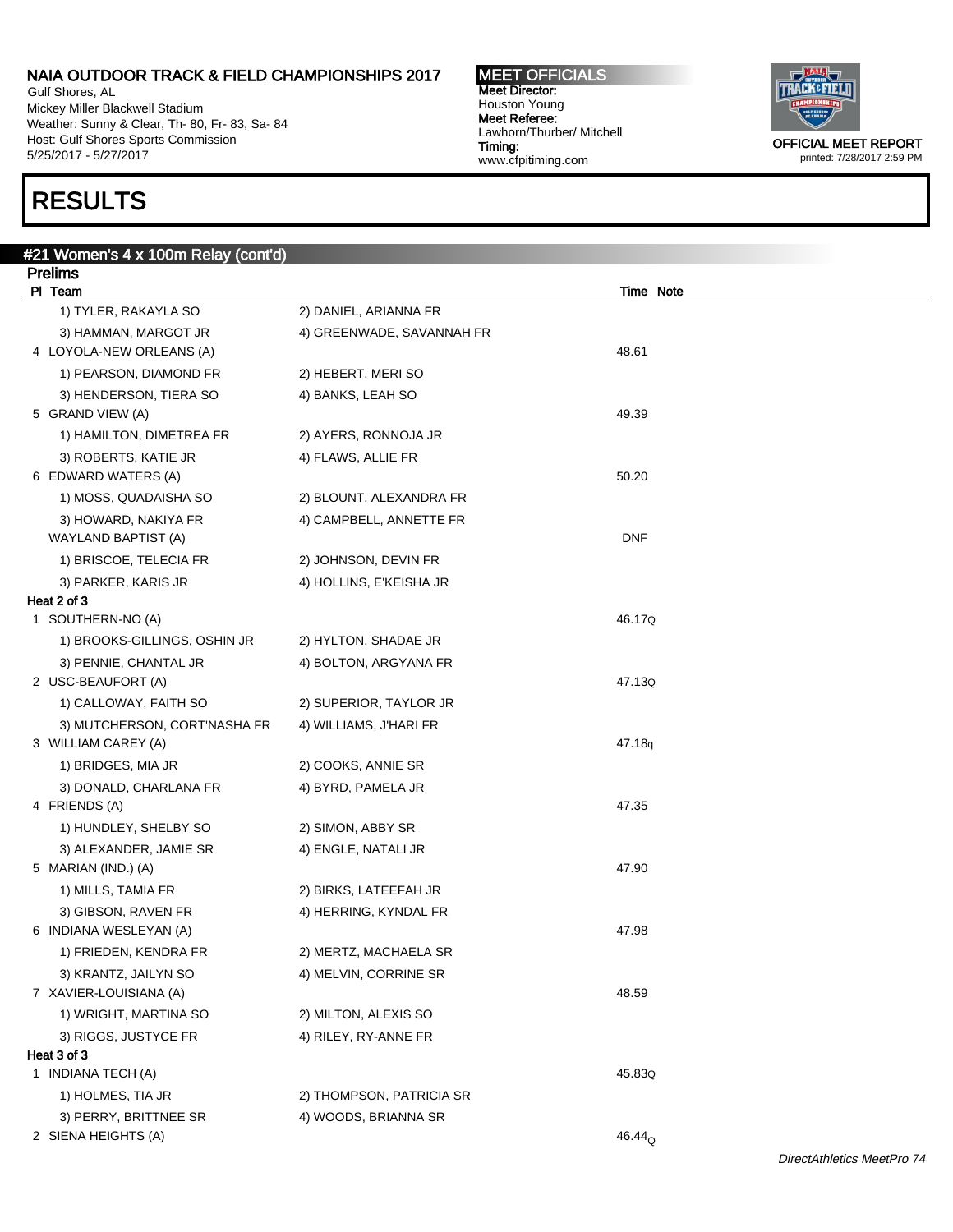Gulf Shores, AL Mickey Miller Blackwell Stadium Weather: Sunny & Clear, Th- 80, Fr- 83, Sa- 84 Host: Gulf Shores Sports Commission 5/25/2017 - 5/27/2017

#21 Women's 4 x 100m Relay (cont'd)

## RESULTS

# Meet Director: Houston Young Meet Referee: Lawhorn/Thurber/ Mitchell Timing: www.cfpitiming.com

MEET OFFICIALS



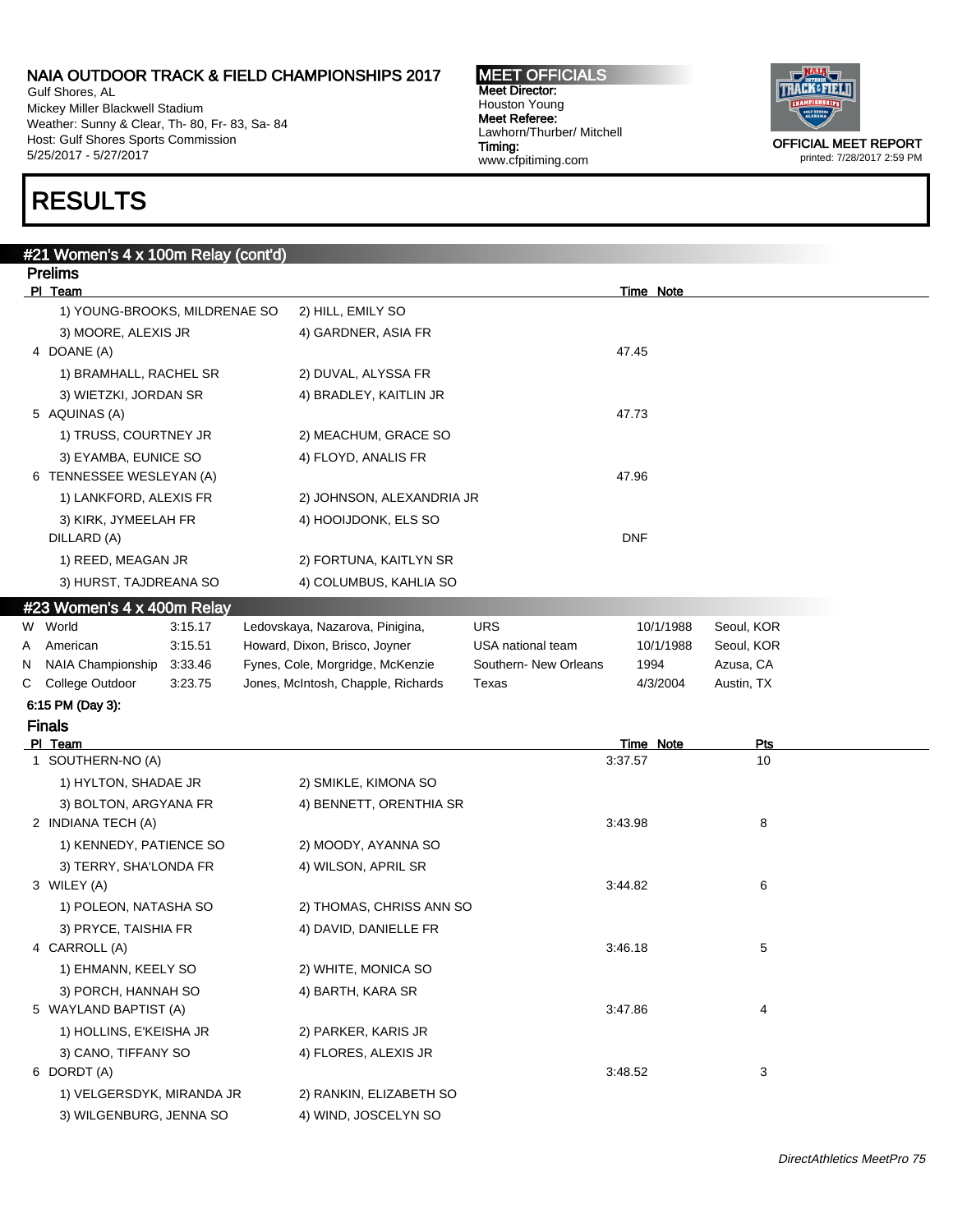Gulf Shores, AL Mickey Miller Blackwell Stadium Weather: Sunny & Clear, Th- 80, Fr- 83, Sa- 84 Host: Gulf Shores Sports Commission 5/25/2017 - 5/27/2017

## RESULTS

|   | #21 Women's 4 x 100m Relay (cont'd) |         |                                    |                       |            |            |  |
|---|-------------------------------------|---------|------------------------------------|-----------------------|------------|------------|--|
|   | <b>Prelims</b>                      |         |                                    |                       |            |            |  |
|   | PI Team                             |         |                                    |                       | Time Note  |            |  |
|   | 1) YOUNG-BROOKS, MILDRENAE SO       |         | 2) HILL, EMILY SO                  |                       |            |            |  |
|   | 3) MOORE, ALEXIS JR                 |         | 4) GARDNER, ASIA FR                |                       |            |            |  |
|   | 4 DOANE (A)                         |         |                                    |                       | 47.45      |            |  |
|   | 1) BRAMHALL, RACHEL SR              |         | 2) DUVAL, ALYSSA FR                |                       |            |            |  |
|   | 3) WIETZKI, JORDAN SR               |         | 4) BRADLEY, KAITLIN JR             |                       |            |            |  |
|   | 5 AQUINAS (A)                       |         |                                    |                       | 47.73      |            |  |
|   | 1) TRUSS, COURTNEY JR               |         | 2) MEACHUM, GRACE SO               |                       |            |            |  |
|   | 3) EYAMBA, EUNICE SO                |         | 4) FLOYD, ANALIS FR                |                       |            |            |  |
|   | 6 TENNESSEE WESLEYAN (A)            |         |                                    |                       | 47.96      |            |  |
|   | 1) LANKFORD, ALEXIS FR              |         | 2) JOHNSON, ALEXANDRIA JR          |                       |            |            |  |
|   | 3) KIRK, JYMEELAH FR                |         | 4) HOOIJDONK, ELS SO               |                       |            |            |  |
|   | DILLARD (A)                         |         |                                    |                       | <b>DNF</b> |            |  |
|   | 1) REED, MEAGAN JR                  |         | 2) FORTUNA, KAITLYN SR             |                       |            |            |  |
|   | 3) HURST, TAJDREANA SO              |         | 4) COLUMBUS, KAHLIA SO             |                       |            |            |  |
|   | #23 Women's 4 x 400m Relay          |         |                                    |                       |            |            |  |
|   | W World                             | 3:15.17 | Ledovskaya, Nazarova, Pinigina,    | <b>URS</b>            | 10/1/1988  | Seoul, KOR |  |
| Α | American                            | 3:15.51 | Howard, Dixon, Brisco, Joyner      | USA national team     | 10/1/1988  | Seoul, KOR |  |
| N | <b>NAIA Championship</b>            | 3:33.46 | Fynes, Cole, Morgridge, McKenzie   | Southern- New Orleans | 1994       | Azusa, CA  |  |
|   | C College Outdoor                   | 3:23.75 | Jones, McIntosh, Chapple, Richards | Texas                 | 4/3/2004   | Austin, TX |  |
|   | 6:15 PM (Day 3):                    |         |                                    |                       |            |            |  |
|   | <b>Finals</b>                       |         |                                    |                       |            |            |  |
|   | PI Team                             |         |                                    |                       | Time Note  | Pts        |  |
|   | 1 SOUTHERN-NO (A)                   |         |                                    |                       | 3:37.57    | 10         |  |
|   | 1) HYLTON, SHADAE JR                |         | 2) SMIKLE, KIMONA SO               |                       |            |            |  |
|   | 3) BOLTON, ARGYANA FR               |         | 4) BENNETT, ORENTHIA SR            |                       |            |            |  |
|   | 2 INDIANA TECH (A)                  |         |                                    |                       | 3:43.98    | 8          |  |
|   | 1) KENNEDY, PATIENCE SO             |         | 2) MOODY, AYANNA SO                |                       |            |            |  |
|   | 3) TERRY, SHA'LONDA FR              |         | 4) WILSON, APRIL SR                |                       |            |            |  |
|   | 3 WILEY (A)                         |         |                                    |                       | 3:44.82    | 6          |  |
|   | 1) POLEON, NATASHA SO               |         | 2) THOMAS, CHRISS ANN SO           |                       |            |            |  |
|   | 3) PRYCE, TAISHIA FR                |         | 4) DAVID, DANIELLE FR              |                       |            |            |  |

4 CARROLL (A) 3:46.18 5

5 WAYLAND BAPTIST (A) 3:47.86 4

6 DORDT (A) 3:48.52 3

1) EHMANN, KEELY SO 2) WHITE, MONICA SO 3) PORCH, HANNAH SO 4) BARTH, KARA SR

1) HOLLINS, E'KEISHA JR 2) PARKER, KARIS JR 3) CANO, TIFFANY SO 4) FLORES, ALEXIS JR

1) VELGERSDYK, MIRANDA JR 2) RANKIN, ELIZABETH SO 3) WILGENBURG, JENNA SO 4) WIND, JOSCELYN SO

MEET OFFICIALS

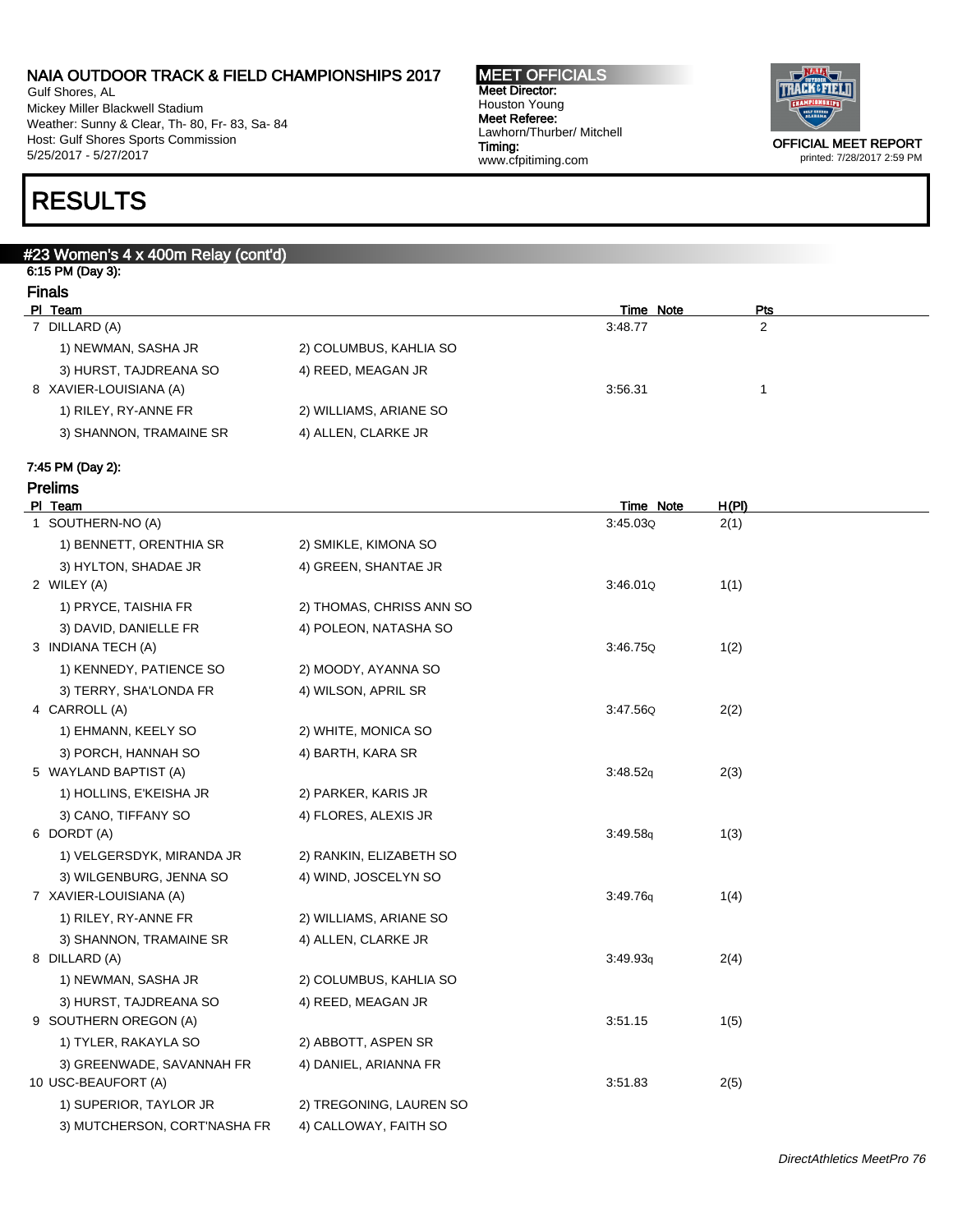Gulf Shores, AL Mickey Miller Blackwell Stadium Weather: Sunny & Clear, Th- 80, Fr- 83, Sa- 84 Host: Gulf Shores Sports Commission 5/25/2017 - 5/27/2017

#### MEET OFFICIALS Meet Director: Houston Young Meet Referee: Lawhorn/Thurber/ Mitchell Timing: www.cfpitiming.com



printed: 7/28/2017 2:59 PM

# RESULTS

#### #23 Women's 4 x 400m Relay (cont'd) 6:15 PM (Day 3): Finals

| rmais   |  |
|---------|--|
| PI Team |  |
|         |  |

| PI Team                 |                        | Time Note | Pts |
|-------------------------|------------------------|-----------|-----|
| 7 DILLARD (A)           |                        | 3:48.77   |     |
| 1) NEWMAN, SASHA JR     | 2) COLUMBUS, KAHLIA SO |           |     |
| 3) HURST, TAJDREANA SO  | 4) REED, MEAGAN JR     |           |     |
| 8 XAVIER-LOUISIANA (A)  |                        | 3:56.31   |     |
| 1) RILEY, RY-ANNE FR    | 2) WILLIAMS, ARIANE SO |           |     |
| 3) SHANNON, TRAMAINE SR | 4) ALLEN, CLARKE JR    |           |     |

#### 7:45 PM (Day 2):

| гісшір<br>PI Team            |                          | Time Note | H(PI) |  |
|------------------------------|--------------------------|-----------|-------|--|
| 1 SOUTHERN-NO (A)            |                          | 3:45.03Q  | 2(1)  |  |
| 1) BENNETT, ORENTHIA SR      | 2) SMIKLE, KIMONA SO     |           |       |  |
| 3) HYLTON, SHADAE JR         | 4) GREEN, SHANTAE JR     |           |       |  |
| 2 WILEY (A)                  |                          | 3:46.01Q  | 1(1)  |  |
| 1) PRYCE, TAISHIA FR         | 2) THOMAS, CHRISS ANN SO |           |       |  |
| 3) DAVID, DANIELLE FR        | 4) POLEON, NATASHA SO    |           |       |  |
| 3 INDIANA TECH (A)           |                          | 3:46.75Q  | 1(2)  |  |
| 1) KENNEDY, PATIENCE SO      | 2) MOODY, AYANNA SO      |           |       |  |
| 3) TERRY, SHA'LONDA FR       | 4) WILSON, APRIL SR      |           |       |  |
| 4 CARROLL (A)                |                          | 3:47.56Q  | 2(2)  |  |
| 1) EHMANN, KEELY SO          | 2) WHITE, MONICA SO      |           |       |  |
| 3) PORCH, HANNAH SO          | 4) BARTH, KARA SR        |           |       |  |
| 5 WAYLAND BAPTIST (A)        |                          | 3:48.52q  | 2(3)  |  |
| 1) HOLLINS, E'KEISHA JR      | 2) PARKER, KARIS JR      |           |       |  |
| 3) CANO, TIFFANY SO          | 4) FLORES, ALEXIS JR     |           |       |  |
| 6 DORDT (A)                  |                          | 3:49.58q  | 1(3)  |  |
| 1) VELGERSDYK, MIRANDA JR    | 2) RANKIN, ELIZABETH SO  |           |       |  |
| 3) WILGENBURG, JENNA SO      | 4) WIND, JOSCELYN SO     |           |       |  |
| 7 XAVIER-LOUISIANA (A)       |                          | 3:49.76q  | 1(4)  |  |
| 1) RILEY, RY-ANNE FR         | 2) WILLIAMS, ARIANE SO   |           |       |  |
| 3) SHANNON, TRAMAINE SR      | 4) ALLEN, CLARKE JR      |           |       |  |
| 8 DILLARD (A)                |                          | 3:49.93q  | 2(4)  |  |
| 1) NEWMAN, SASHA JR          | 2) COLUMBUS, KAHLIA SO   |           |       |  |
| 3) HURST, TAJDREANA SO       | 4) REED, MEAGAN JR       |           |       |  |
| 9 SOUTHERN OREGON (A)        |                          | 3:51.15   | 1(5)  |  |
| 1) TYLER, RAKAYLA SO         | 2) ABBOTT, ASPEN SR      |           |       |  |
| 3) GREENWADE, SAVANNAH FR    | 4) DANIEL, ARIANNA FR    |           |       |  |
| 10 USC-BEAUFORT (A)          |                          | 3:51.83   | 2(5)  |  |
| 1) SUPERIOR, TAYLOR JR       | 2) TREGONING, LAUREN SO  |           |       |  |
| 3) MUTCHERSON, CORT'NASHA FR | 4) CALLOWAY, FAITH SO    |           |       |  |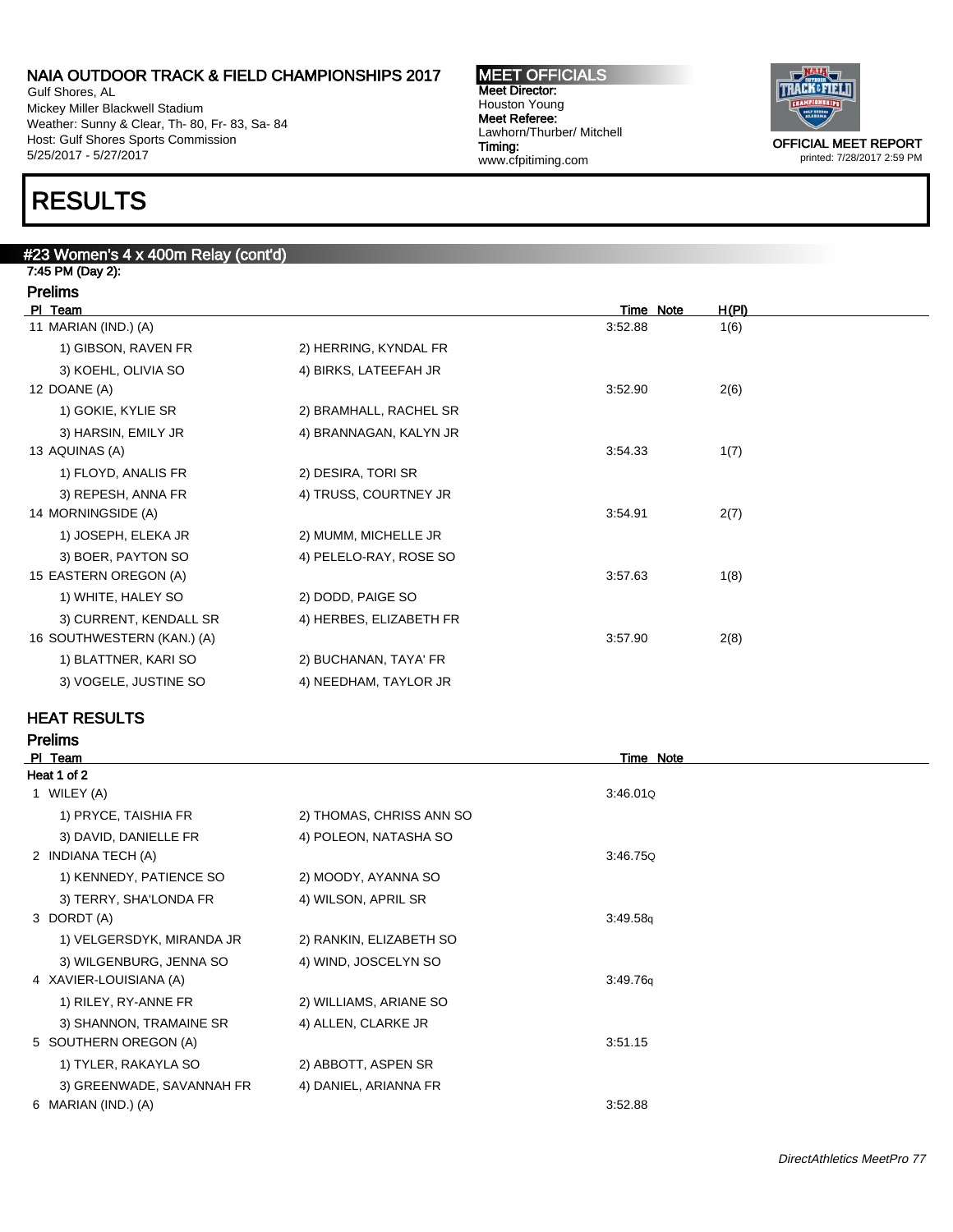Gulf Shores, AL Mickey Miller Blackwell Stadium Weather: Sunny & Clear, Th- 80, Fr- 83, Sa- 84 Host: Gulf Shores Sports Commission 5/25/2017 - 5/27/2017

#### MEET OFFICIALS Meet Director: Houston Young Meet Referee: Lawhorn/Thurber/ Mitchell Timing: www.cfpitiming.com



RESULTS

## #23 Women's 4 x 400m Relay (cont'd)

7:45 PM (Day 2): Prelims

| PI Team                    |                         | Time Note | H(PI) |
|----------------------------|-------------------------|-----------|-------|
| 11 MARIAN (IND.) (A)       |                         | 3:52.88   | 1(6)  |
| 1) GIBSON, RAVEN FR        | 2) HERRING, KYNDAL FR   |           |       |
| 3) KOEHL, OLIVIA SO        | 4) BIRKS, LATEEFAH JR   |           |       |
| 12 DOANE (A)               |                         | 3:52.90   | 2(6)  |
| 1) GOKIE, KYLIE SR         | 2) BRAMHALL, RACHEL SR  |           |       |
| 3) HARSIN, EMILY JR        | 4) BRANNAGAN, KALYN JR  |           |       |
| 13 AQUINAS (A)             |                         | 3:54.33   | 1(7)  |
| 1) FLOYD, ANALIS FR        | 2) DESIRA, TORI SR      |           |       |
| 3) REPESH, ANNA FR         | 4) TRUSS, COURTNEY JR   |           |       |
| 14 MORNINGSIDE (A)         |                         | 3:54.91   | 2(7)  |
| 1) JOSEPH, ELEKA JR        | 2) MUMM, MICHELLE JR    |           |       |
| 3) BOER, PAYTON SO         | 4) PELELO-RAY, ROSE SO  |           |       |
| 15 EASTERN OREGON (A)      |                         | 3:57.63   | 1(8)  |
| 1) WHITE, HALEY SO         | 2) DODD, PAIGE SO       |           |       |
| 3) CURRENT, KENDALL SR     | 4) HERBES, ELIZABETH FR |           |       |
| 16 SOUTHWESTERN (KAN.) (A) |                         | 3:57.90   | 2(8)  |
| 1) BLATTNER, KARI SO       | 2) BUCHANAN, TAYA' FR   |           |       |
| 3) VOGELE, JUSTINE SO      | 4) NEEDHAM, TAYLOR JR   |           |       |
|                            |                         |           |       |

#### HEAT RESULTS

| <b>Prelims</b>            |                          |           |
|---------------------------|--------------------------|-----------|
| PI Team                   |                          | Time Note |
| Heat 1 of 2               |                          |           |
| 1 WILEY (A)               |                          | 3.46.01Q  |
| 1) PRYCE, TAISHIA FR      | 2) THOMAS, CHRISS ANN SO |           |
| 3) DAVID, DANIELLE FR     | 4) POLEON, NATASHA SO    |           |
| 2 INDIANA TECH (A)        |                          | 3:46.75Q  |
| 1) KENNEDY, PATIENCE SO   | 2) MOODY, AYANNA SO      |           |
| 3) TERRY, SHA'LONDA FR    | 4) WILSON, APRIL SR      |           |
| 3 DORDT (A)               |                          | 3:49.58q  |
| 1) VELGERSDYK, MIRANDA JR | 2) RANKIN, ELIZABETH SO  |           |
| 3) WILGENBURG, JENNA SO   | 4) WIND, JOSCELYN SO     |           |
| 4 XAVIER-LOUISIANA (A)    |                          | 3:49.76q  |
| 1) RILEY, RY-ANNE FR      | 2) WILLIAMS, ARIANE SO   |           |
| 3) SHANNON, TRAMAINE SR   | 4) ALLEN, CLARKE JR      |           |
| 5 SOUTHERN OREGON (A)     |                          | 3:51.15   |
| 1) TYLER, RAKAYLA SO      | 2) ABBOTT, ASPEN SR      |           |
| 3) GREENWADE, SAVANNAH FR | 4) DANIEL, ARIANNA FR    |           |
| 6 MARIAN (IND.) (A)       |                          | 3:52.88   |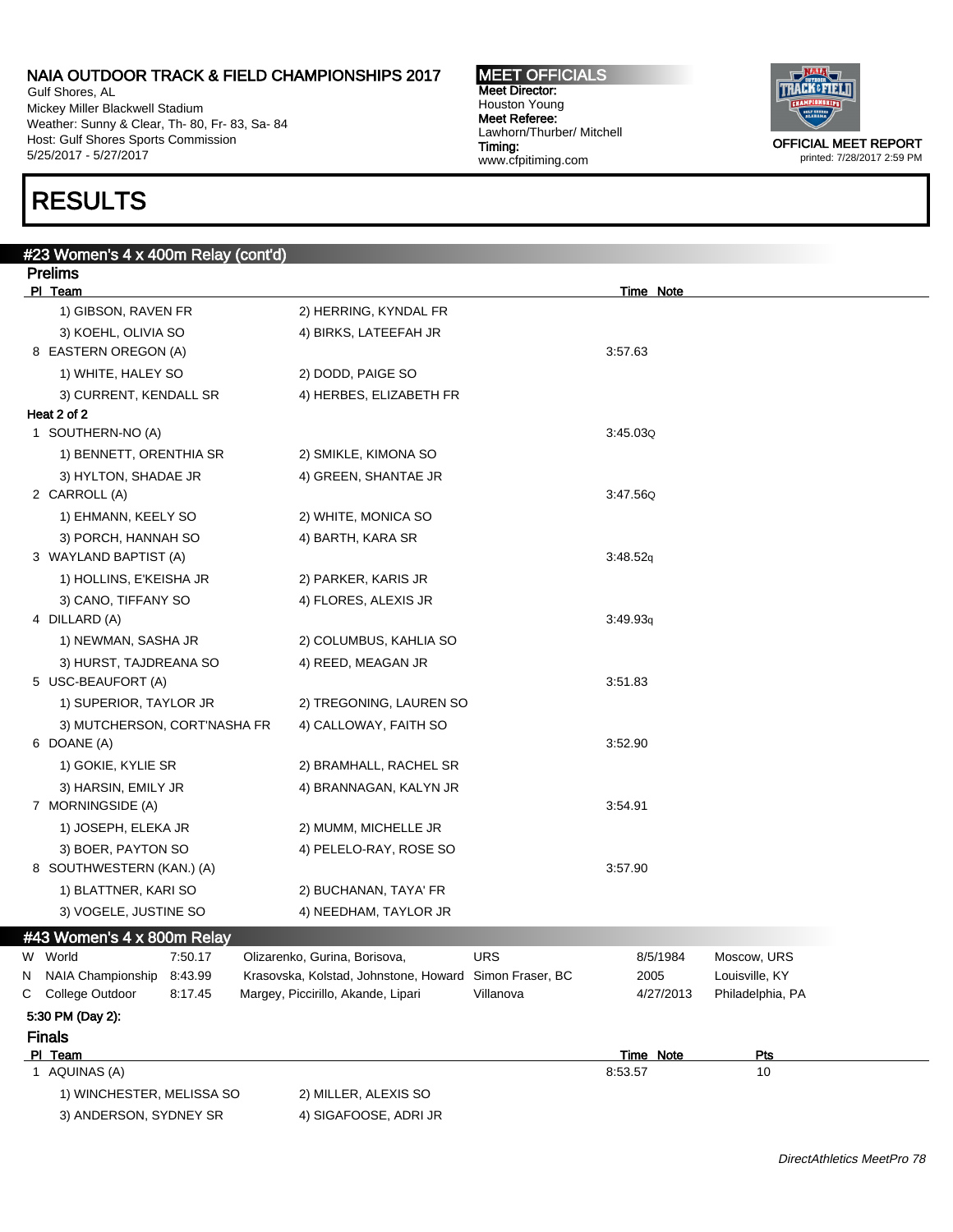Gulf Shores, AL Mickey Miller Blackwell Stadium Weather: Sunny & Clear, Th- 80, Fr- 83, Sa- 84 Host: Gulf Shores Sports Commission 5/25/2017 - 5/27/2017

## RESULTS

### #23 Women's 4 x 400m Relay (cont'd) Prelims PI Team Time Note 1) GIBSON, RAVEN FR 2) HERRING, KYNDAL FR 3) KOEHL, OLIVIA SO 4) BIRKS, LATEEFAH JR 8 EASTERN OREGON (A) 3:57.63 1) WHITE, HALEY SO 2) DODD, PAIGE SO 3) CURRENT, KENDALL SR 4) HERBES, ELIZABETH FR Heat 2 of 2 1 SOUTHERN-NO (A) 3:45.03Q 1) BENNETT, ORENTHIA SR 2) SMIKLE, KIMONA SO 3) HYLTON, SHADAE JR 4) GREEN, SHANTAE JR 2 CARROLL (A) 3:47.56Q 1) EHMANN, KEELY SO 2) WHITE, MONICA SO 3) PORCH, HANNAH SO 4) BARTH, KARA SR 3 WAYLAND BAPTIST (A) 3:48.52q 1) HOLLINS, E'KEISHA JR 2) PARKER, KARIS JR 3) CANO, TIFFANY SO 4) FLORES, ALEXIS JR 4 DILLARD (A) 3:49.93q 1) NEWMAN, SASHA JR 2) COLUMBUS, KAHLIA SO 3) HURST, TAJDREANA SO 4) REED, MEAGAN JR 5 USC-BEAUFORT (A) 3:51.83 1) SUPERIOR, TAYLOR JR 2) TREGONING, LAUREN SO 3) MUTCHERSON, CORT'NASHA FR 4) CALLOWAY, FAITH SO 6 DOANE (A) 3:52.90 1) GOKIE, KYLIE SR 2) BRAMHALL, RACHEL SR 3) HARSIN, EMILY JR 4) BRANNAGAN, KALYN JR 7 MORNINGSIDE (A) 3:54.91 1) JOSEPH, ELEKA JR 2) MUMM, MICHELLE JR 3) BOER, PAYTON SO 4) PELELO-RAY, ROSE SO 8 SOUTHWESTERN (KAN.) (A) 3:57.90 1) BLATTNER, KARI SO 2) BUCHANAN, TAYA' FR 3) VOGELE, JUSTINE SO 4) NEEDHAM, TAYLOR JR #43 Women's 4 x 800m Relay W World **1.50.17 Colizarenko, Gurina, Borisova,** CURS Correst B/5/1984 Moscow, URS N NAIA Championship 8:43.99 Krasovska, Kolstad, Johnstone, Howard Simon Fraser, BC 2005 Louisville, KY C College Outdoor 8:17.45 Margey, Piccirillo, Akande, Lipari Villanova 4/27/2013 Philadelphia, PA 5:30 PM (Day 2): Finals Pl Team Time Note Pts 1 AQUINAS (A) 8:53.57 10 1) WINCHESTER, MELISSA SO 2) MILLER, ALEXIS SO



MEET OFFICIALS Meet Director: Houston Young Meet Referee: Lawhorn/Thurber/ Mitchell Timing: www.cfpitiming.com

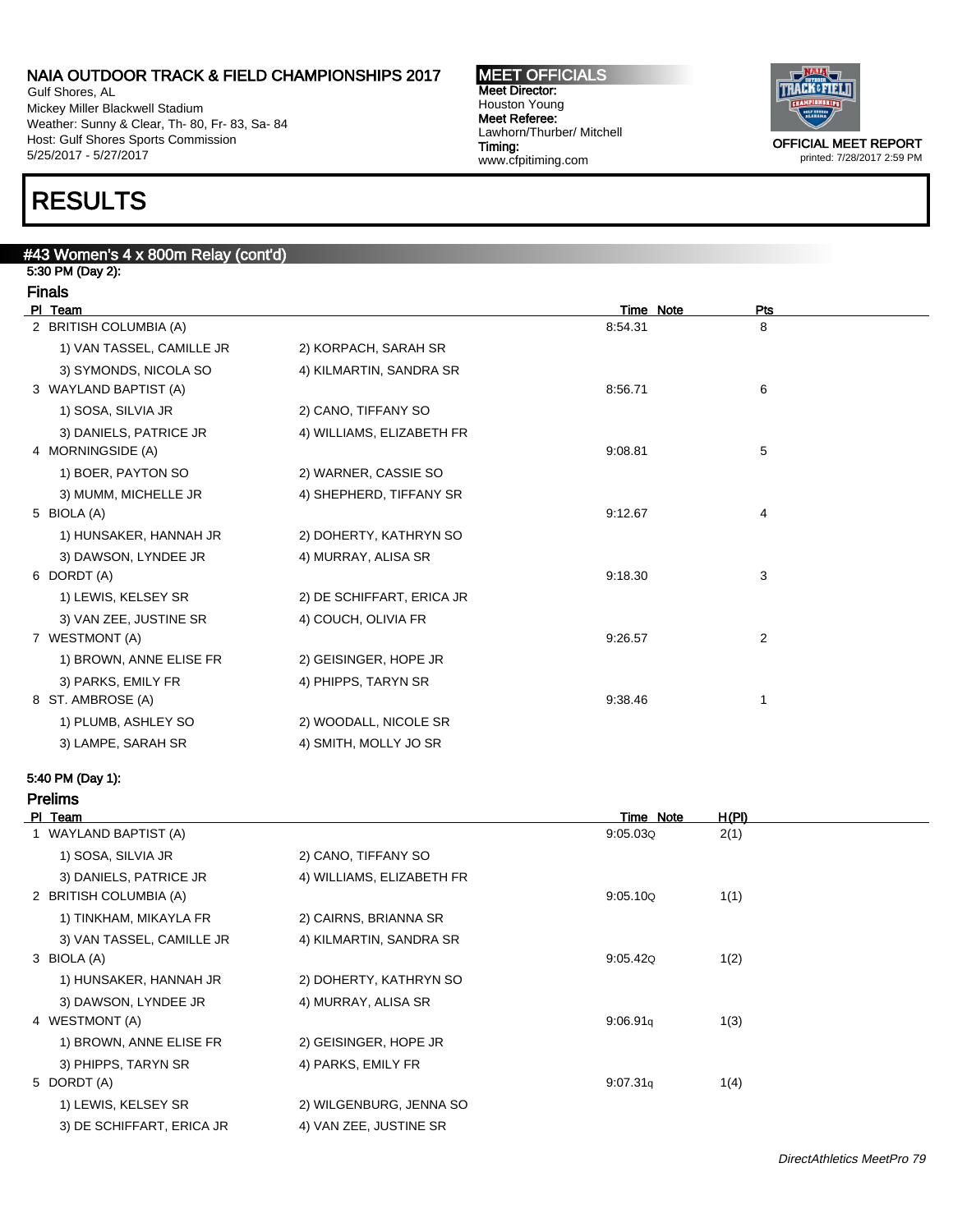Gulf Shores, AL Mickey Miller Blackwell Stadium Weather: Sunny & Clear, Th- 80, Fr- 83, Sa- 84 Host: Gulf Shores Sports Commission 5/25/2017 - 5/27/2017

# RESULTS

### #43 Women's 4 x 800m Relay (cont'd)

5:30 PM (Day 2): Finals

| гнар                      |                           |           |                |  |
|---------------------------|---------------------------|-----------|----------------|--|
| PI Team                   |                           | Time Note | <b>Pts</b>     |  |
| 2 BRITISH COLUMBIA (A)    |                           | 8:54.31   | 8              |  |
| 1) VAN TASSEL, CAMILLE JR | 2) KORPACH, SARAH SR      |           |                |  |
| 3) SYMONDS, NICOLA SO     | 4) KILMARTIN, SANDRA SR   |           |                |  |
| 3 WAYLAND BAPTIST (A)     |                           | 8:56.71   | 6              |  |
| 1) SOSA, SILVIA JR        | 2) CANO, TIFFANY SO       |           |                |  |
| 3) DANIELS, PATRICE JR    | 4) WILLIAMS, ELIZABETH FR |           |                |  |
| 4 MORNINGSIDE (A)         |                           | 9:08.81   | 5              |  |
| 1) BOER, PAYTON SO        | 2) WARNER, CASSIE SO      |           |                |  |
| 3) MUMM, MICHELLE JR      | 4) SHEPHERD, TIFFANY SR   |           |                |  |
| 5 BIOLA (A)               |                           | 9:12.67   | 4              |  |
| 1) HUNSAKER, HANNAH JR    | 2) DOHERTY, KATHRYN SO    |           |                |  |
| 3) DAWSON, LYNDEE JR      | 4) MURRAY, ALISA SR       |           |                |  |
| 6 DORDT (A)               |                           | 9:18.30   | 3              |  |
| 1) LEWIS, KELSEY SR       | 2) DE SCHIFFART, ERICA JR |           |                |  |
| 3) VAN ZEE, JUSTINE SR    | 4) COUCH, OLIVIA FR       |           |                |  |
| 7 WESTMONT (A)            |                           | 9:26.57   | $\overline{2}$ |  |
| 1) BROWN, ANNE ELISE FR   | 2) GEISINGER, HOPE JR     |           |                |  |
| 3) PARKS, EMILY FR        | 4) PHIPPS, TARYN SR       |           |                |  |
| 8 ST. AMBROSE (A)         |                           | 9:38.46   | 1              |  |
| 1) PLUMB, ASHLEY SO       | 2) WOODALL, NICOLE SR     |           |                |  |
| 3) LAMPE, SARAH SR        | 4) SMITH, MOLLY JO SR     |           |                |  |

### 5:40 PM (Day 1): Prelims

| Team<br>PI.               |                           | Time Note | H(PI) |
|---------------------------|---------------------------|-----------|-------|
| 1 WAYLAND BAPTIST (A)     |                           | 9:05.03Q  | 2(1)  |
| 1) SOSA, SILVIA JR        | 2) CANO, TIFFANY SO       |           |       |
| 3) DANIELS, PATRICE JR    | 4) WILLIAMS, ELIZABETH FR |           |       |
| 2 BRITISH COLUMBIA (A)    |                           | 9:05.10Q  | 1(1)  |
| 1) TINKHAM, MIKAYLA FR    | 2) CAIRNS, BRIANNA SR     |           |       |
| 3) VAN TASSEL, CAMILLE JR | 4) KILMARTIN, SANDRA SR   |           |       |
| 3 BIOLA (A)               |                           | 9:05.42Q  | 1(2)  |
| 1) HUNSAKER, HANNAH JR    | 2) DOHERTY, KATHRYN SO    |           |       |
| 3) DAWSON, LYNDEE JR      | 4) MURRAY, ALISA SR       |           |       |
| 4 WESTMONT (A)            |                           | 9.06.91q  | 1(3)  |
| 1) BROWN, ANNE ELISE FR   | 2) GEISINGER, HOPE JR     |           |       |
| 3) PHIPPS, TARYN SR       | 4) PARKS, EMILY FR        |           |       |
| 5 DORDT (A)               |                           | 9.07.31q  | 1(4)  |
| 1) LEWIS, KELSEY SR       | 2) WILGENBURG, JENNA SO   |           |       |
| 3) DE SCHIFFART, ERICA JR | 4) VAN ZEE, JUSTINE SR    |           |       |

MEET OFFICIALS Meet Director: Houston Young Meet Referee: Lawhorn/Thurber/ Mitchell Timing: www.cfpitiming.com



DirectAthletics MeetPro 79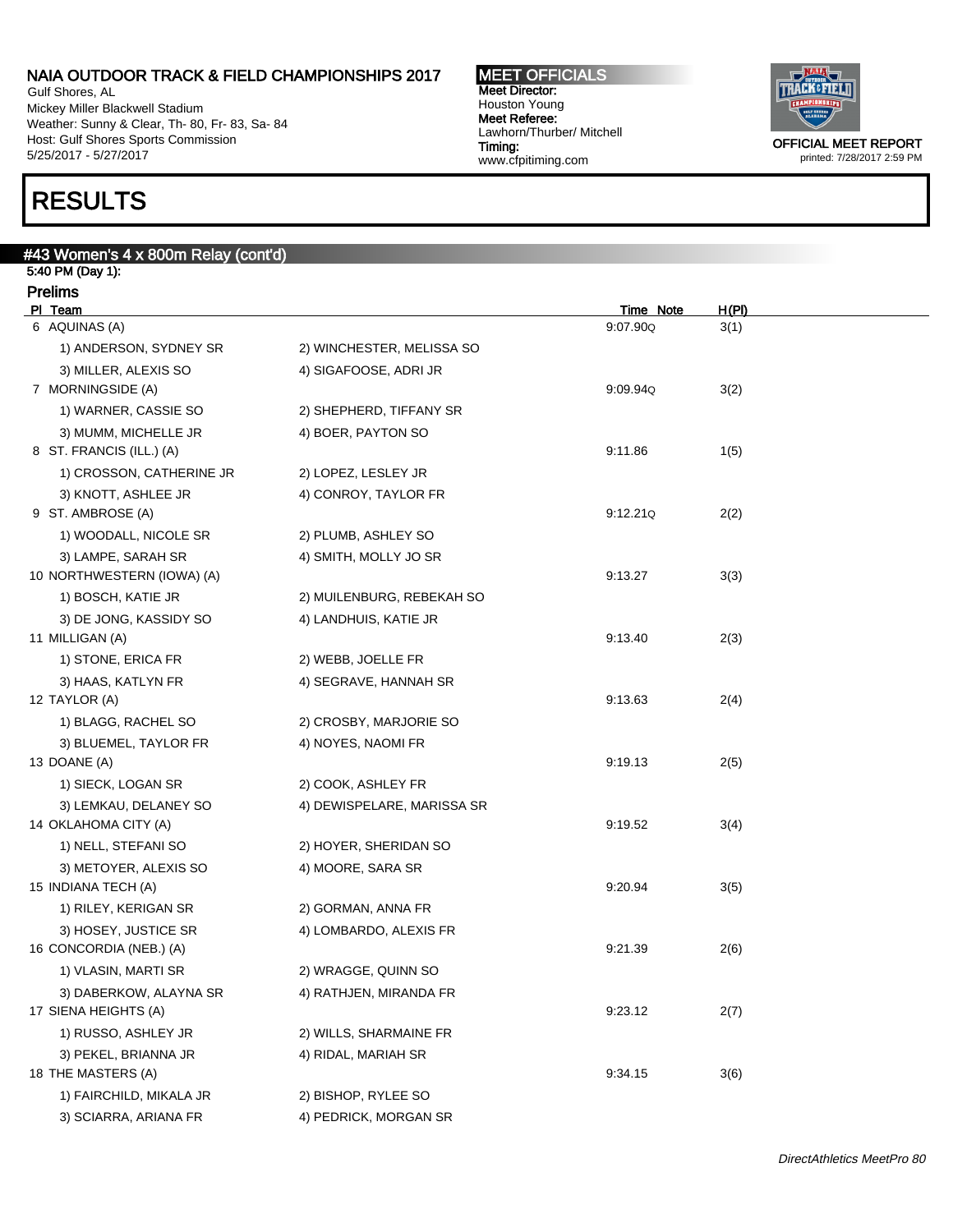Gulf Shores, AL Mickey Miller Blackwell Stadium Weather: Sunny & Clear, Th- 80, Fr- 83, Sa- 84 Host: Gulf Shores Sports Commission 5/25/2017 - 5/27/2017

## RESULTS

### #43 Women's 4 x 800m Relay (cont'd)

5:40 PM (Day 1): Prelims

| <u>Figilius</u><br>PI Team |                            | Time Note | H(PI) |
|----------------------------|----------------------------|-----------|-------|
| 6 AQUINAS (A)              |                            | 9:07.90Q  | 3(1)  |
| 1) ANDERSON, SYDNEY SR     | 2) WINCHESTER, MELISSA SO  |           |       |
| 3) MILLER, ALEXIS SO       | 4) SIGAFOOSE, ADRI JR      |           |       |
| 7 MORNINGSIDE (A)          |                            | 9:09.94Q  | 3(2)  |
| 1) WARNER, CASSIE SO       | 2) SHEPHERD, TIFFANY SR    |           |       |
| 3) MUMM, MICHELLE JR       | 4) BOER, PAYTON SO         |           |       |
| 8 ST. FRANCIS (ILL.) (A)   |                            | 9:11.86   | 1(5)  |
| 1) CROSSON, CATHERINE JR   | 2) LOPEZ, LESLEY JR        |           |       |
| 3) KNOTT, ASHLEE JR        | 4) CONROY, TAYLOR FR       |           |       |
| 9 ST. AMBROSE (A)          |                            | 9:12.21Q  | 2(2)  |
| 1) WOODALL, NICOLE SR      | 2) PLUMB, ASHLEY SO        |           |       |
| 3) LAMPE, SARAH SR         | 4) SMITH, MOLLY JO SR      |           |       |
| 10 NORTHWESTERN (IOWA) (A) |                            | 9:13.27   | 3(3)  |
| 1) BOSCH, KATIE JR         | 2) MUILENBURG, REBEKAH SO  |           |       |
| 3) DE JONG, KASSIDY SO     | 4) LANDHUIS, KATIE JR      |           |       |
| 11 MILLIGAN (A)            |                            | 9:13.40   | 2(3)  |
| 1) STONE, ERICA FR         | 2) WEBB, JOELLE FR         |           |       |
| 3) HAAS, KATLYN FR         | 4) SEGRAVE, HANNAH SR      |           |       |
| 12 TAYLOR (A)              |                            | 9:13.63   | 2(4)  |
| 1) BLAGG, RACHEL SO        | 2) CROSBY, MARJORIE SO     |           |       |
| 3) BLUEMEL, TAYLOR FR      | 4) NOYES, NAOMI FR         |           |       |
| 13 DOANE (A)               |                            | 9:19.13   | 2(5)  |
| 1) SIECK, LOGAN SR         | 2) COOK, ASHLEY FR         |           |       |
| 3) LEMKAU, DELANEY SO      | 4) DEWISPELARE, MARISSA SR |           |       |
| 14 OKLAHOMA CITY (A)       |                            | 9:19.52   | 3(4)  |
| 1) NELL, STEFANI SO        | 2) HOYER, SHERIDAN SO      |           |       |
| 3) METOYER, ALEXIS SO      | 4) MOORE, SARA SR          |           |       |
| 15 INDIANA TECH (A)        |                            | 9:20.94   | 3(5)  |
| 1) RILEY, KERIGAN SR       | 2) GORMAN, ANNA FR         |           |       |
| 3) HOSEY, JUSTICE SR       | 4) LOMBARDO, ALEXIS FR     |           |       |
| 16 CONCORDIA (NEB.) (A)    |                            | 9:21.39   | 2(6)  |
| 1) VLASIN, MARTI SR        | 2) WRAGGE, QUINN SO        |           |       |
| 3) DABERKOW, ALAYNA SR     | 4) RATHJEN, MIRANDA FR     |           |       |
| 17 SIENA HEIGHTS (A)       |                            | 9:23.12   | 2(7)  |
| 1) RUSSO, ASHLEY JR        | 2) WILLS, SHARMAINE FR     |           |       |
| 3) PEKEL, BRIANNA JR       | 4) RIDAL, MARIAH SR        |           |       |
| 18 THE MASTERS (A)         |                            | 9:34.15   | 3(6)  |
| 1) FAIRCHILD, MIKALA JR    | 2) BISHOP, RYLEE SO        |           |       |
| 3) SCIARRA, ARIANA FR      | 4) PEDRICK, MORGAN SR      |           |       |

MEET OFFICIALS Meet Director: Houston Young Meet Referee: Lawhorn/Thurber/ Mitchell Timing: www.cfpitiming.com

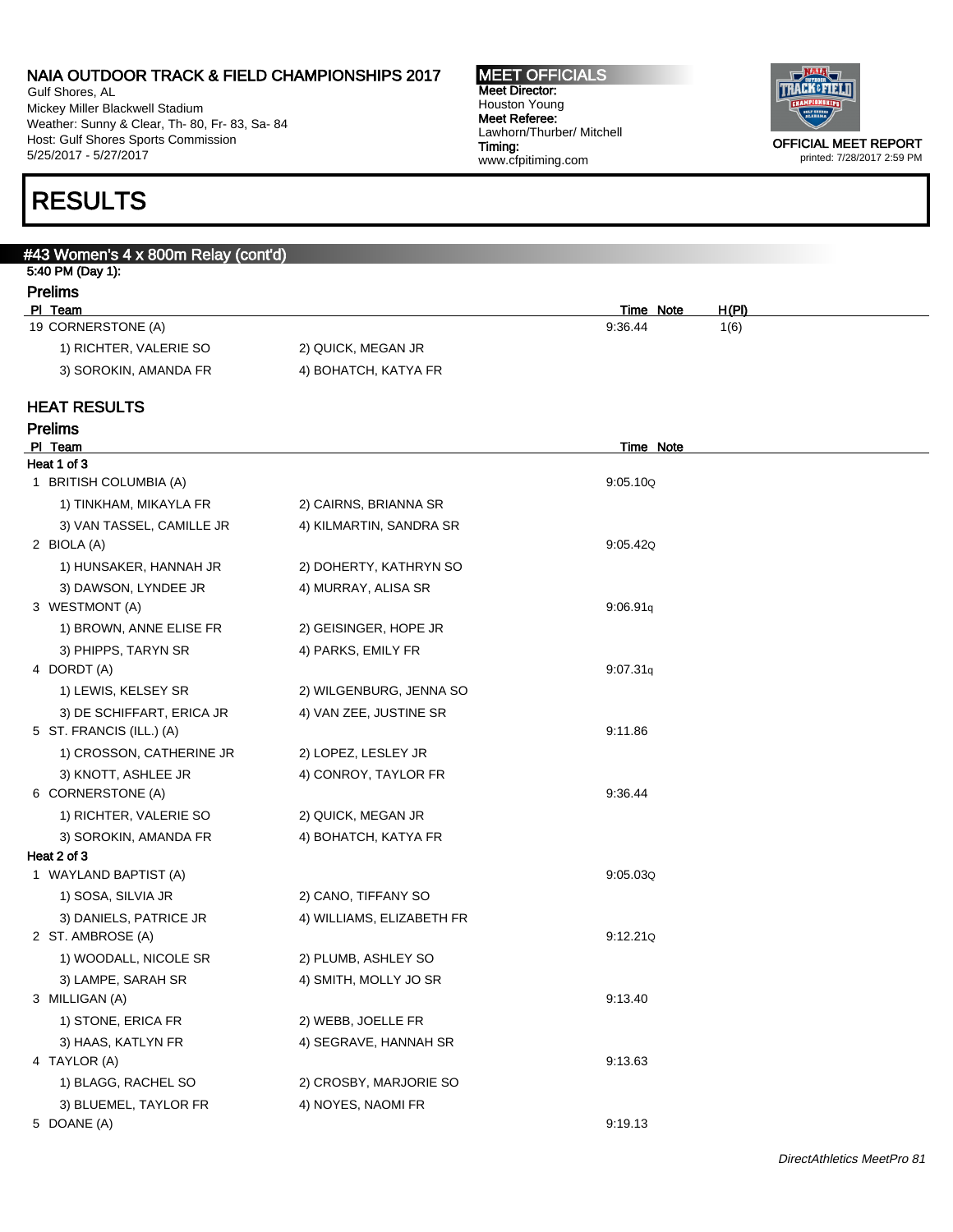Gulf Shores, AL Mickey Miller Blackwell Stadium Weather: Sunny & Clear, Th- 80, Fr- 83, Sa- 84 Host: Gulf Shores Sports Commission 5/25/2017 - 5/27/2017

#### MEET OFFICIALS Meet Director: Houston Young Meet Referee: Lawhorn/Thurber/ Mitchell Timing: www.cfpitiming.com



## RESULTS

| 5:40 PM (Day 1):          |                           |                           |  |
|---------------------------|---------------------------|---------------------------|--|
| <b>Prelims</b><br>PI Team |                           | H(PI)<br><b>Time Note</b> |  |
| 19 CORNERSTONE (A)        |                           | 1(6)<br>9:36.44           |  |
| 1) RICHTER, VALERIE SO    | 2) QUICK, MEGAN JR        |                           |  |
| 3) SOROKIN, AMANDA FR     | 4) BOHATCH, KATYA FR      |                           |  |
| <b>HEAT RESULTS</b>       |                           |                           |  |
| <b>Prelims</b>            |                           |                           |  |
| PI Team                   |                           | Time Note                 |  |
| Heat 1 of 3               |                           |                           |  |
| 1 BRITISH COLUMBIA (A)    |                           | 9:05.10Q                  |  |
| 1) TINKHAM, MIKAYLA FR    | 2) CAIRNS, BRIANNA SR     |                           |  |
| 3) VAN TASSEL, CAMILLE JR | 4) KILMARTIN, SANDRA SR   |                           |  |
| 2 BIOLA (A)               |                           | 9.05.42Q                  |  |
| 1) HUNSAKER, HANNAH JR    | 2) DOHERTY, KATHRYN SO    |                           |  |
| 3) DAWSON, LYNDEE JR      | 4) MURRAY, ALISA SR       |                           |  |
| 3 WESTMONT (A)            |                           | 9:06.91q                  |  |
| 1) BROWN, ANNE ELISE FR   | 2) GEISINGER, HOPE JR     |                           |  |
| 3) PHIPPS, TARYN SR       | 4) PARKS, EMILY FR        |                           |  |
| 4 DORDT (A)               |                           | 9:07.31q                  |  |
| 1) LEWIS, KELSEY SR       | 2) WILGENBURG, JENNA SO   |                           |  |
| 3) DE SCHIFFART, ERICA JR | 4) VAN ZEE, JUSTINE SR    |                           |  |
| 5 ST. FRANCIS (ILL.) (A)  |                           | 9:11.86                   |  |
| 1) CROSSON, CATHERINE JR  | 2) LOPEZ, LESLEY JR       |                           |  |
| 3) KNOTT, ASHLEE JR       | 4) CONROY, TAYLOR FR      |                           |  |
| 6 CORNERSTONE (A)         |                           | 9:36.44                   |  |
| 1) RICHTER, VALERIE SO    | 2) QUICK, MEGAN JR        |                           |  |
| 3) SOROKIN, AMANDA FR     | 4) BOHATCH, KATYA FR      |                           |  |
| Heat 2 of 3               |                           |                           |  |
| 1 WAYLAND BAPTIST (A)     |                           | 9:05.03Q                  |  |
| 1) SOSA, SILVIA JR        | 2) CANO, TIFFANY SO       |                           |  |
| 3) DANIELS, PATRICE JR    | 4) WILLIAMS, ELIZABETH FR |                           |  |
| 2 ST. AMBROSE (A)         |                           | 9.12.21Q                  |  |
| 1) WOODALL, NICOLE SR     | 2) PLUMB, ASHLEY SO       |                           |  |
| 3) LAMPE, SARAH SR        | 4) SMITH, MOLLY JO SR     |                           |  |
| 3 MILLIGAN (A)            |                           | 9:13.40                   |  |
| 1) STONE, ERICA FR        | 2) WEBB, JOELLE FR        |                           |  |
| 3) HAAS, KATLYN FR        | 4) SEGRAVE, HANNAH SR     |                           |  |
| 4 TAYLOR (A)              |                           | 9:13.63                   |  |
| 1) BLAGG, RACHEL SO       | 2) CROSBY, MARJORIE SO    |                           |  |
| 3) BLUEMEL, TAYLOR FR     | 4) NOYES, NAOMI FR        |                           |  |
| 5 DOANE (A)               |                           | 9:19.13                   |  |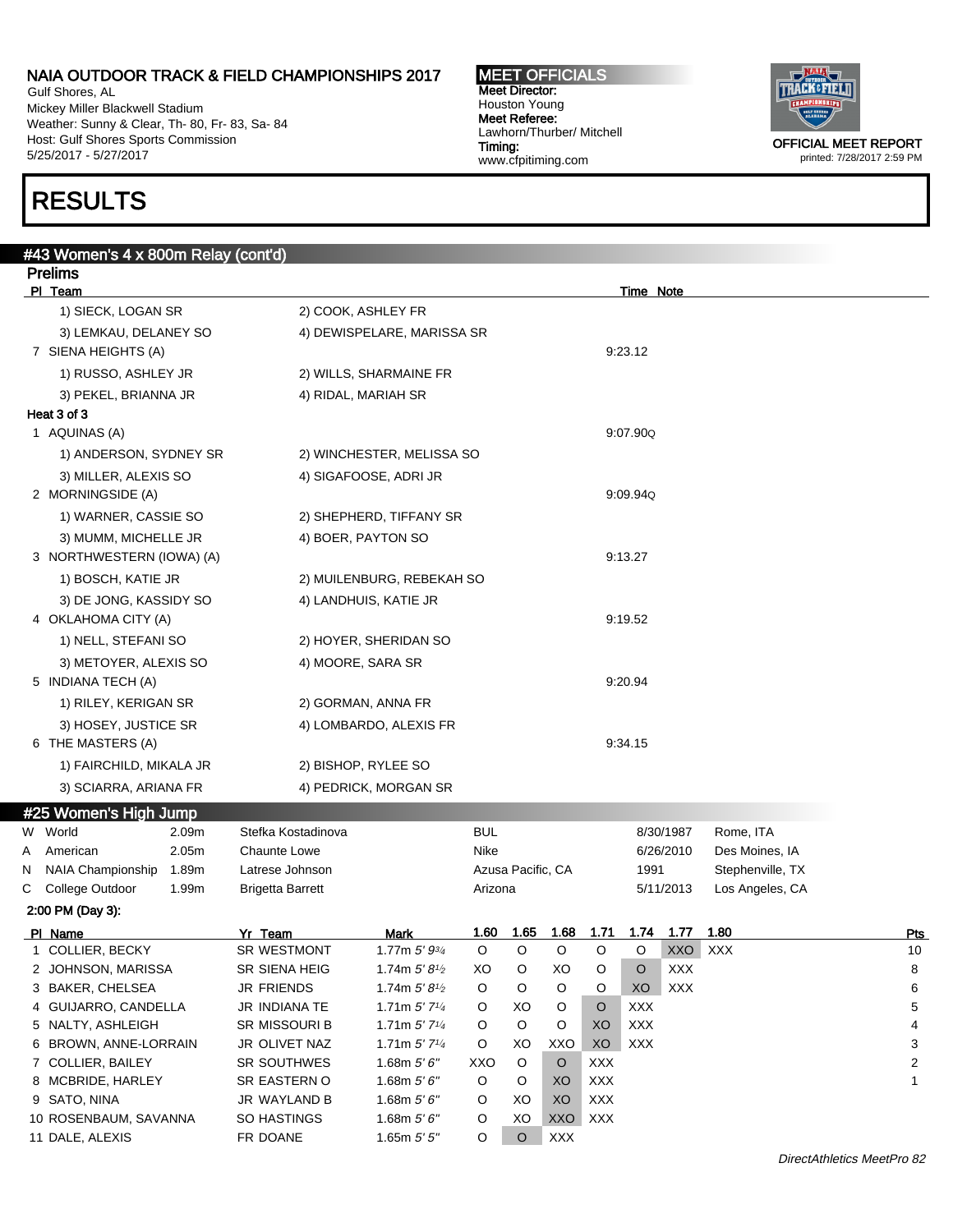Gulf Shores, AL Mickey Miller Blackwell Stadium Weather: Sunny & Clear, Th- 80, Fr- 83, Sa- 84 Host: Gulf Shores Sports Commission 5/25/2017 - 5/27/2017

## RESULTS

### #43 Women's 4 x 800m Relay (cont'd) Prelims PI Team Time Note 1) SIECK, LOGAN SR 2) COOK, ASHLEY FR 3) LEMKAU, DELANEY SO 4) DEWISPELARE, MARISSA SR 7 SIENA HEIGHTS (A) 9:23.12 1) RUSSO, ASHLEY JR 2) WILLS, SHARMAINE FR 3) PEKEL, BRIANNA JR 4) RIDAL, MARIAH SR Heat 3 of 3 1 AQUINAS (A) 9:07.90Q 1) ANDERSON, SYDNEY SR 2) WINCHESTER, MELISSA SO 3) MILLER, ALEXIS SO 4) SIGAFOOSE, ADRI JR 2 MORNINGSIDE (A) 9:09.94Q 1) WARNER, CASSIE SO 2) SHEPHERD, TIFFANY SR 3) MUMM, MICHELLE JR 4) BOER, PAYTON SO 3 NORTHWESTERN (IOWA) (A) 9:13.27 1) BOSCH, KATIE JR 2) MUILENBURG, REBEKAH SO 3) DE JONG, KASSIDY SO 4) LANDHUIS, KATIE JR 4 OKLAHOMA CITY (A) 9:19.52 1) NELL, STEFANI SO 2) HOYER, SHERIDAN SO 3) METOYER, ALEXIS SO 4) MOORE, SARA SR 5 INDIANA TECH (A) 9:20.94 1) RILEY, KERIGAN SR 2) GORMAN, ANNA FR 3) HOSEY, JUSTICE SR 4) LOMBARDO, ALEXIS FR 6 THE MASTERS (A) 9:34.15 1) FAIRCHILD, MIKALA JR 2) BISHOP, RYLEE SO 3) SCIARRA, ARIANA FR 4) PEDRICK, MORGAN SR #25 Women's High Jump W World **2.09m** Stefka Kostadinova **BUL BUL 8/30/1987** Rome, ITA A American 2.05m Chaunte Lowe Nike 6/26/2010 Des Moines, IA N NAIA Championship 1.89m Latrese Johnson Acusa Pacific, CA 1991 Stephenville, TX C College Outdoor 1.99m Brigetta Barrett Arizona Arizona 5/11/2013 Los Angeles, CA 2:00 PM (Day 3): Pl Name Yr Team Mark 1.60 1.65 1.68 1.71 1.74 1.77 1.80 Pts 1 COLLIER, BECKY SR WESTMONT 1.77m 5' 93/<sup>4</sup> O O O O O XXO XXX 10 2 JOHNSON, MARISSA SR SIENA HEIG 1.74m 5' 81/<sup>2</sup> XO O XO O O XXX 8  $3$  BAKER, CHELSEA JR FRIENDS  $1.74 \text{m}~5'~8^{1/2}$  O O O O XO XXX 6 4 GUIJARRO, CANDELLA JR INDIANA TE 1.71m 5' 714 O XO O O XXX 5 5 5 5 5 5 5 7 7 5 7 6 7 7 6 7 7 8 7 7 6 7 7 8 7 7 8 7 7 8 7 7 8 7 7 8 7 7 8 7 7 8 7 7 8 7 7 8 7 8 7 7 8 7 8 7 8 7 8 7 8 7 8 7 8 7 8 7 8 7 8 7 8 7 8 7 8 7 8 7 8 5 NALTY, ASHLEIGH SR MISSOURI B 1.71m 5' 714 O O O XO XXX 4 4 6 BROWN, ANNE-LORRAIN JR OLIVET NAZ 1.71m 5' 714 O XO XXO XO XXX 3 3 7 COLLIER, BAILEY SR SOUTHWES 1.68m 5' 6" XXO O O XXX 2 8 MCBRIDE, HARLEY SR EASTERN O 1.68m 5' 6" O O XO XXX 1 9 SATO, NINA JR WAYLAND B 1.68m 5' 6" O XO XO XXX 10 ROSENBAUM, SAVANNA SO HASTINGS 1.68m 5' 6" O XO XXO XXX

11 DALE, ALEXIS FR DOANE 1.65m 5' 5" O O XXX

MEET OFFICIALS Meet Director: Houston Young Meet Referee: Lawhorn/Thurber/ Mitchell Timing: www.cfpitiming.com

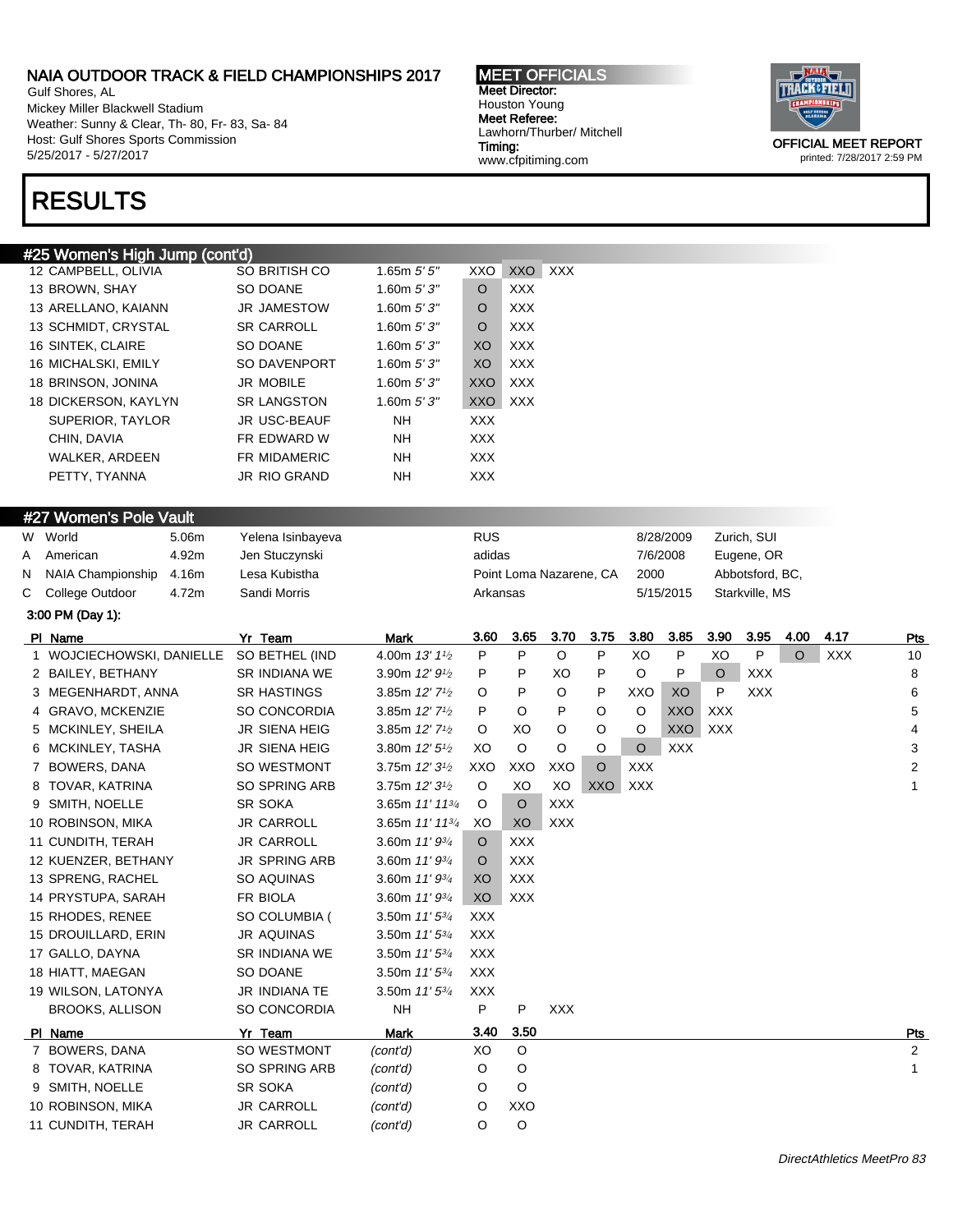Gulf Shores, AL Mickey Miller Blackwell Stadium Weather: Sunny & Clear, Th- 80, Fr- 83, Sa- 84 Host: Gulf Shores Sports Commission 5/25/2017 - 5/27/2017

## RESULTS

#### #25 Women's High Jump (cont'd)

| 12 CAMPBELL, OLIVIA         | SO BRITISH CO       | 1.65m $5'5''$  | XXO            | XXO        | XXX |
|-----------------------------|---------------------|----------------|----------------|------------|-----|
| 13 BROWN, SHAY              | SO DOANE            | 1.60 $m 5'3''$ | O              | <b>XXX</b> |     |
| 13 ARELLANO, KAIANN         | <b>JR JAMESTOW</b>  | 1.60m $5'3''$  | O              | <b>XXX</b> |     |
| 13 SCHMIDT, CRYSTAL         | <b>SR CARROLL</b>   | 1.60 $m 5'3''$ | O              | <b>XXX</b> |     |
| 16 SINTEK, CLAIRE           | SO DOANE            | 1.60 $m 5'3''$ | X <sub>O</sub> | <b>XXX</b> |     |
| 16 MICHALSKI, EMILY         | SO DAVENPORT        | 1.60m $5'3''$  | XO.            | <b>XXX</b> |     |
| 18 BRINSON, JONINA          | <b>JR MOBILE</b>    | 1.60 $m 5'3''$ | <b>XXO</b>     | <b>XXX</b> |     |
| <b>18 DICKERSON, KAYLYN</b> | <b>SR LANGSTON</b>  | 1.60m $5'3''$  | XXO            | XXX.       |     |
| SUPERIOR, TAYLOR            | <b>JR USC-BEAUF</b> | NH.            | <b>XXX</b>     |            |     |
| CHIN, DAVIA                 | FR EDWARD W         | NH             | <b>XXX</b>     |            |     |
| WALKER, ARDEEN              | FR MIDAMERIC        | NH.            | <b>XXX</b>     |            |     |
| PETTY, TYANNA               | <b>JR RIO GRAND</b> | NH.            | XXX.           |            |     |
|                             |                     |                |                |            |     |

#### #27 Women's Pole Vault

| W World                   | 5.06m | Yelena Isinbayeva | <b>RUS</b>              | 8/28/2009 | Zurich, SUI     |
|---------------------------|-------|-------------------|-------------------------|-----------|-----------------|
| A American                | 4.92m | Jen Stuczynski    | adidas                  | 7/6/2008  | Eugene, OR      |
| N NAIA Championship 4.16m |       | Lesa Kubistha     | Point Loma Nazarene, CA | 2000      | Abbotsford, BC. |
| C College Outdoor         | 4.72m | Sandi Morris      | Arkansas                | 5/15/2015 | Starkville, MS  |

| C. | College Outdoor  |  |
|----|------------------|--|
|    | 3:00 PM (Day 1): |  |

| PI Name                   | Yr Team              | Mark                                      | 3.60       | 3.65       | 3.70       | 3.75    | 3.80       | 3.85       | 3.90       | 3.95       | 4.00    | 4.17       | Pts |
|---------------------------|----------------------|-------------------------------------------|------------|------------|------------|---------|------------|------------|------------|------------|---------|------------|-----|
| 1 WOJCIECHOWSKI, DANIELLE | SO BETHEL (IND       | 4.00m 13' 11/2                            | P          | P          | O          | P       | XO         | P          | XO         | P          | $\circ$ | <b>XXX</b> | 10  |
| 2 BAILEY, BETHANY         | <b>SR INDIANA WE</b> | 3.90m $12'9'$                             | P          | P          | XO         | P       | $\circ$    | P          | $\circ$    | <b>XXX</b> |         |            | 8   |
| 3 MEGENHARDT, ANNA        | <b>SR HASTINGS</b>   | 3.85m $12'$ 7 <sup>1</sup> / <sub>2</sub> | $\circ$    | P          | O          | P       | XXO        | XO         | P          | <b>XXX</b> |         |            | 6   |
| 4 GRAVO, MCKENZIE         | SO CONCORDIA         | 3.85m 12' 7 <sup>1</sup> / <sub>2</sub>   | P          | $\circ$    | P          | O       | O          | <b>XXO</b> | <b>XXX</b> |            |         |            | 5   |
| 5 MCKINLEY, SHEILA        | <b>JR SIENA HEIG</b> | 3.85m $12'$ 7 <sup>1</sup> / <sub>2</sub> | $\circ$    | XO         | O          | O       | O          | XXO        | <b>XXX</b> |            |         |            | 4   |
| 6 MCKINLEY, TASHA         | <b>JR SIENA HEIG</b> | 3.80m $12'5'$                             | XO         | $\circ$    | $\circ$    | O       | $\circ$    | <b>XXX</b> |            |            |         |            | 3   |
| 7 BOWERS, DANA            | SO WESTMONT          | 3.75m $12'3^{1/2}$                        | XXO        | XXO        | XXO        | $\circ$ | <b>XXX</b> |            |            |            |         |            | 2   |
| 8 TOVAR, KATRINA          | <b>SO SPRING ARB</b> | 3.75m $12'3'$                             | $\circ$    | XO         | XO         | XXO     | XXX        |            |            |            |         |            |     |
| 9 SMITH, NOELLE           | <b>SR SOKA</b>       | 3.65m 11' 11 <sup>3/4</sup>               | $\circ$    | $\circ$    | <b>XXX</b> |         |            |            |            |            |         |            |     |
| 10 ROBINSON, MIKA         | <b>JR CARROLL</b>    | 3.65m 11' 11 <sup>3/4</sup>               | XO         | XO         | <b>XXX</b> |         |            |            |            |            |         |            |     |
| 11 CUNDITH, TERAH         | <b>JR CARROLL</b>    | 3.60m $11'9^{3/4}$                        | $\circ$    | <b>XXX</b> |            |         |            |            |            |            |         |            |     |
| 12 KUENZER, BETHANY       | <b>JR SPRING ARB</b> | 3.60m $11'9^{3/4}$                        | $\circ$    | <b>XXX</b> |            |         |            |            |            |            |         |            |     |
| 13 SPRENG, RACHEL         | SO AQUINAS           | 3.60m $11'9^{3/4}$                        | XO         | <b>XXX</b> |            |         |            |            |            |            |         |            |     |
| 14 PRYSTUPA, SARAH        | FR BIOLA             | 3.60m $11'9^{3/4}$                        | XO         | <b>XXX</b> |            |         |            |            |            |            |         |            |     |
| 15 RHODES, RENEE          | SO COLUMBIA (        | 3.50m $11'5^{3/4}$                        | <b>XXX</b> |            |            |         |            |            |            |            |         |            |     |
| 15 DROUILLARD, ERIN       | JR AQUINAS           | 3.50m $11'5^{3/4}$                        | <b>XXX</b> |            |            |         |            |            |            |            |         |            |     |
| 17 GALLO, DAYNA           | SR INDIANA WE        | 3.50m $11'5^{3/4}$                        | <b>XXX</b> |            |            |         |            |            |            |            |         |            |     |
| 18 HIATT, MAEGAN          | SO DOANE             | 3.50m $11'5^{3/4}$                        | <b>XXX</b> |            |            |         |            |            |            |            |         |            |     |
| 19 WILSON, LATONYA        | JR INDIANA TE        | 3.50m $11'5^{3/4}$                        | <b>XXX</b> |            |            |         |            |            |            |            |         |            |     |
| <b>BROOKS, ALLISON</b>    | SO CONCORDIA         | <b>NH</b>                                 | P          | P          | <b>XXX</b> |         |            |            |            |            |         |            |     |
| PI Name                   | Yr Team              | <b>Mark</b>                               | 3.40       | 3.50       |            |         |            |            |            |            |         |            | Pts |
| 7 BOWERS, DANA            | SO WESTMONT          | (cont'd)                                  | XO         | $\circ$    |            |         |            |            |            |            |         |            | 2   |
| 8 TOVAR, KATRINA          | SO SPRING ARB        | (cont'd)                                  | O          | $\circ$    |            |         |            |            |            |            |         |            |     |
| 9 SMITH, NOELLE           | SR SOKA              | (cont'd)                                  | O          | $\circ$    |            |         |            |            |            |            |         |            |     |
| 10 ROBINSON, MIKA         | <b>JR CARROLL</b>    | (cont'd)                                  | O          | XXO        |            |         |            |            |            |            |         |            |     |
| 11 CUNDITH, TERAH         | <b>JR CARROLL</b>    | (cont'd)                                  | O          | $\circ$    |            |         |            |            |            |            |         |            |     |

MEET OFFICIALS Meet Director: Houston Young Meet Referee: Lawhorn/Thurber/ Mitchell Timing: www.cfpitiming.com

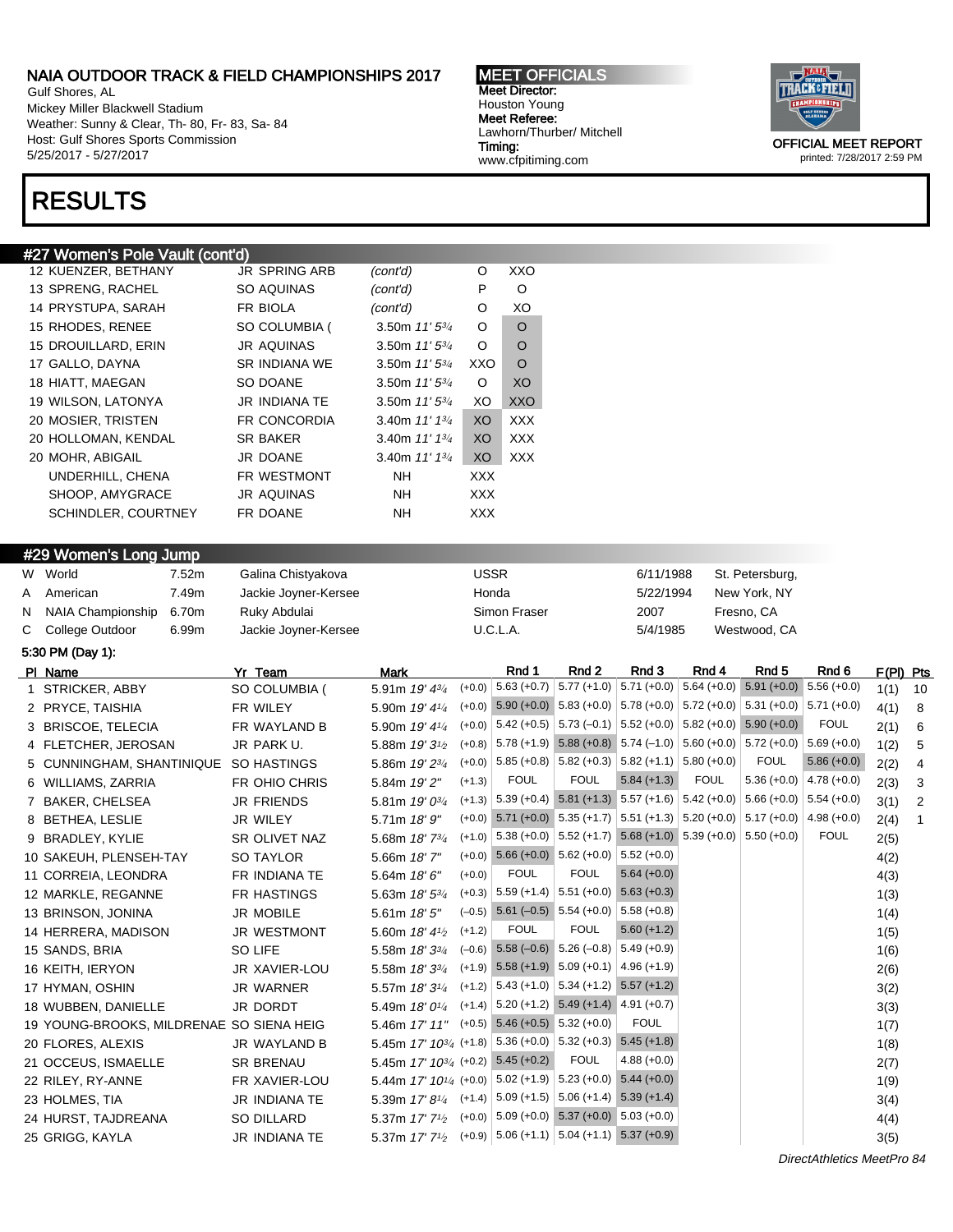Gulf Shores, AL Mickey Miller Blackwell Stadium Weather: Sunny & Clear, Th- 80, Fr- 83, Sa- 84 Host: Gulf Shores Sports Commission 5/25/2017 - 5/27/2017

## RESULTS

#### #27 Women's Pole Vault (cont'd)

| 12 KUENZER, BETHANY | <b>JR SPRING ARB</b> | (cont'd)           | O          | XXO            |
|---------------------|----------------------|--------------------|------------|----------------|
| 13 SPRENG, RACHEL   | SO AQUINAS           | (cont'd)           | P          | O              |
| 14 PRYSTUPA, SARAH  | FR BIOLA             | (cont'd)           | O          | XO             |
| 15 RHODES, RENEE    | SO COLUMBIA (        | 3.50m $11'5^{3/4}$ | O          | O              |
| 15 DROUILLARD, ERIN | <b>JR AQUINAS</b>    | 3.50m $11'5^{3}/4$ | O          | O              |
| 17 GALLO, DAYNA     | <b>SR INDIANA WE</b> | 3.50m $11'5^{3/4}$ | XXO        | O              |
| 18 HIATT, MAEGAN    | SO DOANE             | 3.50m $11'5^{3}/4$ | O          | X <sub>O</sub> |
| 19 WILSON, LATONYA  | <b>JR INDIANA TE</b> | 3.50m $11'5^{3/4}$ | XO         | XXO            |
| 20 MOSIER, TRISTEN  | FR CONCORDIA         | 3.40m $11'$ $13/4$ | XO.        | <b>XXX</b>     |
| 20 HOLLOMAN, KENDAL | <b>SR BAKER</b>      | 3.40m $11'$ $13/4$ | XO.        | <b>XXX</b>     |
| 20 MOHR, ABIGAIL    | JR DOANE             | 3.40m $11'$ $13'$  | XO         | <b>XXX</b>     |
| UNDERHILL, CHENA    | FR WESTMONT          | NH                 | <b>XXX</b> |                |
| SHOOP, AMYGRACE     | <b>JR AQUINAS</b>    | NH                 | XXX.       |                |
| SCHINDLER, COURTNEY | FR DOANE             | <b>NH</b>          | <b>XXX</b> |                |

#### #29 Women's Long Jump

|   | W World                   | 7.52m | Galina Chistyakova   | USSR         | 6/11/1988 | St. Petersburg, |  |  |  |  |  |  |
|---|---------------------------|-------|----------------------|--------------|-----------|-----------------|--|--|--|--|--|--|
| А | American                  | 7.49m | Jackie Joyner-Kersee | Honda        | 5/22/1994 | New York, NY    |  |  |  |  |  |  |
|   | N NAIA Championship 6.70m |       | Ruky Abdulai         | Simon Fraser | 2007      | Fresno, CA      |  |  |  |  |  |  |
|   | C College Outdoor         | 6.99m | Jackie Joyner-Kersee | U.C.L.A.     | 5/4/1985  | Westwood, CA    |  |  |  |  |  |  |

#### 5:30 PM (Day 1):

| PI Name                                  | Yr Team              | Mark                                                                       |          | Rnd 1                                              | Rnd 2       | Rnd 3                                                                                        | Rnd 4       | Rnd <sub>5</sub>          | Rnd 6         | F(PI) Pts |              |
|------------------------------------------|----------------------|----------------------------------------------------------------------------|----------|----------------------------------------------------|-------------|----------------------------------------------------------------------------------------------|-------------|---------------------------|---------------|-----------|--------------|
| STRICKER, ABBY                           | SO COLUMBIA (        | 5.91m 19' 43/4                                                             |          | $(+0.0)$ 5.63 $(+0.7)$                             |             | $5.77 (+1.0)$ $5.71 (+0.0)$ $5.64 (+0.0)$ $5.91 (+0.0)$ $5.56 (+0.0)$                        |             |                           |               | 1(1)      | 10           |
| 2 PRYCE, TAISHIA                         | FR WILEY             | 5.90m 19' 41/4                                                             |          |                                                    |             | $(+0.0)$ 5.90 $(+0.0)$ 5.83 $(+0.0)$ 5.78 $(+0.0)$ 5.72 $(+0.0)$ 5.31 $(+0.0)$ 5.71 $(+0.0)$ |             |                           |               | 4(1)      | 8            |
| 3 BRISCOE, TELECIA                       | FR WAYLAND B         | 5.90m 19' 41/4                                                             |          | $(+0.0)$ 5.42 $(+0.5)$                             |             | $5.73$ (-0.1) $\vert 5.52$ (+0.0) $\vert 5.82$ (+0.0) $\vert 5.90$ (+0.0)                    |             |                           | <b>FOUL</b>   | 2(1)      | 6            |
| 4 FLETCHER, JEROSAN                      | JR PARK U.           | 5.88m 19' 3 <sup>1</sup> / <sub>2</sub>                                    |          |                                                    |             | $(+0.8)$ 5.78 (+1.9) 5.88 (+0.8) 5.74 (-1.0) 5.60 (+0.0)                                     |             | $5.72 (+0.0)$             | $5.69(+0.0)$  | 1(2)      | 5            |
| 5 CUNNINGHAM, SHANTINIQUE                | SO HASTINGS          | 5.86m 19' 23/4                                                             |          |                                                    |             | $(+0.0)$ 5.85 (+0.8) 5.82 (+0.3) 5.82 (+1.1) 5.80 (+0.0)                                     |             | <b>FOUL</b>               | $5.86 (+0.0)$ | 2(2)      | 4            |
| 6 WILLIAMS, ZARRIA                       | FR OHIO CHRIS        | 5.84m 19'2"                                                                | $(+1.3)$ | <b>FOUL</b>                                        | <b>FOUL</b> | $5.84 (+1.3)$                                                                                | <b>FOUL</b> | $5.36 (+0.0)$             | $4.78(+0.0)$  | 2(3)      | 3            |
| 7 BAKER, CHELSEA                         | <b>JR FRIENDS</b>    | 5.81m 19' 03/4                                                             |          |                                                    |             | $(+1.3)$ 5.39 (+0.4) 5.81 (+1.3) 5.57 (+1.6) 5.42 (+0.0)                                     |             | $5.66 (+0.0)$ 5.54 (+0.0) |               | 3(1)      | 2            |
| 8 BETHEA, LESLIE                         | JR WILEY             | 5.71m 18' 9"                                                               |          |                                                    |             | $(+0.0)$ 5.71 $(+0.0)$ 5.35 $(+1.7)$ 5.51 $(+1.3)$ 5.20 $(+0.0)$ 5.17 $(+0.0)$ 4.98 $(+0.0)$ |             |                           |               | 2(4)      | $\mathbf{1}$ |
| 9 BRADLEY, KYLIE                         | SR OLIVET NAZ        | 5.68m 18' 73/4                                                             |          |                                                    |             | $(+1.0)$ 5.38 (+0.0) 5.52 (+1.7) 5.68 (+1.0) 5.39 (+0.0) 5.50 (+0.0)                         |             |                           | <b>FOUL</b>   | 2(5)      |              |
| 10 SAKEUH, PLENSEH-TAY                   | <b>SO TAYLOR</b>     | 5.66m 18' 7"                                                               |          | $(+0.0)$ 5.66 $(+0.0)$ 5.62 $(+0.0)$ 5.52 $(+0.0)$ |             |                                                                                              |             |                           |               | 4(2)      |              |
| 11 CORREIA, LEONDRA                      | FR INDIANA TE        | 5.64m $18'6''$                                                             | $(+0.0)$ | <b>FOUL</b>                                        | <b>FOUL</b> | $5.64 (+0.0)$                                                                                |             |                           |               | 4(3)      |              |
| 12 MARKLE, REGANNE                       | FR HASTINGS          | 5.63m 18' 53/4                                                             |          | $(+0.3)$ 5.59 $(+1.4)$ 5.51 $(+0.0)$ 5.63 $(+0.3)$ |             |                                                                                              |             |                           |               | 1(3)      |              |
| 13 BRINSON, JONINA                       | <b>JR MOBILE</b>     | 5.61m 18'5"                                                                |          | $(-0.5)$ 5.61 $(-0.5)$ 5.54 $(+0.0)$ 5.58 $(+0.8)$ |             |                                                                                              |             |                           |               | 1(4)      |              |
| 14 HERRERA, MADISON                      | <b>JR WESTMONT</b>   | 5.60m $18'4\frac{1}{2}$                                                    | $(+1.2)$ | <b>FOUL</b>                                        | <b>FOUL</b> | $5.60 (+1.2)$                                                                                |             |                           |               | 1(5)      |              |
| 15 SANDS, BRIA                           | SO LIFE              | 5.58m 18' 33/4                                                             |          | $(-0.6)$ 5.58 $(-0.6)$ 5.26 $(-0.8)$ 5.49 $(+0.9)$ |             |                                                                                              |             |                           |               | 1(6)      |              |
| 16 KEITH, IERYON                         | <b>JR XAVIER-LOU</b> | 5.58m $18'3\frac{3}{4}$                                                    |          | $(+1.9)$ 5.58 $(+1.9)$ 5.09 $(+0.1)$ 4.96 $(+1.9)$ |             |                                                                                              |             |                           |               | 2(6)      |              |
| 17 HYMAN, OSHIN                          | <b>JR WARNER</b>     | 5.57m 18' 31/4                                                             |          | $(+1.2)$ 5.43 (+1.0) 5.34 (+1.2) 5.57 (+1.2)       |             |                                                                                              |             |                           |               | 3(2)      |              |
| 18 WUBBEN, DANIELLE                      | JR DORDT             | 5.49m $18'0^{1/4}$                                                         |          | $(+1.4)$ 5.20 (+1.2) 5.49 (+1.4) 4.91 (+0.7)       |             |                                                                                              |             |                           |               | 3(3)      |              |
| 19 YOUNG-BROOKS, MILDRENAE SO SIENA HEIG |                      | 5.46m 17' 11"                                                              |          | $(+0.5)$ 5.46 $(+0.5)$ 5.32 $(+0.0)$               |             | <b>FOUL</b>                                                                                  |             |                           |               | 1(7)      |              |
| 20 FLORES, ALEXIS                        | <b>JR WAYLAND B</b>  | 5.45m $17'$ $10^{3/4}$ (+1.8) $ 5.36$ (+0.0) $ 5.32$ (+0.3) 5.45 (+1.8)    |          |                                                    |             |                                                                                              |             |                           |               | 1(8)      |              |
| 21 OCCEUS, ISMAELLE                      | <b>SR BRENAU</b>     | 5.45m $17' 10^{3/4}$ (+0.2) 5.45 (+0.2)                                    |          |                                                    | <b>FOUL</b> | $4.88(+0.0)$                                                                                 |             |                           |               | 2(7)      |              |
| 22 RILEY, RY-ANNE                        | FR XAVIER-LOU        | 5.44m $17'$ $10^{1/4}$ (+0.0) $ 5.02$ (+1.9) $ 5.23$ (+0.0) 5.44 (+0.0)    |          |                                                    |             |                                                                                              |             |                           |               | 1(9)      |              |
| 23 HOLMES, TIA                           | <b>JR INDIANA TE</b> | 5.39m $17' 8^{1/4}$ (+1.4) $  5.09$ (+1.5) $  5.06$ (+1.4) $  5.39$ (+1.4) |          |                                                    |             |                                                                                              |             |                           |               | 3(4)      |              |
| 24 HURST, TAJDREANA                      | <b>SO DILLARD</b>    | 5.37m $17'$ 7 <sup>1</sup> / <sub>2</sub>                                  |          | $(+0.0)$ 5.09 $(+0.0)$ 5.37 $(+0.0)$ 5.03 $(+0.0)$ |             |                                                                                              |             |                           |               | 4(4)      |              |
| 25 GRIGG, KAYLA                          | <b>JR INDIANA TE</b> | 5.37m $17'$ $7^{1/2}$ (+0.9) $ 5.06$ (+1.1) $ 5.04$ (+1.1) 5.37 (+0.9)     |          |                                                    |             |                                                                                              |             |                           |               | 3(5)      |              |
|                                          |                      |                                                                            |          |                                                    |             |                                                                                              |             |                           |               |           |              |

MEET OFFICIALS Meet Director: Houston Young Meet Referee: Lawhorn/Thurber/ Mitchell Timing: www.cfpitiming.com



DirectAthletics MeetPro 84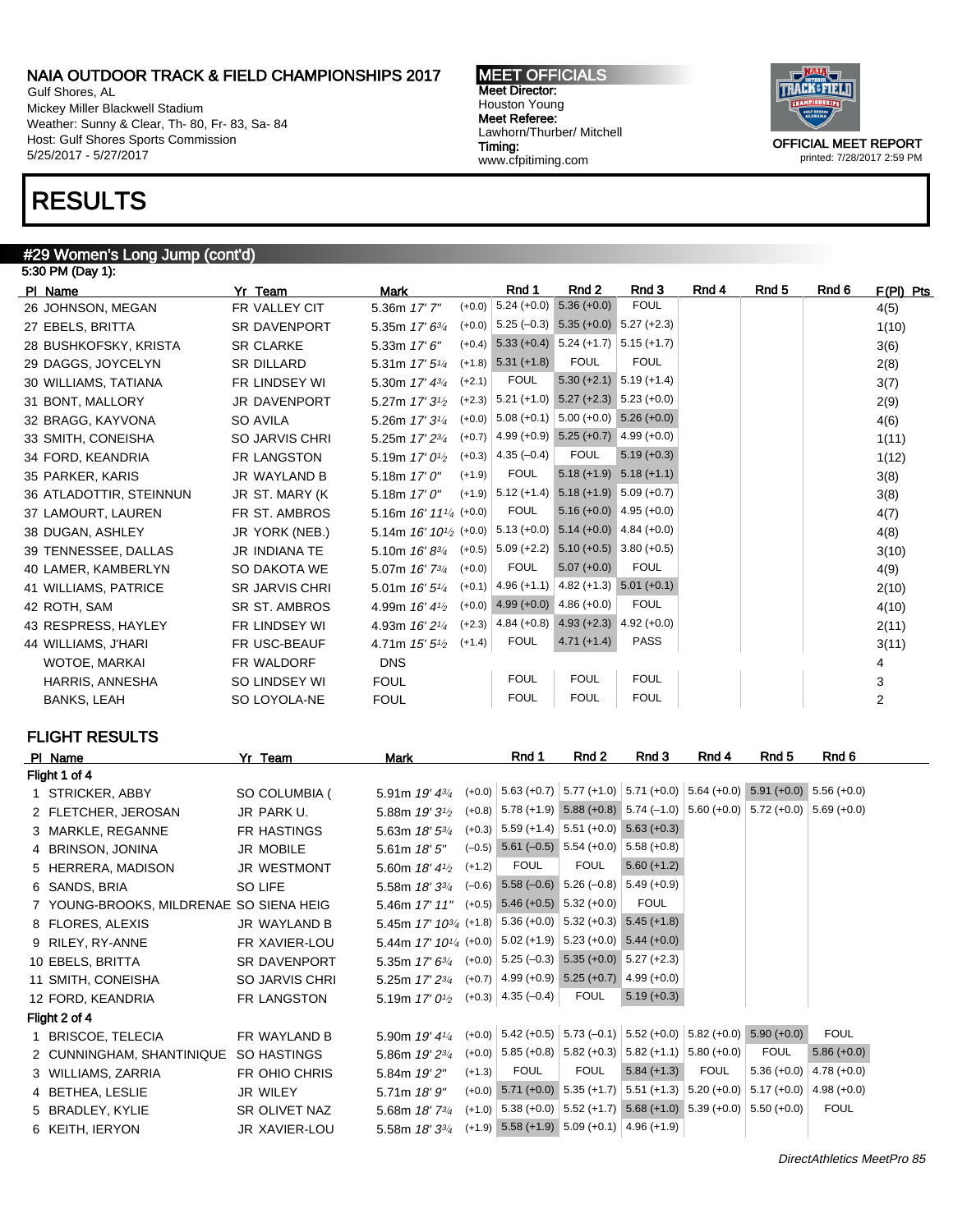Gulf Shores, AL Mickey Miller Blackwell Stadium Weather: Sunny & Clear, Th- 80, Fr- 83, Sa- 84 Host: Gulf Shores Sports Commission 5/25/2017 - 5/27/2017

# RESULTS

#### #29 Women's Long Jump (cont'd) 5:30 PM (Day 1):

| PI Name                 | Yr Team               | Mark                                                              | Rnd 1                  | Rnd 2                                              | Rnd 3                     | Rnd 4 | Rnd 5 | Rnd 6 | $F(PI)$ Pts    |
|-------------------------|-----------------------|-------------------------------------------------------------------|------------------------|----------------------------------------------------|---------------------------|-------|-------|-------|----------------|
| 26 JOHNSON, MEGAN       | FR VALLEY CIT         | $(+0.0)$<br>5.36m 17' 7"                                          | $5.24 (+0.0)$          | $5.36 (+0.0)$                                      | <b>FOUL</b>               |       |       |       | 4(5)           |
| 27 EBELS, BRITTA        | <b>SR DAVENPORT</b>   | 5.35m 17' 63/4                                                    |                        | $(+0.0)$ 5.25 (-0.3) 5.35 (+0.0) 5.27 (+2.3)       |                           |       |       |       | 1(10)          |
| 28 BUSHKOFSKY, KRISTA   | <b>SR CLARKE</b>      | $(+0.4)$<br>5.33m 17' 6"                                          |                        | $5.33 (+0.4) 5.24 (+1.7)$                          | $5.15 (+1.7)$             |       |       |       | 3(6)           |
| 29 DAGGS, JOYCELYN      | <b>SR DILLARD</b>     | 5.31m $17'5''/4$                                                  | $(+1.8)$ 5.31 $(+1.8)$ | <b>FOUL</b>                                        | <b>FOUL</b>               |       |       |       | 2(8)           |
| 30 WILLIAMS, TATIANA    | FR LINDSEY WI         | $(+2.1)$<br>5.30m 17' 43/4                                        | <b>FOUL</b>            |                                                    | $5.30 (+2.1) 5.19 (+1.4)$ |       |       |       | 3(7)           |
| 31 BONT, MALLORY        | <b>JR DAVENPORT</b>   | 5.27m 17' 3 <sup>1/2</sup>                                        |                        | $(+2.3)$ 5.21 $(+1.0)$ 5.27 $(+2.3)$ 5.23 $(+0.0)$ |                           |       |       |       | 2(9)           |
| 32 BRAGG, KAYVONA       | SO AVILA              | 5.26m 17' 31/4                                                    |                        | $(+0.0)$ 5.08 (+0.1) 5.00 (+0.0) 5.26 (+0.0)       |                           |       |       |       | 4(6)           |
| 33 SMITH, CONEISHA      | <b>SO JARVIS CHRI</b> | 5.25m 17' 23/4                                                    |                        | $(+0.7)$ 4.99 $(+0.9)$ 5.25 $(+0.7)$ 4.99 $(+0.0)$ |                           |       |       |       | 1(11)          |
| 34 FORD, KEANDRIA       | FR LANGSTON           | 5.19m $17'0\frac{1}{2}$                                           | $(+0.3)$ 4.35 (-0.4)   | <b>FOUL</b>                                        | $5.19 (+0.3)$             |       |       |       | 1(12)          |
| 35 PARKER, KARIS        | JR WAYLAND B          | $(+1.9)$<br>5.18m $17'0''$                                        | <b>FOUL</b>            |                                                    | $5.18 (+1.9) 5.18 (+1.1)$ |       |       |       | 3(8)           |
| 36 ATLADOTTIR, STEINNUN | JR ST. MARY (K)       | 5.18m $17'0''$                                                    | $(+1.9)$ 5.12 (+1.4)   | $5.18 (+1.9) 5.09 (+0.7)$                          |                           |       |       |       | 3(8)           |
| 37 LAMOURT, LAUREN      | FR ST. AMBROS         | 5.16m $16'$ $11'$ / <sub>4</sub> (+0.0)                           | <b>FOUL</b>            |                                                    | $5.16 (+0.0)$ 4.95 (+0.0) |       |       |       | 4(7)           |
| 38 DUGAN, ASHLEY        | JR YORK (NEB.)        | 5.14m $16'$ $10^{1/2}$ (+0.0) 5.13 (+0.0) 5.14 (+0.0) 4.84 (+0.0) |                        |                                                    |                           |       |       |       | 4(8)           |
| 39 TENNESSEE, DALLAS    | <b>JR INDIANA TE</b>  | 5.10m $16' 8^{3/4}$                                               |                        | $(+0.5)$ 5.09 $(+2.2)$ 5.10 $(+0.5)$ 3.80 $(+0.5)$ |                           |       |       |       | 3(10)          |
| 40 LAMER, KAMBERLYN     | <b>SO DAKOTA WE</b>   | $(+0.0)$<br>5.07m $16'$ 7 $\frac{3}{4}$                           | <b>FOUL</b>            | $5.07 (+0.0)$                                      | <b>FOUL</b>               |       |       |       | 4(9)           |
| 41 WILLIAMS, PATRICE    | <b>SR JARVIS CHRI</b> | 5.01m 16' 5 <sup>1/4</sup>                                        |                        | $(+0.1)$ 4.96 (+1.1) 4.82 (+1.3) 5.01 (+0.1)       |                           |       |       |       | 2(10)          |
| 42 ROTH, SAM            | SR ST. AMBROS         | $(+0.0)$<br>4.99m $16'$ 4 $\frac{1}{2}$                           |                        | $4.99 (+0.0)$ 4.86 (+0.0)                          | <b>FOUL</b>               |       |       |       | 4(10)          |
| 43 RESPRESS, HAYLEY     | FR LINDSEY WI         | $(+2.3)$<br>4.93m 16' 21/4                                        |                        | $(4.84 (+0.8) 4.93 (+2.3) 4.92 (+0.0)$             |                           |       |       |       | 2(11)          |
| 44 WILLIAMS, J'HARI     | FR USC-BEAUF          | $(+1.4)$<br>4.71m 15' 5 <sup>1</sup> / <sub>2</sub>               | <b>FOUL</b>            | $4.71(+1.4)$                                       | <b>PASS</b>               |       |       |       | 3(11)          |
| WOTOE, MARKAI           | FR WALDORF            | <b>DNS</b>                                                        |                        |                                                    |                           |       |       |       |                |
| HARRIS, ANNESHA         | SO LINDSEY WI         | <b>FOUL</b>                                                       | <b>FOUL</b>            | <b>FOUL</b>                                        | <b>FOUL</b>               |       |       |       | 3              |
| BANKS, LEAH             | SO LOYOLA-NE          | <b>FOUL</b>                                                       | <b>FOUL</b>            | <b>FOUL</b>                                        | <b>FOUL</b>               |       |       |       | $\overline{2}$ |

### FLIGHT RESULTS

| PI Name                                 | Yr Team             | Mark                                                | Rnd 1                                                                            | Rnd 2                                                                               | Rnd 3                                                   | Rnd 4       | Rnd 5         | Rnd 6         |
|-----------------------------------------|---------------------|-----------------------------------------------------|----------------------------------------------------------------------------------|-------------------------------------------------------------------------------------|---------------------------------------------------------|-------------|---------------|---------------|
| Flight 1 of 4                           |                     |                                                     |                                                                                  |                                                                                     |                                                         |             |               |               |
| 1 STRICKER, ABBY                        | SO COLUMBIA (       | 5.91m $19'$ $4\frac{3}{4}$                          | $(+0.0)$ 5.63 (+0.7) 5.77 (+1.0) 5.71 (+0.0) 5.64 (+0.0) 5.91 (+0.0) 5.56 (+0.0) |                                                                                     |                                                         |             |               |               |
| 2 FLETCHER, JEROSAN                     | JR PARK U.          | $(+0.8)$<br>5.88m 19' 3 <sup>1</sup> / <sub>2</sub> |                                                                                  | $5.78 (+1.9)$ $5.88 (+0.8)$ $5.74 (-1.0)$ $5.60 (+0.0)$ $5.72 (+0.0)$ $5.69 (+0.0)$ |                                                         |             |               |               |
| 3 MARKLE, REGANNE                       | FR HASTINGS         | $(+0.3)$<br>5.63m 18' 53/4                          | $5.59 (+1.4)$                                                                    | $5.51 (+0.0)$ $5.63 (+0.3)$                                                         |                                                         |             |               |               |
| 4 BRINSON, JONINA                       | <b>JR MOBILE</b>    | 5.61m 18' 5"                                        | $(-0.5)$ 5.61 $(-0.5)$ 5.54 $(+0.0)$ 5.58 $(+0.8)$                               |                                                                                     |                                                         |             |               |               |
| 5 HERRERA, MADISON                      | JR WESTMONT         | $(+1.2)$<br>5.60m $18'4'$                           | <b>FOUL</b>                                                                      | <b>FOUL</b>                                                                         | $5.60 (+1.2)$                                           |             |               |               |
| 6 SANDS, BRIA                           | SO LIFE             | 5.58m 18' 33/4                                      | $(-0.6)$ 5.58 $(-0.6)$ 5.26 $(-0.8)$ 5.49 $(+0.9)$                               |                                                                                     |                                                         |             |               |               |
| 7 YOUNG-BROOKS, MILDRENAE SO SIENA HEIG |                     | 5.46m 17' 11"                                       | $(+0.5)$ 5.46 $(+0.5)$ 5.32 $(+0.0)$                                             |                                                                                     | <b>FOUL</b>                                             |             |               |               |
| 8 FLORES, ALEXIS                        | JR WAYLAND B        | 5.45m $17'$ $10^{3/4}$ (+1.8)                       | $5.36 (+0.0)$                                                                    | $5.32 (+0.3) 5.45 (+1.8)$                                                           |                                                         |             |               |               |
| 9 RILEY, RY-ANNE                        | FR XAVIER-LOU       | 5.44m $17'$ $10^{1/4}$ (+0.0)                       | $5.02 (+1.9)$                                                                    | $5.23 (+0.0)$ $5.44 (+0.0)$                                                         |                                                         |             |               |               |
| 10 EBELS, BRITTA                        | <b>SR DAVENPORT</b> | $(+0.0)$<br>5.35m $17'6^{3/4}$                      |                                                                                  | $5.25 (-0.3) 5.35 (+0.0) 5.27 (+2.3)$                                               |                                                         |             |               |               |
| 11 SMITH, CONEISHA                      | SO JARVIS CHRI      | 5.25m 17' 23/4                                      | $(+0.7)$ 4.99 $(+0.9)$ 5.25 $(+0.7)$ 4.99 $(+0.0)$                               |                                                                                     |                                                         |             |               |               |
| 12 FORD, KEANDRIA                       | FR LANGSTON         | 5.19m 17' 0 <sup>1</sup> / <sub>2</sub>             | $(+0.3)$ 4.35 $(-0.4)$                                                           | <b>FOUL</b>                                                                         | $5.19 (+0.3)$                                           |             |               |               |
| Flight 2 of 4                           |                     |                                                     |                                                                                  |                                                                                     |                                                         |             |               |               |
| 1 BRISCOE, TELECIA                      | FR WAYLAND B        | $(+0.0)$<br>5.90m 19' 41/4                          |                                                                                  | $5.42 (+0.5)$ 5.73 (-0.1) 5.52 (+0.0) 5.82 (+0.0) 5.90 (+0.0)                       |                                                         |             |               | <b>FOUL</b>   |
| 2 CUNNINGHAM, SHANTINIQUE               | <b>SO HASTINGS</b>  | $(+0.0)$<br>5.86m 19' 23/4                          | $5.85 (+0.8)$                                                                    |                                                                                     | $5.82 (+0.3)$ 5.82 (+1.1) 5.80 (+0.0)                   |             | <b>FOUL</b>   | $5.86 (+0.0)$ |
| 3 WILLIAMS, ZARRIA                      | FR OHIO CHRIS       | $(+1.3)$<br>5.84m 19'2"                             | <b>FOUL</b>                                                                      | <b>FOUL</b>                                                                         | $5.84 (+1.3)$                                           | <b>FOUL</b> | $5.36 (+0.0)$ | $4.78(+0.0)$  |
| 4 BETHEA, LESLIE                        | JR WILEY            | $(+0.0)$<br>5.71m 18'9"                             |                                                                                  | 5.71 (+0.0) 5.35 (+1.7) 5.51 (+1.3) 5.20 (+0.0) 5.17 (+0.0) 4.98 (+0.0)             |                                                         |             |               |               |
| 5 BRADLEY, KYLIE                        | SR OLIVET NAZ       | $(+1.0)$<br>5.68m 18' 73/4                          | $5.38 (+0.0)$                                                                    |                                                                                     | $5.52 (+1.7)$ $5.68 (+1.0)$ $5.39 (+0.0)$ $5.50 (+0.0)$ |             |               | <b>FOUL</b>   |
| 6 KEITH, IERYON                         | JR XAVIER-LOU       | 5.58m 18' 33/4                                      | $(+1.9)$ 5.58 $(+1.9)$ 5.09 $(+0.1)$ 4.96 $(+1.9)$                               |                                                                                     |                                                         |             |               |               |

MEET OFFICIALS Meet Director: Houston Young Meet Referee: Lawhorn/Thurber/ Mitchell Timing: www.cfpitiming.com



printed: 7/28/2017 2:59 PM

DirectAthletics MeetPro 85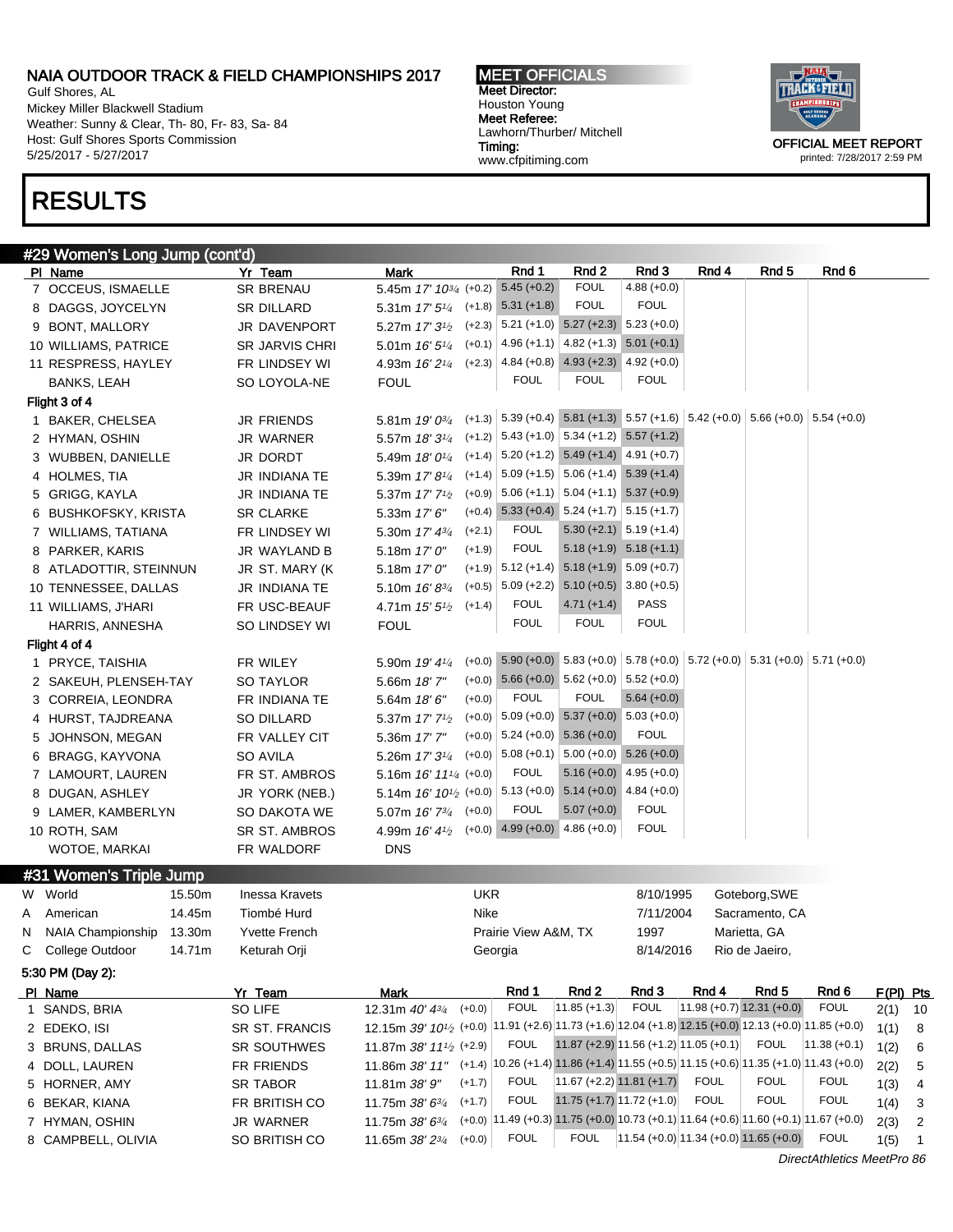8 CAMPBELL, OLIVIA SO BRITISH CO 11.65m 38' 234 (+0.0) FOUL

Gulf Shores, AL Mickey Miller Blackwell Stadium Weather: Sunny & Clear, Th- 80, Fr- 83, Sa- 84 Host: Gulf Shores Sports Commission 5/25/2017 - 5/27/2017

## RESULTS

#### #29 Women's Long Jump (cont'd)

|    | <b>Tromono Long bump (bonca)</b><br>PI Name |        | Yr Team               | Mark                                                                                                                            | Rnd 1                                                                                        | Rnd 2                                     | Rnd 3                       | Rnd 4                       | Rnd 5          | Rnd 6          |                        |
|----|---------------------------------------------|--------|-----------------------|---------------------------------------------------------------------------------------------------------------------------------|----------------------------------------------------------------------------------------------|-------------------------------------------|-----------------------------|-----------------------------|----------------|----------------|------------------------|
|    | 7 OCCEUS, ISMAELLE                          |        | <b>SR BRENAU</b>      | 5.45m 17' 1034 (+0.2) 5.45 (+0.2)                                                                                               |                                                                                              | <b>FOUL</b>                               | $4.88 (+0.0)$               |                             |                |                |                        |
|    | 8 DAGGS, JOYCELYN                           |        | SR DILLARD            | 5.31 m $17'5^{1/4}$ (+1.8) 5.31 (+1.8)                                                                                          |                                                                                              | <b>FOUL</b>                               | <b>FOUL</b>                 |                             |                |                |                        |
|    | 9 BONT, MALLORY                             |        | JR DAVENPORT          | 5.27m $17'3\frac{1}{2}$                                                                                                         | $(+2.3)$ 5.21 $(+1.0)$ 5.27 $(+2.3)$ 5.23 $(+0.0)$                                           |                                           |                             |                             |                |                |                        |
|    | 10 WILLIAMS, PATRICE                        |        | <b>SR JARVIS CHRI</b> | 5.01m $16'5''$                                                                                                                  | $(+0.1)$ 4.96 (+1.1) 4.82 (+1.3) 5.01 (+0.1)                                                 |                                           |                             |                             |                |                |                        |
|    | 11 RESPRESS, HAYLEY                         |        | FR LINDSEY WI         | 4.93m $16'2\frac{1}{4}$                                                                                                         | $(+2.3)$ 4.84 (+0.8) 4.93 (+2.3) 4.92 (+0.0)                                                 |                                           |                             |                             |                |                |                        |
|    | BANKS, LEAH                                 |        | SO LOYOLA-NE          | <b>FOUL</b>                                                                                                                     | <b>FOUL</b>                                                                                  | <b>FOUL</b>                               | <b>FOUL</b>                 |                             |                |                |                        |
|    | Flight 3 of 4                               |        |                       |                                                                                                                                 |                                                                                              |                                           |                             |                             |                |                |                        |
|    | 1 BAKER, CHELSEA                            |        | <b>JR FRIENDS</b>     | 5.81m $19'0^{3/4}$                                                                                                              | $(+1.3)$ 5.39 (+0.4) 5.81 (+1.3) 5.57 (+1.6) 5.42 (+0.0) 5.66 (+0.0) 5.54 (+0.0)             |                                           |                             |                             |                |                |                        |
|    | 2 HYMAN, OSHIN                              |        | JR WARNER             | 5.57m $18'3\frac{1}{4}$                                                                                                         | $(+1.2)$ 5.43 (+1.0) 5.34 (+1.2) 5.57 (+1.2)                                                 |                                           |                             |                             |                |                |                        |
|    | 3 WUBBEN, DANIELLE                          |        | JR DORDT              | 5.49m $18'0\frac{1}{4}$                                                                                                         | $(+1.4)$ 5.20 $(+1.2)$ 5.49 $(+1.4)$ 4.91 $(+0.7)$                                           |                                           |                             |                             |                |                |                        |
|    | 4 HOLMES, TIA                               |        | JR INDIANA TE         | 5.39m $17'8\frac{1}{4}$                                                                                                         | $(+1.4)$ 5.09 (+1.5) 5.06 (+1.4) 5.39 (+1.4)                                                 |                                           |                             |                             |                |                |                        |
|    | 5 GRIGG, KAYLA                              |        | JR INDIANA TE         | 5.37m $17'$ 7 <sup>1</sup> / <sub>2</sub>                                                                                       | $(+0.9)$ 5.06 $(+1.1)$ 5.04 $(+1.1)$ 5.37 $(+0.9)$                                           |                                           |                             |                             |                |                |                        |
|    | 6 BUSHKOFSKY, KRISTA                        |        | <b>SR CLARKE</b>      | 5.33m $17'6''$                                                                                                                  | $(+0.4)$ 5.33 $(+0.4)$ 5.24 $(+1.7)$ 5.15 $(+1.7)$                                           |                                           |                             |                             |                |                |                        |
|    | 7 WILLIAMS, TATIANA                         |        | FR LINDSEY WI         | $(+2.1)$<br>5.30m $17' 4^{3/4}$                                                                                                 | <b>FOUL</b>                                                                                  |                                           | $5.30 (+2.1)$ $5.19 (+1.4)$ |                             |                |                |                        |
|    | 8 PARKER, KARIS                             |        | JR WAYLAND B          | $(+1.9)$<br>5.18m 17'0''                                                                                                        | <b>FOUL</b>                                                                                  |                                           | $5.18 (+1.9) 5.18 (+1.1)$   |                             |                |                |                        |
|    | 8 ATLADOTTIR, STEINNUN                      |        | JR ST. MARY (K)       | 5.18m $17'0''$                                                                                                                  | $(+1.9)$ 5.12 (+1.4) 5.18 (+1.9) 5.09 (+0.7)                                                 |                                           |                             |                             |                |                |                        |
|    | 10 TENNESSEE, DALLAS                        |        | JR INDIANA TE         | $(+0.5)$<br>5.10m $16' 8^{3/4}$                                                                                                 |                                                                                              | $5.09 (+2.2)$ $5.10 (+0.5)$ $3.80 (+0.5)$ |                             |                             |                |                |                        |
|    | 11 WILLIAMS, J'HARI                         |        | FR USC-BEAUF          | $(+1.4)$<br>4.71m $15'5''_2$                                                                                                    | <b>FOUL</b>                                                                                  | $4.71 (+1.4)$                             | <b>PASS</b>                 |                             |                |                |                        |
|    | HARRIS, ANNESHA                             |        | SO LINDSEY WI         | <b>FOUL</b>                                                                                                                     | <b>FOUL</b>                                                                                  | <b>FOUL</b>                               | <b>FOUL</b>                 |                             |                |                |                        |
|    | Flight 4 of 4                               |        |                       |                                                                                                                                 |                                                                                              |                                           |                             |                             |                |                |                        |
|    | 1 PRYCE, TAISHIA                            |        | FR WILEY              | 5.90m 19' 41/4                                                                                                                  | $(+0.0)$ 5.90 $(+0.0)$ 5.83 $(+0.0)$ 5.78 $(+0.0)$ 5.72 $(+0.0)$ 5.31 $(+0.0)$ 5.71 $(+0.0)$ |                                           |                             |                             |                |                |                        |
|    | 2 SAKEUH, PLENSEH-TAY                       |        | <b>SO TAYLOR</b>      | 5.66m 18'7"                                                                                                                     | $(+0.0)$ 5.66 $(+0.0)$ 5.62 $(+0.0)$ 5.52 $(+0.0)$                                           |                                           |                             |                             |                |                |                        |
|    | 3 CORREIA, LEONDRA                          |        | FR INDIANA TE         | $(+0.0)$<br>5.64m $18'6''$                                                                                                      | <b>FOUL</b>                                                                                  | <b>FOUL</b>                               | $5.64 (+0.0)$               |                             |                |                |                        |
|    | 4 HURST, TAJDREANA                          |        | SO DILLARD            | $(+0.0)$<br>5.37m $17'$ 7 <sup>1</sup> / <sub>2</sub>                                                                           |                                                                                              | $5.09 (+0.0)$ $5.37 (+0.0)$ $5.03 (+0.0)$ |                             |                             |                |                |                        |
|    | 5 JOHNSON, MEGAN                            |        | FR VALLEY CIT         | $(+0.0)$<br>5.36m 17' 7"                                                                                                        |                                                                                              | $5.24 (+0.0)$ $5.36 (+0.0)$               | <b>FOUL</b>                 |                             |                |                |                        |
|    | 6 BRAGG, KAYVONA                            |        | SO AVILA              | 5.26m $17'3\frac{1}{4}$                                                                                                         | $(+0.0)$ 5.08 (+0.1) 5.00 (+0.0) 5.26 (+0.0)                                                 |                                           |                             |                             |                |                |                        |
|    | 7 LAMOURT, LAUREN                           |        | FR ST. AMBROS         | 5.16m 16' 111/4 (+0.0)                                                                                                          | <b>FOUL</b>                                                                                  |                                           | $5.16 (+0.0)$ 4.95 (+0.0)   |                             |                |                |                        |
|    | 8 DUGAN, ASHLEY                             |        | JR YORK (NEB.)        | 5.14m $16'$ $10^{1/2}$ (+0.0) 5.13 (+0.0) 5.14 (+0.0) 4.84 (+0.0)                                                               |                                                                                              |                                           |                             |                             |                |                |                        |
|    | 9 LAMER, KAMBERLYN                          |        | SO DAKOTA WE          | $(+0.0)$<br>5.07m $16'$ 7 $\frac{3}{4}$                                                                                         | <b>FOUL</b>                                                                                  | $5.07 (+0.0)$                             | <b>FOUL</b>                 |                             |                |                |                        |
|    | 10 ROTH, SAM                                |        | SR ST. AMBROS         | 4.99m 16' 41/2                                                                                                                  | $(+0.0)$ 4.99 $(+0.0)$ 4.86 $(+0.0)$                                                         |                                           | <b>FOUL</b>                 |                             |                |                |                        |
|    | WOTOE, MARKAI                               |        | FR WALDORF            | <b>DNS</b>                                                                                                                      |                                                                                              |                                           |                             |                             |                |                |                        |
|    |                                             |        |                       |                                                                                                                                 |                                                                                              |                                           |                             |                             |                |                |                        |
|    | #31 Women's Triple Jump                     |        |                       |                                                                                                                                 |                                                                                              |                                           |                             |                             |                |                |                        |
|    | W World                                     | 15.50m | <b>Inessa Kravets</b> |                                                                                                                                 | <b>UKR</b>                                                                                   |                                           | 8/10/1995                   |                             | Goteborg, SWE  |                |                        |
| A  | American                                    | 14.45m | Tiombé Hurd           |                                                                                                                                 | Nike                                                                                         |                                           | 7/11/2004                   |                             | Sacramento, CA |                |                        |
| N. | <b>NAIA Championship</b>                    | 13.30m | <b>Yvette French</b>  |                                                                                                                                 | Prairie View A&M, TX                                                                         |                                           | 1997                        |                             | Marietta, GA   |                |                        |
|    | C College Outdoor                           | 14.71m | Keturah Orji          |                                                                                                                                 | Georgia                                                                                      |                                           | 8/14/2016                   |                             | Rio de Jaeiro, |                |                        |
|    | 5:30 PM (Day 2):                            |        |                       |                                                                                                                                 |                                                                                              |                                           |                             |                             |                |                |                        |
|    | PI Name                                     |        | Yr Team               | <b>Mark</b>                                                                                                                     | Rnd 1                                                                                        | Rnd <sub>2</sub>                          | Rnd 3                       | Rnd 4                       | Rnd 5          | Rnd 6          | F(PI) Pts              |
|    | 1 SANDS, BRIA                               |        | SO LIFE               | $(+0.0)$<br>12.31m 40' 43/4                                                                                                     | <b>FOUL</b>                                                                                  | $11.85 (+1.3)$                            | <b>FOUL</b>                 | $11.98 (+0.7) 12.31 (+0.0)$ |                | <b>FOUL</b>    | 2(1)<br>10             |
|    | 2 EDEKO, ISI                                |        | <b>SR ST. FRANCIS</b> | 12.15m 39' 10 <sup>1</sup> / <sub>2</sub> (+0.0) 11.91 (+2.6) 11.73 (+1.6) 12.04 (+1.8) 12.15 (+0.0) 12.13 (+0.0) 11.85 (+0.0)  |                                                                                              |                                           |                             |                             |                |                | 1(1)<br>8              |
|    | 3 BRUNS, DALLAS                             |        | SR SOUTHWES           | 11.87m 38' 11 <sup>1</sup> / <sub>2</sub> (+2.9)                                                                                | <b>FOUL</b>                                                                                  | 11.87 (+2.9) 11.56 (+1.2) 11.05 (+0.1)    |                             |                             | <b>FOUL</b>    | $11.38 (+0.1)$ | 1(2)<br>6              |
|    | 4 DOLL, LAUREN                              |        | FR FRIENDS            | 11.86m 38' 11" (+1.4) $ 10.26$ (+1.4) $11.\overline{86}$ (+1.4) $ 11.55$ (+0.5) $ 11.15$ (+0.6) $ 11.35$ (+1.0) $ 11.43$ (+0.0) |                                                                                              |                                           |                             |                             |                |                | 2(2)<br>5              |
|    | 5 HORNER, AMY                               |        | <b>SR TABOR</b>       | $(+1.7)$<br>11.81m 38' 9"                                                                                                       | <b>FOUL</b>                                                                                  | $11.67 (+2.2) 11.81 (+1.7)$               |                             | <b>FOUL</b>                 | <b>FOUL</b>    | <b>FOUL</b>    | 1(3)<br>4              |
|    | 6 BEKAR, KIANA                              |        | FR BRITISH CO         | $(+1.7)$<br>11.75m 38' 63/4                                                                                                     | <b>FOUL</b>                                                                                  | $11.75 (+1.7) 11.72 (+1.0)$               |                             | <b>FOUL</b>                 | <b>FOUL</b>    | <b>FOUL</b>    | 1(4)<br>3              |
|    | 7 HYMAN, OSHIN                              |        | JR WARNER             | 11.75m 38' 6 <sup>3/4</sup>                                                                                                     | $(+0.0)$ 11.49 (+0.3) 11.75 (+0.0) 10.73 (+0.1) 11.64 (+0.6) 11.60 (+0.1) 11.67 (+0.0)       |                                           |                             |                             |                |                | 2(3)<br>$\overline{2}$ |

MEET OFFICIALS Meet Director: Houston Young Meet Referee: Lawhorn/Thurber/ Mitchell Timing: www.cfpitiming.com



printed: 7/28/2017 2:59 PM

DirectAthletics MeetPro 86

FOUL 11.54 (+0.0) 11.34 (+0.0) 11.65 (+0.0) FOUL  $1(5)$  1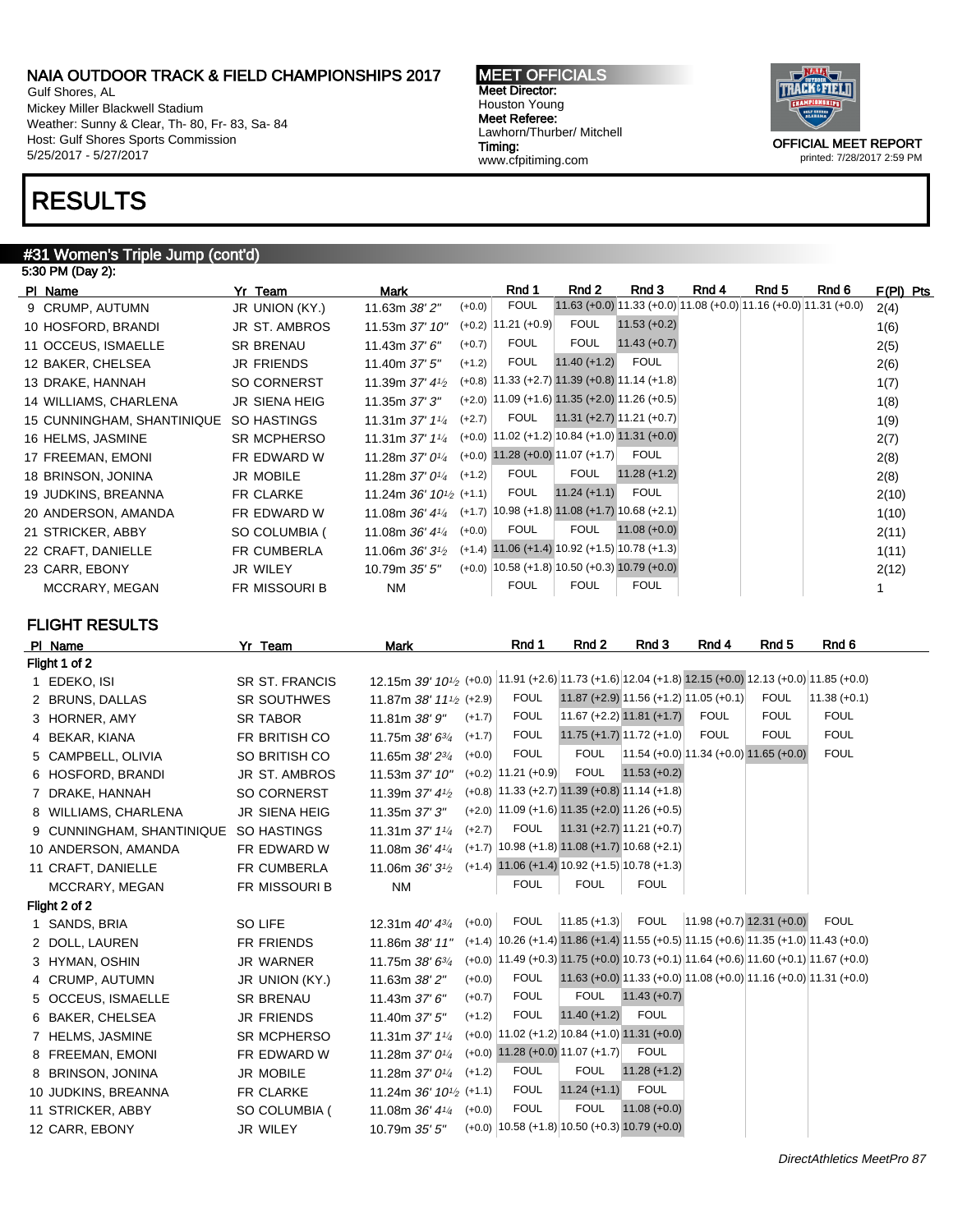Gulf Shores, AL Mickey Miller Blackwell Stadium Weather: Sunny & Clear, Th- 80, Fr- 83, Sa- 84 Host: Gulf Shores Sports Commission 5/25/2017 - 5/27/2017

# RESULTS

#### #31 Women's Triple Jump (cont'd) 5:30 PM (Day 2):

| PI Name                    | Yr Team              | Mark                                       |          | Rnd 1            | Rnd 2                                                 | Rnd 3                                                            | Rnd 4 | Rnd 5 | Rnd 6 | $F(PI)$ Pts |
|----------------------------|----------------------|--------------------------------------------|----------|------------------|-------------------------------------------------------|------------------------------------------------------------------|-------|-------|-------|-------------|
| 9 CRUMP, AUTUMN            | JR UNION (KY.)       | 11.63m 38' 2"                              | $(+0.0)$ | <b>FOUL</b>      |                                                       | 11.63 (+0.0) 11.33 (+0.0) 11.08 (+0.0) 11.16 (+0.0) 11.31 (+0.0) |       |       |       | 2(4)        |
| 10 HOSFORD, BRANDI         | JR ST. AMBROS        | 11.53m 37' 10"                             | $(+0.2)$ | $ 11.21 (+0.9) $ | <b>FOUL</b>                                           | $11.53 (+0.2)$                                                   |       |       |       | 1(6)        |
| 11 OCCEUS, ISMAELLE        | SR BRENAU            | 11.43m $37'$ 6"                            | $(+0.7)$ | <b>FOUL</b>      | <b>FOUL</b>                                           | $11.43 (+0.7)$                                                   |       |       |       | 2(5)        |
| 12 BAKER, CHELSEA          | <b>JR FRIENDS</b>    | 11.40m 37' 5"                              | $(+1.2)$ | <b>FOUL</b>      | $11.40 (+1.2)$                                        | <b>FOUL</b>                                                      |       |       |       | 2(6)        |
| 13 DRAKE, HANNAH           | <b>SO CORNERST</b>   | 11.39m $37'$ 4 <sup>1</sup> / <sub>2</sub> |          |                  | $(+0.8)$ 11.33 (+2.7) 11.39 (+0.8) 11.14 (+1.8)       |                                                                  |       |       |       | 1(7)        |
| 14 WILLIAMS, CHARLENA      | <b>JR SIENA HEIG</b> | 11.35m 37' 3"                              |          |                  | $(+2.0)$ 11.09 $(+1.6)$ 11.35 $(+2.0)$ 11.26 $(+0.5)$ |                                                                  |       |       |       | 1(8)        |
| 15 CUNNINGHAM, SHANTINIQUE | SO HASTINGS          | 11.31m $37'$ $1\frac{1}{4}$                | $(+2.7)$ | <b>FOUL</b>      | $11.31 (+2.7) 11.21 (+0.7)$                           |                                                                  |       |       |       | 1(9)        |
| 16 HELMS, JASMINE          | SR MCPHERSO          | 11.31m $37'$ 1 <sup>1/4</sup>              |          |                  |                                                       | $(+0.0)$   11.02 (+1.2)   10.84 (+1.0) 11.31 (+0.0)              |       |       |       | 2(7)        |
| 17 FREEMAN, EMONI          | FR EDWARD W          | 11.28m $37'0\frac{1}{4}$                   | $(+0.0)$ |                  | $11.28 (+0.0) 11.07 (+1.7)$                           | <b>FOUL</b>                                                      |       |       |       | 2(8)        |
| 18 BRINSON, JONINA         | JR MOBILE            | 11.28m $37'0\frac{1}{4}$                   | $(+1.2)$ | <b>FOUL</b>      | <b>FOUL</b>                                           | $11.28 (+1.2)$                                                   |       |       |       | 2(8)        |
| 19 JUDKINS, BREANNA        | FR CLARKE            | 11.24m $36'$ $10^{1/2}$ (+1.1)             |          | <b>FOUL</b>      | $11.24 (+1.1)$                                        | <b>FOUL</b>                                                      |       |       |       | 2(10)       |
| 20 ANDERSON, AMANDA        | FR EDWARD W          | 11.08m $36'$ 4 $\frac{1}{4}$               | $(+1.7)$ |                  | $(10.98 (+1.8) 11.08 (+1.7) 10.68 (+2.1))$            |                                                                  |       |       |       | 1(10)       |
| 21 STRICKER, ABBY          | SO COLUMBIA (        | 11.08m $36'$ 4 $\frac{1}{4}$               | $(+0.0)$ | <b>FOUL</b>      | <b>FOUL</b>                                           | $11.08 (+0.0)$                                                   |       |       |       | 2(11)       |
| 22 CRAFT, DANIELLE         | <b>FR CUMBERLA</b>   | 11.06m $36'3\frac{1}{2}$                   | $(+1.4)$ |                  | $11.06 (+1.4) 10.92 (+1.5) 10.78 (+1.3)$              |                                                                  |       |       |       | 1(11)       |
| 23 CARR, EBONY             | JR WILEY             | 10.79m 35' 5"                              |          |                  |                                                       | $(+0.0)$ 10.58 $(+1.8)$ 10.50 $(+0.3)$ 10.79 $(+0.0)$            |       |       |       | 2(12)       |
| MCCRARY, MEGAN             | FR MISSOURI B        | <b>NM</b>                                  |          | <b>FOUL</b>      | <b>FOUL</b>                                           | <b>FOUL</b>                                                      |       |       |       |             |
|                            |                      |                                            |          |                  |                                                       |                                                                  |       |       |       |             |

#### FLIGHT RESULTS

| <b>PI</b> | Name                      | Yr Team               | Mark                                                                                                                           |          | Rnd 1                   | Rnd 2                                                                                              | Rnd 3          | Rnd 4                                    | Rnd 5       | Rnd 6          |
|-----------|---------------------------|-----------------------|--------------------------------------------------------------------------------------------------------------------------------|----------|-------------------------|----------------------------------------------------------------------------------------------------|----------------|------------------------------------------|-------------|----------------|
|           | Flight 1 of 2             |                       |                                                                                                                                |          |                         |                                                                                                    |                |                                          |             |                |
|           | 1 EDEKO, ISI              | <b>SR ST. FRANCIS</b> | 12.15m 39' 10 <sup>1</sup> / <sub>2</sub> (+0.0) 11.91 (+2.6) 11.73 (+1.6) 12.04 (+1.8) 12.15 (+0.0) 12.13 (+0.0) 11.85 (+0.0) |          |                         |                                                                                                    |                |                                          |             |                |
|           | 2 BRUNS, DALLAS           | <b>SR SOUTHWES</b>    | 11.87m 38' 111/2 (+2.9)                                                                                                        |          | <b>FOUL</b>             | $11.87 (+2.9) 11.56 (+1.2) 11.05 (+0.1)$                                                           |                |                                          | <b>FOUL</b> | $11.38 (+0.1)$ |
|           | 3 HORNER, AMY             | <b>SR TABOR</b>       | 11.81m 38' 9"                                                                                                                  | $(+1.7)$ | <b>FOUL</b>             | $11.67 (+2.2) 11.81 (+1.7)$                                                                        |                | <b>FOUL</b>                              | <b>FOUL</b> | <b>FOUL</b>    |
|           | 4 BEKAR, KIANA            | FR BRITISH CO         | 11.75m $38'6^{3}/4$                                                                                                            | $(+1.7)$ | <b>FOUL</b>             | $11.75 (+1.7) 11.72 (+1.0)$                                                                        |                | <b>FOUL</b>                              | <b>FOUL</b> | <b>FOUL</b>    |
|           | 5 CAMPBELL, OLIVIA        | SO BRITISH CO         | 11.65m 38' 23/4                                                                                                                | $(+0.0)$ | <b>FOUL</b>             | <b>FOUL</b>                                                                                        |                | $11.54$ (+0.0) 11.34 (+0.0) 11.65 (+0.0) |             | <b>FOUL</b>    |
|           | 6 HOSFORD, BRANDI         | <b>JR ST. AMBROS</b>  | 11.53m 37' 10"                                                                                                                 |          | $(+0.2)$ 11.21 $(+0.9)$ | <b>FOUL</b>                                                                                        | $11.53 (+0.2)$ |                                          |             |                |
|           | 7 DRAKE, HANNAH           | <b>SO CORNERST</b>    | 11.39m 37' 4 <sup>1</sup> / <sub>2</sub>                                                                                       |          |                         | $(+0.8)$ 11.33 (+2.7) 11.39 (+0.8) 11.14 (+1.8)                                                    |                |                                          |             |                |
|           | 8 WILLIAMS, CHARLENA      | <b>JR SIENA HEIG</b>  | 11.35m 37' 3"                                                                                                                  |          |                         | $(+2.0)$ 11.09 (+1.6) 11.35 (+2.0) 11.26 (+0.5)                                                    |                |                                          |             |                |
|           | 9 CUNNINGHAM, SHANTINIQUE | <b>SO HASTINGS</b>    | 11.31m $37'$ 11/4                                                                                                              | $(+2.7)$ | <b>FOUL</b>             | $11.31 (+2.7) 11.21 (+0.7)$                                                                        |                |                                          |             |                |
|           | 10 ANDERSON, AMANDA       | FR EDWARD W           | 11.08m 36' 41/4                                                                                                                |          |                         | $(+1.7)$ 10.98 $(+1.8)$ 11.08 $(+1.7)$ 10.68 $(+2.1)$                                              |                |                                          |             |                |
|           | 11 CRAFT, DANIELLE        | FR CUMBERLA           | 11.06m $36'3^{1/2}$                                                                                                            |          |                         | $(+1.4)$ 11.06 $(+1.4)$ 10.92 $(+1.5)$ 10.78 $(+1.3)$                                              |                |                                          |             |                |
|           | MCCRARY, MEGAN            | FR MISSOURI B         | <b>NM</b>                                                                                                                      |          | <b>FOUL</b>             | <b>FOUL</b>                                                                                        | <b>FOUL</b>    |                                          |             |                |
|           | Flight 2 of 2             |                       |                                                                                                                                |          |                         |                                                                                                    |                |                                          |             |                |
|           | 1 SANDS, BRIA             | SO LIFE               | 12.31m 40' 43/4                                                                                                                | $(+0.0)$ | <b>FOUL</b>             | $ 11.85 (+1.3) $                                                                                   | <b>FOUL</b>    | $11.98 (+0.7) 12.31 (+0.0)$              |             | <b>FOUL</b>    |
|           | 2 DOLL, LAUREN            | <b>FR FRIENDS</b>     | 11.86m 38' 11"                                                                                                                 |          |                         | $(+1.4)$ 10.26 (+1.4) 11.86 (+1.4) 11.55 (+0.5) 11.15 (+0.6) 11.35 (+1.0) 11.43 (+0.0)             |                |                                          |             |                |
|           | 3 HYMAN, OSHIN            | JR WARNER             | 11.75m 38' 63/4                                                                                                                |          |                         | $(+0.0)$ 11.49 $(+0.3)$ 11.75 $(+0.0)$ 10.73 $(+0.1)$ 11.64 $(+0.6)$ 11.60 $(+0.1)$ 11.67 $(+0.0)$ |                |                                          |             |                |
|           | 4 CRUMP, AUTUMN           | JR UNION (KY.)        | 11.63m 38' 2"                                                                                                                  | $(+0.0)$ | <b>FOUL</b>             | 11.63 (+0.0) 11.33 (+0.0) 11.08 (+0.0) 11.16 (+0.0) 11.31 (+0.0)                                   |                |                                          |             |                |
|           | 5 OCCEUS, ISMAELLE        | <b>SR BRENAU</b>      | 11.43m $37'$ 6"                                                                                                                | $(+0.7)$ | <b>FOUL</b>             | <b>FOUL</b>                                                                                        | $11.43 (+0.7)$ |                                          |             |                |
|           | 6 BAKER, CHELSEA          | <b>JR FRIENDS</b>     | 11.40m 37' 5"                                                                                                                  | $(+1.2)$ | <b>FOUL</b>             | $11.40 (+1.2)$                                                                                     | <b>FOUL</b>    |                                          |             |                |
|           | 7 HELMS, JASMINE          | <b>SR MCPHERSO</b>    | 11.31m $37'$ 11/4                                                                                                              |          |                         | $(+0.0)$ 11.02 $(+1.2)$ 10.84 $(+1.0)$ 11.31 $(+0.0)$                                              |                |                                          |             |                |
|           | 8 FREEMAN, EMONI          | FR EDWARD W           | 11.28m 37' 01/4                                                                                                                |          |                         | $(+0.0)$ 11.28 $(+0.0)$ 11.07 $(+1.7)$                                                             | <b>FOUL</b>    |                                          |             |                |
|           | 8 BRINSON, JONINA         | <b>JR MOBILE</b>      | 11.28m 37' 01/4                                                                                                                | $(+1.2)$ | <b>FOUL</b>             | <b>FOUL</b>                                                                                        | $11.28 (+1.2)$ |                                          |             |                |
|           | 10 JUDKINS, BREANNA       | FR CLARKE             | 11.24m $36'$ $10^{1/2}$ (+1.1)                                                                                                 |          | <b>FOUL</b>             | $11.24 (+1.1)$                                                                                     | <b>FOUL</b>    |                                          |             |                |
|           | 11 STRICKER, ABBY         | SO COLUMBIA (         | 11.08m 36' 41/4                                                                                                                | $(+0.0)$ | <b>FOUL</b>             | <b>FOUL</b>                                                                                        | $11.08 (+0.0)$ |                                          |             |                |
|           | 12 CARR, EBONY            | JR WILEY              | 10.79m 35' 5"                                                                                                                  |          |                         | $(+0.0)$   10.58 $(+1.8)$   10.50 $(+0.3)$ 10.79 $(+0.0)$                                          |                |                                          |             |                |
|           |                           |                       |                                                                                                                                |          |                         |                                                                                                    |                |                                          |             |                |

MEET OFFICIALS Meet Director: Houston Young Meet Referee: Lawhorn/Thurber/ Mitchell Timing: www.cfpitiming.com

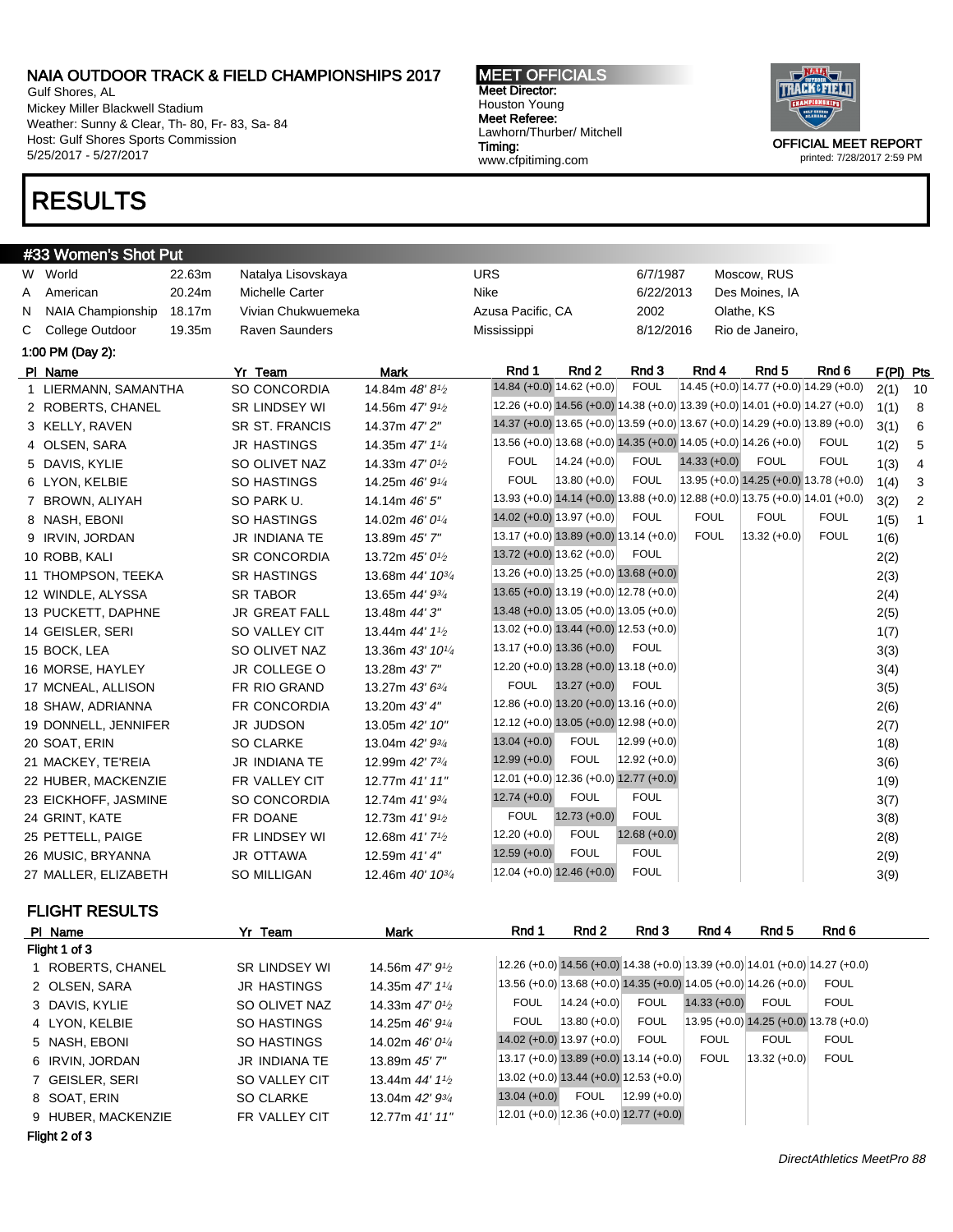Gulf Shores, AL Mickey Miller Blackwell Stadium Weather: Sunny & Clear, Th- 80, Fr- 83, Sa- 84 Host: Gulf Shores Sports Commission 5/25/2017 - 5/27/2017

## RESULTS

#### MEET OFFICIALS Meet Director: Houston Young Meet Referee: Lawhorn/Thurber/ Mitchell Timing: www.cfpitiming.com



printed: 7/28/2017 2:59 PM

| W World<br>22.63m<br><b>URS</b><br>Moscow, RUS<br>Natalya Lisovskaya<br>6/7/1987<br>Nike<br>20.24m<br>Michelle Carter<br>6/22/2013<br>Des Moines, IA<br>A American<br>18.17m<br>Vivian Chukwuemeka<br>Olathe, KS<br><b>NAIA Championship</b><br>Azusa Pacific, CA<br>2002<br>N<br>College Outdoor<br>19.35m<br><b>Raven Saunders</b><br>8/12/2016<br>Rio de Janeiro,<br>С<br>Mississippi<br>1:00 PM (Day 2):<br>Rnd 1<br>Rnd 2<br>Rnd 3<br>Rnd 4<br>Rnd <sub>5</sub><br>Rnd 6<br>Yr Team<br><b>Mark</b><br>$F(PI)$ Pts<br>PI Name<br>14.84 (+0.0) 14.62 (+0.0)<br><b>FOUL</b><br>$(14.45 (+0.0) (14.77 (+0.0) (14.29 (+0.0))$<br>1 LIERMANN, SAMANTHA<br>SO CONCORDIA<br>14.84m 48' 81/2<br>2(1)<br>10<br>12.26 (+0.0) 14.56 (+0.0) 14.38 (+0.0) 13.39 (+0.0) 14.01 (+0.0) 14.27 (+0.0)<br>1(1)<br>2 ROBERTS, CHANEL<br><b>SR LINDSEY WI</b><br>14.56m 47' 9 <sup>1</sup> / <sub>2</sub><br>8<br>$14.37 (+0.0) 13.65 (+0.0) 13.59 (+0.0) 13.67 (+0.0) 14.29 (+0.0) 13.89 (+0.0)$<br>SR ST. FRANCIS<br>14.37m 47' 2"<br>3(1)<br>3 KELLY, RAVEN<br>6<br>13.56 (+0.0) 13.68 (+0.0) 14.35 (+0.0) 14.05 (+0.0) 14.26 (+0.0)<br><b>FOUL</b><br><b>JR HASTINGS</b><br>14.35m 47' 11/4<br>1(2)<br>5<br>4 OLSEN, SARA<br><b>FOUL</b><br>$14.33 (+0.0)$<br><b>FOUL</b><br><b>FOUL</b><br>$14.24 (+0.0)$<br><b>FOUL</b><br>1(3)<br>4<br>5 DAVIS, KYLIE<br>SO OLIVET NAZ<br>14.33m 47' 0 <sup>1</sup> /2<br><b>FOUL</b><br><b>FOUL</b><br>13.95 (+0.0) 14.25 (+0.0) 13.78 (+0.0)<br>$13.80 (+0.0)$<br><b>SO HASTINGS</b><br>14.25m 46' 91/4<br>1(4)<br>6 LYON, KELBIE<br>3<br>13.93 (+0.0) 14.14 (+0.0) 13.88 (+0.0) 12.88 (+0.0) 13.75 (+0.0) 14.01 (+0.0)<br>SO PARK U.<br>14.14m 46' 5"<br>3(2)<br>2<br>7 BROWN, ALIYAH<br><b>FOUL</b><br><b>FOUL</b><br><b>FOUL</b><br><b>FOUL</b><br>$14.02 (+0.0) 13.97 (+0.0)$<br>1(5)<br>8 NASH, EBONI<br><b>SO HASTINGS</b><br>14.02m 46' 01/4<br>$\mathbf{1}$<br>13.17 (+0.0) 13.89 (+0.0) 13.14 (+0.0)<br><b>FOUL</b><br>$13.32 (+0.0)$<br><b>FOUL</b><br>13.89m 45' 7"<br>1(6)<br>9 IRVIN, JORDAN<br>JR INDIANA TE<br>13.72 (+0.0) 13.62 (+0.0)<br><b>FOUL</b><br>10 ROBB, KALI<br><b>SR CONCORDIA</b><br>2(2)<br>13.72m $45'0\frac{1}{2}$<br>$13.26 (+0.0) 13.25 (+0.0) 13.68 (+0.0)$<br><b>SR HASTINGS</b><br>2(3)<br>11 THOMPSON, TEEKA<br>13.68m 44' 10 <sup>3/4</sup><br>13.65 (+0.0) 13.19 (+0.0) 12.78 (+0.0)<br>12 WINDLE, ALYSSA<br><b>SR TABOR</b><br>13.65m 44' 93/4<br>2(4)<br>$13.48 (+0.0) 13.05 (+0.0) 13.05 (+0.0)$<br><b>JR GREAT FALL</b><br>13 PUCKETT, DAPHNE<br>13.48m 44' 3"<br>2(5)<br>13.02 (+0.0) 13.44 (+0.0) 12.53 (+0.0)<br>14 GEISLER, SERI<br>SO VALLEY CIT<br>13.44m 44' 11/2<br>1(7)<br>$13.17 (+0.0) 13.36 (+0.0)$<br><b>FOUL</b><br>SO OLIVET NAZ<br>3(3)<br>15 BOCK, LEA<br>13.36m 43' 101/4<br>$12.20 (+0.0) 13.28 (+0.0) 13.18 (+0.0)$<br>JR COLLEGE O<br>13.28m 43'7"<br>3(4)<br>16 MORSE, HAYLEY<br><b>FOUL</b><br>$13.27 (+0.0)$<br><b>FOUL</b><br>3(5)<br>FR RIO GRAND<br>13.27m 43' 63/4<br>17 MCNEAL, ALLISON<br>12.86 (+0.0) 13.20 (+0.0) 13.16 (+0.0)<br>FR CONCORDIA<br>2(6)<br>18 SHAW, ADRIANNA<br>13.20m 43' 4"<br>12.12 (+0.0) 13.05 (+0.0) 12.98 (+0.0)<br>JR JUDSON<br>13.05m 42' 10"<br>2(7)<br>19 DONNELL, JENNIFER<br><b>FOUL</b><br>$13.04 (+0.0)$<br>$12.99 (+0.0)$<br><b>SO CLARKE</b><br>13.04m 42' 93/4<br>1(8)<br>20 SOAT, ERIN<br><b>FOUL</b><br>$ 12.92(+0.0) $<br>$12.99 (+0.0)$<br>3(6)<br>21 MACKEY, TE'REIA<br>JR INDIANA TE<br>12.99m 42' 73/4<br>$12.01 (+0.0) 12.36 (+0.0) 12.77 (+0.0)$<br>FR VALLEY CIT<br>12.77m 41' 11"<br>1(9)<br>22 HUBER, MACKENZIE<br>$12.74 (+0.0)$<br><b>FOUL</b><br><b>FOUL</b><br>SO CONCORDIA<br>23 EICKHOFF, JASMINE<br>12.74m 41' 93/4<br>3(7)<br><b>FOUL</b><br><b>FOUL</b><br>$12.73 (+0.0)$<br>FR DOANE<br>12.73m 41' 9 <sup>1</sup> /2<br>3(8)<br>24 GRINT, KATE<br><b>FOUL</b><br>$12.68 (+0.0)$<br>$12.20 (+0.0)$<br>25 PETTELL, PAIGE<br>FR LINDSEY WI<br>12.68m 41'7 <sup>1</sup> /2<br>2(8)<br>$12.59 (+0.0)$<br><b>FOUL</b><br><b>FOUL</b><br><b>JR OTTAWA</b><br>12.59m 41' 4"<br>26 MUSIC, BRYANNA<br>2(9)<br><b>FOUL</b><br>$12.04 (+0.0) 12.46 (+0.0)$<br>SO MILLIGAN<br>27 MALLER, ELIZABETH<br>12.46m 40' 10 <sup>3/4</sup><br>3(9) | #33 Women's Shot Put |  |  |  |  |  |  |
|------------------------------------------------------------------------------------------------------------------------------------------------------------------------------------------------------------------------------------------------------------------------------------------------------------------------------------------------------------------------------------------------------------------------------------------------------------------------------------------------------------------------------------------------------------------------------------------------------------------------------------------------------------------------------------------------------------------------------------------------------------------------------------------------------------------------------------------------------------------------------------------------------------------------------------------------------------------------------------------------------------------------------------------------------------------------------------------------------------------------------------------------------------------------------------------------------------------------------------------------------------------------------------------------------------------------------------------------------------------------------------------------------------------------------------------------------------------------------------------------------------------------------------------------------------------------------------------------------------------------------------------------------------------------------------------------------------------------------------------------------------------------------------------------------------------------------------------------------------------------------------------------------------------------------------------------------------------------------------------------------------------------------------------------------------------------------------------------------------------------------------------------------------------------------------------------------------------------------------------------------------------------------------------------------------------------------------------------------------------------------------------------------------------------------------------------------------------------------------------------------------------------------------------------------------------------------------------------------------------------------------------------------------------------------------------------------------------------------------------------------------------------------------------------------------------------------------------------------------------------------------------------------------------------------------------------------------------------------------------------------------------------------------------------------------------------------------------------------------------------------------------------------------------------------------------------------------------------------------------------------------------------------------------------------------------------------------------------------------------------------------------------------------------------------------------------------------------------------------------------------------------------------------------------------------------------------------------------------------------------------------------------------------------------------------------------------------------------------------------------------------------------------------------------------------------------------------------------------------------------------------------------------------------------------------------------------------------------------------------------------------------------------------------------------------------------------------------------------------------------------------------------------------------------------------------|----------------------|--|--|--|--|--|--|
|                                                                                                                                                                                                                                                                                                                                                                                                                                                                                                                                                                                                                                                                                                                                                                                                                                                                                                                                                                                                                                                                                                                                                                                                                                                                                                                                                                                                                                                                                                                                                                                                                                                                                                                                                                                                                                                                                                                                                                                                                                                                                                                                                                                                                                                                                                                                                                                                                                                                                                                                                                                                                                                                                                                                                                                                                                                                                                                                                                                                                                                                                                                                                                                                                                                                                                                                                                                                                                                                                                                                                                                                                                                                                                                                                                                                                                                                                                                                                                                                                                                                                                                                                                                          |                      |  |  |  |  |  |  |
|                                                                                                                                                                                                                                                                                                                                                                                                                                                                                                                                                                                                                                                                                                                                                                                                                                                                                                                                                                                                                                                                                                                                                                                                                                                                                                                                                                                                                                                                                                                                                                                                                                                                                                                                                                                                                                                                                                                                                                                                                                                                                                                                                                                                                                                                                                                                                                                                                                                                                                                                                                                                                                                                                                                                                                                                                                                                                                                                                                                                                                                                                                                                                                                                                                                                                                                                                                                                                                                                                                                                                                                                                                                                                                                                                                                                                                                                                                                                                                                                                                                                                                                                                                                          |                      |  |  |  |  |  |  |
|                                                                                                                                                                                                                                                                                                                                                                                                                                                                                                                                                                                                                                                                                                                                                                                                                                                                                                                                                                                                                                                                                                                                                                                                                                                                                                                                                                                                                                                                                                                                                                                                                                                                                                                                                                                                                                                                                                                                                                                                                                                                                                                                                                                                                                                                                                                                                                                                                                                                                                                                                                                                                                                                                                                                                                                                                                                                                                                                                                                                                                                                                                                                                                                                                                                                                                                                                                                                                                                                                                                                                                                                                                                                                                                                                                                                                                                                                                                                                                                                                                                                                                                                                                                          |                      |  |  |  |  |  |  |
|                                                                                                                                                                                                                                                                                                                                                                                                                                                                                                                                                                                                                                                                                                                                                                                                                                                                                                                                                                                                                                                                                                                                                                                                                                                                                                                                                                                                                                                                                                                                                                                                                                                                                                                                                                                                                                                                                                                                                                                                                                                                                                                                                                                                                                                                                                                                                                                                                                                                                                                                                                                                                                                                                                                                                                                                                                                                                                                                                                                                                                                                                                                                                                                                                                                                                                                                                                                                                                                                                                                                                                                                                                                                                                                                                                                                                                                                                                                                                                                                                                                                                                                                                                                          |                      |  |  |  |  |  |  |
|                                                                                                                                                                                                                                                                                                                                                                                                                                                                                                                                                                                                                                                                                                                                                                                                                                                                                                                                                                                                                                                                                                                                                                                                                                                                                                                                                                                                                                                                                                                                                                                                                                                                                                                                                                                                                                                                                                                                                                                                                                                                                                                                                                                                                                                                                                                                                                                                                                                                                                                                                                                                                                                                                                                                                                                                                                                                                                                                                                                                                                                                                                                                                                                                                                                                                                                                                                                                                                                                                                                                                                                                                                                                                                                                                                                                                                                                                                                                                                                                                                                                                                                                                                                          |                      |  |  |  |  |  |  |
|                                                                                                                                                                                                                                                                                                                                                                                                                                                                                                                                                                                                                                                                                                                                                                                                                                                                                                                                                                                                                                                                                                                                                                                                                                                                                                                                                                                                                                                                                                                                                                                                                                                                                                                                                                                                                                                                                                                                                                                                                                                                                                                                                                                                                                                                                                                                                                                                                                                                                                                                                                                                                                                                                                                                                                                                                                                                                                                                                                                                                                                                                                                                                                                                                                                                                                                                                                                                                                                                                                                                                                                                                                                                                                                                                                                                                                                                                                                                                                                                                                                                                                                                                                                          |                      |  |  |  |  |  |  |
|                                                                                                                                                                                                                                                                                                                                                                                                                                                                                                                                                                                                                                                                                                                                                                                                                                                                                                                                                                                                                                                                                                                                                                                                                                                                                                                                                                                                                                                                                                                                                                                                                                                                                                                                                                                                                                                                                                                                                                                                                                                                                                                                                                                                                                                                                                                                                                                                                                                                                                                                                                                                                                                                                                                                                                                                                                                                                                                                                                                                                                                                                                                                                                                                                                                                                                                                                                                                                                                                                                                                                                                                                                                                                                                                                                                                                                                                                                                                                                                                                                                                                                                                                                                          |                      |  |  |  |  |  |  |
|                                                                                                                                                                                                                                                                                                                                                                                                                                                                                                                                                                                                                                                                                                                                                                                                                                                                                                                                                                                                                                                                                                                                                                                                                                                                                                                                                                                                                                                                                                                                                                                                                                                                                                                                                                                                                                                                                                                                                                                                                                                                                                                                                                                                                                                                                                                                                                                                                                                                                                                                                                                                                                                                                                                                                                                                                                                                                                                                                                                                                                                                                                                                                                                                                                                                                                                                                                                                                                                                                                                                                                                                                                                                                                                                                                                                                                                                                                                                                                                                                                                                                                                                                                                          |                      |  |  |  |  |  |  |
|                                                                                                                                                                                                                                                                                                                                                                                                                                                                                                                                                                                                                                                                                                                                                                                                                                                                                                                                                                                                                                                                                                                                                                                                                                                                                                                                                                                                                                                                                                                                                                                                                                                                                                                                                                                                                                                                                                                                                                                                                                                                                                                                                                                                                                                                                                                                                                                                                                                                                                                                                                                                                                                                                                                                                                                                                                                                                                                                                                                                                                                                                                                                                                                                                                                                                                                                                                                                                                                                                                                                                                                                                                                                                                                                                                                                                                                                                                                                                                                                                                                                                                                                                                                          |                      |  |  |  |  |  |  |
|                                                                                                                                                                                                                                                                                                                                                                                                                                                                                                                                                                                                                                                                                                                                                                                                                                                                                                                                                                                                                                                                                                                                                                                                                                                                                                                                                                                                                                                                                                                                                                                                                                                                                                                                                                                                                                                                                                                                                                                                                                                                                                                                                                                                                                                                                                                                                                                                                                                                                                                                                                                                                                                                                                                                                                                                                                                                                                                                                                                                                                                                                                                                                                                                                                                                                                                                                                                                                                                                                                                                                                                                                                                                                                                                                                                                                                                                                                                                                                                                                                                                                                                                                                                          |                      |  |  |  |  |  |  |
|                                                                                                                                                                                                                                                                                                                                                                                                                                                                                                                                                                                                                                                                                                                                                                                                                                                                                                                                                                                                                                                                                                                                                                                                                                                                                                                                                                                                                                                                                                                                                                                                                                                                                                                                                                                                                                                                                                                                                                                                                                                                                                                                                                                                                                                                                                                                                                                                                                                                                                                                                                                                                                                                                                                                                                                                                                                                                                                                                                                                                                                                                                                                                                                                                                                                                                                                                                                                                                                                                                                                                                                                                                                                                                                                                                                                                                                                                                                                                                                                                                                                                                                                                                                          |                      |  |  |  |  |  |  |
|                                                                                                                                                                                                                                                                                                                                                                                                                                                                                                                                                                                                                                                                                                                                                                                                                                                                                                                                                                                                                                                                                                                                                                                                                                                                                                                                                                                                                                                                                                                                                                                                                                                                                                                                                                                                                                                                                                                                                                                                                                                                                                                                                                                                                                                                                                                                                                                                                                                                                                                                                                                                                                                                                                                                                                                                                                                                                                                                                                                                                                                                                                                                                                                                                                                                                                                                                                                                                                                                                                                                                                                                                                                                                                                                                                                                                                                                                                                                                                                                                                                                                                                                                                                          |                      |  |  |  |  |  |  |
|                                                                                                                                                                                                                                                                                                                                                                                                                                                                                                                                                                                                                                                                                                                                                                                                                                                                                                                                                                                                                                                                                                                                                                                                                                                                                                                                                                                                                                                                                                                                                                                                                                                                                                                                                                                                                                                                                                                                                                                                                                                                                                                                                                                                                                                                                                                                                                                                                                                                                                                                                                                                                                                                                                                                                                                                                                                                                                                                                                                                                                                                                                                                                                                                                                                                                                                                                                                                                                                                                                                                                                                                                                                                                                                                                                                                                                                                                                                                                                                                                                                                                                                                                                                          |                      |  |  |  |  |  |  |
|                                                                                                                                                                                                                                                                                                                                                                                                                                                                                                                                                                                                                                                                                                                                                                                                                                                                                                                                                                                                                                                                                                                                                                                                                                                                                                                                                                                                                                                                                                                                                                                                                                                                                                                                                                                                                                                                                                                                                                                                                                                                                                                                                                                                                                                                                                                                                                                                                                                                                                                                                                                                                                                                                                                                                                                                                                                                                                                                                                                                                                                                                                                                                                                                                                                                                                                                                                                                                                                                                                                                                                                                                                                                                                                                                                                                                                                                                                                                                                                                                                                                                                                                                                                          |                      |  |  |  |  |  |  |
|                                                                                                                                                                                                                                                                                                                                                                                                                                                                                                                                                                                                                                                                                                                                                                                                                                                                                                                                                                                                                                                                                                                                                                                                                                                                                                                                                                                                                                                                                                                                                                                                                                                                                                                                                                                                                                                                                                                                                                                                                                                                                                                                                                                                                                                                                                                                                                                                                                                                                                                                                                                                                                                                                                                                                                                                                                                                                                                                                                                                                                                                                                                                                                                                                                                                                                                                                                                                                                                                                                                                                                                                                                                                                                                                                                                                                                                                                                                                                                                                                                                                                                                                                                                          |                      |  |  |  |  |  |  |
|                                                                                                                                                                                                                                                                                                                                                                                                                                                                                                                                                                                                                                                                                                                                                                                                                                                                                                                                                                                                                                                                                                                                                                                                                                                                                                                                                                                                                                                                                                                                                                                                                                                                                                                                                                                                                                                                                                                                                                                                                                                                                                                                                                                                                                                                                                                                                                                                                                                                                                                                                                                                                                                                                                                                                                                                                                                                                                                                                                                                                                                                                                                                                                                                                                                                                                                                                                                                                                                                                                                                                                                                                                                                                                                                                                                                                                                                                                                                                                                                                                                                                                                                                                                          |                      |  |  |  |  |  |  |
|                                                                                                                                                                                                                                                                                                                                                                                                                                                                                                                                                                                                                                                                                                                                                                                                                                                                                                                                                                                                                                                                                                                                                                                                                                                                                                                                                                                                                                                                                                                                                                                                                                                                                                                                                                                                                                                                                                                                                                                                                                                                                                                                                                                                                                                                                                                                                                                                                                                                                                                                                                                                                                                                                                                                                                                                                                                                                                                                                                                                                                                                                                                                                                                                                                                                                                                                                                                                                                                                                                                                                                                                                                                                                                                                                                                                                                                                                                                                                                                                                                                                                                                                                                                          |                      |  |  |  |  |  |  |
|                                                                                                                                                                                                                                                                                                                                                                                                                                                                                                                                                                                                                                                                                                                                                                                                                                                                                                                                                                                                                                                                                                                                                                                                                                                                                                                                                                                                                                                                                                                                                                                                                                                                                                                                                                                                                                                                                                                                                                                                                                                                                                                                                                                                                                                                                                                                                                                                                                                                                                                                                                                                                                                                                                                                                                                                                                                                                                                                                                                                                                                                                                                                                                                                                                                                                                                                                                                                                                                                                                                                                                                                                                                                                                                                                                                                                                                                                                                                                                                                                                                                                                                                                                                          |                      |  |  |  |  |  |  |
|                                                                                                                                                                                                                                                                                                                                                                                                                                                                                                                                                                                                                                                                                                                                                                                                                                                                                                                                                                                                                                                                                                                                                                                                                                                                                                                                                                                                                                                                                                                                                                                                                                                                                                                                                                                                                                                                                                                                                                                                                                                                                                                                                                                                                                                                                                                                                                                                                                                                                                                                                                                                                                                                                                                                                                                                                                                                                                                                                                                                                                                                                                                                                                                                                                                                                                                                                                                                                                                                                                                                                                                                                                                                                                                                                                                                                                                                                                                                                                                                                                                                                                                                                                                          |                      |  |  |  |  |  |  |
|                                                                                                                                                                                                                                                                                                                                                                                                                                                                                                                                                                                                                                                                                                                                                                                                                                                                                                                                                                                                                                                                                                                                                                                                                                                                                                                                                                                                                                                                                                                                                                                                                                                                                                                                                                                                                                                                                                                                                                                                                                                                                                                                                                                                                                                                                                                                                                                                                                                                                                                                                                                                                                                                                                                                                                                                                                                                                                                                                                                                                                                                                                                                                                                                                                                                                                                                                                                                                                                                                                                                                                                                                                                                                                                                                                                                                                                                                                                                                                                                                                                                                                                                                                                          |                      |  |  |  |  |  |  |
|                                                                                                                                                                                                                                                                                                                                                                                                                                                                                                                                                                                                                                                                                                                                                                                                                                                                                                                                                                                                                                                                                                                                                                                                                                                                                                                                                                                                                                                                                                                                                                                                                                                                                                                                                                                                                                                                                                                                                                                                                                                                                                                                                                                                                                                                                                                                                                                                                                                                                                                                                                                                                                                                                                                                                                                                                                                                                                                                                                                                                                                                                                                                                                                                                                                                                                                                                                                                                                                                                                                                                                                                                                                                                                                                                                                                                                                                                                                                                                                                                                                                                                                                                                                          |                      |  |  |  |  |  |  |
|                                                                                                                                                                                                                                                                                                                                                                                                                                                                                                                                                                                                                                                                                                                                                                                                                                                                                                                                                                                                                                                                                                                                                                                                                                                                                                                                                                                                                                                                                                                                                                                                                                                                                                                                                                                                                                                                                                                                                                                                                                                                                                                                                                                                                                                                                                                                                                                                                                                                                                                                                                                                                                                                                                                                                                                                                                                                                                                                                                                                                                                                                                                                                                                                                                                                                                                                                                                                                                                                                                                                                                                                                                                                                                                                                                                                                                                                                                                                                                                                                                                                                                                                                                                          |                      |  |  |  |  |  |  |
|                                                                                                                                                                                                                                                                                                                                                                                                                                                                                                                                                                                                                                                                                                                                                                                                                                                                                                                                                                                                                                                                                                                                                                                                                                                                                                                                                                                                                                                                                                                                                                                                                                                                                                                                                                                                                                                                                                                                                                                                                                                                                                                                                                                                                                                                                                                                                                                                                                                                                                                                                                                                                                                                                                                                                                                                                                                                                                                                                                                                                                                                                                                                                                                                                                                                                                                                                                                                                                                                                                                                                                                                                                                                                                                                                                                                                                                                                                                                                                                                                                                                                                                                                                                          |                      |  |  |  |  |  |  |
|                                                                                                                                                                                                                                                                                                                                                                                                                                                                                                                                                                                                                                                                                                                                                                                                                                                                                                                                                                                                                                                                                                                                                                                                                                                                                                                                                                                                                                                                                                                                                                                                                                                                                                                                                                                                                                                                                                                                                                                                                                                                                                                                                                                                                                                                                                                                                                                                                                                                                                                                                                                                                                                                                                                                                                                                                                                                                                                                                                                                                                                                                                                                                                                                                                                                                                                                                                                                                                                                                                                                                                                                                                                                                                                                                                                                                                                                                                                                                                                                                                                                                                                                                                                          |                      |  |  |  |  |  |  |
|                                                                                                                                                                                                                                                                                                                                                                                                                                                                                                                                                                                                                                                                                                                                                                                                                                                                                                                                                                                                                                                                                                                                                                                                                                                                                                                                                                                                                                                                                                                                                                                                                                                                                                                                                                                                                                                                                                                                                                                                                                                                                                                                                                                                                                                                                                                                                                                                                                                                                                                                                                                                                                                                                                                                                                                                                                                                                                                                                                                                                                                                                                                                                                                                                                                                                                                                                                                                                                                                                                                                                                                                                                                                                                                                                                                                                                                                                                                                                                                                                                                                                                                                                                                          |                      |  |  |  |  |  |  |
|                                                                                                                                                                                                                                                                                                                                                                                                                                                                                                                                                                                                                                                                                                                                                                                                                                                                                                                                                                                                                                                                                                                                                                                                                                                                                                                                                                                                                                                                                                                                                                                                                                                                                                                                                                                                                                                                                                                                                                                                                                                                                                                                                                                                                                                                                                                                                                                                                                                                                                                                                                                                                                                                                                                                                                                                                                                                                                                                                                                                                                                                                                                                                                                                                                                                                                                                                                                                                                                                                                                                                                                                                                                                                                                                                                                                                                                                                                                                                                                                                                                                                                                                                                                          |                      |  |  |  |  |  |  |
|                                                                                                                                                                                                                                                                                                                                                                                                                                                                                                                                                                                                                                                                                                                                                                                                                                                                                                                                                                                                                                                                                                                                                                                                                                                                                                                                                                                                                                                                                                                                                                                                                                                                                                                                                                                                                                                                                                                                                                                                                                                                                                                                                                                                                                                                                                                                                                                                                                                                                                                                                                                                                                                                                                                                                                                                                                                                                                                                                                                                                                                                                                                                                                                                                                                                                                                                                                                                                                                                                                                                                                                                                                                                                                                                                                                                                                                                                                                                                                                                                                                                                                                                                                                          |                      |  |  |  |  |  |  |
|                                                                                                                                                                                                                                                                                                                                                                                                                                                                                                                                                                                                                                                                                                                                                                                                                                                                                                                                                                                                                                                                                                                                                                                                                                                                                                                                                                                                                                                                                                                                                                                                                                                                                                                                                                                                                                                                                                                                                                                                                                                                                                                                                                                                                                                                                                                                                                                                                                                                                                                                                                                                                                                                                                                                                                                                                                                                                                                                                                                                                                                                                                                                                                                                                                                                                                                                                                                                                                                                                                                                                                                                                                                                                                                                                                                                                                                                                                                                                                                                                                                                                                                                                                                          |                      |  |  |  |  |  |  |
|                                                                                                                                                                                                                                                                                                                                                                                                                                                                                                                                                                                                                                                                                                                                                                                                                                                                                                                                                                                                                                                                                                                                                                                                                                                                                                                                                                                                                                                                                                                                                                                                                                                                                                                                                                                                                                                                                                                                                                                                                                                                                                                                                                                                                                                                                                                                                                                                                                                                                                                                                                                                                                                                                                                                                                                                                                                                                                                                                                                                                                                                                                                                                                                                                                                                                                                                                                                                                                                                                                                                                                                                                                                                                                                                                                                                                                                                                                                                                                                                                                                                                                                                                                                          |                      |  |  |  |  |  |  |
|                                                                                                                                                                                                                                                                                                                                                                                                                                                                                                                                                                                                                                                                                                                                                                                                                                                                                                                                                                                                                                                                                                                                                                                                                                                                                                                                                                                                                                                                                                                                                                                                                                                                                                                                                                                                                                                                                                                                                                                                                                                                                                                                                                                                                                                                                                                                                                                                                                                                                                                                                                                                                                                                                                                                                                                                                                                                                                                                                                                                                                                                                                                                                                                                                                                                                                                                                                                                                                                                                                                                                                                                                                                                                                                                                                                                                                                                                                                                                                                                                                                                                                                                                                                          |                      |  |  |  |  |  |  |
|                                                                                                                                                                                                                                                                                                                                                                                                                                                                                                                                                                                                                                                                                                                                                                                                                                                                                                                                                                                                                                                                                                                                                                                                                                                                                                                                                                                                                                                                                                                                                                                                                                                                                                                                                                                                                                                                                                                                                                                                                                                                                                                                                                                                                                                                                                                                                                                                                                                                                                                                                                                                                                                                                                                                                                                                                                                                                                                                                                                                                                                                                                                                                                                                                                                                                                                                                                                                                                                                                                                                                                                                                                                                                                                                                                                                                                                                                                                                                                                                                                                                                                                                                                                          |                      |  |  |  |  |  |  |
|                                                                                                                                                                                                                                                                                                                                                                                                                                                                                                                                                                                                                                                                                                                                                                                                                                                                                                                                                                                                                                                                                                                                                                                                                                                                                                                                                                                                                                                                                                                                                                                                                                                                                                                                                                                                                                                                                                                                                                                                                                                                                                                                                                                                                                                                                                                                                                                                                                                                                                                                                                                                                                                                                                                                                                                                                                                                                                                                                                                                                                                                                                                                                                                                                                                                                                                                                                                                                                                                                                                                                                                                                                                                                                                                                                                                                                                                                                                                                                                                                                                                                                                                                                                          |                      |  |  |  |  |  |  |
|                                                                                                                                                                                                                                                                                                                                                                                                                                                                                                                                                                                                                                                                                                                                                                                                                                                                                                                                                                                                                                                                                                                                                                                                                                                                                                                                                                                                                                                                                                                                                                                                                                                                                                                                                                                                                                                                                                                                                                                                                                                                                                                                                                                                                                                                                                                                                                                                                                                                                                                                                                                                                                                                                                                                                                                                                                                                                                                                                                                                                                                                                                                                                                                                                                                                                                                                                                                                                                                                                                                                                                                                                                                                                                                                                                                                                                                                                                                                                                                                                                                                                                                                                                                          |                      |  |  |  |  |  |  |

## FLIGHT RESULTS

| PI Name            | Yr Team              | Mark                                       | Rnd 1          | Rnd 2                                                                         | Rnd 3           | Rnd 4          | Rnd 5                                  | Rnd 6       |
|--------------------|----------------------|--------------------------------------------|----------------|-------------------------------------------------------------------------------|-----------------|----------------|----------------------------------------|-------------|
| Flight 1 of 3      |                      |                                            |                |                                                                               |                 |                |                                        |             |
| 1 ROBERTS, CHANEL  | <b>SR LINDSEY WI</b> | 14.56m $47'$ $9\%$                         |                | 12.26 (+0.0) 14.56 (+0.0) 14.38 (+0.0) 13.39 (+0.0) 14.01 (+0.0) 14.27 (+0.0) |                 |                |                                        |             |
| 2 OLSEN, SARA      | JR HASTINGS          | 14.35m $47'$ $1\frac{1}{4}$                |                | 13.56 (+0.0) 13.68 (+0.0) 14.35 (+0.0) 14.05 (+0.0) 14.26 (+0.0)              |                 |                |                                        | <b>FOUL</b> |
| 3 DAVIS, KYLIE     | SO OLIVET NAZ        | 14.33m $47'0\%$                            | <b>FOUL</b>    | $ 14.24(+0.0) $                                                               | <b>FOUL</b>     | $14.33 (+0.0)$ | FOUL                                   | <b>FOUL</b> |
| 4 LYON, KELBIE     | SO HASTINGS          | 14.25m $46'9'4$                            | <b>FOUL</b>    | $ 13.80(+0.0) $                                                               | <b>FOUL</b>     |                | 13.95 (+0.0) 14.25 (+0.0) 13.78 (+0.0) |             |
| 5 NASH, EBONI      | SO HASTINGS          | 14.02m $46'0^{1/4}$                        |                | $14.02 (+0.0) 13.97 (+0.0)$                                                   | <b>FOUL</b>     | <b>FOUL</b>    | <b>FOUL</b>                            | <b>FOUL</b> |
| 6 IRVIN, JORDAN    | JR INDIANA TE        | 13.89m 45' 7"                              |                | $13.17 (+0.0) 13.89 (+0.0) 13.14 (+0.0)$                                      |                 | <b>FOUL</b>    | $13.32 (+0.0)$                         | <b>FOUL</b> |
| 7 GEISLER, SERI    | SO VALLEY CIT        | 13.44m $44'$ 1 <sup>1</sup> / <sub>2</sub> |                | $13.02 (+0.0) 13.44 (+0.0) 12.53 (+0.0)$                                      |                 |                |                                        |             |
| 8 SOAT, ERIN       | SO CLARKE            | 13.04m $42'$ $9\frac{3}{4}$                | $13.04 (+0.0)$ | <b>FOUL</b>                                                                   | $ 12.99(+0.0) $ |                |                                        |             |
| 9 HUBER, MACKENZIE | FR VALLEY CIT        | 12.77m 41' 11"                             |                | $12.01 (+0.0) 12.36 (+0.0) 12.77 (+0.0)$                                      |                 |                |                                        |             |
| -------            |                      |                                            |                |                                                                               |                 |                |                                        |             |

Flight 2 of 3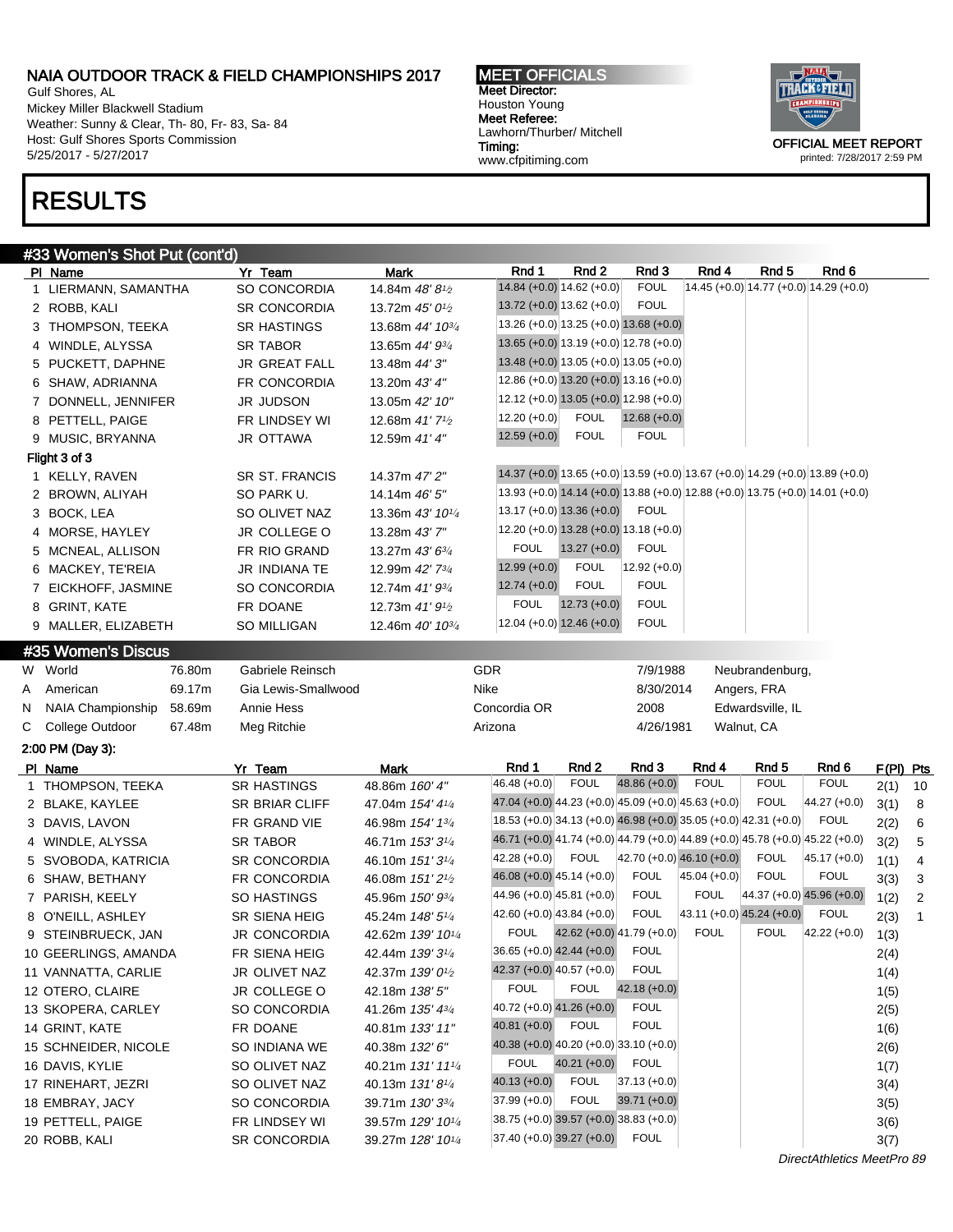Gulf Shores, AL Mickey Miller Blackwell Stadium Weather: Sunny & Clear, Th- 80, Fr- 83, Sa- 84 Host: Gulf Shores Sports Commission 5/25/2017 - 5/27/2017

#### MEET OFFICIALS Meet Director: Houston Young Meet Referee: Lawhorn/Thurber/ Mitchell Timing: www.cfpitiming.com



## RESULTS

## #33 Women's Shot Put (cont'd)

|    | PI Name                              | Yr Team                       | <b>Mark</b>                               | Rnd 1                                                                         | Rnd 2                         | Rnd 3                                    | Rnd 4                     | Rnd <sub>5</sub> | Rnd 6                                                                         |                                 |
|----|--------------------------------------|-------------------------------|-------------------------------------------|-------------------------------------------------------------------------------|-------------------------------|------------------------------------------|---------------------------|------------------|-------------------------------------------------------------------------------|---------------------------------|
|    | 1 LIERMANN, SAMANTHA                 | SO CONCORDIA                  | 14.84m 48' 81/2                           | $14.84 (+0.0) 14.62 (+0.0)$                                                   |                               | <b>FOUL</b>                              |                           |                  | 14.45 (+0.0) 14.77 (+0.0) 14.29 (+0.0)                                        |                                 |
|    | 2 ROBB, KALI                         | SR CONCORDIA                  | 13.72m $45'0\frac{1}{2}$                  | 13.72 (+0.0) 13.62 (+0.0)                                                     |                               | <b>FOUL</b>                              |                           |                  |                                                                               |                                 |
|    | 3 THOMPSON, TEEKA                    | <b>SR HASTINGS</b>            | 13.68m 44' 10 <sup>3/4</sup>              |                                                                               |                               | $13.26 (+0.0) 13.25 (+0.0) 13.68 (+0.0)$ |                           |                  |                                                                               |                                 |
|    | 4 WINDLE, ALYSSA                     | <b>SR TABOR</b>               | 13.65m $44'$ $9\frac{3}{4}$               |                                                                               |                               | $13.65 (+0.0) 13.19 (+0.0) 12.78 (+0.0)$ |                           |                  |                                                                               |                                 |
|    | 5 PUCKETT, DAPHNE                    | JR GREAT FALL                 | 13.48m 44' 3"                             |                                                                               |                               | $13.48 (+0.0) 13.05 (+0.0) 13.05 (+0.0)$ |                           |                  |                                                                               |                                 |
|    | 6 SHAW, ADRIANNA                     | FR CONCORDIA                  | 13.20m 43' 4"                             |                                                                               |                               | 12.86 (+0.0) 13.20 (+0.0) 13.16 (+0.0)   |                           |                  |                                                                               |                                 |
|    | 7 DONNELL, JENNIFER                  | JR JUDSON                     | 13.05m 42' 10"                            |                                                                               |                               | 12.12 (+0.0) 13.05 (+0.0) 12.98 (+0.0)   |                           |                  |                                                                               |                                 |
|    | 8 PETTELL, PAIGE                     | FR LINDSEY WI                 | 12.68m 41' 7 <sup>1</sup> / <sub>2</sub>  | $12.20 (+0.0)$                                                                | <b>FOUL</b>                   | $12.68 (+0.0)$                           |                           |                  |                                                                               |                                 |
|    | 9 MUSIC, BRYANNA                     | JR OTTAWA                     | 12.59m 41' 4"                             | $12.59 (+0.0)$                                                                | <b>FOUL</b>                   | <b>FOUL</b>                              |                           |                  |                                                                               |                                 |
|    | Flight 3 of 3                        |                               |                                           |                                                                               |                               |                                          |                           |                  |                                                                               |                                 |
|    | 1 KELLY, RAVEN                       | SR ST. FRANCIS                | 14.37m 47' 2"                             |                                                                               |                               |                                          |                           |                  | 14.37 (+0.0) 13.65 (+0.0) 13.59 (+0.0) 13.67 (+0.0) 14.29 (+0.0) 13.89 (+0.0) |                                 |
|    | 2 BROWN, ALIYAH                      | SO PARK U.                    | 14.14m 46' 5"                             |                                                                               |                               |                                          |                           |                  | 13.93 (+0.0) 14.14 (+0.0) 13.88 (+0.0) 12.88 (+0.0) 13.75 (+0.0) 14.01 (+0.0) |                                 |
|    | 3 BOCK, LEA                          | SO OLIVET NAZ                 | 13.36m 43' 101/4                          |                                                                               | $13.17 (+0.0) 13.36 (+0.0)$   | <b>FOUL</b>                              |                           |                  |                                                                               |                                 |
|    | 4 MORSE, HAYLEY                      | JR COLLEGE O                  | 13.28m 43'7"                              |                                                                               |                               | $12.20 (+0.0) 13.28 (+0.0) 13.18 (+0.0)$ |                           |                  |                                                                               |                                 |
|    | 5 MCNEAL, ALLISON                    | FR RIO GRAND                  | 13.27m $43'6\frac{3}{4}$                  | <b>FOUL</b>                                                                   | $13.27 (+0.0)$                | <b>FOUL</b>                              |                           |                  |                                                                               |                                 |
|    | 6 MACKEY, TE'REIA                    | JR INDIANA TE                 | 12.99m 42' 73/4                           | $12.99 (+0.0)$                                                                | <b>FOUL</b>                   | $12.92 (+0.0)$                           |                           |                  |                                                                               |                                 |
|    | 7 EICKHOFF, JASMINE                  | SO CONCORDIA                  | 12.74m 41' 93/4                           | $12.74 (+0.0)$                                                                | <b>FOUL</b>                   | <b>FOUL</b>                              |                           |                  |                                                                               |                                 |
|    | 8 GRINT, KATE                        | FR DOANE                      | 12.73m $41'9\frac{1}{2}$                  | <b>FOUL</b>                                                                   | $12.73 (+0.0)$                | <b>FOUL</b>                              |                           |                  |                                                                               |                                 |
|    | 9 MALLER, ELIZABETH                  | SO MILLIGAN                   | 12.46m 40' 10 <sup>3/4</sup>              |                                                                               | $12.04 (+0.0) 12.46 (+0.0)$   | <b>FOUL</b>                              |                           |                  |                                                                               |                                 |
|    | #35 Women's Discus                   |                               |                                           |                                                                               |                               |                                          |                           |                  |                                                                               |                                 |
|    | 76.80m<br>W World                    | Gabriele Reinsch              |                                           | GDR                                                                           |                               | 7/9/1988                                 |                           | Neubrandenburg,  |                                                                               |                                 |
| A  | American<br>69.17m                   | Gia Lewis-Smallwood           |                                           | Nike                                                                          |                               | 8/30/2014                                |                           | Angers, FRA      |                                                                               |                                 |
|    |                                      |                               |                                           |                                                                               |                               |                                          |                           |                  |                                                                               |                                 |
| N. | <b>NAIA Championship</b><br>58.69m   | Annie Hess                    |                                           | Concordia OR                                                                  |                               | 2008                                     |                           | Edwardsville, IL |                                                                               |                                 |
| С  | College Outdoor<br>67.48m            | Meg Ritchie                   |                                           | Arizona                                                                       |                               | 4/26/1981                                |                           | Walnut, CA       |                                                                               |                                 |
|    |                                      |                               |                                           |                                                                               |                               |                                          |                           |                  |                                                                               |                                 |
|    | 2:00 PM (Day 3):                     |                               |                                           | Rnd 1                                                                         | Rnd 2                         | Rnd 3                                    | Rnd 4                     | Rnd <sub>5</sub> | Rnd 6                                                                         |                                 |
|    | PI Name                              | Yr Team<br><b>SR HASTINGS</b> | <b>Mark</b><br>48.86m 160' 4"             | $46.48 (+0.0)$                                                                | <b>FOUL</b>                   | $48.86 (+0.0)$                           | <b>FOUL</b>               | <b>FOUL</b>      | <b>FOUL</b>                                                                   | F(PI) Pts                       |
|    | 1 THOMPSON, TEEKA<br>2 BLAKE, KAYLEE | SR BRIAR CLIFF                | 47.04m 154' 41/ <sub>4</sub>              | 47.04 (+0.0) 44.23 (+0.0) 45.09 (+0.0) 45.63 (+0.0)                           |                               |                                          |                           | <b>FOUL</b>      | $44.27 (+0.0)$                                                                | 2(1)<br>10<br>8                 |
|    | 3 DAVIS, LAVON                       | FR GRAND VIE                  | 46.98m 154' 1 <sup>3/4</sup>              | 18.53 (+0.0) 34.13 (+0.0) 46.98 (+0.0) 35.05 (+0.0) 42.31 (+0.0)              |                               |                                          |                           |                  | <b>FOUL</b>                                                                   | 3(1)<br>6                       |
|    | 4 WINDLE, ALYSSA                     | <b>SR TABOR</b>               | 46.71m 153' 31/4                          | 46.71 (+0.0) 41.74 (+0.0) 44.79 (+0.0) 44.89 (+0.0) 45.78 (+0.0) 45.22 (+0.0) |                               |                                          |                           |                  |                                                                               | 2(2)<br>3(2)<br>5               |
|    | 5 SVOBODA, KATRICIA                  | SR CONCORDIA                  | 46.10m 151' 31/4                          | $42.28(+0.0)$                                                                 | <b>FOUL</b>                   | 42.70 (+0.0) 46.10 (+0.0)                |                           | <b>FOUL</b>      | $45.17 (+0.0)$                                                                | $\overline{\mathbf{4}}$<br>1(1) |
|    | 6 SHAW, BETHANY                      | FR CONCORDIA                  | 46.08m 151' 2 <sup>1</sup> / <sub>2</sub> | 46.08 (+0.0) 45.14 (+0.0)                                                     |                               | <b>FOUL</b>                              | $ 45.04(+0.0) $           | <b>FOUL</b>      | <b>FOUL</b>                                                                   | 3(3)<br>3                       |
|    | 7 PARISH, KEELY                      | SO HASTINGS                   | 45.96m 150' 9 <sup>3/4</sup>              | 44.96 (+0.0) 45.81 (+0.0)                                                     |                               | <b>FOUL</b>                              | <b>FOUL</b>               |                  | $44.37 (+0.0) 45.96 (+0.0)$                                                   | $\overline{2}$<br>1(2)          |
|    | 8 O'NEILL, ASHLEY                    | SR SIENA HEIG                 | 45.24m 148' 51/4                          | 42.60 $(+0.0)$ 43.84 $(+0.0)$                                                 |                               | <b>FOUL</b>                              | 43.11 (+0.0) 45.24 (+0.0) |                  | <b>FOUL</b>                                                                   | 2(3)<br>$\mathbf{1}$            |
|    | 9 STEINBRUECK, JAN                   | JR CONCORDIA                  | 42.62m 139' 10 <sup>1/4</sup>             | <b>FOUL</b>                                                                   | 42.62 $(+0.0)$ 41.79 $(+0.0)$ |                                          | <b>FOUL</b>               | <b>FOUL</b>      | $42.22 (+0.0)$                                                                | 1(3)                            |
|    | 10 GEERLINGS, AMANDA                 | FR SIENA HEIG                 | 42.44m 139' 31/4                          | 36.65 (+0.0) 42.44 (+0.0)                                                     |                               | <b>FOUL</b>                              |                           |                  |                                                                               | 2(4)                            |
|    | 11 VANNATTA, CARLIE                  | JR OLIVET NAZ                 | 42.37m 139' 0 <sup>1</sup> / <sub>2</sub> | 42.37 (+0.0) 40.57 (+0.0)                                                     |                               | <b>FOUL</b>                              |                           |                  |                                                                               | 1(4)                            |
|    | 12 OTERO, CLAIRE                     | JR COLLEGE O                  | 42.18m 138' 5"                            | <b>FOUL</b>                                                                   | <b>FOUL</b>                   | $42.18 (+0.0)$                           |                           |                  |                                                                               | 1(5)                            |
|    | 13 SKOPERA, CARLEY                   | SO CONCORDIA                  | 41.26m 135' 43/4                          | 40.72 (+0.0) 41.26 (+0.0)                                                     |                               | <b>FOUL</b>                              |                           |                  |                                                                               | 2(5)                            |
|    | 14 GRINT, KATE                       | FR DOANE                      | 40.81m 133' 11"                           | $40.81 (+0.0)$                                                                | <b>FOUL</b>                   | <b>FOUL</b>                              |                           |                  |                                                                               | 1(6)                            |
|    | 15 SCHNEIDER, NICOLE                 | SO INDIANA WE                 | 40.38m 132' 6"                            | 40.38 $(+0.0)$ 40.20 $(+0.0)$ 33.10 $(+0.0)$                                  |                               |                                          |                           |                  |                                                                               | 2(6)                            |
|    | 16 DAVIS, KYLIE                      | SO OLIVET NAZ                 | 40.21m 131' 111/4                         | FOUL                                                                          | $40.21 (+0.0)$                | <b>FOUL</b>                              |                           |                  |                                                                               | 1(7)                            |
|    | 17 RINEHART, JEZRI                   | SO OLIVET NAZ                 | 40.13m 131'8 <sup>1/4</sup>               | $40.13 (+0.0)$                                                                | <b>FOUL</b>                   | $37.13 (+0.0)$                           |                           |                  |                                                                               | 3(4)                            |
|    | 18 EMBRAY, JACY                      | SO CONCORDIA                  | 39.71m 130' 33/4                          | $37.99 (+0.0)$                                                                | <b>FOUL</b>                   | $39.71 (+0.0)$                           |                           |                  |                                                                               | 3(5)                            |
|    | 19 PETTELL, PAIGE                    | FR LINDSEY WI                 | 39.57m 129' 10 <sup>1/4</sup>             | 38.75 (+0.0) 39.57 (+0.0) 38.83 (+0.0)                                        |                               |                                          |                           |                  |                                                                               | 3(6)                            |
|    | 20 ROBB, KALI                        | SR CONCORDIA                  | 39.27m 128' 101/4                         | 37.40 (+0.0) 39.27 (+0.0)                                                     |                               | <b>FOUL</b>                              |                           |                  |                                                                               | 3(7)                            |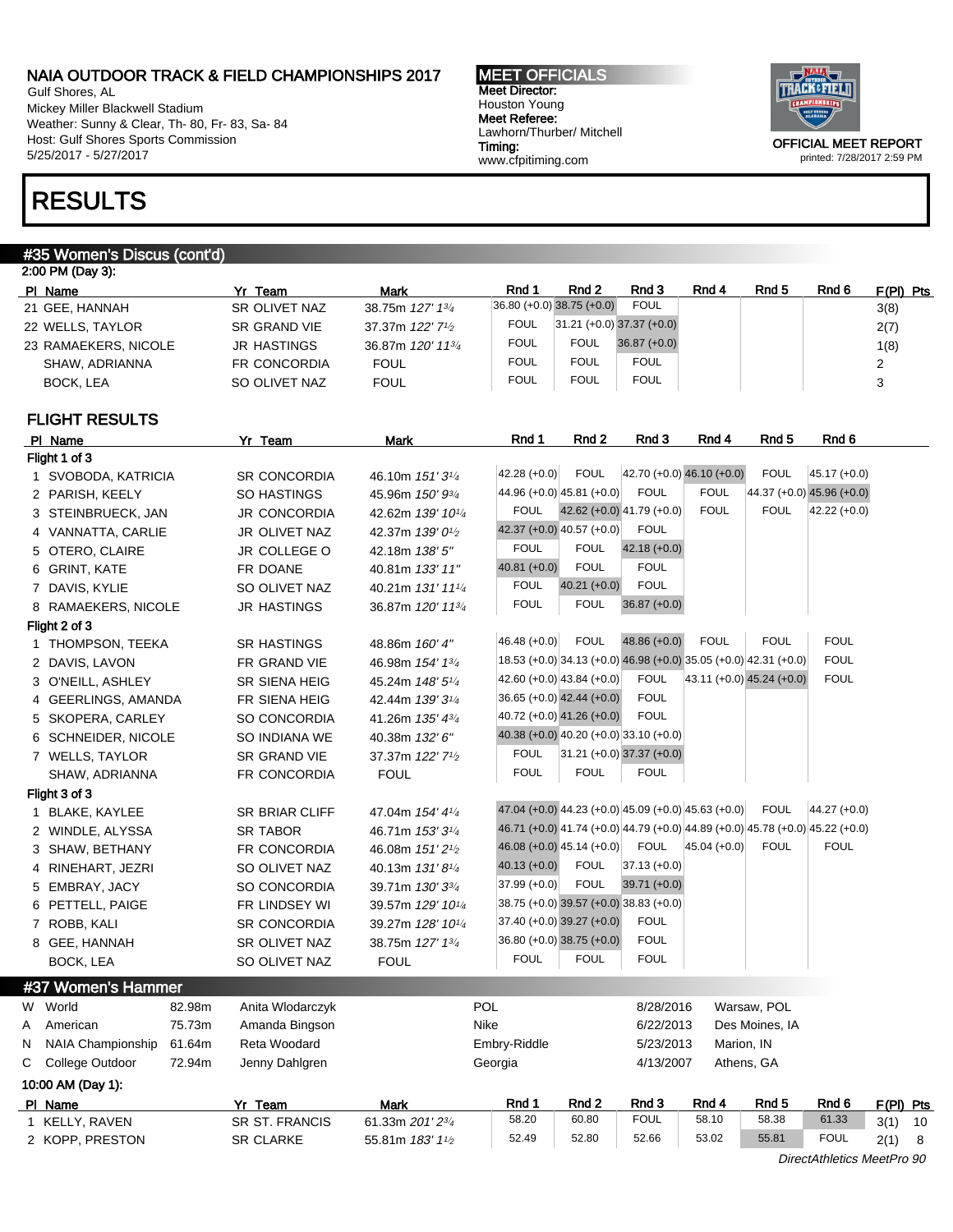Gulf Shores, AL Mickey Miller Blackwell Stadium Weather: Sunny & Clear, Th- 80, Fr- 83, Sa- 84 Host: Gulf Shores Sports Commission 5/25/2017 - 5/27/2017

## RESULTS

#### #35 Women's Discus (cont'd)

| 2:00 PM (Day 3):     |                      |                               |             |                             |                             |       |       |       |                |
|----------------------|----------------------|-------------------------------|-------------|-----------------------------|-----------------------------|-------|-------|-------|----------------|
| PI Name              | Yr Team              | <b>Mark</b>                   | Rnd 1       | Rnd 2                       | Rnd 3                       | Rnd 4 | Rnd 5 | Rnd 6 | $F(PI)$ Pts    |
| 21 GEE, HANNAH       | <b>SR OLIVET NAZ</b> | 38.75m 127' 13/4              |             | $36.80 (+0.0) 38.75 (+0.0)$ | <b>FOUL</b>                 |       |       |       | 3(8)           |
| 22 WELLS, TAYLOR     | SR GRAND VIE         | 37.37m 122' 71/2              | <b>FOUL</b> |                             | $31.21 (+0.0) 37.37 (+0.0)$ |       |       |       | 2(7)           |
| 23 RAMAEKERS, NICOLE | JR HASTINGS          | 36.87m 120' 11 <sup>3/4</sup> | <b>FOUL</b> | <b>FOUL</b>                 | $36.87 (+0.0)$              |       |       |       | 1(8)           |
| SHAW, ADRIANNA       | FR CONCORDIA         | <b>FOUL</b>                   | <b>FOUL</b> | FOUL                        | <b>FOUL</b>                 |       |       |       | $\overline{2}$ |
| BOCK, LEA            | SO OLIVET NAZ        | <b>FOUL</b>                   | <b>FOUL</b> | FOUL                        | <b>FOUL</b>                 |       |       |       | 3              |
|                      |                      |                               |             |                             |                             |       |       |       |                |

### FLIGHT RESULTS

|   | PI Name                     | Yr Team               | Mark                                      | Rnd 1           | Rnd 2                                                                         | Rnd 3                     | Rnd 4        | Rnd <sub>5</sub>          | Rnd 6                      |           |     |
|---|-----------------------------|-----------------------|-------------------------------------------|-----------------|-------------------------------------------------------------------------------|---------------------------|--------------|---------------------------|----------------------------|-----------|-----|
|   | Flight 1 of 3               |                       |                                           |                 |                                                                               |                           |              |                           |                            |           |     |
|   | 1 SVOBODA, KATRICIA         | <b>SR CONCORDIA</b>   | 46.10m 151'31/4                           | $42.28(+0.0)$   | <b>FOUL</b>                                                                   | 42.70 (+0.0) 46.10 (+0.0) |              | <b>FOUL</b>               | $45.17 (+0.0)$             |           |     |
|   | 2 PARISH, KEELY             | <b>SO HASTINGS</b>    | 45.96m 150' 93/4                          |                 | 44.96 (+0.0) 45.81 (+0.0)                                                     | <b>FOUL</b>               | <b>FOUL</b>  |                           | 44.37 (+0.0) 45.96 (+0.0)  |           |     |
|   | 3 STEINBRUECK, JAN          | <b>JR CONCORDIA</b>   | 42.62m 139' 101/4                         | <b>FOUL</b>     | 42.62 (+0.0) 41.79 (+0.0)                                                     |                           | <b>FOUL</b>  | <b>FOUL</b>               | $42.22 (+0.0)$             |           |     |
|   | 4 VANNATTA, CARLIE          | JR OLIVET NAZ         | 42.37m 139' 01/2                          |                 | 42.37 (+0.0) 40.57 (+0.0)                                                     | <b>FOUL</b>               |              |                           |                            |           |     |
|   | 5 OTERO, CLAIRE             | JR COLLEGE O          | 42.18m 138' 5"                            | <b>FOUL</b>     | <b>FOUL</b>                                                                   | $42.18 (+0.0)$            |              |                           |                            |           |     |
|   | 6 GRINT, KATE               | FR DOANE              | 40.81m 133' 11"                           | $40.81 (+0.0)$  | <b>FOUL</b>                                                                   | <b>FOUL</b>               |              |                           |                            |           |     |
|   | 7 DAVIS, KYLIE              | SO OLIVET NAZ         | 40.21m 131' 111/4                         | <b>FOUL</b>     | $40.21 (+0.0)$                                                                | <b>FOUL</b>               |              |                           |                            |           |     |
|   | 8 RAMAEKERS, NICOLE         | <b>JR HASTINGS</b>    | 36.87m 120' 1134                          | <b>FOUL</b>     | <b>FOUL</b>                                                                   | $36.87 (+0.0)$            |              |                           |                            |           |     |
|   | Flight 2 of 3               |                       |                                           |                 |                                                                               |                           |              |                           |                            |           |     |
|   | 1 THOMPSON, TEEKA           | SR HASTINGS           | 48.86m 160' 4"                            | $ 46.48(+0.0) $ | <b>FOUL</b>                                                                   | $48.86 (+0.0)$            | <b>FOUL</b>  | <b>FOUL</b>               | <b>FOUL</b>                |           |     |
|   | 2 DAVIS, LAVON              | FR GRAND VIE          | 46.98m 154' 13/4                          |                 | 18.53 (+0.0) 34.13 (+0.0) 46.98 (+0.0) 35.05 (+0.0) 42.31 (+0.0)              |                           |              |                           | <b>FOUL</b>                |           |     |
|   | 3 O'NEILL, ASHLEY           | <b>SR SIENA HEIG</b>  | 45.24m 148' 51/4                          |                 | 42.60 $(+0.0)$ 43.84 $(+0.0)$                                                 | <b>FOUL</b>               |              | 43.11 (+0.0) 45.24 (+0.0) | <b>FOUL</b>                |           |     |
|   | 4 GEERLINGS, AMANDA         | FR SIENA HEIG         | 42.44m 139' 31/4                          |                 | $36.65 (+0.0) 42.44 (+0.0)$                                                   | <b>FOUL</b>               |              |                           |                            |           |     |
|   | 5 SKOPERA, CARLEY           | SO CONCORDIA          | 41.26m 135' 43/4                          |                 | 40.72 (+0.0) 41.26 (+0.0)                                                     | <b>FOUL</b>               |              |                           |                            |           |     |
|   | 6 SCHNEIDER, NICOLE         | SO INDIANA WE         | 40.38m 132' 6"                            |                 | 40.38 (+0.0) 40.20 (+0.0) 33.10 (+0.0)                                        |                           |              |                           |                            |           |     |
|   | 7 WELLS, TAYLOR             | SR GRAND VIE          | 37.37m 122' 71/2                          | <b>FOUL</b>     | $31.21 (+0.0) 37.37 (+0.0)$                                                   |                           |              |                           |                            |           |     |
|   | SHAW, ADRIANNA              | FR CONCORDIA          | <b>FOUL</b>                               | <b>FOUL</b>     | <b>FOUL</b>                                                                   | <b>FOUL</b>               |              |                           |                            |           |     |
|   | Flight 3 of 3               |                       |                                           |                 |                                                                               |                           |              |                           |                            |           |     |
|   | 1 BLAKE, KAYLEE             | <b>SR BRIAR CLIFF</b> | 47.04m 154' 41/4                          |                 | 47.04 (+0.0) 44.23 (+0.0) 45.09 (+0.0) 45.63 (+0.0)                           |                           |              | <b>FOUL</b>               | $44.27 (+0.0)$             |           |     |
|   | 2 WINDLE, ALYSSA            | <b>SR TABOR</b>       | 46.71m 153' 31/4                          |                 | 46.71 (+0.0) 41.74 (+0.0) 44.79 (+0.0) 44.89 (+0.0) 45.78 (+0.0) 45.22 (+0.0) |                           |              |                           |                            |           |     |
|   | 3 SHAW, BETHANY             | FR CONCORDIA          | 46.08m 151' 2 <sup>1</sup> / <sub>2</sub> |                 | 46.08 (+0.0) 45.14 (+0.0)                                                     | <b>FOUL</b>               | 45.04 (+0.0) | <b>FOUL</b>               | <b>FOUL</b>                |           |     |
|   | 4 RINEHART, JEZRI           | SO OLIVET NAZ         | 40.13m 131'81/4                           | $40.13 (+0.0)$  | <b>FOUL</b>                                                                   | 37.13 (+0.0)              |              |                           |                            |           |     |
|   | 5 EMBRAY, JACY              | SO CONCORDIA          | 39.71m 130' 33/4                          | $37.99 (+0.0)$  | <b>FOUL</b>                                                                   | $39.71 (+0.0)$            |              |                           |                            |           |     |
|   | 6 PETTELL, PAIGE            | FR LINDSEY WI         | 39.57m 129' 101/4                         |                 | 38.75 (+0.0) 39.57 (+0.0) 38.83 (+0.0)                                        |                           |              |                           |                            |           |     |
|   | 7 ROBB, KALI                | <b>SR CONCORDIA</b>   | 39.27m 128' 101/4                         |                 | 37.40 (+0.0) 39.27 (+0.0)                                                     | <b>FOUL</b>               |              |                           |                            |           |     |
|   | 8 GEE, HANNAH               | SR OLIVET NAZ         | 38.75m 127' 13/4                          |                 | 36.80 (+0.0) 38.75 (+0.0)                                                     | <b>FOUL</b>               |              |                           |                            |           |     |
|   | BOCK, LEA                   | SO OLIVET NAZ         | <b>FOUL</b>                               | <b>FOUL</b>     | <b>FOUL</b>                                                                   | <b>FOUL</b>               |              |                           |                            |           |     |
|   | #37 Women's Hammer          |                       |                                           |                 |                                                                               |                           |              |                           |                            |           |     |
|   | W World<br>82.98m           | Anita Wlodarczyk      |                                           | POL             |                                                                               | 8/28/2016                 |              | Warsaw, POL               |                            |           |     |
| A | 75.73m<br>American          | Amanda Bingson        |                                           | Nike            |                                                                               | 6/22/2013                 |              | Des Moines, IA            |                            |           |     |
| N | 61.64m<br>NAIA Championship | Reta Woodard          |                                           | Embry-Riddle    |                                                                               | 5/23/2013                 |              | Marion, IN                |                            |           |     |
| С | 72.94m<br>College Outdoor   | Jenny Dahlgren        |                                           | Georgia         |                                                                               | 4/13/2007                 |              | Athens, GA                |                            |           |     |
|   | 10:00 AM (Day 1):           |                       |                                           |                 |                                                                               |                           |              |                           |                            |           |     |
|   | PI Name                     | Yr Team               | <b>Mark</b>                               | Rnd 1           | Rnd <sub>2</sub>                                                              | Rnd 3                     | Rnd 4        | Rnd <sub>5</sub>          | Rnd 6                      | F(PI) Pts |     |
|   | 1 KELLY, RAVEN              | <b>SR ST. FRANCIS</b> | 61.33m 201' 23/4                          | 58.20           | 60.80                                                                         | <b>FOUL</b>               | 58.10        | 58.38                     | 61.33                      | 3(1)      | 10  |
|   | 2 KOPP, PRESTON             | <b>SR CLARKE</b>      | 55.81m 183' 11/2                          | 52.49           | 52.80                                                                         | 52.66                     | 53.02        | 55.81                     | <b>FOUL</b>                | 2(1)      | - 8 |
|   |                             |                       |                                           |                 |                                                                               |                           |              |                           | DirectAthletics MeetPro 90 |           |     |

MEET OFFICIALS Meet Director: Houston Young Meet Referee: Lawhorn/Thurber/ Mitchell Timing: www.cfpitiming.com

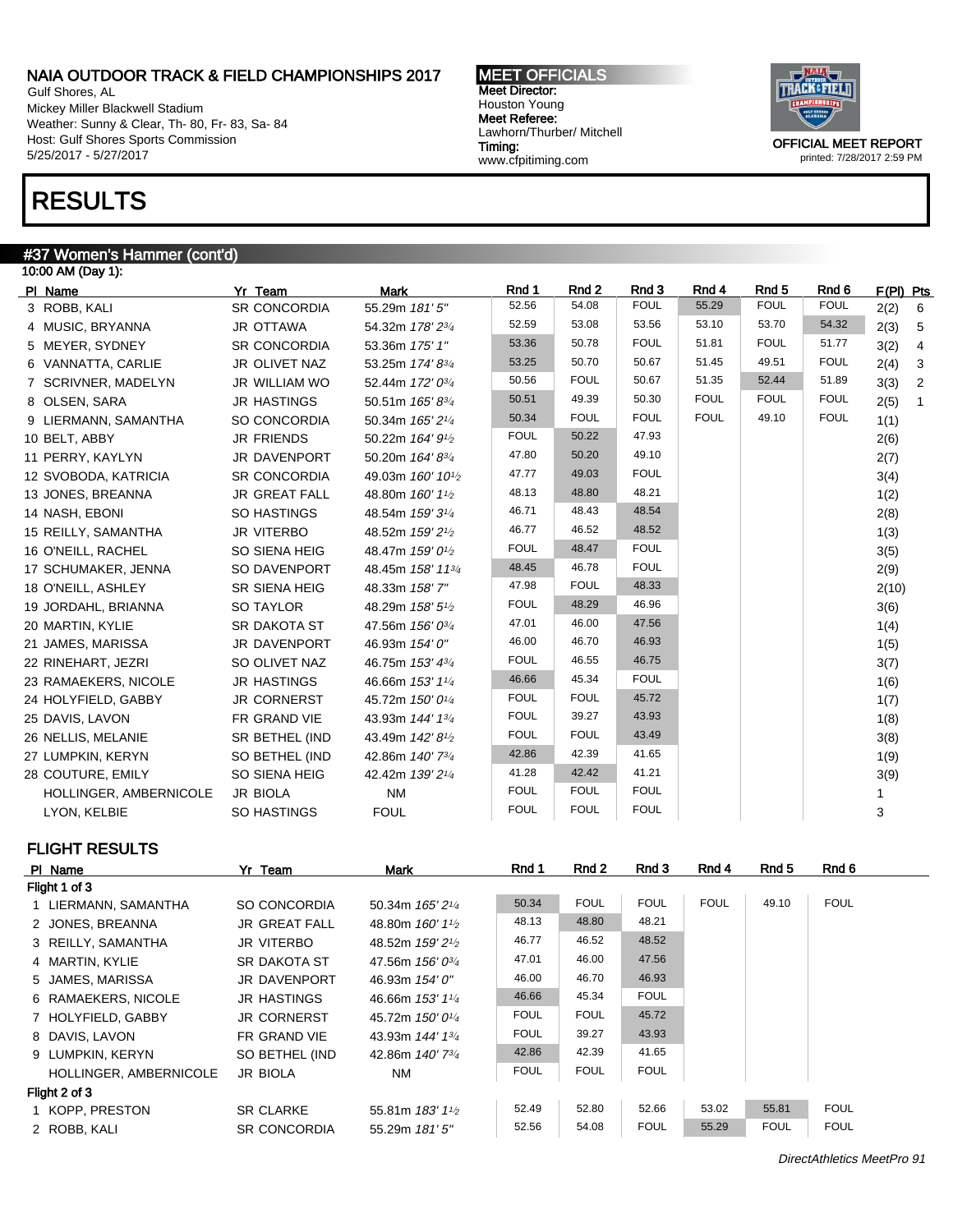Gulf Shores, AL Mickey Miller Blackwell Stadium Weather: Sunny & Clear, Th- 80, Fr- 83, Sa- 84 Host: Gulf Shores Sports Commission 5/25/2017 - 5/27/2017

# RESULTS

## #37 Women's Hammer (cont'd)

| 10:00 AM (Day 1):      |                      |                                            |             |             |             |             |                  |                  |           |                |
|------------------------|----------------------|--------------------------------------------|-------------|-------------|-------------|-------------|------------------|------------------|-----------|----------------|
| PI Name                | Yr Team              | <b>Mark</b>                                | Rnd 1       | Rnd 2       | Rnd 3       | Rnd 4       | Rnd <sub>5</sub> | Rnd <sub>6</sub> | F(PI) Pts |                |
| 3 ROBB, KALI           | SR CONCORDIA         | 55.29m 181' 5"                             | 52.56       | 54.08       | <b>FOUL</b> | 55.29       | <b>FOUL</b>      | <b>FOUL</b>      | 2(2)      | - 6            |
| 4 MUSIC, BRYANNA       | <b>JR OTTAWA</b>     | 54.32m 178' 23/4                           | 52.59       | 53.08       | 53.56       | 53.10       | 53.70            | 54.32            | 2(3)      | 5              |
| 5 MEYER, SYDNEY        | <b>SR CONCORDIA</b>  | 53.36m 175' 1"                             | 53.36       | 50.78       | <b>FOUL</b> | 51.81       | <b>FOUL</b>      | 51.77            | 3(2)      | $\overline{4}$ |
| 6 VANNATTA, CARLIE     | JR OLIVET NAZ        | 53.25m 174' 83/4                           | 53.25       | 50.70       | 50.67       | 51.45       | 49.51            | <b>FOUL</b>      | 2(4)      | $\mathbf{3}$   |
| 7 SCRIVNER, MADELYN    | JR WILLIAM WO        | 52.44m 172' 03/4                           | 50.56       | <b>FOUL</b> | 50.67       | 51.35       | 52.44            | 51.89            | 3(3)      | $\overline{2}$ |
| 8 OLSEN, SARA          | <b>JR HASTINGS</b>   | 50.51m 165' 83/4                           | 50.51       | 49.39       | 50.30       | <b>FOUL</b> | <b>FOUL</b>      | <b>FOUL</b>      | 2(5)      | $\overline{1}$ |
| 9 LIERMANN, SAMANTHA   | SO CONCORDIA         | 50.34m 165' 21/4                           | 50.34       | <b>FOUL</b> | <b>FOUL</b> | <b>FOUL</b> | 49.10            | <b>FOUL</b>      | 1(1)      |                |
| 10 BELT, ABBY          | <b>JR FRIENDS</b>    | 50.22m 164' 91/2                           | <b>FOUL</b> | 50.22       | 47.93       |             |                  |                  | 2(6)      |                |
| 11 PERRY, KAYLYN       | JR DAVENPORT         | 50.20m 164' 83/4                           | 47.80       | 50.20       | 49.10       |             |                  |                  | 2(7)      |                |
| 12 SVOBODA, KATRICIA   | <b>SR CONCORDIA</b>  | 49.03m 160' 10 <sup>1</sup> / <sub>2</sub> | 47.77       | 49.03       | <b>FOUL</b> |             |                  |                  | 3(4)      |                |
| 13 JONES, BREANNA      | <b>JR GREAT FALL</b> | 48.80m 160' 11/2                           | 48.13       | 48.80       | 48.21       |             |                  |                  | 1(2)      |                |
| 14 NASH, EBONI         | <b>SO HASTINGS</b>   | 48.54m 159' 31/4                           | 46.71       | 48.43       | 48.54       |             |                  |                  | 2(8)      |                |
| 15 REILLY, SAMANTHA    | JR VITERBO           | 48.52m 159' 21/2                           | 46.77       | 46.52       | 48.52       |             |                  |                  | 1(3)      |                |
| 16 O'NEILL, RACHEL     | SO SIENA HEIG        | 48.47m 159' 01/2                           | <b>FOUL</b> | 48.47       | <b>FOUL</b> |             |                  |                  | 3(5)      |                |
| 17 SCHUMAKER, JENNA    | SO DAVENPORT         | 48.45m 158' 11 <sup>3/4</sup>              | 48.45       | 46.78       | <b>FOUL</b> |             |                  |                  | 2(9)      |                |
| 18 O'NEILL, ASHLEY     | SR SIENA HEIG        | 48.33m 158' 7"                             | 47.98       | <b>FOUL</b> | 48.33       |             |                  |                  | 2(10)     |                |
| 19 JORDAHL, BRIANNA    | <b>SO TAYLOR</b>     | 48.29m 158' 51/2                           | <b>FOUL</b> | 48.29       | 46.96       |             |                  |                  | 3(6)      |                |
| 20 MARTIN, KYLIE       | <b>SR DAKOTA ST</b>  | 47.56m 156' 03/4                           | 47.01       | 46.00       | 47.56       |             |                  |                  | 1(4)      |                |
| 21 JAMES, MARISSA      | JR DAVENPORT         | 46.93m 154' 0"                             | 46.00       | 46.70       | 46.93       |             |                  |                  | 1(5)      |                |
| 22 RINEHART, JEZRI     | SO OLIVET NAZ        | 46.75m 153' 43/4                           | <b>FOUL</b> | 46.55       | 46.75       |             |                  |                  | 3(7)      |                |
| 23 RAMAEKERS, NICOLE   | <b>JR HASTINGS</b>   | 46.66m 153' 11/4                           | 46.66       | 45.34       | <b>FOUL</b> |             |                  |                  | 1(6)      |                |
| 24 HOLYFIELD, GABBY    | <b>JR CORNERST</b>   | 45.72m 150' 01/4                           | <b>FOUL</b> | <b>FOUL</b> | 45.72       |             |                  |                  | 1(7)      |                |
| 25 DAVIS, LAVON        | FR GRAND VIE         | 43.93m 144' 13/4                           | <b>FOUL</b> | 39.27       | 43.93       |             |                  |                  | 1(8)      |                |
| 26 NELLIS, MELANIE     | SR BETHEL (IND       | 43.49m 142' 8 <sup>1</sup> / <sub>2</sub>  | <b>FOUL</b> | <b>FOUL</b> | 43.49       |             |                  |                  | 3(8)      |                |
| 27 LUMPKIN, KERYN      | SO BETHEL (IND       | 42.86m 140' 73/4                           | 42.86       | 42.39       | 41.65       |             |                  |                  | 1(9)      |                |
| 28 COUTURE, EMILY      | SO SIENA HEIG        | 42.42m 139' 21/4                           | 41.28       | 42.42       | 41.21       |             |                  |                  | 3(9)      |                |
| HOLLINGER, AMBERNICOLE | <b>JR BIOLA</b>      | <b>NM</b>                                  | <b>FOUL</b> | <b>FOUL</b> | <b>FOUL</b> |             |                  |                  |           |                |
| LYON, KELBIE           | <b>SO HASTINGS</b>   | <b>FOUL</b>                                | <b>FOUL</b> | <b>FOUL</b> | <b>FOUL</b> |             |                  |                  | 3         |                |

### FLIGHT RESULTS

| PI Name                | Yr Team              | <b>Mark</b>                               | Rnd 1       | Rnd 2       | Rnd 3       | Rnd 4       | Rnd 5       | Rnd 6       |
|------------------------|----------------------|-------------------------------------------|-------------|-------------|-------------|-------------|-------------|-------------|
| Flight 1 of 3          |                      |                                           |             |             |             |             |             |             |
| 1 LIERMANN, SAMANTHA   | SO CONCORDIA         | 50.34m 165' 21/4                          | 50.34       | <b>FOUL</b> | <b>FOUL</b> | <b>FOUL</b> | 49.10       | <b>FOUL</b> |
| 2 JONES, BREANNA       | <b>JR GREAT FALL</b> | 48.80m 160' 1 <sup>1</sup> / <sub>2</sub> | 48.13       | 48.80       | 48.21       |             |             |             |
| 3 REILLY, SAMANTHA     | <b>JR VITERBO</b>    | 48.52m 159' 2 <sup>1</sup> / <sub>2</sub> | 46.77       | 46.52       | 48.52       |             |             |             |
| 4 MARTIN, KYLIE        | <b>SR DAKOTA ST</b>  | 47.56m 156' 0 <sup>3/4</sup>              | 47.01       | 46.00       | 47.56       |             |             |             |
| 5 JAMES, MARISSA       | <b>JR DAVENPORT</b>  | 46.93m $154'0''$                          | 46.00       | 46.70       | 46.93       |             |             |             |
| 6 RAMAEKERS, NICOLE    | JR HASTINGS          | 46.66m 153' 11/4                          | 46.66       | 45.34       | <b>FOUL</b> |             |             |             |
| 7 HOLYFIELD, GABBY     | <b>JR CORNERST</b>   | 45.72m 150' 01/4                          | <b>FOUL</b> | <b>FOUL</b> | 45.72       |             |             |             |
| 8 DAVIS, LAVON         | FR GRAND VIE         | 43.93m $144'$ $13'$                       | <b>FOUL</b> | 39.27       | 43.93       |             |             |             |
| 9 LUMPKIN, KERYN       | SO BETHEL (IND       | 42.86m 140' 73/4                          | 42.86       | 42.39       | 41.65       |             |             |             |
| HOLLINGER, AMBERNICOLE | <b>JR BIOLA</b>      | NM                                        | <b>FOUL</b> | <b>FOUL</b> | <b>FOUL</b> |             |             |             |
| Flight 2 of 3          |                      |                                           |             |             |             |             |             |             |
| 1 KOPP, PRESTON        | <b>SR CLARKE</b>     | 55.81m 183' 11/2                          | 52.49       | 52.80       | 52.66       | 53.02       | 55.81       | <b>FOUL</b> |
| 2 ROBB, KALI           | <b>SR CONCORDIA</b>  | 55.29m 181' 5"                            | 52.56       | 54.08       | <b>FOUL</b> | 55.29       | <b>FOUL</b> | <b>FOUL</b> |

MEET OFFICIALS Meet Director: Houston Young Meet Referee: Lawhorn/Thurber/ Mitchell Timing: www.cfpitiming.com

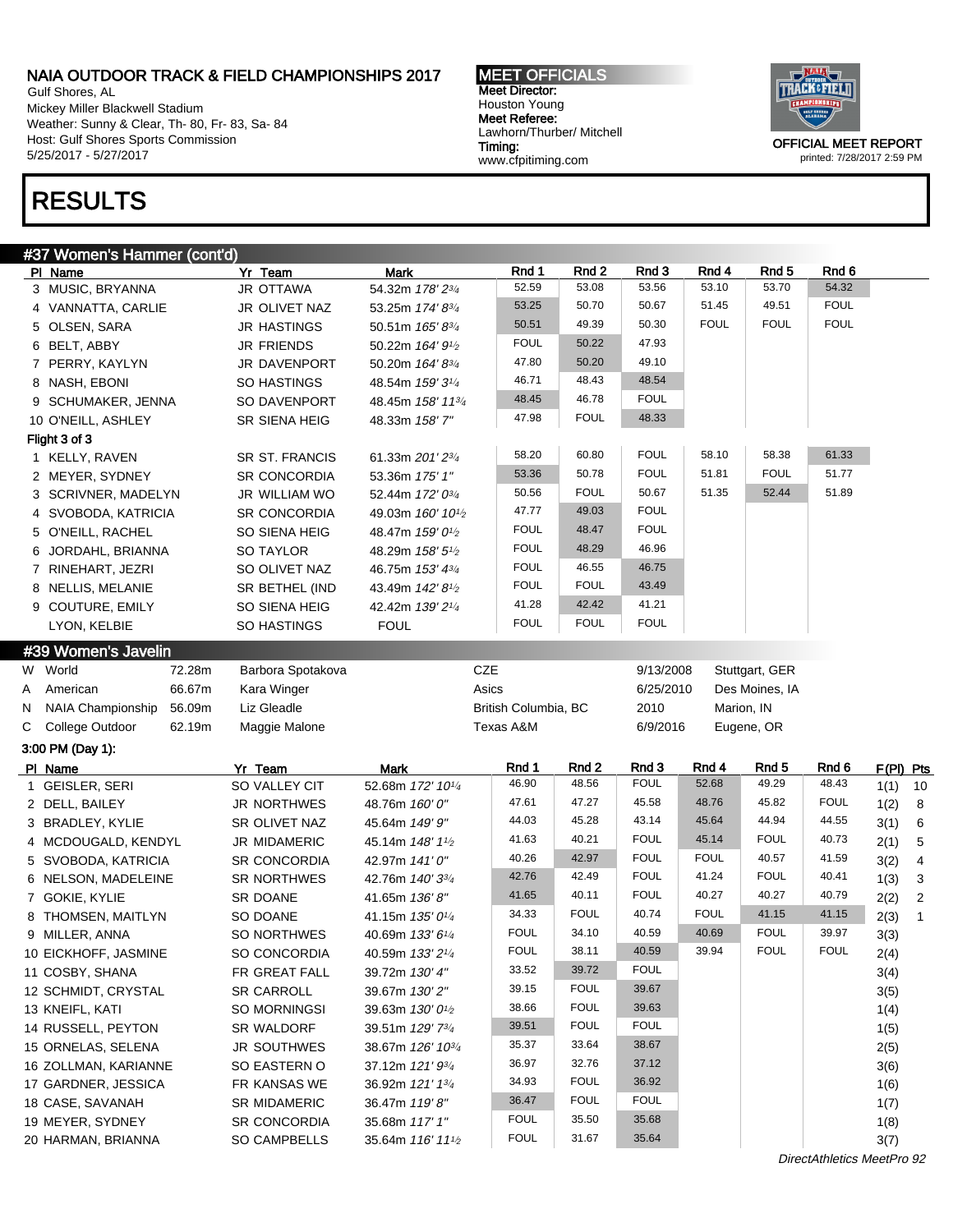Gulf Shores, AL Mickey Miller Blackwell Stadium Weather: Sunny & Clear, Th- 80, Fr- 83, Sa- 84 Host: Gulf Shores Sports Commission 5/25/2017 - 5/27/2017

MEET OFFICIALS Meet Director: Houston Young Meet Referee: Lawhorn/Thurber/ Mitchell Timing: www.cfpitiming.com



## RESULTS

### #37 Women's Hammer (cont'd)

|    | PI Name                     | Yr Team            | <b>Mark</b>                               | Rnd 1                      | Rnd 2          | Rnd 3                | Rnd 4       | Rnd <sub>5</sub> | Rnd 6       |                        |
|----|-----------------------------|--------------------|-------------------------------------------|----------------------------|----------------|----------------------|-------------|------------------|-------------|------------------------|
|    | 3 MUSIC, BRYANNA            | JR OTTAWA          | 54.32m 178' 23/4                          | 52.59                      | 53.08          | 53.56                | 53.10       | 53.70            | 54.32       |                        |
|    | 4 VANNATTA, CARLIE          | JR OLIVET NAZ      | 53.25m 174' 83/4                          | 53.25                      | 50.70          | 50.67                | 51.45       | 49.51            | <b>FOUL</b> |                        |
|    | 5 OLSEN, SARA               | <b>JR HASTINGS</b> | 50.51m 165' 83/4                          | 50.51                      | 49.39          | 50.30                | <b>FOUL</b> | <b>FOUL</b>      | <b>FOUL</b> |                        |
|    | 6 BELT, ABBY                | <b>JR FRIENDS</b>  | 50.22m 164' 91/2                          | <b>FOUL</b>                | 50.22          | 47.93                |             |                  |             |                        |
|    | 7 PERRY, KAYLYN             | JR DAVENPORT       | 50.20m 164' 83/4                          | 47.80                      | 50.20          | 49.10                |             |                  |             |                        |
|    | 8 NASH, EBONI               | SO HASTINGS        | 48.54m 159' 31/4                          | 46.71                      | 48.43          | 48.54                |             |                  |             |                        |
|    | 9 SCHUMAKER, JENNA          | SO DAVENPORT       | 48.45m 158' 113/4                         | 48.45                      | 46.78          | <b>FOUL</b>          |             |                  |             |                        |
|    | 10 O'NEILL, ASHLEY          | SR SIENA HEIG      | 48.33m 158'7"                             | 47.98                      | <b>FOUL</b>    | 48.33                |             |                  |             |                        |
|    | Flight 3 of 3               |                    |                                           |                            |                |                      |             |                  |             |                        |
|    | 1 KELLY, RAVEN              | SR ST. FRANCIS     | 61.33m 201' 23/4                          | 58.20                      | 60.80          | <b>FOUL</b>          | 58.10       | 58.38            | 61.33       |                        |
|    | 2 MEYER, SYDNEY             | SR CONCORDIA       | 53.36m 175' 1"                            | 53.36                      | 50.78          | <b>FOUL</b>          | 51.81       | <b>FOUL</b>      | 51.77       |                        |
|    | 3 SCRIVNER, MADELYN         | JR WILLIAM WO      | 52.44m 172' 03/4                          | 50.56                      | <b>FOUL</b>    | 50.67                | 51.35       | 52.44            | 51.89       |                        |
|    | 4 SVOBODA, KATRICIA         | SR CONCORDIA       | 49.03m 160' 101/2                         | 47.77                      | 49.03          | <b>FOUL</b>          |             |                  |             |                        |
|    | 5 O'NEILL, RACHEL           | SO SIENA HEIG      | 48.47m 159' 01/2                          | <b>FOUL</b>                | 48.47          | <b>FOUL</b>          |             |                  |             |                        |
|    | 6 JORDAHL, BRIANNA          | <b>SO TAYLOR</b>   | 48.29m 158' 51/2                          | <b>FOUL</b>                | 48.29          | 46.96                |             |                  |             |                        |
|    | 7 RINEHART, JEZRI           | SO OLIVET NAZ      | 46.75m 153' 43/4                          | <b>FOUL</b>                | 46.55          | 46.75                |             |                  |             |                        |
|    | 8 NELLIS, MELANIE           | SR BETHEL (IND     | 43.49m 142' 8 <sup>1/2</sup>              | <b>FOUL</b>                | <b>FOUL</b>    | 43.49                |             |                  |             |                        |
|    | 9 COUTURE, EMILY            | SO SIENA HEIG      | 42.42m 139' 21/4                          | 41.28                      | 42.42          | 41.21                |             |                  |             |                        |
|    | LYON, KELBIE                | SO HASTINGS        | <b>FOUL</b>                               | <b>FOUL</b>                | <b>FOUL</b>    | <b>FOUL</b>          |             |                  |             |                        |
|    |                             |                    |                                           |                            |                |                      |             |                  |             |                        |
|    | #39 Women's Javelin         |                    |                                           |                            |                |                      |             |                  |             |                        |
|    | 72.28m<br>W World           | Barbora Spotakova  | CZE                                       |                            |                | 9/13/2008            |             | Stuttgart, GER   |             |                        |
| A  | 66.67m<br>American          | Kara Winger        | Asics                                     | British Columbia, BC       |                | 6/25/2010            | Marion, IN  | Des Moines, IA   |             |                        |
| N. | NAIA Championship<br>56.09m | Liz Gleadle        |                                           |                            |                | 2010                 |             |                  |             |                        |
| С  | College Outdoor<br>62.19m   | Maggie Malone      |                                           | Texas A&M                  |                | 6/9/2016             |             | Eugene, OR       |             |                        |
|    | 3:00 PM (Day 1):            |                    |                                           |                            |                |                      |             |                  |             |                        |
|    | PI Name                     | Yr Team            | <b>Mark</b>                               | Rnd 1                      | Rnd 2          | Rnd 3<br><b>FOUL</b> | Rnd 4       | Rnd 5            | Rnd 6       | F(PI) Pts              |
|    | 1 GEISLER, SERI             | SO VALLEY CIT      | 52.68m 172' 101/4                         | 46.90                      | 48.56          |                      | 52.68       | 49.29            | 48.43       | 1(1)<br>10             |
|    | 2 DELL, BAILEY              | <b>JR NORTHWES</b> | 48.76m 160' 0"                            | 47.61                      | 47.27          | 45.58                | 48.76       | 45.82            | <b>FOUL</b> | 1(2)<br>8              |
|    | 3 BRADLEY, KYLIE            | SR OLIVET NAZ      | 45.64m 149' 9"                            | 44.03                      | 45.28          | 43.14                | 45.64       | 44.94            | 44.55       | 3(1)<br>6              |
|    | 4 MCDOUGALD, KENDYL         | JR MIDAMERIC       | 45.14m 148' 1 <sup>1</sup> / <sub>2</sub> | 41.63                      | 40.21          | <b>FOUL</b>          | 45.14       | <b>FOUL</b>      | 40.73       | 5<br>2(1)              |
|    | 5 SVOBODA, KATRICIA         | SR CONCORDIA       | 42.97m 141'0"                             |                            |                |                      |             |                  |             | 3(2)<br>4              |
|    |                             |                    |                                           | 40.26                      | 42.97          | <b>FOUL</b>          | <b>FOUL</b> | 40.57            | 41.59       |                        |
|    | 6 NELSON, MADELEINE         | <b>SR NORTHWES</b> | 42.76m 140' 33/4                          | 42.76                      | 42.49          | <b>FOUL</b>          | 41.24       | <b>FOUL</b>      | 40.41       | 1(3)<br>3              |
|    | 7 GOKIE, KYLIE              | SR DOANE           | 41.65m 136'8"                             | 41.65                      | 40.11          | <b>FOUL</b>          | 40.27       | 40.27            | 40.79       | $\overline{c}$<br>2(2) |
|    | 8 THOMSEN, MAITLYN          | SO DOANE           | 41.15m 135' 01/4                          | 34.33                      | <b>FOUL</b>    | 40.74                | <b>FOUL</b> | 41.15            | 41.15       | 2(3)<br>$\mathbf{1}$   |
|    | 9 MILLER, ANNA              | SO NORTHWES        | 40.69m 133' 61/4                          | <b>FOUL</b>                | 34.10          | 40.59                | 40.69       | <b>FOUL</b>      | 39.97       | 3(3)                   |
|    | 10 EICKHOFF, JASMINE        | SO CONCORDIA       | 40.59m 133' 21/4                          | <b>FOUL</b>                | 38.11          | 40.59                | 39.94       | <b>FOUL</b>      | <b>FOUL</b> | 2(4)                   |
|    | 11 COSBY, SHANA             | FR GREAT FALL      | 39.72m 130' 4"                            | 33.52                      | 39.72          | <b>FOUL</b>          |             |                  |             | 3(4)                   |
|    | 12 SCHMIDT, CRYSTAL         | <b>SR CARROLL</b>  | 39.67m 130' 2"                            | 39.15                      | <b>FOUL</b>    | 39.67                |             |                  |             | 3(5)                   |
|    | 13 KNEIFL, KATI             | SO MORNINGSI       | 39.63m 130' 0 <sup>1</sup> /2             | 38.66                      | <b>FOUL</b>    | 39.63                |             |                  |             | 1(4)                   |
|    | 14 RUSSELL, PEYTON          | SR WALDORF         | 39.51m 129' 73/4                          | 39.51                      | <b>FOUL</b>    | <b>FOUL</b>          |             |                  |             | 1(5)                   |
|    | 15 ORNELAS, SELENA          | JR SOUTHWES        | 38.67m 126' 10 <sup>3/4</sup>             | 35.37                      | 33.64          | 38.67                |             |                  |             | 2(5)                   |
|    | 16 ZOLLMAN, KARIANNE        | SO EASTERN O       | 37.12m 121' 93/4                          | 36.97                      | 32.76          | 37.12                |             |                  |             | 3(6)                   |
|    | 17 GARDNER, JESSICA         | FR KANSAS WE       | 36.92m 121' 13/4                          | 34.93                      | <b>FOUL</b>    | 36.92                |             |                  |             | 1(6)                   |
|    | 18 CASE, SAVANAH            | SR MIDAMERIC       | 36.47m 119'8"                             | 36.47                      | <b>FOUL</b>    | <b>FOUL</b>          |             |                  |             | 1(7)                   |
|    | 19 MEYER, SYDNEY            | SR CONCORDIA       | 35.68m 117' 1"                            | <b>FOUL</b><br><b>FOUL</b> | 35.50<br>31.67 | 35.68<br>35.64       |             |                  |             | 1(8)                   |

DirectAthletics MeetPro 92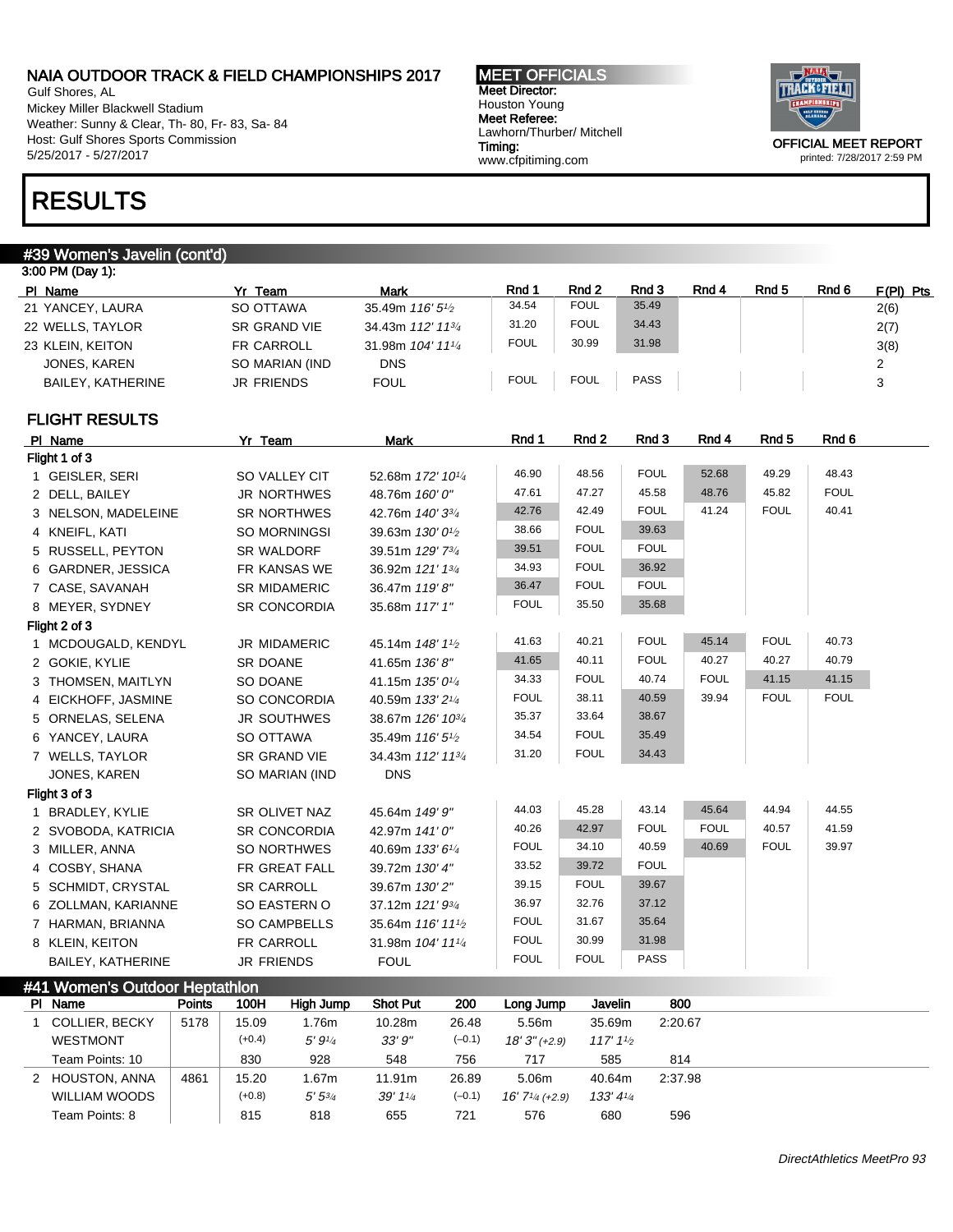Gulf Shores, AL Mickey Miller Blackwell Stadium Weather: Sunny & Clear, Th- 80, Fr- 83, Sa- 84 Host: Gulf Shores Sports Commission 5/25/2017 - 5/27/2017

MEET OFFICIALS Meet Director: Houston Young Meet Referee: Lawhorn/Thurber/ Mitchell Timing: www.cfpitiming.com



printed: 7/28/2017 2:59 PM

# RESULTS

## #39 Women's Javelin (cont'd)

| 3:00 PM (Day 1):  |                   |                                           |             |             |             |       |       |       |             |
|-------------------|-------------------|-------------------------------------------|-------------|-------------|-------------|-------|-------|-------|-------------|
| PI Name           | Yr Team           | <b>Mark</b>                               | Rnd 1       | Rnd 2       | Rnd 3       | Rnd 4 | Rnd 5 | Rnd 6 | $F(PI)$ Pts |
| 21 YANCEY, LAURA  | SO OTTAWA         | 35.49m 116' 5 <sup>1</sup> / <sub>2</sub> | 34.54       | <b>FOUL</b> | 35.49       |       |       |       | 2(6)        |
| 22 WELLS, TAYLOR  | SR GRAND VIE      | 34.43m 112' 11 <sup>3/4</sup>             | 31.20       | <b>FOUL</b> | 34.43       |       |       |       | 2(7)        |
| 23 KLEIN, KEITON  | <b>FR CARROLL</b> | 31.98m 104' 11 <sup>1/4</sup>             | <b>FOUL</b> | 30.99       | 31.98       |       |       |       | 3(8)        |
| JONES, KAREN      | SO MARIAN (IND    | <b>DNS</b>                                |             |             |             |       |       |       | 2           |
| BAILEY, KATHERINE | <b>JR FRIENDS</b> | <b>FOUL</b>                               | <b>FOUL</b> | <b>FOUL</b> | <b>PASS</b> |       |       |       | 3           |
|                   |                   |                                           |             |             |             |       |       |       |             |

### FLIGHT RESULTS

| Flight 1 of 3<br>48.56<br><b>FOUL</b><br>52.68<br>49.29<br>46.90<br>1 GEISLER, SERI<br>SO VALLEY CIT<br>52.68m 172' 101/4<br>45.82<br>47.61<br>47.27<br>45.58<br>48.76<br><b>JR NORTHWES</b><br>2 DELL, BAILEY<br>48.76m 160' 0"<br><b>FOUL</b><br><b>FOUL</b><br>41.24<br>42.76<br>42.49<br><b>SR NORTHWES</b><br>3 NELSON, MADELEINE<br>42.76m 140' 33/4<br><b>FOUL</b><br>39.63<br>38.66<br>4 KNEIFL, KATI<br>SO MORNINGSI<br>39.63m 130' 01/2 | 48.43<br><b>FOUL</b><br>40.41 |
|---------------------------------------------------------------------------------------------------------------------------------------------------------------------------------------------------------------------------------------------------------------------------------------------------------------------------------------------------------------------------------------------------------------------------------------------------|-------------------------------|
|                                                                                                                                                                                                                                                                                                                                                                                                                                                   |                               |
|                                                                                                                                                                                                                                                                                                                                                                                                                                                   |                               |
|                                                                                                                                                                                                                                                                                                                                                                                                                                                   |                               |
|                                                                                                                                                                                                                                                                                                                                                                                                                                                   |                               |
|                                                                                                                                                                                                                                                                                                                                                                                                                                                   |                               |
| <b>FOUL</b><br><b>FOUL</b><br>39.51<br>5 RUSSELL, PEYTON<br><b>SR WALDORF</b><br>39.51m 129' 734                                                                                                                                                                                                                                                                                                                                                  |                               |
| <b>FOUL</b><br>36.92<br>34.93<br>6 GARDNER, JESSICA<br>FR KANSAS WE<br>36.92m 121' 13/4                                                                                                                                                                                                                                                                                                                                                           |                               |
| <b>FOUL</b><br><b>FOUL</b><br>36.47<br><b>SR MIDAMERIC</b><br>36.47m 119'8"<br>7 CASE, SAVANAH                                                                                                                                                                                                                                                                                                                                                    |                               |
| 35.68<br><b>FOUL</b><br>35.50<br>SR CONCORDIA<br>8 MEYER, SYDNEY<br>35.68m 117' 1"                                                                                                                                                                                                                                                                                                                                                                |                               |
| Flight 2 of 3                                                                                                                                                                                                                                                                                                                                                                                                                                     |                               |
| <b>FOUL</b><br><b>FOUL</b><br>40.21<br>45.14<br>41.63<br>1 MCDOUGALD, KENDYL<br><b>JR MIDAMERIC</b><br>45.14m 148' 11/2                                                                                                                                                                                                                                                                                                                           | 40.73                         |
| <b>FOUL</b><br>40.27<br>41.65<br>40.11<br>40.27<br><b>SR DOANE</b><br>2 GOKIE, KYLIE<br>41.65m 136'8"                                                                                                                                                                                                                                                                                                                                             | 40.79                         |
| <b>FOUL</b><br>41.15<br><b>FOUL</b><br>40.74<br>34.33<br>SO DOANE<br>41.15m 135' 01/4<br>3 THOMSEN, MAITLYN                                                                                                                                                                                                                                                                                                                                       | 41.15                         |
| <b>FOUL</b><br><b>FOUL</b><br>38.11<br>40.59<br>39.94<br>SO CONCORDIA<br>4 EICKHOFF, JASMINE<br>40.59m 133' 21/4                                                                                                                                                                                                                                                                                                                                  | <b>FOUL</b>                   |
| 38.67<br>35.37<br>33.64<br>5 ORNELAS, SELENA<br><b>JR SOUTHWES</b><br>38.67m 126' 10 <sup>3/4</sup>                                                                                                                                                                                                                                                                                                                                               |                               |
| <b>FOUL</b><br>35.49<br>34.54<br>6 YANCEY, LAURA<br>SO OTTAWA<br>35.49m 116' 51/2                                                                                                                                                                                                                                                                                                                                                                 |                               |
| <b>FOUL</b><br>34.43<br>31.20<br>7 WELLS, TAYLOR<br>SR GRAND VIE<br>34.43m 112' 1134                                                                                                                                                                                                                                                                                                                                                              |                               |
| <b>DNS</b><br>JONES, KAREN<br>SO MARIAN (IND                                                                                                                                                                                                                                                                                                                                                                                                      |                               |
| Flight 3 of 3                                                                                                                                                                                                                                                                                                                                                                                                                                     |                               |
| 45.28<br>43.14<br>45.64<br>44.94<br>44.03<br>SR OLIVET NAZ<br>45.64m 149' 9"<br>1 BRADLEY, KYLIE                                                                                                                                                                                                                                                                                                                                                  | 44.55                         |
| <b>FOUL</b><br>40.26<br>42.97<br><b>FOUL</b><br>40.57<br>2 SVOBODA, KATRICIA<br><b>SR CONCORDIA</b><br>42.97m 141'0"                                                                                                                                                                                                                                                                                                                              | 41.59                         |
| <b>FOUL</b><br><b>FOUL</b><br>40.59<br>40.69<br>34.10<br>SO NORTHWES<br>3 MILLER, ANNA<br>40.69m 133' 61/4                                                                                                                                                                                                                                                                                                                                        | 39.97                         |
| 39.72<br><b>FOUL</b><br>33.52<br>FR GREAT FALL<br>4 COSBY, SHANA<br>39.72m 130' 4"                                                                                                                                                                                                                                                                                                                                                                |                               |
| 39.67<br><b>FOUL</b><br>39.15<br><b>SR CARROLL</b><br>5 SCHMIDT, CRYSTAL<br>39.67m 130' 2"                                                                                                                                                                                                                                                                                                                                                        |                               |
| 37.12<br>36.97<br>32.76<br>SO EASTERN O<br>37.12m 121' 93/4<br>6 ZOLLMAN, KARIANNE                                                                                                                                                                                                                                                                                                                                                                |                               |
| 35.64<br><b>FOUL</b><br>31.67<br>7 HARMAN, BRIANNA<br><b>SO CAMPBELLS</b><br>35.64m 116' 111/2                                                                                                                                                                                                                                                                                                                                                    |                               |
| <b>FOUL</b><br>30.99<br>31.98<br>FR CARROLL<br>8 KLEIN, KEITON<br>31.98m 104' 111/4                                                                                                                                                                                                                                                                                                                                                               |                               |
| <b>FOUL</b><br><b>FOUL</b><br><b>PASS</b><br><b>FOUL</b><br><b>JR FRIENDS</b><br><b>BAILEY, KATHERINE</b>                                                                                                                                                                                                                                                                                                                                         |                               |

| #41 Women's Outdoor Heptathlon |
|--------------------------------|
|--------------------------------|

| PI Name               | <b>Points</b> | 100H     | High Jump   | <b>Shot Put</b> | 200      | Long Jump                   | Javelin             | 800     |  |
|-----------------------|---------------|----------|-------------|-----------------|----------|-----------------------------|---------------------|---------|--|
| <b>COLLIER, BECKY</b> | 5178          | 15.09    | 1.76m       | 10.28m          | 26.48    | 5.56m                       | 35.69m              | 2:20.67 |  |
| <b>WESTMONT</b>       |               | $(+0.4)$ | 5'9''/4     | 33'9''          | $(-0.1)$ | $18'3''$ (+2.9)             | $117' 1\frac{1}{2}$ |         |  |
| Team Points: 10       |               | 830      | 928         | 548             | 756      | 717                         | 585                 | 814     |  |
| 2 HOUSTON, ANNA       | 4861          | 15.20    | 1.67m       | 11.91m          | 26.89    | 5.06m                       | 40.64m              | 2:37.98 |  |
| WILLIAM WOODS         |               | $(+0.8)$ | $5'5^{3/4}$ | 39'11/4         | $(-0.1)$ | $16'$ $7\frac{1}{4}$ (+2.9) | $133' 4\frac{1}{4}$ |         |  |
| Team Points: 8        |               | 815      | 818         | 655             | 721      | 576                         | 680                 | 596     |  |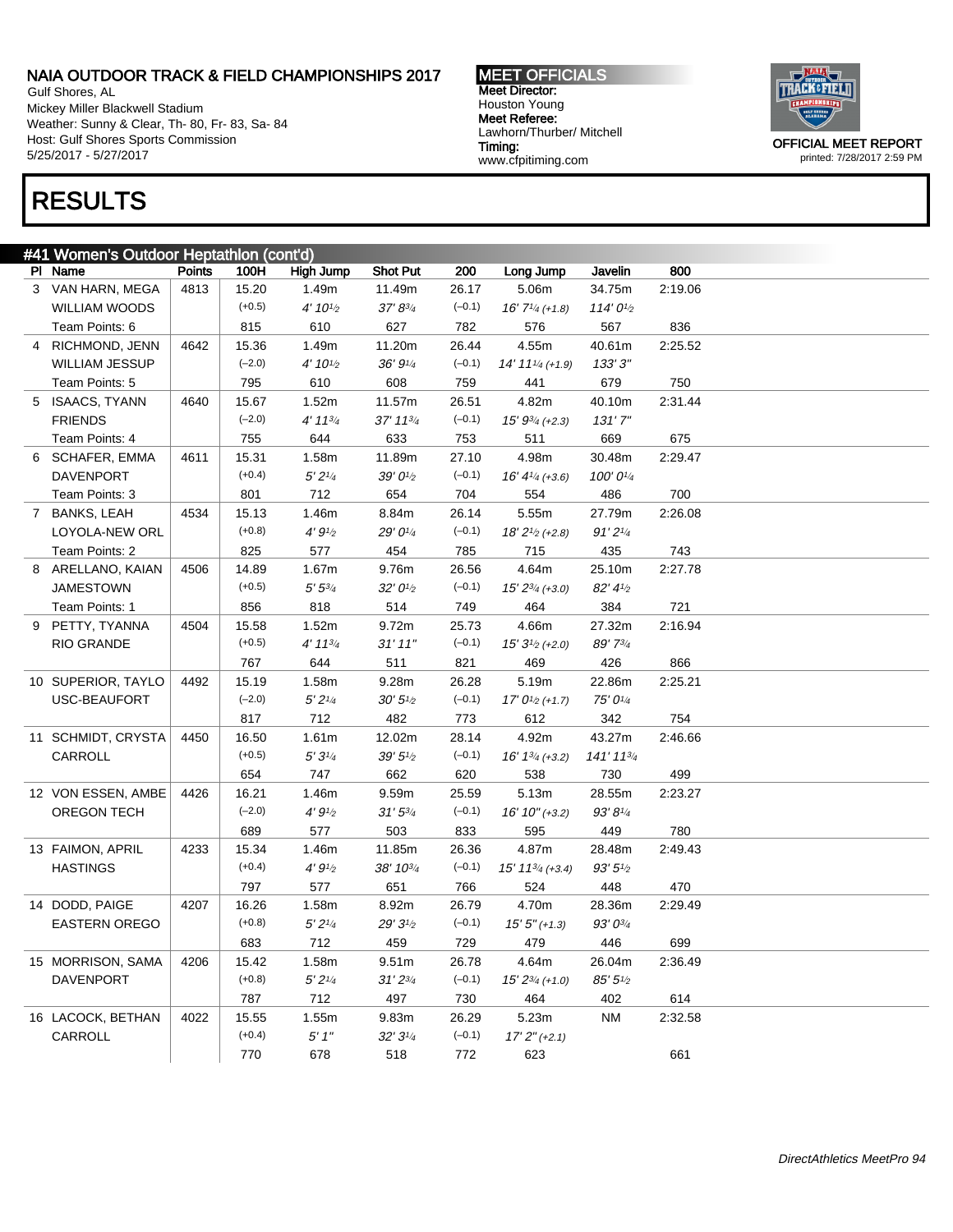Gulf Shores, AL Mickey Miller Blackwell Stadium Weather: Sunny & Clear, Th- 80, Fr- 83, Sa- 84 Host: Gulf Shores Sports Commission 5/25/2017 - 5/27/2017

MEET OFFICIALS Meet Director: Houston Young Meet Referee: Lawhorn/Thurber/ Mitchell Timing: www.cfpitiming.com



# RESULTS

| #41 Women's Outdoor Heptathlon (cont'd) |               |          |                       |                    |          |                                             |                      |         |  |
|-----------------------------------------|---------------|----------|-----------------------|--------------------|----------|---------------------------------------------|----------------------|---------|--|
| PI Name                                 | <b>Points</b> | 100H     | High Jump             | <b>Shot Put</b>    | 200      | Long Jump                                   | Javelin              | 800     |  |
| 3 VAN HARN, MEGA                        | 4813          | 15.20    | 1.49m                 | 11.49m             | 26.17    | 5.06m                                       | 34.75m               | 2:19.06 |  |
| <b>WILLIAM WOODS</b>                    |               | $(+0.5)$ | 4' 10 <sup>1</sup> /2 | 37' 83/4           | $(-0.1)$ | $16'$ $7\frac{1}{4}$ (+1.8)                 | $114'0\frac{1}{2}$   |         |  |
| Team Points: 6                          |               | 815      | 610                   | 627                | 782      | 576                                         | 567                  | 836     |  |
| 4 RICHMOND, JENN                        | 4642          | 15.36    | 1.49m                 | 11.20m             | 26.44    | 4.55m                                       | 40.61m               | 2:25.52 |  |
| <b>WILLIAM JESSUP</b>                   |               | $(-2.0)$ | $4' 10^{1/2}$         | 36' 91/4           | $(-0.1)$ | $14' 11'$ /4 (+1.9)                         | 133'3''              |         |  |
| Team Points: 5                          |               | 795      | 610                   | 608                | 759      | 441                                         | 679                  | 750     |  |
| 5 ISAACS, TYANN                         | 4640          | 15.67    | 1.52m                 | 11.57m             | 26.51    | 4.82m                                       | 40.10m               | 2:31.44 |  |
| <b>FRIENDS</b>                          |               | $(-2.0)$ | $4' 11^{3/4}$         | 37' 113/4          | $(-0.1)$ | $15' 9^{3/4}$ (+2.3)                        | 131'7''              |         |  |
| Team Points: 4                          |               | 755      | 644                   | 633                | 753      | 511                                         | 669                  | 675     |  |
| 6 SCHAFER, EMMA                         | 4611          | 15.31    | 1.58m                 | 11.89m             | 27.10    | 4.98m                                       | 30.48m               | 2:29.47 |  |
| <b>DAVENPORT</b>                        |               | $(+0.4)$ | 5'2''                 | 39' 01/2           | $(-0.1)$ | $16' 41/4 (+3.6)$                           | 100' 01/4            |         |  |
| Team Points: 3                          |               | 801      | 712                   | 654                | 704      | 554                                         | 486                  | 700     |  |
| 7 BANKS, LEAH                           | 4534          | 15.13    | 1.46m                 | 8.84m              | 26.14    | 5.55m                                       | 27.79m               | 2:26.08 |  |
| LOYOLA-NEW ORL                          |               | $(+0.8)$ | 4'9'' <sub>2</sub>    | 29' 01/4           | $(-0.1)$ | $18'2^{1/2}(+2.8)$                          | 91'21/4              |         |  |
| Team Points: 2                          |               | 825      | 577                   | 454                | 785      | 715                                         | 435                  | 743     |  |
| 8 ARELLANO, KAIAN                       | 4506          | 14.89    | 1.67m                 | 9.76m              | 26.56    | 4.64m                                       | 25.10m               | 2:27.78 |  |
| <b>JAMESTOWN</b>                        |               | $(+0.5)$ | $5'5^{3/4}$           | $32'0\frac{1}{2}$  | $(-0.1)$ | $15' 2^{3/4}$ (+3.0)                        | $82' 41'_{2}$        |         |  |
| Team Points: 1                          |               | 856      | 818                   | 514                | 749      | 464                                         | 384                  | 721     |  |
| 9 PETTY, TYANNA                         | 4504          | 15.58    | 1.52m                 | 9.72m              | 25.73    | 4.66m                                       | 27.32m               | 2:16.94 |  |
| <b>RIO GRANDE</b>                       |               | $(+0.5)$ | $4' 11^{3/4}$         | 31'11''            | $(-0.1)$ | $15'3^{1/2}(+2.0)$                          | 89' 73/4             |         |  |
|                                         |               | 767      | 644                   | 511                | 821      | 469                                         | 426                  | 866     |  |
| 10 SUPERIOR, TAYLO                      | 4492          | 15.19    | 1.58m                 | 9.28m              | 26.28    | 5.19m                                       | 22.86m               | 2:25.21 |  |
| USC-BEAUFORT                            |               | $(-2.0)$ | 5'2''                 | $30' 5\frac{1}{2}$ | $(-0.1)$ | $17' 01/2$ (+1.7)                           | 75' 01/4             |         |  |
|                                         |               | 817      | 712                   | 482                | 773      | 612                                         | 342                  | 754     |  |
| 11 SCHMIDT, CRYSTA                      | 4450          | 16.50    | 1.61m                 | 12.02m             | 28.14    | 4.92m                                       | 43.27m               | 2:46.66 |  |
| CARROLL                                 |               | $(+0.5)$ | 5'3''                 | $39' 5\%$          | $(-0.1)$ | $16' 1^{3/4}$ (+3.2)                        | 141' 113/4           |         |  |
|                                         |               | 654      | 747                   | 662                | 620      | 538                                         | 730                  | 499     |  |
| 12 VON ESSEN, AMBE                      | 4426          | 16.21    | 1.46m                 | 9.59m              | 25.59    | 5.13m                                       | 28.55m               | 2:23.27 |  |
| <b>OREGON TECH</b>                      |               | $(-2.0)$ | 4'9'' <sub>2</sub>    | $31'5^{3/4}$       | $(-0.1)$ | $16' 10'' (+3.2)$                           | 93' 81/4             |         |  |
|                                         |               | 689      | 577                   | 503                | 833      | 595                                         | 449                  | 780     |  |
| 13 FAIMON, APRIL                        | 4233          | 15.34    | 1.46m                 | 11.85m             | 26.36    | 4.87m                                       | 28.48m               | 2:49.43 |  |
| <b>HASTINGS</b>                         |               | $(+0.4)$ | $4'9'_{2}$            | 38' 103/4          | $(-0.1)$ | $15'$ 11 <sup>3</sup> / <sub>4</sub> (+3.4) | 93'5''               |         |  |
|                                         |               | 797      | 577                   | 651                | 766      | 524                                         | 448                  | 470     |  |
| 14 DODD, PAIGE                          | 4207          | 16.26    | 1.58m                 | 8.92m              | 26.79    | 4.70m                                       | 28.36m               | 2:29.49 |  |
| <b>EASTERN OREGO</b>                    |               | $(+0.8)$ | 5'2''                 | 29' 31/2           | $(-0.1)$ | $15'5''(+1.3)$                              | 93' 03/4             |         |  |
|                                         |               | 683      | 712                   | 459                | 729      | 479                                         | 446                  | 699     |  |
| 15 MORRISON, SAMA                       | 4206          | 15.42    | 1.58m                 | 9.51 <sub>m</sub>  | 26.78    | 4.64m                                       | 26.04m               | 2:36.49 |  |
| <b>DAVENPORT</b>                        |               | $(+0.8)$ | 5'2''                 | $31'2^{3/4}$       | $(-0.1)$ | $15' 2^{3/4}$ (+1.0)                        | $85'$ $5\frac{1}{2}$ |         |  |
|                                         |               | 787      | 712                   | 497                | 730      | 464                                         | 402                  | 614     |  |
| 16 LACOCK, BETHAN                       | 4022          | 15.55    | 1.55m                 | 9.83m              | 26.29    | 5.23m                                       | ΝM                   | 2:32.58 |  |
| CARROLL                                 |               | $(+0.4)$ | 5'1''                 | 32'3'4             | $(-0.1)$ | $17' 2'' (+2.1)$                            |                      |         |  |
|                                         |               | 770      | 678                   | 518                | 772      | 623                                         |                      | 661     |  |
|                                         |               |          |                       |                    |          |                                             |                      |         |  |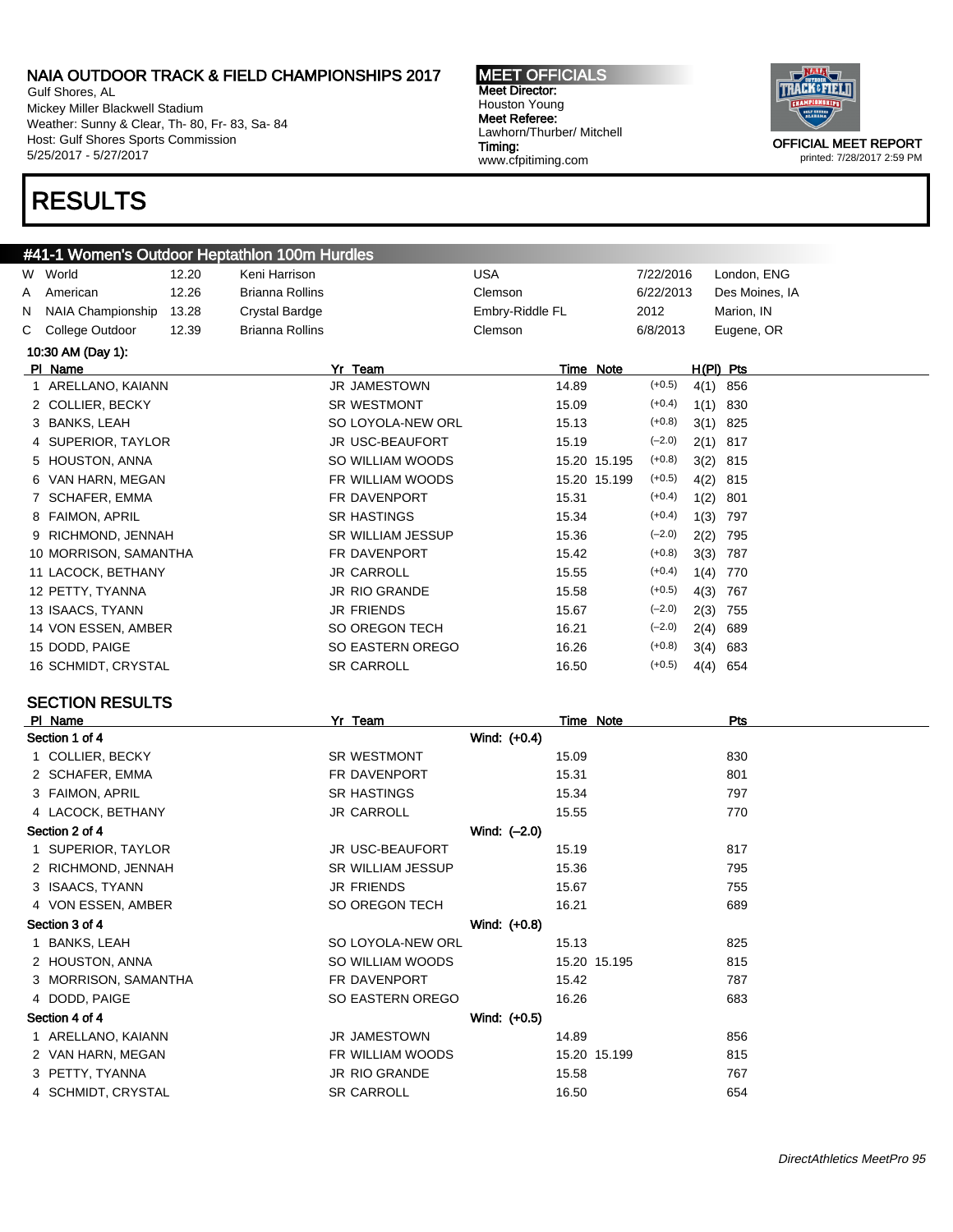Gulf Shores, AL Mickey Miller Blackwell Stadium Weather: Sunny & Clear, Th- 80, Fr- 83, Sa- 84 Host: Gulf Shores Sports Commission 5/25/2017 - 5/27/2017

# RESULTS

#### MEET OFFICIALS Meet Director: Houston Young Meet Referee: Lawhorn/Thurber/ Mitchell Timing: www.cfpitiming.com



|    | #41-1 Women's Outdoor Heptathlon 100m Hurdles |       |                        |                          |                 |              |           |      |                |
|----|-----------------------------------------------|-------|------------------------|--------------------------|-----------------|--------------|-----------|------|----------------|
| W. | World                                         | 12.20 | Keni Harrison          |                          | <b>USA</b>      |              | 7/22/2016 |      | London, ENG    |
| A  | American                                      | 12.26 | <b>Brianna Rollins</b> |                          | Clemson         |              | 6/22/2013 |      | Des Moines, IA |
| N. | NAIA Championship                             | 13.28 | Crystal Bardge         |                          | Embry-Riddle FL |              | 2012      |      | Marion, IN     |
| C. | College Outdoor                               | 12.39 | <b>Brianna Rollins</b> |                          | Clemson         |              | 6/8/2013  |      | Eugene, OR     |
|    | 10:30 AM (Day 1):                             |       |                        |                          |                 |              |           |      |                |
|    | PI Name                                       |       |                        | Yr Team                  |                 | Time Note    |           |      | $H(PI)$ Pts    |
|    | ARELLANO, KAIANN                              |       |                        | <b>JR JAMESTOWN</b>      | 14.89           |              | $(+0.5)$  | 4(1) | 856            |
|    | 2 COLLIER, BECKY                              |       |                        | <b>SR WESTMONT</b>       | 15.09           |              | $(+0.4)$  | 1(1) | 830            |
|    | 3 BANKS, LEAH                                 |       |                        | SO LOYOLA-NEW ORL        | 15.13           |              | $(+0.8)$  | 3(1) | 825            |
|    | 4 SUPERIOR, TAYLOR                            |       |                        | <b>JR USC-BEAUFORT</b>   | 15.19           |              | $(-2.0)$  | 2(1) | 817            |
|    | 5 HOUSTON, ANNA                               |       |                        | SO WILLIAM WOODS         |                 | 15.20 15.195 | $(+0.8)$  | 3(2) | 815            |
|    | 6 VAN HARN, MEGAN                             |       |                        | FR WILLIAM WOODS         |                 | 15.20 15.199 | $(+0.5)$  | 4(2) | 815            |
|    | SCHAFER, EMMA                                 |       |                        | FR DAVENPORT             | 15.31           |              | $(+0.4)$  | 1(2) | 801            |
|    | 8 FAIMON, APRIL                               |       |                        | <b>SR HASTINGS</b>       | 15.34           |              | $(+0.4)$  | 1(3) | 797            |
|    | RICHMOND, JENNAH<br>9                         |       |                        | <b>SR WILLIAM JESSUP</b> | 15.36           |              | $(-2.0)$  | 2(2) | 795            |
|    | 10 MORRISON, SAMANTHA                         |       |                        | FR DAVENPORT             | 15.42           |              | $(+0.8)$  | 3(3) | 787            |
|    | 11 LACOCK, BETHANY                            |       |                        | <b>JR CARROLL</b>        | 15.55           |              | $(+0.4)$  | 1(4) | 770            |
|    | 12 PETTY, TYANNA                              |       |                        | <b>JR RIO GRANDE</b>     | 15.58           |              | $(+0.5)$  | 4(3) | 767            |
|    | 13 ISAACS, TYANN                              |       |                        | <b>JR FRIENDS</b>        | 15.67           |              | $(-2.0)$  | 2(3) | 755            |
|    | 14 VON ESSEN, AMBER                           |       |                        | SO OREGON TECH           | 16.21           |              | $(-2.0)$  | 2(4) | 689            |
|    | 15 DODD, PAIGE                                |       |                        | SO EASTERN OREGO         | 16.26           |              | $(+0.8)$  | 3(4) | 683            |
|    | 16 SCHMIDT, CRYSTAL                           |       |                        | <b>SR CARROLL</b>        | 16.50           |              | $(+0.5)$  | 4(4) | 654            |
|    |                                               |       |                        |                          |                 |              |           |      |                |

### SECTION RESULTS

| Yr Team                  | Time Note    | Pts |
|--------------------------|--------------|-----|
| Wind: (+0.4)             |              |     |
| <b>SR WESTMONT</b>       | 15.09        | 830 |
| FR DAVENPORT             | 15.31        | 801 |
| <b>SR HASTINGS</b>       | 15.34        | 797 |
| <b>JR CARROLL</b>        | 15.55        | 770 |
| Wind: (-2.0)             |              |     |
| JR USC-BEAUFORT          | 15.19        | 817 |
| <b>SR WILLIAM JESSUP</b> | 15.36        | 795 |
| <b>JR FRIENDS</b>        | 15.67        | 755 |
| SO OREGON TECH           | 16.21        | 689 |
| Wind: (+0.8)             |              |     |
| SO LOYOLA-NEW ORL        | 15.13        | 825 |
| SO WILLIAM WOODS         | 15.20 15.195 | 815 |
| FR DAVENPORT             | 15.42        | 787 |
| SO EASTERN OREGO         | 16.26        | 683 |
| Wind: (+0.5)             |              |     |
| JR JAMESTOWN             | 14.89        | 856 |
| FR WILLIAM WOODS         | 15.20 15.199 | 815 |
| <b>JR RIO GRANDE</b>     | 15.58        | 767 |
| <b>SR CARROLL</b>        | 16.50        | 654 |
|                          |              |     |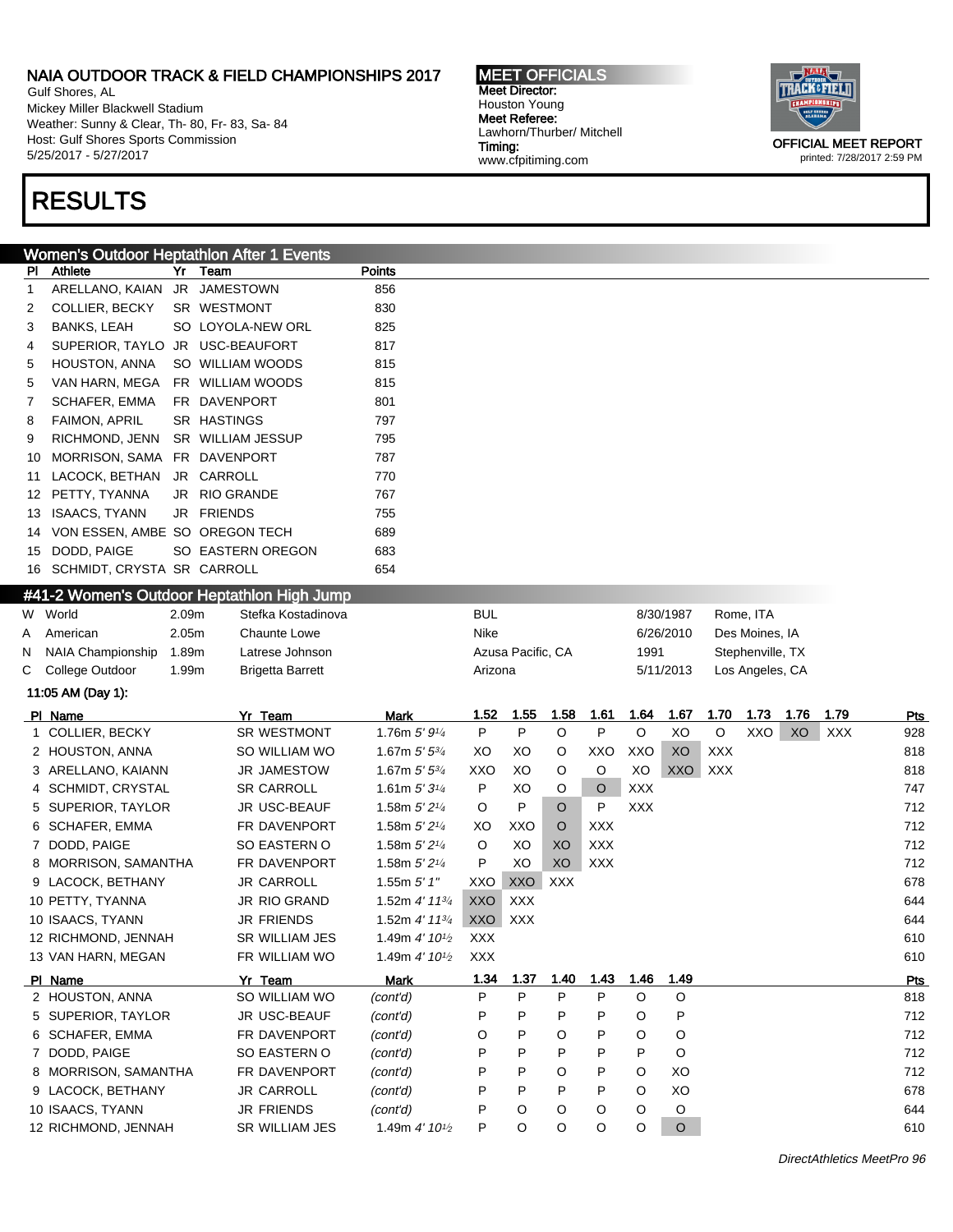Gulf Shores, AL Mickey Miller Blackwell Stadium Weather: Sunny & Clear, Th- 80, Fr- 83, Sa- 84 Host: Gulf Shores Sports Commission 5/25/2017 - 5/27/2017

## RESULTS

### Women's Outdoor Heptathlon After 1 Events

| PI | Athlete                        | Yr  | Team              | Points |
|----|--------------------------------|-----|-------------------|--------|
| 1  | ARELLANO, KAIAN                | JR  | <b>JAMESTOWN</b>  | 856    |
| 2  | COLLIER, BECKY                 |     | SR WESTMONT       | 830    |
| 3  | BANKS, LEAH                    |     | SO LOYOLA-NEW ORL | 825    |
| 4  | SUPERIOR, TAYLO                | JR  | USC-BEAUFORT      | 817    |
| 5  | HOUSTON, ANNA                  |     | SO WILLIAM WOODS  | 815    |
| 5  | VAN HARN, MEGA                 |     | FR WILLIAM WOODS  | 815    |
| 7  | SCHAFER, EMMA                  | FR. | <b>DAVENPORT</b>  | 801    |
| 8  | FAIMON, APRIL                  |     | SR HASTINGS       | 797    |
| 9  | RICHMOND, JENN                 |     | SR WILLIAM JESSUP | 795    |
| 10 | MORRISON, SAMA                 |     | FR DAVENPORT      | 787    |
| 11 | LACOCK, BETHAN                 | JR  | CARROLL           | 770    |
| 12 | PETTY, TYANNA                  | JR  | <b>RIO GRANDE</b> | 767    |
| 13 | ISAACS, TYANN                  | JR  | <b>FRIENDS</b>    | 755    |
| 14 | VON ESSEN, AMBE SO OREGON TECH |     |                   | 689    |
| 15 | DODD, PAIGE                    |     | SO EASTERN OREGON | 683    |
| 16 | SCHMIDT, CRYSTA SR CARROLL     |     |                   | 654    |
|    |                                |     |                   |        |

#### #41-2 Women's Outdoor Heptathlon High Jump

| W | World                 | 2.09 <sub>m</sub> | Stefka Kostadinova      |                                         | <b>BUL</b> |                   |            |            |            | 8/30/1987  |            | Rome, ITA        |      |            |     |
|---|-----------------------|-------------------|-------------------------|-----------------------------------------|------------|-------------------|------------|------------|------------|------------|------------|------------------|------|------------|-----|
| Α | American              | 2.05m             | <b>Chaunte Lowe</b>     |                                         | Nike       |                   |            |            |            | 6/26/2010  |            | Des Moines, IA   |      |            |     |
| N | NAIA Championship     | 1.89m             | Latrese Johnson         |                                         |            | Azusa Pacific, CA |            |            | 1991       |            |            | Stephenville, TX |      |            |     |
| С | College Outdoor       | 1.99m             | <b>Brigetta Barrett</b> |                                         | Arizona    |                   |            |            |            | 5/11/2013  |            | Los Angeles, CA  |      |            |     |
|   | 11:05 AM (Day 1):     |                   |                         |                                         |            |                   |            |            |            |            |            |                  |      |            |     |
|   | PI Name               |                   | Yr Team                 | <b>Mark</b>                             | 1.52       | 1.55              | 1.58       | 1.61       | 1.64       | 1.67       | 1.70       | 1.73             | 1.76 | 1.79       | Pts |
|   | <b>COLLIER, BECKY</b> |                   | <b>SR WESTMONT</b>      | 1.76m 5' 91/4                           | P          | P                 | O          | P          | $\circ$    | XO         | $\circ$    | XXO              | XO   | <b>XXX</b> | 928 |
|   | 2 HOUSTON, ANNA       |                   | SO WILLIAM WO           | 1.67m $5'5^{3/4}$                       | XO         | XO                | O          | XXO        | XXO        | XO         | <b>XXX</b> |                  |      |            | 818 |
|   | 3 ARELLANO, KAIANN    |                   | <b>JR JAMESTOW</b>      | 1.67m $5'$ $5^{3/4}$                    | XXO        | XO                | O          | $\circ$    | XO         | <b>XXO</b> | <b>XXX</b> |                  |      |            | 818 |
|   | 4 SCHMIDT, CRYSTAL    |                   | <b>SR CARROLL</b>       | 1.61m $5'3\frac{1}{4}$                  | P          | XO                | O          | $\circ$    | <b>XXX</b> |            |            |                  |      |            | 747 |
|   | 5 SUPERIOR, TAYLOR    |                   | <b>JR USC-BEAUF</b>     | 1.58m 5' 2 <sup>1/4</sup>               | O          | P                 | $\circ$    | P          | <b>XXX</b> |            |            |                  |      |            | 712 |
|   | 6 SCHAFER, EMMA       |                   | FR DAVENPORT            | 1.58m 5' 21/4                           | XO         | XXO               | $\circ$    | <b>XXX</b> |            |            |            |                  |      |            | 712 |
|   | 7 DODD, PAIGE         |                   | SO EASTERN O            | 1.58m $5'2\frac{1}{4}$                  | $\circ$    | XO                | XO         | <b>XXX</b> |            |            |            |                  |      |            | 712 |
|   | 8 MORRISON, SAMANTHA  |                   | FR DAVENPORT            | 1.58m 5' 21/4                           | P          | XO                | XO         | <b>XXX</b> |            |            |            |                  |      |            | 712 |
|   | 9 LACOCK, BETHANY     |                   | <b>JR CARROLL</b>       | 1.55m $5'$ 1"                           | XXO        | <b>XXO</b>        | <b>XXX</b> |            |            |            |            |                  |      |            | 678 |
|   | 10 PETTY, TYANNA      |                   | JR RIO GRAND            | 1.52m 4' 113/4                          | XXO        | <b>XXX</b>        |            |            |            |            |            |                  |      |            | 644 |
|   | 10 ISAACS, TYANN      |                   | <b>JR FRIENDS</b>       | 1.52m 4' 113/4                          | XXO        | <b>XXX</b>        |            |            |            |            |            |                  |      |            | 644 |
|   | 12 RICHMOND, JENNAH   |                   | <b>SR WILLIAM JES</b>   | 1.49m 4' 10 <sup>1/2</sup>              | <b>XXX</b> |                   |            |            |            |            |            |                  |      |            | 610 |
|   | 13 VAN HARN, MEGAN    |                   | FR WILLIAM WO           | 1.49m 4' 10 <sup>1/2</sup>              | <b>XXX</b> |                   |            |            |            |            |            |                  |      |            | 610 |
|   | PI Name               |                   | Yr Team                 | <b>Mark</b>                             | 1.34       | 1.37              | 1.40       | 1.43       | 1.46       | 1.49       |            |                  |      |            | Pts |
|   | 2 HOUSTON, ANNA       |                   | SO WILLIAM WO           | (cont'd)                                | P          | P                 | P          | P          | $\circ$    | $\circ$    |            |                  |      |            | 818 |
|   | 5 SUPERIOR, TAYLOR    |                   | JR USC-BEAUF            | (cont'd)                                | P          | P                 | P          | P          | O          | P          |            |                  |      |            | 712 |
|   | 6 SCHAFER, EMMA       |                   | FR DAVENPORT            | (cont'd)                                | O          | P                 | O          | P          | O          | O          |            |                  |      |            | 712 |
|   | 7 DODD, PAIGE         |                   | SO EASTERN O            | (cont'd)                                | P          | P                 | P          | P          | P          | O          |            |                  |      |            | 712 |
|   | 8 MORRISON, SAMANTHA  |                   | FR DAVENPORT            | (cont'd)                                | P          | P                 | O          | P          | O          | XO         |            |                  |      |            | 712 |
|   | 9 LACOCK, BETHANY     |                   | <b>JR CARROLL</b>       | (cont'd)                                | P          | P                 | P          | P          | O          | XO         |            |                  |      |            | 678 |
|   | 10 ISAACS, TYANN      |                   | <b>JR FRIENDS</b>       | (cont'd)                                | P          | O                 | O          | O          | O          | $\circ$    |            |                  |      |            | 644 |
|   | 12 RICHMOND, JENNAH   |                   | <b>SR WILLIAM JES</b>   | 1.49m 4' 10 <sup>1</sup> / <sub>2</sub> | P          | $\circ$           | O          | O          | O          | $\circ$    |            |                  |      |            | 610 |

MEET OFFICIALS Meet Director: Houston Young Meet Referee:

Lawhorn/Thurber/ Mitchell

www.cfpitiming.com

Timing:



DirectAthletics MeetPro 96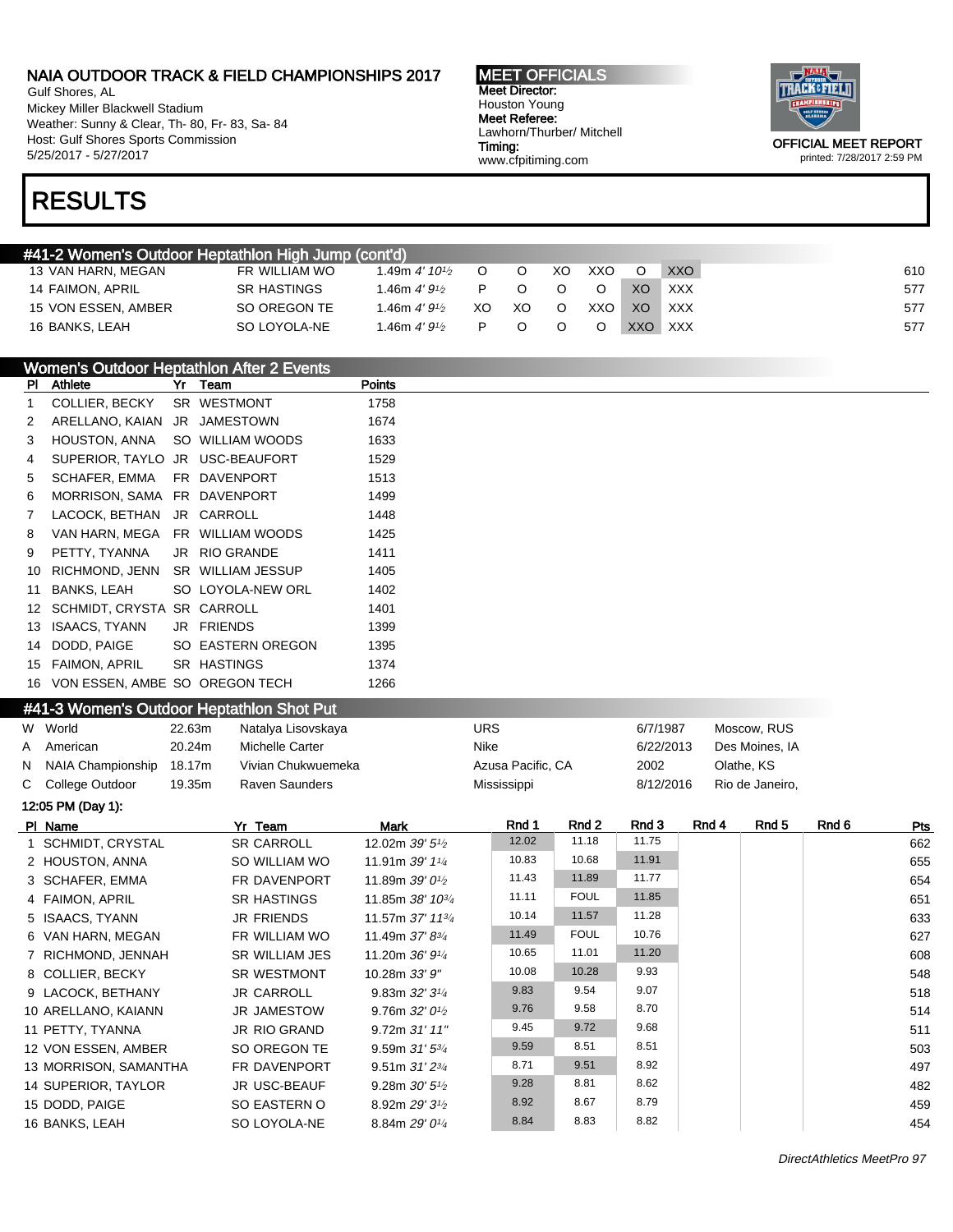12 VON ESSEN, AMBER SO OREGON TE 9.59m 31' 53/<sup>4</sup>

13 MORRISON, SAMANTHA FR DAVENPORT 9.51m 31' 23/4

14 SUPERIOR, TAYLOR JR USC-BEAUF 9.28m 30' 5<sup>1/2</sup>

15 DODD, PAIGE SO EASTERN O 8.92m 29' 3<sup>1/2</sup>

16 BANKS, LEAH SO LOYOLA-NE 8.84m 29' 01/4

Gulf Shores, AL Mickey Miller Blackwell Stadium Weather: Sunny & Clear, Th- 80, Fr- 83, Sa- 84 Host: Gulf Shores Sports Commission 5/25/2017 - 5/27/2017

MEET OFFICIALS Meet Director: Houston Young Meet Referee: Lawhorn/Thurber/ Mitchell Timing: www.cfpitiming.com



OFFICIAL MEET REPORT printed: 7/28/2017 2:59 PM

## RESULTS

| #41-2 Women's Outdoor Heptathlon High Jump (cont'd) |               |                          |    |    |    |     |     |     |
|-----------------------------------------------------|---------------|--------------------------|----|----|----|-----|-----|-----|
| 13 VAN HARN, MEGAN                                  | FR WILLIAM WO | 1.49m 4' $10\frac{1}{2}$ |    |    | XO | XXO |     | XXO |
| 14 FAIMON, APRIL                                    | SR HASTINGS   | 1.46m $4'9\frac{1}{2}$   | D  |    |    |     | XO. | XXX |
| 15 VON ESSEN, AMBER                                 | SO OREGON TE  | 1.46m $4'9\frac{1}{2}$   | XO | XO | O  | XXO | XO. | XXX |
| 16 BANKS, LEAH                                      | SO LOYOLA-NE  | 1.46m $4'9'$             | P  |    |    |     | XXO | XXX |

#### Women's Outdoor Heptathlon After 2 Events Pl Athlete Yr Team Points 1 COLLIER, BECKY SR WESTMONT 1758 2 ARELLANO, KAIAN JR JAMESTOWN 1674 3 HOUSTON, ANNA SO WILLIAM WOODS 1633 4 SUPERIOR, TAYLO JR USC-BEAUFORT 1529 5 SCHAFER, EMMA FR DAVENPORT 1513 6 MORRISON, SAMA FR DAVENPORT 1499 7 LACOCK, BETHAN JR CARROLL 1448 8 VAN HARN, MEGA FR WILLIAM WOODS 1425 9 PETTY, TYANNA JR RIO GRANDE 1411 10 RICHMOND, JENN SR WILLIAM JESSUP 1405 11 BANKS, LEAH SO LOYOLA-NEW ORL 1402 12 SCHMIDT, CRYSTA SR CARROLL 1401 13 ISAACS, TYANN JR FRIENDS 1399 14 DODD, PAIGE SO EASTERN OREGON 1395 15 FAIMON, APRIL SR HASTINGS 1374 16 VON ESSEN, AMBE SO OREGON TECH 1266 #41-3 Women's Outdoor Heptathlon Shot Put W World 22.63m Natalya Lisovskaya URS 6/7/1987 Moscow, RUS A American 20.24m Michelle Carter Nichelle Carter Nike Nike 6/22/2013 Des Moines, IA N NAIA Championship 18.17m Vivian Chukwuemeka Azusa Pacific, CA 2002 Olathe, KS C College Outdoor 19.35m Raven Saunders Mississippi 8/12/2016 Rio de Janeiro, 12:05 PM (Day 1): Pl Name Yr Team Mark Rnd 1 Rnd 2 Rnd 3 Rnd 4 Rnd 5 Rnd 6 Pts 1 SCHMIDT, CRYSTAL SR CARROLL 12.02m 39' 5<sup>1</sup>/2 12.02 11.18 11.75 662 2 HOUSTON, ANNA SO WILLIAM WO 11.91m 39' 11/4 10.83 10.68 11.91 and 10.83 555 3 SCHAFER, EMMA FR DAVENPORT  $11.89$ m  $39'0^{1/2}$ 11.43 11.89 11.77 654 4 FAIMON, APRIL SR HASTINGS 11.85m 38' 10<sup>3/4</sup> 11.11 FOUL 11.85 651 5 ISAACS, TYANN JR FRIENDS 11.57m 37' 11<sup>3/4</sup> 10.14 11.57 11.28 633 6 VAN HARN, MEGAN FR WILLIAM WO 11.49m 37' 83/<sup>4</sup> 11.49 FOUL 10.76 **627** 7 RICHMOND, JENNAH SR WILLIAM JES  $11.20$ m  $36'9^{1/4}$ 10.65 11.01 11.20 10.608 8 COLLIER, BECKY SR WESTMONT 10.28m 33' 9" 10.08 10.28 9.93 548 9 LACOCK, BETHANY JR CARROLL 9.83m 32' 31/<sup>4</sup>  $9.83$  9.54 9.07  $\vert$  518 10 ARELLANO, KAIANN JR JAMESTOW 9.76m 32' 0<sup>1</sup>/2  $9.76$   $9.58$   $8.70$   $10.514$ 11 PETTY, TYANNA JR RIO GRAND 9.72m 31' 11"  $9.45$  9.72 9.68  $\vert$  511

DirectAthletics MeetPro 97

 $9.59$  8.51 8.51 8.51 503

8.71 9.51 8.92 **497**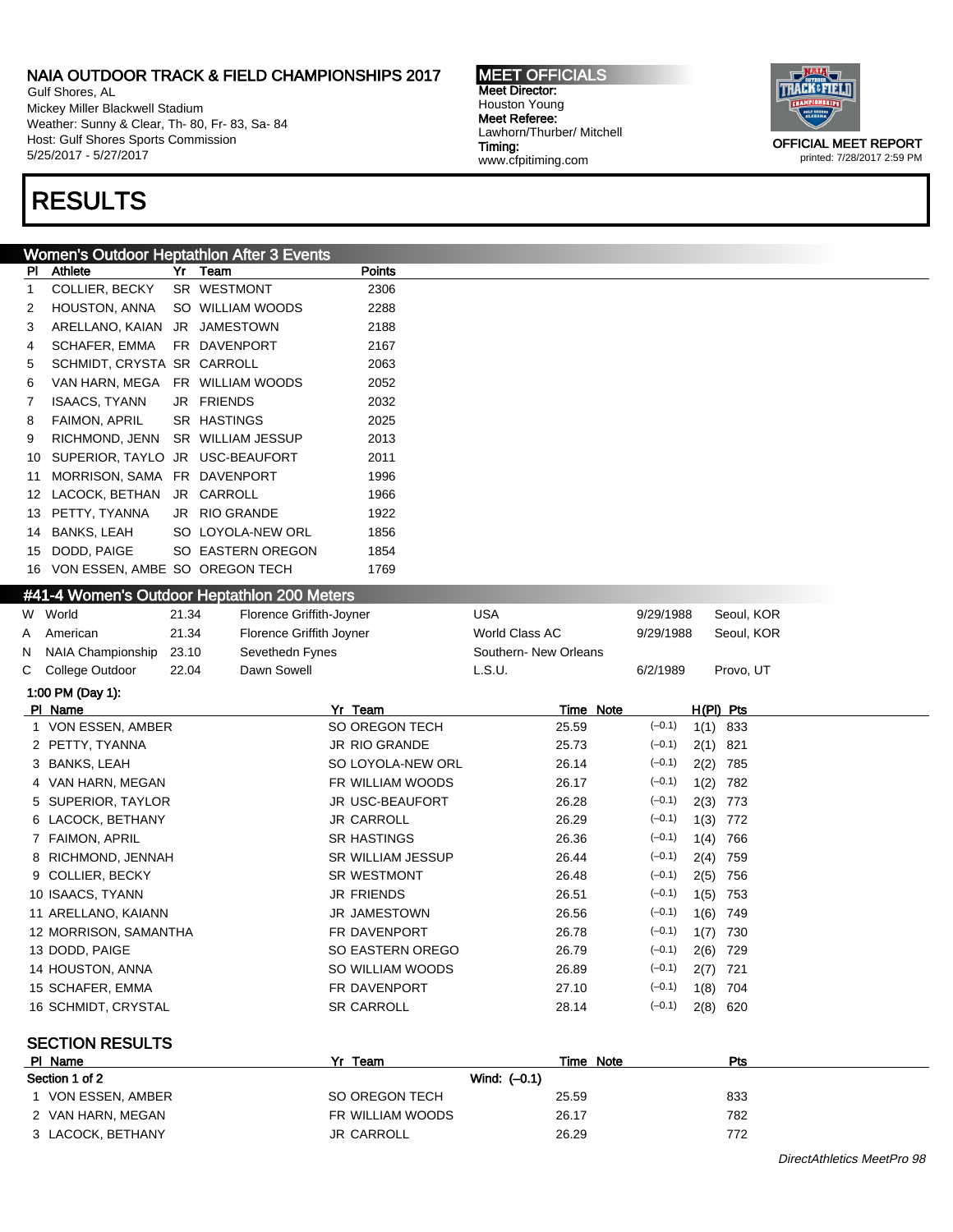Gulf Shores, AL Mickey Miller Blackwell Stadium Weather: Sunny & Clear, Th- 80, Fr- 83, Sa- 84 Host: Gulf Shores Sports Commission 5/25/2017 - 5/27/2017

## RESULTS

### Women's Outdoor Heptathlon After 3 Events

| PI | Athlete                        | Yr  | Team              | Points |
|----|--------------------------------|-----|-------------------|--------|
| 1  | COLLIER, BECKY                 |     | SR WESTMONT       | 2306   |
| 2  | HOUSTON, ANNA                  |     | SO WILLIAM WOODS  | 2288   |
| 3  | ARELLANO, KAIAN                | JR  | <b>JAMESTOWN</b>  | 2188   |
| 4  | SCHAFER, EMMA                  | FR  | <b>DAVENPORT</b>  | 2167   |
| 5  | SCHMIDT, CRYSTA SR CARROLL     |     |                   | 2063   |
| 6  | VAN HARN, MEGA                 |     | FR WILLIAM WOODS  | 2052   |
| 7  | ISAACS, TYANN                  | JR  | <b>FRIENDS</b>    | 2032   |
| 8  | FAIMON, APRIL                  |     | SR HASTINGS       | 2025   |
| 9  | RICHMOND, JENN                 |     | SR WILLIAM JESSUP | 2013   |
| 10 | SUPERIOR, TAYLO                | JR  | USC-BEAUFORT      | 2011   |
| 11 | MORRISON, SAMA                 | FR. | <b>DAVENPORT</b>  | 1996   |
| 12 | LACOCK, BETHAN                 | JR  | CARROLL           | 1966   |
| 13 | PETTY, TYANNA                  | JR  | <b>RIO GRANDE</b> | 1922   |
| 14 | BANKS, LEAH                    |     | SO LOYOLA-NEW ORL | 1856   |
| 15 | DODD, PAIGE                    |     | SO EASTERN OREGON | 1854   |
| 16 | VON ESSEN, AMBE SO OREGON TECH |     |                   | 1769   |
|    |                                |     |                   |        |

#### #41-4 Women's Outdoor Heptathlon 200 Meters

|   | W World                  | 21.34 | Florence Griffith-Joyner |                          | <b>USA</b>            |           | 9/29/1988 |      | Seoul, KOR |
|---|--------------------------|-------|--------------------------|--------------------------|-----------------------|-----------|-----------|------|------------|
| Α | American                 | 21.34 | Florence Griffith Joyner |                          | World Class AC        |           | 9/29/1988 |      | Seoul, KOR |
| N | <b>NAIA Championship</b> | 23.10 | Sevethedn Fynes          |                          | Southern- New Orleans |           |           |      |            |
| С | College Outdoor          | 22.04 | Dawn Sowell              |                          | L.S.U.                |           | 6/2/1989  |      | Provo, UT  |
|   | 1:00 PM (Day 1):         |       |                          |                          |                       |           |           |      |            |
|   | PI Name                  |       |                          | Yr Team                  |                       | Time Note |           |      | H(PI) Pts  |
|   | 1 VON ESSEN, AMBER       |       |                          | SO OREGON TECH           |                       | 25.59     | $(-0.1)$  |      | $1(1)$ 833 |
|   | 2 PETTY, TYANNA          |       |                          | JR RIO GRANDE            |                       | 25.73     | $(-0.1)$  | 2(1) | 821        |
|   | 3 BANKS, LEAH            |       |                          | SO LOYOLA-NEW ORL        |                       | 26.14     | $(-0.1)$  | 2(2) | 785        |
|   | 4 VAN HARN, MEGAN        |       |                          | FR WILLIAM WOODS         |                       | 26.17     | $(-0.1)$  | 1(2) | 782        |
|   | 5 SUPERIOR, TAYLOR       |       |                          | <b>JR USC-BEAUFORT</b>   |                       | 26.28     | $(-0.1)$  |      | $2(3)$ 773 |
|   | 6 LACOCK, BETHANY        |       |                          | <b>JR CARROLL</b>        |                       | 26.29     | $(-0.1)$  |      | $1(3)$ 772 |
|   | 7 FAIMON, APRIL          |       |                          | <b>SR HASTINGS</b>       |                       | 26.36     | $(-0.1)$  | 1(4) | 766        |
|   | 8 RICHMOND, JENNAH       |       |                          | <b>SR WILLIAM JESSUP</b> |                       | 26.44     | $(-0.1)$  | 2(4) | 759        |
|   | 9 COLLIER, BECKY         |       |                          | <b>SR WESTMONT</b>       |                       | 26.48     | $(-0.1)$  |      | 2(5) 756   |
|   | 10 ISAACS, TYANN         |       |                          | <b>JR FRIENDS</b>        |                       | 26.51     | $(-0.1)$  |      | $1(5)$ 753 |
|   | 11 ARELLANO, KAIANN      |       |                          | JR JAMESTOWN             |                       | 26.56     | $(-0.1)$  |      | 1(6) 749   |
|   | 12 MORRISON, SAMANTHA    |       |                          | FR DAVENPORT             |                       | 26.78     | $(-0.1)$  | 1(7) | 730        |
|   | 13 DODD, PAIGE           |       |                          | SO EASTERN OREGO         |                       | 26.79     | $(-0.1)$  | 2(6) | 729        |
|   | 14 HOUSTON, ANNA         |       |                          | SO WILLIAM WOODS         |                       | 26.89     | $(-0.1)$  | 2(7) | 721        |
|   | 15 SCHAFER, EMMA         |       |                          | FR DAVENPORT             |                       | 27.10     | $(-0.1)$  | 1(8) | 704        |
|   | 16 SCHMIDT, CRYSTAL      |       |                          | <b>SR CARROLL</b>        |                       | 28.14     | $(-0.1)$  | 2(8) | 620        |
|   |                          |       |                          |                          |                       |           |           |      |            |
|   | <b>SECTION RESULTS</b>   |       |                          |                          |                       |           |           |      |            |
|   | PI Name                  |       |                          | Yr Team                  |                       | Time Note |           |      | Pts        |
|   | Section 1 of 2           |       |                          |                          | Wind: $(-0.1)$        |           |           |      |            |
|   | 1 VON ESSEN, AMBER       |       |                          | SO OREGON TECH           |                       | 25.59     |           |      | 833        |
|   | 2 VAN HARN, MEGAN        |       |                          | FR WILLIAM WOODS         |                       | 26.17     |           |      | 782        |

3 LACOCK, BETHANY JR CARROLL 26.29 772



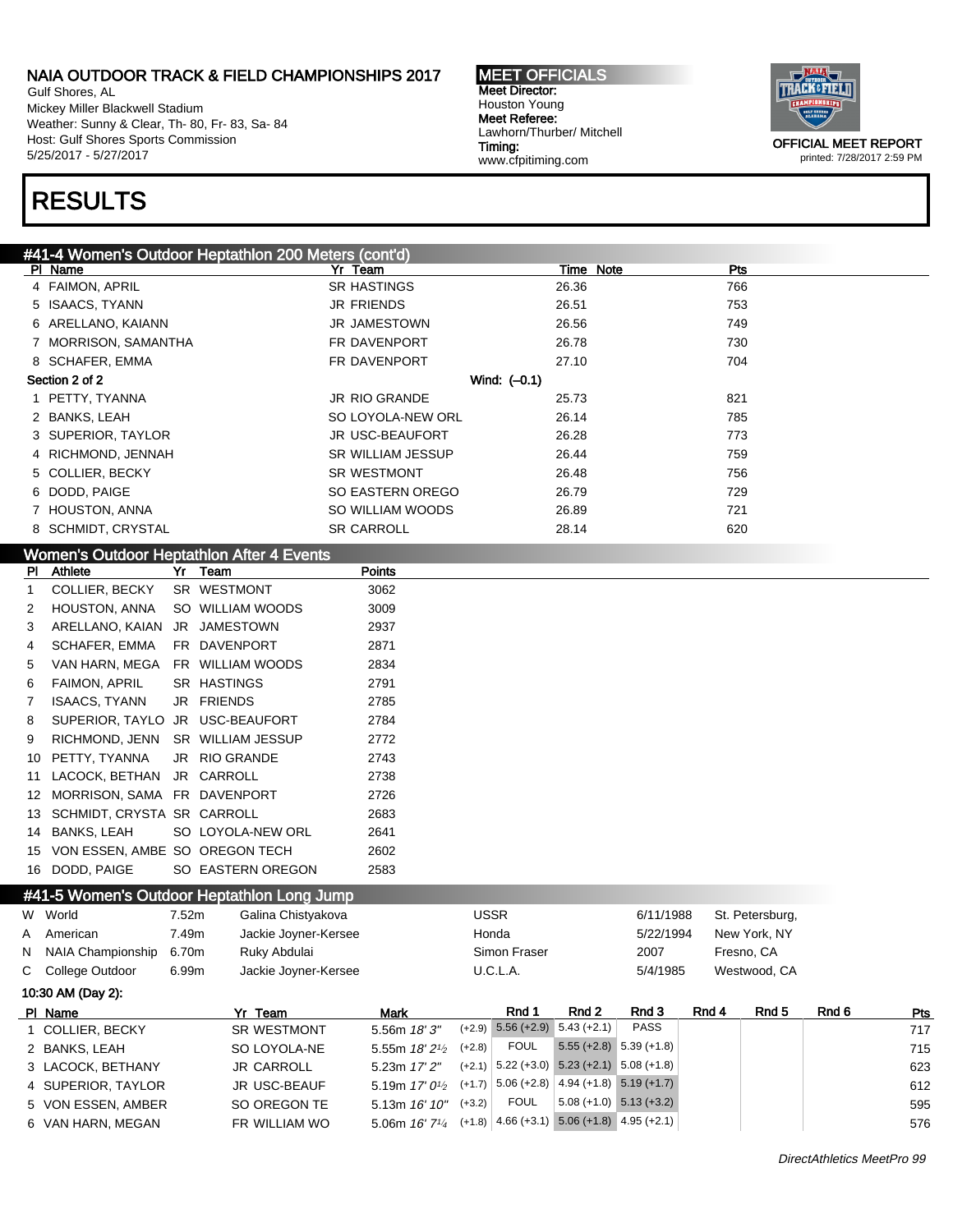Gulf Shores, AL Mickey Miller Blackwell Stadium Weather: Sunny & Clear, Th- 80, Fr- 83, Sa- 84 Host: Gulf Shores Sports Commission 5/25/2017 - 5/27/2017

# RESULTS

MEET OFFICIALS Meet Director: Houston Young Meet Referee: Lawhorn/Thurber/ Mitchell Timing: www.cfpitiming.com



|         | #41-4 Women's Outdoor Heptathlon 200 Meters (cont'd) |                          |           |     |
|---------|------------------------------------------------------|--------------------------|-----------|-----|
| PI Name |                                                      | Yr Team                  | Time Note | Pts |
|         | 4 FAIMON, APRIL                                      | <b>SR HASTINGS</b>       | 26.36     | 766 |
|         | 5 ISAACS, TYANN                                      | <b>JR FRIENDS</b>        | 26.51     | 753 |
|         | 6 ARELLANO, KAIANN                                   | <b>JR JAMESTOWN</b>      | 26.56     | 749 |
|         | 7 MORRISON, SAMANTHA                                 | FR DAVENPORT             | 26.78     | 730 |
|         | 8 SCHAFER, EMMA                                      | <b>FR DAVENPORT</b>      | 27.10     | 704 |
|         | Section 2 of 2                                       | Wind: $(-0.1)$           |           |     |
|         | 1 PETTY, TYANNA                                      | <b>JR RIO GRANDE</b>     | 25.73     | 821 |
|         | 2 BANKS, LEAH                                        | SO LOYOLA-NEW ORL        | 26.14     | 785 |
|         | 3 SUPERIOR, TAYLOR                                   | JR USC-BEAUFORT          | 26.28     | 773 |
|         | 4 RICHMOND, JENNAH                                   | <b>SR WILLIAM JESSUP</b> | 26.44     | 759 |
|         | 5 COLLIER, BECKY                                     | <b>SR WESTMONT</b>       | 26.48     | 756 |
|         | 6 DODD, PAIGE                                        | SO EASTERN OREGO         | 26.79     | 729 |
|         | 7 HOUSTON, ANNA                                      | SO WILLIAM WOODS         | 26.89     | 721 |
|         | 8 SCHMIDT, CRYSTAL                                   | <b>SR CARROLL</b>        | 28.14     | 620 |

#### Women's Outdoor Heptathlon After 4 Events

| PI             | Athlete                         | Yr | Team              | <b>Points</b> |  |
|----------------|---------------------------------|----|-------------------|---------------|--|
| 1              | COLLIER, BECKY                  |    | SR WESTMONT       | 3062          |  |
| 2              | HOUSTON, ANNA                   |    | SO WILLIAM WOODS  | 3009          |  |
| 3              | ARELLANO, KAIAN                 | JR | <b>JAMESTOWN</b>  | 2937          |  |
| 4              | SCHAFER, EMMA                   |    | FR DAVENPORT      | 2871          |  |
| 5              | VAN HARN, MEGA                  |    | FR WILLIAM WOODS  | 2834          |  |
| 6              | FAIMON, APRIL                   |    | SR HASTINGS       | 2791          |  |
| $\overline{7}$ | ISAACS, TYANN                   | JR | <b>FRIENDS</b>    | 2785          |  |
| 8              | SUPERIOR, TAYLO JR USC-BEAUFORT |    |                   | 2784          |  |
| 9              | RICHMOND, JENN                  |    | SR WILLIAM JESSUP | 2772          |  |
| 10             | PETTY, TYANNA                   | JR | RIO GRANDE        | 2743          |  |
| 11             | LACOCK, BETHAN JR CARROLL       |    |                   | 2738          |  |
| 12             | MORRISON, SAMA FR DAVENPORT     |    |                   | 2726          |  |
| 13             | SCHMIDT, CRYSTA SR CARROLL      |    |                   | 2683          |  |
| 14             | BANKS, LEAH                     |    | SO LOYOLA-NEW ORL | 2641          |  |
| 15             | VON ESSEN, AMBE SO OREGON TECH  |    |                   | 2602          |  |
| 16             | DODD, PAIGE                     |    | SO EASTERN OREGON | 2583          |  |

#### #41-5 Women's Outdoor Heptathlon Long Jump

| <b>USSR</b><br>W World<br>Galina Chistyakova<br>6/11/1988<br>7.52m<br>St. Petersburg,<br>Jackie Joyner-Kersee<br>5/22/1994<br>New York, NY<br>Honda<br>7.49m<br>A American<br>N NAIA Championship<br>Ruky Abdulai<br>Simon Fraser<br>6.70m<br>2007<br>Fresno, CA<br>Jackie Joyner-Kersee<br>U.C.L.A.<br>Westwood, CA<br>C College Outdoor<br>6.99m<br>5/4/1985<br>10:30 AM (Day 2):<br>Rnd 4<br>Rnd 2<br>Rnd 3<br>Rnd 5<br>Rnd 1<br>Rnd 6<br>Mark<br>PI Name<br>Yr Team<br><b>PASS</b><br>$5.56 (+2.9)$ $5.43 (+2.1)$<br>$(+2.9)$<br>1 COLLIER, BECKY<br><b>SR WESTMONT</b><br>5.56m $18'3''$<br><b>FOUL</b><br>$5.55 (+2.8) 5.39 (+1.8)$<br>$(+2.8)$<br>SO LOYOLA-NE<br>5.55m $18'2\frac{1}{2}$<br>2 BANKS, LEAH<br>$5.22 (+3.0)$ $5.23 (+2.1)$ $5.08 (+1.8)$<br>$(+2.1)$<br>3 LACOCK, BETHANY<br><b>JR CARROLL</b><br>5.23m 17' 2"<br>$5.06 (+2.8)$ 4.94 (+1.8) $5.19 (+1.7)$<br>$(+1.7)$<br>4 SUPERIOR, TAYLOR<br><b>JR USC-BEAUF</b><br>5.19m $17'0\frac{1}{2}$<br>$5.08 (+1.0) 5.13 (+3.2)$<br><b>FOUL</b><br>$(+3.2)$<br>SO OREGON TE<br>5 VON ESSEN, AMBER<br>5.13m 16' 10"<br>$(+1.8)$ 4.66 (+3.1) 5.06 (+1.8) 4.95 (+2.1)<br>6 VAN HARN, MEGAN<br>FR WILLIAM WO<br>5.06m $16'$ 7 <sup>1/4</sup> |  |  |  |  |  |  |  |
|----------------------------------------------------------------------------------------------------------------------------------------------------------------------------------------------------------------------------------------------------------------------------------------------------------------------------------------------------------------------------------------------------------------------------------------------------------------------------------------------------------------------------------------------------------------------------------------------------------------------------------------------------------------------------------------------------------------------------------------------------------------------------------------------------------------------------------------------------------------------------------------------------------------------------------------------------------------------------------------------------------------------------------------------------------------------------------------------------------------------------------------------------------------------------------------------------------|--|--|--|--|--|--|--|
|                                                                                                                                                                                                                                                                                                                                                                                                                                                                                                                                                                                                                                                                                                                                                                                                                                                                                                                                                                                                                                                                                                                                                                                                          |  |  |  |  |  |  |  |
|                                                                                                                                                                                                                                                                                                                                                                                                                                                                                                                                                                                                                                                                                                                                                                                                                                                                                                                                                                                                                                                                                                                                                                                                          |  |  |  |  |  |  |  |
|                                                                                                                                                                                                                                                                                                                                                                                                                                                                                                                                                                                                                                                                                                                                                                                                                                                                                                                                                                                                                                                                                                                                                                                                          |  |  |  |  |  |  |  |
|                                                                                                                                                                                                                                                                                                                                                                                                                                                                                                                                                                                                                                                                                                                                                                                                                                                                                                                                                                                                                                                                                                                                                                                                          |  |  |  |  |  |  |  |
|                                                                                                                                                                                                                                                                                                                                                                                                                                                                                                                                                                                                                                                                                                                                                                                                                                                                                                                                                                                                                                                                                                                                                                                                          |  |  |  |  |  |  |  |
|                                                                                                                                                                                                                                                                                                                                                                                                                                                                                                                                                                                                                                                                                                                                                                                                                                                                                                                                                                                                                                                                                                                                                                                                          |  |  |  |  |  |  |  |
|                                                                                                                                                                                                                                                                                                                                                                                                                                                                                                                                                                                                                                                                                                                                                                                                                                                                                                                                                                                                                                                                                                                                                                                                          |  |  |  |  |  |  |  |
|                                                                                                                                                                                                                                                                                                                                                                                                                                                                                                                                                                                                                                                                                                                                                                                                                                                                                                                                                                                                                                                                                                                                                                                                          |  |  |  |  |  |  |  |
|                                                                                                                                                                                                                                                                                                                                                                                                                                                                                                                                                                                                                                                                                                                                                                                                                                                                                                                                                                                                                                                                                                                                                                                                          |  |  |  |  |  |  |  |
|                                                                                                                                                                                                                                                                                                                                                                                                                                                                                                                                                                                                                                                                                                                                                                                                                                                                                                                                                                                                                                                                                                                                                                                                          |  |  |  |  |  |  |  |
|                                                                                                                                                                                                                                                                                                                                                                                                                                                                                                                                                                                                                                                                                                                                                                                                                                                                                                                                                                                                                                                                                                                                                                                                          |  |  |  |  |  |  |  |
|                                                                                                                                                                                                                                                                                                                                                                                                                                                                                                                                                                                                                                                                                                                                                                                                                                                                                                                                                                                                                                                                                                                                                                                                          |  |  |  |  |  |  |  |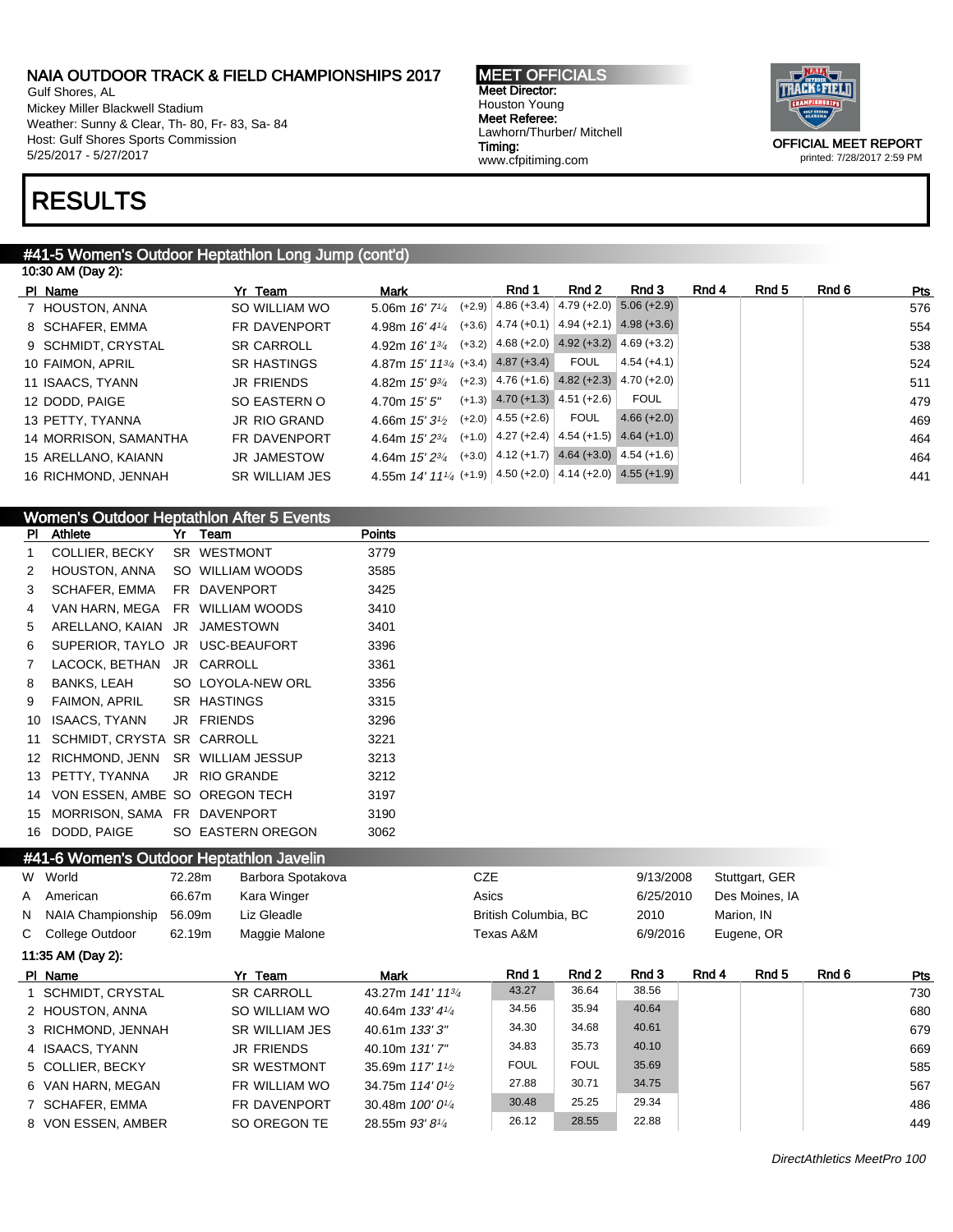Gulf Shores, AL Mickey Miller Blackwell Stadium Weather: Sunny & Clear, Th- 80, Fr- 83, Sa- 84 Host: Gulf Shores Sports Commission 5/25/2017 - 5/27/2017

MEET OFFICIALS Meet Director: Houston Young Meet Referee: Lawhorn/Thurber/ Mitchell Timing: www.cfpitiming.com



printed: 7/28/2017 2:59 PM

## RESULTS

### #41-5 Women's Outdoor Heptathlon Long Jump (cont'd)

| 10:30 AM (Day 2): |  |
|-------------------|--|
|-------------------|--|

| PI Name               | Yr Team               | <b>Mark</b>                                                                          | Rnd 1                | Rnd 2                                | Rnd 3                                              | Rnd 4 | Rnd 5 | Rnd 6 | Pts |
|-----------------------|-----------------------|--------------------------------------------------------------------------------------|----------------------|--------------------------------------|----------------------------------------------------|-------|-------|-------|-----|
| 7 HOUSTON, ANNA       | SO WILLIAM WO         | 5.06m $16'$ 7 <sup>1</sup> / <sub>4</sub> (+2.9) 4.86 (+3.4) 4.79 (+2.0) 5.06 (+2.9) |                      |                                      |                                                    |       |       |       | 576 |
| 8 SCHAFER, EMMA       | FR DAVENPORT          | 4.98m $16'$ 4 $\frac{1}{4}$                                                          |                      |                                      | $(+3.6)$ 4.74 (+0.1) 4.94 (+2.1) 4.98 (+3.6)       |       |       |       | 554 |
| 9 SCHMIDT, CRYSTAL    | <b>SR CARROLL</b>     | 4.92m $16'$ $13'$                                                                    |                      |                                      | $(+3.2)$ 4.68 $(+2.0)$ 4.92 $(+3.2)$ 4.69 $(+3.2)$ |       |       |       | 538 |
| 10 FAIMON, APRIL      | <b>SR HASTINGS</b>    | 4.87m 15' 1134 (+3.4) 4.87 (+3.4)                                                    |                      | FOUL                                 | $4.54(+4.1)$                                       |       |       |       | 524 |
| 11 ISAACS, TYANN      | JR FRIENDS            | 4.82m $15'$ $9\frac{3}{4}$                                                           |                      |                                      | $(+2.3)$ 4.76 $(+1.6)$ 4.82 $(+2.3)$ 4.70 $(+2.0)$ |       |       |       | 511 |
| 12 DODD, PAIGE        | SO EASTERN O          | 4.70m $15'5''$                                                                       |                      | $(+1.3)$ 4.70 $(+1.3)$ 4.51 $(+2.6)$ | FOUL                                               |       |       |       | 479 |
| 13 PETTY, TYANNA      | JR RIO GRAND          | 4.66m $15'3\frac{1}{2}$                                                              | $(+2.0)$ 4.55 (+2.6) | <b>FOUL</b>                          | $4.66(+2.0)$                                       |       |       |       | 469 |
| 14 MORRISON, SAMANTHA | FR DAVENPORT          | 4.64m 15' 2 <sup>3/4</sup>                                                           |                      |                                      | $(+1.0)$ 4.27 (+2.4) 4.54 (+1.5) 4.64 (+1.0)       |       |       |       | 464 |
| 15 ARELLANO, KAIANN   | <b>JR JAMESTOW</b>    | 4.64m $15'2^{3/4}$ (+3.0) 4.12 (+1.7) 4.64 (+3.0) 4.54 (+1.6)                        |                      |                                      |                                                    |       |       |       | 464 |
| 16 RICHMOND, JENNAH   | <b>SR WILLIAM JES</b> | 4.55 $\mid$ 14' 11'/4 (+1.9) 4.50 (+2.0) 4.14 (+2.0) 4.55 (+1.9)                     |                      |                                      |                                                    |       |       |       | 441 |
|                       |                       |                                                                                      |                      |                                      |                                                    |       |       |       |     |

| Women's Outdoor Heptathlon After 5 Events |                            |     |                       |        |  |  |  |  |  |  |  |
|-------------------------------------------|----------------------------|-----|-----------------------|--------|--|--|--|--|--|--|--|
| ΡI                                        | Athlete                    | Yr  | Team                  | Points |  |  |  |  |  |  |  |
| 1                                         | COLLIER, BECKY             |     | SR WESTMONT           | 3779   |  |  |  |  |  |  |  |
| 2                                         | HOUSTON, ANNA              |     | SO WILLIAM WOODS      | 3585   |  |  |  |  |  |  |  |
| 3                                         | SCHAFER, EMMA              | FR. | <b>DAVENPORT</b>      | 3425   |  |  |  |  |  |  |  |
| 4                                         | VAN HARN. MEGA             | FR. | <b>WILLIAM WOODS</b>  | 3410   |  |  |  |  |  |  |  |
| 5                                         | ARELLANO, KAIAN            | JR. | <b>JAMESTOWN</b>      | 3401   |  |  |  |  |  |  |  |
| 6                                         | SUPERIOR, TAYLO            | JR. | USC-BEAUFORT          | 3396   |  |  |  |  |  |  |  |
| 7                                         | LACOCK, BETHAN             | JR  | CARROLL               | 3361   |  |  |  |  |  |  |  |
| 8                                         | BANKS, LEAH                |     | SO LOYOLA-NEW ORL     | 3356   |  |  |  |  |  |  |  |
| 9                                         | FAIMON, APRIL              |     | <b>SR HASTINGS</b>    | 3315   |  |  |  |  |  |  |  |
| 10                                        | ISAACS, TYANN              | JR  | <b>FRIENDS</b>        | 3296   |  |  |  |  |  |  |  |
| 11                                        | SCHMIDT, CRYSTA SR CARROLL |     |                       | 3221   |  |  |  |  |  |  |  |
| 12                                        | RICHMOND, JENN             | SR. | <b>WILLIAM JESSUP</b> | 3213   |  |  |  |  |  |  |  |
| 13                                        | PETTY, TYANNA              | JR  | <b>RIO GRANDE</b>     | 3212   |  |  |  |  |  |  |  |
| 14                                        | VON ESSEN, AMBE SO         |     | <b>OREGON TECH</b>    | 3197   |  |  |  |  |  |  |  |
| 15                                        | MORRISON, SAMA             | FR. | <b>DAVENPORT</b>      | 3190   |  |  |  |  |  |  |  |
| 16                                        | DODD, PAIGE                |     | SO EASTERN OREGON     | 3062   |  |  |  |  |  |  |  |

7 SCHAFER, EMMA FR DAVENPORT 30.48m 100' 0<sup>1/4</sup>

8 VON ESSEN, AMBER SO OREGON TE 28.55m 93' 81/4

#### #41-6 Women's Outdoor Heptathlon Javelin

| $\frac{1}{2}$ . The computer of the control of the control of the control of the control of the control of the control of the control of the control of the control of the control of the control of the control of the control o |        |                       |                                           |                      |             |           |       |                |       |     |
|-----------------------------------------------------------------------------------------------------------------------------------------------------------------------------------------------------------------------------------|--------|-----------------------|-------------------------------------------|----------------------|-------------|-----------|-------|----------------|-------|-----|
| W World                                                                                                                                                                                                                           | 72.28m | Barbora Spotakova     |                                           | <b>CZE</b>           |             | 9/13/2008 |       | Stuttgart, GER |       |     |
| A American                                                                                                                                                                                                                        | 66.67m | Kara Winger           |                                           | Asics                |             | 6/25/2010 |       | Des Moines, IA |       |     |
| N NAIA Championship                                                                                                                                                                                                               | 56.09m | Liz Gleadle           |                                           | British Columbia, BC |             | 2010      |       | Marion, IN     |       |     |
| C College Outdoor                                                                                                                                                                                                                 | 62.19m | Maggie Malone         |                                           | Texas A&M            |             | 6/9/2016  |       | Eugene, OR     |       |     |
| 11:35 AM (Day 2):                                                                                                                                                                                                                 |        |                       |                                           |                      |             |           |       |                |       |     |
| PI Name                                                                                                                                                                                                                           |        | Yr Team               | <b>Mark</b>                               | Rnd 1                | Rnd 2       | Rnd 3     | Rnd 4 | Rnd 5          | Rnd 6 | Pts |
| 1 SCHMIDT, CRYSTAL                                                                                                                                                                                                                |        | <b>SR CARROLL</b>     | 43.27m 141' 11 <sup>3/4</sup>             | 43.27                | 36.64       | 38.56     |       |                |       | 730 |
| 2 HOUSTON, ANNA                                                                                                                                                                                                                   |        | SO WILLIAM WO         | 40.64m 133' 41/4                          | 34.56                | 35.94       | 40.64     |       |                |       | 680 |
| 3 RICHMOND, JENNAH                                                                                                                                                                                                                |        | <b>SR WILLIAM JES</b> | 40.61m 133'3"                             | 34.30                | 34.68       | 40.61     |       |                |       | 679 |
| 4 ISAACS, TYANN                                                                                                                                                                                                                   |        | <b>JR FRIENDS</b>     | 40.10m 131'7"                             | 34.83                | 35.73       | 40.10     |       |                |       | 669 |
| 5 COLLIER, BECKY                                                                                                                                                                                                                  |        | <b>SR WESTMONT</b>    | 35.69m 117' 1 <sup>1</sup> / <sub>2</sub> | <b>FOUL</b>          | <b>FOUL</b> | 35.69     |       |                |       | 585 |
| 6 VAN HARN, MEGAN                                                                                                                                                                                                                 |        | FR WILLIAM WO         | 34.75m 114' 0 <sup>1</sup> / <sub>2</sub> | 27.88                | 30.71       | 34.75     |       |                |       | 567 |

30.48 25.25 29.34 486

26.12 28.55 22.88 449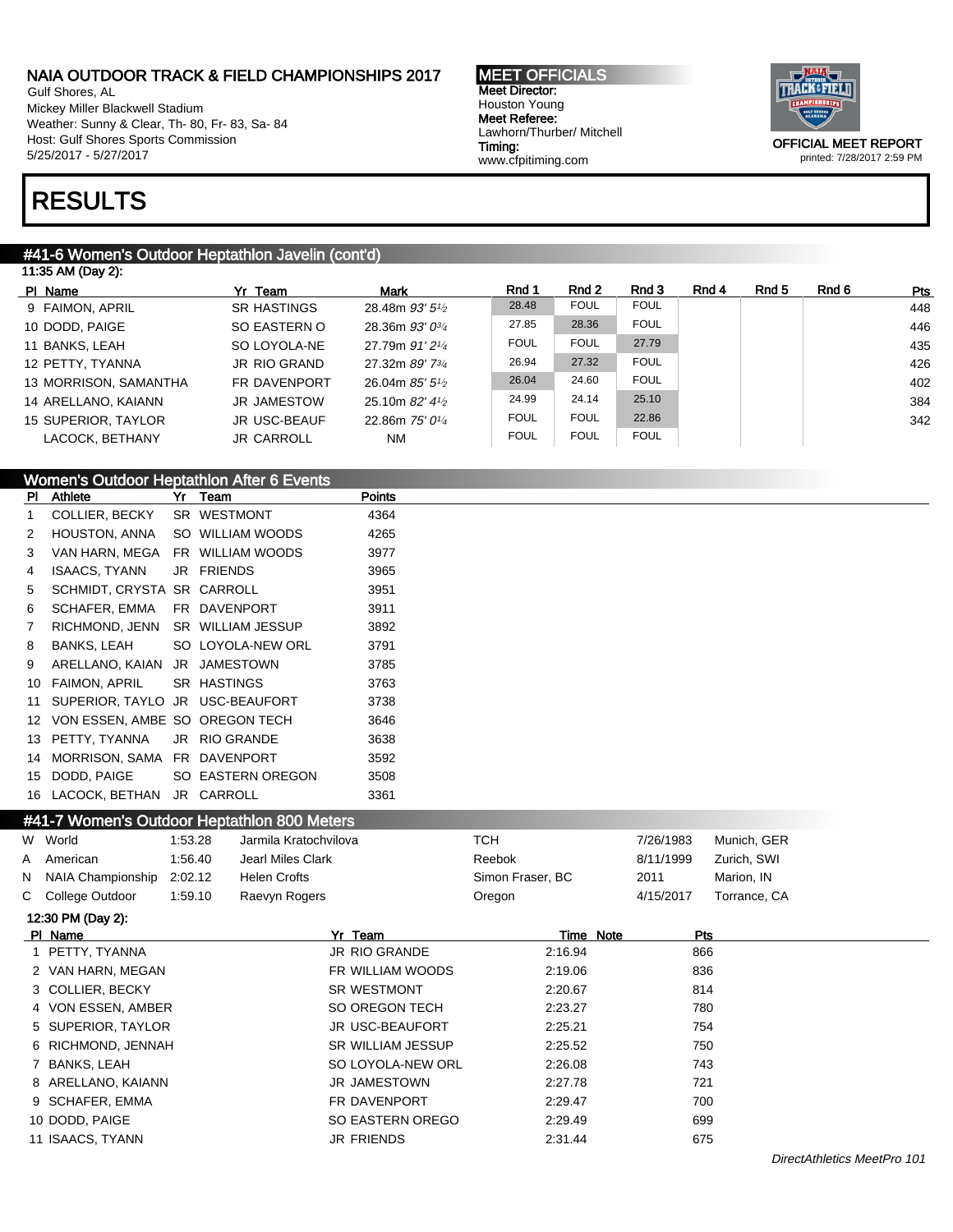Gulf Shores, AL Mickey Miller Blackwell Stadium Weather: Sunny & Clear, Th- 80, Fr- 83, Sa- 84 Host: Gulf Shores Sports Commission 5/25/2017 - 5/27/2017

# RESULTS

### #41-6 Women's Outdoor Heptathlon Javelin (cont'd)

| 11:35 AM (Day 2):     |                     |                                            |             |             |             |       |       |       |     |  |  |
|-----------------------|---------------------|--------------------------------------------|-------------|-------------|-------------|-------|-------|-------|-----|--|--|
| PI Name               | Yr Team             | <b>Mark</b>                                | Rnd 1       | Rnd 2       | Rnd 3       | Rnd 4 | Rnd 5 | Rnd 6 | Pts |  |  |
| 9 FAIMON, APRIL       | <b>SR HASTINGS</b>  | 28.48m 93' 5 <sup>1</sup> / <sub>2</sub>   | 28.48       | <b>FOUL</b> | <b>FOUL</b> |       |       |       | 448 |  |  |
| 10 DODD, PAIGE        | SO EASTERN O        | 28.36m $93'0^{3}/4$                        | 27.85       | 28.36       | <b>FOUL</b> |       |       |       | 446 |  |  |
| 11 BANKS, LEAH        | SO LOYOLA-NE        | 27.79m 91'2 <sup>1</sup> / <sub>4</sub>    | <b>FOUL</b> | <b>FOUL</b> | 27.79       |       |       |       | 435 |  |  |
| 12 PETTY, TYANNA      | <b>JR RIO GRAND</b> | 27.32m 89' 73/4                            | 26.94       | 27.32       | <b>FOUL</b> |       |       |       | 426 |  |  |
| 13 MORRISON, SAMANTHA | FR DAVENPORT        | 26.04m 85' 5 <sup>1</sup> / <sub>2</sub>   | 26.04       | 24.60       | <b>FOUL</b> |       |       |       | 402 |  |  |
| 14 ARELLANO, KAIANN   | <b>JR JAMESTOW</b>  | 25.10m $82'$ 4 <sup>1</sup> / <sub>2</sub> | 24.99       | 24.14       | 25.10       |       |       |       | 384 |  |  |
| 15 SUPERIOR, TAYLOR   | <b>JR USC-BEAUF</b> | 22.86m 75' 01/4                            | <b>FOUL</b> | <b>FOUL</b> | 22.86       |       |       |       | 342 |  |  |
| LACOCK, BETHANY       | <b>JR CARROLL</b>   | NM                                         | <b>FOUL</b> | <b>FOUL</b> | <b>FOUL</b> |       |       |       |     |  |  |

### Women's Outdoor Heptathlon After 6 Events

| PI             | Athlete                        | Yr  | Team              | Points |
|----------------|--------------------------------|-----|-------------------|--------|
| 1              | COLLIER, BECKY                 |     | SR WESTMONT       | 4364   |
| $\overline{2}$ | HOUSTON, ANNA                  |     | SO WILLIAM WOODS  | 4265   |
| 3              | VAN HARN. MEGA                 |     | FR WILLIAM WOODS  | 3977   |
| 4              | <b>ISAACS, TYANN</b>           |     | JR FRIENDS        | 3965   |
| 5              | SCHMIDT, CRYSTA                |     | SR CARROLL        | 3951   |
| 6              | SCHAFER, EMMA                  |     | FR DAVENPORT      | 3911   |
| 7              | RICHMOND, JENN                 |     | SR WILLIAM JESSUP | 3892   |
| 8              | BANKS, LEAH                    |     | SO LOYOLA-NEW ORL | 3791   |
| 9              | ARELLANO, KAIAN                |     | JR JAMESTOWN      | 3785   |
| 10             | FAIMON, APRIL                  | SR. | HASTINGS          | 3763   |
| 11             | SUPERIOR, TAYLO                |     | JR USC-BEAUFORT   | 3738   |
| 12             | VON ESSEN, AMBE SO OREGON TECH |     |                   | 3646   |
| 13             | PETTY, TYANNA                  | JR  | <b>RIO GRANDE</b> | 3638   |
| 14             | MORRISON, SAMA                 | FR. | DAVENPORT         | 3592   |
| 15             | DODD, PAIGE                    |     | SO EASTERN OREGON | 3508   |
| 16             | LACOCK, BETHAN                 | JR  | CARROLL           | 3361   |

#### #41-7 Women's Outdoor Heptathlon 800 Meters

| W World<br><b>TCH</b><br>1:53.28<br>Jarmila Kratochvilova | 7/26/1983                              | Munich, GER |
|-----------------------------------------------------------|----------------------------------------|-------------|
| Jearl Miles Clark<br>1:56.40<br>Reebok<br>A<br>American   | 8/11/1999<br>Zurich, SWI               |             |
| N NAIA Championship<br><b>Helen Crofts</b><br>2:02.12     | Simon Fraser, BC<br>2011<br>Marion, IN |             |
| C College Outdoor<br>Raevyn Rogers<br>1:59.10<br>Oregon   | 4/15/2017<br>Torrance, CA              |             |
| 12:30 PM (Day 2):                                         |                                        |             |
| PI Name<br>Yr Team                                        | Time Note<br><b>Pts</b>                |             |
| 1 PETTY, TYANNA<br><b>JR RIO GRANDE</b>                   | 2:16.94<br>866                         |             |
| 2 VAN HARN, MEGAN<br>FR WILLIAM WOODS                     | 2:19.06<br>836                         |             |
| 3 COLLIER, BECKY<br><b>SR WESTMONT</b>                    | 814<br>2:20.67                         |             |
| SO OREGON TECH<br>4 VON ESSEN, AMBER                      | 2:23.27<br>780                         |             |
| 5 SUPERIOR, TAYLOR<br>JR USC-BEAUFORT                     | 2:25.21<br>754                         |             |
| 6 RICHMOND, JENNAH<br><b>SR WILLIAM JESSUP</b>            | 2:25.52<br>750                         |             |
| 7 BANKS, LEAH<br>SO LOYOLA-NEW ORL                        | 743<br>2.26.08                         |             |
| 8 ARELLANO, KAIANN<br><b>JR JAMESTOWN</b>                 | 2:27.78<br>721                         |             |
| 9 SCHAFER, EMMA<br><b>FR DAVENPORT</b>                    | 2:29.47<br>700                         |             |
| 10 DODD, PAIGE<br>SO EASTERN OREGO                        | 2:29.49<br>699                         |             |
| <b>JR FRIENDS</b><br>11 ISAACS, TYANN                     | 2:31.44<br>675                         |             |

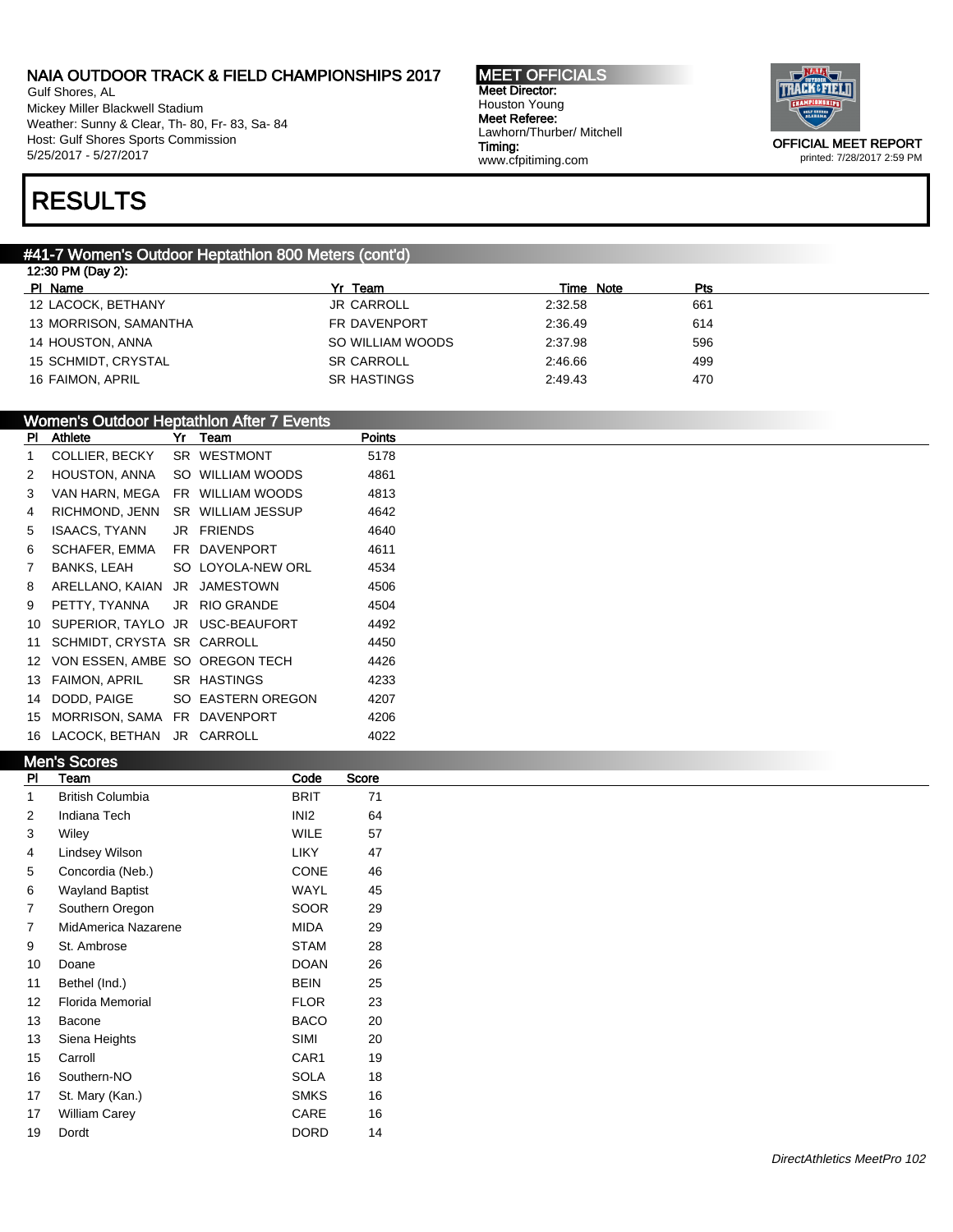Gulf Shores, AL Mickey Miller Blackwell Stadium Weather: Sunny & Clear, Th- 80, Fr- 83, Sa- 84 Host: Gulf Shores Sports Commission 5/25/2017 - 5/27/2017

MEET OFFICIALS Meet Director: Houston Young Meet Referee: Lawhorn/Thurber/ Mitchell Timing: www.cfpitiming.com



#### printed: 7/28/2017 2:59 PM

## RESULTS

### #41-7 Women's Outdoor Heptathlon 800 Meters (cont'd)

| 12:30 PM (Day 2):     |                    |           |     |
|-----------------------|--------------------|-----------|-----|
| PI Name               | Yr Team            | Time Note | Pts |
| 12 LACOCK, BETHANY    | <b>JR CARROLL</b>  | 2:32.58   | 661 |
| 13 MORRISON, SAMANTHA | FR DAVENPORT       | 2:36.49   | 614 |
| 14 HOUSTON, ANNA      | SO WILLIAM WOODS   | 2:37.98   | 596 |
| 15 SCHMIDT, CRYSTAL   | <b>SR CARROLL</b>  | 2:46.66   | 499 |
| 16 FAIMON, APRIL      | <b>SR HASTINGS</b> | 2:49.43   | 470 |

#### Women's Outdoor Heptathlon After 7 Events

| <b>PI</b>   | Athlete                           | Yr | Team                     | <b>Points</b> |  |
|-------------|-----------------------------------|----|--------------------------|---------------|--|
| 1           | COLLIER, BECKY                    |    | SR WESTMONT              | 5178          |  |
| 2           | HOUSTON, ANNA                     |    | SO WILLIAM WOODS         | 4861          |  |
| 3           | VAN HARN, MEGA                    |    | FR WILLIAM WOODS         | 4813          |  |
| 4           | RICHMOND, JENN                    |    | <b>SR WILLIAM JESSUP</b> | 4642          |  |
| 5           | ISAACS, TYANN                     |    | JR FRIENDS               | 4640          |  |
| 6           | SCHAFER, EMMA                     |    | FR DAVENPORT             | 4611          |  |
| $7^{\circ}$ | BANKS, LEAH                       |    | SO LOYOLA-NEW ORL        | 4534          |  |
| 8           | ARELLANO, KAIAN JR JAMESTOWN      |    |                          | 4506          |  |
| 9           | PETTY, TYANNA                     |    | JR RIO GRANDE            | 4504          |  |
| 10          | SUPERIOR, TAYLO JR USC-BEAUFORT   |    |                          | 4492          |  |
| 11          | SCHMIDT, CRYSTA SR CARROLL        |    |                          | 4450          |  |
|             | 12 VON ESSEN, AMBE SO OREGON TECH |    |                          | 4426          |  |
|             | 13 FAIMON, APRIL                  |    | SR HASTINGS              | 4233          |  |
|             | 14 DODD, PAIGE                    |    | SO EASTERN OREGON        | 4207          |  |
|             | 15 MORRISON, SAMA FR DAVENPORT    |    |                          | 4206          |  |
|             | 16 LACOCK BETHAN JR CARROLL       |    |                          | 4022          |  |

|                   | <b>Men's Scores</b>     |                  |       |  |  |  |  |  |
|-------------------|-------------------------|------------------|-------|--|--|--|--|--|
| PI                | Team                    | Code             | Score |  |  |  |  |  |
| 1                 | <b>British Columbia</b> | <b>BRIT</b>      | 71    |  |  |  |  |  |
| $\overline{2}$    | Indiana Tech            | INI <sub>2</sub> | 64    |  |  |  |  |  |
| 3                 | Wiley                   | <b>WILE</b>      | 57    |  |  |  |  |  |
| $\overline{4}$    | Lindsey Wilson          | <b>LIKY</b>      | 47    |  |  |  |  |  |
| 5                 | Concordia (Neb.)        | <b>CONE</b>      | 46    |  |  |  |  |  |
| 6                 | <b>Wayland Baptist</b>  | <b>WAYL</b>      | 45    |  |  |  |  |  |
| 7                 | Southern Oregon         | SOOR             | 29    |  |  |  |  |  |
| 7                 | MidAmerica Nazarene     | MIDA             | 29    |  |  |  |  |  |
| 9                 | St. Ambrose             | <b>STAM</b>      | 28    |  |  |  |  |  |
| 10                | Doane                   | <b>DOAN</b>      | 26    |  |  |  |  |  |
| 11                | Bethel (Ind.)           | <b>BEIN</b>      | 25    |  |  |  |  |  |
| $12 \overline{ }$ | Florida Memorial        | <b>FLOR</b>      | 23    |  |  |  |  |  |
| 13                | Bacone                  | <b>BACO</b>      | 20    |  |  |  |  |  |
| 13                | Siena Heights           | SIMI             | 20    |  |  |  |  |  |
| 15                | Carroll                 | CAR1             | 19    |  |  |  |  |  |
| 16                | Southern-NO             | <b>SOLA</b>      | 18    |  |  |  |  |  |
| 17                | St. Mary (Kan.)         | <b>SMKS</b>      | 16    |  |  |  |  |  |
| 17                | William Carey           | CARE             | 16    |  |  |  |  |  |
| 19                | Dordt                   | <b>DORD</b>      | 14    |  |  |  |  |  |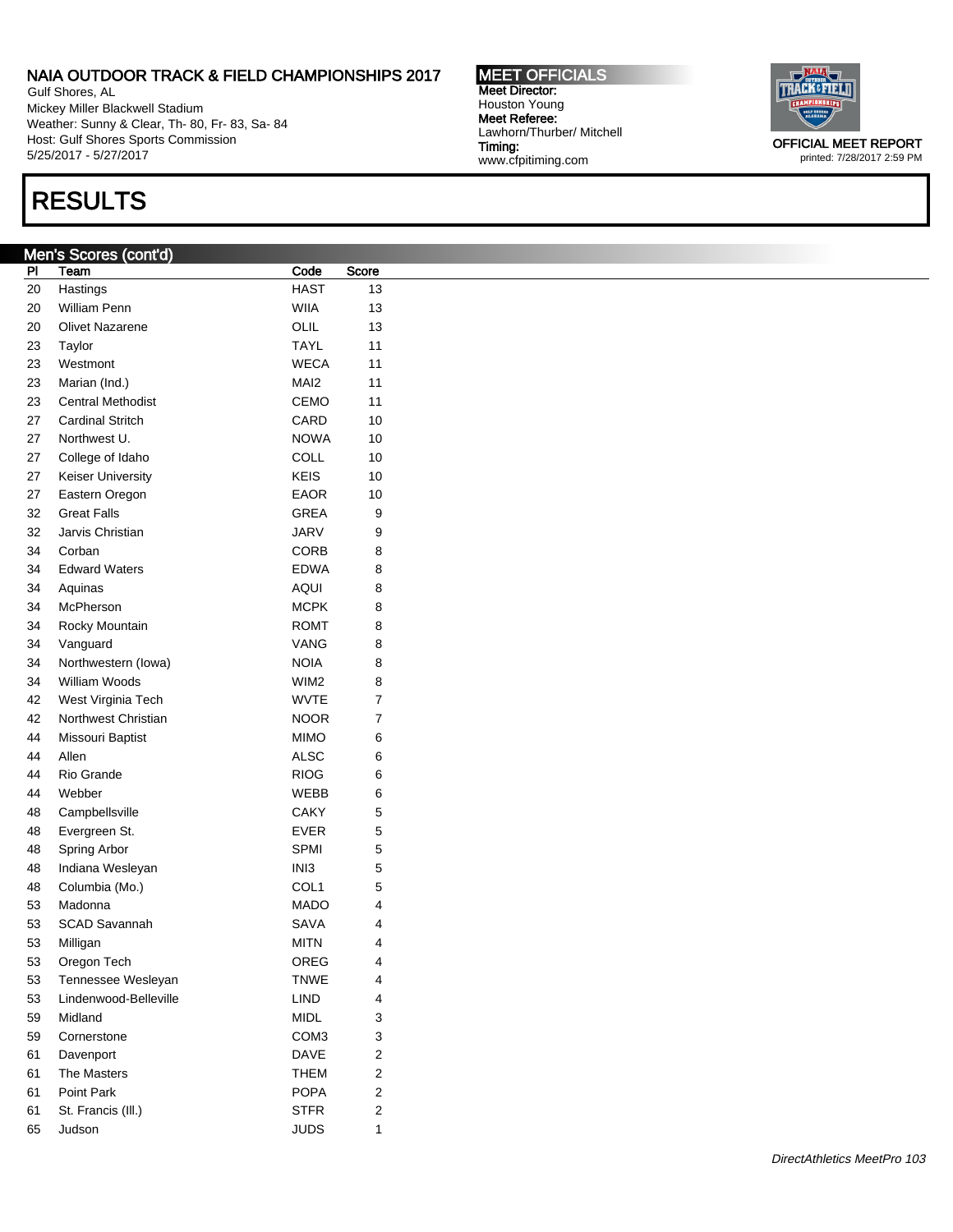Gulf Shores, AL Mickey Miller Blackwell Stadium Weather: Sunny & Clear, Th- 80, Fr- 83, Sa- 84 Host: Gulf Shores Sports Commission 5/25/2017 - 5/27/2017

## RESULTS

### Men's Scores (cont'd)

Pl Team **Code** Score 20 Hastings **HAST** 13 20 William Penn WIIA 13 20 Olivet Nazarene **OLIL** 13 23 Taylor **TAYL** 11 23 Westmont WECA 11 23 Marian (Ind.) MAI2 11 23 Central Methodist CEMO 11 27 Cardinal Stritch CARD 10 27 Northwest U. NOWA 10 27 College of Idaho COLL 10 27 Keiser University **KEIS** 10 27 Eastern Oregon **EAOR** 10 32 Great Falls 6. The GREA 9 32 Jarvis Christian **JARV** 9 34 Corban **CORB** 8 34 Edward Waters **EDWA** 8 34 Aquinas 6 and 5 and 5 and 5 and 6 and 6 and 6 and 6 and 6 and 6 and 6 and 6 and 6 and 6 and 6 and 6 and 6 and 6 and 6 and 6 and 6 and 6 and 6 and 6 and 6 and 6 and 6 and 6 and 6 and 6 and 6 and 6 and 6 and 6 and 6 and 6 34 McPherson MCPK 8 34 Rocky Mountain **ROMT** 8 34 Vanguard 8 VANG 8 34 Northwestern (Iowa) NOIA 8 34 William Woods WIM2 8 42 West Virginia Tech WVTE 7 42 Northwest Christian NOOR 7 44 Missouri Baptist **MIMO** 6 44 Allen 6 44 Rio Grande **RIOG** 6 44 Webber WEBB 6 48 Campbellsville **CAKY** 5 48 Evergreen St. 6 EVER 5 48 Spring Arbor SPMI 5 48 Indiana Wesleyan **INI3** 5 48 Columbia (Mo.) COL1 5 53 Madonna **MADO** 4 53 SCAD Savannah SAVA 4 53 Milligan 1997 MITN 4 53 Oregon Tech OREG 4 53 Tennessee Wesleyan **TNWE** 4 53 Lindenwood-Belleville **LIND** 4 59 Midland 3 59 Cornerstone COM3 3 61 Davenport DAVE 2 61 The Masters THEM 2 61 Point Park **POPA** 2 61 St. Francis (III.) STFR 2 65 Judson JUDS 1 MEET OFFICIALS Meet Director: Houston Young Meet Referee: Lawhorn/Thurber/ Mitchell Timing: www.cfpitiming.com

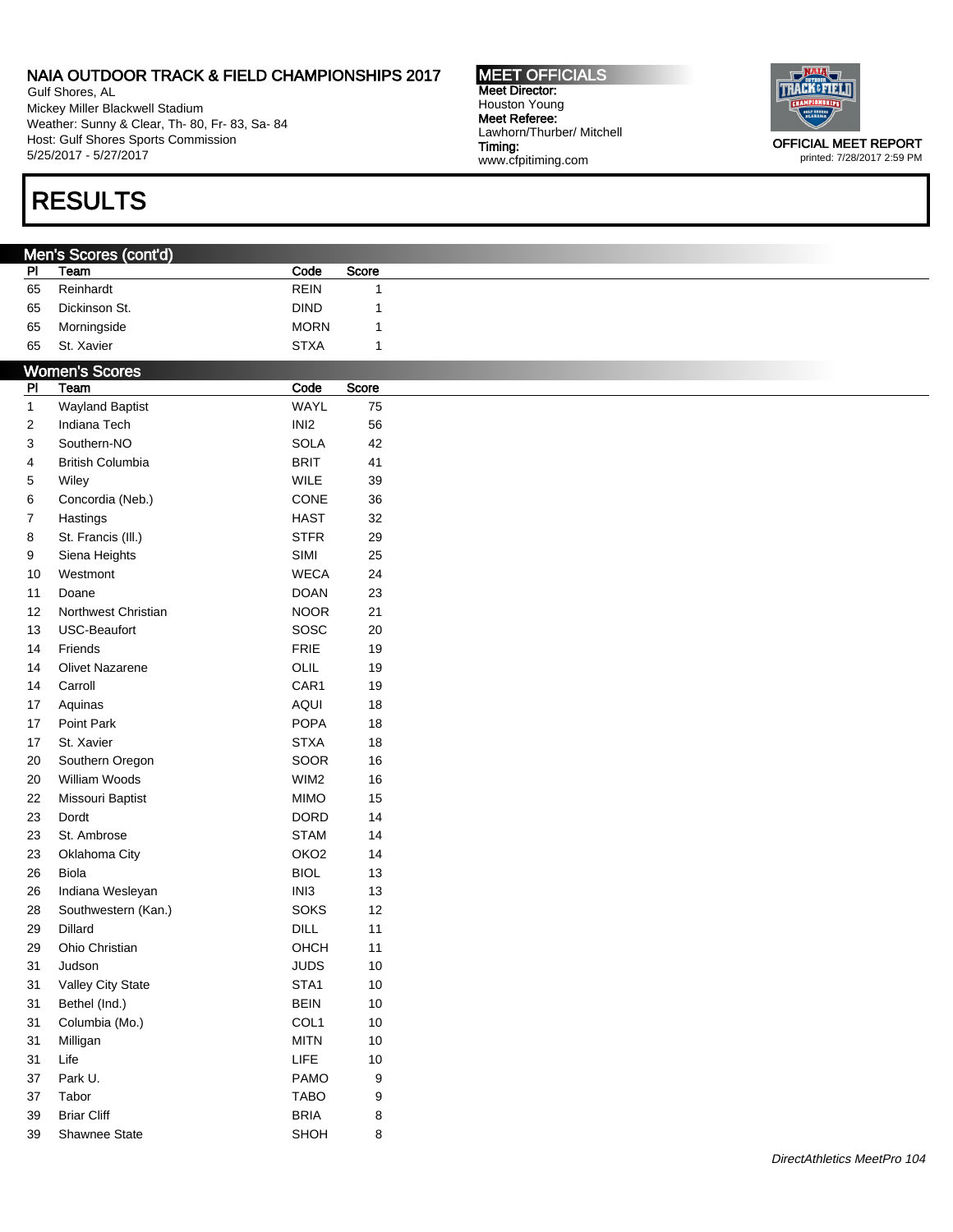Gulf Shores, AL Mickey Miller Blackwell Stadium Weather: Sunny & Clear, Th- 80, Fr- 83, Sa- 84 Host: Gulf Shores Sports Commission 5/25/2017 - 5/27/2017

# RESULTS

## Men's Scores (cont'd)

| PI | Team          | Code        | Score |
|----|---------------|-------------|-------|
| 65 | Reinhardt     | REIN        |       |
| 65 | Dickinson St. | DIND        |       |
| 65 | Morningside   | <b>MORN</b> |       |
| 65 | St. Xavier    | <b>STXA</b> |       |

#### Women's Scores PI Team Code Score 1 Wayland Baptist **WAYL** 75 2 Indiana Tech INI2 56 3 Southern-NO SOLA 42 4 British Columbia **BRIT** 41 5 Wiley WILE 39 6 Concordia (Neb.) CONE 36 7 Hastings 12 HAST 32 8 St. Francis (III.) STFR 29 9 Siena Heights **SIMI** 25 10 Westmont 24 11 Doane DOAN 23 12 Northwest Christian NOOR 21 13 USC-Beaufort SOSC 20 14 Friends **FRIE** 19 14 Olivet Nazarene **OLIL** 19 14 Carroll **CAR1** 19 17 Aquinas **AQUI** 18 17 Point Park **POPA** 18 17 St. Xavier **STXA** 18 20 Southern Oregon SOOR 16 20 William Woods WIM2 16 22 Missouri Baptist **MIMO** 15 23 Dordt DORD 14 23 St. Ambrose STAM 14 23 Oklahoma City **OKO2** 14 26 Biola BIOL 13 26 Indiana Wesleyan **INI3** 13 28 Southwestern (Kan.) SOKS 12 29 Dillard **DILL** 11 29 Ohio Christian **OHCH** 11 31 Judson 31 JUDS 10 31 Valley City State STA1 10 31 Bethel (Ind.) BEIN 10 31 Columbia (Mo.) COL1 10 31 Milligan MITN 10 31 Life 2011 10 37 Park U. No. 2012 12:33 PAMO 9 37 Tabor TABO 9 39 Briar Cliff **BRIA** 8 39 Shawnee State State SHOH 8

MEET OFFICIALS Meet Director: Houston Young Meet Referee: Lawhorn/Thurber/ Mitchell Timing: www.cfpitiming.com